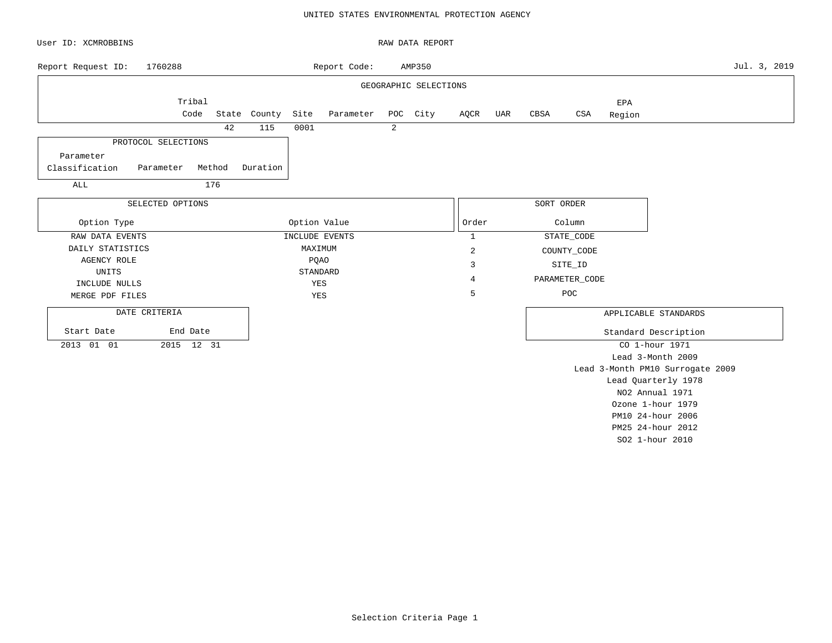#### UNITED STATES ENVIRONMENTAL PROTECTION AGENCY

| User ID: XCMROBBINS              |                  |        |              |              |                |   | RAW DATA REPORT       |                |     |            |                |                   |                                  |              |
|----------------------------------|------------------|--------|--------------|--------------|----------------|---|-----------------------|----------------|-----|------------|----------------|-------------------|----------------------------------|--------------|
| Report Request ID:               | 1760288          |        |              |              | Report Code:   |   | AMP350                |                |     |            |                |                   |                                  | Jul. 3, 2019 |
|                                  |                  |        |              |              |                |   | GEOGRAPHIC SELECTIONS |                |     |            |                |                   |                                  |              |
|                                  | Tribal           |        |              |              |                |   |                       |                |     |            |                | EPA               |                                  |              |
|                                  | Code             |        | State County | Site         | Parameter      |   | POC City              | AQCR           | UAR | CBSA       | CSA            | Region            |                                  |              |
|                                  |                  | 42     | 115          | 0001         |                | 2 |                       |                |     |            |                |                   |                                  |              |
| PROTOCOL SELECTIONS              |                  |        |              |              |                |   |                       |                |     |            |                |                   |                                  |              |
| Parameter                        |                  |        |              |              |                |   |                       |                |     |            |                |                   |                                  |              |
| Classification<br>Parameter      |                  | Method | Duration     |              |                |   |                       |                |     |            |                |                   |                                  |              |
| ALL                              |                  | 176    |              |              |                |   |                       |                |     |            |                |                   |                                  |              |
|                                  | SELECTED OPTIONS |        |              |              |                |   |                       |                |     | SORT ORDER |                |                   |                                  |              |
|                                  |                  |        |              |              |                |   |                       |                |     |            |                |                   |                                  |              |
| Option Type                      |                  |        |              | Option Value |                |   |                       | Order          |     |            | Column         |                   |                                  |              |
| RAW DATA EVENTS                  |                  |        |              |              | INCLUDE EVENTS |   |                       | $\mathbf{1}$   |     |            | STATE_CODE     |                   |                                  |              |
| DAILY STATISTICS                 |                  |        |              | MAXIMUM      |                |   |                       | $\overline{c}$ |     |            | COUNTY_CODE    |                   |                                  |              |
| <b>AGENCY ROLE</b>               |                  |        |              |              | PQAO           |   |                       | 3              |     |            | SITE_ID        |                   |                                  |              |
| UNITS                            |                  |        |              |              | STANDARD       |   |                       | 4              |     |            | PARAMETER_CODE |                   |                                  |              |
| INCLUDE NULLS<br>MERGE PDF FILES |                  |        |              | YES<br>YES   |                |   |                       | 5              |     |            | POC            |                   |                                  |              |
|                                  |                  |        |              |              |                |   |                       |                |     |            |                |                   |                                  |              |
| DATE CRITERIA                    |                  |        |              |              |                |   |                       |                |     |            |                |                   | APPLICABLE STANDARDS             |              |
| Start Date                       | End Date         |        |              |              |                |   |                       |                |     |            |                |                   | Standard Description             |              |
| 2013 01 01                       | 2015 12 31       |        |              |              |                |   |                       |                |     |            |                |                   | CO 1-hour 1971                   |              |
|                                  |                  |        |              |              |                |   |                       |                |     |            |                |                   | Lead 3-Month 2009                |              |
|                                  |                  |        |              |              |                |   |                       |                |     |            |                |                   | Lead 3-Month PM10 Surrogate 2009 |              |
|                                  |                  |        |              |              |                |   |                       |                |     |            |                |                   | Lead Quarterly 1978              |              |
|                                  |                  |        |              |              |                |   |                       |                |     |            |                |                   | NO2 Annual 1971                  |              |
|                                  |                  |        |              |              |                |   |                       |                |     |            |                |                   | Ozone 1-hour 1979                |              |
|                                  |                  |        |              |              |                |   |                       |                |     |            |                | PM10 24-hour 2006 |                                  |              |

PM25 24-hour 2012 SO2 1-hour 2010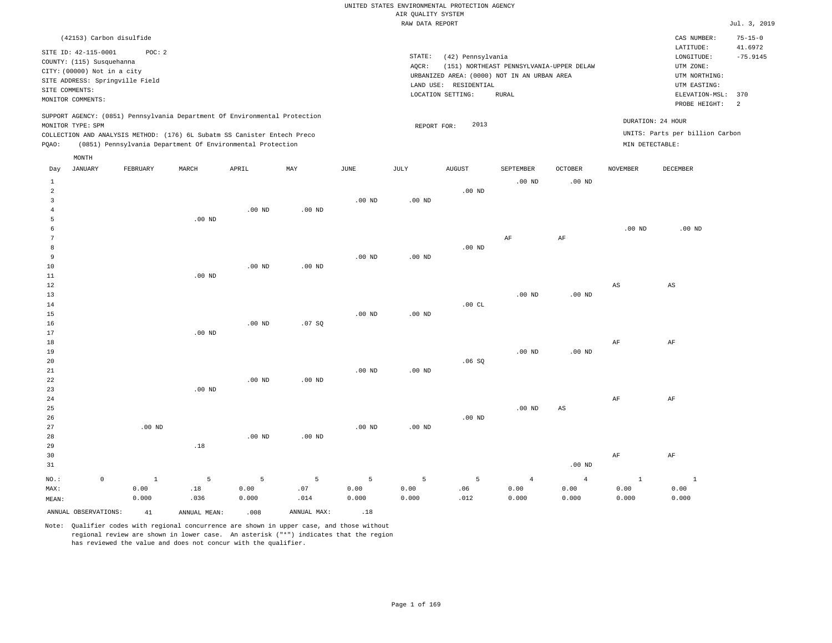| (42153) Carbon disulfide                                                                                                                                                             |          |       |                                                            |     |      |                              |                                                                                                      |                                          |                |                                      | CAS NUMBER:                                                                             | $75 - 15 - 0$                |
|--------------------------------------------------------------------------------------------------------------------------------------------------------------------------------------|----------|-------|------------------------------------------------------------|-----|------|------------------------------|------------------------------------------------------------------------------------------------------|------------------------------------------|----------------|--------------------------------------|-----------------------------------------------------------------------------------------|------------------------------|
| SITE ID: 42-115-0001<br>COUNTY: (115) Susquehanna<br>CITY: (00000) Not in a city<br>SITE ADDRESS: Springville Field<br>SITE COMMENTS:                                                | POC:2    |       |                                                            |     |      | STATE:<br>AOCR:<br>LAND USE: | (42) Pennsylvania<br>URBANIZED AREA: (0000) NOT IN AN URBAN AREA<br>RESIDENTIAL<br>LOCATION SETTING: | (151) NORTHEAST PENNSYLVANIA-UPPER DELAW |                |                                      | LATITUDE:<br>LONGITUDE:<br>UTM ZONE:<br>UTM NORTHING:<br>UTM EASTING:<br>ELEVATION-MSL: | 41.6972<br>$-75.9145$<br>370 |
| MONITOR COMMENTS:                                                                                                                                                                    |          |       |                                                            |     |      |                              |                                                                                                      | RURAL                                    |                |                                      |                                                                                         | -2                           |
| SUPPORT AGENCY: (0851) Pennsylvania Department Of Environmental Protection<br>MONITOR TYPE: SPM<br>COLLECTION AND ANALYSIS METHOD: (176) 6L Subatm SS Canister Entech Preco<br>POAO: |          |       | (0851) Pennsylvania Department Of Environmental Protection |     |      | REPORT FOR:                  | 2013                                                                                                 |                                          |                | DURATION: 24 HOUR<br>MIN DETECTABLE: | PROBE HEIGHT:<br>UNITS: Parts per billion Carbon                                        |                              |
| MONTH                                                                                                                                                                                |          |       |                                                            |     |      |                              |                                                                                                      |                                          |                |                                      |                                                                                         |                              |
| JANUARY<br>Day                                                                                                                                                                       | FEBRUARY | MARCH | APRIL                                                      | MAY | JUNE | JULY                         | AUGUST                                                                                               | SEPTEMBER                                | <b>OCTOBER</b> | NOVEMBER                             | DECEMBER                                                                                |                              |

| ANNUAL OBSERVATIONS:    |             | 41             | ANNUAL MEAN: | .008      | ANNUAL MAX:            | .18       |                   |          |                        |                        |                        |                        |
|-------------------------|-------------|----------------|--------------|-----------|------------------------|-----------|-------------------|----------|------------------------|------------------------|------------------------|------------------------|
| $\texttt{MEAN}:$        |             | 0.000          | .036         | 0.000     | .014                   | 0.000     | 0.000             | .012     | 0.000                  | 0.000                  | 0.000                  | 0.000                  |
| $NO.$ :<br>MAX:         | $\mathsf 0$ | $\,$ 1<br>0.00 | 5<br>$.18\,$ | 5<br>0.00 | $5\phantom{.0}$<br>.07 | 5<br>0.00 | 5<br>0.00         | 5<br>.06 | $\overline{4}$<br>0.00 | $\overline{4}$<br>0.00 | $\mathbf 1$<br>0.00    | $\sim$ 1<br>0.00       |
|                         |             |                |              |           |                        |           |                   |          |                        |                        |                        |                        |
| 31                      |             |                |              |           |                        |           |                   |          |                        | $.00$ ND               |                        |                        |
| 30                      |             |                |              |           |                        |           |                   |          |                        |                        | $\rm{AF}$              | $\rm AF$               |
| 29                      |             |                | $.18\,$      |           |                        |           |                   |          |                        |                        |                        |                        |
| 28                      |             |                |              | $.00$ ND  | $.00$ ND               |           |                   |          |                        |                        |                        |                        |
| 27                      |             | $.00$ ND       |              |           |                        | $.00$ ND  | $.00$ ND          |          |                        |                        |                        |                        |
| 26                      |             |                |              |           |                        |           |                   | $.00$ ND |                        |                        |                        |                        |
| 25                      |             |                |              |           |                        |           |                   |          | $.00$ ND               | $\mathbb{A}\mathbb{S}$ |                        |                        |
| 24                      |             |                |              |           |                        |           |                   |          |                        |                        | $\rm{AF}$              | $\rm AF$               |
| 23                      |             |                | $.00$ ND     |           |                        |           |                   |          |                        |                        |                        |                        |
| 22                      |             |                |              | $.00$ ND  | $.00$ ND               |           |                   |          |                        |                        |                        |                        |
| 21                      |             |                |              |           |                        | $.00$ ND  | .00 <sub>ND</sub> |          |                        |                        |                        |                        |
| 20                      |             |                |              |           |                        |           |                   | .06SQ    |                        |                        |                        |                        |
| 19                      |             |                |              |           |                        |           |                   |          | $.00$ ND               | $.00$ ND               |                        |                        |
| 18                      |             |                |              |           |                        |           |                   |          |                        |                        | $\rm AF$               | $\rm AF$               |
| 17                      |             |                | $.00$ ND     |           |                        |           |                   |          |                        |                        |                        |                        |
| 16                      |             |                |              | $.00$ ND  | .07SQ                  |           |                   |          |                        |                        |                        |                        |
| 14<br>15                |             |                |              |           |                        | $.00$ ND  | $.00$ ND          | .00CL    |                        |                        |                        |                        |
| 13                      |             |                |              |           |                        |           |                   |          |                        | $.00$ ND               |                        |                        |
| 12                      |             |                |              |           |                        |           |                   |          | $.00$ ND               |                        | $\mathbb{A}\mathbb{S}$ | $\mathbb{A}\mathbb{S}$ |
| 11                      |             |                | $.00$ ND     |           |                        |           |                   |          |                        |                        |                        |                        |
| 10                      |             |                |              | $.00$ ND  | $.00$ ND               |           |                   |          |                        |                        |                        |                        |
| 9                       |             |                |              |           |                        | $.00$ ND  | $.00$ ND          |          |                        |                        |                        |                        |
| 8                       |             |                |              |           |                        |           |                   | .00 $ND$ |                        |                        |                        |                        |
| 7                       |             |                |              |           |                        |           |                   |          | $\rm AF$               | $\rm{AF}$              |                        |                        |
| 6                       |             |                |              |           |                        |           |                   |          |                        |                        | $.00$ ND               | $.00$ ND               |
| 5                       |             |                | $.00$ ND     |           |                        |           |                   |          |                        |                        |                        |                        |
| $\overline{4}$          |             |                |              | $.00$ ND  | $.00$ ND               |           |                   |          |                        |                        |                        |                        |
| 3                       |             |                |              |           |                        | $.00$ ND  | .00 <sub>ND</sub> |          |                        |                        |                        |                        |
| $\overline{\mathbf{c}}$ |             |                |              |           |                        |           |                   | $.00$ ND |                        |                        |                        |                        |
|                         |             |                |              |           |                        |           |                   |          |                        |                        |                        |                        |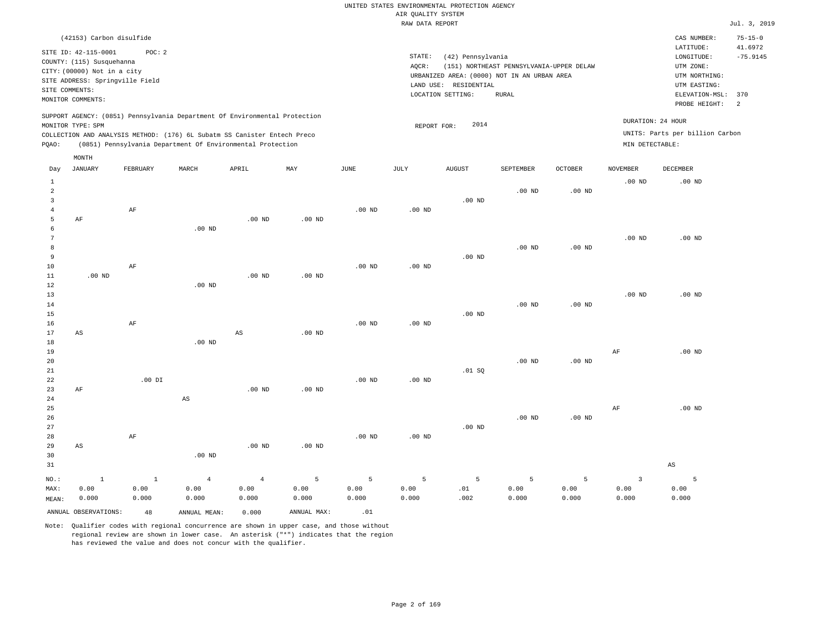| (42153) Carbon disulfide                                                                                                                                                                                                                           |                                                                                                                                                                                           | CAS NUMBER:                                                                                                  | $75 - 15 - 0$         |
|----------------------------------------------------------------------------------------------------------------------------------------------------------------------------------------------------------------------------------------------------|-------------------------------------------------------------------------------------------------------------------------------------------------------------------------------------------|--------------------------------------------------------------------------------------------------------------|-----------------------|
| SITE ID: 42-115-0001<br>POC:2<br>COUNTY: (115) Susquehanna<br>CITY: (00000) Not in a city<br>SITE ADDRESS: Springville Field<br>SITE COMMENTS:<br>MONITOR COMMENTS:                                                                                | STATE:<br>(42) Pennsylvania<br>(151) NORTHEAST PENNSYLVANIA-UPPER DELAW<br>AOCR:<br>URBANIZED AREA: (0000) NOT IN AN URBAN AREA<br>RESIDENTIAL<br>LAND USE:<br>LOCATION SETTING:<br>RURAL | LATITUDE:<br>LONGITUDE:<br>UTM ZONE:<br>UTM NORTHING:<br>UTM EASTING:<br>ELEVATION-MSL: 370<br>PROBE HEIGHT: | 41.6972<br>$-75.9145$ |
| SUPPORT AGENCY: (0851) Pennsylvania Department Of Environmental Protection<br>MONITOR TYPE: SPM<br>COLLECTION AND ANALYSIS METHOD: (176) 6L Subatm SS Canister Entech Preco<br>(0851) Pennsylvania Department Of Environmental Protection<br>POAO: | DURATION: 24 HOUR<br>2014<br>REPORT FOR:<br>MIN DETECTABLE:                                                                                                                               | UNITS: Parts per billion Carbon                                                                              |                       |

|                                                  | MONTH                  |                               |                                 |                                 |                    |                    |                    |                  |                    |                                 |                                 |                        |
|--------------------------------------------------|------------------------|-------------------------------|---------------------------------|---------------------------------|--------------------|--------------------|--------------------|------------------|--------------------|---------------------------------|---------------------------------|------------------------|
| Day                                              | <b>JANUARY</b>         | FEBRUARY                      | MARCH                           | APRIL                           | MAY                | $_{\rm JUNE}$      | $\mathtt{JULY}$    | <b>AUGUST</b>    | SEPTEMBER          | OCTOBER                         | <b>NOVEMBER</b>                 | DECEMBER               |
| $\mathbf{1}$<br>$\overline{a}$<br>$\overline{3}$ |                        |                               |                                 |                                 |                    |                    |                    | $.00$ ND         | $.00$ ND           | $.00$ ND                        | $.00$ ND                        | $.00$ ND               |
| $\overline{4}$<br>5<br>6<br>7                    | AF                     | AF                            | $.00$ ND                        | $.00$ ND                        | $.00$ ND           | $.00$ ND           | $.00$ ND           |                  |                    |                                 | $.00$ ND                        | $.00$ ND               |
| 8<br>9<br>$10$                                   |                        | AF                            |                                 |                                 |                    | $.00$ ND           | $.00$ ND           | $.00$ ND         | $.00$ ND           | $.00$ ND                        |                                 |                        |
| 11<br>12<br>13<br>14                             | $.00$ ND               |                               | $.00$ ND                        | $.00$ ND                        | $.00$ ND           |                    |                    |                  | .00 <sub>ND</sub>  | $.00$ ND                        | $.00$ ND                        | $.00$ ND               |
| 15<br>16<br>17                                   | $\mathbb{A}\mathbb{S}$ | AF                            |                                 | $\mathbb{A}\mathbb{S}$          | $.00$ ND           | $.00$ ND           | $.00$ ND           | $.00$ ND         |                    |                                 |                                 |                        |
| 18<br>19<br>20<br>21                             |                        |                               | .00 $ND$                        |                                 |                    |                    |                    | .01 SQ           | .00 <sub>ND</sub>  | $.00$ ND                        | $\rm{AF}$                       | $.00$ ND               |
| 22<br>23<br>$2\sqrt{4}$<br>25                    | $\rm AF$               | $.00$ DI                      | $\mathbb{A}\mathbb{S}$          | $.00$ ND                        | $.00$ ND           | $.00$ ND           | $.00$ ND           |                  |                    |                                 | $\rm{AF}$                       | $.00$ ND               |
| $26\,$<br>27<br>28<br>29                         | $\mathbb{A}\mathbb{S}$ | $\rm AF$                      |                                 | .00 $ND$                        | $.00$ ND           | $.00$ ND           | $.00$ ND           | $.00$ ND         | .00 <sub>ND</sub>  | $.00$ ND                        |                                 |                        |
| 30<br>31                                         |                        |                               | $.00$ ND                        |                                 |                    |                    |                    |                  |                    |                                 |                                 | $\mathbb{A}\mathbb{S}$ |
| NO.:<br>MAX:<br>MEAN:                            | $1\,$<br>0.00<br>0.000 | $\mathbf{1}$<br>0.00<br>0.000 | $\overline{4}$<br>0.00<br>0.000 | $\overline{4}$<br>0.00<br>0.000 | 5<br>0.00<br>0.000 | 5<br>0.00<br>0.000 | 5<br>0.00<br>0.000 | 5<br>.01<br>.002 | 5<br>0.00<br>0.000 | $\overline{5}$<br>0.00<br>0.000 | $\overline{3}$<br>0.00<br>0.000 | 5<br>0.00<br>0.000     |
|                                                  | ANNUAL OBSERVATIONS:   | 48                            | ANNUAL MEAN:                    | 0.000                           | ANNUAL MAX:        | .01                |                    |                  |                    |                                 |                                 |                        |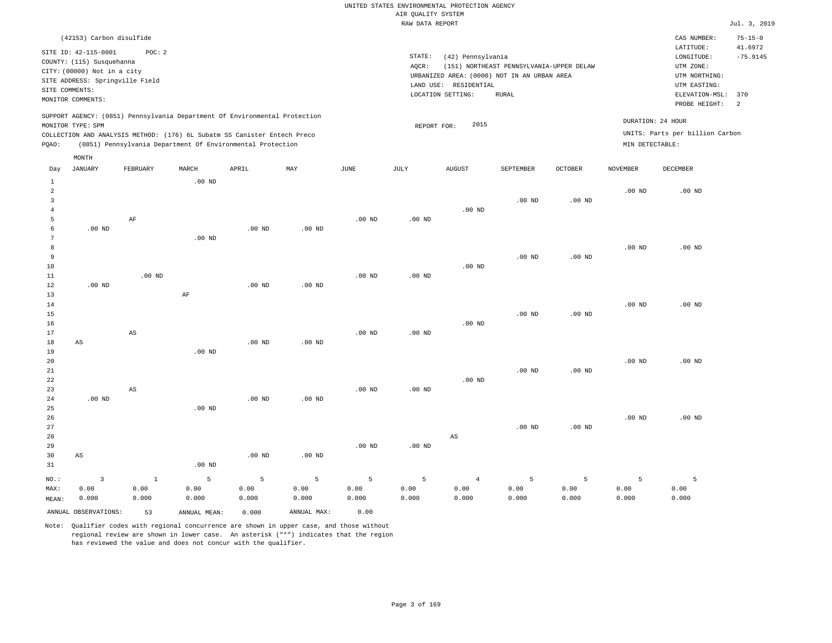| (42153) Carbon disulfide                                                                                                                                                                                                                           |                                                                                                                                                                                           | $75 - 15 - 0$<br>CAS NUMBER:                                                                                                          |
|----------------------------------------------------------------------------------------------------------------------------------------------------------------------------------------------------------------------------------------------------|-------------------------------------------------------------------------------------------------------------------------------------------------------------------------------------------|---------------------------------------------------------------------------------------------------------------------------------------|
| POC:2<br>SITE ID: 42-115-0001<br>COUNTY: (115) Susquehanna<br>CITY: (00000) Not in a city<br>SITE ADDRESS: Springville Field<br>SITE COMMENTS:<br>MONITOR COMMENTS:                                                                                | STATE:<br>(42) Pennsylvania<br>(151) NORTHEAST PENNSYLVANIA-UPPER DELAW<br>AOCR:<br>URBANIZED AREA: (0000) NOT IN AN URBAN AREA<br>RESIDENTIAL<br>LAND USE:<br>LOCATION SETTING:<br>RURAL | 41.6972<br>LATITUDE:<br>$-75.9145$<br>LONGITUDE:<br>UTM ZONE:<br>UTM NORTHING:<br>UTM EASTING:<br>ELEVATION-MSL: 370<br>PROBE HEIGHT: |
| SUPPORT AGENCY: (0851) Pennsylvania Department Of Environmental Protection<br>MONITOR TYPE: SPM<br>COLLECTION AND ANALYSIS METHOD: (176) 6L Subatm SS Canister Entech Preco<br>(0851) Pennsylvania Department Of Environmental Protection<br>POAO: | 2015<br>REPORT FOR:                                                                                                                                                                       | DURATION: 24 HOUR<br>UNITS: Parts per billion Carbon<br>MIN DETECTABLE:                                                               |

| Day                                 | <b>JANUARY</b>         | FEBRUARY               | MARCH         | APRIL         | MAY           | $\mathtt{JUNE}$ | JULY              | <b>AUGUST</b>  | SEPTEMBER      | OCTOBER           | <b>NOVEMBER</b> | DECEMBER      |
|-------------------------------------|------------------------|------------------------|---------------|---------------|---------------|-----------------|-------------------|----------------|----------------|-------------------|-----------------|---------------|
| $\mathbf{1}$<br>$\overline{a}$<br>3 |                        |                        | $.00$ ND      |               |               |                 |                   |                | $.00$ ND       | .00 <sub>ND</sub> | $.00$ ND        | $.00$ ND      |
| $\overline{4}$<br>5<br>6            | $.00$ ND               | $\rm AF$               |               | $.00$ ND      | $.00$ ND      | $.00$ ND        | $.00$ ND          | $.00$ ND       |                |                   |                 |               |
| 7<br>8                              |                        |                        | $.00$ ND      |               |               |                 |                   |                |                |                   | $.00$ ND        | $.00$ ND      |
| 9<br>10<br>11                       |                        | $.00$ ND               |               |               |               | $.00$ ND        | $.00$ ND          | $.00$ ND       | $.00$ ND       | $.00$ ND          |                 |               |
| 12<br>13                            | $.00$ ND               |                        | $\rm{AF}$     | $.00$ ND      | $.00$ ND      |                 |                   |                |                |                   |                 |               |
| 14<br>15<br>16                      |                        |                        |               |               |               |                 |                   | $.00$ ND       | $.00$ ND       | $.00$ ND          | $.00$ ND        | $.00$ ND      |
| 17<br>18                            | AS                     | $\mathbb{A}\mathbb{S}$ |               | $.00$ ND      | $.00$ ND      | $.00$ ND        | $.00$ ND          |                |                |                   |                 |               |
| 19<br>20<br>21                      |                        |                        | $.00$ ND      |               |               |                 |                   |                | $.00$ ND       | $.00$ ND          | $.00$ ND        | $.00$ ND      |
| 22<br>23                            |                        | $\mathbb{A}\mathbb{S}$ |               |               |               | $.00$ ND        | .00 <sub>ND</sub> | $.00$ ND       |                |                   |                 |               |
| 24<br>25<br>26                      | $.00$ ND               |                        | $.00$ ND      | $.00$ ND      | $.00$ ND      |                 |                   |                |                |                   | $.00$ ND        | $.00$ ND      |
| 27<br>28                            |                        |                        |               |               |               |                 |                   | AS             | $.00$ ND       | $.00$ ND          |                 |               |
| 29<br>30<br>31                      | $\mathbb{A}\mathbb{S}$ |                        | $.00$ ND      | $.00$ ND      | $.00$ ND      | $.00$ ND        | $.00$ ND          |                |                |                   |                 |               |
| NO.:                                | $\overline{3}$         | $1\,$                  | 5             | 5             | 5             | 5               | 5                 | $\overline{4}$ | $\overline{5}$ | 5                 | 5               | 5             |
| MAX:<br>MEAN:                       | 0.00<br>0.000          | 0.00<br>0.000          | 0.00<br>0.000 | 0.00<br>0.000 | 0.00<br>0.000 | 0.00<br>0.000   | 0.00<br>0.000     | 0.00<br>0.000  | 0.00<br>0.000  | 0.00<br>0.000     | 0.00<br>0.000   | 0.00<br>0.000 |
|                                     | ANNUAL OBSERVATIONS:   | 53                     | ANNUAL MEAN:  | 0.000         | ANNUAL MAX:   | 0.00            |                   |                |                |                   |                 |               |

Note: Qualifier codes with regional concurrence are shown in upper case, and those without regional review are shown in lower case. An asterisk ("\*") indicates that the region has reviewed the value and does not concur with the qualifier.

MONTH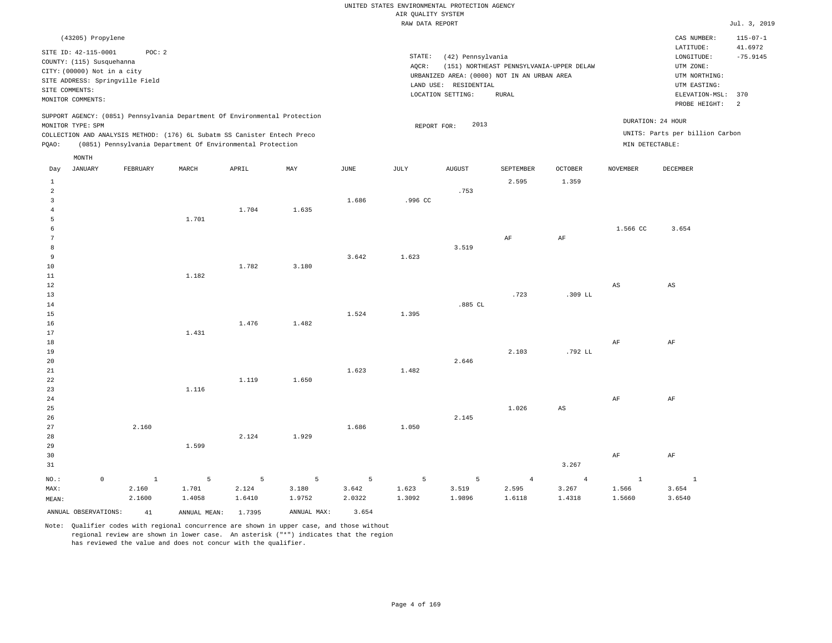|       | (43205) Propylene                                                                                                                                          |          |       |                                                            |                                                                            |      |                              |                                                                                                                                                  |           |                                                                                         |                              | CAS NUMBER:                                                             | $115 - 07 - 1$ |
|-------|------------------------------------------------------------------------------------------------------------------------------------------------------------|----------|-------|------------------------------------------------------------|----------------------------------------------------------------------------|------|------------------------------|--------------------------------------------------------------------------------------------------------------------------------------------------|-----------|-----------------------------------------------------------------------------------------|------------------------------|-------------------------------------------------------------------------|----------------|
|       | SITE ID: 42-115-0001<br>COUNTY: (115) Susquehanna<br>CITY: (00000) Not in a city<br>SITE ADDRESS: Springville Field<br>SITE COMMENTS:<br>MONITOR COMMENTS: | POC: 2   |       |                                                            |                                                                            |      | STATE:<br>AQCR:<br>LAND USE: | (42) Pennsylvania<br>(151) NORTHEAST PENNSYLVANIA-UPPER DELAW<br>URBANIZED AREA: (0000) NOT IN AN URBAN AREA<br>RESIDENTIAL<br>LOCATION SETTING: |           | LATITUDE:<br>LONGITUDE:<br>UTM ZONE:<br>UTM NORTHING:<br>UTM EASTING:<br>ELEVATION-MSL: | 41.6972<br>$-75.9145$<br>370 |                                                                         |                |
|       |                                                                                                                                                            |          |       |                                                            |                                                                            |      |                              |                                                                                                                                                  |           |                                                                                         |                              | PROBE HEIGHT:                                                           | 2              |
| POAO: | MONITOR TYPE: SPM<br>COLLECTION AND ANALYSIS METHOD: (176) 6L Subatm SS Canister Entech Preco                                                              |          |       | (0851) Pennsylvania Department Of Environmental Protection | SUPPORT AGENCY: (0851) Pennsylvania Department Of Environmental Protection |      |                              | 2013<br>REPORT FOR:                                                                                                                              |           |                                                                                         |                              | DURATION: 24 HOUR<br>UNITS: Parts per billion Carbon<br>MIN DETECTABLE: |                |
|       | MONTH                                                                                                                                                      |          |       |                                                            |                                                                            |      |                              |                                                                                                                                                  |           |                                                                                         |                              |                                                                         |                |
| Day   | JANUARY                                                                                                                                                    | FEBRUARY | MARCH | APRIL                                                      | MAY                                                                        | JUNE | JULY                         | <b>AUGUST</b>                                                                                                                                    | SEPTEMBER | OCTOBER                                                                                 | NOVEMBER                     | DECEMBER                                                                |                |
|       |                                                                                                                                                            |          |       |                                                            |                                                                            |      |                              |                                                                                                                                                  | 2.595     | 1.359                                                                                   |                              |                                                                         |                |

| $\overline{a}$ |         |        |        |        |                 |        |         | .753    |            |                        |             |              |
|----------------|---------|--------|--------|--------|-----------------|--------|---------|---------|------------|------------------------|-------------|--------------|
| $\overline{3}$ |         |        |        |        |                 | 1.686  | .996 CC |         |            |                        |             |              |
| $\overline{4}$ |         |        |        | 1.704  | 1.635           |        |         |         |            |                        |             |              |
|                |         |        |        |        |                 |        |         |         |            |                        |             |              |
| 5              |         |        | 1.701  |        |                 |        |         |         |            |                        |             |              |
| 6              |         |        |        |        |                 |        |         |         |            |                        | 1.566 CC    | 3.654        |
| 7              |         |        |        |        |                 |        |         |         | $\rm{AF}$  | $\rm{AF}$              |             |              |
| 8              |         |        |        |        |                 |        |         | 3.519   |            |                        |             |              |
| 9              |         |        |        |        |                 | 3.642  | 1.623   |         |            |                        |             |              |
| 10             |         |        |        | 1.782  | 3.180           |        |         |         |            |                        |             |              |
| 11             |         |        | 1.182  |        |                 |        |         |         |            |                        |             |              |
| 12             |         |        |        |        |                 |        |         |         |            |                        | $_{\rm AS}$ | AS           |
| 13             |         |        |        |        |                 |        |         |         | .723       | $.309$ LL              |             |              |
| 14             |         |        |        |        |                 |        |         | .885 CL |            |                        |             |              |
| 15             |         |        |        |        |                 | 1.524  | 1.395   |         |            |                        |             |              |
| 16             |         |        |        | 1.476  | 1.482           |        |         |         |            |                        |             |              |
| 17             |         |        | 1.431  |        |                 |        |         |         |            |                        |             |              |
| 18             |         |        |        |        |                 |        |         |         |            |                        | $\rm{AF}$   | $\rm AF$     |
| 19             |         |        |        |        |                 |        |         |         | 2.103      | .792 LL                |             |              |
| 20             |         |        |        |        |                 |        |         | 2.646   |            |                        |             |              |
| 21             |         |        |        |        |                 | 1.623  | 1.482   |         |            |                        |             |              |
| 22             |         |        |        | 1.119  | 1.650           |        |         |         |            |                        |             |              |
| 23             |         |        | 1.116  |        |                 |        |         |         |            |                        |             |              |
| 24             |         |        |        |        |                 |        |         |         |            |                        | $\rm{AF}$   | $\rm AF$     |
| $25\,$         |         |        |        |        |                 |        |         |         | 1.026      | $\mathbb{A}\mathbb{S}$ |             |              |
| 26             |         |        |        |        |                 |        |         | 2.145   |            |                        |             |              |
| 27             |         | 2.160  |        |        |                 | 1.686  | 1.050   |         |            |                        |             |              |
| 28             |         |        |        | 2.124  | 1.929           |        |         |         |            |                        |             |              |
| 29             |         |        | 1.599  |        |                 |        |         |         |            |                        |             |              |
| 30             |         |        |        |        |                 |        |         |         |            |                        | $\rm{AF}$   | $\rm AF$     |
| 31             |         |        |        |        |                 |        |         |         |            | 3.267                  |             |              |
| $_{\rm NO.}$ : | $\,0\,$ | $\,$ 1 | 5      | 5      | $5\phantom{.0}$ | 5      | 5       | 5       | $\sqrt{4}$ | $\overline{4}$         | $\,$ 1      | $\mathbf{1}$ |
| MAX:           |         | 2.160  | 1.701  | 2.124  | 3.180           | 3.642  | 1.623   | 3.519   | 2.595      | 3.267                  | 1.566       | 3.654        |
| MEAN:          |         | 2.1600 | 1.4058 | 1.6410 | 1.9752          | 2.0322 | 1.3092  | 1.9896  | 1.6118     | 1.4318                 | 1.5660      | 3.6540       |

Note: Qualifier codes with regional concurrence are shown in upper case, and those without regional review are shown in lower case. An asterisk ("\*") indicates that the region has reviewed the value and does not concur with the qualifier.

ANNUAL OBSERVATIONS: 41 ANNUAL MEAN: 1.7395 ANNUAL MAX: 3.654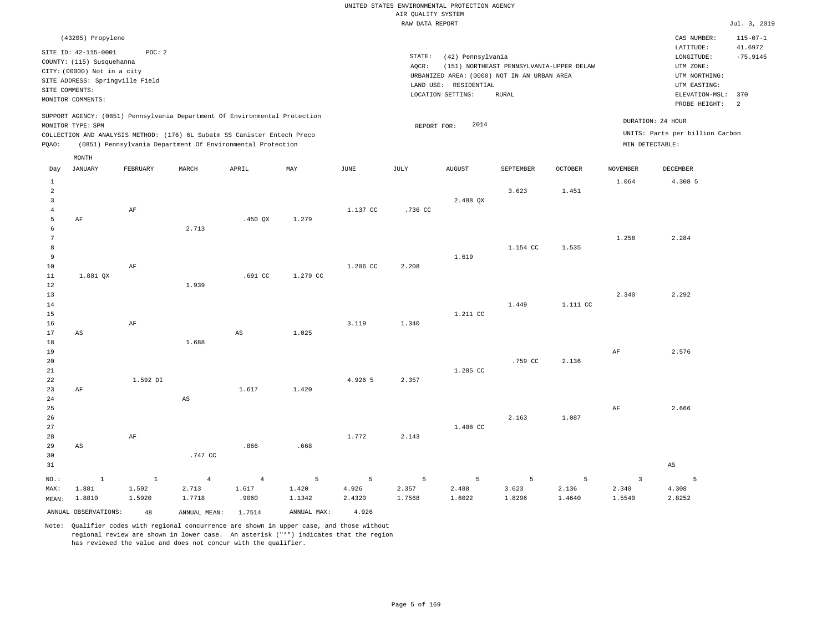|                 |                                 |              |                                                                                                                                        |                        |             |          | RAW DATA REPORT |                       |                                             |                |                 |                                 | Jul. 3, 2019   |
|-----------------|---------------------------------|--------------|----------------------------------------------------------------------------------------------------------------------------------------|------------------------|-------------|----------|-----------------|-----------------------|---------------------------------------------|----------------|-----------------|---------------------------------|----------------|
|                 | (43205) Propylene               |              |                                                                                                                                        |                        |             |          |                 |                       |                                             |                |                 | CAS NUMBER:                     | $115 - 07 - 1$ |
|                 | SITE ID: 42-115-0001            | POC: 2       |                                                                                                                                        |                        |             |          |                 |                       |                                             |                |                 | LATITUDE:                       | 41.6972        |
|                 | COUNTY: (115) Susquehanna       |              |                                                                                                                                        |                        |             |          | STATE:          | (42) Pennsylvania     |                                             |                |                 | LONGITUDE:                      | $-75.9145$     |
|                 | CITY: (00000) Not in a city     |              |                                                                                                                                        |                        |             |          | AQCR:           |                       | (151) NORTHEAST PENNSYLVANIA-UPPER DELAW    |                |                 | UTM ZONE:                       |                |
|                 | SITE ADDRESS: Springville Field |              |                                                                                                                                        |                        |             |          |                 |                       | URBANIZED AREA: (0000) NOT IN AN URBAN AREA |                |                 | UTM NORTHING:                   |                |
|                 | SITE COMMENTS:                  |              |                                                                                                                                        |                        |             |          |                 | LAND USE: RESIDENTIAL |                                             |                |                 | UTM EASTING:                    |                |
|                 | MONITOR COMMENTS:               |              |                                                                                                                                        |                        |             |          |                 | LOCATION SETTING:     | <b>RURAL</b>                                |                |                 | ELEVATION-MSL:                  | 370            |
|                 |                                 |              |                                                                                                                                        |                        |             |          |                 |                       |                                             |                |                 | PROBE HEIGHT:                   | 2              |
|                 |                                 |              | SUPPORT AGENCY: (0851) Pennsylvania Department Of Environmental Protection                                                             |                        |             |          |                 |                       |                                             |                |                 | DURATION: 24 HOUR               |                |
|                 | MONITOR TYPE: SPM               |              |                                                                                                                                        |                        |             |          | REPORT FOR:     | 2014                  |                                             |                |                 | UNITS: Parts per billion Carbon |                |
| PQAO:           |                                 |              | COLLECTION AND ANALYSIS METHOD: (176) 6L Subatm SS Canister Entech Preco<br>(0851) Pennsylvania Department Of Environmental Protection |                        |             |          |                 |                       |                                             |                |                 | MIN DETECTABLE:                 |                |
|                 | MONTH                           |              |                                                                                                                                        |                        |             |          |                 |                       |                                             |                |                 |                                 |                |
| Day             | JANUARY                         | FEBRUARY     | MARCH                                                                                                                                  | APRIL                  | MAY         | JUNE     | JULY            | AUGUST                | SEPTEMBER                                   | <b>OCTOBER</b> | <b>NOVEMBER</b> | DECEMBER                        |                |
| $\mathbf{1}$    |                                 |              |                                                                                                                                        |                        |             |          |                 |                       |                                             |                | 1.064           | 4.308 5                         |                |
| $\overline{a}$  |                                 |              |                                                                                                                                        |                        |             |          |                 |                       | 3.623                                       | 1.451          |                 |                                 |                |
| $\overline{3}$  |                                 |              |                                                                                                                                        |                        |             |          |                 | 2.488 QX              |                                             |                |                 |                                 |                |
| $\overline{4}$  |                                 | AF           |                                                                                                                                        |                        |             | 1.137 CC | .736 CC         |                       |                                             |                |                 |                                 |                |
| 5               | $\rm AF$                        |              |                                                                                                                                        | $.450$ QX              | 1.279       |          |                 |                       |                                             |                |                 |                                 |                |
| 6               |                                 |              | 2.713                                                                                                                                  |                        |             |          |                 |                       |                                             |                |                 |                                 |                |
| $7\phantom{.0}$ |                                 |              |                                                                                                                                        |                        |             |          |                 |                       |                                             |                | 1.258           | 2.284                           |                |
| 8               |                                 |              |                                                                                                                                        |                        |             |          |                 |                       | 1.154 CC                                    | 1.535          |                 |                                 |                |
| 9               |                                 |              |                                                                                                                                        |                        |             |          |                 | 1.619                 |                                             |                |                 |                                 |                |
| 10              |                                 | AF           |                                                                                                                                        |                        |             | 1.206 CC | 2.208           |                       |                                             |                |                 |                                 |                |
| $11\,$          | 1.881 QX                        |              |                                                                                                                                        | .691 CC                | 1.279 CC    |          |                 |                       |                                             |                |                 |                                 |                |
| 12              |                                 |              | 1.939                                                                                                                                  |                        |             |          |                 |                       |                                             |                |                 |                                 |                |
| 13              |                                 |              |                                                                                                                                        |                        |             |          |                 |                       |                                             |                | 2.340           | 2.292                           |                |
| 14              |                                 |              |                                                                                                                                        |                        |             |          |                 |                       | 1.449                                       | 1.111 CC       |                 |                                 |                |
| 15              |                                 |              |                                                                                                                                        |                        |             |          |                 | 1.211 CC              |                                             |                |                 |                                 |                |
| 16              |                                 | AF           |                                                                                                                                        |                        |             | 3.119    | 1.340           |                       |                                             |                |                 |                                 |                |
| 17              | $\mathbb{A}\mathbb{S}$          |              |                                                                                                                                        | $\mathbb{A}\mathbb{S}$ | 1.025       |          |                 |                       |                                             |                |                 |                                 |                |
| 18              |                                 |              | 1.688                                                                                                                                  |                        |             |          |                 |                       |                                             |                |                 |                                 |                |
| 19              |                                 |              |                                                                                                                                        |                        |             |          |                 |                       |                                             |                | AF              | 2.576                           |                |
| 20              |                                 |              |                                                                                                                                        |                        |             |          |                 |                       | .759 CC                                     | 2.136          |                 |                                 |                |
| 21              |                                 |              |                                                                                                                                        |                        |             |          |                 | 1.285 CC              |                                             |                |                 |                                 |                |
| 22              |                                 | 1.592 DI     |                                                                                                                                        |                        |             | 4.926 5  | 2.357           |                       |                                             |                |                 |                                 |                |
| 23              | AF                              |              |                                                                                                                                        | 1.617                  | 1.420       |          |                 |                       |                                             |                |                 |                                 |                |
| 24              |                                 |              | $\mathbb{A}\mathbb{S}$                                                                                                                 |                        |             |          |                 |                       |                                             |                |                 |                                 |                |
| 25              |                                 |              |                                                                                                                                        |                        |             |          |                 |                       |                                             |                | AF              | 2.666                           |                |
| 26              |                                 |              |                                                                                                                                        |                        |             |          |                 |                       | 2.163                                       | 1.087          |                 |                                 |                |
| 27              |                                 |              |                                                                                                                                        |                        |             |          |                 | 1.408 CC              |                                             |                |                 |                                 |                |
| 28              |                                 | $\rm{AF}$    |                                                                                                                                        |                        |             | 1.772    | 2.143           |                       |                                             |                |                 |                                 |                |
| 29              | AS                              |              |                                                                                                                                        | .866                   | .668        |          |                 |                       |                                             |                |                 |                                 |                |
| 30              |                                 |              | .747 CC                                                                                                                                |                        |             |          |                 |                       |                                             |                |                 |                                 |                |
| 31              |                                 |              |                                                                                                                                        |                        |             |          |                 |                       |                                             |                |                 | AS                              |                |
| NO.:            | $\,1\,$                         | $\mathbf{1}$ | $\overline{4}$                                                                                                                         | $\overline{4}$         | 5           | 5        | 5               | 5                     | 5                                           | 5              | $\overline{3}$  | 5                               |                |
| MAX:            | 1.881                           | 1.592        | 2.713                                                                                                                                  | 1.617                  | 1.420       | 4.926    | 2.357           | 2.488                 | 3.623                                       | 2.136          | 2.340           | 4.308                           |                |
| MEAN:           | 1.8810                          | 1.5920       | 1.7718                                                                                                                                 | .9060                  | 1.1342      | 2.4320   | 1.7568          | 1.6022                | 1.8296                                      | 1.4640         | 1.5540          | 2.8252                          |                |
|                 | ANNUAL OBSERVATIONS:            | 48           | ANNUAL MEAN:                                                                                                                           | 1.7514                 | ANNUAL MAX: | 4.926    |                 |                       |                                             |                |                 |                                 |                |
|                 |                                 |              |                                                                                                                                        |                        |             |          |                 |                       |                                             |                |                 |                                 |                |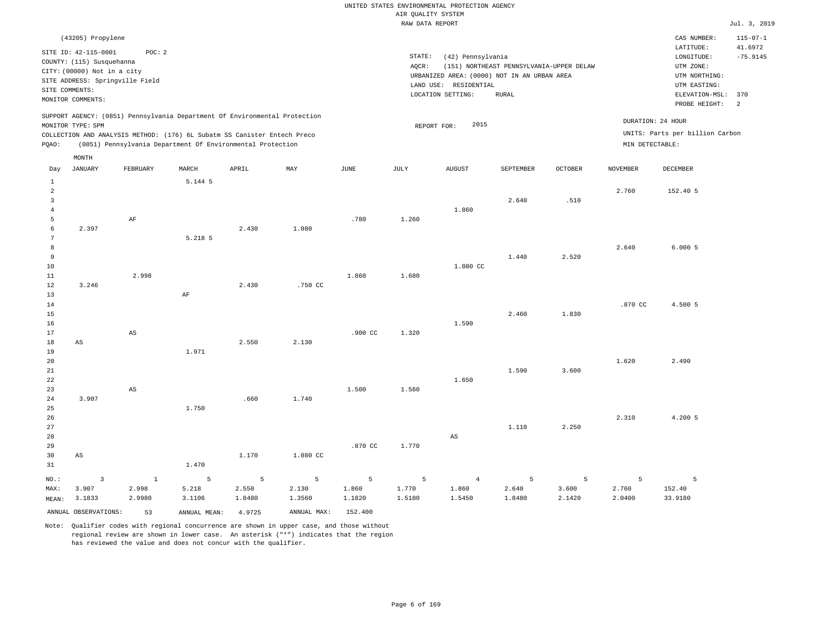|                     |                                 |                                                                            |         |        |          |           | RAW DATA REPORT |                                             |                                          |                |                 |                                 | Jul. 3, 2019          |
|---------------------|---------------------------------|----------------------------------------------------------------------------|---------|--------|----------|-----------|-----------------|---------------------------------------------|------------------------------------------|----------------|-----------------|---------------------------------|-----------------------|
|                     | (43205) Propylene               |                                                                            |         |        |          |           |                 |                                             |                                          |                |                 | CAS NUMBER:                     | $115 - 07 - 1$        |
|                     | SITE ID: 42-115-0001            | POC: 2                                                                     |         |        |          |           | STATE:          | (42) Pennsylvania                           |                                          |                |                 | LATITUDE:<br>LONGITUDE:         | 41.6972<br>$-75.9145$ |
|                     | COUNTY: (115) Susquehanna       |                                                                            |         |        |          |           | AQCR:           |                                             | (151) NORTHEAST PENNSYLVANIA-UPPER DELAW |                |                 | UTM ZONE:                       |                       |
|                     | CITY: (00000) Not in a city     |                                                                            |         |        |          |           |                 | URBANIZED AREA: (0000) NOT IN AN URBAN AREA |                                          |                |                 | UTM NORTHING:                   |                       |
|                     | SITE ADDRESS: Springville Field |                                                                            |         |        |          |           |                 | LAND USE: RESIDENTIAL                       |                                          |                |                 | UTM EASTING:                    |                       |
|                     | SITE COMMENTS:                  |                                                                            |         |        |          |           |                 | LOCATION SETTING:                           | <b>RURAL</b>                             |                |                 | ELEVATION-MSL:                  | 370                   |
|                     | MONITOR COMMENTS:               |                                                                            |         |        |          |           |                 |                                             |                                          |                |                 | PROBE HEIGHT:                   | $\overline{2}$        |
|                     |                                 | SUPPORT AGENCY: (0851) Pennsylvania Department Of Environmental Protection |         |        |          |           |                 |                                             |                                          |                |                 | DURATION: 24 HOUR               |                       |
|                     | MONITOR TYPE: SPM               |                                                                            |         |        |          |           | REPORT FOR:     | 2015                                        |                                          |                |                 |                                 |                       |
|                     |                                 | COLLECTION AND ANALYSIS METHOD: (176) 6L Subatm SS Canister Entech Preco   |         |        |          |           |                 |                                             |                                          |                |                 | UNITS: Parts per billion Carbon |                       |
| PQAO:               |                                 | (0851) Pennsylvania Department Of Environmental Protection                 |         |        |          |           |                 |                                             |                                          |                | MIN DETECTABLE: |                                 |                       |
|                     | $\texttt{MONTH}$                |                                                                            |         |        |          |           |                 |                                             |                                          |                |                 |                                 |                       |
| Day                 | <b>JANUARY</b>                  | FEBRUARY                                                                   | MARCH   | APRIL  | MAY      | JUNE      | JULY            | <b>AUGUST</b>                               | SEPTEMBER                                | <b>OCTOBER</b> | <b>NOVEMBER</b> | DECEMBER                        |                       |
| $\,$ 1              |                                 |                                                                            | 5.144 5 |        |          |           |                 |                                             |                                          |                |                 |                                 |                       |
| $\overline{a}$      |                                 |                                                                            |         |        |          |           |                 |                                             |                                          |                | 2.760           | 152.40 5                        |                       |
| $\overline{3}$      |                                 |                                                                            |         |        |          |           |                 |                                             | 2.640                                    | .510           |                 |                                 |                       |
| $\overline{4}$<br>5 |                                 |                                                                            |         |        |          |           |                 | 1.860                                       |                                          |                |                 |                                 |                       |
| 6                   | 2.397                           | $\rm AF$                                                                   |         | 2.430  | 1.080    | .780      | 1.260           |                                             |                                          |                |                 |                                 |                       |
| 7                   |                                 |                                                                            | 5.218 5 |        |          |           |                 |                                             |                                          |                |                 |                                 |                       |
| 8                   |                                 |                                                                            |         |        |          |           |                 |                                             |                                          |                | 2.640           | 6.0005                          |                       |
| $\overline{9}$      |                                 |                                                                            |         |        |          |           |                 |                                             | 1.440                                    | 2.520          |                 |                                 |                       |
| 10                  |                                 |                                                                            |         |        |          |           |                 | 1.080 CC                                    |                                          |                |                 |                                 |                       |
| 11                  |                                 | 2.998                                                                      |         |        |          | 1,860     | 1.680           |                                             |                                          |                |                 |                                 |                       |
| 12                  | 3.246                           |                                                                            |         | 2.430  | .750 CC  |           |                 |                                             |                                          |                |                 |                                 |                       |
| 13                  |                                 |                                                                            | AF      |        |          |           |                 |                                             |                                          |                |                 |                                 |                       |
| 14                  |                                 |                                                                            |         |        |          |           |                 |                                             |                                          |                | .870 CC         | 4.500 5                         |                       |
| 15                  |                                 |                                                                            |         |        |          |           |                 |                                             | 2.460                                    | 1.830          |                 |                                 |                       |
| 16                  |                                 |                                                                            |         |        |          |           |                 | 1.590                                       |                                          |                |                 |                                 |                       |
| 17                  |                                 | $\mathbb{A}\mathbb{S}$                                                     |         |        |          | $.900$ CC | 1.320           |                                             |                                          |                |                 |                                 |                       |
| 18                  | $_{\rm AS}$                     |                                                                            |         | 2.550  | 2.130    |           |                 |                                             |                                          |                |                 |                                 |                       |
| 19<br>20            |                                 |                                                                            | 1.971   |        |          |           |                 |                                             |                                          |                | 1.620           | 2.490                           |                       |
| 21                  |                                 |                                                                            |         |        |          |           |                 |                                             | 1.590                                    | 3.600          |                 |                                 |                       |
| 22                  |                                 |                                                                            |         |        |          |           |                 | 1.650                                       |                                          |                |                 |                                 |                       |
| 23                  |                                 | $_{\rm AS}$                                                                |         |        |          | 1.500     | 1.560           |                                             |                                          |                |                 |                                 |                       |
| 24                  | 3.907                           |                                                                            |         | .660   | 1.740    |           |                 |                                             |                                          |                |                 |                                 |                       |
| 25                  |                                 |                                                                            | 1.750   |        |          |           |                 |                                             |                                          |                |                 |                                 |                       |
| 26                  |                                 |                                                                            |         |        |          |           |                 |                                             |                                          |                | 2.310           | 4.200 5                         |                       |
| 27                  |                                 |                                                                            |         |        |          |           |                 |                                             | 1.110                                    | 2.250          |                 |                                 |                       |
| 28                  |                                 |                                                                            |         |        |          |           |                 | $_{\rm AS}$                                 |                                          |                |                 |                                 |                       |
| 29                  |                                 |                                                                            |         |        |          | .870 CC   | 1.770           |                                             |                                          |                |                 |                                 |                       |
| 30                  | AS                              |                                                                            |         | 1.170  | 1.080 CC |           |                 |                                             |                                          |                |                 |                                 |                       |
| 31                  |                                 |                                                                            | 1.470   |        |          |           |                 |                                             |                                          |                |                 |                                 |                       |
| NO.:                | $\overline{3}$                  | <sup>1</sup>                                                               | 5       | 5      | 5        | 5         | 5               | $\overline{4}$                              | 5                                        | 5              | 5               | 5                               |                       |
| MAX:                | 3.907                           | 2.998                                                                      | 5.218   | 2.550  | 2.130    | 1.860     | 1.770           | 1.860                                       | 2.640                                    | 3.600          | 2.760           | 152.40                          |                       |
| MEAN:               | 3.1833                          | 2.9980                                                                     | 3.1106  | 1.8480 | 1.3560   | 1.1820    | 1.5180          | 1.5450                                      | 1.8480                                   | 2.1420         | 2.0400          | 33.9180                         |                       |

Note: Qualifier codes with regional concurrence are shown in upper case, and those without regional review are shown in lower case. An asterisk ("\*") indicates that the region

ANNUAL OBSERVATIONS: 53 ANNUAL MEAN: 4.9725 ANNUAL MAX: 152.400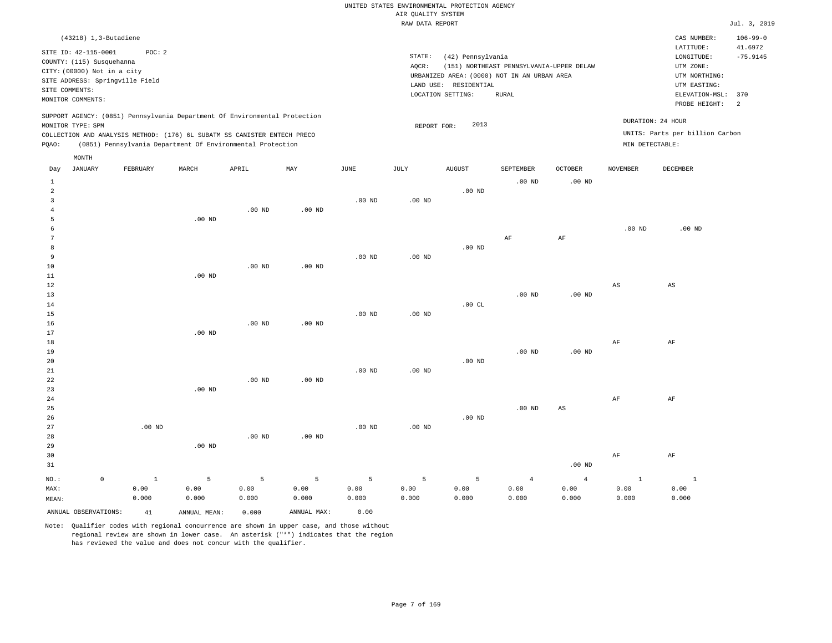|                | (43218) 1,3-Butadiene           |          |       |                                                                            |     |             |        |                          |                                             |                                          |                 | CAS NUMBER:                     | $106 - 99 - 0$ |
|----------------|---------------------------------|----------|-------|----------------------------------------------------------------------------|-----|-------------|--------|--------------------------|---------------------------------------------|------------------------------------------|-----------------|---------------------------------|----------------|
|                | SITE ID: 42-115-0001            | POC: 2   |       |                                                                            |     |             |        |                          |                                             |                                          |                 | LATITUDE:                       | 41.6972        |
|                | COUNTY: (115) Susquehanna       |          |       |                                                                            |     |             | STATE: |                          | (42) Pennsylvania                           |                                          |                 | LONGITUDE:                      | $-75.9145$     |
|                |                                 |          |       |                                                                            |     |             | AQCR:  |                          |                                             | (151) NORTHEAST PENNSYLVANIA-UPPER DELAW |                 | UTM ZONE:                       |                |
|                | CITY: (00000) Not in a city     |          |       |                                                                            |     |             |        |                          | URBANIZED AREA: (0000) NOT IN AN URBAN AREA |                                          |                 | UTM NORTHING:                   |                |
|                | SITE ADDRESS: Springville Field |          |       |                                                                            |     |             |        | RESIDENTIAL<br>LAND USE: |                                             |                                          |                 | UTM EASTING:                    |                |
| SITE COMMENTS: |                                 |          |       |                                                                            |     |             |        |                          |                                             |                                          |                 |                                 |                |
|                | MONITOR COMMENTS:               |          |       |                                                                            |     |             |        | LOCATION SETTING:        | RURAL                                       |                                          |                 | ELEVATION-MSL: 370              |                |
|                |                                 |          |       |                                                                            |     |             |        |                          |                                             |                                          |                 | PROBE HEIGHT:                   |                |
|                |                                 |          |       | SUPPORT AGENCY: (0851) Pennsylvania Department Of Environmental Protection |     |             |        |                          |                                             |                                          |                 | DURATION: 24 HOUR               |                |
|                | MONITOR TYPE: SPM               |          |       |                                                                            |     |             |        | REPORT FOR:              | 2013                                        |                                          |                 |                                 |                |
|                |                                 |          |       | COLLECTION AND ANALYSIS METHOD: (176) 6L SUBATM SS CANISTER ENTECH PRECO   |     |             |        |                          |                                             |                                          |                 | UNITS: Parts per billion Carbon |                |
| POAO:          |                                 |          |       | (0851) Pennsylvania Department Of Environmental Protection                 |     |             |        |                          |                                             |                                          | MIN DETECTABLE: |                                 |                |
|                | MONTH                           |          |       |                                                                            |     |             |        |                          |                                             |                                          |                 |                                 |                |
| Day            | JANUARY                         | FEBRUARY | MARCH | APRIL                                                                      | MAY | <b>JUNE</b> | JULY   | <b>AUGUST</b>            | SEPTEMBER                                   | <b>OCTOBER</b>                           | <b>NOVEMBER</b> | DECEMBER                        |                |

| $\mathbf{1}$   |             |                   |             |             |                 |          |          |          | .00 $ND$       | $.00$ ND       |                        |                        |
|----------------|-------------|-------------------|-------------|-------------|-----------------|----------|----------|----------|----------------|----------------|------------------------|------------------------|
| $\overline{a}$ |             |                   |             |             |                 |          |          | $.00$ ND |                |                |                        |                        |
| 3              |             |                   |             |             |                 | $.00$ ND | $.00$ ND |          |                |                |                        |                        |
| 4              |             |                   |             | $.00$ ND    | $.00$ ND        |          |          |          |                |                |                        |                        |
| 5              |             |                   | $.00$ ND    |             |                 |          |          |          |                |                |                        |                        |
| 6              |             |                   |             |             |                 |          |          |          |                |                | $.00$ ND               | $.00$ ND               |
| 7              |             |                   |             |             |                 |          |          |          | $\rm AF$       | AF             |                        |                        |
| 8              |             |                   |             |             |                 |          |          | $.00$ ND |                |                |                        |                        |
| 9              |             |                   |             |             |                 | $.00$ ND | $.00$ ND |          |                |                |                        |                        |
| 10             |             |                   |             | $.00$ ND    | $.00$ ND        |          |          |          |                |                |                        |                        |
| 11             |             |                   | $.00$ ND    |             |                 |          |          |          |                |                |                        |                        |
| 12             |             |                   |             |             |                 |          |          |          |                |                | $\mathbb{A}\mathbb{S}$ | $\mathbb{A}\mathbb{S}$ |
| 13             |             |                   |             |             |                 |          |          |          | $.00$ ND       | $.00$ ND       |                        |                        |
| 14             |             |                   |             |             |                 |          |          | .00 $CL$ |                |                |                        |                        |
| 15             |             |                   |             |             |                 | $.00$ ND | $.00$ ND |          |                |                |                        |                        |
| 16             |             |                   |             | $.00$ ND    | $.00$ ND        |          |          |          |                |                |                        |                        |
| 17             |             |                   | $.00$ ND    |             |                 |          |          |          |                |                |                        |                        |
| 18             |             |                   |             |             |                 |          |          |          |                |                | $\rm{AF}$              | $\rm AF$               |
| 19             |             |                   |             |             |                 |          |          |          | $.00$ ND       | $.00$ ND       |                        |                        |
| 20             |             |                   |             |             |                 |          |          | $.00$ ND |                |                |                        |                        |
| 21             |             |                   |             |             |                 | $.00$ ND | $.00$ ND |          |                |                |                        |                        |
| 22<br>23       |             |                   | $.00$ ND    | $.00$ ND    | $.00$ ND        |          |          |          |                |                |                        |                        |
| $2\,4$         |             |                   |             |             |                 |          |          |          |                |                | $\rm{AF}$              | $\rm AF$               |
| $25\,$         |             |                   |             |             |                 |          |          |          | $.00$ ND       | AS             |                        |                        |
| 26             |             |                   |             |             |                 |          |          | $.00$ ND |                |                |                        |                        |
| 27             |             | $.00~\mathrm{ND}$ |             |             |                 | $.00$ ND | .00 $ND$ |          |                |                |                        |                        |
| 28             |             |                   |             | $.00$ ND    | $.00$ ND        |          |          |          |                |                |                        |                        |
| 29             |             |                   | .00 $ND$    |             |                 |          |          |          |                |                |                        |                        |
| 30             |             |                   |             |             |                 |          |          |          |                |                | $\rm{AF}$              | $\rm AF$               |
| 31             |             |                   |             |             |                 |          |          |          |                | $.00$ ND       |                        |                        |
|                |             |                   |             |             |                 |          |          |          |                |                |                        |                        |
| $_{\rm NO.}$ : | $\mathsf 0$ | $\,1\,$           | $\mathsf S$ | $\mathsf S$ | $5\phantom{.0}$ | 5        | 5        | 5        | $\overline{4}$ | $\overline{4}$ | $\mathbf 1$            | $\mathbf{1}$           |
| MAX:           |             | 0.00              | 0.00        | 0.00        | 0.00            | 0.00     | 0.00     | 0.00     | 0.00           | 0.00           | 0.00                   | 0.00                   |
| MEAN:          |             | 0.000             | 0.000       | 0.000       | 0.000           | 0.000    | 0.000    | 0.000    | 0.000          | 0.000          | 0.000                  | 0.000                  |

ANNUAL OBSERVATIONS: 41 ANNUAL MEAN: 0.000 ANNUAL MAX: 0.00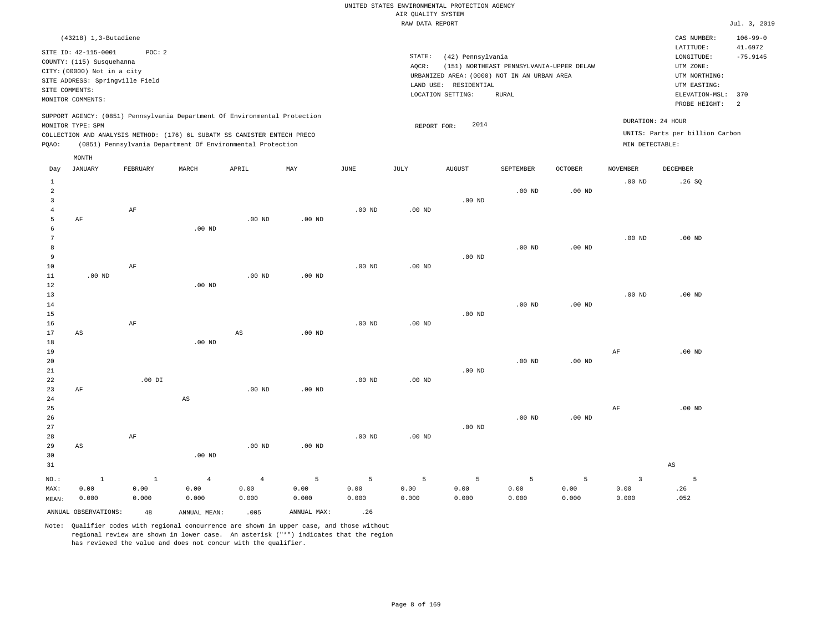| $(43218)$ 1, 3-Butadiene                                                                                                                                                                                                                                    |                                                                                                                                                                                           | CAS NUMBER:                                                                                                  | $106 - 99 - 0$                          |
|-------------------------------------------------------------------------------------------------------------------------------------------------------------------------------------------------------------------------------------------------------------|-------------------------------------------------------------------------------------------------------------------------------------------------------------------------------------------|--------------------------------------------------------------------------------------------------------------|-----------------------------------------|
| POC:2<br>SITE ID: 42-115-0001<br>COUNTY: (115) Susquehanna<br>CITY: (00000) Not in a city<br>SITE ADDRESS: Springville Field<br>SITE COMMENTS:<br>MONITOR COMMENTS:                                                                                         | STATE:<br>(42) Pennsylvania<br>(151) NORTHEAST PENNSYLVANIA-UPPER DELAW<br>AOCR:<br>URBANIZED AREA: (0000) NOT IN AN URBAN AREA<br>LAND USE:<br>RESIDENTIAL<br>LOCATION SETTING:<br>RURAL | LATITUDE:<br>LONGITUDE:<br>UTM ZONE:<br>UTM NORTHING:<br>UTM EASTING:<br>ELEVATION-MSL: 370<br>PROBE HEIGHT: | 41.6972<br>$-75.9145$<br>$\overline{2}$ |
| SUPPORT AGENCY: (0851) Pennsylvania Department Of Environmental Protection<br>MONITOR TYPE: SPM<br>COLLECTION AND ANALYSIS METHOD: (176) 6L SUBATM SS CANISTER ENTECH PRECO<br>(0851) Pennsylvania Department Of Environmental Protection<br>POAO:<br>MONTH | 2014<br>REPORT FOR:                                                                                                                                                                       | DURATION: 24 HOUR<br>UNITS: Parts per billion Carbon<br>MIN DETECTABLE:                                      |                                         |

| Day                                           | <b>JANUARY</b>                | FEBRUARY                      | MARCH                           | APRIL                           | MAY                | $_{\rm JUNE}$      | JULY               | <b>AUGUST</b>      | SEPTEMBER          | OCTOBER            | <b>NOVEMBER</b>                          | DECEMBER         |
|-----------------------------------------------|-------------------------------|-------------------------------|---------------------------------|---------------------------------|--------------------|--------------------|--------------------|--------------------|--------------------|--------------------|------------------------------------------|------------------|
| $\mathbf{1}$<br>$\overline{a}$<br>3<br>4<br>5 | $\rm AF$                      | $\rm AF$                      |                                 | $.00$ ND                        | $.00$ ND           | $.00$ ND           | $.00$ ND           | $.00$ ND           | $.00$ ND           | $.00$ ND           | $.00$ ND                                 | .26SQ            |
| 6<br>7<br>8<br>9<br>10<br>11                  | $.00$ ND                      | $\rm AF$                      | $.00$ ND                        | $.00$ ND                        | .00 <sub>ND</sub>  | .00 <sub>ND</sub>  | .00 <sub>ND</sub>  | $.00$ ND           | $.00$ ND           | .00 $ND$           | $.00$ ND                                 | $.00$ ND         |
| 12<br>13<br>14<br>15<br>16<br>17              | AS                            | $\rm{AF}$                     | $.00$ ND                        | $\mathbb{A}\mathbb{S}$          | $.00$ ND           | $.00$ ND           | .00 <sub>ND</sub>  | $.00$ ND           | $.00$ ND           | $.00$ ND           | $.00$ ND                                 | $.00$ ND         |
| 18<br>19<br>20<br>21<br>22                    |                               | $.00$ DI                      | $.00$ ND                        |                                 |                    | .00 <sub>ND</sub>  | .00 <sub>ND</sub>  | $.00$ ND           | $.00$ ND           | $.00$ ND           | AF                                       | $.00$ ND         |
| 23<br>24<br>25<br>26<br>27<br>28              | AF                            | $\rm AF$                      | $\mathbb{A}\mathbb{S}$          | $.00$ ND                        | .00 <sub>ND</sub>  | $.00$ ND           | $.00$ ND           | $.00$ ND           | $.00$ ND           | $.00$ ND           | $\rm AF$                                 | $.00$ ND         |
| 29<br>30<br>31                                | $\mathbb{A}\mathbb{S}$        |                               | $.00$ ND                        | $.00$ ND                        | $.00$ ND           |                    |                    |                    |                    |                    |                                          | AS               |
| $NO.$ :<br>MAX:<br>MEAN:                      | $\mathbf{1}$<br>0.00<br>0.000 | $\mathbf{1}$<br>0.00<br>0.000 | $\overline{4}$<br>0.00<br>0.000 | $\overline{4}$<br>0.00<br>0.000 | 5<br>0.00<br>0.000 | 5<br>0.00<br>0.000 | 5<br>0.00<br>0.000 | 5<br>0.00<br>0.000 | 5<br>0.00<br>0.000 | 5<br>0.00<br>0.000 | $\overline{\mathbf{3}}$<br>0.00<br>0.000 | 5<br>.26<br>.052 |
|                                               | ANNUAL OBSERVATIONS:          | 48                            | ANNUAL MEAN:                    | .005                            | ANNUAL MAX:        | .26                |                    |                    |                    |                    |                                          |                  |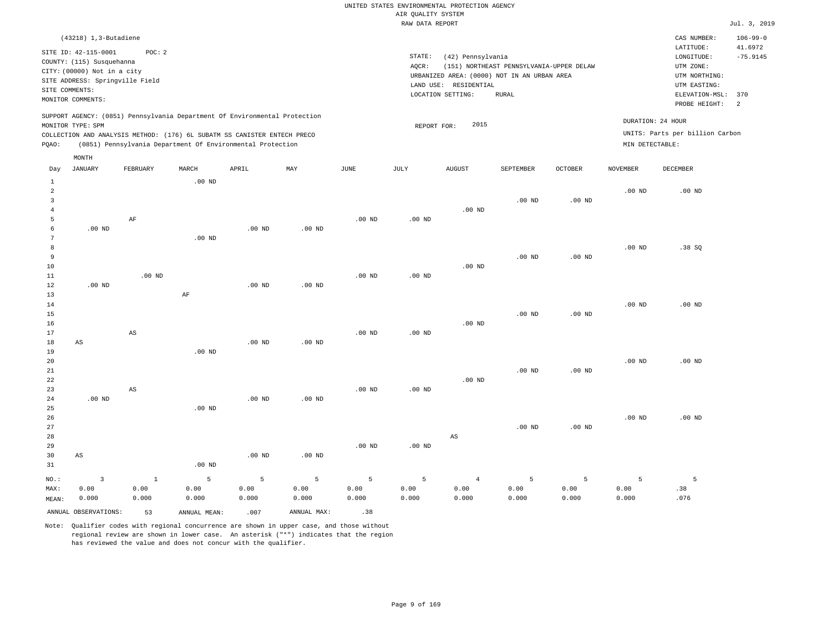| CAS NUMBER:<br>LATITUDE:                                                                        | $106 - 99 - 0$<br>41.6972                |
|-------------------------------------------------------------------------------------------------|------------------------------------------|
|                                                                                                 |                                          |
| LONGITUDE:<br>UTM ZONE:<br>UTM NORTHING:<br>UTM EASTING:<br>ELEVATION-MSL: 370<br>PROBE HEIGHT: | $-75.9145$<br>- 2                        |
| DURATION: 24 HOUR<br>UNITS: Parts per billion Carbon<br>MIN DETECTABLE:                         |                                          |
|                                                                                                 | (151) NORTHEAST PENNSYLVANIA-UPPER DELAW |

| Day                                               | JANUARY                | FEBRUARY               | $\tt MARCH$  | APRIL          | MAY               | $_{\rm JUNE}$ | JULY     | AUGUST                 | SEPTEMBER  | OCTOBER           | $\,$ NOVEMBER | DECEMBER |
|---------------------------------------------------|------------------------|------------------------|--------------|----------------|-------------------|---------------|----------|------------------------|------------|-------------------|---------------|----------|
| $\mathbf{1}$<br>$\overline{c}$<br>3<br>$\sqrt{4}$ |                        |                        | $.00$ ND     |                |                   |               |          | $.00$ ND               | $.00$ ND   | $.00$ ND          | $.00$ ND      | $.00$ ND |
| 5                                                 |                        | $\rm AF$               |              |                |                   | $.00$ ND      | $.00$ ND |                        |            |                   |               |          |
| 6                                                 | $.00$ ND               |                        |              | .00 $ND$       | $.00$ ND          |               |          |                        |            |                   |               |          |
| 7                                                 |                        |                        | $.00$ ND     |                |                   |               |          |                        |            |                   |               |          |
| 8                                                 |                        |                        |              |                |                   |               |          |                        |            |                   | $.00$ ND      | .38SQ    |
| 9                                                 |                        |                        |              |                |                   |               |          |                        | $.00$ ND   | $.00$ ND          |               |          |
| 10                                                |                        |                        |              |                |                   |               |          | $.00$ ND               |            |                   |               |          |
| 11                                                |                        | $.00$ ND               |              |                |                   | $.00$ ND      | $.00$ ND |                        |            |                   |               |          |
| 12                                                | $.00$ ND               |                        |              | $.00$ ND       | $.00$ ND          |               |          |                        |            |                   |               |          |
| 13                                                |                        |                        | $\rm AF$     |                |                   |               |          |                        |            |                   |               |          |
| $14$                                              |                        |                        |              |                |                   |               |          |                        |            |                   | $.00$ ND      | $.00$ ND |
| 15                                                |                        |                        |              |                |                   |               |          |                        | $.00$ ND   | $.00$ ND          |               |          |
| 16<br>17                                          |                        | $\mathbb{A}\mathbb{S}$ |              |                |                   | $.00$ ND      | $.00$ ND | $.00$ ND               |            |                   |               |          |
| 18                                                | $\mathbb{A}\mathbb{S}$ |                        |              | $.00$ ND       | $.00$ ND          |               |          |                        |            |                   |               |          |
| 19                                                |                        |                        | $.00$ ND     |                |                   |               |          |                        |            |                   |               |          |
| 20                                                |                        |                        |              |                |                   |               |          |                        |            |                   | $.00$ ND      | $.00$ ND |
| $2\sqrt{1}$                                       |                        |                        |              |                |                   |               |          |                        | $.00$ ND   | .00 <sub>ND</sub> |               |          |
| 22                                                |                        |                        |              |                |                   |               |          | $.00$ ND               |            |                   |               |          |
| 23                                                |                        | $\mathbb{A}\mathbb{S}$ |              |                |                   | $.00$ ND      | $.00$ ND |                        |            |                   |               |          |
| 24                                                | $.00$ ND               |                        |              | $.00$ ND       | $.00$ ND          |               |          |                        |            |                   |               |          |
| 25                                                |                        |                        | $.00$ ND     |                |                   |               |          |                        |            |                   |               |          |
| 26                                                |                        |                        |              |                |                   |               |          |                        |            |                   | $.00$ ND      | $.00$ ND |
| 27                                                |                        |                        |              |                |                   |               |          |                        | $.00$ ND   | $.00$ ND          |               |          |
| 28                                                |                        |                        |              |                |                   |               |          | $\mathbb{A}\mathbb{S}$ |            |                   |               |          |
| 29                                                |                        |                        |              |                |                   | $.00$ ND      | $.00$ ND |                        |            |                   |               |          |
| 30                                                | $\mathbb{A}\mathbb{S}$ |                        |              | $.00$ ND       | .00 <sub>ND</sub> |               |          |                        |            |                   |               |          |
| 31                                                |                        |                        | $.00$ ND     |                |                   |               |          |                        |            |                   |               |          |
| $NO.$ :                                           | $\overline{3}$         | $\mathbf{1}$           | $\mathsf S$  | $\overline{5}$ | 5                 | 5             | 5        | $\overline{4}$         | $\sqrt{5}$ | 5                 | 5             | 5        |
| MAX:                                              | 0.00                   | 0.00                   | 0.00         | 0.00           | 0.00              | 0.00          | 0.00     | 0.00                   | 0.00       | 0.00              | 0.00          | .38      |
| MEAN:                                             | 0.000                  | 0.000                  | 0.000        | 0.000          | 0.000             | 0.000         | 0.000    | 0.000                  | 0.000      | 0.000             | 0.000         | .076     |
|                                                   | ANNUAL OBSERVATIONS:   | 53                     | ANNUAL MEAN: | .007           | ANNUAL MAX:       | .38           |          |                        |            |                   |               |          |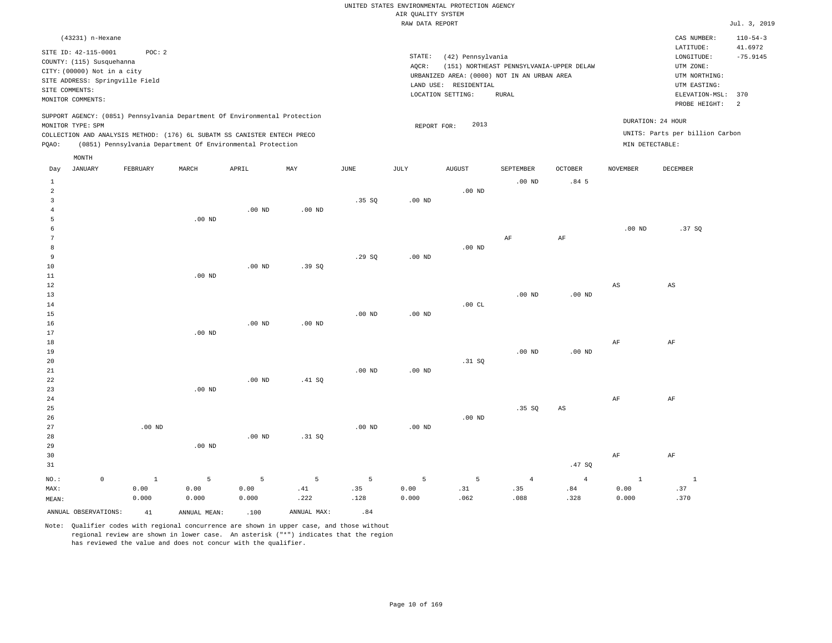|       |                             |                                 |          |                                                                            |          |       | RAW DATA REPORT |                                             |                                          |                  |                 |                                 | Jul. 3, 2019               |
|-------|-----------------------------|---------------------------------|----------|----------------------------------------------------------------------------|----------|-------|-----------------|---------------------------------------------|------------------------------------------|------------------|-----------------|---------------------------------|----------------------------|
|       | (43231) n-Hexane            |                                 |          |                                                                            |          |       |                 |                                             |                                          |                  |                 | CAS NUMBER:                     | $110 - 54 - 3$             |
|       | SITE ID: 42-115-0001        | POC:2                           |          |                                                                            |          |       |                 |                                             |                                          |                  |                 | LATITUDE:                       | 41.6972                    |
|       | COUNTY: (115) Susquehanna   |                                 |          |                                                                            |          |       | STATE:          | (42) Pennsylvania                           |                                          |                  |                 | LONGITUDE:                      | $-75.9145$                 |
|       | CITY: (00000) Not in a city |                                 |          |                                                                            |          |       | AOCR:           |                                             | (151) NORTHEAST PENNSYLVANIA-UPPER DELAW |                  |                 | UTM ZONE:                       |                            |
|       |                             | SITE ADDRESS: Springville Field |          |                                                                            |          |       |                 | URBANIZED AREA: (0000) NOT IN AN URBAN AREA |                                          |                  |                 | UTM NORTHING:                   |                            |
|       | SITE COMMENTS:              |                                 |          |                                                                            |          |       |                 | LAND USE: RESIDENTIAL                       |                                          |                  |                 | UTM EASTING:                    |                            |
|       | MONITOR COMMENTS:           |                                 |          |                                                                            |          |       |                 | LOCATION SETTING:                           | RURAL                                    |                  |                 | ELEVATION-MSL:                  | 370                        |
|       |                             |                                 |          |                                                                            |          |       |                 |                                             |                                          |                  |                 | PROBE HEIGHT:                   | $\overline{\phantom{0}}^2$ |
|       | MONITOR TYPE: SPM           |                                 |          | SUPPORT AGENCY: (0851) Pennsylvania Department Of Environmental Protection |          |       |                 | 2013<br>REPORT FOR:                         |                                          |                  |                 | DURATION: 24 HOUR               |                            |
|       |                             |                                 |          | COLLECTION AND ANALYSIS METHOD: (176) 6L SUBATM SS CANISTER ENTECH PRECO   |          |       |                 |                                             |                                          |                  |                 | UNITS: Parts per billion Carbon |                            |
| POAO: |                             |                                 |          | (0851) Pennsylvania Department Of Environmental Protection                 |          |       |                 |                                             |                                          |                  | MIN DETECTABLE: |                                 |                            |
|       | MONTH                       |                                 |          |                                                                            |          |       |                 |                                             |                                          |                  |                 |                                 |                            |
| Day   | JANUARY                     | FEBRUARY                        | MARCH    | APRIL                                                                      | MAY      | JUNE  | JULY            | <b>AUGUST</b>                               | SEPTEMBER                                | <b>OCTOBER</b>   | NOVEMBER        | DECEMBER                        |                            |
|       |                             |                                 |          |                                                                            |          |       |                 |                                             | $.00$ ND                                 | .84 <sub>5</sub> |                 |                                 |                            |
|       |                             |                                 |          |                                                                            |          |       |                 | .00 <sub>ND</sub>                           |                                          |                  |                 |                                 |                            |
|       |                             |                                 |          |                                                                            |          | .35SQ | $.00$ ND        |                                             |                                          |                  |                 |                                 |                            |
|       |                             |                                 |          | $.00$ ND                                                                   | $.00$ ND |       |                 |                                             |                                          |                  |                 |                                 |                            |
|       |                             |                                 | $.00$ ND |                                                                            |          |       |                 |                                             |                                          |                  |                 |                                 |                            |
|       |                             |                                 |          |                                                                            |          |       |                 |                                             |                                          |                  | $.00$ ND        | .37SQ                           |                            |
|       |                             |                                 |          |                                                                            |          |       |                 |                                             | AF                                       | AF               |                 |                                 |                            |
| 8     |                             |                                 |          |                                                                            |          |       |                 | $.00$ ND                                    |                                          |                  |                 |                                 |                            |

| MAX:           |             | 0.00        | 0.00     | 0.00     | .41      | .35      | 0.00     | .31      | .35            | .84                    | 0.00         | .37                    |
|----------------|-------------|-------------|----------|----------|----------|----------|----------|----------|----------------|------------------------|--------------|------------------------|
| $_{\rm NO.}$ : | $\mathbb O$ | $\mathbf 1$ | 5        | 5        | 5        | 5        | 5        | 5        | $\overline{4}$ | $\overline{4}$         | <sup>1</sup> | $\overline{1}$         |
| 31             |             |             |          |          |          |          |          |          |                | .47 $SQ$               |              |                        |
| 30             |             |             |          |          |          |          |          |          |                |                        | $\rm{AF}$    | $\rm AF$               |
| 29             |             |             | $.00$ ND |          |          |          |          |          |                |                        |              |                        |
| 28             |             |             |          | $.00$ ND | .31 SQ   |          |          |          |                |                        |              |                        |
| 27             |             | $.00$ ND    |          |          |          | .00 $ND$ | .00 $ND$ |          |                |                        |              |                        |
| 26             |             |             |          |          |          |          |          | $.00$ ND |                |                        |              |                        |
| 25             |             |             |          |          |          |          |          |          | .35 SQ         | $\mathbb{A}\mathbb{S}$ |              |                        |
| 24             |             |             |          |          |          |          |          |          |                |                        | $\rm{AF}$    | $\rm AF$               |
| 23             |             |             | .00 $ND$ |          |          |          |          |          |                |                        |              |                        |
| 22             |             |             |          | $.00$ ND | .41 SQ   |          |          |          |                |                        |              |                        |
| $21\,$         |             |             |          |          |          | $.00$ ND | .00 $ND$ |          |                |                        |              |                        |
| 20             |             |             |          |          |          |          |          | .31 SQ   |                |                        |              |                        |
| 19             |             |             |          |          |          |          |          |          | $.00$ ND       | $.00{\rm ~ND}$         |              |                        |
| 18             |             |             |          |          |          |          |          |          |                |                        | AF           | AF                     |
| 17             |             |             | $.00$ ND |          |          |          |          |          |                |                        |              |                        |
| 16             |             |             |          | $.00$ ND | $.00$ ND |          |          |          |                |                        |              |                        |
| 15             |             |             |          |          |          | $.00$ ND | $.00$ ND |          |                |                        |              |                        |
| 14             |             |             |          |          |          |          |          | .00 $CL$ | $.00$ ND       | $.00{\rm ~ND}$         |              |                        |
| $12$<br>13     |             |             |          |          |          |          |          |          |                |                        | AS           | $\mathbb{A}\mathbb{S}$ |
| 11             |             |             | $.00$ ND |          |          |          |          |          |                |                        |              |                        |
| 10             |             |             |          | $.00$ ND | .39SQ    |          |          |          |                |                        |              |                        |
| 9              |             |             |          |          |          | .29SQ    | $.00$ ND |          |                |                        |              |                        |
|                |             |             |          |          |          |          |          |          |                |                        |              |                        |

MEAN: 0.000 0.000 0.000 .222 .128 0.000 .062 ANNUAL OBSERVATIONS:  $41$  ANNUAL MEAN: .100 ANNUAL MAX: .84

Note: Qualifier codes with regional concurrence are shown in upper case, and those without regional review are shown in lower case. An asterisk ("\*") indicates that the region has reviewed the value and does not concur with the qualifier.

.088

.328

0.000

.370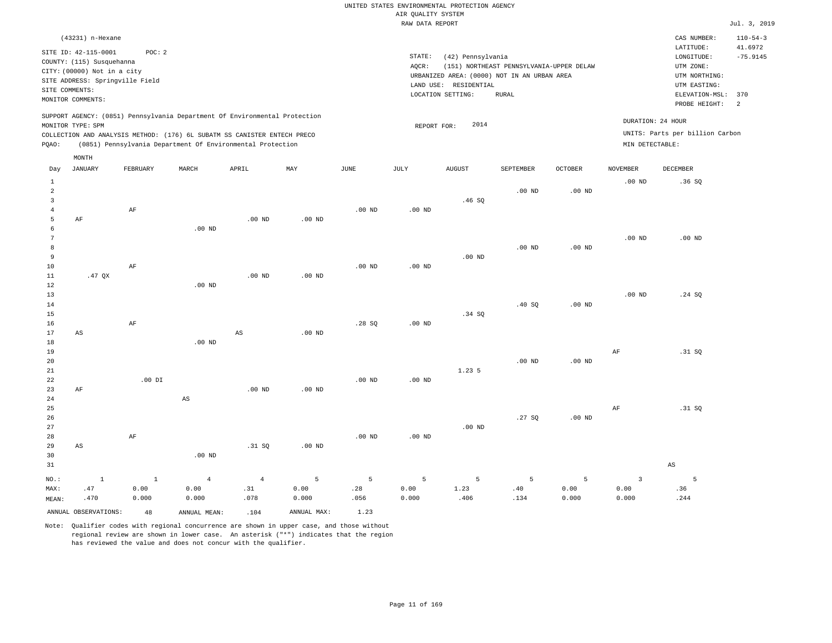| (43231) n-Hexane                                                                                                                                                                                                                                            |                                                                                                                                                                                        | CAS NUMBER:                                                                                                  | $110 - 54 - 3$                                      |
|-------------------------------------------------------------------------------------------------------------------------------------------------------------------------------------------------------------------------------------------------------------|----------------------------------------------------------------------------------------------------------------------------------------------------------------------------------------|--------------------------------------------------------------------------------------------------------------|-----------------------------------------------------|
| SITE ID: 42-115-0001<br>POC:2<br>COUNTY: (115) Susquehanna<br>CITY: (00000) Not in a city<br>SITE ADDRESS: Springville Field<br>SITE COMMENTS:<br>MONITOR COMMENTS:                                                                                         | STATE:<br>(42) Pennsylvania<br>AOCR:<br>(151) NORTHEAST PENNSYLVANIA-UPPER DELAW<br>URBANIZED AREA: (0000) NOT IN AN URBAN AREA<br>LAND USE: RESIDENTIAL<br>LOCATION SETTING:<br>RURAL | LATITUDE:<br>LONGITUDE:<br>UTM ZONE:<br>UTM NORTHING:<br>UTM EASTING:<br>ELEVATION-MSL: 370<br>PROBE HEIGHT: | 41.6972<br>$-75.9145$<br>$\overline{\phantom{0}}^2$ |
| SUPPORT AGENCY: (0851) Pennsylvania Department Of Environmental Protection<br>MONITOR TYPE: SPM<br>COLLECTION AND ANALYSIS METHOD: (176) 6L SUBATM SS CANISTER ENTECH PRECO<br>(0851) Pennsylvania Department Of Environmental Protection<br>POAO:<br>MONTH | 2014<br>REPORT FOR:                                                                                                                                                                    | DURATION: 24 HOUR<br>UNITS: Parts per billion Carbon<br>MIN DETECTABLE:                                      |                                                     |

| Day            | JANUARY                | FEBRUARY  | MARCH          | APRIL          | MAY            | JUNE           | JULY           | AUGUST      | SEPTEMBER      | OCTOBER  | NOVEMBER    | DECEMBER               |
|----------------|------------------------|-----------|----------------|----------------|----------------|----------------|----------------|-------------|----------------|----------|-------------|------------------------|
| $\mathbf{1}$   |                        |           |                |                |                |                |                |             |                |          | $.00$ ND    | .36SQ                  |
| $\sqrt{2}$     |                        |           |                |                |                |                |                |             | $.00$ ND       | .00 $ND$ |             |                        |
| 3              |                        |           |                |                |                |                |                | .46SQ       |                |          |             |                        |
| $\overline{4}$ |                        | $\rm{AF}$ |                |                |                | $.00$ ND       | .00 $ND$       |             |                |          |             |                        |
| 5              | $\rm{AF}$              |           |                | $.00$ ND       | $.00$ ND       |                |                |             |                |          |             |                        |
| 6              |                        |           | $.00$ ND       |                |                |                |                |             |                |          |             |                        |
| 7              |                        |           |                |                |                |                |                |             |                |          | $.00$ ND    | $.00$ ND               |
| 8              |                        |           |                |                |                |                |                |             | $.00$ ND       | $.00$ ND |             |                        |
| 9              |                        |           |                |                |                |                |                | $.00$ ND    |                |          |             |                        |
| $10$           |                        | $\rm AF$  |                |                |                | $.00$ ND       | .00 $ND$       |             |                |          |             |                        |
| $11\,$         | .47 $QX$               |           |                | $.00$ ND       | $.00$ ND       |                |                |             |                |          |             |                        |
| $1\,2$         |                        |           | $.00$ ND       |                |                |                |                |             |                |          |             |                        |
| 13             |                        |           |                |                |                |                |                |             |                |          | $.00$ ND    | .24 SQ                 |
| 14             |                        |           |                |                |                |                |                |             | .40 SQ         | $.00$ ND |             |                        |
| 15             |                        |           |                |                |                |                |                | .34 SQ      |                |          |             |                        |
| 16             |                        | $\rm{AF}$ |                |                |                | .28SQ          | .00 $ND$       |             |                |          |             |                        |
| 17             | $\mathbb{A}\mathbb{S}$ |           |                | $_{\rm AS}$    | $.00$ ND       |                |                |             |                |          |             |                        |
| 18             |                        |           | $.00$ ND       |                |                |                |                |             |                |          |             |                        |
| 19             |                        |           |                |                |                |                |                |             |                |          | $\rm AF$    | .31 SQ                 |
| 20             |                        |           |                |                |                |                |                |             | $.00$ ND       | .00 $ND$ |             |                        |
| $2\sqrt{1}$    |                        |           |                |                |                |                |                | 1.235       |                |          |             |                        |
| 22             |                        | .00 DI    |                |                |                | $.00$ ND       | $.00$ ND       |             |                |          |             |                        |
| 23             | $\rm{AF}$              |           |                | $.00$ ND       | $.00$ ND       |                |                |             |                |          |             |                        |
| 24             |                        |           | AS             |                |                |                |                |             |                |          |             |                        |
| 25             |                        |           |                |                |                |                |                |             |                |          | $\rm AF$    | .31 SQ                 |
| 26             |                        |           |                |                |                |                |                |             | .27SQ          | .00 $ND$ |             |                        |
| 27             |                        |           |                |                |                |                |                | .00 $ND$    |                |          |             |                        |
| 28             |                        | $\rm{AF}$ |                |                |                | .00 $ND$       | .00 $ND$       |             |                |          |             |                        |
| 29             | $\mathbb{A}\mathbb{S}$ |           |                | .31 SQ         | $.00$ ND       |                |                |             |                |          |             |                        |
| 30             |                        |           | $.00$ ND       |                |                |                |                |             |                |          |             |                        |
| 31             |                        |           |                |                |                |                |                |             |                |          |             | $\mathbb{A}\mathbb{S}$ |
| $NO.$ :        | $\,$ 1                 | $\,$ 1    | $\overline{4}$ | $\overline{4}$ | $\overline{5}$ | $\overline{5}$ | $\overline{5}$ | $\mathsf S$ | $\overline{5}$ | 5        | $\mathsf 3$ | 5                      |
| MAX:           | .47                    | 0.00      | 0.00           | .31            | 0.00           | .28            | 0.00           | 1.23        | $.40$          | 0.00     | 0.00        | .36                    |
| MEAN:          | .470                   | 0.000     | 0.000          | .078           | 0.000          | .056           | 0.000          | .406        | .134           | 0.000    | 0.000       | .244                   |
|                | ANNUAL OBSERVATIONS:   | 48        | ANNUAL MEAN:   | .104           | ANNUAL MAX:    | 1.23           |                |             |                |          |             |                        |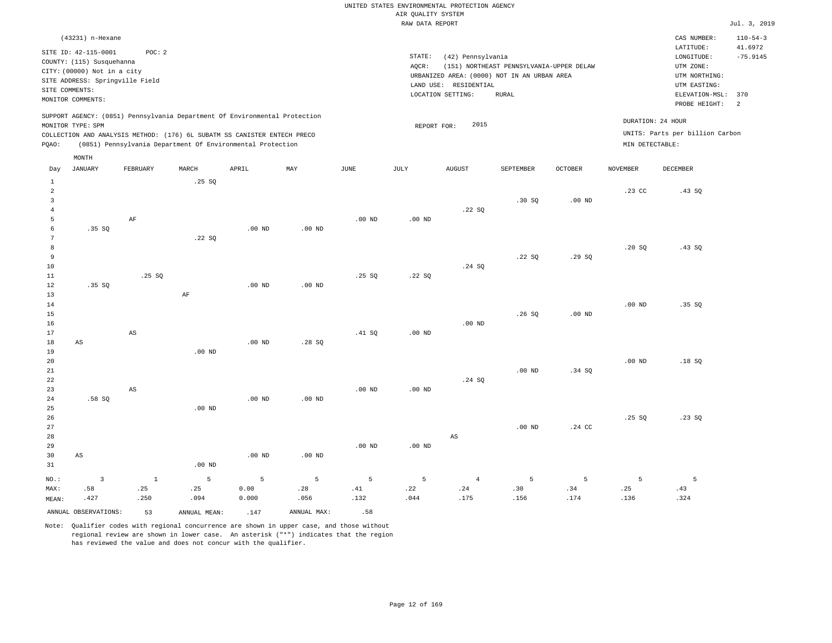|                | (43231) n-Hexane                                                                                                                                                            |          |       |                                                            |     |      |                 |                                                                                                                                                               |           |                                                                                                          |                                   | CAS NUMBER:                                          | $110 - 54 - 3$ |
|----------------|-----------------------------------------------------------------------------------------------------------------------------------------------------------------------------|----------|-------|------------------------------------------------------------|-----|------|-----------------|---------------------------------------------------------------------------------------------------------------------------------------------------------------|-----------|----------------------------------------------------------------------------------------------------------|-----------------------------------|------------------------------------------------------|----------------|
| SITE COMMENTS: | SITE ID: 42-115-0001<br>COUNTY: (115) Susquehanna<br>CITY: (00000) Not in a city<br>SITE ADDRESS: Springville Field<br>MONITOR COMMENTS:                                    | POC: 2   |       |                                                            |     |      | STATE:<br>AQCR: | (42) Pennsylvania<br>(151) NORTHEAST PENNSYLVANIA-UPPER DELAW<br>URBANIZED AREA: (0000) NOT IN AN URBAN AREA<br>RESIDENTIAL<br>LAND USE:<br>LOCATION SETTING: |           | LATITUDE:<br>LONGITUDE:<br>UTM ZONE:<br>UTM NORTHING:<br>UTM EASTING:<br>ELEVATION-MSL:<br>PROBE HEIGHT: | 41.6972<br>$-75.9145$<br>370<br>2 |                                                      |                |
| POAO:          | SUPPORT AGENCY: (0851) Pennsylvania Department Of Environmental Protection<br>MONITOR TYPE: SPM<br>COLLECTION AND ANALYSIS METHOD: (176) 6L SUBATM SS CANISTER ENTECH PRECO |          |       | (0851) Pennsylvania Department Of Environmental Protection |     |      |                 | 2015<br>REPORT FOR:                                                                                                                                           |           |                                                                                                          | MIN DETECTABLE:                   | DURATION: 24 HOUR<br>UNITS: Parts per billion Carbon |                |
|                | MONTH                                                                                                                                                                       |          |       |                                                            |     |      |                 |                                                                                                                                                               |           |                                                                                                          |                                   |                                                      |                |
| Day            | JANUARY                                                                                                                                                                     | FEBRUARY | MARCH | APRIL                                                      | MAY | JUNE | JULY            | <b>AUGUST</b>                                                                                                                                                 | SEPTEMBER | <b>OCTOBER</b>                                                                                           | NOVEMBER                          | DECEMBER                                             |                |
|                |                                                                                                                                                                             |          | .25SQ |                                                            |     |      |                 |                                                                                                                                                               |           |                                                                                                          |                                   |                                                      |                |
| 2              |                                                                                                                                                                             |          |       |                                                            |     |      |                 |                                                                                                                                                               |           |                                                                                                          | .23 <sub>c</sub>                  | .43 S0                                               |                |

|                | ANNUAL OBSERVATIONS:           | 53                     | ANNUAL MEAN:           | .147          | ANNUAL MAX:       | .58      |          |             |                |             |                  |                                 |
|----------------|--------------------------------|------------------------|------------------------|---------------|-------------------|----------|----------|-------------|----------------|-------------|------------------|---------------------------------|
| MAX:<br>MEAN:  | .427                           | .250                   | .094                   | 0.00<br>0.000 | .056              | .132     | .044     | .24<br>.175 | .30<br>.156    | .34<br>.174 | .25<br>.136      | .43<br>.324                     |
| $_{\rm NO.}$ : | $\overline{\mathbf{3}}$<br>.58 | $\,$ 1<br>.25          | $5\phantom{.0}$<br>.25 | 5             | 5<br>.28          | 5<br>.41 | 5<br>.22 | $\sqrt{4}$  | $\overline{5}$ | 5           | 5                | 5                               |
|                |                                |                        |                        |               |                   |          |          |             |                |             |                  |                                 |
| 31             |                                |                        | $.00$ ND               |               |                   |          |          |             |                |             |                  |                                 |
| 30             | $\mathbb{A}\mathbb{S}$         |                        |                        | $.00$ ND      | $.00$ ND          |          |          |             |                |             |                  |                                 |
| 29             |                                |                        |                        |               |                   | $.00$ ND | $.00$ ND |             |                |             |                  |                                 |
| 28             |                                |                        |                        |               |                   |          |          | AS          |                |             |                  |                                 |
| 27             |                                |                        |                        |               |                   |          |          |             | $.00$ ND       | .24 CC      |                  | .23SQ                           |
| 25<br>26       |                                |                        | $.00$ ND               |               |                   |          |          |             |                |             | .25 SQ           |                                 |
| 24             | .58SQ                          |                        |                        | $.00$ ND      | .00 <sub>ND</sub> |          |          |             |                |             |                  |                                 |
| 23             |                                | $\mathbb{A}\mathbb{S}$ |                        |               |                   | $.00$ ND | $.00$ ND |             |                |             |                  |                                 |
| 22             |                                |                        |                        |               |                   |          |          | .24 SQ      |                |             |                  |                                 |
| 21             |                                |                        |                        |               |                   |          |          |             | $.00$ ND       | .34 SQ      |                  |                                 |
| 20             |                                |                        |                        |               |                   |          |          |             |                |             | $.00$ ND         | .18SQ                           |
| 19             |                                |                        | $.00$ ND               |               |                   |          |          |             |                |             |                  |                                 |
| 18             | $\mathbb{A}\mathbb{S}$         |                        |                        | $.00$ ND      | .28SQ             |          |          |             |                |             |                  |                                 |
| 17             |                                | $\mathbb{A}\mathbb{S}$ |                        |               |                   | .41 SQ   | $.00$ ND |             |                |             |                  |                                 |
| 16             |                                |                        |                        |               |                   |          |          | $.00$ ND    |                |             |                  |                                 |
| 15             |                                |                        |                        |               |                   |          |          |             | .26SQ          | $.00$ ND    |                  |                                 |
| 14             |                                |                        |                        |               |                   |          |          |             |                |             | $.00$ ND         | .35 SQ                          |
| 13             |                                |                        | $\rm AF$               |               |                   |          |          |             |                |             |                  |                                 |
| 12             | .35SQ                          |                        |                        | $.00$ ND      | $.00$ ND          |          |          |             |                |             |                  |                                 |
| 11             |                                | .25 SQ                 |                        |               |                   | .25S     | .22SQ    |             |                |             |                  |                                 |
| 10             |                                |                        |                        |               |                   |          |          | .24 SQ      |                |             |                  |                                 |
| 9              |                                |                        |                        |               |                   |          |          |             | .22 SQ         | .29SQ       |                  |                                 |
| 8              |                                |                        |                        |               |                   |          |          |             |                |             | .20SQ            | .43SQ                           |
| 7              |                                |                        | .22SQ                  |               |                   |          |          |             |                |             |                  |                                 |
| 6              | .35SQ                          |                        |                        | $.00$ ND      | $.00$ ND          |          |          |             |                |             |                  |                                 |
| 5              |                                | $\rm AF$               |                        |               |                   | $.00$ ND | $.00$ ND |             |                |             |                  |                                 |
| $\sqrt{4}$     |                                |                        |                        |               |                   |          |          | .22SQ       |                |             |                  |                                 |
| 3              |                                |                        |                        |               |                   |          |          |             | .30 SQ         | $.00$ ND    | .23 <sub>0</sub> | $\cdot$ $\cdot$ $\cdot$ $\cdot$ |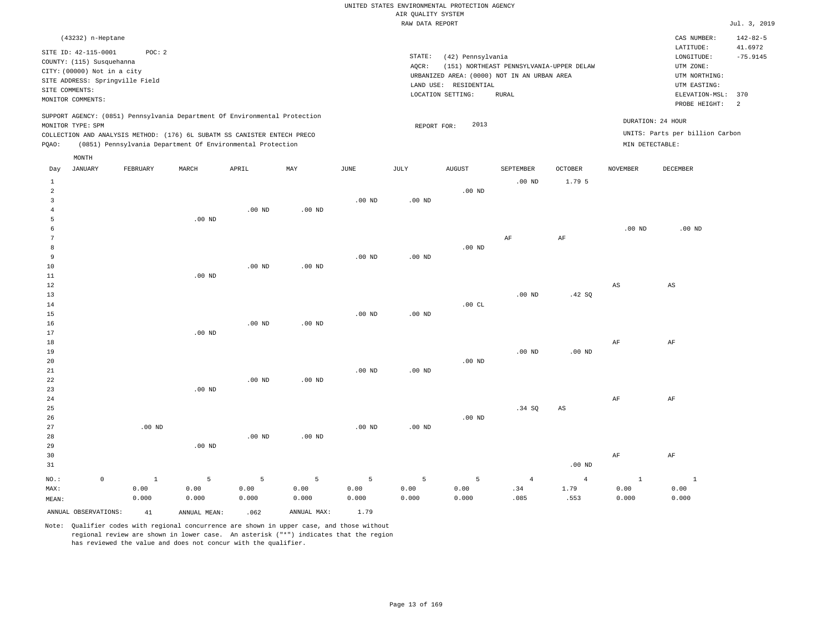#### RAW DATA REPORT **FOULD ASSESSED ASSESSED ASSESSED.** The set of the set of the set of the set of the set of the set of the set of the set of the set of the set of the set of the set of the set of the set of the set of the s UNITED STATES ENVIRONMENTAL PROTECTION AGENCY AIR QUALITY SYSTEM

| (43232) n-Heptane                                                                                                                                          |                                                                                                                                                                                                                      |                                      |                                                                                                                                                |                                      | CAS NUMBER:                                                                                                  | $142 - 82 - 5$                                      |
|------------------------------------------------------------------------------------------------------------------------------------------------------------|----------------------------------------------------------------------------------------------------------------------------------------------------------------------------------------------------------------------|--------------------------------------|------------------------------------------------------------------------------------------------------------------------------------------------|--------------------------------------|--------------------------------------------------------------------------------------------------------------|-----------------------------------------------------|
| SITE ID: 42-115-0001<br>COUNTY: (115) Susquehanna<br>CITY: (00000) Not in a city<br>SITE ADDRESS: Springville Field<br>SITE COMMENTS:<br>MONITOR COMMENTS: | POC:2                                                                                                                                                                                                                | STATE:<br>AOCR:<br>LOCATION SETTING: | (42) Pennsylvania<br>(151) NORTHEAST PENNSYLVANIA-UPPER DELAW<br>URBANIZED AREA: (0000) NOT IN AN URBAN AREA<br>LAND USE: RESIDENTIAL<br>RURAL |                                      | LATITUDE:<br>LONGITUDE:<br>UTM ZONE:<br>UTM NORTHING:<br>UTM EASTING:<br>ELEVATION-MSL: 370<br>PROBE HEIGHT: | 41.6972<br>$-75.9145$<br>$\overline{\phantom{0}}^2$ |
| MONITOR TYPE: SPM<br>POAO:<br>MONTH                                                                                                                        | SUPPORT AGENCY: (0851) Pennsylvania Department Of Environmental Protection<br>COLLECTION AND ANALYSIS METHOD: (176) 6L SUBATM SS CANISTER ENTECH PRECO<br>(0851) Pennsylvania Department Of Environmental Protection | REPORT FOR:                          | 2013                                                                                                                                           | DURATION: 24 HOUR<br>MIN DETECTABLE: | UNITS: Parts per billion Carbon                                                                              |                                                     |

| JANUARY<br>Day         | FEBRUARY | MARCH        | APRIL    | MAY            | JUNE              | JULY     | AUGUST   | SEPTEMBER      | OCTOBER                | NOVEMBER                 | DECEMBER               |
|------------------------|----------|--------------|----------|----------------|-------------------|----------|----------|----------------|------------------------|--------------------------|------------------------|
| $\mathbf{1}$           |          |              |          |                |                   |          |          | $.00$ ND       | 1.79 5                 |                          |                        |
| $\overline{a}$         |          |              |          |                |                   |          | $.00$ ND |                |                        |                          |                        |
| 3                      |          |              |          |                | $.00$ ND          | $.00$ ND |          |                |                        |                          |                        |
| $\overline{4}$         |          |              | $.00$ ND | $.00$ ND       |                   |          |          |                |                        |                          |                        |
| 5                      |          | $.00$ ND     |          |                |                   |          |          |                |                        |                          |                        |
| 6                      |          |              |          |                |                   |          |          |                |                        | $.00$ ND                 | $.00$ ND               |
| 7                      |          |              |          |                |                   |          |          | $\rm{AF}$      | $\rm{AF}$              |                          |                        |
| 8                      |          |              |          |                |                   |          | $.00$ ND |                |                        |                          |                        |
| 9                      |          |              |          |                | $.00$ ND          | $.00$ ND |          |                |                        |                          |                        |
| 10                     |          |              | $.00$ ND | $.00$ ND       |                   |          |          |                |                        |                          |                        |
| 11                     |          | $.00$ ND     |          |                |                   |          |          |                |                        |                          |                        |
| 12                     |          |              |          |                |                   |          |          |                |                        | $\mathbb{A}\mathbb{S}$   | $\mathbb{A}\mathbb{S}$ |
| 13                     |          |              |          |                |                   |          |          | $.00$ ND       | .42 SQ                 |                          |                        |
| 14                     |          |              |          |                |                   |          | .00CL    |                |                        |                          |                        |
| 15                     |          |              |          |                | .00 <sub>ND</sub> | $.00$ ND |          |                |                        |                          |                        |
| 16                     |          |              | $.00$ ND | $.00$ ND       |                   |          |          |                |                        |                          |                        |
| 17                     |          | $.00$ ND     |          |                |                   |          |          |                |                        |                          |                        |
| 18                     |          |              |          |                |                   |          |          |                |                        | AF                       | AF                     |
| 19                     |          |              |          |                |                   |          |          | $.00$ ND       | $.00~\mathrm{ND}$      |                          |                        |
| 20                     |          |              |          |                |                   |          | $.00$ ND |                |                        |                          |                        |
| $2\sqrt{1}$            |          |              |          |                | $.00$ ND          | $.00$ ND |          |                |                        |                          |                        |
| $2\sqrt{2}$            |          |              | $.00$ ND | $.00$ ND       |                   |          |          |                |                        |                          |                        |
| 23                     |          | $.00$ ND     |          |                |                   |          |          |                |                        |                          |                        |
| $2\,4$                 |          |              |          |                |                   |          |          |                |                        | $\rm{AF}$                | $\rm{AF}$              |
| 25                     |          |              |          |                |                   |          |          | .34 SQ         | $\mathbb{A}\mathbb{S}$ |                          |                        |
| 26                     |          |              |          |                |                   |          | $.00$ ND |                |                        |                          |                        |
| 27                     | $.00$ ND |              |          |                | $.00$ ND          | $.00$ ND |          |                |                        |                          |                        |
| 28                     |          |              | $.00$ ND | $.00$ ND       |                   |          |          |                |                        |                          |                        |
| 29                     |          | $.00$ ND     |          |                |                   |          |          |                |                        |                          |                        |
| 30                     |          |              |          |                |                   |          |          |                |                        | $\rm{AF}$                | $\rm{AF}$              |
| 31                     |          |              |          |                |                   |          |          |                | $.00$ ND               |                          |                        |
| $\mathsf 0$<br>$NO.$ : | $\,$ 1   | 5            | $\,$ 5   | $\overline{5}$ | 5                 | 5        | 5        | $\overline{4}$ | $\overline{4}$         | $\overline{\phantom{a}}$ | $\mathbf{1}$           |
| MAX:                   | 0.00     | 0.00         | 0.00     | 0.00           | 0.00              | 0.00     | 0.00     | .34            | 1.79                   | 0.00                     | 0.00                   |
| MEAN:                  | 0.000    | 0.000        | 0.000    | 0.000          | 0.000             | 0.000    | 0.000    | .085           | .553                   | 0.000                    | 0.000                  |
| ANNUAL OBSERVATIONS:   | 41       | ANNUAL MEAN: | .062     | ANNUAL MAX:    | 1.79              |          |          |                |                        |                          |                        |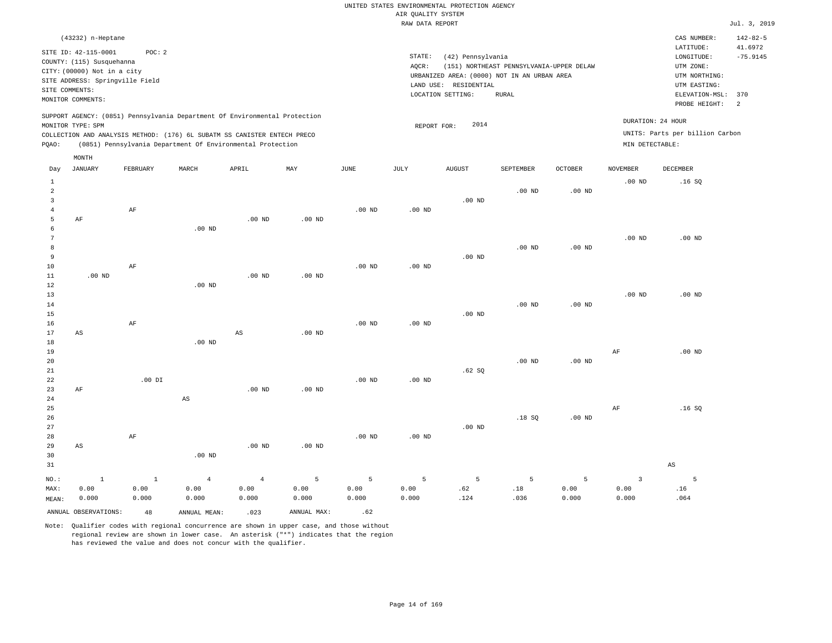|                | (43232) n-Heptane                                                                                                   |          |       |                                                                                                                                                                                                                      |     |      |                 |                                                                    |                                                                                                  |         |                                      | CAS NUMBER:                                                                             | $142 - 82 - 5$               |
|----------------|---------------------------------------------------------------------------------------------------------------------|----------|-------|----------------------------------------------------------------------------------------------------------------------------------------------------------------------------------------------------------------------|-----|------|-----------------|--------------------------------------------------------------------|--------------------------------------------------------------------------------------------------|---------|--------------------------------------|-----------------------------------------------------------------------------------------|------------------------------|
| SITE COMMENTS: | SITE ID: 42-115-0001<br>COUNTY: (115) Susquehanna<br>CITY: (00000) Not in a city<br>SITE ADDRESS: Springville Field | POC:2    |       |                                                                                                                                                                                                                      |     |      | STATE:<br>AOCR: | (42) Pennsylvania<br>RESIDENTIAL<br>LAND USE:<br>LOCATION SETTING: | (151) NORTHEAST PENNSYLVANIA-UPPER DELAW<br>URBANIZED AREA: (0000) NOT IN AN URBAN AREA<br>RURAL |         |                                      | LATITUDE:<br>LONGITUDE:<br>UTM ZONE:<br>UTM NORTHING:<br>UTM EASTING:<br>ELEVATION-MSL: | 41.6972<br>$-75.9145$<br>370 |
|                | MONITOR COMMENTS:                                                                                                   |          |       |                                                                                                                                                                                                                      |     |      |                 |                                                                    |                                                                                                  |         |                                      | PROBE HEIGHT:                                                                           | - 2                          |
| POAO:          | MONITOR TYPE: SPM                                                                                                   |          |       | SUPPORT AGENCY: (0851) Pennsylvania Department Of Environmental Protection<br>COLLECTION AND ANALYSIS METHOD: (176) 6L SUBATM SS CANISTER ENTECH PRECO<br>(0851) Pennsylvania Department Of Environmental Protection |     |      |                 | 2014<br>REPORT FOR:                                                |                                                                                                  |         | DURATION: 24 HOUR<br>MIN DETECTABLE: | UNITS: Parts per billion Carbon                                                         |                              |
|                | MONTH                                                                                                               |          |       |                                                                                                                                                                                                                      |     |      |                 |                                                                    |                                                                                                  |         |                                      |                                                                                         |                              |
| Day            | JANUARY                                                                                                             | FEBRUARY | MARCH | APRIL                                                                                                                                                                                                                | MAY | JUNE | JULY            | AUGUST                                                             | SEPTEMBER                                                                                        | OCTOBER | <b>NOVEMBER</b>                      | DECEMBER                                                                                |                              |

| 1                       |                      |              |                        |                        |                   |          |          |          |                   |          | $.00$ ND       | .16SQ                  |
|-------------------------|----------------------|--------------|------------------------|------------------------|-------------------|----------|----------|----------|-------------------|----------|----------------|------------------------|
| $\overline{\mathbf{c}}$ |                      |              |                        |                        |                   |          |          |          | $.00$ ND          | $.00$ ND |                |                        |
| $\overline{3}$          |                      |              |                        |                        |                   |          |          | .00 $ND$ |                   |          |                |                        |
| 4                       |                      | $\rm AF$     |                        |                        |                   | $.00$ ND | .00 $ND$ |          |                   |          |                |                        |
| 5                       | $\rm AF$             |              |                        | .00 <sub>ND</sub>      | $.00$ ND          |          |          |          |                   |          |                |                        |
| 6                       |                      |              | .00 $ND$               |                        |                   |          |          |          |                   |          |                |                        |
| 7                       |                      |              |                        |                        |                   |          |          |          |                   |          | $.00$ ND       | $.00$ ND               |
| 8                       |                      |              |                        |                        |                   |          |          |          | .00 <sub>ND</sub> | $.00$ ND |                |                        |
| 9                       |                      |              |                        |                        |                   |          |          | .00 $ND$ |                   |          |                |                        |
| 10                      |                      | $\rm AF$     |                        |                        |                   | $.00$ ND | $.00$ ND |          |                   |          |                |                        |
| 11                      | .00 $ND$             |              |                        | $.00$ ND               | $.00$ ND          |          |          |          |                   |          |                |                        |
| 12                      |                      |              | $.00$ ND               |                        |                   |          |          |          |                   |          |                |                        |
| 13                      |                      |              |                        |                        |                   |          |          |          |                   |          | $.00$ ND       | $.00$ ND               |
| 14                      |                      |              |                        |                        |                   |          |          |          | .00 <sub>ND</sub> | $.00$ ND |                |                        |
| 15                      |                      |              |                        |                        |                   |          |          | .00 $ND$ |                   |          |                |                        |
| 16                      |                      | $\rm AF$     |                        |                        |                   | $.00$ ND | $.00$ ND |          |                   |          |                |                        |
| 17                      | AS                   |              |                        | $\mathbb{A}\mathbb{S}$ | .00 <sub>ND</sub> |          |          |          |                   |          |                |                        |
| 18                      |                      |              | .00 $ND$               |                        |                   |          |          |          |                   |          |                |                        |
| 19                      |                      |              |                        |                        |                   |          |          |          |                   |          | $\rm{AF}$      | $.00$ ND               |
| 20                      |                      |              |                        |                        |                   |          |          |          | .00 <sub>ND</sub> | $.00$ ND |                |                        |
| 21                      |                      |              |                        |                        |                   |          |          | .62SQ    |                   |          |                |                        |
| $2\sqrt{2}$             |                      | .00 DI       |                        |                        |                   | $.00$ ND | $.00$ ND |          |                   |          |                |                        |
| 23                      | $\rm AF$             |              |                        | $.00$ ND               | .00 $ND$          |          |          |          |                   |          |                |                        |
| $2\sqrt{4}$             |                      |              | $\mathbb{A}\mathbb{S}$ |                        |                   |          |          |          |                   |          |                |                        |
| 25                      |                      |              |                        |                        |                   |          |          |          |                   |          | $\rm{AF}$      | .16SQ                  |
| 26                      |                      |              |                        |                        |                   |          |          |          | .18SQ             | $.00$ ND |                |                        |
| 27                      |                      |              |                        |                        |                   |          |          | $.00$ ND |                   |          |                |                        |
| 28                      |                      | $\rm AF$     |                        |                        |                   | $.00$ ND | $.00$ ND |          |                   |          |                |                        |
| 29                      | AS                   |              |                        | $.00$ ND               | .00 $ND$          |          |          |          |                   |          |                |                        |
| 30                      |                      |              | .00 $ND$               |                        |                   |          |          |          |                   |          |                |                        |
| 31                      |                      |              |                        |                        |                   |          |          |          |                   |          |                | $\mathbb{A}\mathbb{S}$ |
| $NO.$ :                 | $\,$ 1               | $\mathbf{1}$ | $\overline{4}$         | $\overline{4}$         | $\overline{5}$    | 5        | 5        | 5        | 5                 | 5        | $\overline{3}$ | 5                      |
| MAX:                    | 0.00                 | 0.00         | 0.00                   | 0.00                   | 0.00              | 0.00     | 0.00     | .62      | $.18\,$           | 0.00     | 0.00           | .16                    |
| MEAN:                   | 0.000                | 0.000        | 0.000                  | 0.000                  | 0.000             | 0.000    | 0.000    | .124     | .036              | 0.000    | 0.000          | .064                   |
|                         | ANNUAL OBSERVATIONS: | 48           | ANNUAL MEAN:           | .023                   | ANNUAL MAX:       | .62      |          |          |                   |          |                |                        |

Note: Qualifier codes with regional concurrence are shown in upper case, and those without

regional review are shown in lower case. An asterisk ("\*") indicates that the region

has reviewed the value and does not concur with the qualifier.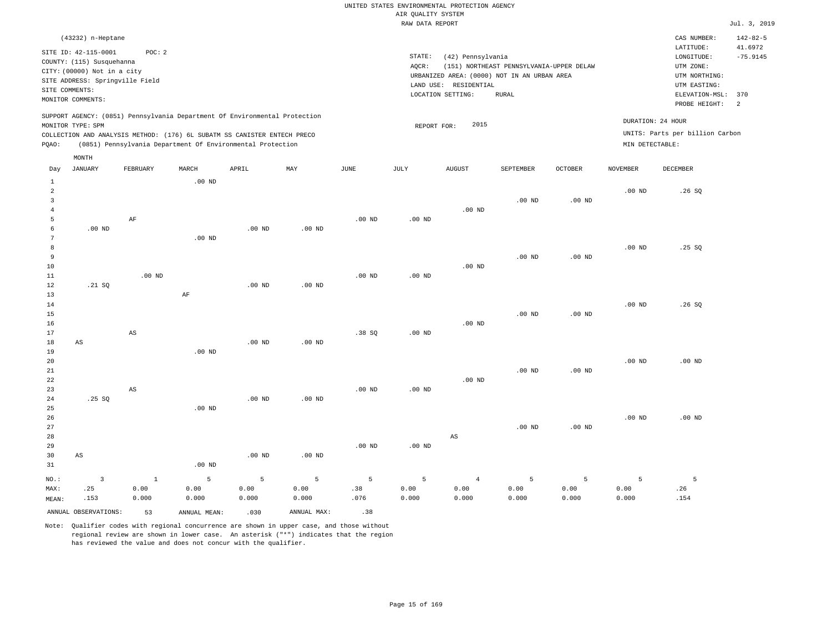| (43232) n-Heptane                                                                                                                                                                                                                                           |                                                                                                                                                                                        | CAS NUMBER:                                                                                                  | $142 - 82 - 5$        |
|-------------------------------------------------------------------------------------------------------------------------------------------------------------------------------------------------------------------------------------------------------------|----------------------------------------------------------------------------------------------------------------------------------------------------------------------------------------|--------------------------------------------------------------------------------------------------------------|-----------------------|
| SITE ID: 42-115-0001<br>POC:2<br>COUNTY: (115) Susquehanna<br>CITY: (00000) Not in a city<br>SITE ADDRESS: Springville Field<br>SITE COMMENTS:<br>MONITOR COMMENTS:                                                                                         | STATE:<br>(42) Pennsylvania<br>(151) NORTHEAST PENNSYLVANIA-UPPER DELAW<br>AOCR:<br>URBANIZED AREA: (0000) NOT IN AN URBAN AREA<br>LAND USE: RESIDENTIAL<br>LOCATION SETTING:<br>RURAL | LATITUDE:<br>LONGITUDE:<br>UTM ZONE:<br>UTM NORTHING:<br>UTM EASTING:<br>ELEVATION-MSL: 370<br>PROBE HEIGHT: | 41.6972<br>$-75.9145$ |
| SUPPORT AGENCY: (0851) Pennsylvania Department Of Environmental Protection<br>MONITOR TYPE: SPM<br>COLLECTION AND ANALYSIS METHOD: (176) 6L SUBATM SS CANISTER ENTECH PRECO<br>(0851) Pennsylvania Department Of Environmental Protection<br>POAO:<br>MONTH | 2015<br>REPORT FOR:                                                                                                                                                                    | DURATION: 24 HOUR<br>UNITS: Parts per billion Carbon<br>MIN DETECTABLE:                                      |                       |

| Day                                 | <b>JANUARY</b>          | FEBRUARY               | MARCH          | APRIL          | MAY         | $\mathtt{JUNE}$ | JULY     | <b>AUGUST</b>  | SEPTEMBER         | OCTOBER           | <b>NOVEMBER</b> | DECEMBER |
|-------------------------------------|-------------------------|------------------------|----------------|----------------|-------------|-----------------|----------|----------------|-------------------|-------------------|-----------------|----------|
| $\mathbf{1}$<br>$\overline{a}$<br>3 |                         |                        | $.00$ ND       |                |             |                 |          |                | $.00$ ND          | $.00$ ND          | $.00$ ND        | .26SQ    |
| $\overline{4}$<br>5                 |                         | $\rm AF$               |                |                |             | $.00$ ND        | $.00$ ND | $.00$ ND       |                   |                   |                 |          |
| 6                                   | $.00~\mathrm{ND}$       |                        |                | $.00$ ND       | $.00$ ND    |                 |          |                |                   |                   |                 |          |
| 7                                   |                         |                        | $.00$ ND       |                |             |                 |          |                |                   |                   |                 |          |
| 8                                   |                         |                        |                |                |             |                 |          |                |                   |                   | $.00$ ND        | .25SQ    |
| 9                                   |                         |                        |                |                |             |                 |          |                | .00 <sub>ND</sub> | .00 <sub>ND</sub> |                 |          |
| 10                                  |                         |                        |                |                |             |                 |          | $.00$ ND       |                   |                   |                 |          |
| 11                                  |                         | $.00$ ND               |                |                |             | $.00$ ND        | $.00$ ND |                |                   |                   |                 |          |
| 12                                  | .21 SQ                  |                        |                | $.00$ ND       | $.00$ ND    |                 |          |                |                   |                   |                 |          |
| 13                                  |                         |                        | $\rm AF$       |                |             |                 |          |                |                   |                   |                 |          |
| $14\,$                              |                         |                        |                |                |             |                 |          |                |                   |                   | $.00$ ND        | .26SQ    |
| 15                                  |                         |                        |                |                |             |                 |          |                | .00 <sub>ND</sub> | $.00$ ND          |                 |          |
| 16                                  |                         |                        |                |                |             |                 |          | $.00$ ND       |                   |                   |                 |          |
| 17                                  |                         | $\mathbb{A}\mathbb{S}$ |                |                |             | .38SQ           | $.00$ ND |                |                   |                   |                 |          |
| 18                                  | $\mathbb{A}\mathbb{S}$  |                        |                | $.00$ ND       | $.00$ ND    |                 |          |                |                   |                   |                 |          |
| 19                                  |                         |                        | $.00$ ND       |                |             |                 |          |                |                   |                   |                 |          |
| 20                                  |                         |                        |                |                |             |                 |          |                |                   |                   | $.00$ ND        | $.00$ ND |
| 21                                  |                         |                        |                |                |             |                 |          |                | .00 <sub>ND</sub> | .00 <sub>ND</sub> |                 |          |
| 22                                  |                         |                        |                |                |             |                 |          | $.00$ ND       |                   |                   |                 |          |
| 23                                  |                         | AS                     |                |                |             | $.00$ ND        | $.00$ ND |                |                   |                   |                 |          |
| 24<br>25                            | .25SQ                   |                        | $.00$ ND       | $.00$ ND       | $.00$ ND    |                 |          |                |                   |                   |                 |          |
| 26                                  |                         |                        |                |                |             |                 |          |                |                   |                   | $.00$ ND        | $.00$ ND |
| 27                                  |                         |                        |                |                |             |                 |          |                | .00 <sub>ND</sub> | $.00$ ND          |                 |          |
| 28                                  |                         |                        |                |                |             |                 |          | AS             |                   |                   |                 |          |
| 29                                  |                         |                        |                |                |             | $.00$ ND        | $.00$ ND |                |                   |                   |                 |          |
| 30                                  | $\mathbb{A}\mathbb{S}$  |                        |                | $.00$ ND       | $.00$ ND    |                 |          |                |                   |                   |                 |          |
| 31                                  |                         |                        | $.00$ ND       |                |             |                 |          |                |                   |                   |                 |          |
| $_{\rm NO.}$ :                      | $\overline{\mathbf{3}}$ | $\mathbf{1}$           | $\overline{5}$ | $\overline{5}$ | $\mathsf S$ | $\mathsf S$     | 5        | $\overline{4}$ | $\sqrt{5}$        | 5                 | 5               | 5        |
| MAX:                                | .25                     | 0.00                   | 0.00           | 0.00           | 0.00        | .38             | 0.00     | 0.00           | 0.00              | 0.00              | 0.00            | .26      |
| MEAN:                               | .153                    | 0.000                  | 0.000          | 0.000          | 0.000       | .076            | 0.000    | 0.000          | 0.000             | 0.000             | 0.000           | .154     |
|                                     | ANNUAL OBSERVATIONS:    | 53                     | ANNUAL MEAN:   | .030           | ANNUAL MAX: | .38             |          |                |                   |                   |                 |          |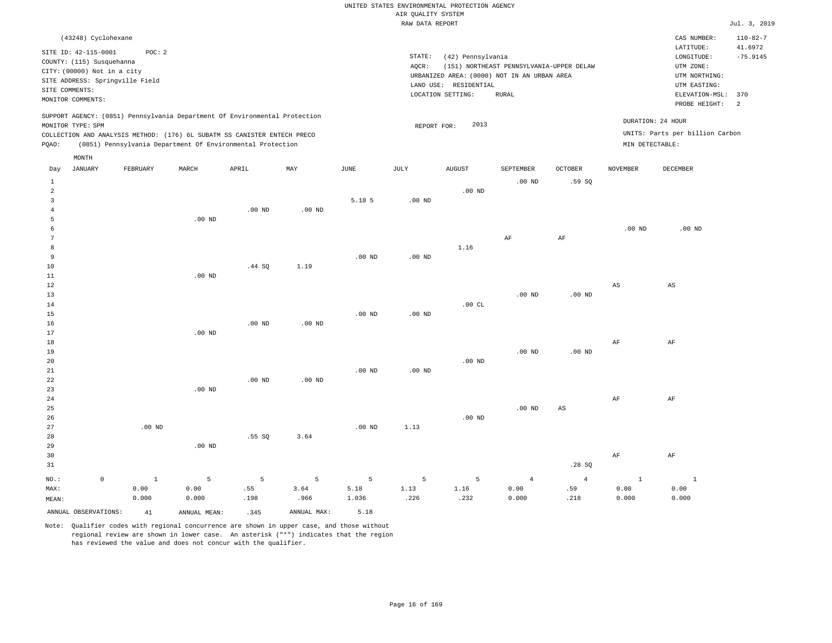|  |                    | UNITED STATES ENVIRONMENTAL PROTECTION AGENCY |  |
|--|--------------------|-----------------------------------------------|--|
|  | AIR OUALITY SYSTEM |                                               |  |

|                 |                                 |              |                                                                            |          |             |                 | RAW DATA REPORT   |                       |                                             |                   |                 |                                 | Jul. 3, 2019   |
|-----------------|---------------------------------|--------------|----------------------------------------------------------------------------|----------|-------------|-----------------|-------------------|-----------------------|---------------------------------------------|-------------------|-----------------|---------------------------------|----------------|
|                 | (43248) Cyclohexane             |              |                                                                            |          |             |                 |                   |                       |                                             |                   |                 | CAS NUMBER:                     | $110 - 82 - 7$ |
|                 |                                 |              |                                                                            |          |             |                 |                   |                       |                                             |                   |                 | LATITUDE:                       | 41.6972        |
|                 | SITE ID: 42-115-0001            | POC: 2       |                                                                            |          |             |                 | STATE:            | (42) Pennsylvania     |                                             |                   |                 | LONGITUDE:                      | $-75.9145$     |
|                 | COUNTY: (115) Susquehanna       |              |                                                                            |          |             |                 | AQCR:             |                       | (151) NORTHEAST PENNSYLVANIA-UPPER DELAW    |                   |                 | UTM ZONE:                       |                |
|                 | CITY: (00000) Not in a city     |              |                                                                            |          |             |                 |                   |                       | URBANIZED AREA: (0000) NOT IN AN URBAN AREA |                   |                 | UTM NORTHING:                   |                |
|                 | SITE ADDRESS: Springville Field |              |                                                                            |          |             |                 |                   | LAND USE: RESIDENTIAL |                                             |                   |                 | UTM EASTING:                    |                |
|                 | SITE COMMENTS:                  |              |                                                                            |          |             |                 |                   | LOCATION SETTING:     | <b>RURAL</b>                                |                   |                 | ELEVATION-MSL:                  | 370            |
|                 | MONITOR COMMENTS:               |              |                                                                            |          |             |                 |                   |                       |                                             |                   |                 | PROBE HEIGHT:                   | <sup>2</sup>   |
|                 |                                 |              | SUPPORT AGENCY: (0851) Pennsylvania Department Of Environmental Protection |          |             |                 |                   |                       |                                             |                   |                 | DURATION: 24 HOUR               |                |
|                 | MONITOR TYPE: SPM               |              |                                                                            |          |             |                 | REPORT FOR:       | 2013                  |                                             |                   |                 |                                 |                |
|                 |                                 |              | COLLECTION AND ANALYSIS METHOD: (176) 6L SUBATM SS CANISTER ENTECH PRECO   |          |             |                 |                   |                       |                                             |                   |                 | UNITS: Parts per billion Carbon |                |
| PQAO:           |                                 |              | (0851) Pennsylvania Department Of Environmental Protection                 |          |             |                 |                   |                       |                                             |                   | MIN DETECTABLE: |                                 |                |
|                 | MONTH                           |              |                                                                            |          |             |                 |                   |                       |                                             |                   |                 |                                 |                |
| Day             | <b>JANUARY</b>                  | FEBRUARY     | MARCH                                                                      | APRIL    | MAY         | $\mathtt{JUNE}$ | JULY              | <b>AUGUST</b>         | SEPTEMBER                                   | OCTOBER           | <b>NOVEMBER</b> | DECEMBER                        |                |
| 1               |                                 |              |                                                                            |          |             |                 |                   |                       | $.00$ ND                                    | .59SQ             |                 |                                 |                |
| $\overline{2}$  |                                 |              |                                                                            |          |             |                 |                   | .00 <sub>ND</sub>     |                                             |                   |                 |                                 |                |
| $\overline{3}$  |                                 |              |                                                                            |          |             | 5.18 5          | $.00$ ND          |                       |                                             |                   |                 |                                 |                |
| $\overline{4}$  |                                 |              |                                                                            | $.00$ ND | $.00$ ND    |                 |                   |                       |                                             |                   |                 |                                 |                |
| 5               |                                 |              | $.00$ ND                                                                   |          |             |                 |                   |                       |                                             |                   |                 |                                 |                |
| 6               |                                 |              |                                                                            |          |             |                 |                   |                       |                                             |                   | $.00$ ND        | $.00$ ND                        |                |
| $7\phantom{.0}$ |                                 |              |                                                                            |          |             |                 |                   |                       | $\rm AF$                                    | AF                |                 |                                 |                |
| 8               |                                 |              |                                                                            |          |             |                 |                   | 1.16                  |                                             |                   |                 |                                 |                |
| 9               |                                 |              |                                                                            |          |             | $.00$ ND        | .00 <sub>ND</sub> |                       |                                             |                   |                 |                                 |                |
| 10              |                                 |              |                                                                            | .44 SQ   | 1.19        |                 |                   |                       |                                             |                   |                 |                                 |                |
| 11              |                                 |              | $.00$ ND                                                                   |          |             |                 |                   |                       |                                             |                   |                 |                                 |                |
| 12              |                                 |              |                                                                            |          |             |                 |                   |                       |                                             |                   | AS              | AS                              |                |
| 13              |                                 |              |                                                                            |          |             |                 |                   |                       | $.00$ ND                                    | .00 <sub>ND</sub> |                 |                                 |                |
| 14              |                                 |              |                                                                            |          |             |                 |                   | .00CL                 |                                             |                   |                 |                                 |                |
| 15              |                                 |              |                                                                            |          |             | $.00$ ND        | $.00$ ND          |                       |                                             |                   |                 |                                 |                |
| 16              |                                 |              |                                                                            | $.00$ ND | $.00$ ND    |                 |                   |                       |                                             |                   |                 |                                 |                |
| 17              |                                 |              | .00 <sub>ND</sub>                                                          |          |             |                 |                   |                       |                                             |                   |                 |                                 |                |
| 18              |                                 |              |                                                                            |          |             |                 |                   |                       |                                             |                   | AF              | $\rm{AF}$                       |                |
| 19              |                                 |              |                                                                            |          |             |                 |                   |                       | $.00$ ND                                    | $.00$ ND          |                 |                                 |                |
| 20              |                                 |              |                                                                            |          |             |                 |                   | $.00$ ND              |                                             |                   |                 |                                 |                |
| 21<br>22        |                                 |              |                                                                            |          |             | $.00$ ND        | $.00$ ND          |                       |                                             |                   |                 |                                 |                |
|                 |                                 |              | .00 <sub>ND</sub>                                                          | $.00$ ND | $.00$ ND    |                 |                   |                       |                                             |                   |                 |                                 |                |
| 23              |                                 |              |                                                                            |          |             |                 |                   |                       |                                             |                   |                 |                                 |                |
| 24<br>25        |                                 |              |                                                                            |          |             |                 |                   |                       | .00 <sub>ND</sub>                           | $_{\rm AS}$       | AF              | AF                              |                |
|                 |                                 |              |                                                                            |          |             |                 |                   | $.00$ ND              |                                             |                   |                 |                                 |                |
| 26<br>27        |                                 | $.00$ ND     |                                                                            |          |             | $.00$ ND        | 1.13              |                       |                                             |                   |                 |                                 |                |
|                 |                                 |              |                                                                            |          |             |                 |                   |                       |                                             |                   |                 |                                 |                |
| 28<br>29        |                                 |              | $.00$ ND                                                                   | .55SQ    | 3.64        |                 |                   |                       |                                             |                   |                 |                                 |                |
|                 |                                 |              |                                                                            |          |             |                 |                   |                       |                                             |                   |                 |                                 |                |
| 30              |                                 |              |                                                                            |          |             |                 |                   |                       |                                             |                   | $\rm{AF}$       | AF                              |                |
| 31              |                                 |              |                                                                            |          |             |                 |                   |                       |                                             | .28SQ             |                 |                                 |                |
| $NO.$ :         | $\mathbb O$                     | $\mathbf{1}$ | 5                                                                          | 5        | 5           | 5               | 5                 | 5                     | $\overline{4}$                              | $\overline{4}$    | 1               | $\mathbf{1}$                    |                |
| MAX:            |                                 | 0.00         | 0.00                                                                       | .55      | 3.64        | 5.18            | 1.13              | 1.16                  | 0.00                                        | .59               | 0.00            | 0.00                            |                |
| MEAN:           |                                 | 0.000        | 0.000                                                                      | .198     | .966        | 1.036           | .226              | .232                  | 0.000                                       | .218              | 0.000           | 0.000                           |                |
|                 | ANNUAL OBSERVATIONS:            | 41           | ANNUAL MEAN:                                                               | .345     | ANNUAL MAX: | 5.18            |                   |                       |                                             |                   |                 |                                 |                |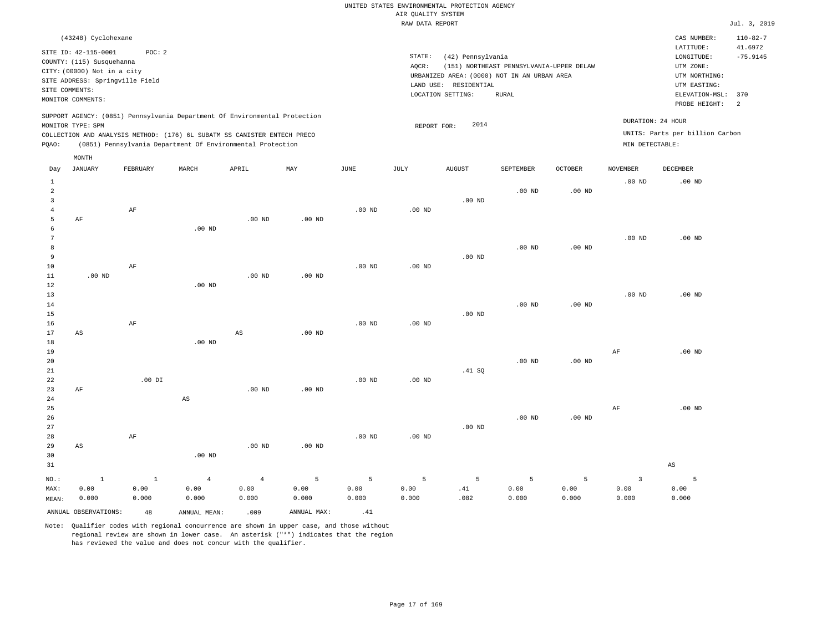|                | (43248) Cyclohexane                                                              |                                          |       |                                                                                                                                        |                                                                            |      |                 |                                                                                                                |                                                   |         |                                      | CAS NUMBER:                                                                                 | $110 - 82 - 7$        |
|----------------|----------------------------------------------------------------------------------|------------------------------------------|-------|----------------------------------------------------------------------------------------------------------------------------------------|----------------------------------------------------------------------------|------|-----------------|----------------------------------------------------------------------------------------------------------------|---------------------------------------------------|---------|--------------------------------------|---------------------------------------------------------------------------------------------|-----------------------|
| SITE COMMENTS: | SITE ID: 42-115-0001<br>COUNTY: (115) Susquehanna<br>CITY: (00000) Not in a city | POC:2<br>SITE ADDRESS: Springville Field |       |                                                                                                                                        |                                                                            |      | STATE:<br>AQCR: | (42) Pennsylvania<br>URBANIZED AREA: (0000) NOT IN AN URBAN AREA<br>LAND USE: RESIDENTIAL<br>LOCATION SETTING: | (151) NORTHEAST PENNSYLVANIA-UPPER DELAW<br>RURAL |         |                                      | LATITUDE:<br>LONGITUDE:<br>UTM ZONE:<br>UTM NORTHING:<br>UTM EASTING:<br>ELEVATION-MSL: 370 | 41.6972<br>$-75.9145$ |
|                | MONITOR COMMENTS:                                                                |                                          |       |                                                                                                                                        |                                                                            |      |                 |                                                                                                                |                                                   |         |                                      | PROBE HEIGHT:                                                                               | - 2                   |
| POAO:          | MONITOR TYPE: SPM                                                                |                                          |       | COLLECTION AND ANALYSIS METHOD: (176) 6L SUBATM SS CANISTER ENTECH PRECO<br>(0851) Pennsylvania Department Of Environmental Protection | SUPPORT AGENCY: (0851) Pennsylvania Department Of Environmental Protection |      |                 | 2014<br>REPORT FOR:                                                                                            |                                                   |         | DURATION: 24 HOUR<br>MIN DETECTABLE: | UNITS: Parts per billion Carbon                                                             |                       |
| Day            | MONTH<br>JANUARY                                                                 | FEBRUARY                                 | MARCH | APRIL                                                                                                                                  | MAY                                                                        | JUNE | JULY            | <b>AUGUST</b>                                                                                                  | SEPTEMBER                                         | OCTOBER | <b>NOVEMBER</b>                      | DECEMBER                                                                                    |                       |
|                |                                                                                  |                                          |       |                                                                                                                                        |                                                                            |      |                 |                                                                                                                |                                                   |         |                                      |                                                                                             |                       |

| vay             | O MIAO MILI            | L PRIZONIZI          | 17777/177              | ULTTT                  | 1747.4      | <b>O OTATA</b>    | 0011        | when t         | one runnen  | OCTOBET.  | <b>MOARMPER</b>                 | <b>DECEMBER</b>        |
|-----------------|------------------------|----------------------|------------------------|------------------------|-------------|-------------------|-------------|----------------|-------------|-----------|---------------------------------|------------------------|
| $\mathbf{1}$    |                        |                      |                        |                        |             |                   |             |                |             |           | $.00$ ND                        | $.00$ ND               |
| 2               |                        |                      |                        |                        |             |                   |             |                | $.00$ ND    | $.00$ ND  |                                 |                        |
| 3               |                        |                      |                        |                        |             |                   |             | $.00$ ND       |             |           |                                 |                        |
| 4               |                        | $\rm{AF}$            |                        |                        |             | $.00$ ND          | .00 $ND$    |                |             |           |                                 |                        |
| 5               | $\rm AF$               |                      |                        | .00 $ND$               | $.00$ ND    |                   |             |                |             |           |                                 |                        |
| 6               |                        |                      | $.00$ ND               |                        |             |                   |             |                |             |           |                                 |                        |
| 7               |                        |                      |                        |                        |             |                   |             |                |             |           | $.00$ ND                        | $.00$ ND               |
| 8               |                        |                      |                        |                        |             |                   |             |                | $.00$ ND    | $.00$ ND  |                                 |                        |
| 9               |                        |                      |                        |                        |             |                   |             | $.00$ ND       |             |           |                                 |                        |
| 10              |                        | $\rm{AF}$            |                        |                        |             | .00 <sub>ND</sub> | .00 $ND$    |                |             |           |                                 |                        |
| $11\,$          | $.00$ ND               |                      |                        | $.00$ ND               | $.00$ ND    |                   |             |                |             |           |                                 |                        |
| 12              |                        |                      | $.00$ ND               |                        |             |                   |             |                |             |           |                                 |                        |
| 13              |                        |                      |                        |                        |             |                   |             |                |             |           | $.00$ ND                        | $.00$ ND               |
| 14              |                        |                      |                        |                        |             |                   |             |                | $.00$ ND    | $.00$ ND  |                                 |                        |
| 15              |                        |                      |                        |                        |             |                   |             | $.00$ ND       |             |           |                                 |                        |
| 16              |                        | $\rm AF$             |                        |                        |             | $.00$ ND          | $.00$ ND    |                |             |           |                                 |                        |
| 17              | $\mathbb{A}\mathbb{S}$ |                      |                        | $\mathbb{A}\mathbb{S}$ | $.00$ ND    |                   |             |                |             |           |                                 |                        |
| 18              |                        |                      | $.00$ ND               |                        |             |                   |             |                |             |           |                                 |                        |
| 19              |                        |                      |                        |                        |             |                   |             |                |             |           | $\rm{AF}$                       | $.00$ ND               |
| 20              |                        |                      |                        |                        |             |                   |             |                | .00 $ND$    | .00 $ND$  |                                 |                        |
| 21              |                        |                      |                        |                        |             |                   |             | .41 SQ         |             |           |                                 |                        |
| $2\sqrt{2}$     |                        | .00 DI               |                        |                        |             | $.00$ ND          | .00 $ND$    |                |             |           |                                 |                        |
| 23              | $\rm AF$               |                      |                        | $.00$ ND               | $.00$ ND    |                   |             |                |             |           |                                 |                        |
| 24              |                        |                      | $\mathbb{A}\mathbb{S}$ |                        |             |                   |             |                |             |           |                                 |                        |
| $25\,$          |                        |                      |                        |                        |             |                   |             |                |             |           | $\rm{AF}$                       | $.00$ ND               |
| 26              |                        |                      |                        |                        |             |                   |             |                | $.00$ ND    | .00 $ND$  |                                 |                        |
| $2\,7$          |                        |                      |                        |                        |             |                   |             | $.00$ ND       |             |           |                                 |                        |
| 28              |                        | $\rm{AF}$            |                        |                        |             | $.00$ ND          | $.00$ ND    |                |             |           |                                 |                        |
| 29              | $\mathbb{A}\mathbb{S}$ |                      |                        | $.00$ ND               | $.00$ ND    |                   |             |                |             |           |                                 |                        |
| 30              |                        |                      | .00 $ND$               |                        |             |                   |             |                |             |           |                                 |                        |
| 31              |                        |                      |                        |                        |             |                   |             |                |             |           |                                 | $\mathbb{A}\mathbb{S}$ |
|                 |                        |                      |                        |                        | $\,$ 5 $\,$ | $\overline{5}$    | $\mathsf S$ | $\overline{5}$ | $\mathsf S$ |           |                                 | $\overline{5}$         |
| $NO.$ :<br>MAX: | $\,$ 1<br>0.00         | $\mathbf{1}$<br>0.00 | $\overline{4}$<br>0.00 | $\sqrt{4}$<br>0.00     | 0.00        | 0.00              | 0.00        | .41            | 0.00        | 5<br>0.00 | $\overline{\mathbf{3}}$<br>0.00 | 0.00                   |
|                 | 0.000                  |                      | 0.000                  | 0.000                  | 0.000       | 0.000             | 0.000       | .082           | 0.000       | 0.000     | 0.000                           | 0.000                  |
| MEAN:           |                        | 0.000                |                        |                        |             |                   |             |                |             |           |                                 |                        |
|                 | ANNUAL OBSERVATIONS:   | 48                   | ANNUAL MEAN:           | .009                   | ANNUAL MAX: | .41               |             |                |             |           |                                 |                        |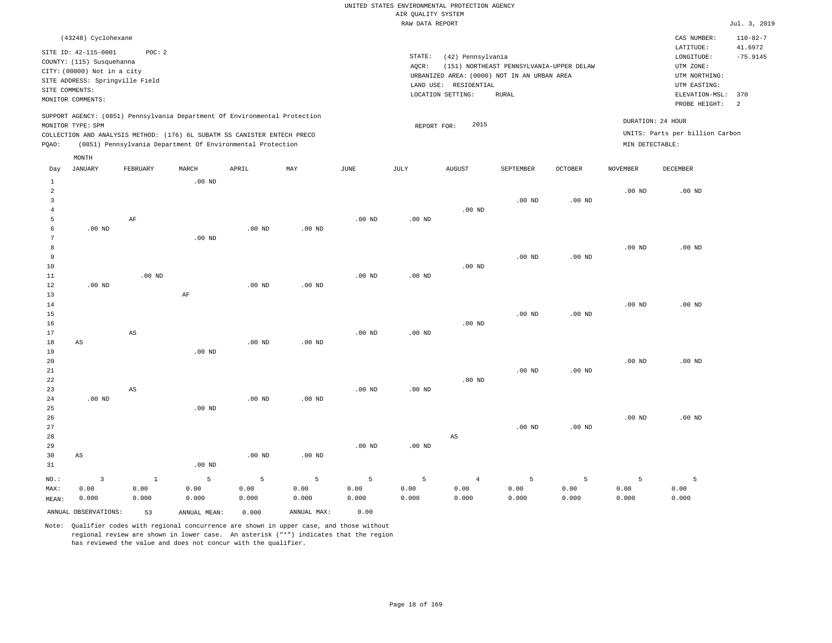| (43248) Cyclohexane                                                                                                                                                                                                                                         |                                                                                                                                                                                        | CAS NUMBER:                                                                                                  | $110 - 82 - 7$                          |
|-------------------------------------------------------------------------------------------------------------------------------------------------------------------------------------------------------------------------------------------------------------|----------------------------------------------------------------------------------------------------------------------------------------------------------------------------------------|--------------------------------------------------------------------------------------------------------------|-----------------------------------------|
| SITE ID: 42-115-0001<br>POC:2<br>COUNTY: (115) Susquehanna<br>CITY: (00000) Not in a city<br>SITE ADDRESS: Springville Field<br>SITE COMMENTS:<br>MONITOR COMMENTS:                                                                                         | STATE:<br>(42) Pennsylvania<br>(151) NORTHEAST PENNSYLVANIA-UPPER DELAW<br>AOCR:<br>URBANIZED AREA: (0000) NOT IN AN URBAN AREA<br>LAND USE: RESIDENTIAL<br>LOCATION SETTING:<br>RURAL | LATITUDE:<br>LONGITUDE:<br>UTM ZONE:<br>UTM NORTHING:<br>UTM EASTING:<br>ELEVATION-MSL: 370<br>PROBE HEIGHT: | 41.6972<br>$-75.9145$<br>$\overline{2}$ |
| SUPPORT AGENCY: (0851) Pennsylvania Department Of Environmental Protection<br>MONITOR TYPE: SPM<br>COLLECTION AND ANALYSIS METHOD: (176) 6L SUBATM SS CANISTER ENTECH PRECO<br>(0851) Pennsylvania Department Of Environmental Protection<br>POAO:<br>MONTH | 2015<br>REPORT FOR:                                                                                                                                                                    | DURATION: 24 HOUR<br>UNITS: Parts per billion Carbon<br>MIN DETECTABLE:                                      |                                         |

| Day            | JANUARY                 | FEBRUARY               | $\tt MARCH$    | APRIL          | MAY         | $_{\rm JUNE}$ | JULY        | AUGUST                 | SEPTEMBER | OCTOBER           | NOVEMBER          | DECEMBER |
|----------------|-------------------------|------------------------|----------------|----------------|-------------|---------------|-------------|------------------------|-----------|-------------------|-------------------|----------|
| $\mathbf{1}$   |                         |                        | $.00$ ND       |                |             |               |             |                        |           |                   |                   |          |
| $\overline{a}$ |                         |                        |                |                |             |               |             |                        |           |                   | $.00$ ND          | $.00$ ND |
| 3              |                         |                        |                |                |             |               |             |                        | $.00$ ND  | $.00$ ND          |                   |          |
| $\overline{4}$ |                         |                        |                |                |             |               |             | $.00$ ND               |           |                   |                   |          |
| 5              |                         | $\rm AF$               |                |                |             | $.00$ ND      | .00 $ND$    |                        |           |                   |                   |          |
| 6              | $.00$ ND                |                        |                | $.00$ ND       | $.00$ ND    |               |             |                        |           |                   |                   |          |
| 7              |                         |                        | $.00$ ND       |                |             |               |             |                        |           |                   |                   |          |
| 8              |                         |                        |                |                |             |               |             |                        |           |                   | .00 <sub>ND</sub> | $.00$ ND |
| 9              |                         |                        |                |                |             |               |             |                        | $.00$ ND  | $.00$ ND          |                   |          |
| $10$           |                         |                        |                |                |             |               |             | $.00$ ND               |           |                   |                   |          |
| 11             |                         | $.00$ ND               |                |                |             | $.00$ ND      | $.00$ ND    |                        |           |                   |                   |          |
| 12             | $.00$ ND                |                        |                | .00 $ND$       | $.00$ ND    |               |             |                        |           |                   |                   |          |
| 13             |                         |                        | $\rm AF$       |                |             |               |             |                        |           |                   |                   |          |
| $14$           |                         |                        |                |                |             |               |             |                        |           |                   | $.00$ ND          | $.00$ ND |
| 15             |                         |                        |                |                |             |               |             |                        | $.00$ ND  | $.00$ ND          |                   |          |
| 16             |                         |                        |                |                |             |               |             | $.00$ ND               |           |                   |                   |          |
| 17             |                         | $\mathbb{A}\mathbb{S}$ |                |                |             | $.00$ ND      | $.00$ ND    |                        |           |                   |                   |          |
| 18             | AS                      |                        |                | $.00$ ND       | $.00$ ND    |               |             |                        |           |                   |                   |          |
| 19             |                         |                        | $.00$ ND       |                |             |               |             |                        |           |                   |                   |          |
| 20             |                         |                        |                |                |             |               |             |                        |           |                   | $.00$ ND          | $.00$ ND |
| 21             |                         |                        |                |                |             |               |             |                        | $.00$ ND  | .00 <sub>ND</sub> |                   |          |
| 22             |                         |                        |                |                |             |               |             | $.00$ ND               |           |                   |                   |          |
| 23             |                         | $\mathbb{A}\mathbb{S}$ |                |                |             | $.00$ ND      | $.00$ ND    |                        |           |                   |                   |          |
| 24             | $.00$ ND                |                        |                | $.00$ ND       | $.00$ ND    |               |             |                        |           |                   |                   |          |
| $25\,$         |                         |                        | $.00$ ND       |                |             |               |             |                        |           |                   |                   |          |
| 26             |                         |                        |                |                |             |               |             |                        |           |                   | $.00$ ND          | $.00$ ND |
| 27             |                         |                        |                |                |             |               |             |                        | $.00$ ND  | .00 <sub>ND</sub> |                   |          |
| 28             |                         |                        |                |                |             |               |             | $\mathbb{A}\mathbb{S}$ |           |                   |                   |          |
| 29             |                         |                        |                |                |             | $.00$ ND      | $.00$ ND    |                        |           |                   |                   |          |
| 30             | $\mathbb{A}\mathbb{S}$  |                        |                | $.00$ ND       | $.00$ ND    |               |             |                        |           |                   |                   |          |
| 31             |                         |                        | $.00$ ND       |                |             |               |             |                        |           |                   |                   |          |
| $_{\rm NO.}$ : | $\overline{\mathbf{3}}$ | $\,$ 1 $\,$            | $\overline{5}$ | $\overline{5}$ | $\mathsf S$ | $\mathsf S$   | $\mathsf S$ | $\overline{4}$         | 5         | 5                 | 5                 | 5        |
| MAX:           | 0.00                    | 0.00                   | 0.00           | 0.00           | 0.00        | 0.00          | 0.00        | 0.00                   | 0.00      | 0.00              | 0.00              | 0.00     |
| MEAN:          | 0.000                   | 0.000                  | 0.000          | 0.000          | 0.000       | 0.000         | 0.000       | 0.000                  | 0.000     | 0.000             | 0.000             | 0.000    |
|                | ANNUAL OBSERVATIONS:    | 53                     | ANNUAL MEAN:   | 0.000          | ANNUAL MAX: | 0.00          |             |                        |           |                   |                   |          |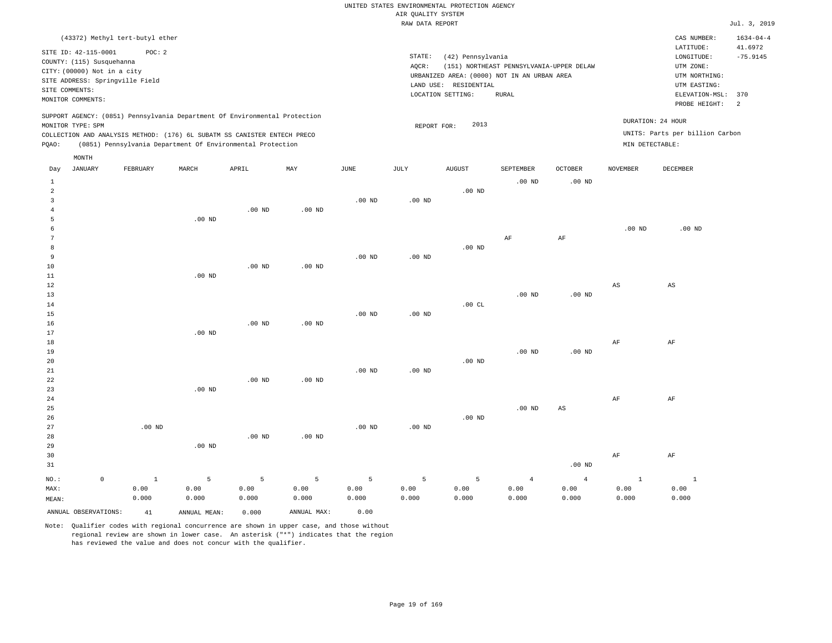|  |  |                    | UNITED STATES ENVIRONMENTAL PROTECTION AGENCY |  |
|--|--|--------------------|-----------------------------------------------|--|
|  |  | AIR OUALITY SYSTEM |                                               |  |

|                 |                             |                                 |                                                                            |                   |                   |             | RAW DATA REPORT   |                   |                                             |                        |                   |                                 | Jul. 3, 2019    |
|-----------------|-----------------------------|---------------------------------|----------------------------------------------------------------------------|-------------------|-------------------|-------------|-------------------|-------------------|---------------------------------------------|------------------------|-------------------|---------------------------------|-----------------|
|                 |                             | (43372) Methyl tert-butyl ether |                                                                            |                   |                   |             |                   |                   |                                             |                        |                   | CAS NUMBER:                     | $1634 - 04 - 4$ |
|                 |                             |                                 |                                                                            |                   |                   |             |                   |                   |                                             |                        |                   | LATITUDE:                       | 41.6972         |
|                 | SITE ID: 42-115-0001        | POC: 2                          |                                                                            |                   |                   |             | STATE:            | (42) Pennsylvania |                                             |                        |                   | LONGITUDE:                      | $-75.9145$      |
|                 | COUNTY: (115) Susquehanna   |                                 |                                                                            |                   |                   |             | AQCR:             |                   | (151) NORTHEAST PENNSYLVANIA-UPPER DELAW    |                        |                   | UTM ZONE:                       |                 |
|                 | CITY: (00000) Not in a city |                                 |                                                                            |                   |                   |             |                   |                   | URBANIZED AREA: (0000) NOT IN AN URBAN AREA |                        |                   | UTM NORTHING:                   |                 |
|                 |                             | SITE ADDRESS: Springville Field |                                                                            |                   |                   |             | LAND USE:         | RESIDENTIAL       |                                             |                        |                   | UTM EASTING:                    |                 |
|                 | SITE COMMENTS:              |                                 |                                                                            |                   |                   |             |                   | LOCATION SETTING: | <b>RURAL</b>                                |                        |                   | ELEVATION-MSL:                  | 370             |
|                 | MONITOR COMMENTS:           |                                 |                                                                            |                   |                   |             |                   |                   |                                             |                        |                   | PROBE HEIGHT:                   | 2               |
|                 |                             |                                 | SUPPORT AGENCY: (0851) Pennsylvania Department Of Environmental Protection |                   |                   |             |                   |                   |                                             |                        |                   | DURATION: 24 HOUR               |                 |
|                 | MONITOR TYPE: SPM           |                                 |                                                                            |                   |                   |             | REPORT FOR:       | 2013              |                                             |                        |                   |                                 |                 |
|                 |                             |                                 | COLLECTION AND ANALYSIS METHOD: (176) 6L SUBATM SS CANISTER ENTECH PRECO   |                   |                   |             |                   |                   |                                             |                        |                   | UNITS: Parts per billion Carbon |                 |
| PQAO:           |                             |                                 | (0851) Pennsylvania Department Of Environmental Protection                 |                   |                   |             |                   |                   |                                             |                        | MIN DETECTABLE:   |                                 |                 |
|                 | MONTH                       |                                 |                                                                            |                   |                   |             |                   |                   |                                             |                        |                   |                                 |                 |
| Day             | <b>JANUARY</b>              | FEBRUARY                        | MARCH                                                                      | APRIL             | MAY               | <b>JUNE</b> | JULY              | <b>AUGUST</b>     | SEPTEMBER                                   | <b>OCTOBER</b>         | <b>NOVEMBER</b>   | DECEMBER                        |                 |
| 1               |                             |                                 |                                                                            |                   |                   |             |                   |                   | $.00$ ND                                    | $.00$ ND               |                   |                                 |                 |
| 2               |                             |                                 |                                                                            |                   |                   |             |                   | $.00$ ND          |                                             |                        |                   |                                 |                 |
| 3               |                             |                                 |                                                                            |                   |                   | $.00$ ND    | .00 <sub>ND</sub> |                   |                                             |                        |                   |                                 |                 |
| $\overline{4}$  |                             |                                 |                                                                            | $.00$ ND          | $.00$ ND          |             |                   |                   |                                             |                        |                   |                                 |                 |
| 5               |                             |                                 | $.00$ ND                                                                   |                   |                   |             |                   |                   |                                             |                        |                   |                                 |                 |
| 6               |                             |                                 |                                                                            |                   |                   |             |                   |                   |                                             |                        | .00 <sub>ND</sub> | $.00$ ND                        |                 |
| $7\phantom{.0}$ |                             |                                 |                                                                            |                   |                   |             |                   |                   | $\rm{AF}$                                   | AF                     |                   |                                 |                 |
| 8               |                             |                                 |                                                                            |                   |                   |             |                   | $.00$ ND          |                                             |                        |                   |                                 |                 |
| 9               |                             |                                 |                                                                            |                   |                   | $.00$ ND    | $.00$ ND          |                   |                                             |                        |                   |                                 |                 |
| 10              |                             |                                 |                                                                            | .00 <sub>ND</sub> | $.00$ ND          |             |                   |                   |                                             |                        |                   |                                 |                 |
| 11              |                             |                                 | $.00$ ND                                                                   |                   |                   |             |                   |                   |                                             |                        |                   |                                 |                 |
| 12              |                             |                                 |                                                                            |                   |                   |             |                   |                   |                                             |                        | AS                | AS                              |                 |
| 13              |                             |                                 |                                                                            |                   |                   |             |                   |                   | $.00$ ND                                    | .00 <sub>ND</sub>      |                   |                                 |                 |
| 14              |                             |                                 |                                                                            |                   |                   |             |                   | .00CL             |                                             |                        |                   |                                 |                 |
| 15              |                             |                                 |                                                                            |                   |                   | $.00$ ND    | .00 <sub>ND</sub> |                   |                                             |                        |                   |                                 |                 |
| 16              |                             |                                 |                                                                            | .00 <sub>ND</sub> | $.00$ ND          |             |                   |                   |                                             |                        |                   |                                 |                 |
| 17              |                             |                                 | $.00$ ND                                                                   |                   |                   |             |                   |                   |                                             |                        |                   |                                 |                 |
| 18              |                             |                                 |                                                                            |                   |                   |             |                   |                   | $.00$ ND                                    | .00 <sub>ND</sub>      | AF                | AF                              |                 |
| 19<br>20        |                             |                                 |                                                                            |                   |                   |             |                   | $.00$ ND          |                                             |                        |                   |                                 |                 |
| 21              |                             |                                 |                                                                            |                   |                   | $.00$ ND    | $.00$ ND          |                   |                                             |                        |                   |                                 |                 |
| 22              |                             |                                 |                                                                            | .00 <sub>ND</sub> | .00 <sub>ND</sub> |             |                   |                   |                                             |                        |                   |                                 |                 |
| 23              |                             |                                 | $.00$ ND                                                                   |                   |                   |             |                   |                   |                                             |                        |                   |                                 |                 |
| 24              |                             |                                 |                                                                            |                   |                   |             |                   |                   |                                             |                        | AF                | AF                              |                 |
| 25              |                             |                                 |                                                                            |                   |                   |             |                   |                   | .00 <sub>ND</sub>                           | $\mathbb{A}\mathbb{S}$ |                   |                                 |                 |
| 26              |                             |                                 |                                                                            |                   |                   |             |                   | $.00$ ND          |                                             |                        |                   |                                 |                 |
| 27              |                             | $.00$ ND                        |                                                                            |                   |                   | $.00$ ND    | .00 <sub>ND</sub> |                   |                                             |                        |                   |                                 |                 |
| 28              |                             |                                 |                                                                            | .00 <sub>ND</sub> | .00 <sub>ND</sub> |             |                   |                   |                                             |                        |                   |                                 |                 |
| 29              |                             |                                 | $.00$ ND                                                                   |                   |                   |             |                   |                   |                                             |                        |                   |                                 |                 |
| 30              |                             |                                 |                                                                            |                   |                   |             |                   |                   |                                             |                        | AF                | AF                              |                 |
| 31              |                             |                                 |                                                                            |                   |                   |             |                   |                   |                                             | $.00$ ND               |                   |                                 |                 |
|                 |                             |                                 |                                                                            |                   |                   |             |                   |                   |                                             |                        |                   |                                 |                 |
| NO.:            | $\mathsf{O}\xspace$         | $1\,$                           | 5                                                                          | 5                 | 5                 | 5           | 5                 | 5                 | $\overline{4}$                              | $\overline{4}$         | $\mathbf{1}$      | $\mathbf 1$                     |                 |
| MAX:            |                             | 0.00                            | 0.00                                                                       | 0.00              | 0.00              | 0.00        | 0.00              | 0.00              | 0.00                                        | 0.00                   | 0.00              | 0.00                            |                 |
| MEAN:           |                             | 0.000                           | 0.000                                                                      | 0.000             | 0.000             | 0.000       | 0.000             | 0.000             | 0.000                                       | 0.000                  | 0.000             | 0.000                           |                 |
|                 | ANNUAL OBSERVATIONS:        | 41                              | ANNUAL MEAN:                                                               | 0.000             | ANNUAL MAX:       | 0.00        |                   |                   |                                             |                        |                   |                                 |                 |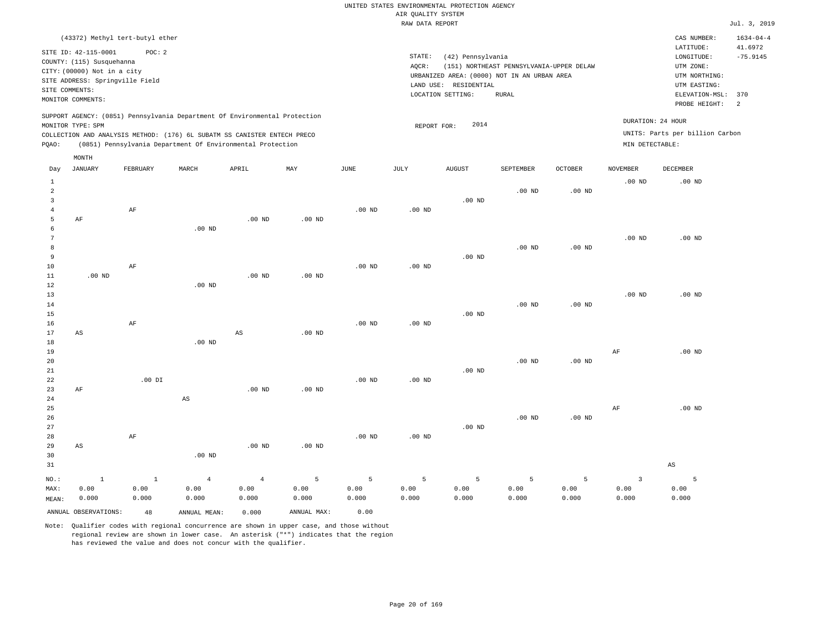| (43372) Methyl tert-butyl ether                                                                                                                                                                                                                             |                                                                                                                                                                                        | CAS NUMBER:                                                                                                  | $1634 - 04 - 4$                         |
|-------------------------------------------------------------------------------------------------------------------------------------------------------------------------------------------------------------------------------------------------------------|----------------------------------------------------------------------------------------------------------------------------------------------------------------------------------------|--------------------------------------------------------------------------------------------------------------|-----------------------------------------|
| SITE ID: 42-115-0001<br>POC: 2<br>COUNTY: (115) Susquehanna<br>CITY: (00000) Not in a city<br>SITE ADDRESS: Springville Field<br>SITE COMMENTS:<br>MONITOR COMMENTS:                                                                                        | STATE:<br>(42) Pennsylvania<br>(151) NORTHEAST PENNSYLVANIA-UPPER DELAW<br>AOCR:<br>URBANIZED AREA: (0000) NOT IN AN URBAN AREA<br>LAND USE: RESIDENTIAL<br>LOCATION SETTING:<br>RURAL | LATITUDE:<br>LONGITUDE:<br>UTM ZONE:<br>UTM NORTHING:<br>UTM EASTING:<br>ELEVATION-MSL: 370<br>PROBE HEIGHT: | 41.6972<br>$-75.9145$<br>$\overline{2}$ |
| SUPPORT AGENCY: (0851) Pennsylvania Department Of Environmental Protection<br>MONITOR TYPE: SPM<br>COLLECTION AND ANALYSIS METHOD: (176) 6L SUBATM SS CANISTER ENTECH PRECO<br>(0851) Pennsylvania Department Of Environmental Protection<br>POAO:<br>MONTH | 2014<br>REPORT FOR:                                                                                                                                                                    | DURATION: 24 HOUR<br>UNITS: Parts per billion Carbon<br>MIN DETECTABLE:                                      |                                         |

| Day            | JANUARY              | FEBRUARY     | MARCH                  | APRIL          | MAY         | JUNE           | JULY              | AUGUST            | SEPTEMBER | OCTOBER  | NOVEMBER                | DECEMBER          |
|----------------|----------------------|--------------|------------------------|----------------|-------------|----------------|-------------------|-------------------|-----------|----------|-------------------------|-------------------|
| $\mathbf{1}$   |                      |              |                        |                |             |                |                   |                   |           |          | $.00$ ND                | .00 <sub>ND</sub> |
| $\,2$          |                      |              |                        |                |             |                |                   |                   | $.00$ ND  | $.00$ ND |                         |                   |
| 3              |                      |              |                        |                |             |                |                   | $.00$ ND          |           |          |                         |                   |
| $\overline{4}$ |                      | $\rm AF$     |                        |                |             | $.00$ ND       | $.00$ ND          |                   |           |          |                         |                   |
| 5              | AF                   |              |                        | $.00$ ND       | $.00$ ND    |                |                   |                   |           |          |                         |                   |
| 6              |                      |              | $.00$ ND               |                |             |                |                   |                   |           |          |                         |                   |
| 7              |                      |              |                        |                |             |                |                   |                   |           |          | $.00$ ND                | .00 <sub>ND</sub> |
| 8              |                      |              |                        |                |             |                |                   |                   | $.00$ ND  | $.00$ ND |                         |                   |
| 9              |                      |              |                        |                |             |                |                   | $.00$ ND          |           |          |                         |                   |
| $10$           |                      | AF           |                        |                |             | $.00$ ND       | $.00$ ND          |                   |           |          |                         |                   |
| 11             | $.00$ ND             |              |                        | $.00$ ND       | $.00$ ND    |                |                   |                   |           |          |                         |                   |
| 12             |                      |              | $.00$ ND               |                |             |                |                   |                   |           |          |                         |                   |
| 13             |                      |              |                        |                |             |                |                   |                   |           |          | $.00$ ND                | $.00$ ND          |
| 14             |                      |              |                        |                |             |                |                   |                   | $.00$ ND  | $.00$ ND |                         |                   |
| 15             |                      |              |                        |                |             |                |                   | .00 <sub>ND</sub> |           |          |                         |                   |
| 16             |                      | AF           |                        |                |             | $.00$ ND       | .00 <sub>ND</sub> |                   |           |          |                         |                   |
| 17             | AS                   |              |                        | $_{\rm AS}$    | $.00$ ND    |                |                   |                   |           |          |                         |                   |
| 18             |                      |              | $.00$ ND               |                |             |                |                   |                   |           |          |                         |                   |
| 19             |                      |              |                        |                |             |                |                   |                   |           |          | AF                      | $.00$ ND          |
| 20             |                      |              |                        |                |             |                |                   |                   | $.00$ ND  | .00 $ND$ |                         |                   |
| $2\sqrt{1}$    |                      |              |                        |                |             |                |                   | $.00$ ND          |           |          |                         |                   |
| 22             |                      | $.00$ DI     |                        |                |             | $.00$ ND       | .00 <sub>ND</sub> |                   |           |          |                         |                   |
| 23             | $\rm AF$             |              |                        | $.00$ ND       | $.00$ ND    |                |                   |                   |           |          |                         |                   |
| 24             |                      |              | $\mathbb{A}\mathbb{S}$ |                |             |                |                   |                   |           |          |                         |                   |
| 25             |                      |              |                        |                |             |                |                   |                   |           |          | AF                      | $.00$ ND          |
| 26             |                      |              |                        |                |             |                |                   |                   | $.00$ ND  | .00 $ND$ |                         |                   |
| 27             |                      |              |                        |                |             |                |                   | $.00$ ND          |           |          |                         |                   |
| 28             |                      | $\rm{AF}$    |                        |                |             | $.00$ ND       | $.00$ ND          |                   |           |          |                         |                   |
| 29             | AS                   |              |                        | $.00$ ND       | $.00$ ND    |                |                   |                   |           |          |                         |                   |
| 30             |                      |              | $.00$ ND               |                |             |                |                   |                   |           |          |                         |                   |
| 31             |                      |              |                        |                |             |                |                   |                   |           |          |                         | $_{\rm AS}$       |
| $NO.$ :        | $\mathbf{1}$         | $\mathbf{1}$ | $\overline{4}$         | $\overline{4}$ | 5           | $\overline{5}$ | $\mathsf S$       | 5                 | 5         | 5        | $\overline{\mathbf{3}}$ | 5                 |
| MAX:           | 0.00                 | 0.00         | 0.00                   | 0.00           | 0.00        | 0.00           | 0.00              | 0.00              | 0.00      | 0.00     | 0.00                    | 0.00              |
| MEAN:          | 0.000                | 0.000        | 0.000                  | 0.000          | 0.000       | 0.000          | 0.000             | 0.000             | 0.000     | 0.000    | 0.000                   | 0.000             |
|                | ANNUAL OBSERVATIONS: | 48           | ANNUAL MEAN:           | 0.000          | ANNUAL MAX: | 0.00           |                   |                   |           |          |                         |                   |

Note: Qualifier codes with regional concurrence are shown in upper case, and those without regional review are shown in lower case. An asterisk ("\*") indicates that the region

has reviewed the value and does not concur with the qualifier.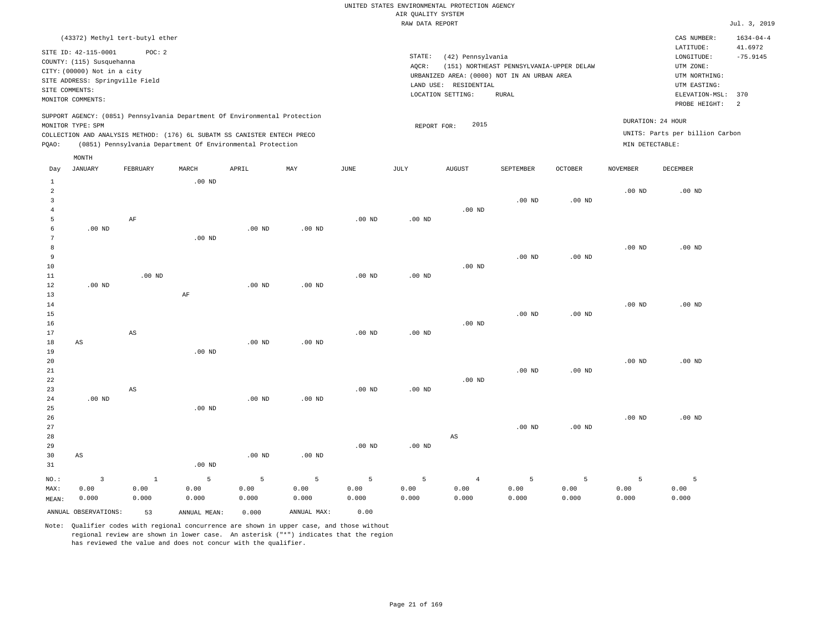|       |                                                                                                                         |                                                                                                                                        |                   |       |                                                                            |      | RAW DATA REPORT              |                                                                                                      |                                                   |                |          |                                                                                                          | Jul. 3, 2019                                   |
|-------|-------------------------------------------------------------------------------------------------------------------------|----------------------------------------------------------------------------------------------------------------------------------------|-------------------|-------|----------------------------------------------------------------------------|------|------------------------------|------------------------------------------------------------------------------------------------------|---------------------------------------------------|----------------|----------|----------------------------------------------------------------------------------------------------------|------------------------------------------------|
|       |                                                                                                                         | (43372) Methyl tert-butyl ether                                                                                                        |                   |       |                                                                            |      |                              |                                                                                                      |                                                   |                |          | CAS NUMBER:                                                                                              | $1634 - 04 - 4$                                |
|       | SITE ID: 42-115-0001<br>COUNTY: (115) Susquehanna<br>CITY: (00000) Not in a city<br>SITE COMMENTS:<br>MONITOR COMMENTS: | POC: 2<br>SITE ADDRESS: Springville Field                                                                                              |                   |       |                                                                            |      | STATE:<br>AOCR:<br>LAND USE: | (42) Pennsylvania<br>URBANIZED AREA: (0000) NOT IN AN URBAN AREA<br>RESIDENTIAL<br>LOCATION SETTING: | (151) NORTHEAST PENNSYLVANIA-UPPER DELAW<br>RURAL |                |          | LATITUDE:<br>LONGITUDE:<br>UTM ZONE:<br>UTM NORTHING:<br>UTM EASTING:<br>ELEVATION-MSL:<br>PROBE HEIGHT: | 41.6972<br>$-75.9145$<br>370<br>$\overline{2}$ |
| POAO: | MONITOR TYPE: SPM                                                                                                       | COLLECTION AND ANALYSIS METHOD: (176) 6L SUBATM SS CANISTER ENTECH PRECO<br>(0851) Pennsylvania Department Of Environmental Protection |                   |       | SUPPORT AGENCY: (0851) Pennsylvania Department Of Environmental Protection |      |                              | 2015<br>REPORT FOR:                                                                                  |                                                   |                |          | DURATION: 24 HOUR<br>UNITS: Parts per billion Carbon<br>MIN DETECTABLE:                                  |                                                |
| Day   | MONTH<br>JANUARY                                                                                                        | FEBRUARY                                                                                                                               | MARCH<br>$.00$ ND | APRIL | MAY                                                                        | JUNE | JULY                         | <b>AUGUST</b>                                                                                        | SEPTEMBER                                         | <b>OCTOBER</b> | NOVEMBER | DECEMBER                                                                                                 |                                                |
|       |                                                                                                                         |                                                                                                                                        |                   |       |                                                                            |      |                              |                                                                                                      |                                                   |                | 00 ND    | 00 ND                                                                                                    |                                                |

| $.00$ ND<br>$.00$ ND<br>$\rm{AF}$<br>5<br>.00 $ND$<br>$.00$ ND<br>$.00$ ND<br>6<br>$.00$ ND<br>7<br>$.00$ ND<br>8<br>$.00$ ND<br>9<br>.00 <sub>ND</sub><br>$.00$ ND<br>10<br>$.00$ ND<br>11<br>$.00$ ND<br>$.00$ ND<br>12<br>$.00$ ND<br>$.00$ ND<br>$.00$ ND<br>13<br>$\rm AF$<br>14<br>$.00$ ND<br>15<br>$.00$ ND<br>.00 <sub>ND</sub><br>$.00$ ND<br>16<br>$.00$ ND<br>$.00$ ND<br>17<br>$\mathbb{A}\mathbb{S}$<br>18<br>$.00$ ND<br>$.00$ ND<br>AS<br>19<br>$.00$ ND<br>$.00$ ND<br>20<br>21<br>$.00$ ND<br>.00 <sub>ND</sub><br>$.00$ ND<br>22 |          |  |          |  |  |  |                |
|-----------------------------------------------------------------------------------------------------------------------------------------------------------------------------------------------------------------------------------------------------------------------------------------------------------------------------------------------------------------------------------------------------------------------------------------------------------------------------------------------------------------------------------------------------|----------|--|----------|--|--|--|----------------|
|                                                                                                                                                                                                                                                                                                                                                                                                                                                                                                                                                     | $.00$ ND |  |          |  |  |  |                |
|                                                                                                                                                                                                                                                                                                                                                                                                                                                                                                                                                     | $.00$ ND |  |          |  |  |  |                |
|                                                                                                                                                                                                                                                                                                                                                                                                                                                                                                                                                     | $.00$ ND |  |          |  |  |  |                |
| $.00$ ND<br>$.00$ ND<br>$\mathbf{3}$                                                                                                                                                                                                                                                                                                                                                                                                                                                                                                                |          |  | .00 $ND$ |  |  |  | $\overline{4}$ |

ANNUAL OBSERVATIONS: 53 ANNUAL MEAN: 0.000 ANNUAL MAX: 0.00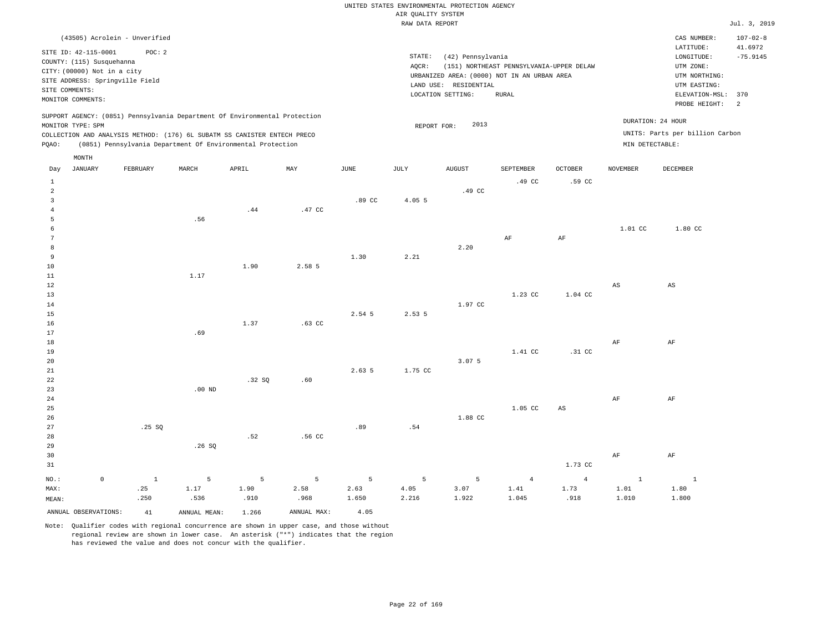|       | (43505) Acrolein - Unverified                                                                                                                                               |          |       |                                                            |     |      |                              |                                                                                                      |                                                   |                   |                 | CAS NUMBER:                                                                                                  | $107 - 02 - 8$              |
|-------|-----------------------------------------------------------------------------------------------------------------------------------------------------------------------------|----------|-------|------------------------------------------------------------|-----|------|------------------------------|------------------------------------------------------------------------------------------------------|---------------------------------------------------|-------------------|-----------------|--------------------------------------------------------------------------------------------------------------|-----------------------------|
|       | SITE ID: 42-115-0001<br>COUNTY: (115) Susquehanna<br>CITY: (00000) Not in a city<br>SITE ADDRESS: Springville Field<br>SITE COMMENTS:<br>MONITOR COMMENTS:                  | POC: 2   |       |                                                            |     |      | STATE:<br>AOCR:<br>LAND USE: | (42) Pennsylvania<br>URBANIZED AREA: (0000) NOT IN AN URBAN AREA<br>RESIDENTIAL<br>LOCATION SETTING: | (151) NORTHEAST PENNSYLVANIA-UPPER DELAW<br>RURAL |                   |                 | LATITUDE:<br>LONGITUDE:<br>UTM ZONE:<br>UTM NORTHING:<br>UTM EASTING:<br>ELEVATION-MSL: 370<br>PROBE HEIGHT: | 41.6972<br>$-75.9145$<br>-2 |
| POAO: | SUPPORT AGENCY: (0851) Pennsylvania Department Of Environmental Protection<br>MONITOR TYPE: SPM<br>COLLECTION AND ANALYSIS METHOD: (176) 6L SUBATM SS CANISTER ENTECH PRECO |          |       | (0851) Pennsylvania Department Of Environmental Protection |     |      |                              | 2013<br>REPORT FOR:                                                                                  |                                                   |                   | MIN DETECTABLE: | DURATION: 24 HOUR<br>UNITS: Parts per billion Carbon                                                         |                             |
| Day   | MONTH<br>JANUARY                                                                                                                                                            | FEBRUARY | MARCH | APRIL                                                      | MAY | JUNE | JULY                         | <b>AUGUST</b>                                                                                        | SEPTEMBER<br>.49 CC                               | OCTOBER<br>.59 CC | NOVEMBER        | DECEMBER                                                                                                     |                             |

|                 |             |        |          |                |             |          |                |         | $  -$<br>$-$   | $- - -$        |                        |                        |
|-----------------|-------------|--------|----------|----------------|-------------|----------|----------------|---------|----------------|----------------|------------------------|------------------------|
| $\overline{a}$  |             |        |          |                |             |          |                | .49 CC  |                |                |                        |                        |
| 3               |             |        |          |                |             | .89 CC   | 4.05 5         |         |                |                |                        |                        |
| $\overline{4}$  |             |        |          | .44            | .47 CC      |          |                |         |                |                |                        |                        |
| 5               |             |        | .56      |                |             |          |                |         |                |                |                        |                        |
| 6               |             |        |          |                |             |          |                |         |                |                | $1.01$ CC              | 1.80 CC                |
| $7\phantom{.0}$ |             |        |          |                |             |          |                |         | $\rm{AF}$      | $\rm{AF}$      |                        |                        |
| 8               |             |        |          |                |             |          |                | 2.20    |                |                |                        |                        |
| 9               |             |        |          |                |             | 1.30     | 2.21           |         |                |                |                        |                        |
| 10              |             |        |          | 1.90           | 2.58 5      |          |                |         |                |                |                        |                        |
| 11              |             |        | 1.17     |                |             |          |                |         |                |                |                        |                        |
| 12              |             |        |          |                |             |          |                |         |                |                | $\mathbb{A}\mathbb{S}$ | $\mathbb{A}\mathbb{S}$ |
| 13              |             |        |          |                |             |          |                |         | $1.23$ CC      | 1.04 CC        |                        |                        |
| 14              |             |        |          |                |             |          |                | 1.97 CC |                |                |                        |                        |
| 15              |             |        |          |                |             | 2.54 5   | 2.53 5         |         |                |                |                        |                        |
| 16              |             |        |          | 1.37           | .63 CC      |          |                |         |                |                |                        |                        |
| 17              |             |        | .69      |                |             |          |                |         |                |                |                        |                        |
| 18              |             |        |          |                |             |          |                |         |                |                | $\rm{AF}$              | $\rm{AF}$              |
| 19              |             |        |          |                |             |          |                |         | 1.41 CC        | $.31$ CC       |                        |                        |
| 20              |             |        |          |                |             |          |                | 3.07 5  |                |                |                        |                        |
| 21              |             |        |          |                |             | 2.63 5   | 1.75 CC        |         |                |                |                        |                        |
| 22              |             |        |          | .32SQ          | .60         |          |                |         |                |                |                        |                        |
| 23              |             |        | $.00$ ND |                |             |          |                |         |                |                |                        |                        |
| 24              |             |        |          |                |             |          |                |         |                |                | $\rm{AF}$              | $\rm{AF}$              |
| 25              |             |        |          |                |             |          |                |         | $1.05$ CC      | $_{\rm AS}$    |                        |                        |
| 26              |             |        |          |                |             |          |                | 1.88 CC |                |                |                        |                        |
| 27              |             | .25SQ  |          |                |             | .89      | .54            |         |                |                |                        |                        |
| 28              |             |        |          | .52            | .56 CC      |          |                |         |                |                |                        |                        |
| 29              |             |        | .26SQ    |                |             |          |                |         |                |                |                        |                        |
| 30              |             |        |          |                |             |          |                |         |                |                | $\rm{AF}$              | $\rm{AF}$              |
| 31              |             |        |          |                |             |          |                |         |                | 1.73 CC        |                        |                        |
|                 |             |        |          |                |             |          |                |         |                |                |                        |                        |
| $NO.$ :         | $\mathbb O$ | $\,$ 1 | 5        | $\overline{5}$ | $5^{\circ}$ | $\sim$ 5 | $\overline{5}$ | 5       | $\overline{4}$ | $\overline{4}$ | $\mathbf{1}$           | $\sim$ $\sim$ 1        |
| MAX:            |             | .25    | 1.17     | 1.90           | 2.58        | 2.63     | 4.05           | 3.07    | 1.41           | 1.73           | 1.01                   | 1.80                   |
| MEAN:           |             | .250   | .536     | .910           | .968        | 1.650    | 2.216          | 1.922   | 1.045          | .918           | 1.010                  | 1.800                  |
|                 |             |        |          |                |             |          |                |         |                |                |                        |                        |

ANNUAL OBSERVATIONS: 41 ANNUAL MEAN: 1.266 ANNUAL MAX: 4.05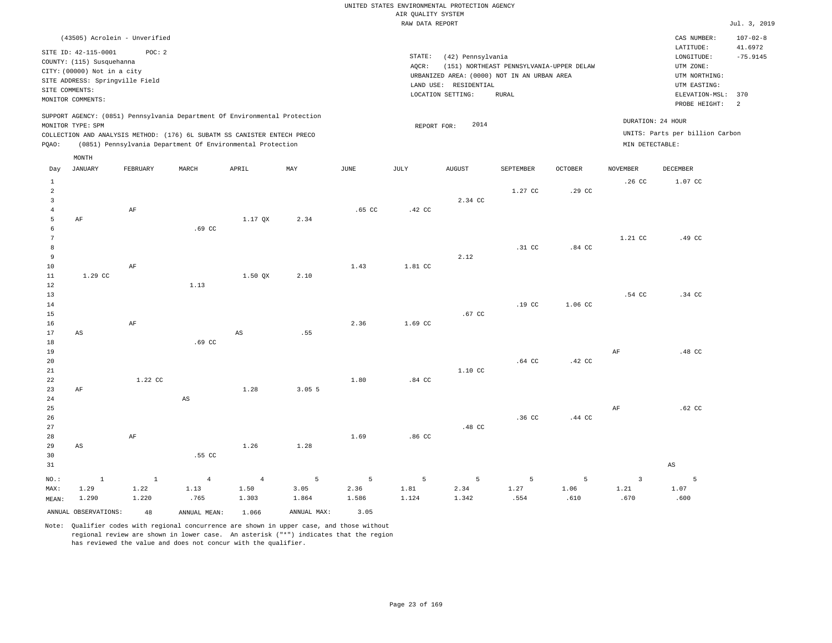| (43505) Acrolein - Unverified                                                                                                                                                                                                                      |                                                                                                                                                                                        | CAS NUMBER:                                                                                                    | $107 - 02 - 8$        |
|----------------------------------------------------------------------------------------------------------------------------------------------------------------------------------------------------------------------------------------------------|----------------------------------------------------------------------------------------------------------------------------------------------------------------------------------------|----------------------------------------------------------------------------------------------------------------|-----------------------|
| POC:2<br>SITE ID: 42-115-0001<br>COUNTY: (115) Susquehanna<br>CITY: (00000) Not in a city<br>SITE ADDRESS: Springville Field<br>SITE COMMENTS:<br>MONITOR COMMENTS:                                                                                | STATE:<br>(42) Pennsylvania<br>(151) NORTHEAST PENNSYLVANIA-UPPER DELAW<br>AOCR:<br>URBANIZED AREA: (0000) NOT IN AN URBAN AREA<br>LAND USE: RESIDENTIAL<br>LOCATION SETTING:<br>RURAL | LATITUDE:<br>LONGITUDE:<br>UTM ZONE:<br>UTM NORTHING:<br>UTM EASTING:<br>ELEVATION-MSL: 370<br>PROBE HEIGHT: 2 | 41.6972<br>$-75.9145$ |
| SUPPORT AGENCY: (0851) Pennsylvania Department Of Environmental Protection<br>MONITOR TYPE: SPM<br>COLLECTION AND ANALYSIS METHOD: (176) 6L SUBATM SS CANISTER ENTECH PRECO<br>(0851) Pennsylvania Department Of Environmental Protection<br>POAO: | 2014<br>REPORT FOR:                                                                                                                                                                    | DURATION: 24 HOUR<br>UNITS: Parts per billion Carbon<br>MIN DETECTABLE:                                        |                       |

|                                                  | MONTH                  |                          |                |                        |                           |                 |                  |               |                  |          |                         |                        |
|--------------------------------------------------|------------------------|--------------------------|----------------|------------------------|---------------------------|-----------------|------------------|---------------|------------------|----------|-------------------------|------------------------|
| Day                                              | JANUARY                | FEBRUARY                 | MARCH          | APRIL                  | $\ensuremath{\text{MAX}}$ | $\mathtt{JUNE}$ | JULY             | <b>AUGUST</b> | SEPTEMBER        | OCTOBER  | <b>NOVEMBER</b>         | DECEMBER               |
| $\mathbf{1}$<br>$\overline{c}$<br>$\overline{3}$ |                        |                          |                |                        |                           |                 |                  | 2.34 CC       | 1.27 CC          | .29 CC   | .26 <sub>c</sub>        | 1.07 CC                |
| $\overline{4}$                                   |                        | $\rm{AF}$                |                |                        |                           | $.65$ CC        | .42 CC           |               |                  |          |                         |                        |
| 5                                                | $\rm{AF}$              |                          |                | 1.17 QX                | 2.34                      |                 |                  |               |                  |          |                         |                        |
| 6                                                |                        |                          | $.69$ CC       |                        |                           |                 |                  |               |                  |          |                         |                        |
| 7                                                |                        |                          |                |                        |                           |                 |                  |               |                  |          | 1.21 CC                 | .49 CC                 |
| 8<br>9                                           |                        |                          |                |                        |                           |                 |                  | 2.12          | .31 CC           | $.84$ CC |                         |                        |
| 10                                               |                        | $\rm AF$                 |                |                        |                           | 1.43            | 1.81 CC          |               |                  |          |                         |                        |
| $11\,$                                           | 1.29 CC                |                          |                | 1.50 QX                | 2.10                      |                 |                  |               |                  |          |                         |                        |
| 12                                               |                        |                          | 1.13           |                        |                           |                 |                  |               |                  |          |                         |                        |
| 13                                               |                        |                          |                |                        |                           |                 |                  |               |                  |          | .54 CC                  | .34 CC                 |
| 14                                               |                        |                          |                |                        |                           |                 |                  |               | .19 <sub>c</sub> | 1.06 CC  |                         |                        |
| 15                                               |                        |                          |                |                        |                           |                 |                  | .67 CC        |                  |          |                         |                        |
| 16                                               |                        | $\rm{AF}$                |                |                        |                           | 2.36            | 1.69 CC          |               |                  |          |                         |                        |
| 17                                               | $\mathbb{A}\mathbb{S}$ |                          |                | $\mathbb{A}\mathbb{S}$ | .55                       |                 |                  |               |                  |          |                         |                        |
| 18                                               |                        |                          | .69 CC         |                        |                           |                 |                  |               |                  |          |                         |                        |
| 19                                               |                        |                          |                |                        |                           |                 |                  |               |                  |          | $\rm AF$                | .48 CC                 |
| 20                                               |                        |                          |                |                        |                           |                 |                  |               | .64 CC           | .42 CC   |                         |                        |
| 21                                               |                        |                          |                |                        |                           |                 |                  | 1.10 CC       |                  |          |                         |                        |
| 22                                               |                        | 1.22 CC                  |                |                        |                           | 1.80            | $.84$ CC         |               |                  |          |                         |                        |
| 23                                               | $\rm AF$               |                          |                | 1.28                   | 3.055                     |                 |                  |               |                  |          |                         |                        |
| $2\,4$                                           |                        |                          | $_{\rm AS}$    |                        |                           |                 |                  |               |                  |          |                         |                        |
| 25<br>26                                         |                        |                          |                |                        |                           |                 |                  |               | .36 <sub>C</sub> | .44 CC   | $\rm AF$                | $.62$ CC               |
| 27                                               |                        |                          |                |                        |                           |                 |                  | .48 CC        |                  |          |                         |                        |
| 28                                               |                        | $\rm{AF}$                |                |                        |                           | 1.69            | .86 <sub>C</sub> |               |                  |          |                         |                        |
| 29                                               | $\mathbb{A}\mathbb{S}$ |                          |                | 1.26                   | 1.28                      |                 |                  |               |                  |          |                         |                        |
| 30                                               |                        |                          | .55 CC         |                        |                           |                 |                  |               |                  |          |                         |                        |
| 31                                               |                        |                          |                |                        |                           |                 |                  |               |                  |          |                         | $\mathbb{A}\mathbb{S}$ |
| $_{\rm NO.}$ :                                   | $\mathbf 1$            | $\overline{\phantom{a}}$ | $\overline{4}$ | $\overline{4}$         | 5                         | 5               | 5                | 5             | 5                | 5        | $\overline{\mathbf{3}}$ | $5^{\circ}$            |
| MAX:                                             | 1.29                   | 1.22                     | 1.13           | 1.50                   | 3.05                      | 2.36            | 1.81             | 2.34          | 1.27             | 1.06     | 1.21                    | 1.07                   |
| MEAN:                                            | 1.290                  | 1.220                    | .765           | 1.303                  | 1.864                     | 1.586           | 1.124            | 1.342         | .554             | .610     | .670                    | .600                   |
|                                                  | ANNUAL OBSERVATIONS:   | 48                       | ANNUAL MEAN:   | 1.066                  | ANNUAL MAX:               | 3.05            |                  |               |                  |          |                         |                        |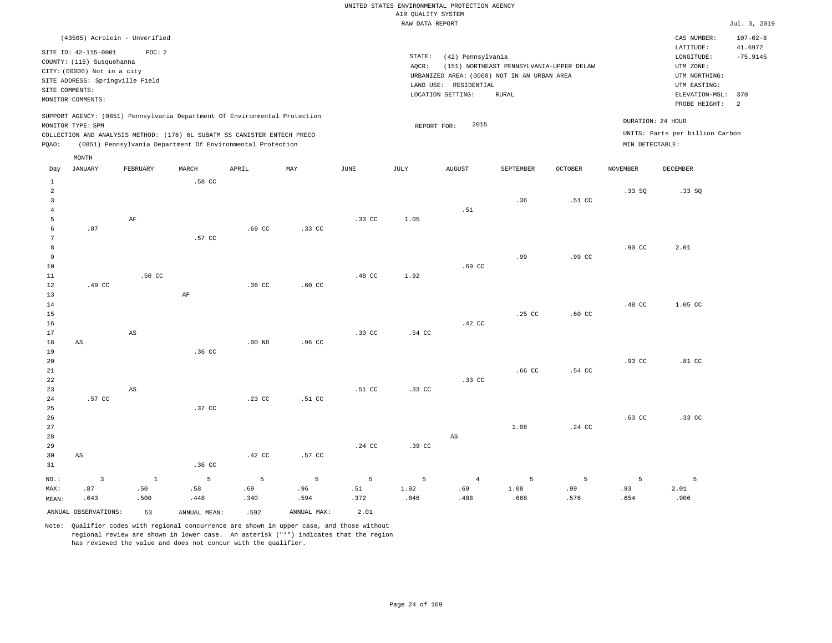| (43505) Acrolein - Unverified                                                                                                                                                                                                                      |                                                                                                                                                                                           | $107 - 02 - 8$<br>CAS NUMBER:                                                                                                         |
|----------------------------------------------------------------------------------------------------------------------------------------------------------------------------------------------------------------------------------------------------|-------------------------------------------------------------------------------------------------------------------------------------------------------------------------------------------|---------------------------------------------------------------------------------------------------------------------------------------|
| SITE ID: 42-115-0001<br>POC: 2<br>COUNTY: (115) Susquehanna<br>CITY: (00000) Not in a city<br>SITE ADDRESS: Springville Field<br>SITE COMMENTS:<br>MONITOR COMMENTS:                                                                               | STATE:<br>(42) Pennsylvania<br>AOCR:<br>(151) NORTHEAST PENNSYLVANIA-UPPER DELAW<br>URBANIZED AREA: (0000) NOT IN AN URBAN AREA<br>RESIDENTIAL<br>LAND USE:<br>LOCATION SETTING:<br>RURAL | 41.6972<br>LATITUDE:<br>$-75.9145$<br>LONGITUDE:<br>UTM ZONE:<br>UTM NORTHING:<br>UTM EASTING:<br>ELEVATION-MSL: 370<br>PROBE HEIGHT: |
| SUPPORT AGENCY: (0851) Pennsylvania Department Of Environmental Protection<br>MONITOR TYPE: SPM<br>COLLECTION AND ANALYSIS METHOD: (176) 6L SUBATM SS CANISTER ENTECH PRECO<br>(0851) Pennsylvania Department Of Environmental Protection<br>POAO: | 2015<br>REPORT FOR:                                                                                                                                                                       | DURATION: 24 HOUR<br>UNITS: Parts per billion Carbon<br>MIN DETECTABLE:                                                               |

|                | MONTH                  |                        |              |          |             |                  |        |                        |                   |                  |                  |             |
|----------------|------------------------|------------------------|--------------|----------|-------------|------------------|--------|------------------------|-------------------|------------------|------------------|-------------|
| Day            | <b>JANUARY</b>         | FEBRUARY               | MARCH        | APRIL    | MAY         | $\mathtt{JUNE}$  | JULY   | <b>AUGUST</b>          | SEPTEMBER         | OCTOBER          | <b>NOVEMBER</b>  | DECEMBER    |
| $\mathbf{1}$   |                        |                        | .58 CC       |          |             |                  |        |                        |                   |                  |                  |             |
| $\overline{a}$ |                        |                        |              |          |             |                  |        |                        |                   |                  | .33SQ            | .33SQ       |
| $\overline{3}$ |                        |                        |              |          |             |                  |        |                        | .36               | .51 CC           |                  |             |
| $\overline{4}$ |                        |                        |              |          |             |                  |        | .51                    |                   |                  |                  |             |
| 5              |                        | AF                     |              |          |             | .33 CC           | 1.05   |                        |                   |                  |                  |             |
| 6              | .87                    |                        |              | $.69$ CC | .33 CC      |                  |        |                        |                   |                  |                  |             |
| 7              |                        |                        | .57 CC       |          |             |                  |        |                        |                   |                  |                  |             |
| 8              |                        |                        |              |          |             |                  |        |                        |                   |                  | .90 <sub>c</sub> | 2.01        |
| 9              |                        |                        |              |          |             |                  |        |                        | .99               | .99 <sub>c</sub> |                  |             |
| 10             |                        |                        |              |          |             |                  |        | .69 <sub>cc</sub>      |                   |                  |                  |             |
| 11             |                        | .50 CC                 |              |          |             | .48 <sub>C</sub> | 1.92   |                        |                   |                  |                  |             |
| 12             | .49 CC                 |                        |              | .36 CC   | $.60$ CC    |                  |        |                        |                   |                  |                  |             |
| 13             |                        |                        | $\rm AF$     |          |             |                  |        |                        |                   |                  |                  |             |
| 14             |                        |                        |              |          |             |                  |        |                        | .25 CC            | .60 <sub>C</sub> | .48 CC           | 1.05 CC     |
| 15<br>16       |                        |                        |              |          |             |                  |        | .42 CC                 |                   |                  |                  |             |
| 17             |                        | $\mathbb{A}\mathbb{S}$ |              |          |             | $.30 \text{ CC}$ | .54 CC |                        |                   |                  |                  |             |
| 18             | $\mathbb{A}\mathbb{S}$ |                        |              | $.00$ ND | .96 CC      |                  |        |                        |                   |                  |                  |             |
| 19             |                        |                        | .36 CC       |          |             |                  |        |                        |                   |                  |                  |             |
| 20             |                        |                        |              |          |             |                  |        |                        |                   |                  | .93 CC           | $.81$ CC    |
| $2\sqrt{1}$    |                        |                        |              |          |             |                  |        |                        | .66 <sub>CC</sub> | .54 CC           |                  |             |
| 22             |                        |                        |              |          |             |                  |        | .33 CC                 |                   |                  |                  |             |
| 23             |                        | $\mathbb{A}\mathbb{S}$ |              |          |             | .51 CC           | .33 CC |                        |                   |                  |                  |             |
| $2\sqrt{4}$    | .57 CC                 |                        |              | .23 CC   | .51 CC      |                  |        |                        |                   |                  |                  |             |
| 25             |                        |                        | .37 CC       |          |             |                  |        |                        |                   |                  |                  |             |
| 26             |                        |                        |              |          |             |                  |        |                        |                   |                  | $.63$ CC         | .33 CC      |
| 27             |                        |                        |              |          |             |                  |        |                        | 1.08              | .24 CC           |                  |             |
| 28             |                        |                        |              |          |             |                  |        | $\mathbb{A}\mathbb{S}$ |                   |                  |                  |             |
| 29             |                        |                        |              |          |             | $.24$ CC         | .39 CC |                        |                   |                  |                  |             |
| 30             | $\mathbb{A}\mathbb{S}$ |                        |              | .42 CC   | .57 CC      |                  |        |                        |                   |                  |                  |             |
| 31             |                        |                        | .36 CC       |          |             |                  |        |                        |                   |                  |                  |             |
| $NO.$ :        | $\overline{3}$         | $\,$ 1                 | 5            | 5        | 5           | 5                | 5      | $\overline{4}$         | 5                 | 5                | 5                | $5^{\circ}$ |
| MAX:           | .87                    | .50                    | .58          | .69      | .96         | .51              | 1.92   | .69                    | 1.08              | .99              | .93              | 2.01        |
| MEAN:          | .643                   | .500                   | .448         | .340     | .594        | .372             | .846   | .488                   | .668              | .576             | .654             | .906        |
|                | ANNUAL OBSERVATIONS:   | 53                     | ANNUAL MEAN: | .592     | ANNUAL MAX: | 2.01             |        |                        |                   |                  |                  |             |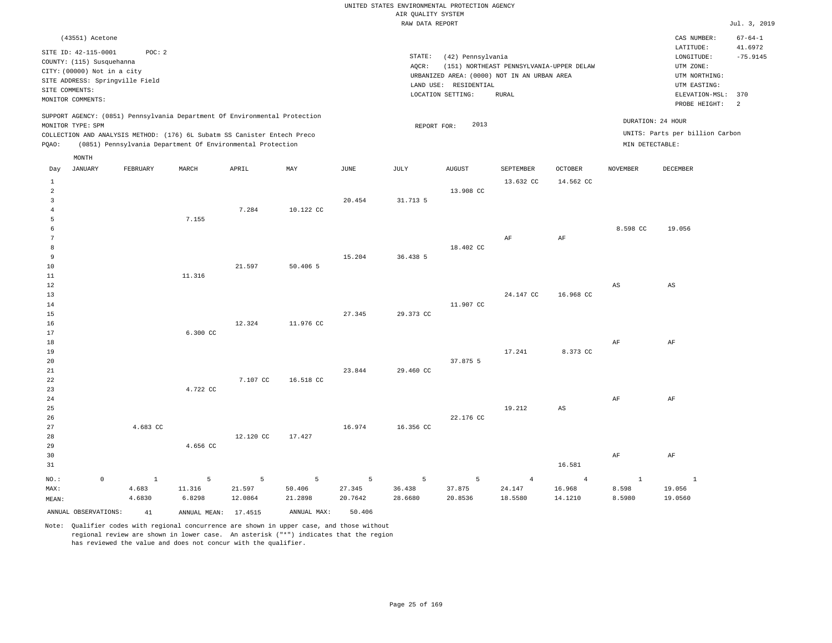|                | (43551) Acetone                                                                                                                          |          |       |                                                                                                                                                                                                                      |     |      |                              |                                                                                                      |                                                   |                |                                      | CAS NUMBER:                                                                                              | $67 - 64 - 1$                     |
|----------------|------------------------------------------------------------------------------------------------------------------------------------------|----------|-------|----------------------------------------------------------------------------------------------------------------------------------------------------------------------------------------------------------------------|-----|------|------------------------------|------------------------------------------------------------------------------------------------------|---------------------------------------------------|----------------|--------------------------------------|----------------------------------------------------------------------------------------------------------|-----------------------------------|
| SITE COMMENTS: | SITE ID: 42-115-0001<br>COUNTY: (115) Susquehanna<br>CITY: (00000) Not in a city<br>SITE ADDRESS: Springville Field<br>MONITOR COMMENTS: | POC:2    |       |                                                                                                                                                                                                                      |     |      | STATE:<br>AOCR:<br>LAND USE: | (42) Pennsylvania<br>URBANIZED AREA: (0000) NOT IN AN URBAN AREA<br>RESIDENTIAL<br>LOCATION SETTING: | (151) NORTHEAST PENNSYLVANIA-UPPER DELAW<br>RURAL |                |                                      | LATITUDE:<br>LONGITUDE:<br>UTM ZONE:<br>UTM NORTHING:<br>UTM EASTING:<br>ELEVATION-MSL:<br>PROBE HEIGHT: | 41.6972<br>$-75.9145$<br>370<br>2 |
| POAO:          | MONITOR TYPE: SPM                                                                                                                        |          |       | SUPPORT AGENCY: (0851) Pennsylvania Department Of Environmental Protection<br>COLLECTION AND ANALYSIS METHOD: (176) 6L Subatm SS Canister Entech Preco<br>(0851) Pennsylvania Department Of Environmental Protection |     |      |                              | 2013<br>REPORT FOR:                                                                                  |                                                   |                | DURATION: 24 HOUR<br>MIN DETECTABLE: | UNITS: Parts per billion Carbon                                                                          |                                   |
| Day            | MONTH<br>JANUARY                                                                                                                         | FEBRUARY | MARCH | APRIL                                                                                                                                                                                                                | MAY | JUNE | JULY                         | <b>AUGUST</b>                                                                                        | SEPTEMBER                                         | <b>OCTOBER</b> | <b>NOVEMBER</b>                      | DECEMBER                                                                                                 |                                   |

| $\mu$           | <b>OFRICERS</b> | <b>THOTOSTER</b> |          | 711.1341  | 1.75.7 7       | <b>O OTATI</b> | ,,,,,           | 1100001        | ont thumu      | octomu                 | .                      | nnennen  |
|-----------------|-----------------|------------------|----------|-----------|----------------|----------------|-----------------|----------------|----------------|------------------------|------------------------|----------|
| $\mathbf{1}$    |                 |                  |          |           |                |                |                 |                | 13.632 CC      | 14.562 CC              |                        |          |
| $\overline{a}$  |                 |                  |          |           |                |                |                 | 13.908 CC      |                |                        |                        |          |
| 3               |                 |                  |          |           |                | 20.454         | 31.713 5        |                |                |                        |                        |          |
| 4               |                 |                  |          | 7.284     | 10.122 CC      |                |                 |                |                |                        |                        |          |
| 5               |                 |                  | 7.155    |           |                |                |                 |                |                |                        |                        |          |
| 6               |                 |                  |          |           |                |                |                 |                |                |                        | 8.598 CC               | 19.056   |
| $7\phantom{.0}$ |                 |                  |          |           |                |                |                 |                | AF             | $\rm{AF}$              |                        |          |
| 8               |                 |                  |          |           |                |                |                 | 18.402 CC      |                |                        |                        |          |
| 9               |                 |                  |          |           |                | 15.204         | 36.438 5        |                |                |                        |                        |          |
| 10              |                 |                  |          | 21.597    | 50.406 5       |                |                 |                |                |                        |                        |          |
| 11              |                 |                  | 11.316   |           |                |                |                 |                |                |                        |                        |          |
| 12              |                 |                  |          |           |                |                |                 |                |                |                        | $\mathbb{A}\mathbb{S}$ | AS       |
| 13              |                 |                  |          |           |                |                |                 |                | 24.147 CC      | 16.968 CC              |                        |          |
| 14              |                 |                  |          |           |                |                |                 | 11.907 CC      |                |                        |                        |          |
| 15              |                 |                  |          |           |                | 27.345         | 29.373 CC       |                |                |                        |                        |          |
| 16              |                 |                  |          | 12.324    | 11.976 CC      |                |                 |                |                |                        |                        |          |
| 17              |                 |                  | 6.300 CC |           |                |                |                 |                |                |                        |                        |          |
| 18              |                 |                  |          |           |                |                |                 |                |                |                        | AF                     | $\rm AF$ |
| 19              |                 |                  |          |           |                |                |                 |                | 17.241         | 8.373 CC               |                        |          |
| 20              |                 |                  |          |           |                |                |                 | 37.875 5       |                |                        |                        |          |
| 21              |                 |                  |          |           |                | 23.844         | 29.460 CC       |                |                |                        |                        |          |
| 22              |                 |                  |          | 7.107 CC  | 16.518 CC      |                |                 |                |                |                        |                        |          |
| 23              |                 |                  | 4.722 CC |           |                |                |                 |                |                |                        |                        |          |
| 24              |                 |                  |          |           |                |                |                 |                |                |                        | $\rm AF$               | $\rm AF$ |
| 25              |                 |                  |          |           |                |                |                 |                | 19.212         | $\mathbb{A}\mathbb{S}$ |                        |          |
| 26              |                 |                  |          |           |                |                |                 | 22.176 CC      |                |                        |                        |          |
| 27              |                 | 4.683 CC         |          |           |                | 16.974         | 16.356 CC       |                |                |                        |                        |          |
| 28              |                 |                  |          | 12.120 CC | 17.427         |                |                 |                |                |                        |                        |          |
| 29              |                 |                  | 4.656 CC |           |                |                |                 |                |                |                        |                        |          |
| 30              |                 |                  |          |           |                |                |                 |                |                |                        | $\rm AF$               | AF       |
| 31              |                 |                  |          |           |                |                |                 |                |                | 16.581                 |                        |          |
| NO.:            | $\mathbb O$     |                  | $5 - 5$  | $\sim$ 5  | $\overline{5}$ | $\sim$ 5       | $5\overline{5}$ | 5 <sup>5</sup> | $\overline{4}$ | $\overline{4}$         | $\overline{1}$         | $\sim$ 1 |
| MAX:            |                 | 4.683            | 11.316   | 21.597    | 50.406         | 27.345         | 36.438          | 37.875         | 24.147         | 16.968                 | 8.598                  | 19.056   |
| MEAN:           |                 | 4.6830           | 6.8298   | 12.0864   | 21.2898        | 20.7642        | 28.6680         | 20.8536        | 18.5580        | 14.1210                | 8.5980                 | 19.0560  |
|                 |                 |                  |          |           |                |                |                 |                |                |                        |                        |          |

ANNUAL OBSERVATIONS: 41 ANNUAL MEAN: 17.4515 ANNUAL MAX: 50.406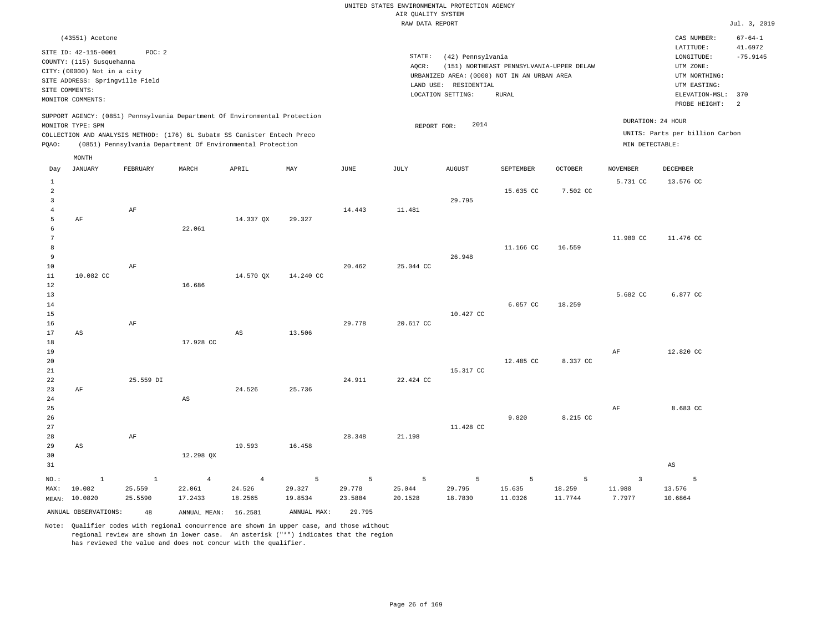|                                                                                       |                                                                                                                                                             |                                         |                                                                                                                                                                                                                      |                                     |                                       |                                  | AIR QUALITY SYSTEM<br>RAW DATA REPORT | UNITED STATES ENVIRONMENTAL PROTECTION AGENCY                   |                                                                                                  |                        |                                      |                                                                                                                         | Jul. 3, 2019                                       |
|---------------------------------------------------------------------------------------|-------------------------------------------------------------------------------------------------------------------------------------------------------------|-----------------------------------------|----------------------------------------------------------------------------------------------------------------------------------------------------------------------------------------------------------------------|-------------------------------------|---------------------------------------|----------------------------------|---------------------------------------|-----------------------------------------------------------------|--------------------------------------------------------------------------------------------------|------------------------|--------------------------------------|-------------------------------------------------------------------------------------------------------------------------|----------------------------------------------------|
| SITE COMMENTS:                                                                        | (43551) Acetone<br>SITE ID: 42-115-0001<br>COUNTY: (115) Susquehanna<br>CITY: (00000) Not in a city<br>SITE ADDRESS: Springville Field<br>MONITOR COMMENTS: | POC: 2                                  |                                                                                                                                                                                                                      |                                     |                                       |                                  | STATE:<br>AOCR:                       | (42) Pennsylvania<br>LAND USE: RESIDENTIAL<br>LOCATION SETTING: | (151) NORTHEAST PENNSYLVANIA-UPPER DELAW<br>URBANIZED AREA: (0000) NOT IN AN URBAN AREA<br>RURAL |                        |                                      | CAS NUMBER:<br>LATITUDE:<br>LONGITUDE:<br>UTM ZONE:<br>UTM NORTHING:<br>UTM EASTING:<br>ELEVATION-MSL:<br>PROBE HEIGHT: | $67 - 64 - 1$<br>41.6972<br>$-75.9145$<br>370<br>2 |
| PQAO:                                                                                 | MONITOR TYPE: SPM                                                                                                                                           |                                         | SUPPORT AGENCY: (0851) Pennsylvania Department Of Environmental Protection<br>COLLECTION AND ANALYSIS METHOD: (176) 6L Subatm SS Canister Entech Preco<br>(0851) Pennsylvania Department Of Environmental Protection |                                     |                                       |                                  | REPORT FOR:                           | 2014                                                            |                                                                                                  |                        | DURATION: 24 HOUR<br>MIN DETECTABLE: | UNITS: Parts per billion Carbon                                                                                         |                                                    |
| Day                                                                                   | MONTH<br><b>JANUARY</b>                                                                                                                                     | FEBRUARY                                | MARCH                                                                                                                                                                                                                | APRIL                               | MAY                                   | <b>JUNE</b>                      | $\mathtt{JULY}$                       | ${\tt AUGUST}$                                                  | SEPTEMBER                                                                                        | <b>OCTOBER</b>         | <b>NOVEMBER</b>                      | <b>DECEMBER</b>                                                                                                         |                                                    |
| $\mathbf{1}$<br>$\overline{a}$<br>$\overline{\mathbf{3}}$<br>$\overline{4}$<br>5<br>6 | AF                                                                                                                                                          | AF                                      | 22.061                                                                                                                                                                                                               | 14.337 QX                           | 29.327                                | 14.443                           | 11.481                                | 29.795                                                          | 15.635 CC                                                                                        | 7.502 CC               | 5.731 CC                             | 13.576 CC                                                                                                               |                                                    |
| $7\phantom{.0}$<br>$^{\rm 8}$<br>9<br>$10$<br>$1\,1$                                  | 10.082 CC                                                                                                                                                   | AF                                      |                                                                                                                                                                                                                      | 14.570 QX                           | 14.240 CC                             | 20.462                           | 25.044 CC                             | 26.948                                                          | 11.166 CC                                                                                        | 16.559                 | 11.980 CC                            | 11.476 CC                                                                                                               |                                                    |
| 12<br>13<br>14<br>15<br>16<br>17                                                      | AS                                                                                                                                                          | AF                                      | 16.686                                                                                                                                                                                                               | $_{\rm AS}$                         | 13.506                                | 29.778                           | 20.617 CC                             | 10.427 CC                                                       | 6.057 CC                                                                                         | 18.259                 | 5.682 CC                             | 6.877 CC                                                                                                                |                                                    |
| 18<br>19<br>20<br>21<br>22<br>23                                                      | AF                                                                                                                                                          | 25.559 DI                               | 17.928 CC                                                                                                                                                                                                            | 24.526                              | 25.736                                | 24.911                           | 22.424 CC                             | 15.317 CC                                                       | 12.485 CC                                                                                        | 8.337 CC               | $\rm{AF}$                            | 12.820 CC                                                                                                               |                                                    |
| 24<br>25<br>26<br>27<br>28<br>29                                                      | $\mathbb{A}\mathbb{S}$                                                                                                                                      | AF                                      | AS                                                                                                                                                                                                                   | 19.593                              | 16.458                                | 28.348                           | 21.198                                | 11.428 CC                                                       | 9.820                                                                                            | 8.215 CC               | AF                                   | 8.683 CC                                                                                                                |                                                    |
| 30<br>31                                                                              |                                                                                                                                                             |                                         | 12.298 QX                                                                                                                                                                                                            |                                     |                                       |                                  |                                       |                                                                 |                                                                                                  |                        |                                      | $\mathbb{A}\mathbb{S}$                                                                                                  |                                                    |
| NO.:<br>MAX:                                                                          | $\mathbf{1}$<br>10.082<br>MEAN: 10.0820<br>ANNUAL OBSERVATIONS:                                                                                             | $\mathbf{1}$<br>25.559<br>25.5590<br>48 | $\overline{4}$<br>22.061<br>17.2433<br>ANNUAL MEAN: 16.2581                                                                                                                                                          | $\overline{4}$<br>24.526<br>18.2565 | 5<br>29.327<br>19.8534<br>ANNUAL MAX: | 5<br>29.778<br>23.5884<br>29.795 | 5<br>25.044<br>20.1528                | 5<br>29.795<br>18.7830                                          | 5<br>15.635<br>11.0326                                                                           | 5<br>18.259<br>11.7744 | $\overline{3}$<br>11.980<br>7.7977   | $\overline{5}$<br>13.576<br>10.6864                                                                                     |                                                    |

Note: Qualifier codes with regional concurrence are shown in upper case, and those without regional review are shown in lower case. An asterisk ("\*") indicates that the region

has reviewed the value and does not concur with the qualifier.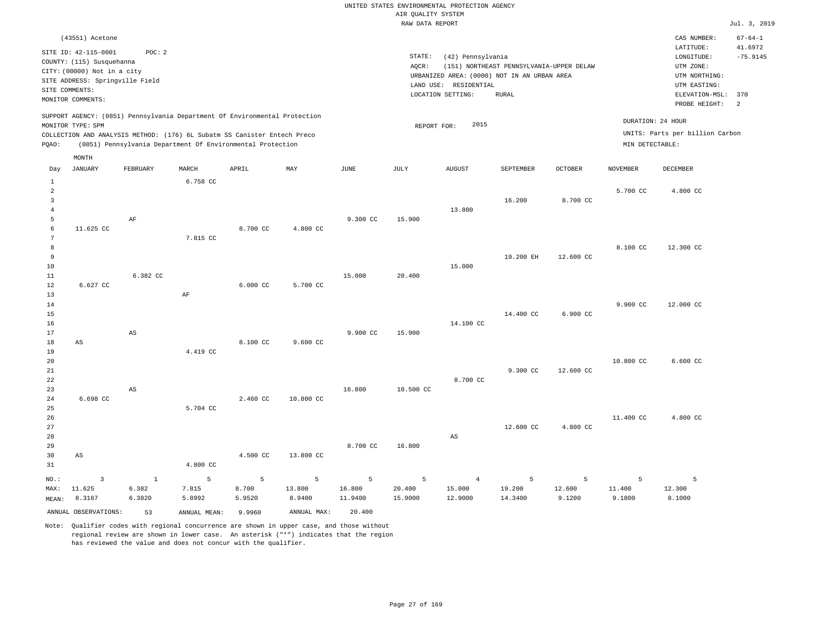|                                |                                 |          |                                                                            |          |             |             | RAW DATA REPORT |                       |                                             |                |                 |                                 | Jul. 3, 2019  |
|--------------------------------|---------------------------------|----------|----------------------------------------------------------------------------|----------|-------------|-------------|-----------------|-----------------------|---------------------------------------------|----------------|-----------------|---------------------------------|---------------|
|                                | (43551) Acetone                 |          |                                                                            |          |             |             |                 |                       |                                             |                |                 | CAS NUMBER:                     | $67 - 64 - 1$ |
|                                | SITE ID: 42-115-0001            | POC: 2   |                                                                            |          |             |             |                 |                       |                                             |                |                 | LATITUDE:                       | 41.6972       |
|                                | COUNTY: (115) Susquehanna       |          |                                                                            |          |             |             | STATE:          | (42) Pennsylvania     |                                             |                |                 | LONGITUDE:                      | $-75.9145$    |
|                                | CITY: (00000) Not in a city     |          |                                                                            |          |             |             | AOCR:           |                       | (151) NORTHEAST PENNSYLVANIA-UPPER DELAW    |                |                 | UTM ZONE:                       |               |
|                                | SITE ADDRESS: Springville Field |          |                                                                            |          |             |             |                 |                       | URBANIZED AREA: (0000) NOT IN AN URBAN AREA |                |                 | UTM NORTHING:                   |               |
|                                | SITE COMMENTS:                  |          |                                                                            |          |             |             |                 | LAND USE: RESIDENTIAL |                                             |                |                 | UTM EASTING:                    |               |
|                                | MONITOR COMMENTS:               |          |                                                                            |          |             |             |                 | LOCATION SETTING:     | RURAL                                       |                |                 | ELEVATION-MSL:                  | 370<br>2      |
|                                |                                 |          | SUPPORT AGENCY: (0851) Pennsylvania Department Of Environmental Protection |          |             |             |                 |                       |                                             |                |                 | PROBE HEIGHT:                   |               |
|                                | MONITOR TYPE: SPM               |          |                                                                            |          |             |             | REPORT FOR:     | 2015                  |                                             |                |                 | DURATION: 24 HOUR               |               |
|                                |                                 |          | COLLECTION AND ANALYSIS METHOD: (176) 6L Subatm SS Canister Entech Preco   |          |             |             |                 |                       |                                             |                |                 | UNITS: Parts per billion Carbon |               |
| PQAO:                          |                                 |          | (0851) Pennsylvania Department Of Environmental Protection                 |          |             |             |                 |                       |                                             |                | MIN DETECTABLE: |                                 |               |
|                                | MONTH                           |          |                                                                            |          |             |             |                 |                       |                                             |                |                 |                                 |               |
| Day                            | <b>JANUARY</b>                  | FEBRUARY | MARCH                                                                      | APRIL    | MAY         | <b>JUNE</b> | JULY            | <b>AUGUST</b>         | SEPTEMBER                                   | <b>OCTOBER</b> | <b>NOVEMBER</b> | <b>DECEMBER</b>                 |               |
| $\mathbf{1}$<br>$\overline{a}$ |                                 |          | 6.758 CC                                                                   |          |             |             |                 |                       |                                             |                | 5.700 CC        | 4.800 CC                        |               |
| $\overline{\mathbf{3}}$        |                                 |          |                                                                            |          |             |             |                 |                       | 16.200                                      | 8,700 CC       |                 |                                 |               |
| $\overline{4}$                 |                                 |          |                                                                            |          |             |             |                 | 13.800                |                                             |                |                 |                                 |               |
| 5                              |                                 | AF       |                                                                            |          |             | 9.300 CC    | 15.900          |                       |                                             |                |                 |                                 |               |
| 6                              | 11.625 CC                       |          |                                                                            | 8.700 CC | 4.800 CC    |             |                 |                       |                                             |                |                 |                                 |               |
| $7\phantom{.0}$                |                                 |          | 7.815 CC                                                                   |          |             |             |                 |                       |                                             |                |                 |                                 |               |
| 8                              |                                 |          |                                                                            |          |             |             |                 |                       |                                             |                | 8.100 CC        | 12.300 CC                       |               |
| 9                              |                                 |          |                                                                            |          |             |             |                 |                       | 19.200 EH                                   | 12.600 CC      |                 |                                 |               |
| 10                             |                                 |          |                                                                            |          |             |             |                 | 15.000                |                                             |                |                 |                                 |               |
| 11                             |                                 | 6.382 CC |                                                                            |          |             | 15.000      | 20.400          |                       |                                             |                |                 |                                 |               |
| 12                             | 6.627 CC                        |          |                                                                            | 6.000 CC | 5.700 CC    |             |                 |                       |                                             |                |                 |                                 |               |
| 13<br>$14$                     |                                 |          | $\rm AF$                                                                   |          |             |             |                 |                       |                                             |                | 9.900 CC        | 12.000 CC                       |               |
| 15                             |                                 |          |                                                                            |          |             |             |                 |                       | 14.400 CC                                   | 6.900 CC       |                 |                                 |               |
| 16                             |                                 |          |                                                                            |          |             |             |                 | 14.100 CC             |                                             |                |                 |                                 |               |
| 17                             |                                 | AS       |                                                                            |          |             | 9.900 CC    | 15.900          |                       |                                             |                |                 |                                 |               |
| 18                             | AS                              |          |                                                                            | 8.100 CC | 9.600 CC    |             |                 |                       |                                             |                |                 |                                 |               |
| 19                             |                                 |          | 4.419 CC                                                                   |          |             |             |                 |                       |                                             |                |                 |                                 |               |
| 20                             |                                 |          |                                                                            |          |             |             |                 |                       |                                             |                | 10.800 CC       | $6.600 \text{ CC}$              |               |
| 21                             |                                 |          |                                                                            |          |             |             |                 |                       | 9.300 CC                                    | 12.600 CC      |                 |                                 |               |
| 22                             |                                 |          |                                                                            |          |             |             |                 | 8.700 CC              |                                             |                |                 |                                 |               |
| 23                             |                                 | AS       |                                                                            |          |             | 16.800      | 10.500 CC       |                       |                                             |                |                 |                                 |               |
| 24                             | 6.698 CC                        |          |                                                                            | 2.460 CC | 10.800 CC   |             |                 |                       |                                             |                |                 |                                 |               |
| 25                             |                                 |          | 5.704 CC                                                                   |          |             |             |                 |                       |                                             |                |                 |                                 |               |
| 26                             |                                 |          |                                                                            |          |             |             |                 |                       |                                             |                | 11.400 CC       | 4.800 CC                        |               |
| 27<br>28                       |                                 |          |                                                                            |          |             |             |                 | $_{\rm AS}$           | 12.600 CC                                   | 4.800 CC       |                 |                                 |               |
| 29                             |                                 |          |                                                                            |          |             | 8.700 CC    | 16.800          |                       |                                             |                |                 |                                 |               |
| 30                             | $\mathbb{A}\mathbb{S}$          |          |                                                                            | 4.500 CC | 13.800 CC   |             |                 |                       |                                             |                |                 |                                 |               |
| 31                             |                                 |          | 4.800 CC                                                                   |          |             |             |                 |                       |                                             |                |                 |                                 |               |
|                                |                                 |          |                                                                            |          |             |             |                 |                       |                                             |                |                 |                                 |               |
| NO.:                           | $\overline{\mathbf{3}}$         | $1\,$    | 5                                                                          | 5        | 5           | 5           | 5               | $\overline{4}$        | 5                                           | 5              | 5               | 5                               |               |
| MAX:                           | 11.625                          | 6.382    | 7.815                                                                      | 8.700    | 13.800      | 16.800      | 20.400          | 15.000                | 19.200                                      | 12.600         | 11.400          | 12.300                          |               |
| MEAN:                          | 8.3167                          | 6.3820   | 5.8992                                                                     | 5.9520   | 8.9400      | 11.9400     | 15.9000         | 12.9000               | 14.3400                                     | 9.1200         | 9.1800          | 8.1000                          |               |
|                                | ANNUAL OBSERVATIONS:            | 53       | ANNUAL MEAN:                                                               | 9.9960   | ANNUAL MAX: | 20.400      |                 |                       |                                             |                |                 |                                 |               |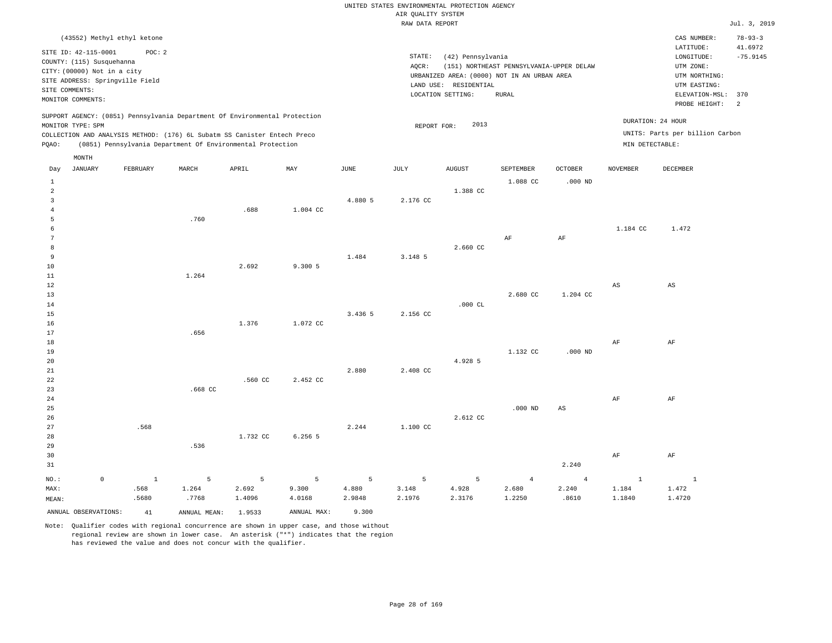#### RAW DATA REPORT **FOULD ASSESSED ASSESSED ASSESSED.** The set of the set of the set of the set of the set of the set of the set of the set of the set of the set of the set of the set of the set of the set of the set of the s UNITED STATES ENVIRONMENTAL PROTECTION AGENCY AIR QUALITY SYSTEM

| (43552) Methyl ethyl ketone                                                                                                                                                                                                                        |                                                                                                                                                                                        | $78 - 93 - 3$<br>CAS NUMBER:                                                                                                                            |
|----------------------------------------------------------------------------------------------------------------------------------------------------------------------------------------------------------------------------------------------------|----------------------------------------------------------------------------------------------------------------------------------------------------------------------------------------|---------------------------------------------------------------------------------------------------------------------------------------------------------|
| SITE ID: 42-115-0001<br>POC: 2<br>COUNTY: (115) Susquehanna<br>CITY: (00000) Not in a city<br>SITE ADDRESS: Springville Field<br>SITE COMMENTS:<br>MONITOR COMMENTS:                                                                               | STATE:<br>(42) Pennsylvania<br>(151) NORTHEAST PENNSYLVANIA-UPPER DELAW<br>AOCR:<br>URBANIZED AREA: (0000) NOT IN AN URBAN AREA<br>LAND USE: RESIDENTIAL<br>LOCATION SETTING:<br>RURAL | 41.6972<br>LATITUDE:<br>$-75.9145$<br>LONGITUDE:<br>UTM ZONE:<br>UTM NORTHING:<br>UTM EASTING:<br>ELEVATION-MSL: 370<br>PROBE HEIGHT:<br>$\overline{2}$ |
| SUPPORT AGENCY: (0851) Pennsylvania Department Of Environmental Protection<br>MONITOR TYPE: SPM<br>COLLECTION AND ANALYSIS METHOD: (176) 6L Subatm SS Canister Entech Preco<br>(0851) Pennsylvania Department Of Environmental Protection<br>POAO: | 2013<br>REPORT FOR:                                                                                                                                                                    | DURATION: 24 HOUR<br>UNITS: Parts per billion Carbon<br>MIN DETECTABLE:                                                                                 |
| MONTH<br>$-$ -----<br>$-+++$<br>----------<br>$1.033$ matrix<br>$\sim$ mm mm $\sim$<br><br><b>The Telephone of the Telephone of the United States</b>                                                                                              | $+ + + + + + + + +$<br>$\alpha$ mmmtrumm<br>$\alpha$ monto<br>1707771577777                                                                                                            | <b>DRAMMON</b>                                                                                                                                          |

| JANUARY<br>Day       | FEBRUARY       | MARCH           | APRIL          | MAY                        | JUNE    | JULY     | AUGUST    | SEPTEMBER      | OCTOBER                | NOVEMBER                 | DECEMBER               |
|----------------------|----------------|-----------------|----------------|----------------------------|---------|----------|-----------|----------------|------------------------|--------------------------|------------------------|
| $\mathbf{1}$         |                |                 |                |                            |         |          |           | 1.088 CC       | $.000$ ND              |                          |                        |
| $\overline{a}$       |                |                 |                |                            |         |          | 1.388 CC  |                |                        |                          |                        |
| 3                    |                |                 |                |                            | 4.880 5 | 2.176 CC |           |                |                        |                          |                        |
| $\overline{4}$       |                |                 | .688           | 1.004 CC                   |         |          |           |                |                        |                          |                        |
| 5                    |                | .760            |                |                            |         |          |           |                |                        |                          |                        |
| 6                    |                |                 |                |                            |         |          |           |                |                        | 1.184 CC                 | 1.472                  |
| $7\phantom{.0}$      |                |                 |                |                            |         |          |           | AF             | $\rm{AF}$              |                          |                        |
| 8                    |                |                 |                |                            |         |          | 2.660 CC  |                |                        |                          |                        |
| 9                    |                |                 |                |                            | 1.484   | 3.148 5  |           |                |                        |                          |                        |
| 10                   |                |                 | 2.692          | 9.300 5                    |         |          |           |                |                        |                          |                        |
| 11                   |                | 1.264           |                |                            |         |          |           |                |                        |                          |                        |
| 12                   |                |                 |                |                            |         |          |           |                |                        | $_{\rm AS}$              | $\mathbb{A}\mathbb{S}$ |
| 13                   |                |                 |                |                            |         |          |           | 2.680 CC       | 1.204 CC               |                          |                        |
| 14                   |                |                 |                |                            |         |          | .000 $CL$ |                |                        |                          |                        |
| 15                   |                |                 |                |                            | 3.436 5 | 2.156 CC |           |                |                        |                          |                        |
| 16                   |                |                 | 1.376          | 1.072 CC                   |         |          |           |                |                        |                          |                        |
| 17                   |                | .656            |                |                            |         |          |           |                |                        |                          |                        |
| 18                   |                |                 |                |                            |         |          |           |                |                        | AF                       | AF                     |
| 19                   |                |                 |                |                            |         |          |           | 1.132 CC       | $.000$ ND              |                          |                        |
| 20                   |                |                 |                |                            |         |          | 4.928 5   |                |                        |                          |                        |
| 21                   |                |                 |                |                            | 2.880   | 2.408 CC |           |                |                        |                          |                        |
| 22                   |                |                 | .560 CC        | 2.452 CC                   |         |          |           |                |                        |                          |                        |
| 23                   |                | $.668$ CC       |                |                            |         |          |           |                |                        |                          |                        |
| 24                   |                |                 |                |                            |         |          |           |                |                        | $\rm{AF}$                | $\rm AF$               |
| 25                   |                |                 |                |                            |         |          |           | $.000$ ND      | $\mathbb{A}\mathbb{S}$ |                          |                        |
| 26                   |                |                 |                |                            |         |          | 2.612 CC  |                |                        |                          |                        |
| 27                   | .568           |                 |                |                            | 2.244   | 1.100 CC |           |                |                        |                          |                        |
| 28                   |                |                 | 1.732 CC       | 6.256 5                    |         |          |           |                |                        |                          |                        |
| 29                   |                | .536            |                |                            |         |          |           |                |                        |                          |                        |
| 30                   |                |                 |                |                            |         |          |           |                |                        | $\rm{AF}$                | $\rm{AF}$              |
| 31                   |                |                 |                |                            |         |          |           |                | 2.240                  |                          |                        |
| NO.:<br>$\circ$      | $\overline{1}$ | $5\overline{)}$ | 5 <sub>5</sub> | $\overline{\phantom{0}}$ 5 | 5       | 5        | 5         | $\overline{4}$ | $\overline{4}$         | $\overline{\phantom{a}}$ | $\sim$ $\sim$ $\sim$ 1 |
| MAX:                 | .568           | 1.264           | 2.692          | 9.300                      | 4.880   | 3.148    | 4.928     | 2.680          | 2.240                  | 1.184                    | 1.472                  |
| MEAN:                | .5680          | .7768           | 1.4096         | 4.0168                     | 2.9848  | 2.1976   | 2.3176    | 1.2250         | .8610                  | 1.1840                   | 1.4720                 |
| ANNUAL OBSERVATIONS: | 41             | ANNUAL MEAN:    | 1.9533         | ANNUAL MAX:                | 9.300   |          |           |                |                        |                          |                        |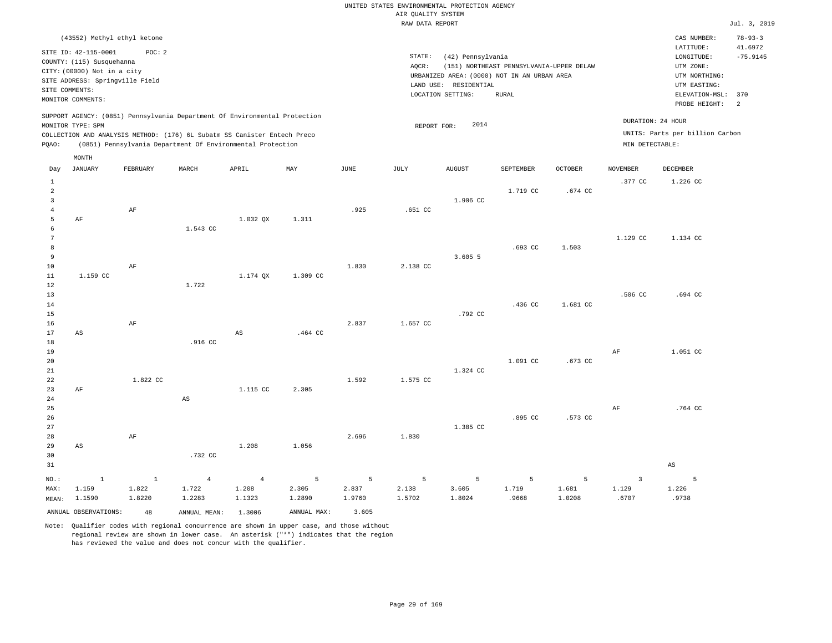|                                                | (43552) Methyl ethyl ketone<br>SITE ID: 42-115-0001<br>COUNTY: (115) Susquehanna<br>CITY: (00000) Not in a city<br>SITE ADDRESS: Springville Field<br>SITE COMMENTS:<br>MONITOR COMMENTS: | POC: 2       |                                                                                                                                                                                                                      |                        |             |        | STATE:<br>AQCR: | (42) Pennsylvania<br>URBANIZED AREA: (0000) NOT IN AN URBAN AREA<br>LAND USE: RESIDENTIAL<br>LOCATION SETTING: | (151) NORTHEAST PENNSYLVANIA-UPPER DELAW<br><b>RURAL</b> |                |                                      | CAS NUMBER:<br>LATITUDE:<br>LONGITUDE:<br>UTM ZONE:<br>UTM NORTHING:<br>UTM EASTING:<br>ELEVATION-MSL: 370<br>PROBE HEIGHT: | $78 - 93 - 3$<br>41.6972<br>$-75.9145$<br>2 |
|------------------------------------------------|-------------------------------------------------------------------------------------------------------------------------------------------------------------------------------------------|--------------|----------------------------------------------------------------------------------------------------------------------------------------------------------------------------------------------------------------------|------------------------|-------------|--------|-----------------|----------------------------------------------------------------------------------------------------------------|----------------------------------------------------------|----------------|--------------------------------------|-----------------------------------------------------------------------------------------------------------------------------|---------------------------------------------|
| PQAO:                                          | MONITOR TYPE: SPM                                                                                                                                                                         |              | SUPPORT AGENCY: (0851) Pennsylvania Department Of Environmental Protection<br>COLLECTION AND ANALYSIS METHOD: (176) 6L Subatm SS Canister Entech Preco<br>(0851) Pennsylvania Department Of Environmental Protection |                        |             |        | REPORT FOR:     | 2014                                                                                                           |                                                          |                | DURATION: 24 HOUR<br>MIN DETECTABLE: | UNITS: Parts per billion Carbon                                                                                             |                                             |
|                                                | MONTH                                                                                                                                                                                     |              |                                                                                                                                                                                                                      |                        |             |        |                 |                                                                                                                |                                                          |                |                                      |                                                                                                                             |                                             |
| Day                                            | <b>JANUARY</b>                                                                                                                                                                            | FEBRUARY     | MARCH                                                                                                                                                                                                                | APRIL                  | MAY         | JUNE   | JULY            | <b>AUGUST</b>                                                                                                  | SEPTEMBER                                                | <b>OCTOBER</b> | <b>NOVEMBER</b>                      | DECEMBER                                                                                                                    |                                             |
|                                                |                                                                                                                                                                                           |              |                                                                                                                                                                                                                      |                        |             |        |                 |                                                                                                                |                                                          |                | .377 CC                              | 1.226 CC                                                                                                                    |                                             |
| 1<br>$\overline{a}$<br>$\overline{\mathbf{3}}$ |                                                                                                                                                                                           |              |                                                                                                                                                                                                                      |                        |             |        |                 | 1.906 CC                                                                                                       | 1.719 CC                                                 | .674 CC        |                                      |                                                                                                                             |                                             |
| $\overline{4}$                                 |                                                                                                                                                                                           | AF           |                                                                                                                                                                                                                      |                        |             | .925   | .651 CC         |                                                                                                                |                                                          |                |                                      |                                                                                                                             |                                             |
| 5<br>6<br>$\overline{7}$                       | AF                                                                                                                                                                                        |              | 1.543 CC                                                                                                                                                                                                             | 1.032 QX               | 1.311       |        |                 |                                                                                                                |                                                          |                | 1.129 CC                             | 1.134 CC                                                                                                                    |                                             |
| 8                                              |                                                                                                                                                                                           |              |                                                                                                                                                                                                                      |                        |             |        |                 |                                                                                                                | $.693$ CC                                                | 1.503          |                                      |                                                                                                                             |                                             |
| 9                                              |                                                                                                                                                                                           |              |                                                                                                                                                                                                                      |                        |             |        |                 | 3.605 5                                                                                                        |                                                          |                |                                      |                                                                                                                             |                                             |
| 10                                             |                                                                                                                                                                                           | AF           |                                                                                                                                                                                                                      |                        |             | 1.830  | 2.138 CC        |                                                                                                                |                                                          |                |                                      |                                                                                                                             |                                             |
| $1\,1$                                         | 1.159 CC                                                                                                                                                                                  |              |                                                                                                                                                                                                                      | 1.174 QX               | 1.309 CC    |        |                 |                                                                                                                |                                                          |                |                                      |                                                                                                                             |                                             |
| $1\,2$                                         |                                                                                                                                                                                           |              | 1.722                                                                                                                                                                                                                |                        |             |        |                 |                                                                                                                |                                                          |                |                                      |                                                                                                                             |                                             |
| 13<br>14                                       |                                                                                                                                                                                           |              |                                                                                                                                                                                                                      |                        |             |        |                 |                                                                                                                | .436 <sub>c</sub>                                        | 1.681 CC       | .506 <sub>cc</sub>                   | .694 CC                                                                                                                     |                                             |
| 15                                             |                                                                                                                                                                                           |              |                                                                                                                                                                                                                      |                        |             |        |                 | .792 CC                                                                                                        |                                                          |                |                                      |                                                                                                                             |                                             |
| 16                                             |                                                                                                                                                                                           | AF           |                                                                                                                                                                                                                      |                        |             | 2.837  | 1.657 CC        |                                                                                                                |                                                          |                |                                      |                                                                                                                             |                                             |
| $17$                                           | $_{\rm AS}$                                                                                                                                                                               |              |                                                                                                                                                                                                                      | $\mathbb{A}\mathbb{S}$ | .464 CC     |        |                 |                                                                                                                |                                                          |                |                                      |                                                                                                                             |                                             |
| $1\,8$                                         |                                                                                                                                                                                           |              | .916 CC                                                                                                                                                                                                              |                        |             |        |                 |                                                                                                                |                                                          |                |                                      |                                                                                                                             |                                             |
| 19                                             |                                                                                                                                                                                           |              |                                                                                                                                                                                                                      |                        |             |        |                 |                                                                                                                |                                                          |                | AF                                   | 1.051 CC                                                                                                                    |                                             |
| 20<br>21                                       |                                                                                                                                                                                           |              |                                                                                                                                                                                                                      |                        |             |        |                 | 1.324 CC                                                                                                       | 1.091 CC                                                 | .673 CC        |                                      |                                                                                                                             |                                             |
| 22                                             |                                                                                                                                                                                           | 1.822 CC     |                                                                                                                                                                                                                      |                        |             | 1.592  | 1.575 CC        |                                                                                                                |                                                          |                |                                      |                                                                                                                             |                                             |
| 23                                             | AF                                                                                                                                                                                        |              |                                                                                                                                                                                                                      | 1.115 CC               | 2.305       |        |                 |                                                                                                                |                                                          |                |                                      |                                                                                                                             |                                             |
| 24                                             |                                                                                                                                                                                           |              | $_{\rm AS}$                                                                                                                                                                                                          |                        |             |        |                 |                                                                                                                |                                                          |                |                                      |                                                                                                                             |                                             |
| 25                                             |                                                                                                                                                                                           |              |                                                                                                                                                                                                                      |                        |             |        |                 |                                                                                                                |                                                          |                | AF                                   | .764 CC                                                                                                                     |                                             |
| 26<br>27                                       |                                                                                                                                                                                           |              |                                                                                                                                                                                                                      |                        |             |        |                 | 1.385 CC                                                                                                       | .895 CC                                                  | .573 CC        |                                      |                                                                                                                             |                                             |
| 28                                             |                                                                                                                                                                                           | AF           |                                                                                                                                                                                                                      |                        |             | 2.696  | 1,830           |                                                                                                                |                                                          |                |                                      |                                                                                                                             |                                             |
| 29                                             | AS                                                                                                                                                                                        |              |                                                                                                                                                                                                                      | 1.208                  | 1.056       |        |                 |                                                                                                                |                                                          |                |                                      |                                                                                                                             |                                             |
| 30                                             |                                                                                                                                                                                           |              | .732 CC                                                                                                                                                                                                              |                        |             |        |                 |                                                                                                                |                                                          |                |                                      |                                                                                                                             |                                             |
| 31                                             |                                                                                                                                                                                           |              |                                                                                                                                                                                                                      |                        |             |        |                 |                                                                                                                |                                                          |                |                                      | $\mathbb{A}\mathbb{S}$                                                                                                      |                                             |
| NO.:                                           | <sup>1</sup>                                                                                                                                                                              | $\mathbf{1}$ | $\overline{4}$                                                                                                                                                                                                       | $\overline{4}$         | 5           | 5      | 5               | 5                                                                                                              | 5                                                        | 5              | $\overline{3}$                       | 5                                                                                                                           |                                             |
| MAX:                                           | 1.159                                                                                                                                                                                     | 1.822        | 1.722                                                                                                                                                                                                                | 1.208                  | 2.305       | 2.837  | 2.138           | 3.605                                                                                                          | 1.719                                                    | 1.681          | 1.129                                | 1.226                                                                                                                       |                                             |
| MEAN:                                          | 1.1590                                                                                                                                                                                    | 1.8220       | 1.2283                                                                                                                                                                                                               | 1.1323                 | 1.2890      | 1.9760 | 1.5702          | 1.8024                                                                                                         | .9668                                                    | 1.0208         | .6707                                | .9738                                                                                                                       |                                             |
|                                                | ANNUAL OBSERVATIONS:                                                                                                                                                                      | 48           | ANNUAL MEAN:                                                                                                                                                                                                         | 1,3006                 | ANNUAL MAX: | 3.605  |                 |                                                                                                                |                                                          |                |                                      |                                                                                                                             |                                             |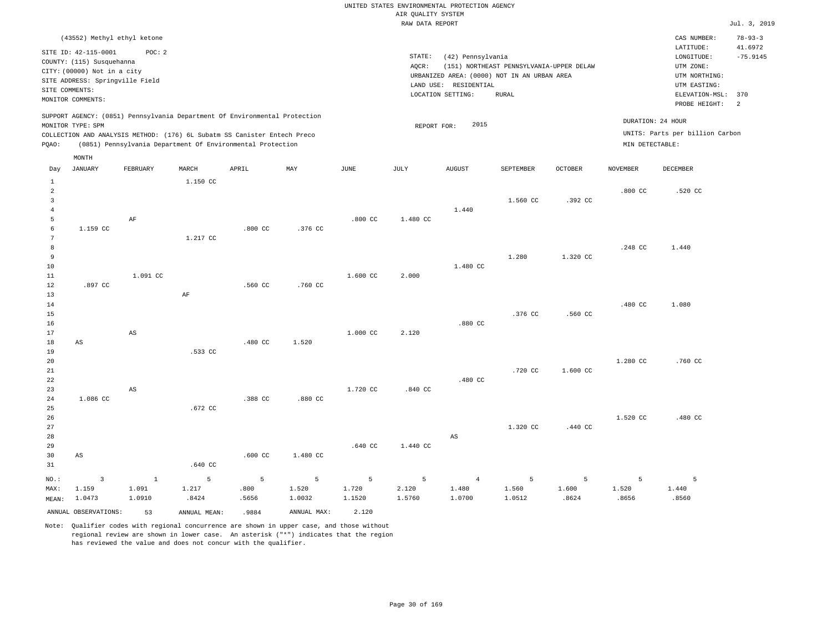|                |                                 |                        |              |                                                                            |             |                    | RAW DATA REPORT |                        |                                             |                |                    |                                 | Jul. 3, 2019   |
|----------------|---------------------------------|------------------------|--------------|----------------------------------------------------------------------------|-------------|--------------------|-----------------|------------------------|---------------------------------------------|----------------|--------------------|---------------------------------|----------------|
|                | (43552) Methyl ethyl ketone     |                        |              |                                                                            |             |                    |                 |                        |                                             |                |                    | CAS NUMBER:                     | $78 - 93 - 3$  |
|                |                                 |                        |              |                                                                            |             |                    |                 |                        |                                             |                |                    | LATITUDE:                       | 41.6972        |
|                | SITE ID: 42-115-0001            | POC: 2                 |              |                                                                            |             |                    | STATE:          | (42) Pennsylvania      |                                             |                |                    | LONGITUDE:                      | $-75.9145$     |
|                | COUNTY: (115) Susquehanna       |                        |              |                                                                            |             |                    | AQCR:           |                        | (151) NORTHEAST PENNSYLVANIA-UPPER DELAW    |                |                    | UTM ZONE:                       |                |
|                | CITY: (00000) Not in a city     |                        |              |                                                                            |             |                    |                 |                        | URBANIZED AREA: (0000) NOT IN AN URBAN AREA |                |                    | UTM NORTHING:                   |                |
|                | SITE ADDRESS: Springville Field |                        |              |                                                                            |             |                    |                 | LAND USE: RESIDENTIAL  |                                             |                |                    | UTM EASTING:                    |                |
|                | SITE COMMENTS:                  |                        |              |                                                                            |             |                    |                 | LOCATION SETTING:      | <b>RURAL</b>                                |                |                    | ELEVATION-MSL:                  | 370            |
|                | MONITOR COMMENTS:               |                        |              |                                                                            |             |                    |                 |                        |                                             |                |                    | PROBE HEIGHT:                   | $\overline{c}$ |
|                |                                 |                        |              | SUPPORT AGENCY: (0851) Pennsylvania Department Of Environmental Protection |             |                    |                 |                        |                                             |                |                    |                                 |                |
|                | MONITOR TYPE: SPM               |                        |              |                                                                            |             |                    | REPORT FOR:     | 2015                   |                                             |                |                    | DURATION: 24 HOUR               |                |
|                |                                 |                        |              | COLLECTION AND ANALYSIS METHOD: (176) 6L Subatm SS Canister Entech Preco   |             |                    |                 |                        |                                             |                |                    | UNITS: Parts per billion Carbon |                |
| PQAO:          |                                 |                        |              | (0851) Pennsylvania Department Of Environmental Protection                 |             |                    |                 |                        |                                             |                | MIN DETECTABLE:    |                                 |                |
|                | MONTH                           |                        |              |                                                                            |             |                    |                 |                        |                                             |                |                    |                                 |                |
| Day            | JANUARY                         | FEBRUARY               | MARCH        | APRIL                                                                      | MAY         | JUNE               | JULY            | AUGUST                 | SEPTEMBER                                   | <b>OCTOBER</b> | <b>NOVEMBER</b>    | DECEMBER                        |                |
| $\,$ 1         |                                 |                        | 1.150 CC     |                                                                            |             |                    |                 |                        |                                             |                |                    |                                 |                |
| $\overline{a}$ |                                 |                        |              |                                                                            |             |                    |                 |                        |                                             |                | .800 <sub>cc</sub> | .520 CC                         |                |
| $\overline{3}$ |                                 |                        |              |                                                                            |             |                    |                 |                        | 1.560 CC                                    | .392 CC        |                    |                                 |                |
| $\bf{4}$       |                                 |                        |              |                                                                            |             |                    |                 | 1.440                  |                                             |                |                    |                                 |                |
| 5              |                                 | $\rm AF$               |              |                                                                            |             | $.800$ CC          | 1.480 CC        |                        |                                             |                |                    |                                 |                |
| 6              | 1.159 CC                        |                        |              | $.800$ CC                                                                  | .376 CC     |                    |                 |                        |                                             |                |                    |                                 |                |
| 7              |                                 |                        | 1.217 CC     |                                                                            |             |                    |                 |                        |                                             |                |                    |                                 |                |
| 8<br>9         |                                 |                        |              |                                                                            |             |                    |                 |                        | 1.280                                       | 1.320 CC       | .248 CC            | 1.440                           |                |
| 10             |                                 |                        |              |                                                                            |             |                    |                 | 1.480 CC               |                                             |                |                    |                                 |                |
| $11\,$         |                                 | 1.091 CC               |              |                                                                            |             | 1.600 CC           | 2.000           |                        |                                             |                |                    |                                 |                |
| 12             | .897 CC                         |                        |              | .560 CC                                                                    | .760 CC     |                    |                 |                        |                                             |                |                    |                                 |                |
| 13             |                                 |                        | AF           |                                                                            |             |                    |                 |                        |                                             |                |                    |                                 |                |
| 14             |                                 |                        |              |                                                                            |             |                    |                 |                        |                                             |                | .480 CC            | 1.080                           |                |
| 15             |                                 |                        |              |                                                                            |             |                    |                 |                        | .376 CC                                     | .560 CC        |                    |                                 |                |
| 16             |                                 |                        |              |                                                                            |             |                    |                 | .880 CC                |                                             |                |                    |                                 |                |
| 17             |                                 | $\mathbb{A}\mathbb{S}$ |              |                                                                            |             | 1.000 CC           | 2.120           |                        |                                             |                |                    |                                 |                |
| 18             | AS                              |                        |              | .480 CC                                                                    | 1.520       |                    |                 |                        |                                             |                |                    |                                 |                |
| 19             |                                 |                        | .533 CC      |                                                                            |             |                    |                 |                        |                                             |                |                    |                                 |                |
| 20             |                                 |                        |              |                                                                            |             |                    |                 |                        |                                             |                | 1.280 CC           | .760 CC                         |                |
| 21             |                                 |                        |              |                                                                            |             |                    |                 |                        | .720 CC                                     | 1.600 CC       |                    |                                 |                |
| 22             |                                 |                        |              |                                                                            |             |                    |                 | .480 CC                |                                             |                |                    |                                 |                |
| 23             |                                 | AS                     |              |                                                                            |             | 1.720 CC           | .840 CC         |                        |                                             |                |                    |                                 |                |
| 24             | 1.086 CC                        |                        |              | .388 CC                                                                    | .880 CC     |                    |                 |                        |                                             |                |                    |                                 |                |
| 25             |                                 |                        | .672 CC      |                                                                            |             |                    |                 |                        |                                             |                |                    |                                 |                |
| 26             |                                 |                        |              |                                                                            |             |                    |                 |                        |                                             |                | 1.520 CC           | .480 CC                         |                |
| 27             |                                 |                        |              |                                                                            |             |                    |                 |                        | 1.320 CC                                    | .440 CC        |                    |                                 |                |
| 28             |                                 |                        |              |                                                                            |             |                    |                 | $\mathbb{A}\mathbb{S}$ |                                             |                |                    |                                 |                |
| 29             |                                 |                        |              |                                                                            |             | .640 <sub>CC</sub> | 1.440 CC        |                        |                                             |                |                    |                                 |                |
| 30             | AS                              |                        |              | .600 <sub>cc</sub>                                                         | 1.480 CC    |                    |                 |                        |                                             |                |                    |                                 |                |
| 31             |                                 |                        | .640 CC      |                                                                            |             |                    |                 |                        |                                             |                |                    |                                 |                |
| $NO.$ :        | $\overline{\mathbf{3}}$         | $\mathbf{1}$           | 5            | 5                                                                          | 5           | 5                  | 5               | $\overline{4}$         | 5                                           | 5              | 5                  | 5                               |                |
| MAX:           | 1.159                           | 1.091                  | 1.217        | .800                                                                       | 1.520       | 1.720              | 2.120           | 1.480                  | 1.560                                       | 1.600          | 1.520              | 1.440                           |                |
| MEAN:          | 1.0473                          | 1.0910                 | .8424        | .5656                                                                      | 1.0032      | 1.1520             | 1.5760          | 1.0700                 | 1.0512                                      | .8624          | .8656              | .8560                           |                |
|                | ANNUAL OBSERVATIONS:            | 53                     | ANNUAL MEAN: | .9884                                                                      | ANNUAL MAX: | 2.120              |                 |                        |                                             |                |                    |                                 |                |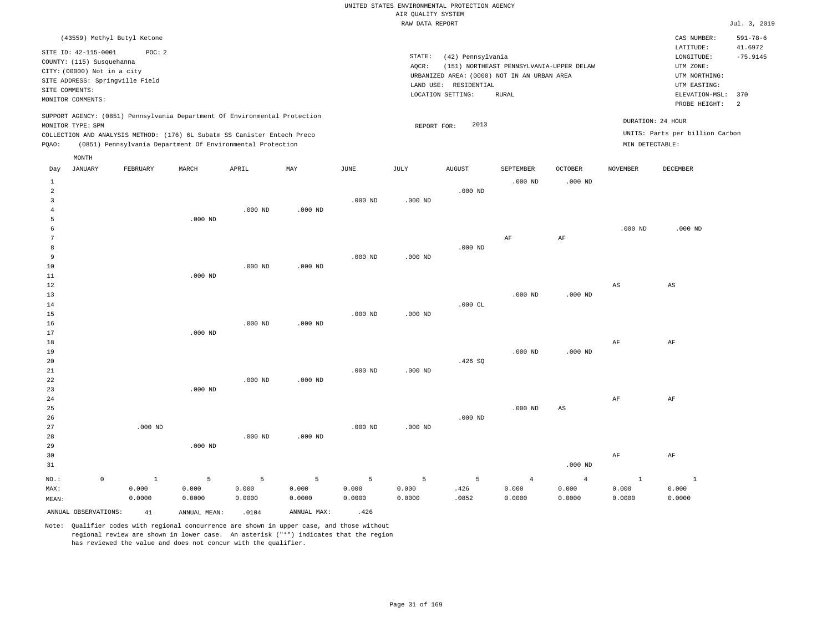| RAW DATA REPORT                                                                                                                             | Jul. 3, 2019                                |
|---------------------------------------------------------------------------------------------------------------------------------------------|---------------------------------------------|
| (43559) Methyl Butyl Ketone                                                                                                                 | $591 - 78 - 6$<br>CAS NUMBER:               |
| SITE ID: 42-115-0001<br>POC: 2                                                                                                              | 41.6972<br>LATITUDE:                        |
| STATE:<br>(42) Pennsylvania<br>COUNTY: (115) Susquehanna                                                                                    | $-75.9145$<br>LONGITUDE:                    |
| AQCR:<br>(151) NORTHEAST PENNSYLVANIA-UPPER DELAW<br>CITY: (00000) Not in a city                                                            | UTM ZONE:                                   |
| URBANIZED AREA: (0000) NOT IN AN URBAN AREA<br>SITE ADDRESS: Springville Field                                                              | UTM NORTHING:                               |
| LAND USE: RESIDENTIAL<br>SITE COMMENTS:                                                                                                     | UTM EASTING:                                |
| LOCATION SETTING:<br><b>RURAL</b><br>MONITOR COMMENTS:                                                                                      | ELEVATION-MSL:<br>370<br>2<br>PROBE HEIGHT: |
| SUPPORT AGENCY: (0851) Pennsylvania Department Of Environmental Protection                                                                  |                                             |
| DURATION: 24 HOUR<br>2013<br>MONITOR TYPE: SPM<br>REPORT FOR:                                                                               |                                             |
| COLLECTION AND ANALYSIS METHOD: (176) 6L Subatm SS Canister Entech Preco                                                                    | UNITS: Parts per billion Carbon             |
| (0851) Pennsylvania Department Of Environmental Protection<br>MIN DETECTABLE:<br>PQAO:                                                      |                                             |
| MONTH                                                                                                                                       |                                             |
| JANUARY<br>FEBRUARY<br>MARCH<br>APRIL<br>MAY<br>JUNE<br>JULY<br><b>AUGUST</b><br>SEPTEMBER<br>OCTOBER<br><b>NOVEMBER</b><br>DECEMBER<br>Day |                                             |
| $.000$ ND<br>$.000$ ND<br>$\mathbf{1}$                                                                                                      |                                             |
| $.000$ ND<br>$\mathfrak{D}$                                                                                                                 |                                             |
| $.000$ ND<br>$.000$ ND<br>3                                                                                                                 |                                             |
| $.000$ ND<br>$.000$ ND                                                                                                                      |                                             |
| $.000$ ND<br>5                                                                                                                              |                                             |
| $.000$ ND                                                                                                                                   | $.000$ ND                                   |
| AF<br>AF                                                                                                                                    |                                             |
| $.000$ ND<br>8                                                                                                                              |                                             |
| $.000$ ND<br>$.000$ ND<br>9                                                                                                                 |                                             |
| 10<br>$.000$ ND<br>$.000$ ND                                                                                                                |                                             |
| 11<br>$.000$ ND                                                                                                                             |                                             |
| 12<br>$\mathbb{A}\mathbb{S}$<br>AS                                                                                                          |                                             |
| 13<br>$.000$ ND<br>$.000$ ND                                                                                                                |                                             |
| $.000$ CL<br>14                                                                                                                             |                                             |
| $.000$ ND<br>15<br>$.000$ ND<br>16<br>$.000$ ND<br>$.000$ ND                                                                                |                                             |
| 17<br>$.000$ ND                                                                                                                             |                                             |
| AF<br>18<br>AF                                                                                                                              |                                             |
| 19<br>$.000$ ND<br>.000 <sub>ND</sub>                                                                                                       |                                             |
| 20<br>.426S                                                                                                                                 |                                             |
| $.000$ ND<br>21<br>$.000$ ND                                                                                                                |                                             |
| 22<br>$.000$ ND<br>$.000$ ND                                                                                                                |                                             |
| 23<br>$.000$ ND                                                                                                                             |                                             |
| 24<br>AF<br>AF                                                                                                                              |                                             |

25 26 27 28 29 30 .000 ND .000 ND .000 ND .000 ND .000 ND .000 ND .000 ND .000 ND AS AF AF

| ں ر                  |        |              |        |             |                |         |       |        |           | . The  | ru -   |
|----------------------|--------|--------------|--------|-------------|----------------|---------|-------|--------|-----------|--------|--------|
| 31                   |        |              |        |             |                |         |       |        | $.000$ ND |        |        |
| NO.:<br>$^{\circ}$   |        |              |        | $-5$        | 5 <sup>7</sup> | $5 - 5$ | -5.   |        |           |        |        |
| MAX:                 | 0.000  | 0.000        | 0.000  | 0.000       | 0.000          | 0.000   | .426  | 0.000  | 0.000     | 0.000  | 0.000  |
| MEAN:                | 0.0000 | 0.0000       | 0.0000 | 0.0000      | 0.0000         | 0.0000  | .0852 | 0.0000 | 0.0000    | 0.0000 | 0.0000 |
| ANNUAL OBSERVATIONS: | 41     | ANNUAL MEAN: | .0104  | ANNUAL MAX: | .426           |         |       |        |           |        |        |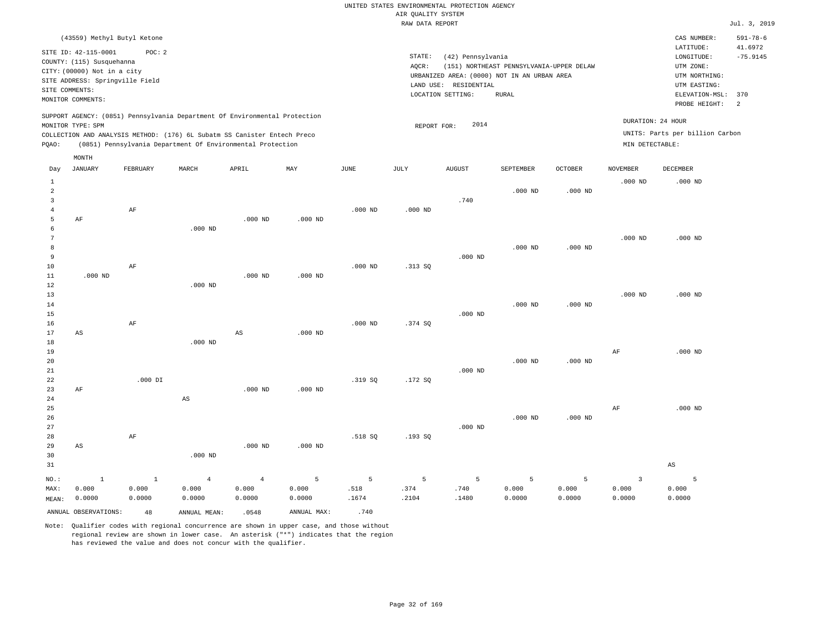|                                  |                                 |              |                                                                            |                |                |           | RAW DATA REPORT |                       |                                             |                |                 |                                 | Jul. 3, 2019   |
|----------------------------------|---------------------------------|--------------|----------------------------------------------------------------------------|----------------|----------------|-----------|-----------------|-----------------------|---------------------------------------------|----------------|-----------------|---------------------------------|----------------|
|                                  | (43559) Methyl Butyl Ketone     |              |                                                                            |                |                |           |                 |                       |                                             |                |                 | CAS NUMBER:                     | $591 - 78 - 6$ |
|                                  | SITE ID: 42-115-0001            | POC: 2       |                                                                            |                |                |           |                 |                       |                                             |                |                 | LATITUDE:                       | 41.6972        |
|                                  | COUNTY: (115) Susquehanna       |              |                                                                            |                |                |           | STATE:          | (42) Pennsylvania     |                                             |                |                 | LONGITUDE:                      | $-75.9145$     |
|                                  | CITY: (00000) Not in a city     |              |                                                                            |                |                |           | AOCR:           |                       | (151) NORTHEAST PENNSYLVANIA-UPPER DELAW    |                |                 | UTM ZONE:                       |                |
|                                  |                                 |              |                                                                            |                |                |           |                 |                       | URBANIZED AREA: (0000) NOT IN AN URBAN AREA |                |                 | UTM NORTHING:                   |                |
| SITE COMMENTS:                   | SITE ADDRESS: Springville Field |              |                                                                            |                |                |           |                 | LAND USE: RESIDENTIAL |                                             |                |                 | UTM EASTING:                    |                |
|                                  |                                 |              |                                                                            |                |                |           |                 | LOCATION SETTING:     | RURAL                                       |                |                 | ELEVATION-MSL:                  | 370            |
|                                  | MONITOR COMMENTS:               |              |                                                                            |                |                |           |                 |                       |                                             |                |                 | PROBE HEIGHT:                   | 2              |
|                                  |                                 |              | SUPPORT AGENCY: (0851) Pennsylvania Department Of Environmental Protection |                |                |           |                 |                       |                                             |                |                 | DURATION: 24 HOUR               |                |
|                                  | MONITOR TYPE: SPM               |              |                                                                            |                |                |           | REPORT FOR:     | 2014                  |                                             |                |                 | UNITS: Parts per billion Carbon |                |
|                                  |                                 |              | COLLECTION AND ANALYSIS METHOD: (176) 6L Subatm SS Canister Entech Preco   |                |                |           |                 |                       |                                             |                | MIN DETECTABLE: |                                 |                |
| PQAO:                            |                                 |              | (0851) Pennsylvania Department Of Environmental Protection                 |                |                |           |                 |                       |                                             |                |                 |                                 |                |
|                                  | MONTH                           |              |                                                                            |                |                |           |                 |                       |                                             |                |                 |                                 |                |
| Day                              | <b>JANUARY</b>                  | FEBRUARY     | MARCH                                                                      | APRIL          | MAY            | JUNE      | JULY            | <b>AUGUST</b>         | SEPTEMBER                                   | <b>OCTOBER</b> | <b>NOVEMBER</b> | DECEMBER                        |                |
| $\,1\,$                          |                                 |              |                                                                            |                |                |           |                 |                       |                                             |                | $.000$ ND       | $.000$ ND                       |                |
| $\overline{2}$                   |                                 |              |                                                                            |                |                |           |                 |                       | $.000$ ND                                   | $.000$ ND      |                 |                                 |                |
| $\overline{3}$<br>$\overline{4}$ |                                 |              |                                                                            |                |                | $.000$ ND | $.000$ ND       | .740                  |                                             |                |                 |                                 |                |
| 5                                | AF                              | AF           |                                                                            | $.000$ ND      | $.000$ ND      |           |                 |                       |                                             |                |                 |                                 |                |
| 6                                |                                 |              | $.000$ ND                                                                  |                |                |           |                 |                       |                                             |                |                 |                                 |                |
| $7\phantom{.0}$                  |                                 |              |                                                                            |                |                |           |                 |                       |                                             |                | $.000$ ND       | $.000$ ND                       |                |
| 8                                |                                 |              |                                                                            |                |                |           |                 |                       | $.000$ ND                                   | $.000$ ND      |                 |                                 |                |
| 9                                |                                 |              |                                                                            |                |                |           |                 | $.000$ ND             |                                             |                |                 |                                 |                |
| $10$                             |                                 | AF           |                                                                            |                |                | $.000$ ND | .313SQ          |                       |                                             |                |                 |                                 |                |
| 11                               | $.000$ ND                       |              |                                                                            | $.000$ ND      | $.000$ ND      |           |                 |                       |                                             |                |                 |                                 |                |
| 12                               |                                 |              | $.000$ ND                                                                  |                |                |           |                 |                       |                                             |                |                 |                                 |                |
| 13                               |                                 |              |                                                                            |                |                |           |                 |                       |                                             |                | $.000$ ND       | $.000$ ND                       |                |
| 14                               |                                 |              |                                                                            |                |                |           |                 |                       | $.000$ ND                                   | $.000$ ND      |                 |                                 |                |
| 15                               |                                 |              |                                                                            |                |                |           |                 | $.000$ ND             |                                             |                |                 |                                 |                |
| 16                               |                                 | AF           |                                                                            |                |                | $.000$ ND | .374 SQ         |                       |                                             |                |                 |                                 |                |
| 17                               | AS                              |              |                                                                            | AS             | $.000$ ND      |           |                 |                       |                                             |                |                 |                                 |                |
| 18                               |                                 |              | $.000$ ND                                                                  |                |                |           |                 |                       |                                             |                |                 |                                 |                |
| 19                               |                                 |              |                                                                            |                |                |           |                 |                       |                                             |                | $\rm AF$        | $.000$ ND                       |                |
| 20                               |                                 |              |                                                                            |                |                |           |                 |                       | $.000$ ND                                   | $.000$ ND      |                 |                                 |                |
| 21                               |                                 |              |                                                                            |                |                |           |                 | $.000$ ND             |                                             |                |                 |                                 |                |
| 22                               |                                 | $.000$ DI    |                                                                            |                |                | .319 SQ   | .172S           |                       |                                             |                |                 |                                 |                |
| 23                               | AF                              |              |                                                                            | $.000$ ND      | $.000$ ND      |           |                 |                       |                                             |                |                 |                                 |                |
| 24                               |                                 |              | $\mathbb{A}\mathbb{S}$                                                     |                |                |           |                 |                       |                                             |                |                 |                                 |                |
| 25                               |                                 |              |                                                                            |                |                |           |                 |                       |                                             |                | $\rm AF$        | $.000$ ND                       |                |
| 26                               |                                 |              |                                                                            |                |                |           |                 | $.000$ ND             | $.000$ ND                                   | $.000$ ND      |                 |                                 |                |
| 27                               |                                 |              |                                                                            |                |                |           |                 |                       |                                             |                |                 |                                 |                |
| 28                               |                                 | AF           |                                                                            |                |                | .518 SQ   | .193SQ          |                       |                                             |                |                 |                                 |                |
| 29<br>30                         | AS                              |              | $.000$ ND                                                                  | $.000$ ND      | $.000$ ND      |           |                 |                       |                                             |                |                 |                                 |                |
| 31                               |                                 |              |                                                                            |                |                |           |                 |                       |                                             |                |                 | AS                              |                |
|                                  |                                 |              |                                                                            |                |                |           |                 |                       |                                             |                |                 |                                 |                |
| NO.:                             | $\mathbf{1}$                    | $\mathbf{1}$ | $\overline{4}$                                                             | $\overline{4}$ | $\overline{5}$ | 5         | 5               | 5                     | 5                                           | 5              | $\overline{3}$  | 5                               |                |
| MAX:                             | 0.000                           | 0.000        | 0.000                                                                      | 0.000          | 0.000          | .518      | .374            | .740                  | 0.000                                       | 0.000          | 0.000           | 0.000                           |                |
| MEAN:                            | 0.0000                          | 0.0000       | 0.0000                                                                     | 0.0000         | 0.0000         | .1674     | .2104           | .1480                 | 0.0000                                      | 0.0000         | 0.0000          | 0.0000                          |                |
|                                  | ANNUAL OBSERVATIONS:            | 48           | ANNUAL MEAN:                                                               | .0548          | ANNUAL MAX:    | .740      |                 |                       |                                             |                |                 |                                 |                |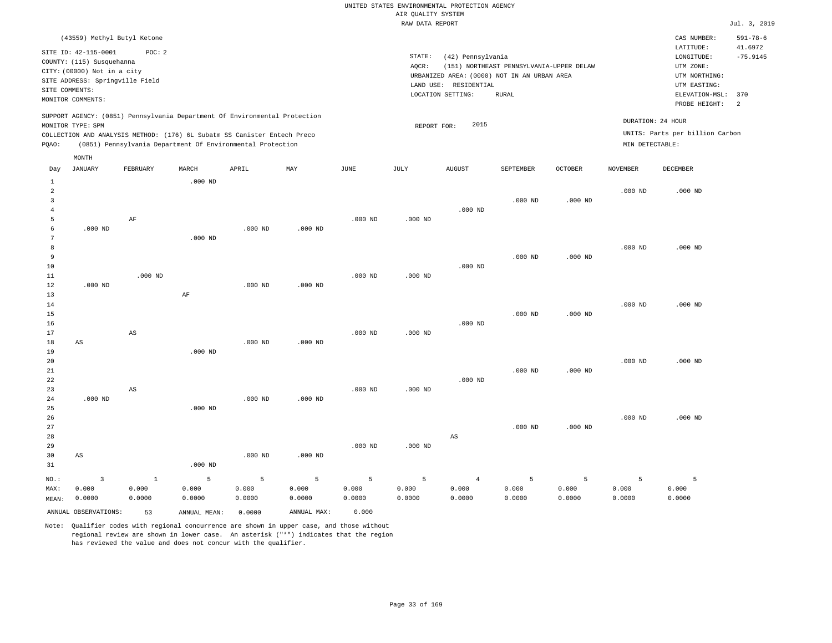|                |                                 |           |           |                                                                            |           |                    | RAW DATA REPORT |                       |                                             |                |                 |                                 | Jul. 3, 2019              |
|----------------|---------------------------------|-----------|-----------|----------------------------------------------------------------------------|-----------|--------------------|-----------------|-----------------------|---------------------------------------------|----------------|-----------------|---------------------------------|---------------------------|
|                | (43559) Methyl Butyl Ketone     |           |           |                                                                            |           |                    |                 |                       |                                             |                |                 | CAS NUMBER:<br>LATITUDE:        | $591 - 78 - 6$<br>41.6972 |
|                | SITE ID: 42-115-0001            | POC: 2    |           |                                                                            |           |                    | STATE:          | (42) Pennsylvania     |                                             |                |                 | LONGITUDE:                      | $-75.9145$                |
|                | COUNTY: (115) Susquehanna       |           |           |                                                                            |           |                    | AOCR:           |                       | (151) NORTHEAST PENNSYLVANIA-UPPER DELAW    |                |                 | UTM ZONE:                       |                           |
|                | CITY: (00000) Not in a city     |           |           |                                                                            |           |                    |                 |                       | URBANIZED AREA: (0000) NOT IN AN URBAN AREA |                |                 | UTM NORTHING:                   |                           |
|                | SITE ADDRESS: Springville Field |           |           |                                                                            |           |                    |                 | LAND USE: RESIDENTIAL |                                             |                |                 | UTM EASTING:                    |                           |
|                | SITE COMMENTS:                  |           |           |                                                                            |           |                    |                 | LOCATION SETTING:     | <b>RURAL</b>                                |                |                 | ELEVATION-MSL:                  | 370                       |
|                | MONITOR COMMENTS:               |           |           |                                                                            |           |                    |                 |                       |                                             |                |                 | PROBE HEIGHT:                   | $\overline{a}$            |
|                |                                 |           |           | SUPPORT AGENCY: (0851) Pennsylvania Department Of Environmental Protection |           |                    |                 |                       |                                             |                |                 | DURATION: 24 HOUR               |                           |
|                | MONITOR TYPE: SPM               |           |           |                                                                            |           |                    | REPORT FOR:     | 2015                  |                                             |                |                 | UNITS: Parts per billion Carbon |                           |
|                |                                 |           |           | COLLECTION AND ANALYSIS METHOD: (176) 6L Subatm SS Canister Entech Preco   |           |                    |                 |                       |                                             |                |                 |                                 |                           |
| PQAO:          |                                 |           |           | (0851) Pennsylvania Department Of Environmental Protection                 |           |                    |                 |                       |                                             |                | MIN DETECTABLE: |                                 |                           |
| Day            | MONTH<br><b>JANUARY</b>         | FEBRUARY  | MARCH     | APRIL                                                                      | MAY       | JUNE               | JULY            | <b>AUGUST</b>         | SEPTEMBER                                   | <b>OCTOBER</b> | <b>NOVEMBER</b> | <b>DECEMBER</b>                 |                           |
| 1              |                                 |           | $.000$ ND |                                                                            |           |                    |                 |                       |                                             |                |                 |                                 |                           |
| 2              |                                 |           |           |                                                                            |           |                    |                 |                       |                                             |                | $.000$ ND       | $.000$ ND                       |                           |
| 3              |                                 |           |           |                                                                            |           |                    |                 |                       | $.000$ ND                                   | $.000$ ND      |                 |                                 |                           |
| $\overline{4}$ |                                 |           |           |                                                                            |           |                    |                 | $.000$ ND             |                                             |                |                 |                                 |                           |
| 5              |                                 | AF        |           |                                                                            |           | .000 <sub>ND</sub> | $.000$ ND       |                       |                                             |                |                 |                                 |                           |
| 6              | $.000$ ND                       |           |           | $.000$ ND                                                                  | $.000$ ND |                    |                 |                       |                                             |                |                 |                                 |                           |
| 7              |                                 |           | $.000$ ND |                                                                            |           |                    |                 |                       |                                             |                |                 |                                 |                           |
| 8              |                                 |           |           |                                                                            |           |                    |                 |                       |                                             |                | $.000$ ND       | $.000$ ND                       |                           |
| 9              |                                 |           |           |                                                                            |           |                    |                 | $.000$ ND             | $.000$ ND                                   | $.000$ ND      |                 |                                 |                           |
| 10<br>11       |                                 | $.000$ ND |           |                                                                            |           | $.000$ ND          | $.000$ ND       |                       |                                             |                |                 |                                 |                           |
| 12             | $.000$ ND                       |           |           | $.000$ ND                                                                  | $.000$ ND |                    |                 |                       |                                             |                |                 |                                 |                           |
| 13             |                                 |           | AF        |                                                                            |           |                    |                 |                       |                                             |                |                 |                                 |                           |
| 14             |                                 |           |           |                                                                            |           |                    |                 |                       |                                             |                | $.000$ ND       | $.000$ ND                       |                           |
| 15             |                                 |           |           |                                                                            |           |                    |                 |                       | $.000$ ND                                   | $.000$ ND      |                 |                                 |                           |
| 16             |                                 |           |           |                                                                            |           |                    |                 | $.000$ ND             |                                             |                |                 |                                 |                           |
| 17             |                                 | AS        |           |                                                                            |           | $.000$ ND          | $.000$ ND       |                       |                                             |                |                 |                                 |                           |
| 18             | AS                              |           |           | $.000$ ND                                                                  | $.000$ ND |                    |                 |                       |                                             |                |                 |                                 |                           |
| 19             |                                 |           | $.000$ ND |                                                                            |           |                    |                 |                       |                                             |                |                 |                                 |                           |
| 20             |                                 |           |           |                                                                            |           |                    |                 |                       |                                             |                | $.000$ ND       | $.000$ ND                       |                           |
| 21             |                                 |           |           |                                                                            |           |                    |                 |                       | $.000$ ND                                   | $.000$ ND      |                 |                                 |                           |
| 22             |                                 |           |           |                                                                            |           |                    |                 | $.000$ ND             |                                             |                |                 |                                 |                           |
| 23             |                                 | AS        |           |                                                                            |           | $.000$ ND          | $.000$ ND       |                       |                                             |                |                 |                                 |                           |
| 24             | $.000$ ND                       |           |           | $.000$ ND                                                                  | $.000$ ND |                    |                 |                       |                                             |                |                 |                                 |                           |
| 25             |                                 |           | $.000$ ND |                                                                            |           |                    |                 |                       |                                             |                |                 |                                 |                           |
| 26             |                                 |           |           |                                                                            |           |                    |                 |                       | $.000$ ND                                   |                | $.000$ ND       | $.000$ ND                       |                           |
| 27<br>28       |                                 |           |           |                                                                            |           |                    |                 | AS                    |                                             | $.000$ ND      |                 |                                 |                           |
| 29             |                                 |           |           |                                                                            |           | $.000$ ND          | $.000$ ND       |                       |                                             |                |                 |                                 |                           |
| 30             | AS                              |           |           | $.000$ ND                                                                  | $.000$ ND |                    |                 |                       |                                             |                |                 |                                 |                           |
| 31             |                                 |           | $.000$ ND |                                                                            |           |                    |                 |                       |                                             |                |                 |                                 |                           |
|                |                                 |           |           |                                                                            |           |                    |                 |                       |                                             |                |                 |                                 |                           |

| NO.:  |                      |        | $\mathcal{D}$ | $5^{\circ}$ |             |        | 5.     | 4      |        |        |        |        |
|-------|----------------------|--------|---------------|-------------|-------------|--------|--------|--------|--------|--------|--------|--------|
| MAX:  | 0.000                | 0.000  | 0.000         | 0.000       | 0.000       | 0.000  | 0.000  | 0.000  | 0.000  | 0.000  | 0.000  | 0.000  |
| MEAN: | 0.0000               | 0.0000 | 0.0000        | 0.0000      | 0.0000      | 0.0000 | 0.0000 | 0.0000 | 0.0000 | 0.0000 | 0.0000 | 0.0000 |
|       | ANNUAL OBSERVATIONS: | 53     | ANNUAL MEAN:  | 0.0000      | ANNUAL MAX: | 0.000  |        |        |        |        |        |        |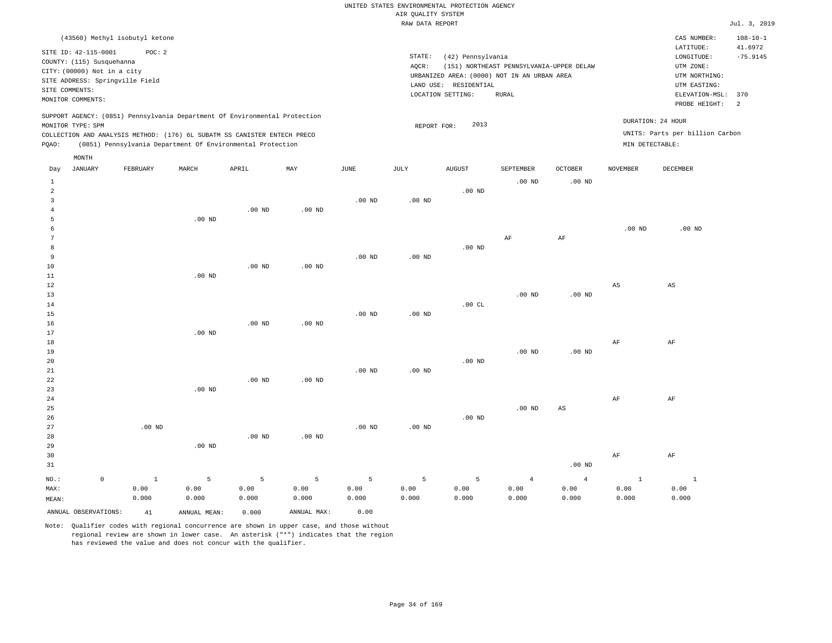| (43560) Methyl isobutyl ketone                                                                                                                                                       |          |       |                                                            |     |          |                 |                                                                                                                                                               |           |                                                                                                          |                                              | CAS NUMBER:                                                             | $108 - 10 - 1$ |
|--------------------------------------------------------------------------------------------------------------------------------------------------------------------------------------|----------|-------|------------------------------------------------------------|-----|----------|-----------------|---------------------------------------------------------------------------------------------------------------------------------------------------------------|-----------|----------------------------------------------------------------------------------------------------------|----------------------------------------------|-------------------------------------------------------------------------|----------------|
| SITE ID: 42-115-0001<br>POC: 2<br>COUNTY: (115) Susquehanna<br>CITY: (00000) Not in a city<br>SITE ADDRESS: Springville Field<br>SITE COMMENTS:<br>MONITOR COMMENTS:                 |          |       |                                                            |     |          | STATE:<br>AOCR: | (42) Pennsylvania<br>(151) NORTHEAST PENNSYLVANIA-UPPER DELAW<br>URBANIZED AREA: (0000) NOT IN AN URBAN AREA<br>RESIDENTIAL<br>LAND USE:<br>LOCATION SETTING: |           | LATITUDE:<br>LONGITUDE:<br>UTM ZONE:<br>UTM NORTHING:<br>UTM EASTING:<br>ELEVATION-MSL:<br>PROBE HEIGHT: | 41.6972<br>$-75.9145$<br>370<br><sup>2</sup> |                                                                         |                |
| SUPPORT AGENCY: (0851) Pennsylvania Department Of Environmental Protection<br>MONITOR TYPE: SPM<br>COLLECTION AND ANALYSIS METHOD: (176) 6L SUBATM SS CANISTER ENTECH PRECO<br>POAO: |          |       | (0851) Pennsylvania Department Of Environmental Protection |     |          |                 | 2013<br>REPORT FOR:                                                                                                                                           |           |                                                                                                          |                                              | DURATION: 24 HOUR<br>UNITS: Parts per billion Carbon<br>MIN DETECTABLE: |                |
| MONTH<br>JANUARY<br>Day                                                                                                                                                              | FEBRUARY | MARCH | APRIL                                                      | MAY | JUNE     | JULY            | <b>AUGUST</b>                                                                                                                                                 | SEPTEMBER | <b>OCTOBER</b>                                                                                           | NOVEMBER                                     | DECEMBER                                                                |                |
|                                                                                                                                                                                      |          |       |                                                            |     | $.00$ ND | $.00$ ND        | $.00$ ND                                                                                                                                                      | $.00$ ND  | $.00$ ND                                                                                                 |                                              |                                                                         |                |

|    | $.00$ ND |          |          |          |    |           |          |          |
|----|----------|----------|----------|----------|----|-----------|----------|----------|
| h  |          |          |          |          |    |           | $.00$ ND | $.00$ ND |
|    |          |          |          |          | AF | $\rm{AF}$ |          |          |
| -8 |          |          |          | $.00$ ND |    |           |          |          |
|    |          | $.00$ ND | $.00$ ND |          |    |           |          |          |

| 10          |          |          | $.00$ ND | $.00$ ND |          |          |          |          |          |           |          |
|-------------|----------|----------|----------|----------|----------|----------|----------|----------|----------|-----------|----------|
| 11          |          | $.00$ ND |          |          |          |          |          |          |          |           |          |
| 12          |          |          |          |          |          |          |          |          |          | AS        | AS       |
| 13          |          |          |          |          |          |          |          | $.00$ ND | .00 $ND$ |           |          |
| 14          |          |          |          |          |          |          | .00 $CL$ |          |          |           |          |
| 15          |          |          |          |          | $.00$ ND | .00 $ND$ |          |          |          |           |          |
| 16          |          |          | $.00$ ND | $.00$ ND |          |          |          |          |          |           |          |
| 17          |          | $.00$ ND |          |          |          |          |          |          |          |           |          |
| 18          |          |          |          |          |          |          |          |          |          | $\rm{AF}$ | $\rm AF$ |
| 19          |          |          |          |          |          |          |          | $.00$ ND | .00 $ND$ |           |          |
| 20          |          |          |          |          |          |          | $.00$ ND |          |          |           |          |
| $2\sqrt{1}$ |          |          |          |          | $.00$ ND | $.00$ ND |          |          |          |           |          |
| 22          |          |          | $.00$ ND | $.00$ ND |          |          |          |          |          |           |          |
| 23          |          | $.00$ ND |          |          |          |          |          |          |          |           |          |
| 24          |          |          |          |          |          |          |          |          |          | $\rm{AF}$ | $\rm AF$ |
| 25          |          |          |          |          |          |          |          | $.00$ ND | AS       |           |          |
| 26          |          |          |          |          |          |          | $.00$ ND |          |          |           |          |
| 27          | $.00$ ND |          |          |          | $.00$ ND | .00 $ND$ |          |          |          |           |          |
| 28          |          |          | $.00$ ND | $.00$ ND |          |          |          |          |          |           |          |
| 29          |          | $.00$ ND |          |          |          |          |          |          |          |           |          |
| 30          |          |          |          |          |          |          |          |          |          | AF        | AF       |

| ---                  |       |              |       |             |       |       |       |       |          | $\overline{\phantom{a}}$ | $\ddotsc$ |
|----------------------|-------|--------------|-------|-------------|-------|-------|-------|-------|----------|--------------------------|-----------|
| 31                   |       |              |       |             |       |       |       |       | $.00$ ND |                          |           |
| NO.:                 |       |              |       | Б.          |       |       |       |       |          |                          |           |
| MAX:                 | 0.00  | 0.00         | 0.00  | 0.00        | 0.00  | 0.00  | 0.00  | 0.00  | 0.00     | 0.00                     | 0.00      |
| MEAN:                | 0.000 | 0.000        | 0.000 | 0.000       | 0.000 | 0.000 | 0.000 | 0.000 | 0.000    | 0.000                    | 0.000     |
| ANNUAL OBSERVATIONS: | 41    | ANNUAL MEAN: | 0.000 | ANNUAL MAX: | 0.00  |       |       |       |          |                          |           |

Note: Qualifier codes with regional concurrence are shown in upper case, and those without regional review are shown in lower case. An asterisk ("\*") indicates that the region has reviewed the value and does not concur with the qualifier.

.00 ND

.00 ND

4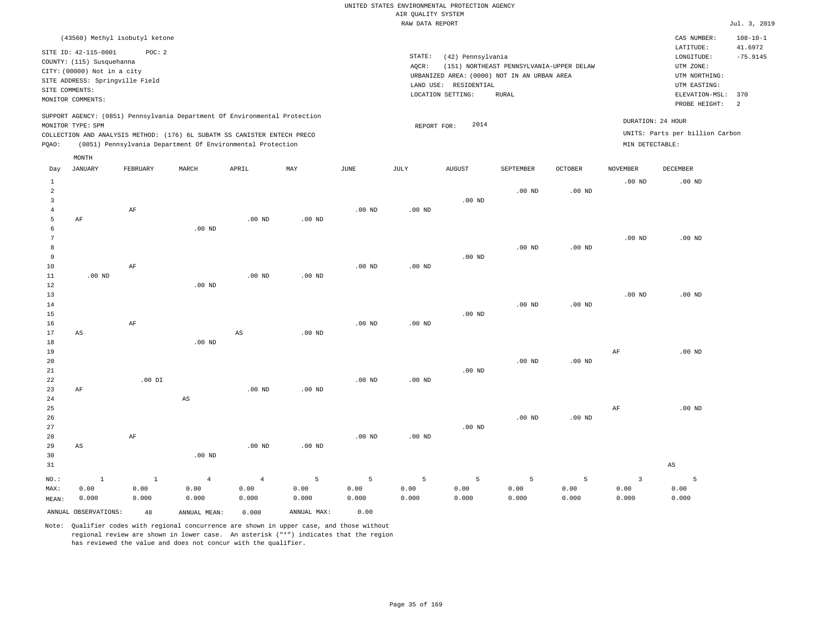|                                                                                                                                                                                        | CAS NUMBER:                                                                            | $108 - 10 - 1$                                        |
|----------------------------------------------------------------------------------------------------------------------------------------------------------------------------------------|----------------------------------------------------------------------------------------|-------------------------------------------------------|
| STATE:<br>(42) Pennsylvania<br>AOCR:<br>(151) NORTHEAST PENNSYLVANIA-UPPER DELAW<br>URBANIZED AREA: (0000) NOT IN AN URBAN AREA<br>LAND USE: RESIDENTIAL<br>LOCATION SETTING:<br>RURAL | LATITUDE:<br>LONGITUDE:<br>UTM ZONE:<br>UTM NORTHING:<br>UTM EASTING:<br>PROBE HEIGHT: | 41.6972<br>$-75.9145$<br>$\overline{2}$               |
| 2014<br>REPORT FOR:                                                                                                                                                                    | DURATION: 24 HOUR<br>MIN DETECTABLE:                                                   |                                                       |
|                                                                                                                                                                                        |                                                                                        | ELEVATION-MSL: 370<br>UNITS: Parts per billion Carbon |

| Day                    | <b>JANUARY</b>       | ${\tt FEBRUARY}$     | $\tt MARCH$            | APRIL                  | MAY            | JUNE     | $\mathtt{JULY}$ | ${\tt AUGUST}$    | SEPTEMBER   | $\mathtt{OCTOBER}$ | $\,$ NOVEMBER           | DECEMBER          |
|------------------------|----------------------|----------------------|------------------------|------------------------|----------------|----------|-----------------|-------------------|-------------|--------------------|-------------------------|-------------------|
| $\mathbf{1}$           |                      |                      |                        |                        |                |          |                 |                   |             |                    | $.00$ ND                | .00 <sub>ND</sub> |
| $\sqrt{2}$<br>3        |                      |                      |                        |                        |                |          |                 | $.00$ ND          | $.00$ ND    | $.00$ ND           |                         |                   |
| $\overline{4}$         |                      | $\rm AF$             |                        |                        |                | $.00$ ND | $.00$ ND        |                   |             |                    |                         |                   |
| 5                      | AF                   |                      |                        | .00 <sub>ND</sub>      | $.00$ ND       |          |                 |                   |             |                    |                         |                   |
| 6                      |                      |                      | $.00$ ND               |                        |                |          |                 |                   |             |                    |                         |                   |
| 7                      |                      |                      |                        |                        |                |          |                 |                   |             |                    | $.00$ ND                | $.00$ ND          |
| 8                      |                      |                      |                        |                        |                |          |                 |                   | $.00$ ND    | $.00$ ND           |                         |                   |
| $\overline{9}$         |                      |                      |                        |                        |                |          |                 | $.00$ ND          |             |                    |                         |                   |
| 10                     |                      | $\rm AF$             |                        |                        |                | $.00$ ND | $.00$ ND        |                   |             |                    |                         |                   |
| 11                     | .00 $ND$             |                      |                        | .00 <sub>ND</sub>      | $.00$ ND       |          |                 |                   |             |                    |                         |                   |
| 12                     |                      |                      | $.00$ ND               |                        |                |          |                 |                   |             |                    |                         |                   |
| 13                     |                      |                      |                        |                        |                |          |                 |                   |             |                    | $.00$ ND                | $.00$ ND          |
| 14                     |                      |                      |                        |                        |                |          |                 |                   | $.00$ ND    | $.00$ ND           |                         |                   |
| 15                     |                      |                      |                        |                        |                |          |                 | .00 $ND$          |             |                    |                         |                   |
| 16                     |                      | $\rm AF$             |                        |                        |                | $.00$ ND | $.00$ ND        |                   |             |                    |                         |                   |
| 17                     | AS                   |                      |                        | $_{\rm AS}$            | $.00$ ND       |          |                 |                   |             |                    |                         |                   |
| 18                     |                      |                      | $.00$ ND               |                        |                |          |                 |                   |             |                    |                         |                   |
| 19                     |                      |                      |                        |                        |                |          |                 |                   |             |                    | $\rm{AF}$               | .00 <sub>ND</sub> |
| 20                     |                      |                      |                        |                        |                |          |                 |                   | $.00$ ND    | $.00$ ND           |                         |                   |
| 21                     |                      |                      |                        |                        |                |          |                 | $.00$ ND          |             |                    |                         |                   |
| $2\sqrt{2}$            |                      | .00 DI               |                        |                        |                | $.00$ ND | $.00$ ND        |                   |             |                    |                         |                   |
| 23                     | AF                   |                      |                        | $.00$ ND               | $.00$ ND       |          |                 |                   |             |                    |                         |                   |
| 24                     |                      |                      | $\mathbb{A}\mathbb{S}$ |                        |                |          |                 |                   |             |                    | $\rm AF$                | $.00$ ND          |
| 25<br>$26\,$           |                      |                      |                        |                        |                |          |                 |                   | $.00$ ND    | $.00$ ND           |                         |                   |
| 27                     |                      |                      |                        |                        |                |          |                 | $.00~\mathrm{ND}$ |             |                    |                         |                   |
| 28                     |                      | $\rm AF$             |                        |                        |                | $.00$ ND | $.00$ ND        |                   |             |                    |                         |                   |
| 29                     | AS                   |                      |                        | .00 $ND$               | $.00$ ND       |          |                 |                   |             |                    |                         |                   |
| 30                     |                      |                      | $.00$ ND               |                        |                |          |                 |                   |             |                    |                         |                   |
| 31                     |                      |                      |                        |                        |                |          |                 |                   |             |                    |                         | AS                |
|                        |                      |                      |                        |                        | $\overline{5}$ | 5        | $\mathsf S$     | 5                 | $\mathsf S$ | 5                  | $\overline{\mathbf{3}}$ | 5                 |
| $_{\rm NO.}$ :<br>MAX: | $\,$ 1<br>0.00       | $\mathbf{1}$<br>0.00 | $\overline{4}$<br>0.00 | $\overline{4}$<br>0.00 | 0.00           | 0.00     | 0.00            | 0.00              | 0.00        | 0.00               | 0.00                    | 0.00              |
| MEAN:                  | 0.000                | 0.000                | 0.000                  | 0.000                  | 0.000          | 0.000    | 0.000           | 0.000             | 0.000       | 0.000              | 0.000                   | 0.000             |
|                        | ANNUAL OBSERVATIONS: | 48                   | ANNUAL MEAN:           | 0.000                  | ANNUAL MAX:    | 0.00     |                 |                   |             |                    |                         |                   |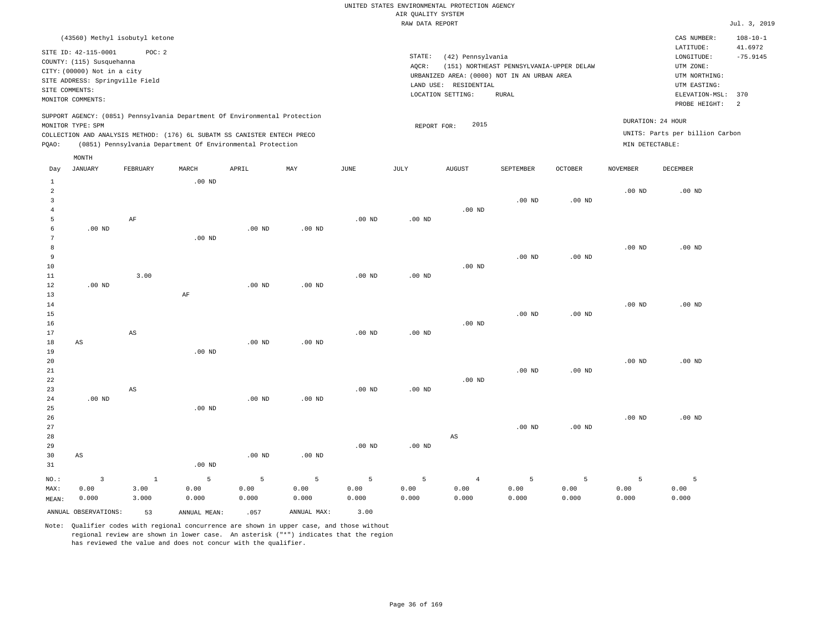| (43560) Methyl isobutyl ketone                                                                                                                                                                                                                     |                                                                                                                                                                                        | $108 - 10 - 1$<br>CAS NUMBER:                                                                                                         |
|----------------------------------------------------------------------------------------------------------------------------------------------------------------------------------------------------------------------------------------------------|----------------------------------------------------------------------------------------------------------------------------------------------------------------------------------------|---------------------------------------------------------------------------------------------------------------------------------------|
| SITE ID: 42-115-0001<br>POC:2<br>COUNTY: (115) Susquehanna<br>CITY: (00000) Not in a city<br>SITE ADDRESS: Springville Field<br>SITE COMMENTS:<br>MONITOR COMMENTS:                                                                                | STATE:<br>(42) Pennsylvania<br>(151) NORTHEAST PENNSYLVANIA-UPPER DELAW<br>AOCR:<br>URBANIZED AREA: (0000) NOT IN AN URBAN AREA<br>LAND USE: RESIDENTIAL<br>LOCATION SETTING:<br>RURAL | LATITUDE:<br>41.6972<br>$-75.9145$<br>LONGITUDE:<br>UTM ZONE:<br>UTM NORTHING:<br>UTM EASTING:<br>ELEVATION-MSL: 370<br>PROBE HEIGHT: |
| SUPPORT AGENCY: (0851) Pennsylvania Department Of Environmental Protection<br>MONITOR TYPE: SPM<br>COLLECTION AND ANALYSIS METHOD: (176) 6L SUBATM SS CANISTER ENTECH PRECO<br>(0851) Pennsylvania Department Of Environmental Protection<br>POAO: | 2015<br>REPORT FOR:                                                                                                                                                                    | DURATION: 24 HOUR<br>UNITS: Parts per billion Carbon<br>MIN DETECTABLE:                                                               |

| Day                 | JANUARY                | FEBRUARY               | $\tt MARCH$  | APRIL    | MAY               | JUNE     | JULY           | AUGUST                 | SEPTEMBER         | OCTOBER           | <b>NOVEMBER</b> | DECEMBER |
|---------------------|------------------------|------------------------|--------------|----------|-------------------|----------|----------------|------------------------|-------------------|-------------------|-----------------|----------|
| 1                   |                        |                        | $.00$ ND     |          |                   |          |                |                        |                   |                   |                 |          |
| $\overline{c}$      |                        |                        |              |          |                   |          |                |                        |                   |                   | $.00$ ND        | $.00$ ND |
| 3                   |                        |                        |              |          |                   |          |                |                        | .00 <sub>ND</sub> | .00 <sub>ND</sub> |                 |          |
| $\overline{4}$<br>5 |                        | $\rm AF$               |              |          |                   | $.00$ ND | $.00$ ND       | $.00$ ND               |                   |                   |                 |          |
| 6                   | $.00$ ND               |                        |              | $.00$ ND | $.00$ ND          |          |                |                        |                   |                   |                 |          |
| 7                   |                        |                        | $.00$ ND     |          |                   |          |                |                        |                   |                   |                 |          |
| 8                   |                        |                        |              |          |                   |          |                |                        |                   |                   | $.00$ ND        | $.00$ ND |
| 9                   |                        |                        |              |          |                   |          |                |                        | $.00$ ND          | .00 <sub>ND</sub> |                 |          |
| 10                  |                        |                        |              |          |                   |          |                | $.00$ ND               |                   |                   |                 |          |
| 11                  |                        | 3.00                   |              |          |                   | $.00$ ND | .00 $ND$       |                        |                   |                   |                 |          |
| 12                  | $.00$ ND               |                        |              | $.00$ ND | .00 <sub>ND</sub> |          |                |                        |                   |                   |                 |          |
| 13                  |                        |                        | $\rm AF$     |          |                   |          |                |                        |                   |                   |                 |          |
| 14                  |                        |                        |              |          |                   |          |                |                        |                   |                   | $.00$ ND        | $.00$ ND |
| 15                  |                        |                        |              |          |                   |          |                |                        | $.00$ ND          | .00 <sub>ND</sub> |                 |          |
| 16                  |                        |                        |              |          |                   |          |                | $.00$ ND               |                   |                   |                 |          |
| 17<br>18            | $\mathbb{A}\mathbb{S}$ | $\mathbb{A}\mathbb{S}$ |              | $.00$ ND | .00 <sub>ND</sub> | $.00$ ND | $.00$ ND       |                        |                   |                   |                 |          |
| 19                  |                        |                        | $.00$ ND     |          |                   |          |                |                        |                   |                   |                 |          |
| 20                  |                        |                        |              |          |                   |          |                |                        |                   |                   | $.00$ ND        | $.00$ ND |
| 21                  |                        |                        |              |          |                   |          |                |                        | $.00$ ND          | .00 <sub>ND</sub> |                 |          |
| 22                  |                        |                        |              |          |                   |          |                | $.00$ ND               |                   |                   |                 |          |
| 23                  |                        | $\mathbb{A}\mathbb{S}$ |              |          |                   | $.00$ ND | $.00$ ND       |                        |                   |                   |                 |          |
| 24                  | $.00$ ND               |                        |              | $.00$ ND | $.00$ ND          |          |                |                        |                   |                   |                 |          |
| 25                  |                        |                        | $.00$ ND     |          |                   |          |                |                        |                   |                   |                 |          |
| 26                  |                        |                        |              |          |                   |          |                |                        |                   |                   | $.00$ ND        | $.00$ ND |
| 27                  |                        |                        |              |          |                   |          |                |                        | $.00$ ND          | $.00$ ND          |                 |          |
| 28                  |                        |                        |              |          |                   |          |                | $\mathbb{A}\mathbb{S}$ |                   |                   |                 |          |
| 29                  |                        |                        |              |          |                   | $.00$ ND | $.00$ ND       |                        |                   |                   |                 |          |
| 30<br>31            | $\mathbb{A}\mathbb{S}$ |                        | $.00$ ND     | $.00$ ND | $.00$ ND          |          |                |                        |                   |                   |                 |          |
|                     |                        |                        |              |          |                   |          |                |                        |                   |                   |                 |          |
| NO.:                | $\overline{3}$         | $\mathbf{1}$           | 5            | 5        | $\overline{5}$    | 5        | $\overline{5}$ | $\overline{4}$         | 5                 | 5                 | 5               | 5        |
| MAX:                | 0.00                   | 3.00                   | 0.00         | 0.00     | 0.00              | 0.00     | 0.00           | 0.00                   | 0.00              | 0.00              | 0.00            | 0.00     |
| MEAN:               | 0.000                  | 3.000                  | 0.000        | 0.000    | 0.000             | 0.000    | 0.000          | 0.000                  | 0.000             | 0.000             | 0.000           | 0.000    |
|                     | ANNUAL OBSERVATIONS:   | 53                     | ANNUAL MEAN: | .057     | ANNUAL MAX:       | 3.00     |                |                        |                   |                   |                 |          |

Note: Qualifier codes with regional concurrence are shown in upper case, and those without regional review are shown in lower case. An asterisk ("\*") indicates that the region has reviewed the value and does not concur with the qualifier.

MONTH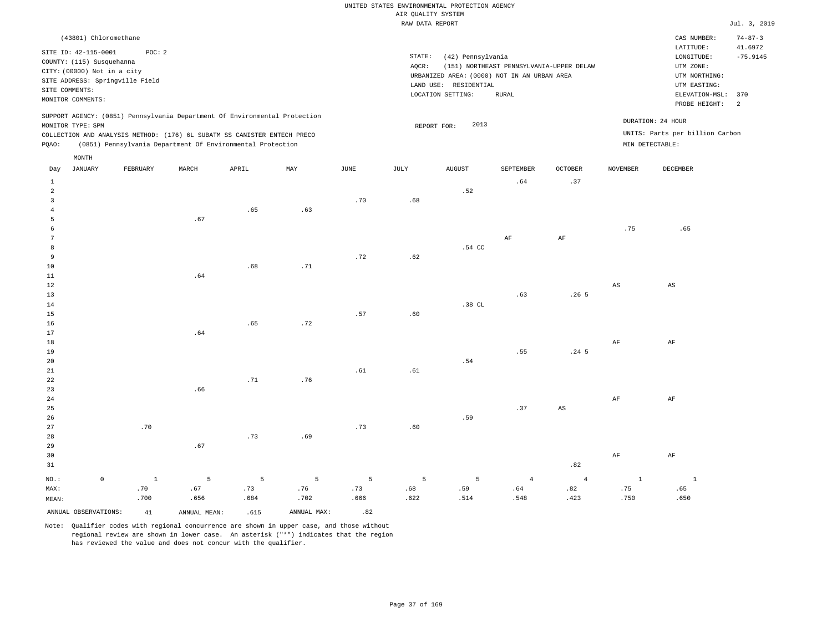|       |                                                                    |                                 |       |                                                                                                                                                                                                                      |     |      | RAW DATA REPORT |                                                                                 |                                          |                |                 |                                                                         | Jul. 3, 2019          |
|-------|--------------------------------------------------------------------|---------------------------------|-------|----------------------------------------------------------------------------------------------------------------------------------------------------------------------------------------------------------------------|-----|------|-----------------|---------------------------------------------------------------------------------|------------------------------------------|----------------|-----------------|-------------------------------------------------------------------------|-----------------------|
|       | (43801) Chloromethane                                              |                                 |       |                                                                                                                                                                                                                      |     |      |                 |                                                                                 |                                          |                |                 | CAS NUMBER:                                                             | $74 - 87 - 3$         |
|       | SITE ID: 42-115-0001<br>COUNTY: (115) Susquehanna                  | POC: 2                          |       |                                                                                                                                                                                                                      |     |      | STATE:<br>AOCR: | (42) Pennsylvania                                                               | (151) NORTHEAST PENNSYLVANIA-UPPER DELAW |                |                 | LATITUDE:<br>LONGITUDE:<br>UTM ZONE:                                    | 41.6972<br>$-75.9145$ |
|       | CITY: (00000) Not in a city<br>SITE COMMENTS:<br>MONITOR COMMENTS: | SITE ADDRESS: Springville Field |       |                                                                                                                                                                                                                      |     |      | LAND USE:       | URBANIZED AREA: (0000) NOT IN AN URBAN AREA<br>RESIDENTIAL<br>LOCATION SETTING: | <b>RURAL</b>                             |                |                 | UTM NORTHING:<br>UTM EASTING:<br>ELEVATION-MSL:<br>PROBE HEIGHT:        | 370<br>-2             |
| POAO: | MONITOR TYPE: SPM<br>MONTH                                         |                                 |       | SUPPORT AGENCY: (0851) Pennsylvania Department Of Environmental Protection<br>COLLECTION AND ANALYSIS METHOD: (176) 6L SUBATM SS CANISTER ENTECH PRECO<br>(0851) Pennsylvania Department Of Environmental Protection |     |      |                 | 2013<br>REPORT FOR:                                                             |                                          |                |                 | DURATION: 24 HOUR<br>UNITS: Parts per billion Carbon<br>MIN DETECTABLE: |                       |
| Day   | JANUARY                                                            | FEBRUARY                        | MARCH | APRIL                                                                                                                                                                                                                | MAY | JUNE | JULY            | <b>AUGUST</b>                                                                   | SEPTEMBER                                | <b>OCTOBER</b> | <b>NOVEMBER</b> | <b>DECEMBER</b>                                                         |                       |
|       |                                                                    |                                 |       |                                                                                                                                                                                                                      |     |      |                 | .52                                                                             | .64                                      | .37            |                 |                                                                         |                       |
|       |                                                                    |                                 |       |                                                                                                                                                                                                                      |     | .70  | .68             |                                                                                 |                                          |                |                 |                                                                         |                       |
|       |                                                                    |                                 | .67   | .65                                                                                                                                                                                                                  | .63 |      |                 |                                                                                 |                                          |                |                 |                                                                         |                       |
|       |                                                                    |                                 |       |                                                                                                                                                                                                                      |     |      |                 |                                                                                 |                                          |                | .75             | .65                                                                     |                       |
|       |                                                                    |                                 |       |                                                                                                                                                                                                                      |     |      |                 |                                                                                 | AF                                       | AF             |                 |                                                                         |                       |
| 8     |                                                                    |                                 |       |                                                                                                                                                                                                                      |     |      |                 | .54 CC                                                                          |                                          |                |                 |                                                                         |                       |

| 9           |     |     |     |     | .72 | .62 |          |     |                        |                        |                        |
|-------------|-----|-----|-----|-----|-----|-----|----------|-----|------------------------|------------------------|------------------------|
| 10          |     |     | .68 | .71 |     |     |          |     |                        |                        |                        |
| $11\,$      |     | .64 |     |     |     |     |          |     |                        |                        |                        |
| $12\,$      |     |     |     |     |     |     |          |     |                        | $\mathbb{A}\mathbb{S}$ | $\mathbb{A}\mathbb{S}$ |
| 13          |     |     |     |     |     |     |          | .63 | .265                   |                        |                        |
| 14          |     |     |     |     |     |     | $.38$ CL |     |                        |                        |                        |
| $15\,$      |     |     |     |     | .57 | .60 |          |     |                        |                        |                        |
| 16          |     |     | .65 | .72 |     |     |          |     |                        |                        |                        |
| 17          |     | .64 |     |     |     |     |          |     |                        |                        |                        |
| 18          |     |     |     |     |     |     |          |     |                        | $\rm{AF}$              | $\rm{AF}$              |
| $19$        |     |     |     |     |     |     |          | .55 | .24 <sub>5</sub>       |                        |                        |
| 20          |     |     |     |     |     |     | .54      |     |                        |                        |                        |
| $2\sqrt{1}$ |     |     |     |     | .61 | .61 |          |     |                        |                        |                        |
| $2\sqrt{2}$ |     |     | .71 | .76 |     |     |          |     |                        |                        |                        |
| 23          |     | .66 |     |     |     |     |          |     |                        |                        |                        |
| $2\sqrt{4}$ |     |     |     |     |     |     |          |     |                        | $\rm{AF}$              | $\rm{AF}$              |
| $25\,$      |     |     |     |     |     |     |          | .37 | $\mathbb{A}\mathbb{S}$ |                        |                        |
| 26          |     |     |     |     |     |     | .59      |     |                        |                        |                        |
| 27          | .70 |     |     |     | .73 | .60 |          |     |                        |                        |                        |
| 28          |     |     | .73 | .69 |     |     |          |     |                        |                        |                        |
| 29          |     | .67 |     |     |     |     |          |     |                        |                        |                        |
| 30          |     |     |     |     |     |     |          |     |                        | $\rm{AF}$              | $\rm{AF}$              |
| 31          |     |     |     |     |     |     |          |     | .82                    |                        |                        |

| NO.:                                 |      |      |      |                                     |      |           |      |      |      |      |
|--------------------------------------|------|------|------|-------------------------------------|------|-----------|------|------|------|------|
| MAX:<br>.70                          |      |      |      | .67 .73 .73 .73 .68 .59 .64 .82 .82 |      |           |      |      | .75  | .65  |
| MEAN:                                | .700 | .656 |      | .684 .702                           | .666 | .622 .514 | .548 | .423 | .750 | .650 |
| ANNUAL OBSERVATIONS: 41 ANNUAL MEAN: |      |      | .615 | ANNUAL MAX:                         |      |           |      |      |      |      |

Note: Qualifier codes with regional concurrence are shown in upper case, and those without regional review are shown in lower case. An asterisk ("\*") indicates that the region has reviewed the value and does not concur with the qualifier.

1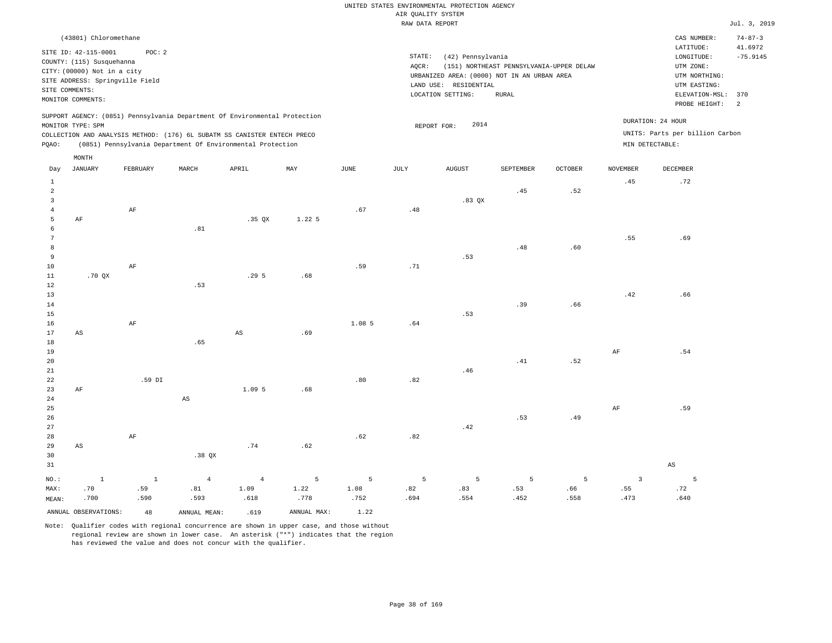|                |                                                          |                                 |       |                                                                            |          |        | RAW DATA REPORT |                       |                                             |                |                 |                                 | Jul. 3, 2019             |
|----------------|----------------------------------------------------------|---------------------------------|-------|----------------------------------------------------------------------------|----------|--------|-----------------|-----------------------|---------------------------------------------|----------------|-----------------|---------------------------------|--------------------------|
|                | (43801) Chloromethane                                    |                                 |       |                                                                            |          |        |                 |                       |                                             |                |                 | CAS NUMBER:<br>LATITUDE:        | $74 - 87 - 3$<br>41.6972 |
|                | SITE ID: 42-115-0001                                     | POC: 2                          |       |                                                                            |          |        | STATE:          | (42) Pennsylvania     |                                             |                |                 | LONGITUDE:                      | $-75.9145$               |
|                | COUNTY: (115) Susquehanna<br>CITY: (00000) Not in a city |                                 |       |                                                                            |          |        | AQCR:           |                       | (151) NORTHEAST PENNSYLVANIA-UPPER DELAW    |                |                 | UTM ZONE:                       |                          |
|                |                                                          | SITE ADDRESS: Springville Field |       |                                                                            |          |        |                 |                       | URBANIZED AREA: (0000) NOT IN AN URBAN AREA |                |                 | UTM NORTHING:                   |                          |
|                | SITE COMMENTS:                                           |                                 |       |                                                                            |          |        |                 | LAND USE: RESIDENTIAL |                                             |                |                 | UTM EASTING:                    |                          |
|                | MONITOR COMMENTS:                                        |                                 |       |                                                                            |          |        |                 | LOCATION SETTING:     | RURAL                                       |                |                 | ELEVATION-MSL:                  | 370                      |
|                |                                                          |                                 |       | SUPPORT AGENCY: (0851) Pennsylvania Department Of Environmental Protection |          |        |                 |                       |                                             |                |                 | PROBE HEIGHT:                   | $\overline{2}$           |
|                | MONITOR TYPE: SPM                                        |                                 |       |                                                                            |          |        |                 | 2014<br>REPORT FOR:   |                                             |                |                 | DURATION: 24 HOUR               |                          |
|                |                                                          |                                 |       | COLLECTION AND ANALYSIS METHOD: (176) 6L SUBATM SS CANISTER ENTECH PRECO   |          |        |                 |                       |                                             |                |                 | UNITS: Parts per billion Carbon |                          |
| PQAO:          |                                                          |                                 |       | (0851) Pennsylvania Department Of Environmental Protection                 |          |        |                 |                       |                                             |                |                 | MIN DETECTABLE:                 |                          |
|                | MONTH                                                    |                                 |       |                                                                            |          |        |                 |                       |                                             |                |                 |                                 |                          |
| Day            | JANUARY                                                  | FEBRUARY                        | MARCH | APRIL                                                                      | MAY      | JUNE   | JULY            | <b>AUGUST</b>         | SEPTEMBER                                   | <b>OCTOBER</b> | <b>NOVEMBER</b> | DECEMBER                        |                          |
| 1              |                                                          |                                 |       |                                                                            |          |        |                 |                       |                                             |                | .45             | .72                             |                          |
| $\overline{2}$ |                                                          |                                 |       |                                                                            |          |        |                 |                       | .45                                         | .52            |                 |                                 |                          |
| 3              |                                                          |                                 |       |                                                                            |          |        |                 | .83 QX                |                                             |                |                 |                                 |                          |
| $\overline{4}$ |                                                          | AF                              |       |                                                                            |          | .67    | .48             |                       |                                             |                |                 |                                 |                          |
| 5              | AF                                                       |                                 |       | $.35$ QX                                                                   | $1.22$ 5 |        |                 |                       |                                             |                |                 |                                 |                          |
| 6              |                                                          |                                 | .81   |                                                                            |          |        |                 |                       |                                             |                |                 |                                 |                          |
| 7<br>8         |                                                          |                                 |       |                                                                            |          |        |                 |                       |                                             |                | .55             | .69                             |                          |
| 9              |                                                          |                                 |       |                                                                            |          |        |                 | .53                   | .48                                         | .60            |                 |                                 |                          |
| 10             |                                                          | AF                              |       |                                                                            |          | .59    | .71             |                       |                                             |                |                 |                                 |                          |
| 11             | .70QX                                                    |                                 |       | .295                                                                       | .68      |        |                 |                       |                                             |                |                 |                                 |                          |
| 12             |                                                          |                                 | .53   |                                                                            |          |        |                 |                       |                                             |                |                 |                                 |                          |
| 13             |                                                          |                                 |       |                                                                            |          |        |                 |                       |                                             |                | .42             | .66                             |                          |
| 14             |                                                          |                                 |       |                                                                            |          |        |                 |                       | .39                                         | .66            |                 |                                 |                          |
| 15             |                                                          |                                 |       |                                                                            |          |        |                 | .53                   |                                             |                |                 |                                 |                          |
| 16             |                                                          | AF                              |       |                                                                            |          | 1.08 5 | .64             |                       |                                             |                |                 |                                 |                          |
| 17             | AS                                                       |                                 |       | $\mathbb{A}\mathbb{S}$                                                     | .69      |        |                 |                       |                                             |                |                 |                                 |                          |
| 18             |                                                          |                                 | .65   |                                                                            |          |        |                 |                       |                                             |                |                 |                                 |                          |
| 19             |                                                          |                                 |       |                                                                            |          |        |                 |                       |                                             |                | AF              | .54                             |                          |
| 20             |                                                          |                                 |       |                                                                            |          |        |                 |                       | .41                                         | .52            |                 |                                 |                          |
| 21             |                                                          |                                 |       |                                                                            |          |        |                 | .46                   |                                             |                |                 |                                 |                          |
| 22             |                                                          | .59 DI                          |       |                                                                            |          | .80    | .82             |                       |                                             |                |                 |                                 |                          |
| 23             | AF                                                       |                                 |       | 1.09 5                                                                     | .68      |        |                 |                       |                                             |                |                 |                                 |                          |
| 24             |                                                          |                                 | AS    |                                                                            |          |        |                 |                       |                                             |                |                 |                                 |                          |

25 26 27 28 AF .62 .82 .42 .53 .49 AF .59

| 29 AS |      |      |            | .74  | .62  |                              |      |      |      |      |      |      |
|-------|------|------|------------|------|------|------------------------------|------|------|------|------|------|------|
| 30    |      |      | $.38\,$ OX |      |      |                              |      |      |      |      |      |      |
| 31    |      |      |            |      |      |                              |      |      |      |      |      | AS   |
|       |      |      |            |      |      | NO.: 1 1 4 4 5 5 5 5 5 5 3 5 |      |      |      |      |      |      |
| MAX:  | .70  | .59  | .81        | 1.09 | 1.22 | 1.08                         | .82  | .83  | .53  | .66  | .55  | .72  |
| MEAN: | .700 | .590 | .593       | .618 | .778 | .752                         | .694 | .554 | .452 | .558 | .473 | .640 |

ANNUAL OBSERVATIONS: 48 ANNUAL MEAN: .619 ANNUAL MAX: 1.22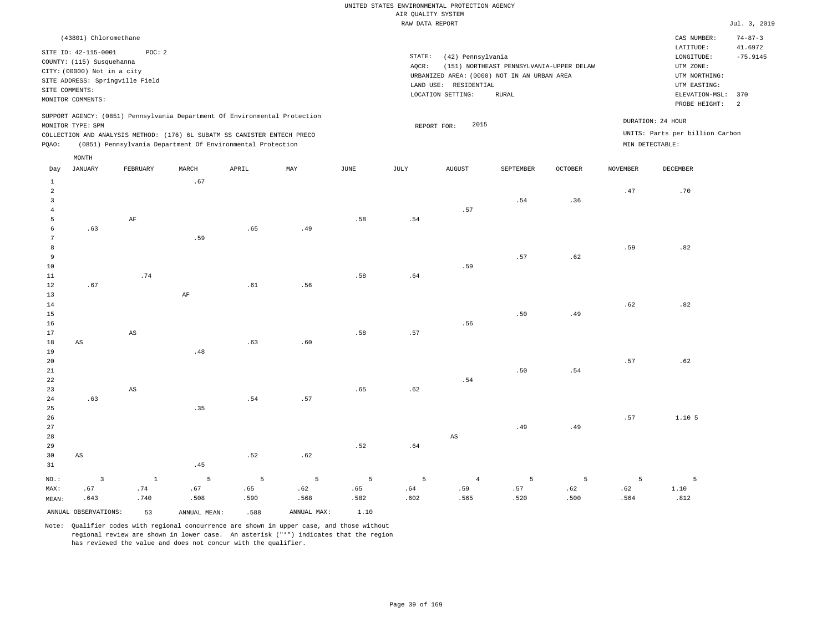|                                                                                                                                                                                        | CAS NUMBER:                                                                            | $74 - 87 - 3$                                                                                 |
|----------------------------------------------------------------------------------------------------------------------------------------------------------------------------------------|----------------------------------------------------------------------------------------|-----------------------------------------------------------------------------------------------|
| STATE:<br>(42) Pennsylvania<br>(151) NORTHEAST PENNSYLVANIA-UPPER DELAW<br>AOCR:<br>URBANIZED AREA: (0000) NOT IN AN URBAN AREA<br>LAND USE: RESIDENTIAL<br>LOCATION SETTING:<br>RURAL | LATITUDE:<br>LONGITUDE:<br>UTM ZONE:<br>UTM NORTHING:<br>UTM EASTING:<br>PROBE HEIGHT: | 41.6972<br>$-75.9145$<br>$\overline{2}$                                                       |
| 2015<br>REPORT FOR:                                                                                                                                                                    |                                                                                        |                                                                                               |
|                                                                                                                                                                                        |                                                                                        | ELEVATION-MSL: 370<br>DURATION: 24 HOUR<br>UNITS: Parts per billion Carbon<br>MIN DETECTABLE: |

| Day            | JANUARY                 | FEBRUARY               | MARCH        | APRIL       | MAY            | $_{\rm JUNE}$ | $\mathtt{JULY}$ | AUGUST                 | SEPTEMBER | $\mathtt{OCTOBER}$ | $\,$ NOVEMBER | $\tt DECEMBER$ |
|----------------|-------------------------|------------------------|--------------|-------------|----------------|---------------|-----------------|------------------------|-----------|--------------------|---------------|----------------|
| $\mathbf{1}$   |                         |                        | .67          |             |                |               |                 |                        |           |                    |               |                |
| $\overline{a}$ |                         |                        |              |             |                |               |                 |                        |           |                    | .47           | .70            |
| $\overline{3}$ |                         |                        |              |             |                |               |                 |                        | .54       | .36                |               |                |
| $\overline{4}$ |                         |                        |              |             |                |               |                 | .57                    |           |                    |               |                |
| 5              |                         | $\rm AF$               |              |             |                | .58           | .54             |                        |           |                    |               |                |
| 6              | .63                     |                        |              | .65         | .49            |               |                 |                        |           |                    |               |                |
| 7              |                         |                        | .59          |             |                |               |                 |                        |           |                    |               |                |
| 8              |                         |                        |              |             |                |               |                 |                        |           |                    | .59           | .82            |
| 9              |                         |                        |              |             |                |               |                 |                        | .57       | .62                |               |                |
| $10$           |                         |                        |              |             |                |               |                 | .59                    |           |                    |               |                |
| $11\,$         |                         | .74                    |              |             |                | .58           | $.64\,$         |                        |           |                    |               |                |
| 12             | .67                     |                        |              | .61         | .56            |               |                 |                        |           |                    |               |                |
| 13             |                         |                        | $\rm{AF}$    |             |                |               |                 |                        |           |                    |               |                |
| 14             |                         |                        |              |             |                |               |                 |                        |           |                    | .62           | .82            |
| 15             |                         |                        |              |             |                |               |                 |                        | .50       | .49                |               |                |
| 16             |                         |                        |              |             |                |               |                 | .56                    |           |                    |               |                |
| 17             |                         | $\mathbb{A}\mathbb{S}$ |              |             |                | .58           | .57             |                        |           |                    |               |                |
| 18             | $\mathbb{A}\mathbb{S}$  |                        |              | .63         | .60            |               |                 |                        |           |                    |               |                |
| 19             |                         |                        | .48          |             |                |               |                 |                        |           |                    |               |                |
| 20             |                         |                        |              |             |                |               |                 |                        |           |                    | .57           | .62            |
| $21\,$         |                         |                        |              |             |                |               |                 |                        | .50       | .54                |               |                |
| 22             |                         |                        |              |             |                |               |                 | .54                    |           |                    |               |                |
| 23             |                         | $\mathbb{A}\mathbb{S}$ |              |             |                | .65           | .62             |                        |           |                    |               |                |
| $2\sqrt{4}$    | .63                     |                        |              | .54         | .57            |               |                 |                        |           |                    |               |                |
| 25<br>$26\,$   |                         |                        | .35          |             |                |               |                 |                        |           |                    | .57           | 1.10.5         |
| 27             |                         |                        |              |             |                |               |                 |                        | .49       | .49                |               |                |
| 28             |                         |                        |              |             |                |               |                 | $\mathbb{A}\mathbb{S}$ |           |                    |               |                |
| 29             |                         |                        |              |             |                | .52           | $\,$ . $6\,4$   |                        |           |                    |               |                |
| 30             | $\mathbb{A}\mathbb{S}$  |                        |              | .52         | .62            |               |                 |                        |           |                    |               |                |
| 31             |                         |                        | .45          |             |                |               |                 |                        |           |                    |               |                |
|                |                         |                        |              |             |                |               |                 |                        |           |                    |               |                |
| $_{\rm NO.}$ : | $\overline{\mathbf{3}}$ | $\,$ 1                 | $\mathsf S$  | $\mathsf S$ | $\overline{5}$ | 5             | 5               | $\overline{4}$         | 5         | 5                  | 5             | 5              |
| MAX:           | .67                     | .74                    | .67          | .65         | .62            | .65           | .64             | .59                    | .57       | .62                | .62           | 1.10           |
| MEAN:          | .643                    | .740                   | .508         | .590        | .568           | .582          | .602            | .565                   | .520      | .500               | .564          | .812           |
|                | ANNUAL OBSERVATIONS:    | 53                     | ANNUAL MEAN: | .588        | ANNUAL MAX:    | 1.10          |                 |                        |           |                    |               |                |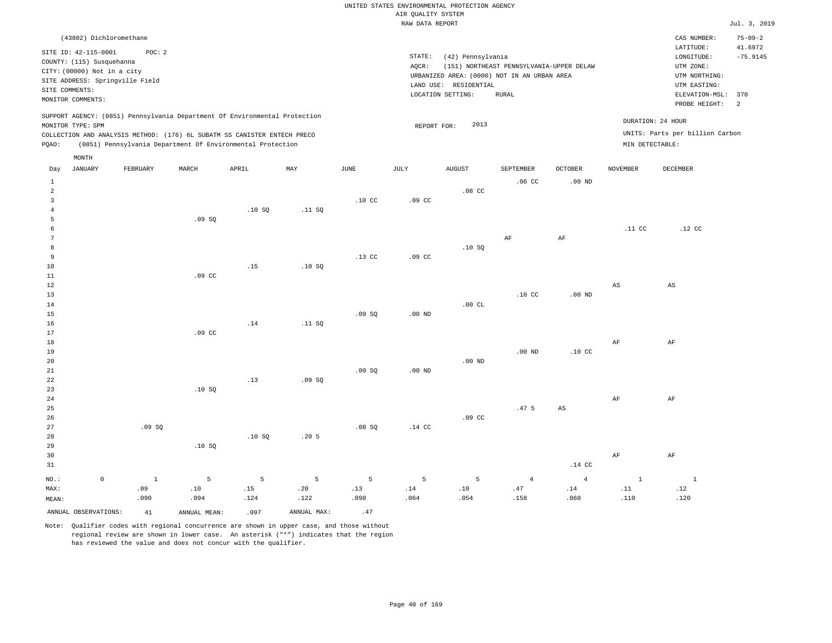| (43802) Dichloromethane                                                                         |                          |                                                            |     |      |        |                       |                                             |                  |                                          |                  |                   | CAS NUMBER:                         | $75 - 09 - 2$         |
|-------------------------------------------------------------------------------------------------|--------------------------|------------------------------------------------------------|-----|------|--------|-----------------------|---------------------------------------------|------------------|------------------------------------------|------------------|-------------------|-------------------------------------|-----------------------|
| SITE ID: 42-115-0001                                                                            | POC:2                    |                                                            |     |      | STATE: |                       | (42) Pennsylvania                           |                  |                                          |                  |                   | LATITUDE:<br>LONGITUDE:             | 41.6972<br>$-75.9145$ |
| COUNTY: (115) Susquehanna<br>CITY: (00000) Not in a city                                        |                          |                                                            |     |      | AOCR:  |                       | URBANIZED AREA: (0000) NOT IN AN URBAN AREA |                  | (151) NORTHEAST PENNSYLVANIA-UPPER DELAW |                  |                   | UTM ZONE:<br>UTM NORTHING:          |                       |
| SITE ADDRESS: Springville Field<br>SITE COMMENTS:                                               |                          |                                                            |     |      |        | LAND USE: RESIDENTIAL |                                             |                  |                                          |                  |                   | UTM EASTING:                        |                       |
| MONITOR COMMENTS:                                                                               |                          |                                                            |     |      |        | LOCATION SETTING:     | RURAL                                       |                  |                                          |                  |                   | ELEVATION-MSL: 370<br>PROBE HEIGHT: |                       |
| SUPPORT AGENCY: (0851) Pennsylvania Department Of Environmental Protection<br>MONITOR TYPE: SPM |                          |                                                            |     |      |        | REPORT FOR:           | 2013                                        |                  |                                          |                  | DURATION: 24 HOUR |                                     |                       |
| COLLECTION AND ANALYSIS METHOD: (176) 6L SUBATM SS CANISTER ENTECH PRECO                        |                          |                                                            |     |      |        |                       |                                             |                  |                                          |                  |                   | UNITS: Parts per billion Carbon     |                       |
| POAO:                                                                                           |                          | (0851) Pennsylvania Department Of Environmental Protection |     |      |        |                       |                                             |                  |                                          |                  | MIN DETECTABLE:   |                                     |                       |
| MONTH                                                                                           |                          |                                                            |     |      |        |                       |                                             |                  |                                          |                  |                   |                                     |                       |
| Dott JANTIADV                                                                                   | MADOU<br><b>VODITADV</b> | ז דם הר                                                    | MAV | TIME | T      | <b>ATICITOT</b>       |                                             | <b>CUDTUMPUD</b> |                                          | <b>NOUTBMDED</b> |                   | <b>DECEMBED</b>                     |                       |

| Day            | JANUARY              | FEBRUARY     | MARCH        | APRIL       | MAY         | JUNE             | JULY              | AUGUST           | SEPTEMBER                     | OCTOBER                       | NOVEMBER                     | DECEMBER               |
|----------------|----------------------|--------------|--------------|-------------|-------------|------------------|-------------------|------------------|-------------------------------|-------------------------------|------------------------------|------------------------|
| $\mathbf{1}$   |                      |              |              |             |             |                  |                   |                  | .06 <sub>C</sub>              | $.00$ ND                      |                              |                        |
| $\overline{a}$ |                      |              |              |             |             |                  |                   | $.08$ CC         |                               |                               |                              |                        |
| 3              |                      |              |              |             |             | .10 <sub>C</sub> | .09 <sub>c</sub>  |                  |                               |                               |                              |                        |
| $\overline{4}$ |                      |              |              | .10SQ       | .11 SQ      |                  |                   |                  |                               |                               |                              |                        |
| 5              |                      |              | .09SQ        |             |             |                  |                   |                  |                               |                               |                              |                        |
| 6              |                      |              |              |             |             |                  |                   |                  |                               |                               | .11 <sub>c</sub>             | $.12$ CC               |
| $\overline{7}$ |                      |              |              |             |             |                  |                   |                  | $\rm AF$                      | $\rm{AF}$                     |                              |                        |
| 8              |                      |              |              |             |             |                  |                   | .10 SQ           |                               |                               |                              |                        |
| 9              |                      |              |              |             |             | $.13$ CC         | .09 <sub>c</sub>  |                  |                               |                               |                              |                        |
| $10$           |                      |              |              | .15         | .10SQ       |                  |                   |                  |                               |                               |                              |                        |
| 11             |                      |              | $.09$ CC     |             |             |                  |                   |                  |                               |                               |                              |                        |
| $1\,2$         |                      |              |              |             |             |                  |                   |                  |                               |                               | $\mathbb{A}\mathbb{S}$       | $\mathbb{A}\mathbb{S}$ |
| 13             |                      |              |              |             |             |                  |                   |                  | .10 <sub>C</sub>              | .00 $ND$                      |                              |                        |
| 14             |                      |              |              |             |             |                  |                   | .00 $CL$         |                               |                               |                              |                        |
| 15             |                      |              |              |             |             | .09SQ            | .00 $ND$          |                  |                               |                               |                              |                        |
| 16             |                      |              |              | .14         | .11 SQ      |                  |                   |                  |                               |                               |                              |                        |
| 17             |                      |              | $.09$ CC     |             |             |                  |                   |                  |                               |                               |                              |                        |
| 18             |                      |              |              |             |             |                  |                   |                  |                               |                               | $\rm{AF}$                    | $\rm{AF}$              |
| 19             |                      |              |              |             |             |                  |                   |                  | $.00$ ND                      | $.10$ CC                      |                              |                        |
| 20             |                      |              |              |             |             |                  |                   | $.00$ ND         |                               |                               |                              |                        |
| 21             |                      |              |              |             |             | .09SQ            | .00 <sub>ND</sub> |                  |                               |                               |                              |                        |
| 22             |                      |              |              | .13         | .09SQ       |                  |                   |                  |                               |                               |                              |                        |
| 23             |                      |              | .10SQ        |             |             |                  |                   |                  |                               |                               |                              |                        |
| $2\,4$         |                      |              |              |             |             |                  |                   |                  |                               |                               | $\rm{AF}$                    | $\rm{AF}$              |
| 25             |                      |              |              |             |             |                  |                   |                  | .47 <sub>5</sub>              | $\mathbb{A}\mathbb{S}$        |                              |                        |
| 26             |                      |              |              |             |             |                  |                   | .09 <sub>c</sub> |                               |                               |                              |                        |
| 27             |                      | .09SQ        |              |             |             | .08SQ            | $.14$ CC          |                  |                               |                               |                              |                        |
| 28             |                      |              |              | .10SQ       | .205        |                  |                   |                  |                               |                               |                              |                        |
| 29             |                      |              | .10 SQ       |             |             |                  |                   |                  |                               |                               |                              |                        |
| 30             |                      |              |              |             |             |                  |                   |                  |                               |                               | $\rm{AF}$                    | $\rm AF$               |
| 31             |                      |              |              |             |             |                  |                   |                  |                               | $.14$ CC                      |                              |                        |
| $NO.$ :        | $\mathbb O$          | $\mathbf{1}$ | 5            | $\mathsf S$ | 5           | 5                | 5                 | 5                | $\overline{4}$                | $\overline{4}$                | $\mathbf{1}$                 | $\overline{1}$         |
| MAX:           |                      | .09          | $.10\,$      | .15         | .20         | .13              | $.14\,$           | $.10\,$          | $\footnotesize{\texttt{.47}}$ | $\footnotesize{\texttt{.14}}$ | $\footnotesize\substack{11}$ | $.12\,$                |
| MEAN:          |                      | .090         | .094         | .124        | .122        | .098             | .064              | .054             | .158                          | .060                          | .110                         | .120                   |
|                | ANNUAL OBSERVATIONS: | 41           | ANNUAL MEAN: | .097        | ANNUAL MAX: | .47              |                   |                  |                               |                               |                              |                        |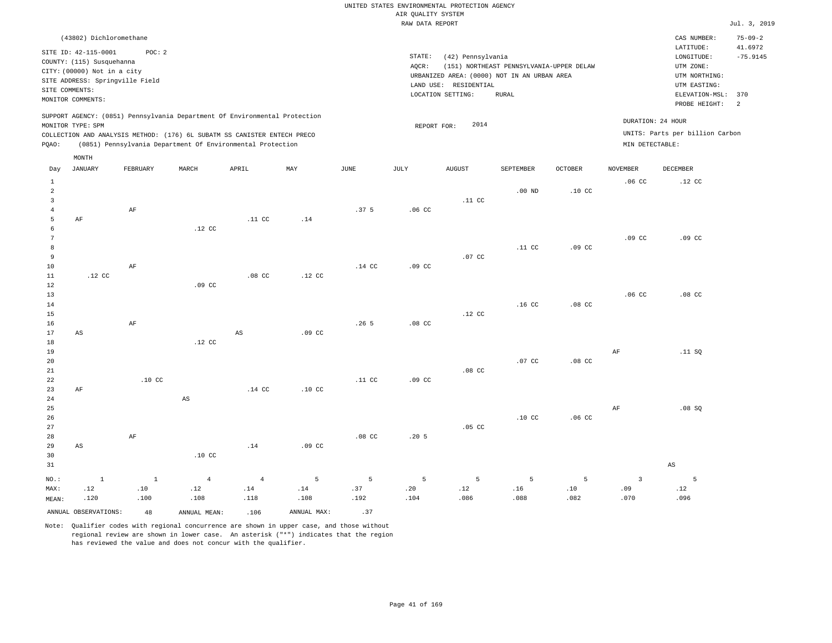|                | (43802) Dichloromethane     |                                 |       |                                                                          |                                                                            |      |      |                   |                   |                                             |                |                   | CAS NUMBER:                     | $75 - 09 - 2$ |
|----------------|-----------------------------|---------------------------------|-------|--------------------------------------------------------------------------|----------------------------------------------------------------------------|------|------|-------------------|-------------------|---------------------------------------------|----------------|-------------------|---------------------------------|---------------|
|                | SITE ID: 42-115-0001        | POC: 2                          |       |                                                                          |                                                                            |      |      |                   |                   |                                             |                |                   | LATITUDE:                       | 41.6972       |
|                | COUNTY: (115) Susquehanna   |                                 |       |                                                                          |                                                                            |      |      | STATE:            | (42) Pennsylvania |                                             |                |                   | LONGITUDE:                      | $-75.9145$    |
|                | CITY: (00000) Not in a city |                                 |       |                                                                          |                                                                            |      |      | AOCR:             |                   | (151) NORTHEAST PENNSYLVANIA-UPPER DELAW    |                |                   | UTM ZONE:                       |               |
|                |                             |                                 |       |                                                                          |                                                                            |      |      |                   |                   | URBANIZED AREA: (0000) NOT IN AN URBAN AREA |                |                   | UTM NORTHING:                   |               |
|                |                             | SITE ADDRESS: Springville Field |       |                                                                          |                                                                            |      |      | LAND USE:         | RESIDENTIAL       |                                             |                |                   | UTM EASTING:                    |               |
| SITE COMMENTS: |                             |                                 |       |                                                                          |                                                                            |      |      | LOCATION SETTING: |                   | RURAL                                       |                |                   | ELEVATION-MSL: 370              |               |
|                | MONITOR COMMENTS:           |                                 |       |                                                                          |                                                                            |      |      |                   |                   |                                             |                |                   | PROBE HEIGHT:                   | - 2           |
|                |                             |                                 |       |                                                                          | SUPPORT AGENCY: (0851) Pennsylvania Department Of Environmental Protection |      |      |                   |                   |                                             |                |                   |                                 |               |
|                | MONITOR TYPE: SPM           |                                 |       |                                                                          |                                                                            |      |      | REPORT FOR:       | 2014              |                                             |                | DURATION: 24 HOUR |                                 |               |
|                |                             |                                 |       | COLLECTION AND ANALYSIS METHOD: (176) 6L SUBATM SS CANISTER ENTECH PRECO |                                                                            |      |      |                   |                   |                                             |                |                   | UNITS: Parts per billion Carbon |               |
| POAO:          |                             |                                 |       | (0851) Pennsylvania Department Of Environmental Protection               |                                                                            |      |      |                   |                   |                                             |                | MIN DETECTABLE:   |                                 |               |
|                |                             |                                 |       |                                                                          |                                                                            |      |      |                   |                   |                                             |                |                   |                                 |               |
|                | MONTH                       |                                 |       |                                                                          |                                                                            |      |      |                   |                   |                                             |                |                   |                                 |               |
| Day            | JANUARY                     | FEBRUARY                        | MARCH | APRIL                                                                    | MAY                                                                        | JUNE | JULY | <b>AUGUST</b>     |                   | SEPTEMBER                                   | <b>OCTOBER</b> | <b>NOVEMBER</b>   | DECEMBER                        |               |

| $\mathbf{1}$   |                        |                     |                                                |                                             |                               |                  |                  |                              |                  |                              | .06 <sub>C</sub> | $.12$ CC               |
|----------------|------------------------|---------------------|------------------------------------------------|---------------------------------------------|-------------------------------|------------------|------------------|------------------------------|------------------|------------------------------|------------------|------------------------|
| $\overline{c}$ |                        |                     |                                                |                                             |                               |                  |                  |                              | $.00$ ND         | .10 <sub>c</sub>             |                  |                        |
| $\overline{3}$ |                        |                     |                                                |                                             |                               |                  |                  | .11 <sub>c</sub>             |                  |                              |                  |                        |
| $\overline{4}$ |                        | $\rm{AF}$           |                                                |                                             |                               | .37 <sub>5</sub> | .06 <sub>C</sub> |                              |                  |                              |                  |                        |
| 5              | $\rm{AF}$              |                     |                                                | $.11$ CC                                    | .14                           |                  |                  |                              |                  |                              |                  |                        |
| 6              |                        |                     | $.12$ CC                                       |                                             |                               |                  |                  |                              |                  |                              |                  |                        |
| 7              |                        |                     |                                                |                                             |                               |                  |                  |                              |                  |                              | $.09$ CC         | $.09$ CC               |
| 8              |                        |                     |                                                |                                             |                               |                  |                  |                              | .11 <sub>c</sub> | .09 <sub>c</sub>             |                  |                        |
| $\overline{9}$ |                        |                     |                                                |                                             |                               |                  |                  | $.07$ CC                     |                  |                              |                  |                        |
| $10$           |                        | $\rm{AF}$           |                                                |                                             |                               | $.14$ CC         | $.09$ CC         |                              |                  |                              |                  |                        |
| 11             | $.12$ CC               |                     |                                                | $.08$ CC                                    | $.12$ CC                      |                  |                  |                              |                  |                              |                  |                        |
| 12             |                        |                     | .09 <sub>c</sub>                               |                                             |                               |                  |                  |                              |                  |                              |                  |                        |
| 13             |                        |                     |                                                |                                             |                               |                  |                  |                              |                  |                              | .06 <sub>c</sub> | $.08$ CC               |
| 14             |                        |                     |                                                |                                             |                               |                  |                  |                              | .16 <sub>c</sub> | $.08$ CC                     |                  |                        |
| 15             |                        |                     |                                                |                                             |                               |                  |                  | $.12$ CC                     |                  |                              |                  |                        |
| 16             |                        | $\rm{AF}$           |                                                |                                             |                               | .265             | $.08$ CC         |                              |                  |                              |                  |                        |
| 17             | $\mathbb{A}\mathbb{S}$ |                     |                                                | $\mathbb{A}\mathbb{S}$                      | $.09$ CC                      |                  |                  |                              |                  |                              |                  |                        |
| 18             |                        |                     | .12 $CC$                                       |                                             |                               |                  |                  |                              |                  |                              |                  |                        |
| 19             |                        |                     |                                                |                                             |                               |                  |                  |                              |                  |                              | $\rm{AF}$        | .11 SQ                 |
| 20             |                        |                     |                                                |                                             |                               |                  |                  |                              | .07 CC           | $.08$ CC                     |                  |                        |
| $2\sqrt{1}$    |                        |                     |                                                |                                             |                               |                  |                  | .08 <sub>C</sub>             |                  |                              |                  |                        |
| 22             |                        | .10 <sub>C</sub>    |                                                |                                             |                               | .11 <sub>c</sub> | .09 <sub>c</sub> |                              |                  |                              |                  |                        |
| 23             | $\rm{AF}$              |                     |                                                | .14 $CC$                                    | $.10$ CC                      |                  |                  |                              |                  |                              |                  |                        |
| 24             |                        |                     | $\mathbb{A}\mathbb{S}$                         |                                             |                               |                  |                  |                              |                  |                              |                  |                        |
| 25             |                        |                     |                                                |                                             |                               |                  |                  |                              |                  |                              | $\rm{AF}$        | .08SQ                  |
| 26             |                        |                     |                                                |                                             |                               |                  |                  |                              | .10 <sub>C</sub> | .06 <sub>c</sub>             |                  |                        |
| 27             |                        |                     |                                                |                                             |                               |                  |                  | $.05$ CC                     |                  |                              |                  |                        |
| 28             |                        | $\rm{AF}$           |                                                |                                             |                               | $.08$ CC         | .205             |                              |                  |                              |                  |                        |
| 29             | $\mathbb{A}\mathbb{S}$ |                     |                                                | .14                                         | $.09$ CC                      |                  |                  |                              |                  |                              |                  |                        |
| 30             |                        |                     | $.10$ CC                                       |                                             |                               |                  |                  |                              |                  |                              |                  |                        |
| 31             |                        |                     |                                                |                                             |                               |                  |                  |                              |                  |                              |                  | $\mathbb{A}\mathbb{S}$ |
|                | $\,$ 1                 | $\qquad \quad \, 1$ |                                                |                                             | $\overline{5}$                | $5\phantom{.0}$  | 5                | 5                            | 5                | 5                            | $\overline{3}$   | 5                      |
| $_{\rm NO.}$ : | .12                    | $.10\,$             | $\overline{4}$<br>$\footnotesize\substack{12}$ | $\sqrt{4}$<br>$\footnotesize{\texttt{.14}}$ | $\footnotesize{\texttt{.14}}$ | .37              | .20              | $\footnotesize\substack{12}$ | $.16\,$          | $\footnotesize\substack{10}$ | .09              |                        |
| MAX:           | .120                   |                     | .108                                           | .118                                        | .108                          | .192             | .104             | .086                         |                  | .082                         |                  | $.12\,$                |
| MEAN:          |                        | .100                |                                                |                                             |                               |                  |                  |                              | .088             |                              | .070             | .096                   |
|                | ANNUAL OBSERVATIONS:   | 48                  | ANNUAL MEAN:                                   | .106                                        | ANNUAL MAX:                   | .37              |                  |                              |                  |                              |                  |                        |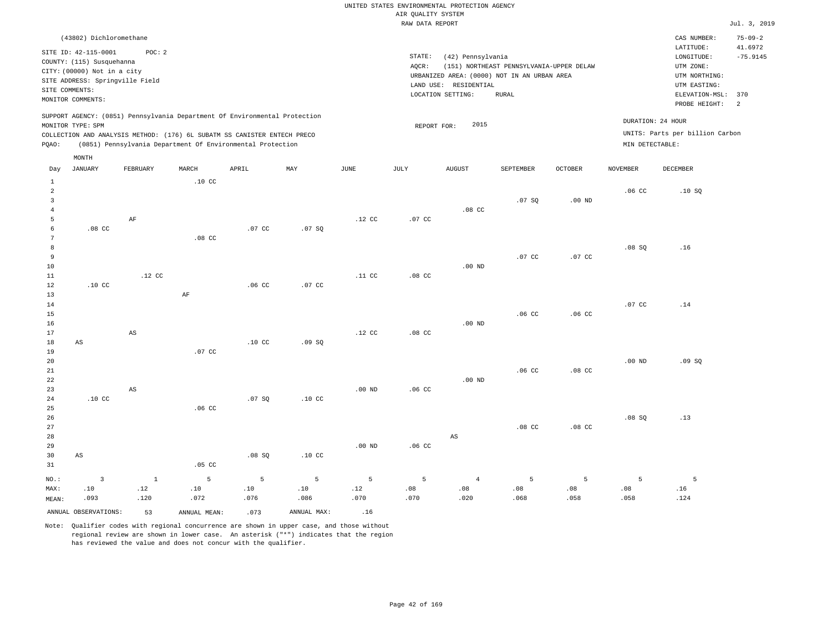|                                                                                                                                                                                        | CAS NUMBER:                                                                            | $75 - 09 - 2$                                         |
|----------------------------------------------------------------------------------------------------------------------------------------------------------------------------------------|----------------------------------------------------------------------------------------|-------------------------------------------------------|
| STATE:<br>(42) Pennsylvania<br>(151) NORTHEAST PENNSYLVANIA-UPPER DELAW<br>AOCR:<br>URBANIZED AREA: (0000) NOT IN AN URBAN AREA<br>LAND USE: RESIDENTIAL<br>LOCATION SETTING:<br>RURAL | LATITUDE:<br>LONGITUDE:<br>UTM ZONE:<br>UTM NORTHING:<br>UTM EASTING:<br>PROBE HEIGHT: | 41.6972<br>$-75.9145$                                 |
| 2015<br>REPORT FOR:                                                                                                                                                                    | DURATION: 24 HOUR<br>MIN DETECTABLE:                                                   |                                                       |
|                                                                                                                                                                                        |                                                                                        | ELEVATION-MSL: 370<br>UNITS: Parts per billion Carbon |

| Day            | JANUARY                | FEBRUARY                     | MARCH                        | APRIL            | MAY              | JUNE                         | JULY                        | AUGUST                 | SEPTEMBER        | $\mathtt{OCTOBER}$ | NOVEMBER          | DECEMBER                     |
|----------------|------------------------|------------------------------|------------------------------|------------------|------------------|------------------------------|-----------------------------|------------------------|------------------|--------------------|-------------------|------------------------------|
| $\mathbf{1}$   |                        |                              | $.10$ CC                     |                  |                  |                              |                             |                        |                  |                    |                   |                              |
| $\,2$          |                        |                              |                              |                  |                  |                              |                             |                        |                  |                    | .06 <sub>C</sub>  | .10SQ                        |
| $\mathbf{3}$   |                        |                              |                              |                  |                  |                              |                             |                        | .07 SQ           | .00 $ND$           |                   |                              |
| $\overline{4}$ |                        |                              |                              |                  |                  |                              |                             | $.08$ CC               |                  |                    |                   |                              |
| 5              |                        | $\rm{AF}$                    |                              |                  |                  | $.12$ CC                     | $.07$ CC                    |                        |                  |                    |                   |                              |
| 6              | $.08$ CC               |                              |                              | .07 CC           | .07 SQ           |                              |                             |                        |                  |                    |                   |                              |
| 7              |                        |                              | $.08$ CC                     |                  |                  |                              |                             |                        |                  |                    |                   |                              |
| 8              |                        |                              |                              |                  |                  |                              |                             |                        |                  |                    | .08SQ             | .16                          |
| 9              |                        |                              |                              |                  |                  |                              |                             |                        | .07 CC           | $.07$ CC           |                   |                              |
| $10$           |                        |                              |                              |                  |                  |                              |                             | .00 $ND$               |                  |                    |                   |                              |
| 11             |                        | $.12$ CC                     |                              |                  |                  | .11 <sub>c</sub>             | $.08$ CC                    |                        |                  |                    |                   |                              |
| 12             | $.10$ CC               |                              |                              | .06 <sub>C</sub> | $.07$ CC         |                              |                             |                        |                  |                    |                   |                              |
| 13             |                        |                              | $\rm{AF}$                    |                  |                  |                              |                             |                        |                  |                    |                   |                              |
| 14             |                        |                              |                              |                  |                  |                              |                             |                        |                  |                    | .07 CC            | .14                          |
| 15             |                        |                              |                              |                  |                  |                              |                             |                        | .06 <sub>c</sub> | .06 <sub>C</sub>   |                   |                              |
| 16             |                        |                              |                              |                  |                  |                              |                             | $.00$ ND               |                  |                    |                   |                              |
| 17             |                        | $\mathbb{A}\mathbb{S}$       |                              |                  |                  | $.12$ CC                     | $.08$ CC                    |                        |                  |                    |                   |                              |
| 18             | $\mathbb{A}\mathbb{S}$ |                              |                              | .10 <sub>C</sub> | .09SQ            |                              |                             |                        |                  |                    |                   |                              |
| 19             |                        |                              | $.07$ CC                     |                  |                  |                              |                             |                        |                  |                    |                   |                              |
| 20             |                        |                              |                              |                  |                  |                              |                             |                        |                  |                    | .00 <sub>ND</sub> | .09 SQ                       |
| $2\sqrt{1}$    |                        |                              |                              |                  |                  |                              |                             |                        | .06 <sub>c</sub> | .08 <sub>C</sub>   |                   |                              |
| $2\sqrt{2}$    |                        |                              |                              |                  |                  |                              |                             | $.00$ ND               |                  |                    |                   |                              |
| 23             |                        | $\mathbb{A}\mathbb{S}$       |                              |                  |                  | $.00$ ND                     | .06 <sub>c</sub>            |                        |                  |                    |                   |                              |
| $2\,4$         | .10 <sub>C</sub>       |                              |                              | .07 SQ           | .10 <sub>C</sub> |                              |                             |                        |                  |                    |                   |                              |
| 25             |                        |                              | .06 <sub>C</sub>             |                  |                  |                              |                             |                        |                  |                    |                   |                              |
| 26             |                        |                              |                              |                  |                  |                              |                             |                        |                  |                    | .08SQ             | .13                          |
| 27             |                        |                              |                              |                  |                  |                              |                             |                        | .08 <sub>C</sub> | $.08$ CC           |                   |                              |
| 28             |                        |                              |                              |                  |                  |                              |                             | $\mathbb{A}\mathbb{S}$ |                  |                    |                   |                              |
| 29             |                        |                              |                              |                  |                  | $.00$ ND                     | .06 <sub>c</sub>            |                        |                  |                    |                   |                              |
| 30             | $\mathbb{A}\mathbb{S}$ |                              |                              | .08SQ            | .10 <sub>C</sub> |                              |                             |                        |                  |                    |                   |                              |
| 31             |                        |                              | $.05$ CC                     |                  |                  |                              |                             |                        |                  |                    |                   |                              |
| $NO.$ :        | $\mathsf 3$            | $\,$ 1                       | 5                            | $\mathsf S$      | $\overline{5}$   | $5\phantom{.0}$              | $\overline{5}$              | $\overline{4}$         | 5                | 5                  | 5                 | 5                            |
| MAX:           | .10                    | $\footnotesize\substack{12}$ | $\footnotesize\substack{10}$ | $.10\,$          | $.10\,$          | $\footnotesize\substack{12}$ | $\boldsymbol{\mathsf{.08}}$ | .08                    | $.08$            | .08                | $.08$             | $\footnotesize\substack{16}$ |
| MEAN:          | .093                   | .120                         | .072                         | .076             | .086             | .070                         | .070                        | .020                   | .068             | .058               | .058              | .124                         |
|                | ANNUAL OBSERVATIONS:   | 53                           | ANNUAL MEAN:                 | .073             | ANNUAL MAX:      | .16                          |                             |                        |                  |                    |                   |                              |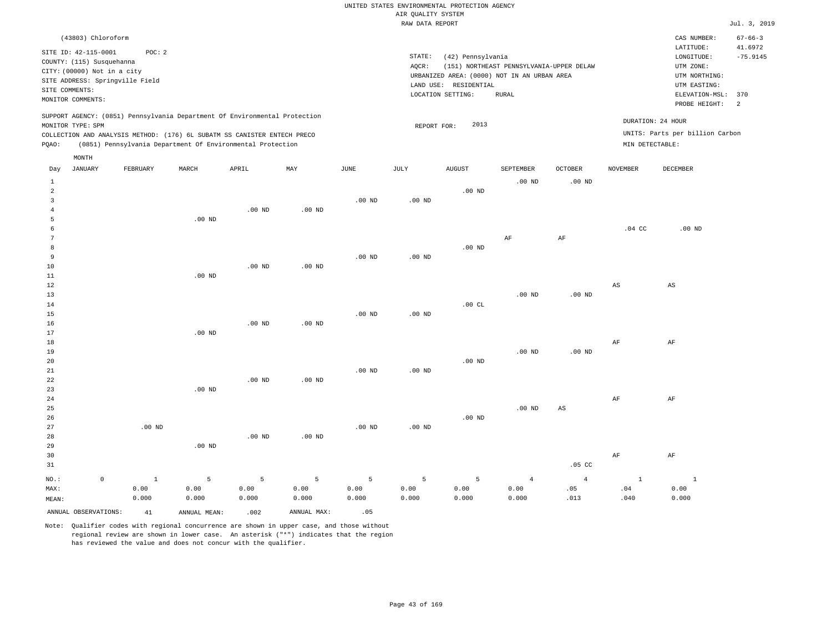|       | (43803) Chloroform                                                                                                                                         |          |       |                                                                                                                                        |                                                                            |      |                 |                                                                                                                |                                                   |          |          | CAS NUMBER:                                                                                              | $67 - 66 - 3$                     |
|-------|------------------------------------------------------------------------------------------------------------------------------------------------------------|----------|-------|----------------------------------------------------------------------------------------------------------------------------------------|----------------------------------------------------------------------------|------|-----------------|----------------------------------------------------------------------------------------------------------------|---------------------------------------------------|----------|----------|----------------------------------------------------------------------------------------------------------|-----------------------------------|
|       | SITE ID: 42-115-0001<br>COUNTY: (115) Susquehanna<br>CITY: (00000) Not in a city<br>SITE ADDRESS: Springville Field<br>SITE COMMENTS:<br>MONITOR COMMENTS: | POC: 2   |       |                                                                                                                                        |                                                                            |      | STATE:<br>AQCR: | (42) Pennsylvania<br>URBANIZED AREA: (0000) NOT IN AN URBAN AREA<br>LAND USE: RESIDENTIAL<br>LOCATION SETTING: | (151) NORTHEAST PENNSYLVANIA-UPPER DELAW<br>RURAL |          |          | LATITUDE:<br>LONGITUDE:<br>UTM ZONE:<br>UTM NORTHING:<br>UTM EASTING:<br>ELEVATION-MSL:<br>PROBE HEIGHT: | 41.6972<br>$-75.9145$<br>370<br>2 |
| POAO: | MONITOR TYPE: SPM                                                                                                                                          |          |       | COLLECTION AND ANALYSIS METHOD: (176) 6L SUBATM SS CANISTER ENTECH PRECO<br>(0851) Pennsylvania Department Of Environmental Protection | SUPPORT AGENCY: (0851) Pennsylvania Department Of Environmental Protection |      |                 | 2013<br>REPORT FOR:                                                                                            |                                                   |          |          | DURATION: 24 HOUR<br>UNITS: Parts per billion Carbon<br>MIN DETECTABLE:                                  |                                   |
| Day   | MONTH<br>JANUARY                                                                                                                                           | FEBRUARY | MARCH | APRIL                                                                                                                                  | MAY                                                                        | JUNE | JULY            | <b>AUGUST</b>                                                                                                  | SEPTEMBER                                         | OCTOBER  | NOVEMBER | DECEMBER                                                                                                 |                                   |
|       |                                                                                                                                                            |          |       |                                                                                                                                        |                                                                            |      |                 |                                                                                                                | $.00$ ND                                          | $.00$ ND |          |                                                                                                          |                                   |

| $\overline{\mathbf{c}}$ |             |                   |                   |             |          |          |          | .00 $ND$ |                |                |                        |                        |
|-------------------------|-------------|-------------------|-------------------|-------------|----------|----------|----------|----------|----------------|----------------|------------------------|------------------------|
| 3                       |             |                   |                   |             |          | .00 $ND$ | $.00$ ND |          |                |                |                        |                        |
| $\overline{4}$          |             |                   |                   | $.00$ ND    | .00 $ND$ |          |          |          |                |                |                        |                        |
| 5                       |             |                   | .00 $ND$          |             |          |          |          |          |                |                |                        |                        |
| 6                       |             |                   |                   |             |          |          |          |          |                |                | $.04$ CC               | $.00$ ND               |
| 7                       |             |                   |                   |             |          |          |          |          | $\rm AF$       | $\rm{AF}$      |                        |                        |
| 8                       |             |                   |                   |             |          |          |          | $.00$ ND |                |                |                        |                        |
| 9                       |             |                   |                   |             |          | $.00$ ND | $.00$ ND |          |                |                |                        |                        |
| 10                      |             |                   |                   | $.00$ ND    | $.00$ ND |          |          |          |                |                |                        |                        |
| 11                      |             |                   | .00 $ND$          |             |          |          |          |          |                |                |                        |                        |
| 12                      |             |                   |                   |             |          |          |          |          |                |                | $\mathbb{A}\mathbb{S}$ | $\mathbb{A}\mathbb{S}$ |
| $13$                    |             |                   |                   |             |          |          |          |          | $.00$ ND       | $.00$ ND       |                        |                        |
| 14                      |             |                   |                   |             |          |          |          | .00CL    |                |                |                        |                        |
| 15                      |             |                   |                   |             |          | $.00$ ND | .00 $ND$ |          |                |                |                        |                        |
| $16$                    |             |                   |                   | $.00$ ND    | $.00$ ND |          |          |          |                |                |                        |                        |
| 17                      |             |                   | .00 <sub>ND</sub> |             |          |          |          |          |                |                |                        |                        |
| 18                      |             |                   |                   |             |          |          |          |          |                |                | $\rm AF$               | $\rm AF$               |
| 19                      |             |                   |                   |             |          |          |          |          | $.00$ ND       | $.00$ ND       |                        |                        |
| 20                      |             |                   |                   |             |          |          |          | $.00$ ND |                |                |                        |                        |
| 21                      |             |                   |                   |             |          | $.00$ ND | .00 $ND$ |          |                |                |                        |                        |
| 22                      |             |                   |                   | $.00$ ND    | $.00$ ND |          |          |          |                |                |                        |                        |
| 23                      |             |                   | $.00$ ND          |             |          |          |          |          |                |                |                        |                        |
| $2\sqrt{4}$             |             |                   |                   |             |          |          |          |          |                |                | $\rm{AF}$              | $\rm{AF}$              |
| 25                      |             |                   |                   |             |          |          |          |          | $.00$ ND       | AS             |                        |                        |
| $26\,$                  |             |                   |                   |             |          |          |          | $.00$ ND |                |                |                        |                        |
| 27                      |             | $.00~\mathrm{ND}$ |                   |             |          | $.00$ ND | $.00$ ND |          |                |                |                        |                        |
| 28                      |             |                   |                   | $.00$ ND    | .00 $ND$ |          |          |          |                |                |                        |                        |
| 29                      |             |                   | $.00$ ND          |             |          |          |          |          |                |                |                        |                        |
| 30                      |             |                   |                   |             |          |          |          |          |                |                | $\rm{AF}$              | $\rm AF$               |
| 31                      |             |                   |                   |             |          |          |          |          |                | $.05$ CC       |                        |                        |
| $_{\rm NO.}$ :          | $\mathbb O$ | $\,$ 1            | $\mathsf S$       | $\mathsf S$ | 5        | 5        | 5        | 5        | $\overline{4}$ | $\overline{4}$ | $\overline{1}$         | $\,$ 1                 |
| MAX:                    |             | 0.00              | 0.00              | 0.00        | 0.00     | 0.00     | 0.00     | 0.00     | 0.00           | .05            | .04                    | 0.00                   |
| MEAN:                   |             | 0.000             | 0.000             | 0.000       | 0.000    | 0.000    | 0.000    | 0.000    | 0.000          | .013           | .040                   | 0.000                  |

ANNUAL OBSERVATIONS:  $41$  ANNUAL MEAN: .002 ANNUAL MAX: .05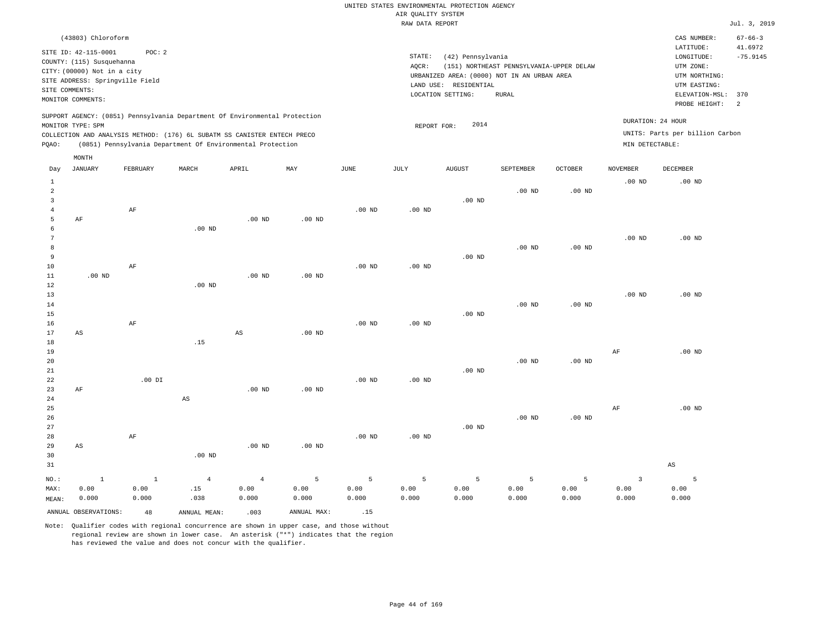| (43803) Chloroform                                                                                                                                                                                                                                          |                                                                                                                                                                                        | CAS NUMBER:                                                                                                  | $67 - 66 - 3$         |
|-------------------------------------------------------------------------------------------------------------------------------------------------------------------------------------------------------------------------------------------------------------|----------------------------------------------------------------------------------------------------------------------------------------------------------------------------------------|--------------------------------------------------------------------------------------------------------------|-----------------------|
| SITE ID: 42-115-0001<br>POC: 2<br>COUNTY: (115) Susquehanna<br>CITY: (00000) Not in a city<br>SITE ADDRESS: Springville Field<br>SITE COMMENTS:<br>MONITOR COMMENTS:                                                                                        | STATE:<br>(42) Pennsylvania<br>AOCR:<br>(151) NORTHEAST PENNSYLVANIA-UPPER DELAW<br>URBANIZED AREA: (0000) NOT IN AN URBAN AREA<br>LAND USE: RESIDENTIAL<br>LOCATION SETTING:<br>RURAL | LATITUDE:<br>LONGITUDE:<br>UTM ZONE:<br>UTM NORTHING:<br>UTM EASTING:<br>ELEVATION-MSL: 370<br>PROBE HEIGHT: | 41.6972<br>$-75.9145$ |
| SUPPORT AGENCY: (0851) Pennsylvania Department Of Environmental Protection<br>MONITOR TYPE: SPM<br>COLLECTION AND ANALYSIS METHOD: (176) 6L SUBATM SS CANISTER ENTECH PRECO<br>(0851) Pennsylvania Department Of Environmental Protection<br>POAO:<br>MONTH | 2014<br>REPORT FOR:                                                                                                                                                                    | DURATION: 24 HOUR<br>UNITS: Parts per billion Carbon<br>MIN DETECTABLE:                                      |                       |

| Day          | JANUARY                | FEBRUARY  | MARCH                  | APRIL                  | MAY            | JUNE           | JULY           | AUGUST      | SEPTEMBER | OCTOBER           | NOVEMBER                | DECEMBER               |
|--------------|------------------------|-----------|------------------------|------------------------|----------------|----------------|----------------|-------------|-----------|-------------------|-------------------------|------------------------|
| $\mathbf{1}$ |                        |           |                        |                        |                |                |                |             |           |                   | $.00$ ND                | $.00$ ND               |
| $\sqrt{2}$   |                        |           |                        |                        |                |                |                |             | $.00$ ND  | $.00$ ND          |                         |                        |
| 3            |                        |           |                        |                        |                |                |                | $.00$ ND    |           |                   |                         |                        |
| 4            |                        | $\rm{AF}$ |                        |                        |                | $.00$ ND       | .00 $ND$       |             |           |                   |                         |                        |
| 5            | $\rm AF$               |           |                        | $.00$ ND               | $.00$ ND       |                |                |             |           |                   |                         |                        |
| 6            |                        |           | $.00$ ND               |                        |                |                |                |             |           |                   |                         |                        |
| 7            |                        |           |                        |                        |                |                |                |             |           |                   | $.00$ ND                | .00 <sub>ND</sub>      |
| 8            |                        |           |                        |                        |                |                |                |             | $.00$ ND  | $.00$ ND          |                         |                        |
| 9            |                        |           |                        |                        |                |                |                | $.00$ ND    |           |                   |                         |                        |
| $10$         |                        | $\rm AF$  |                        |                        |                | $.00$ ND       | .00 $ND$       |             |           |                   |                         |                        |
| $11\,$       | $.00$ ND               |           |                        | $.00$ ND               | $.00$ ND       |                |                |             |           |                   |                         |                        |
| $1\,2$       |                        |           | $.00$ ND               |                        |                |                |                |             |           |                   |                         |                        |
| 13           |                        |           |                        |                        |                |                |                |             |           |                   | $.00$ ND                | $.00$ ND               |
| 14           |                        |           |                        |                        |                |                |                |             | $.00$ ND  | $.00$ ND          |                         |                        |
| 15           |                        |           |                        |                        |                |                |                | .00 $ND$    |           |                   |                         |                        |
| 16           |                        | $\rm{AF}$ |                        |                        |                | $.00$ ND       | $.00$ ND       |             |           |                   |                         |                        |
| 17           | $\mathbb{A}\mathbb{S}$ |           |                        | $\mathbb{A}\mathbb{S}$ | $.00$ ND       |                |                |             |           |                   |                         |                        |
| $18\,$       |                        |           | .15                    |                        |                |                |                |             |           |                   |                         |                        |
| 19           |                        |           |                        |                        |                |                |                |             |           |                   | $\rm AF$                | $.00$ ND               |
| 20           |                        |           |                        |                        |                |                |                |             | $.00$ ND  | $.00~\mathrm{ND}$ |                         |                        |
| 21           |                        |           |                        |                        |                |                |                | $.00$ ND    |           |                   |                         |                        |
| 22           |                        | $.00$ DI  |                        |                        |                | $.00$ ND       | $.00$ ND       |             |           |                   |                         |                        |
| 23           | $\rm AF$               |           |                        | .00 <sub>ND</sub>      | $.00$ ND       |                |                |             |           |                   |                         |                        |
| 24           |                        |           | $\mathbb{A}\mathbb{S}$ |                        |                |                |                |             |           |                   |                         |                        |
| 25           |                        |           |                        |                        |                |                |                |             |           |                   | $\rm AF$                | $.00$ ND               |
| 26           |                        |           |                        |                        |                |                |                |             | $.00$ ND  | $.00~\mathrm{ND}$ |                         |                        |
| 27           |                        |           |                        |                        |                |                |                | .00 $ND$    |           |                   |                         |                        |
| 28           |                        | $\rm{AF}$ |                        |                        |                | $.00$ ND       | .00 $ND$       |             |           |                   |                         |                        |
| 29           | $\mathbb{A}\mathbb{S}$ |           |                        | $.00$ ND               | $.00$ ND       |                |                |             |           |                   |                         |                        |
| 30           |                        |           | $.00$ ND               |                        |                |                |                |             |           |                   |                         |                        |
| 31           |                        |           |                        |                        |                |                |                |             |           |                   |                         | $\mathbb{A}\mathbb{S}$ |
| $NO.$ :      | $\,$ 1                 | $\,$ 1    | $\overline{4}$         | $\overline{4}$         | $\overline{5}$ | $\overline{5}$ | $\overline{5}$ | $\mathsf S$ | 5         | 5                 | $\overline{\mathbf{3}}$ | 5                      |
| MAX:         | 0.00                   | 0.00      | .15                    | 0.00                   | 0.00           | 0.00           | 0.00           | 0.00        | 0.00      | 0.00              | 0.00                    | 0.00                   |
| MEAN:        | 0.000                  | 0.000     | .038                   | 0.000                  | 0.000          | 0.000          | 0.000          | 0.000       | 0.000     | 0.000             | 0.000                   | 0.000                  |
|              | ANNUAL OBSERVATIONS:   | 48        | ANNUAL MEAN:           | .003                   | ANNUAL MAX:    | .15            |                |             |           |                   |                         |                        |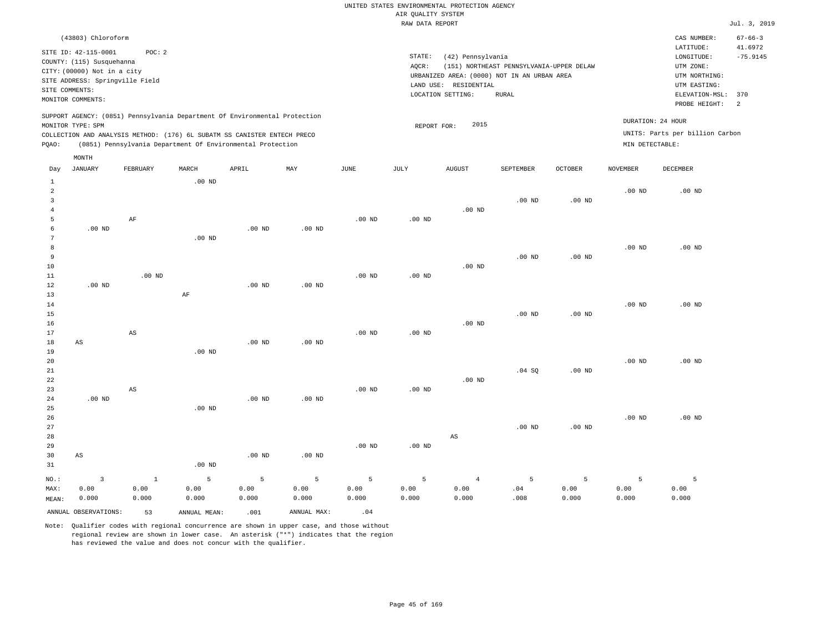|       | (43803) Chloroform                                                                                                                                         |          |       |                                                                                                                                        |                                                                            |      |                              |                                                       |                                                                                                         |                |                                      | CAS NUMBER:                                                                                              | $67 - 66 - 3$                      |
|-------|------------------------------------------------------------------------------------------------------------------------------------------------------------|----------|-------|----------------------------------------------------------------------------------------------------------------------------------------|----------------------------------------------------------------------------|------|------------------------------|-------------------------------------------------------|---------------------------------------------------------------------------------------------------------|----------------|--------------------------------------|----------------------------------------------------------------------------------------------------------|------------------------------------|
|       | SITE ID: 42-115-0001<br>COUNTY: (115) Susquehanna<br>CITY: (00000) Not in a city<br>SITE ADDRESS: Springville Field<br>SITE COMMENTS:<br>MONITOR COMMENTS: | POC:2    |       |                                                                                                                                        |                                                                            |      | STATE:<br>AQCR:<br>LAND USE: | (42) Pennsylvania<br>RESIDENTIAL<br>LOCATION SETTING: | (151) NORTHEAST PENNSYLVANIA-UPPER DELAW<br>URBANIZED AREA: (0000) NOT IN AN URBAN AREA<br><b>RURAL</b> |                |                                      | LATITUDE:<br>LONGITUDE:<br>UTM ZONE:<br>UTM NORTHING:<br>UTM EASTING:<br>ELEVATION-MSL:<br>PROBE HEIGHT: | 41.6972<br>$-75.9145$<br>370<br>-2 |
| POAO: | MONITOR TYPE: SPM                                                                                                                                          |          |       | COLLECTION AND ANALYSIS METHOD: (176) 6L SUBATM SS CANISTER ENTECH PRECO<br>(0851) Pennsylvania Department Of Environmental Protection | SUPPORT AGENCY: (0851) Pennsylvania Department Of Environmental Protection |      | REPORT FOR:                  | 2015                                                  |                                                                                                         |                | DURATION: 24 HOUR<br>MIN DETECTABLE: | UNITS: Parts per billion Carbon                                                                          |                                    |
| Day   | MONTH<br>JANUARY                                                                                                                                           | FEBRUARY | MARCH | APRIL                                                                                                                                  | MAY                                                                        | JUNE | JULY                         | <b>AUGUST</b>                                         | SEPTEMBER                                                                                               | <b>OCTOBER</b> | <b>NOVEMBER</b>                      | DECEMBER                                                                                                 |                                    |

|                     | ANNUAL OBSERVATIONS:    | 53                     | ANNUAL MEAN:   | .001          | ANNUAL MAX:   | .04               |                 |                   |                                     |               |                |               |
|---------------------|-------------------------|------------------------|----------------|---------------|---------------|-------------------|-----------------|-------------------|-------------------------------------|---------------|----------------|---------------|
| MAX:<br>MEAN:       | 0.00<br>0.000           | 0.00<br>0.000          | 0.00<br>0.000  | 0.00<br>0.000 | 0.00<br>0.000 | 0.00<br>0.000     | 0.00<br>0.000   | 0.00<br>0.000     | $\boldsymbol{\mathsf{.04}}$<br>.008 | 0.00<br>0.000 | 0.00<br>0.000  | 0.00<br>0.000 |
| $NO.$ :             | $\overline{\mathbf{3}}$ | $1\,$                  | $\overline{5}$ | 5             | $\,$ 5 $\,$   | $\overline{5}$    | $5\phantom{.0}$ | $\overline{4}$    | $\overline{5}$                      | 5             | $\overline{5}$ | 5             |
| 31                  |                         |                        | $.00$ ND       |               |               |                   |                 |                   |                                     |               |                |               |
| 30                  | $\mathbb{A}\mathbb{S}$  |                        |                | $.00$ ND      | $.00$ ND      |                   |                 |                   |                                     |               |                |               |
| 29                  |                         |                        |                |               |               | $.00$ ND          | .00 $ND$        |                   |                                     |               |                |               |
| 28                  |                         |                        |                |               |               |                   |                 | $_{\rm AS}$       |                                     |               |                |               |
| 27                  |                         |                        |                |               |               |                   |                 |                   | .00 <sub>ND</sub>                   | $.00$ ND      |                |               |
| 26                  |                         |                        |                |               |               |                   |                 |                   |                                     |               | $.00$ ND       | $.00$ ND      |
| 25                  |                         |                        | $.00$ ND       |               |               |                   |                 |                   |                                     |               |                |               |
| 24                  | $.00$ ND                |                        |                | $.00$ ND      | $.00$ ND      |                   |                 |                   |                                     |               |                |               |
| 23                  |                         | $\mathbb{A}\mathbb{S}$ |                |               |               | $.00~\mathrm{ND}$ | $.00$ ND        |                   |                                     |               |                |               |
| 22                  |                         |                        |                |               |               |                   |                 | $.00$ ND          |                                     |               |                |               |
| $2\sqrt{1}$         |                         |                        |                |               |               |                   |                 |                   | .04 SQ                              | .00 $ND$      |                |               |
| 20                  |                         |                        |                |               |               |                   |                 |                   |                                     |               | $.00$ ND       | $.00$ ND      |
| 19                  |                         |                        | .00 $ND$       |               |               |                   |                 |                   |                                     |               |                |               |
| 17<br>18            | $\mathbb{A}\mathbb{S}$  |                        |                | $.00$ ND      | .00 $ND$      | $.00$ ND          | $.00$ ND        |                   |                                     |               |                |               |
| 16                  |                         | $\mathbb{A}\mathbb{S}$ |                |               |               |                   |                 | $.00$ ND          |                                     |               |                |               |
| 15                  |                         |                        |                |               |               |                   |                 |                   | .00 <sub>ND</sub>                   | $.00$ ND      |                |               |
| 14                  |                         |                        |                |               |               |                   |                 |                   |                                     |               | $.00$ ND       | $.00$ ND      |
| 13                  |                         |                        | $\rm AF$       |               |               |                   |                 |                   |                                     |               |                |               |
| 12                  | $.00$ ND                |                        |                | $.00$ ND      | $.00$ ND      |                   |                 |                   |                                     |               |                |               |
| $11\,$              |                         | $.00$ ND               |                |               |               | $.00$ ND          | .00 $ND$        |                   |                                     |               |                |               |
| 10                  |                         |                        |                |               |               |                   |                 | $.00~\mathrm{ND}$ |                                     |               |                |               |
| 9                   |                         |                        |                |               |               |                   |                 |                   | $.00$ ND                            | $.00$ ND      |                |               |
| 8                   |                         |                        |                |               |               |                   |                 |                   |                                     |               | $.00$ ND       | $.00$ ND      |
| 7                   |                         |                        | $.00$ ND       |               |               |                   |                 |                   |                                     |               |                |               |
| 6                   | $.00$ ND                |                        |                | $.00$ ND      | $.00$ ND      |                   |                 |                   |                                     |               |                |               |
| 5                   |                         | $\rm AF$               |                |               |               | $.00$ ND          | $.00$ ND        |                   |                                     |               |                |               |
| $\overline{4}$      |                         |                        |                |               |               |                   |                 | $.00$ ND          |                                     |               |                |               |
| $\overline{a}$<br>3 |                         |                        |                |               |               |                   |                 |                   | $.00$ ND                            | $.00$ ND      | $.00$ ND       | $.00$ ND      |
| $\mathbf{1}$        |                         |                        | $.00$ ND       |               |               |                   |                 |                   |                                     |               |                |               |
|                     |                         |                        |                |               |               |                   |                 |                   |                                     |               |                |               |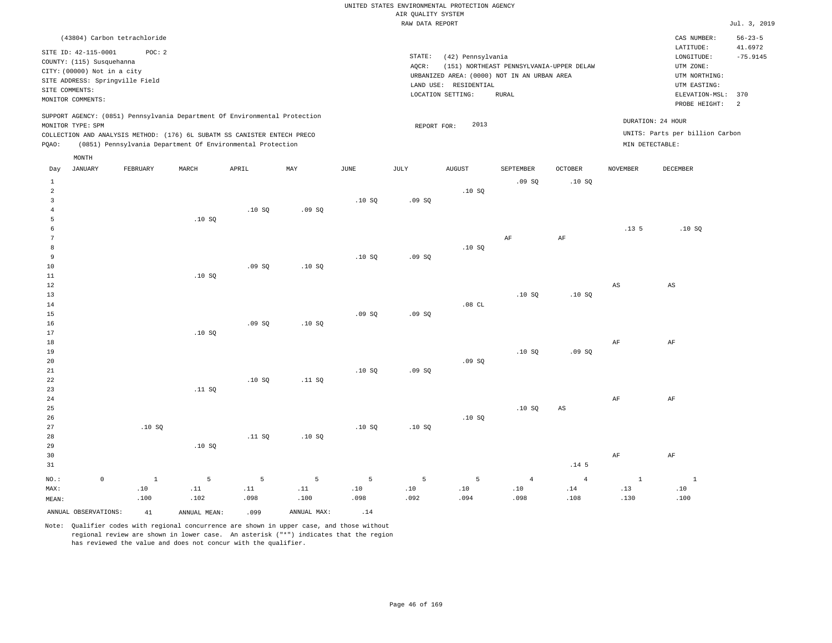|              |                             |                                 |                                                                            |       |       |      | RAW DATA REPORT |                                             |                                          |                |                  |                                 | Jul. 3, 2019             |
|--------------|-----------------------------|---------------------------------|----------------------------------------------------------------------------|-------|-------|------|-----------------|---------------------------------------------|------------------------------------------|----------------|------------------|---------------------------------|--------------------------|
|              |                             | (43804) Carbon tetrachloride    |                                                                            |       |       |      |                 |                                             |                                          |                |                  | CAS NUMBER:<br>LATITUDE:        | $56 - 23 - 5$<br>41.6972 |
|              | SITE ID: 42-115-0001        | POC: 2                          |                                                                            |       |       |      | STATE:          | (42) Pennsylvania                           |                                          |                |                  | LONGITUDE:                      | $-75.9145$               |
|              | COUNTY: (115) Susquehanna   |                                 |                                                                            |       |       |      | AOCR:           |                                             | (151) NORTHEAST PENNSYLVANIA-UPPER DELAW |                |                  | UTM ZONE:                       |                          |
|              | CITY: (00000) Not in a city |                                 |                                                                            |       |       |      |                 | URBANIZED AREA: (0000) NOT IN AN URBAN AREA |                                          |                |                  | UTM NORTHING:                   |                          |
|              |                             | SITE ADDRESS: Springville Field |                                                                            |       |       |      |                 | LAND USE: RESIDENTIAL                       |                                          |                |                  | UTM EASTING:                    |                          |
|              | SITE COMMENTS:              |                                 |                                                                            |       |       |      |                 | LOCATION SETTING:                           | RURAL                                    |                |                  | ELEVATION-MSL:                  | 370                      |
|              | MONITOR COMMENTS:           |                                 |                                                                            |       |       |      |                 |                                             |                                          |                |                  | PROBE HEIGHT:                   | $\overline{\phantom{0}}$ |
|              |                             |                                 |                                                                            |       |       |      |                 |                                             |                                          |                |                  |                                 |                          |
|              | MONITOR TYPE: SPM           |                                 | SUPPORT AGENCY: (0851) Pennsylvania Department Of Environmental Protection |       |       |      |                 | 2013                                        |                                          |                |                  | DURATION: 24 HOUR               |                          |
|              |                             |                                 | COLLECTION AND ANALYSIS METHOD: (176) 6L SUBATM SS CANISTER ENTECH PRECO   |       |       |      | REPORT FOR:     |                                             |                                          |                |                  | UNITS: Parts per billion Carbon |                          |
| POAO:        |                             |                                 | (0851) Pennsylvania Department Of Environmental Protection                 |       |       |      |                 |                                             |                                          |                |                  | MIN DETECTABLE:                 |                          |
|              |                             |                                 |                                                                            |       |       |      |                 |                                             |                                          |                |                  |                                 |                          |
|              | MONTH                       |                                 |                                                                            |       |       |      |                 |                                             |                                          |                |                  |                                 |                          |
| Day          | JANUARY                     | FEBRUARY                        | MARCH                                                                      | APRIL | MAY   | JUNE | JULY            | AUGUST                                      | SEPTEMBER                                | <b>OCTOBER</b> | NOVEMBER         | DECEMBER                        |                          |
| 1            |                             |                                 |                                                                            |       |       |      |                 |                                             | .09SQ                                    | .10S           |                  |                                 |                          |
| 2            |                             |                                 |                                                                            |       |       |      |                 | .10S                                        |                                          |                |                  |                                 |                          |
| $\mathbf{z}$ |                             |                                 |                                                                            |       |       | .10S | .09SQ           |                                             |                                          |                |                  |                                 |                          |
|              |                             |                                 |                                                                            | .10S  | .09SQ |      |                 |                                             |                                          |                |                  |                                 |                          |
|              |                             |                                 | .10S                                                                       |       |       |      |                 |                                             |                                          |                |                  |                                 |                          |
|              |                             |                                 |                                                                            |       |       |      |                 |                                             |                                          |                | .13 <sub>5</sub> | .10S                            |                          |
|              |                             |                                 |                                                                            |       |       |      |                 |                                             | AF                                       | AF             |                  |                                 |                          |
| 8            |                             |                                 |                                                                            |       |       |      |                 | .10S                                        |                                          |                |                  |                                 |                          |
| 9            |                             |                                 |                                                                            |       |       | .10S | .09SQ           |                                             |                                          |                |                  |                                 |                          |
| 10           |                             |                                 |                                                                            | .09S  | .10S  |      |                 |                                             |                                          |                |                  |                                 |                          |
| 11           |                             |                                 | .10S                                                                       |       |       |      |                 |                                             |                                          |                |                  |                                 |                          |
| 12           |                             |                                 |                                                                            |       |       |      |                 |                                             |                                          |                | AS               | AS                              |                          |
| 13           |                             |                                 |                                                                            |       |       |      |                 |                                             | .10S                                     | .10S           |                  |                                 |                          |
| 14           |                             |                                 |                                                                            |       |       |      |                 | .08CL                                       |                                          |                |                  |                                 |                          |
| 15           |                             |                                 |                                                                            |       |       | .09S | .09S            |                                             |                                          |                |                  |                                 |                          |

17 18 19 20 21 22 .10 SQ .10 SQ .11 SQ .10 SQ .09 SQ .09 SQ .10 SQ .09 SQ AF AF

23 24 25 26 27 28 29 30 31 .10 SQ .11 SQ .10 SQ .11 SQ .10 SQ .10 SQ .10 SQ .10 SQ .10 SQ AS .14 5 AF AF AF AF

| NO.: 0 1 5 5 5 5 5 5 4 4 1 1             |      |  |                      |      |      |      |      |      |      |      |
|------------------------------------------|------|--|----------------------|------|------|------|------|------|------|------|
| MAX:                                     |      |  |                      |      |      |      |      |      |      | .10  |
| MEAN:                                    | .100 |  | $.102$ $.098$ $.100$ | .098 | .092 | .094 | .098 | .108 | .130 | .100 |
| ANNUAL OBSERVATIONS: 41 ANNUAL MEAN: 099 |      |  | ANNUAL MAX:          |      |      |      |      |      |      |      |

Note: Qualifier codes with regional concurrence are shown in upper case, and those without regional review are shown in lower case. An asterisk ("\*") indicates that the region has reviewed the value and does not concur with the qualifier.

.09 SQ

.10 SQ

16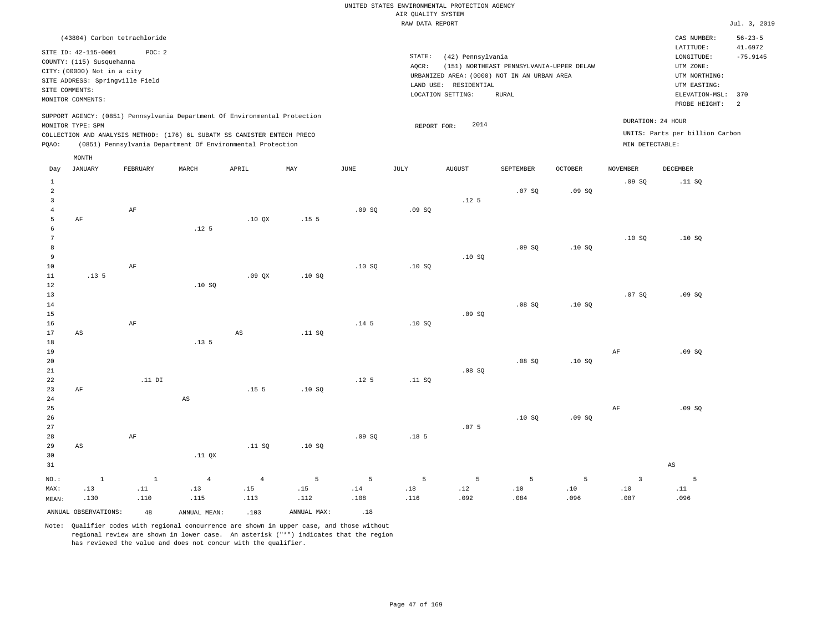| (43804) Carbon tetrachloride                                                                                                                                                                                                                       |                                                                                                                                                          | $56 - 23 - 5$<br>CAS NUMBER:                                                                   |
|----------------------------------------------------------------------------------------------------------------------------------------------------------------------------------------------------------------------------------------------------|----------------------------------------------------------------------------------------------------------------------------------------------------------|------------------------------------------------------------------------------------------------|
| SITE ID: 42-115-0001<br>POC: 2<br>COUNTY: (115) Susquehanna<br>CITY: (00000) Not in a city<br>SITE ADDRESS: Springville Field<br>SITE COMMENTS:                                                                                                    | STATE:<br>(42) Pennsylvania<br>AOCR:<br>(151) NORTHEAST PENNSYLVANIA-UPPER DELAW<br>URBANIZED AREA: (0000) NOT IN AN URBAN AREA<br>LAND USE: RESIDENTIAL | 41.6972<br>LATITUDE:<br>$-75.9145$<br>LONGITUDE:<br>UTM ZONE:<br>UTM NORTHING:<br>UTM EASTING: |
| MONITOR COMMENTS:                                                                                                                                                                                                                                  | LOCATION SETTING:<br>RURAL                                                                                                                               | ELEVATION-MSL: 370                                                                             |
|                                                                                                                                                                                                                                                    |                                                                                                                                                          | PROBE HEIGHT:<br>- 2                                                                           |
| SUPPORT AGENCY: (0851) Pennsylvania Department Of Environmental Protection<br>MONITOR TYPE: SPM<br>COLLECTION AND ANALYSIS METHOD: (176) 6L SUBATM SS CANISTER ENTECH PRECO<br>(0851) Pennsylvania Department Of Environmental Protection<br>POAO: | DURATION: 24 HOUR<br>2014<br>REPORT FOR:<br>MIN DETECTABLE:                                                                                              | UNITS: Parts per billion Carbon                                                                |
| MONTH                                                                                                                                                                                                                                              |                                                                                                                                                          |                                                                                                |
| $P_{\text{max}}$ $\mathbf{r}$ $\mathbf{r}$<br><b>DRODUISDY</b><br>$n \sqrt{N}$<br><b>35337</b><br>TITUTTI<br>TTTTT<br><b>MADOIT</b>                                                                                                                | 517777777<br>CDD<br>$O$ $CD$ $DD$ $D$<br>MOTTBADDO                                                                                                       | <b>DROBMBER</b>                                                                                |

| Day            | JANUARY                | FEBRUARY       | MARCH                  | APRIL                  | MAY              | JUNE             | JULY             | AUGUST           | SEPTEMBER | OCTOBER | NOVEMBER                | DECEMBER               |
|----------------|------------------------|----------------|------------------------|------------------------|------------------|------------------|------------------|------------------|-----------|---------|-------------------------|------------------------|
| $\mathbf{1}$   |                        |                |                        |                        |                  |                  |                  |                  |           |         | .09SQ                   | .11 SQ                 |
| $\overline{a}$ |                        |                |                        |                        |                  |                  |                  |                  | .07 SQ    | .09SQ   |                         |                        |
| $\overline{3}$ |                        |                |                        |                        |                  |                  |                  | .12 <sub>5</sub> |           |         |                         |                        |
| $\overline{4}$ |                        | $\rm{AF}$      |                        |                        |                  | .09SQ            | .09SQ            |                  |           |         |                         |                        |
| 5              | $\rm{AF}$              |                |                        | .10 QX                 | .15 <sub>5</sub> |                  |                  |                  |           |         |                         |                        |
| $\epsilon$     |                        |                | .12 <sub>5</sub>       |                        |                  |                  |                  |                  |           |         |                         |                        |
| $\overline{7}$ |                        |                |                        |                        |                  |                  |                  |                  |           |         | .10S                    | .10SQ                  |
| $\,8\,$        |                        |                |                        |                        |                  |                  |                  |                  | .09SQ     | .10SQ   |                         |                        |
| $\overline{9}$ |                        |                |                        |                        |                  |                  |                  | .10SQ            |           |         |                         |                        |
| $10$           |                        | $\rm{AF}$      |                        |                        |                  | .10S             | .10S             |                  |           |         |                         |                        |
| $11\,$         | .13.5                  |                |                        | .09QX                  | .10SQ            |                  |                  |                  |           |         |                         |                        |
| $12\,$         |                        |                | .10SQ                  |                        |                  |                  |                  |                  |           |         |                         |                        |
| 13             |                        |                |                        |                        |                  |                  |                  |                  |           |         | .07SQ                   | .09SQ                  |
| 14             |                        |                |                        |                        |                  |                  |                  |                  | .08SQ     | .10SQ   |                         |                        |
| 15             |                        |                |                        |                        |                  |                  |                  | .09 SQ           |           |         |                         |                        |
| 16             |                        | $\rm AF$       |                        |                        |                  | .14 <sub>5</sub> | .10S             |                  |           |         |                         |                        |
| 17             | $\mathbb{A}\mathbb{S}$ |                |                        | $\mathbb{A}\mathbb{S}$ | .11 SQ           |                  |                  |                  |           |         |                         |                        |
| 18             |                        |                | .13 <sub>5</sub>       |                        |                  |                  |                  |                  |           |         |                         |                        |
| 19             |                        |                |                        |                        |                  |                  |                  |                  |           |         | $\rm{AF}$               | .09 SQ                 |
| 20             |                        |                |                        |                        |                  |                  |                  |                  | .08 SQ    | .10S    |                         |                        |
| 21             |                        |                |                        |                        |                  |                  |                  | .08SQ            |           |         |                         |                        |
| 22             |                        | .11 $DI$       |                        |                        |                  | .12 <sub>5</sub> | .11 SQ           |                  |           |         |                         |                        |
| 23             | $\rm{AF}$              |                |                        | .15 <sub>5</sub>       | .10SQ            |                  |                  |                  |           |         |                         |                        |
| $2\,4$         |                        |                | $\mathbb{A}\mathbb{S}$ |                        |                  |                  |                  |                  |           |         |                         |                        |
| 25             |                        |                |                        |                        |                  |                  |                  |                  |           |         | $\rm{AF}$               | .09 SQ                 |
| 26             |                        |                |                        |                        |                  |                  |                  |                  | .10SQ     | .09SQ   |                         |                        |
| 27             |                        |                |                        |                        |                  |                  |                  | .075             |           |         |                         |                        |
| 28             |                        | $\rm AF$       |                        |                        |                  | .09SQ            | .18 <sub>5</sub> |                  |           |         |                         |                        |
| 29             | $\mathbb{A}\mathbb{S}$ |                |                        | .11 SQ                 | .10SQ            |                  |                  |                  |           |         |                         |                        |
| 30             |                        |                | $.11$ QX               |                        |                  |                  |                  |                  |           |         |                         |                        |
| 31             |                        |                |                        |                        |                  |                  |                  |                  |           |         |                         | $\mathbb{A}\mathbb{S}$ |
| $NO.$ :        | $\mathbf 1$            | $\overline{1}$ | $\sqrt{4}$             | $\overline{4}$         | 5                | 5                | 5                | 5                | 5         | 5       | $\overline{\mathbf{3}}$ | - 5                    |
| MAX:           | .13                    | $\ldots 11$    | .13                    | .15                    | .15              | $.14\,$          | $.18\,$          | $.12\,$          | $.10$     | $.10$   | .10                     | .11                    |
| MEAN:          | .130                   | .110           | .115                   | .113                   | .112             | .108             | .116             | .092             | .084      | .096    | .087                    | .096                   |
|                | ANNUAL OBSERVATIONS:   | 48             | ANNUAL MEAN:           | .103                   | ANNUAL MAX:      | .18              |                  |                  |           |         |                         |                        |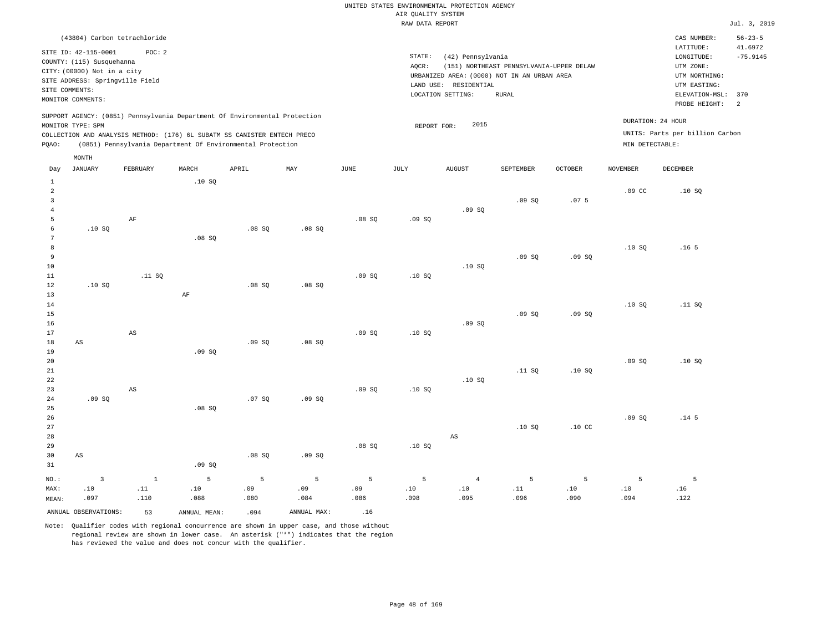|                                    |                                                                                                                                                            |                                        |        |                                                                                                                                                                                                                      |       |       | RAW DATA REPORT |                                                                                                                |                                                          |                  |                  |                                                                                                                         | Jul. 3, 2019                                                    |
|------------------------------------|------------------------------------------------------------------------------------------------------------------------------------------------------------|----------------------------------------|--------|----------------------------------------------------------------------------------------------------------------------------------------------------------------------------------------------------------------------|-------|-------|-----------------|----------------------------------------------------------------------------------------------------------------|----------------------------------------------------------|------------------|------------------|-------------------------------------------------------------------------------------------------------------------------|-----------------------------------------------------------------|
|                                    | SITE ID: 42-115-0001<br>COUNTY: (115) Susquehanna<br>CITY: (00000) Not in a city<br>SITE ADDRESS: Springville Field<br>SITE COMMENTS:<br>MONITOR COMMENTS: | (43804) Carbon tetrachloride<br>POC: 2 |        |                                                                                                                                                                                                                      |       |       | STATE:<br>AOCR: | (42) Pennsylvania<br>URBANIZED AREA: (0000) NOT IN AN URBAN AREA<br>LAND USE: RESIDENTIAL<br>LOCATION SETTING: | (151) NORTHEAST PENNSYLVANIA-UPPER DELAW<br><b>RURAL</b> |                  |                  | CAS NUMBER:<br>LATITUDE:<br>LONGITUDE:<br>UTM ZONE:<br>UTM NORTHING:<br>UTM EASTING:<br>ELEVATION-MSL:<br>PROBE HEIGHT: | $56 - 23 - 5$<br>41.6972<br>$-75.9145$<br>370<br>$\overline{2}$ |
| PQAO:                              | MONITOR TYPE: SPM                                                                                                                                          |                                        |        | SUPPORT AGENCY: (0851) Pennsylvania Department Of Environmental Protection<br>COLLECTION AND ANALYSIS METHOD: (176) 6L SUBATM SS CANISTER ENTECH PRECO<br>(0851) Pennsylvania Department Of Environmental Protection |       |       | REPORT FOR:     | 2015                                                                                                           |                                                          |                  | MIN DETECTABLE:  | DURATION: 24 HOUR<br>UNITS: Parts per billion Carbon                                                                    |                                                                 |
| Day                                | MONTH<br>JANUARY                                                                                                                                           | FEBRUARY                               | MARCH  | APRIL                                                                                                                                                                                                                | MAY   | JUNE  | JULY            | <b>AUGUST</b>                                                                                                  | SEPTEMBER                                                | <b>OCTOBER</b>   | <b>NOVEMBER</b>  | DECEMBER                                                                                                                |                                                                 |
| 1<br>$\overline{c}$<br>3<br>5<br>6 | .10S                                                                                                                                                       | AF                                     | .10S   | .08SQ                                                                                                                                                                                                                | .08SQ | .08S  | .09SQ           | .09SQ                                                                                                          | .09SQ                                                    | .07 <sub>5</sub> | .09 <sub>c</sub> | .10S                                                                                                                    |                                                                 |
| 8<br>9<br>10<br>11<br>12           | .10S                                                                                                                                                       | .11 SQ                                 | .08 SQ | .08SQ                                                                                                                                                                                                                | .08SQ | .09SQ | .10S            | .10S                                                                                                           | .09SQ                                                    | .09SQ            | .10S             | .16 <sub>5</sub>                                                                                                        |                                                                 |
| 13<br>14<br>15<br>16<br>17<br>18   | AS                                                                                                                                                         | AS                                     | AF     | .09SQ                                                                                                                                                                                                                | .08SQ | .09S  | .10S            | .09SQ                                                                                                          | .09SQ                                                    | .09SQ            | .10S             | .11 SQ                                                                                                                  |                                                                 |

20 21 22 23 24 25 .09 SQ AS .08 SQ .07 SQ .09 SQ .09 SQ .10 SQ .10 SQ .11 SQ .10 SQ .09 SQ .10 SQ

26 27 28 29 30 31 AS NO.: MAX: MEAN: 3 .10 .097 .09 SQ .08 SQ .09 SQ .08 SQ .10 SQ AS .10 SQ .10 CC .09 SQ .14 5 1 .11 .110 5 .10 .088 5 .09 .080 5 .09 .084 5 .09 .086 5 .10 .098 4 .10 .095 5 .11 .096 5 .10 .090 5 .10 .094 5 .16 .122

ANNUAL OBSERVATIONS: 53 ANNUAL MEAN: .094 ANNUAL MAX: .16

.09 SQ

19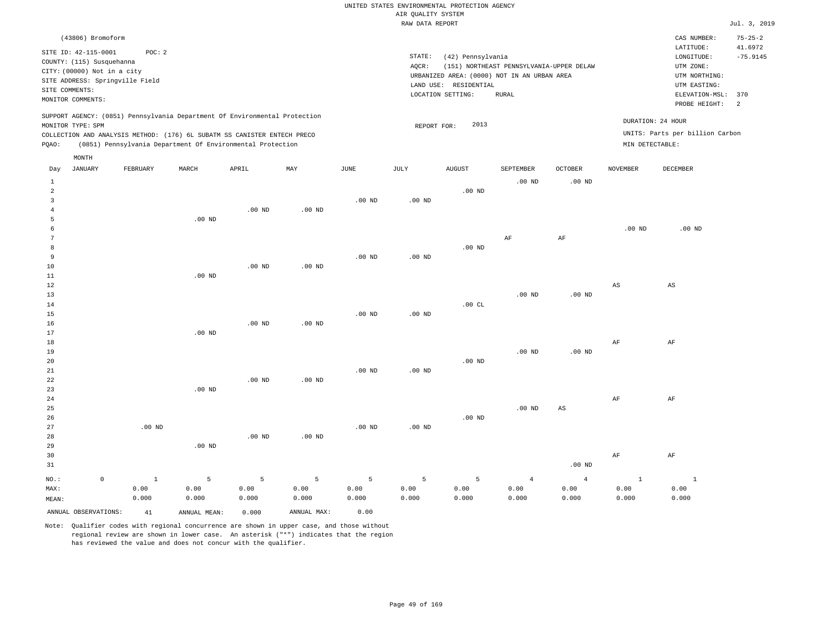| (43806) Bromoform                                                                                                                                                                    |                                                            |       |       |     |      |                 |                                                                                                                |                                                   |                     |                 | CAS NUMBER:                                                                                                     | $75 - 25 - 2$ |  |  |
|--------------------------------------------------------------------------------------------------------------------------------------------------------------------------------------|------------------------------------------------------------|-------|-------|-----|------|-----------------|----------------------------------------------------------------------------------------------------------------|---------------------------------------------------|---------------------|-----------------|-----------------------------------------------------------------------------------------------------------------|---------------|--|--|
| SITE ID: 42-115-0001<br>COUNTY: (115) Susquehanna<br>CITY: (00000) Not in a city<br>SITE ADDRESS: Springville Field<br>SITE COMMENTS:<br>MONITOR COMMENTS:                           | POC: 2                                                     |       |       |     |      | STATE:<br>AQCR: | (42) Pennsylvania<br>URBANIZED AREA: (0000) NOT IN AN URBAN AREA<br>LAND USE: RESIDENTIAL<br>LOCATION SETTING: | (151) NORTHEAST PENNSYLVANIA-UPPER DELAW<br>RURAL |                     |                 | LATITUDE:<br>LONGITUDE:<br>UTM ZONE:<br>UTM NORTHING:<br>UTM EASTING:<br>ELEVATION-MSL:<br>370<br>PROBE HEIGHT: |               |  |  |
| SUPPORT AGENCY: (0851) Pennsylvania Department Of Environmental Protection<br>MONITOR TYPE: SPM<br>COLLECTION AND ANALYSIS METHOD: (176) 6L SUBATM SS CANISTER ENTECH PRECO<br>POAO: | (0851) Pennsylvania Department Of Environmental Protection |       |       |     |      |                 | 2013<br>REPORT FOR:                                                                                            |                                                   |                     | MIN DETECTABLE: | DURATION: 24 HOUR<br>UNITS: Parts per billion Carbon                                                            | 2             |  |  |
| MONTH<br>JANUARY<br>Day                                                                                                                                                              | FEBRUARY                                                   | MARCH | APRIL | MAY | JUNE | JULY            | AUGUST                                                                                                         | SEPTEMBER<br>$.00$ ND                             | OCTOBER<br>$.00$ ND | NOVEMBER        | DECEMBER                                                                                                        |               |  |  |

| $\overline{a}$ |         |              |          |          |                   |          |          | $.00$ ND |                   |                        |                        |                          |
|----------------|---------|--------------|----------|----------|-------------------|----------|----------|----------|-------------------|------------------------|------------------------|--------------------------|
| 3              |         |              |          |          |                   | $.00$ ND | $.00$ ND |          |                   |                        |                        |                          |
| $\overline{4}$ |         |              |          | $.00$ ND | $.00$ ND          |          |          |          |                   |                        |                        |                          |
| 5              |         |              | $.00$ ND |          |                   |          |          |          |                   |                        |                        |                          |
| 6              |         |              |          |          |                   |          |          |          |                   |                        | $.00$ ND               | $.00$ ND                 |
| 7              |         |              |          |          |                   |          |          |          | $\rm AF$          | $\rm{AF}$              |                        |                          |
| 8              |         |              |          |          |                   |          |          | $.00$ ND |                   |                        |                        |                          |
| 9              |         |              |          |          |                   | $.00$ ND | .00 $ND$ |          |                   |                        |                        |                          |
| 10             |         |              |          | $.00$ ND | $.00$ ND          |          |          |          |                   |                        |                        |                          |
| 11             |         |              | $.00$ ND |          |                   |          |          |          |                   |                        |                        |                          |
| 12             |         |              |          |          |                   |          |          |          |                   |                        | $\mathbb{A}\mathbb{S}$ | $\mathbb{A}\mathbb{S}$   |
| 13             |         |              |          |          |                   |          |          |          | $.00$ ND          | $.00$ ND               |                        |                          |
| 14             |         |              |          |          |                   |          |          | .00CL    |                   |                        |                        |                          |
| 15             |         |              |          |          |                   | $.00$ ND | $.00$ ND |          |                   |                        |                        |                          |
| 16             |         |              |          | $.00$ ND | .00 $ND$          |          |          |          |                   |                        |                        |                          |
| 17             |         |              | $.00$ ND |          |                   |          |          |          |                   |                        |                        |                          |
| 18             |         |              |          |          |                   |          |          |          |                   |                        | $\rm{AF}$              | $\rm{AF}$                |
| 19             |         |              |          |          |                   |          |          |          | $.00$ ND          | $.00$ ND               |                        |                          |
| 20             |         |              |          |          |                   |          |          | .00 $ND$ |                   |                        |                        |                          |
| 21             |         |              |          |          |                   | $.00$ ND | .00 $ND$ |          |                   |                        |                        |                          |
| 22             |         |              |          | $.00$ ND | .00 <sub>ND</sub> |          |          |          |                   |                        |                        |                          |
| 23             |         |              | $.00$ ND |          |                   |          |          |          |                   |                        |                        |                          |
| 24             |         |              |          |          |                   |          |          |          |                   |                        | $\rm{AF}$              | $\rm{AF}$                |
| $25\,$         |         |              |          |          |                   |          |          |          | .00 <sub>ND</sub> | $\mathbb{A}\mathbb{S}$ |                        |                          |
| 26             |         |              |          |          |                   |          |          | $.00$ ND |                   |                        |                        |                          |
| 27             |         | .00 $ND$     |          |          |                   | $.00$ ND | .00 $ND$ |          |                   |                        |                        |                          |
| 28             |         |              |          | $.00$ ND | $.00$ ND          |          |          |          |                   |                        |                        |                          |
| 29             |         |              | $.00$ ND |          |                   |          |          |          |                   |                        |                        |                          |
| 30             |         |              |          |          |                   |          |          |          |                   |                        | $\rm{AF}$              | $\rm{AF}$                |
| 31             |         |              |          |          |                   |          |          |          |                   | $.00$ ND               |                        |                          |
| $_{\rm NO.}$ : | $\circ$ | $\mathbf{1}$ | 5        | 5        | $\sqrt{5}$        | 5        | 5        | 5        | $\overline{4}$    | $\overline{4}$         | $\mathbf{1}$           | $\overline{\phantom{a}}$ |
| MAX:           |         | 0.00         | 0.00     | 0.00     | 0.00              | 0.00     | 0.00     | 0.00     | 0.00              | 0.00                   | 0.00                   | 0.00                     |
| MEAN:          |         | 0.000        | 0.000    | 0.000    | 0.000             | 0.000    | 0.000    | 0.000    | 0.000             | 0.000                  | 0.000                  | 0.000                    |

ANNUAL OBSERVATIONS: 41 ANNUAL MEAN: 0.000 ANNUAL MAX: 0.00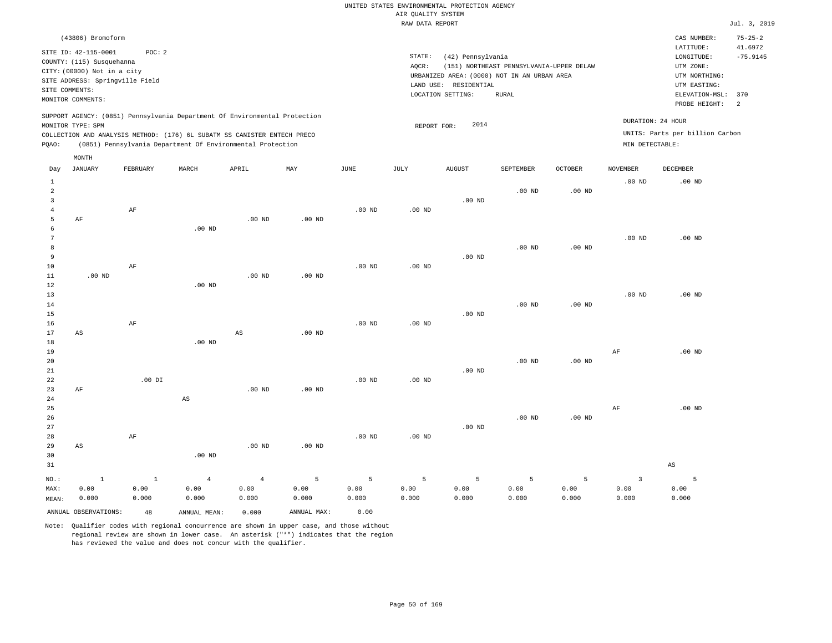| (43806) Bromoform                                                                                                                                                                                                                                  |                                                                                                                                                                                        | CAS NUMBER:<br>$75 - 25 - 2$                                                                                                          |
|----------------------------------------------------------------------------------------------------------------------------------------------------------------------------------------------------------------------------------------------------|----------------------------------------------------------------------------------------------------------------------------------------------------------------------------------------|---------------------------------------------------------------------------------------------------------------------------------------|
| SITE ID: 42-115-0001<br>POC:2<br>COUNTY: (115) Susquehanna<br>CITY: (00000) Not in a city<br>SITE ADDRESS: Springville Field<br>SITE COMMENTS:<br>MONITOR COMMENTS:                                                                                | STATE:<br>(42) Pennsylvania<br>AOCR:<br>(151) NORTHEAST PENNSYLVANIA-UPPER DELAW<br>URBANIZED AREA: (0000) NOT IN AN URBAN AREA<br>LAND USE: RESIDENTIAL<br>LOCATION SETTING:<br>RURAL | 41.6972<br>LATITUDE:<br>LONGITUDE:<br>$-75.9145$<br>UTM ZONE:<br>UTM NORTHING:<br>UTM EASTING:<br>ELEVATION-MSL: 370<br>PROBE HEIGHT: |
| SUPPORT AGENCY: (0851) Pennsylvania Department Of Environmental Protection<br>MONITOR TYPE: SPM<br>COLLECTION AND ANALYSIS METHOD: (176) 6L SUBATM SS CANISTER ENTECH PRECO<br>(0851) Pennsylvania Department Of Environmental Protection<br>POAO: | 2014<br>REPORT FOR:<br>MIN DETECTABLE:                                                                                                                                                 | DURATION: 24 HOUR<br>UNITS: Parts per billion Carbon                                                                                  |
| MONTH<br><b>Product Service Products Products Products</b><br>-----------<br>$\mathbf{r}$<br><b>BERTH</b><br><br>$-$ -----                                                                                                                         | $+ + + + + + + + +$<br>27.55<br>$\alpha$ monto<br>1707771577777                                                                                                                        | <b>DRAHLIND</b>                                                                                                                       |

| Day            | JANUARY                | FEBRUARY  | MARCH          | APRIL          | MAY         | JUNE              | JULY     | AUGUST   | SEPTEMBER | OCTOBER           | NOVEMBER          | DECEMBER               |
|----------------|------------------------|-----------|----------------|----------------|-------------|-------------------|----------|----------|-----------|-------------------|-------------------|------------------------|
| $\mathbf{1}$   |                        |           |                |                |             |                   |          |          |           |                   | .00 <sub>ND</sub> | .00 <sub>ND</sub>      |
| $\overline{a}$ |                        |           |                |                |             |                   |          |          | $.00$ ND  | .00 <sub>ND</sub> |                   |                        |
| 3              |                        |           |                |                |             |                   |          | $.00$ ND |           |                   |                   |                        |
| $\overline{4}$ |                        | $\rm AF$  |                |                |             | .00 <sub>ND</sub> | $.00$ ND |          |           |                   |                   |                        |
| 5              | AF                     |           |                | $.00$ ND       | $.00$ ND    |                   |          |          |           |                   |                   |                        |
| 6              |                        |           | $.00$ ND       |                |             |                   |          |          |           |                   |                   |                        |
| 7              |                        |           |                |                |             |                   |          |          |           |                   | $.00$ ND          | $.00$ ND               |
| 8              |                        |           |                |                |             |                   |          |          | $.00$ ND  | .00 $ND$          |                   |                        |
| 9              |                        |           |                |                |             |                   |          | $.00$ ND |           |                   |                   |                        |
| $10$           |                        | $\rm AF$  |                |                |             | .00 <sub>ND</sub> | .00 $ND$ |          |           |                   |                   |                        |
| $11\,$         | $.00$ ND               |           |                | $.00$ ND       | $.00$ ND    |                   |          |          |           |                   |                   |                        |
| 12             |                        |           | $.00$ ND       |                |             |                   |          |          |           |                   |                   |                        |
| 13             |                        |           |                |                |             |                   |          |          |           |                   | $.00$ ND          | $.00$ ND               |
| 14             |                        |           |                |                |             |                   |          |          | $.00$ ND  | .00 <sub>ND</sub> |                   |                        |
| 15             |                        |           |                |                |             |                   |          | $.00$ ND |           |                   |                   |                        |
| 16             |                        | $\rm{AF}$ |                |                |             | $.00$ ND          | .00 $ND$ |          |           |                   |                   |                        |
| 17             | $\mathbb{A}\mathbb{S}$ |           |                | $_{\rm AS}$    | $.00$ ND    |                   |          |          |           |                   |                   |                        |
| 18             |                        |           | $.00$ ND       |                |             |                   |          |          |           |                   |                   |                        |
| 19             |                        |           |                |                |             |                   |          |          |           |                   | $\rm{AF}$         | .00 <sub>ND</sub>      |
| 20             |                        |           |                |                |             |                   |          |          | $.00$ ND  | .00 $ND$          |                   |                        |
| 21             |                        |           |                |                |             |                   |          | $.00$ ND |           |                   |                   |                        |
| 22<br>23       |                        | $.00$ DI  |                | $.00$ ND       | $.00$ ND    | $.00$ ND          | .00 $ND$ |          |           |                   |                   |                        |
| 24             | AF                     |           | AS             |                |             |                   |          |          |           |                   |                   |                        |
| 25             |                        |           |                |                |             |                   |          |          |           |                   | $\rm{AF}$         | $.00$ ND               |
| 26             |                        |           |                |                |             |                   |          |          | $.00$ ND  | .00 $ND$          |                   |                        |
| 27             |                        |           |                |                |             |                   |          | $.00$ ND |           |                   |                   |                        |
| 28             |                        | $\rm{AF}$ |                |                |             | $.00$ ND          | .00 $ND$ |          |           |                   |                   |                        |
| 29             | AS                     |           |                | $.00$ ND       | $.00$ ND    |                   |          |          |           |                   |                   |                        |
| 30             |                        |           | $.00$ ND       |                |             |                   |          |          |           |                   |                   |                        |
| 31             |                        |           |                |                |             |                   |          |          |           |                   |                   | $\mathbb{A}\mathbb{S}$ |
|                |                        |           |                |                |             |                   |          |          |           |                   |                   |                        |
| $NO.$ :        | $\,$ 1                 | $\,$ 1    | $\overline{4}$ | $\overline{4}$ | 5           | $\overline{5}$    | 5        | 5        | 5         | $\mathsf S$       | 3                 | $\overline{5}$         |
| MAX:           | 0.00                   | 0.00      | 0.00           | 0.00           | 0.00        | 0.00              | 0.00     | 0.00     | 0.00      | 0.00              | 0.00              | 0.00                   |
| MEAN:          | 0.000                  | 0.000     | 0.000          | 0.000          | 0.000       | 0.000             | 0.000    | 0.000    | 0.000     | 0.000             | 0.000             | 0.000                  |
|                | ANNUAL OBSERVATIONS:   | 48        | ANNUAL MEAN:   | 0.000          | ANNUAL MAX: | 0.00              |          |          |           |                   |                   |                        |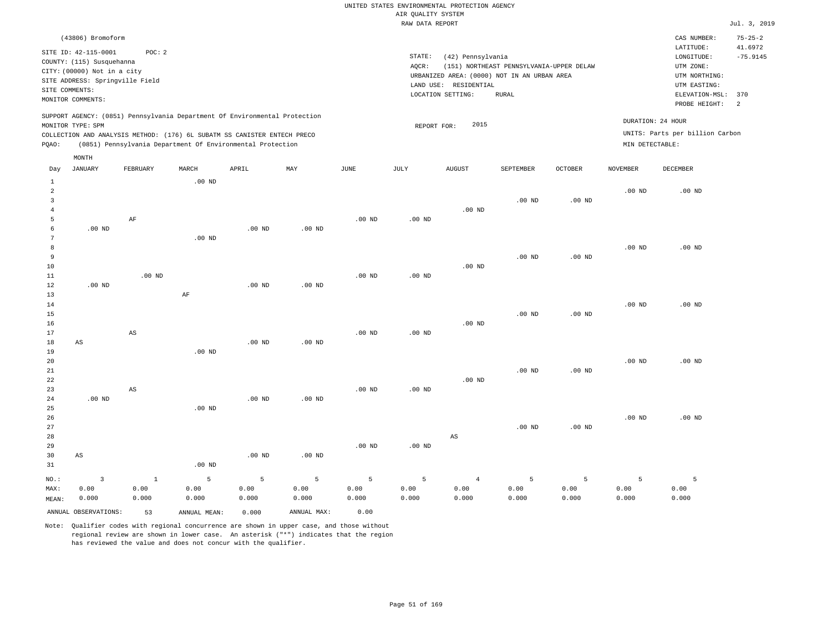| (43806) Bromoform                                                                                                                                                                                                                                           |                                                                                                                                                                                           | $75 - 25 - 2$<br>CAS NUMBER:                                                                                                                 |
|-------------------------------------------------------------------------------------------------------------------------------------------------------------------------------------------------------------------------------------------------------------|-------------------------------------------------------------------------------------------------------------------------------------------------------------------------------------------|----------------------------------------------------------------------------------------------------------------------------------------------|
| SITE ID: 42-115-0001<br>POC:2<br>COUNTY: (115) Susquehanna<br>CITY: (00000) Not in a city<br>SITE ADDRESS: Springville Field<br>SITE COMMENTS:<br>MONITOR COMMENTS:                                                                                         | STATE:<br>(42) Pennsylvania<br>(151) NORTHEAST PENNSYLVANIA-UPPER DELAW<br>AOCR:<br>URBANIZED AREA: (0000) NOT IN AN URBAN AREA<br>RESIDENTIAL<br>LAND USE:<br>LOCATION SETTING:<br>RURAL | 41.6972<br>LATITUDE:<br>$-75.9145$<br>LONGITUDE:<br>UTM ZONE:<br>UTM NORTHING:<br>UTM EASTING:<br>ELEVATION-MSL: 370<br>PROBE HEIGHT:<br>- 2 |
| SUPPORT AGENCY: (0851) Pennsylvania Department Of Environmental Protection<br>MONITOR TYPE: SPM<br>COLLECTION AND ANALYSIS METHOD: (176) 6L SUBATM SS CANISTER ENTECH PRECO<br>(0851) Pennsylvania Department Of Environmental Protection<br>POAO:<br>MONTH | 2015<br>REPORT FOR:                                                                                                                                                                       | DURATION: 24 HOUR<br>UNITS: Parts per billion Carbon<br>MIN DETECTABLE:                                                                      |

| Day               | <b>JANUARY</b>         | FEBRUARY               | MARCH             | APRIL    | $\ensuremath{\text{MAX}}$ | $_{\rm JUNE}$ | $_{\rm JULY}$ | <b>AUGUST</b>  | SEPTEMBER   | OCTOBER           | NOVEMBER          | DECEMBER |
|-------------------|------------------------|------------------------|-------------------|----------|---------------------------|---------------|---------------|----------------|-------------|-------------------|-------------------|----------|
| 1                 |                        |                        | $.00$ ND          |          |                           |               |               |                |             |                   |                   |          |
| $\overline{a}$    |                        |                        |                   |          |                           |               |               |                |             |                   | .00 <sub>ND</sub> | $.00$ ND |
| 3                 |                        |                        |                   |          |                           |               |               |                | $.00$ ND    | $.00$ ND          |                   |          |
| $\overline{4}$    |                        |                        |                   |          |                           |               |               | $.00$ ND       |             |                   |                   |          |
| 5                 |                        | $\rm AF$               |                   |          |                           | $.00$ ND      | $.00$ ND      |                |             |                   |                   |          |
| 6                 | $.00$ ND               |                        |                   | $.00$ ND | $.00$ ND                  |               |               |                |             |                   |                   |          |
| 7                 |                        |                        | .00 <sub>ND</sub> |          |                           |               |               |                |             |                   |                   |          |
| 8                 |                        |                        |                   |          |                           |               |               |                |             |                   | $.00$ ND          | $.00$ ND |
| 9                 |                        |                        |                   |          |                           |               |               |                | $.00$ ND    | $.00$ ND          |                   |          |
| 10                |                        |                        |                   |          |                           |               |               | $.00$ ND       |             |                   |                   |          |
| $11\,$            |                        | $.00$ ND               |                   |          |                           | $.00$ ND      | $.00$ ND      |                |             |                   |                   |          |
| 12                | $.00$ ND               |                        |                   | $.00$ ND | .00 $ND$                  |               |               |                |             |                   |                   |          |
| 13                |                        |                        | $\rm AF$          |          |                           |               |               |                |             |                   |                   |          |
| $14$              |                        |                        |                   |          |                           |               |               |                |             |                   | $.00$ ND          | $.00$ ND |
| 15                |                        |                        |                   |          |                           |               |               |                | $.00$ ND    | .00 <sub>ND</sub> |                   |          |
| 16                |                        |                        |                   |          |                           |               |               | $.00$ ND       |             |                   |                   |          |
| 17                |                        | $\mathbb{A}\mathbb{S}$ |                   |          |                           | $.00$ ND      | $.00$ ND      |                |             |                   |                   |          |
| 18                | AS                     |                        |                   | $.00$ ND | $.00$ ND                  |               |               |                |             |                   |                   |          |
| 19                |                        |                        | $.00$ ND          |          |                           |               |               |                |             |                   |                   |          |
| 20                |                        |                        |                   |          |                           |               |               |                |             |                   | $.00~\mathrm{ND}$ | $.00$ ND |
| $2\sqrt{1}$       |                        |                        |                   |          |                           |               |               |                | $.00$ ND    | $.00$ ND          |                   |          |
| $^{\rm 22}$<br>23 |                        | $\mathbb{A}\mathbb{S}$ |                   |          |                           | $.00$ ND      | $.00$ ND      | $.00$ ND       |             |                   |                   |          |
| 24                | $.00$ ND               |                        |                   | $.00$ ND | $.00$ ND                  |               |               |                |             |                   |                   |          |
| 25                |                        |                        | $.00$ ND          |          |                           |               |               |                |             |                   |                   |          |
| 26                |                        |                        |                   |          |                           |               |               |                |             |                   | $.00$ ND          | $.00$ ND |
| 27                |                        |                        |                   |          |                           |               |               |                | $.00$ ND    | $.00$ ND          |                   |          |
| 28                |                        |                        |                   |          |                           |               |               | AS             |             |                   |                   |          |
| 29                |                        |                        |                   |          |                           | $.00$ ND      | $.00$ ND      |                |             |                   |                   |          |
| 30                | $\mathbb{A}\mathbb{S}$ |                        |                   | $.00$ ND | $.00$ ND                  |               |               |                |             |                   |                   |          |
| 31                |                        |                        | $.00$ ND          |          |                           |               |               |                |             |                   |                   |          |
| $_{\rm NO}$ :     | $\sqrt{3}$             | $1\,$                  | 5                 | 5        | 5                         | 5             | 5             | $\overline{4}$ | $\mathsf S$ | 5                 | 5                 | 5        |
| MAX:              | 0.00                   | 0.00                   | 0.00              | 0.00     | 0.00                      | 0.00          | 0.00          | 0.00           | 0.00        | 0.00              | 0.00              | 0.00     |
| MEAN:             | 0.000                  | 0.000                  | 0.000             | 0.000    | 0.000                     | 0.000         | 0.000         | 0.000          | 0.000       | 0.000             | 0.000             | 0.000    |
|                   | ANNUAL OBSERVATIONS:   | 53                     | ANNUAL MEAN:      | 0.000    | ANNUAL MAX:               | 0.00          |               |                |             |                   |                   |          |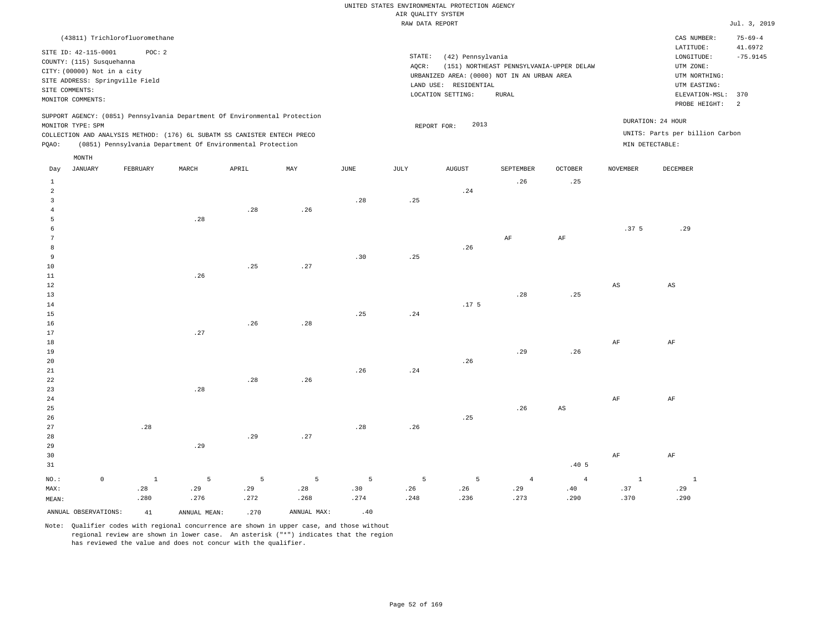|                                                                                                                                                                                      | (43811) Trichlorofluoromethane                             |       |       |     |      |                 |                                                                                                                |                                                   |                |                                                                                                          | CAS NUMBER:                                          | $75 - 69 - 4$ |
|--------------------------------------------------------------------------------------------------------------------------------------------------------------------------------------|------------------------------------------------------------|-------|-------|-----|------|-----------------|----------------------------------------------------------------------------------------------------------------|---------------------------------------------------|----------------|----------------------------------------------------------------------------------------------------------|------------------------------------------------------|---------------|
| SITE ID: 42-115-0001<br>COUNTY: (115) Susquehanna<br>CITY: (00000) Not in a city<br>SITE ADDRESS: Springville Field<br>SITE COMMENTS:<br>MONITOR COMMENTS:                           | POC:2                                                      |       |       |     |      | STATE:<br>AQCR: | (42) Pennsylvania<br>URBANIZED AREA: (0000) NOT IN AN URBAN AREA<br>LAND USE: RESIDENTIAL<br>LOCATION SETTING: | (151) NORTHEAST PENNSYLVANIA-UPPER DELAW<br>RURAL |                | LATITUDE:<br>LONGITUDE:<br>UTM ZONE:<br>UTM NORTHING:<br>UTM EASTING:<br>ELEVATION-MSL:<br>PROBE HEIGHT: | 41.6972<br>$-75.9145$<br>370<br>2                    |               |
| SUPPORT AGENCY: (0851) Pennsylvania Department Of Environmental Protection<br>MONITOR TYPE: SPM<br>COLLECTION AND ANALYSIS METHOD: (176) 6L SUBATM SS CANISTER ENTECH PRECO<br>POAO: | (0851) Pennsylvania Department Of Environmental Protection |       |       |     |      |                 | 2013<br>REPORT FOR:                                                                                            |                                                   |                | MIN DETECTABLE:                                                                                          | DURATION: 24 HOUR<br>UNITS: Parts per billion Carbon |               |
| MONTH<br>JANUARY<br>Day                                                                                                                                                              | FEBRUARY                                                   | MARCH | APRIL | MAY | JUNE | JULY            | <b>AUGUST</b>                                                                                                  | SEPTEMBER<br>.26                                  | OCTOBER<br>.25 | <b>NOVEMBER</b>                                                                                          | DECEMBER                                             |               |

| $\overline{a}$ |             |              |                              |                             |      |      |      | .24              |                |                               |                        |                        |
|----------------|-------------|--------------|------------------------------|-----------------------------|------|------|------|------------------|----------------|-------------------------------|------------------------|------------------------|
| 3              |             |              |                              |                             |      | .28  | .25  |                  |                |                               |                        |                        |
| $\overline{4}$ |             |              |                              | $\boldsymbol{\mathsf{.28}}$ | .26  |      |      |                  |                |                               |                        |                        |
| 5              |             |              | $\boldsymbol{\mathcal{.}}28$ |                             |      |      |      |                  |                |                               |                        |                        |
| 6              |             |              |                              |                             |      |      |      |                  |                |                               | .37 5                  | .29                    |
| 7              |             |              |                              |                             |      |      |      |                  | $\rm AF$       | $\rm{AF}$                     |                        |                        |
| 8              |             |              |                              |                             |      |      |      | .26              |                |                               |                        |                        |
| 9              |             |              |                              |                             |      | .30  | .25  |                  |                |                               |                        |                        |
| 10             |             |              |                              | .25                         | .27  |      |      |                  |                |                               |                        |                        |
| 11             |             |              | .26                          |                             |      |      |      |                  |                |                               |                        |                        |
| $1\,2$         |             |              |                              |                             |      |      |      |                  |                |                               | $\mathbb{A}\mathbb{S}$ | $\mathbb{A}\mathbb{S}$ |
| 13             |             |              |                              |                             |      |      |      |                  | .28            | .25                           |                        |                        |
| 14             |             |              |                              |                             |      |      |      | .17 <sub>5</sub> |                |                               |                        |                        |
| 15             |             |              |                              |                             |      | .25  | .24  |                  |                |                               |                        |                        |
| 16             |             |              |                              | .26                         | .28  |      |      |                  |                |                               |                        |                        |
| 17             |             |              | $\boldsymbol{\mathcal{.}}27$ |                             |      |      |      |                  |                |                               |                        |                        |
| 18             |             |              |                              |                             |      |      |      |                  |                |                               | $\rm AF$               | $\rm AF$               |
| 19             |             |              |                              |                             |      |      |      |                  | .29            | $\sqrt{26}$                   |                        |                        |
| 20             |             |              |                              |                             |      |      |      | .26              |                |                               |                        |                        |
| 21             |             |              |                              |                             |      | .26  | .24  |                  |                |                               |                        |                        |
| $2\sqrt{2}$    |             |              |                              | .28                         | .26  |      |      |                  |                |                               |                        |                        |
| 23             |             |              | $\boldsymbol{\mathcal{.}}28$ |                             |      |      |      |                  |                |                               |                        |                        |
| ${\bf 24}$     |             |              |                              |                             |      |      |      |                  |                |                               | $\rm{AF}$              | $\rm{AF}$              |
| $25\,$         |             |              |                              |                             |      |      |      |                  | $\sqrt{26}$    | $_{\rm AS}$                   |                        |                        |
| 26             |             |              |                              |                             |      |      |      | .25              |                |                               |                        |                        |
| 27             |             | .28          |                              |                             |      | .28  | .26  |                  |                |                               |                        |                        |
| 28             |             |              |                              | .29                         | .27  |      |      |                  |                |                               |                        |                        |
| 29             |             |              | .29                          |                             |      |      |      |                  |                |                               |                        |                        |
| 30             |             |              |                              |                             |      |      |      |                  |                |                               | $\rm{AF}$              | $\rm{AF}$              |
| 31             |             |              |                              |                             |      |      |      |                  |                | .40 <sub>5</sub>              |                        |                        |
| $_{\rm NO.}$ : | $\mathbb O$ | $\mathbf{1}$ | $5\phantom{.0}$              | $\overline{5}$              | 5    | 5    | 5    | 5                | $\overline{4}$ | $\overline{4}$                | $\,$ 1                 | $\qquad \quad \, 1$    |
| MAX:           |             | .28          | .29                          | .29                         | .28  | .30  | .26  | .26              | .29            | $\footnotesize{\textbf{.40}}$ | .37                    | .29                    |
| MEAN:          |             | .280         | .276                         | .272                        | .268 | .274 | .248 | .236             | .273           | .290                          | .370                   | .290                   |
|                |             |              |                              |                             |      |      |      |                  |                |                               |                        |                        |

Note: Qualifier codes with regional concurrence are shown in upper case, and those without regional review are shown in lower case. An asterisk ("\*") indicates that the region has reviewed the value and does not concur with the qualifier.

ANNUAL OBSERVATIONS:  $41$  ANNUAL MEAN: .270 ANNUAL MAX: .40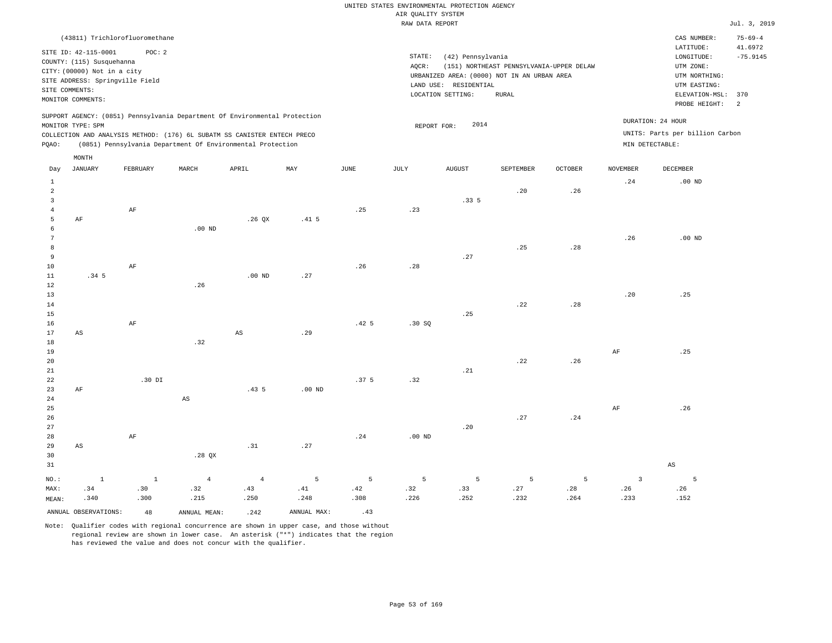|                                                                                                                                                                                                                                                    |                   |                                |          |                                                                                                                                        |                  |                  | RAW DATA REPORT |                                                                 |                                                                                                  |         |                 |                                                                                                          | Jul. 3, 2019                      |
|----------------------------------------------------------------------------------------------------------------------------------------------------------------------------------------------------------------------------------------------------|-------------------|--------------------------------|----------|----------------------------------------------------------------------------------------------------------------------------------------|------------------|------------------|-----------------|-----------------------------------------------------------------|--------------------------------------------------------------------------------------------------|---------|-----------------|----------------------------------------------------------------------------------------------------------|-----------------------------------|
|                                                                                                                                                                                                                                                    |                   | (43811) Trichlorofluoromethane |          |                                                                                                                                        |                  |                  |                 |                                                                 |                                                                                                  |         |                 | CAS NUMBER:                                                                                              | $75 - 69 - 4$                     |
| POC: 2<br>SITE ID: 42-115-0001<br>COUNTY: (115) Susquehanna<br>CITY: (00000) Not in a city<br>SITE ADDRESS: Springville Field<br>SITE COMMENTS:<br>MONITOR COMMENTS:<br>SUPPORT AGENCY: (0851) Pennsylvania Department Of Environmental Protection |                   |                                |          |                                                                                                                                        |                  |                  | STATE:<br>AQCR: | (42) Pennsylvania<br>LAND USE: RESIDENTIAL<br>LOCATION SETTING: | (151) NORTHEAST PENNSYLVANIA-UPPER DELAW<br>URBANIZED AREA: (0000) NOT IN AN URBAN AREA<br>RURAL |         |                 | LATITUDE:<br>LONGITUDE:<br>UTM ZONE:<br>UTM NORTHING:<br>UTM EASTING:<br>ELEVATION-MSL:<br>PROBE HEIGHT: | 41.6972<br>$-75.9145$<br>370<br>2 |
| PQAO:                                                                                                                                                                                                                                              | MONITOR TYPE: SPM |                                |          | COLLECTION AND ANALYSIS METHOD: (176) 6L SUBATM SS CANISTER ENTECH PRECO<br>(0851) Pennsylvania Department Of Environmental Protection |                  |                  | REPORT FOR:     | 2014                                                            |                                                                                                  |         |                 | DURATION: 24 HOUR<br>UNITS: Parts per billion Carbon<br>MIN DETECTABLE:                                  |                                   |
| Day                                                                                                                                                                                                                                                | MONTH<br>JANUARY  | FEBRUARY                       | MARCH    | APRIL                                                                                                                                  | MAY              | JUNE             | JULY            | AUGUST                                                          | SEPTEMBER                                                                                        | OCTOBER | <b>NOVEMBER</b> | DECEMBER                                                                                                 |                                   |
| $\mathbf 1$<br>$\overline{2}$<br>$\overline{3}$<br>$\overline{4}$                                                                                                                                                                                  |                   | AF                             |          |                                                                                                                                        |                  | .25              | .23             | .335                                                            | .20                                                                                              | .26     | .24             | $.00$ ND                                                                                                 |                                   |
| 5<br>6<br>7<br>8<br>9<br>10                                                                                                                                                                                                                        | AF                | $\rm AF$                       | $.00$ ND | .26 QX                                                                                                                                 | .41 <sub>5</sub> | .26              | .28             | .27                                                             | .25                                                                                              | .28     | .26             | $.00$ ND                                                                                                 |                                   |
| 11<br>12<br>13<br>14<br>15<br>16                                                                                                                                                                                                                   | .34 <sub>5</sub>  | AF                             | .26      | $.00$ ND                                                                                                                               | .27              | .42 <sub>5</sub> | .30S            | .25                                                             | .22                                                                                              | .28     | .20             | .25                                                                                                      |                                   |
| 17<br>18<br>19<br>20<br>21                                                                                                                                                                                                                         | AS                |                                | .32      | $\mathbb{A}\mathbb{S}$                                                                                                                 | .29              |                  |                 | .21                                                             | .22                                                                                              | .26     | AF              | .25                                                                                                      |                                   |
| 22<br>23<br>24<br>25<br>26<br>27                                                                                                                                                                                                                   | AF                | .30 DI                         | AS       | .435                                                                                                                                   | $.00$ ND         | .37 <sub>5</sub> | .32             | .20                                                             | .27                                                                                              | .24     | AF              | .26                                                                                                      |                                   |
| 28                                                                                                                                                                                                                                                 |                   | AF                             |          |                                                                                                                                        |                  | .24              | $.00$ ND        |                                                                 |                                                                                                  |         |                 |                                                                                                          |                                   |

29 30 31 AS NO.: MAX: MEAN: 1 .34 .340 .28 QX .31 .27 AS 1 .30 .300 4 .32 .215 4 .43 .250 5 .41 .248 5 .42 .308 5 .32 .226 5 .33 .252 5 .27 .232 5 .28 .264 3 .26 .233 5 .26 .152

ANNUAL OBSERVATIONS:  $48$  ANNUAL MEAN: .242 ANNUAL MAX: .43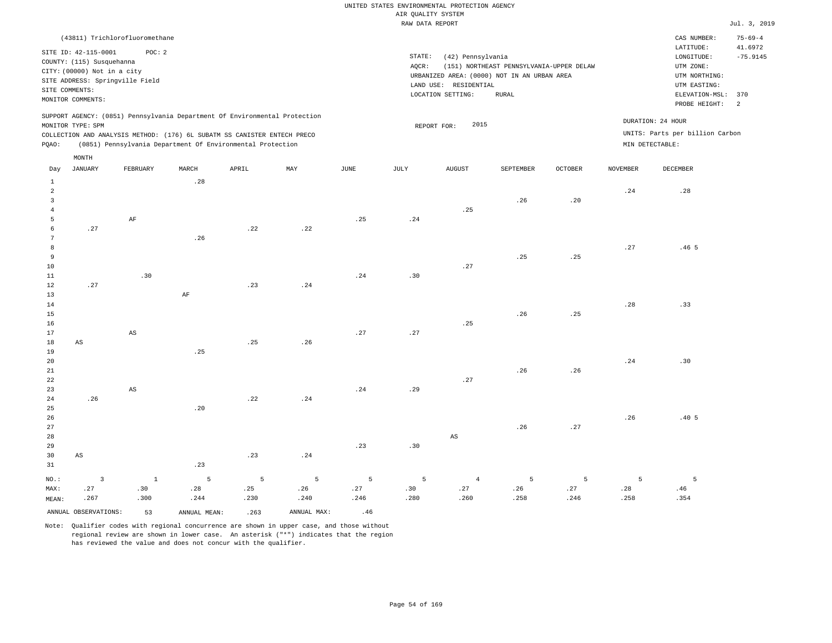|                |                                                                                                                                                            | (43811) Trichlorofluoromethane                                                                                                         |       |       |                                                                            |      |                 |                                                                                                                   |                                                   |                |                 | CAS NUMBER:                                                                                              | $75 - 69 - 4$                      |
|----------------|------------------------------------------------------------------------------------------------------------------------------------------------------------|----------------------------------------------------------------------------------------------------------------------------------------|-------|-------|----------------------------------------------------------------------------|------|-----------------|-------------------------------------------------------------------------------------------------------------------|---------------------------------------------------|----------------|-----------------|----------------------------------------------------------------------------------------------------------|------------------------------------|
|                | SITE ID: 42-115-0001<br>COUNTY: (115) Susquehanna<br>CITY: (00000) Not in a city<br>SITE ADDRESS: Springville Field<br>SITE COMMENTS:<br>MONITOR COMMENTS: | POC: 2                                                                                                                                 |       |       |                                                                            |      | STATE:<br>AOCR: | (42) Pennsylvania<br>URBANIZED AREA: (0000) NOT IN AN URBAN AREA<br>LAND USE:<br>RESIDENTIAL<br>LOCATION SETTING: | (151) NORTHEAST PENNSYLVANIA-UPPER DELAW<br>RURAL |                |                 | LATITUDE:<br>LONGITUDE:<br>UTM ZONE:<br>UTM NORTHING:<br>UTM EASTING:<br>ELEVATION-MSL:<br>PROBE HEIGHT: | 41.6972<br>$-75.9145$<br>370<br>-2 |
| POAO:          | MONITOR TYPE: SPM                                                                                                                                          | COLLECTION AND ANALYSIS METHOD: (176) 6L SUBATM SS CANISTER ENTECH PRECO<br>(0851) Pennsylvania Department Of Environmental Protection |       |       | SUPPORT AGENCY: (0851) Pennsylvania Department Of Environmental Protection |      |                 | 2015<br>REPORT FOR:                                                                                               |                                                   |                | MIN DETECTABLE: | DURATION: 24 HOUR<br>UNITS: Parts per billion Carbon                                                     |                                    |
|                | MONTH                                                                                                                                                      |                                                                                                                                        |       |       |                                                                            |      |                 |                                                                                                                   |                                                   |                |                 |                                                                                                          |                                    |
| Day            | JANUARY                                                                                                                                                    | FEBRUARY                                                                                                                               | MARCH | APRIL | MAY                                                                        | JUNE | JULY            | <b>AUGUST</b>                                                                                                     | <b>SEPTEMBER</b>                                  | <b>OCTOBER</b> | <b>NOVEMBER</b> | DECEMBER                                                                                                 |                                    |
|                |                                                                                                                                                            |                                                                                                                                        | .28   |       |                                                                            |      |                 |                                                                                                                   |                                                   |                |                 |                                                                                                          |                                    |
| $\overline{2}$ |                                                                                                                                                            |                                                                                                                                        |       |       |                                                                            |      |                 |                                                                                                                   |                                                   |                | .24             | .28                                                                                                      |                                    |
|                |                                                                                                                                                            |                                                                                                                                        |       |       |                                                                            |      |                 |                                                                                                                   | .26                                               | .20            |                 |                                                                                                          |                                    |
|                |                                                                                                                                                            |                                                                                                                                        |       |       |                                                                            |      |                 | .25                                                                                                               |                                                   |                |                 |                                                                                                          |                                    |
|                |                                                                                                                                                            | AF                                                                                                                                     |       |       |                                                                            | .25  | .24             |                                                                                                                   |                                                   |                |                 |                                                                                                          |                                    |

.27

.260

.25

.258

.25

.246

.27

.258

.354

.46 5

10

.26

.22

.22

MEAN:

.267

.300

.27

| 11      |     | $\sim$ 30 |                                     |  | $.24$ . 30  |     |                  |     |     |
|---------|-----|-----------|-------------------------------------|--|-------------|-----|------------------|-----|-----|
| 12      | .27 |           | $$\tt .30$$ $$\tt .23$$ $$\tt .24$$ |  |             |     |                  |     |     |
| 13      |     |           |                                     |  |             |     |                  |     |     |
| $1\,4$  |     |           |                                     |  |             |     |                  | .28 | .33 |
| 15      |     |           |                                     |  |             |     | $.26 \qquad .25$ |     |     |
| 16      |     |           |                                     |  |             | .25 |                  |     |     |
| 17      |     | AS        |                                     |  | $.27$ $.27$ |     |                  |     |     |
| $18$ AS |     |           | $.25$ $.26$                         |  |             |     |                  |     |     |
| 19      |     |           | .25                                 |  |             |     |                  |     |     |
| 20      |     |           |                                     |  |             |     |                  | .24 | .30 |
| $ -$    |     |           |                                     |  |             |     |                  |     |     |

| 21      |          |     |                |                |                |          |          |                 | .26            | .26      |             |                  |
|---------|----------|-----|----------------|----------------|----------------|----------|----------|-----------------|----------------|----------|-------------|------------------|
| 22      |          |     |                |                |                |          |          | .27             |                |          |             |                  |
| 23      |          | AS  |                |                |                | .24      | .29      |                 |                |          |             |                  |
| 24      | .26      |     |                | .22            | .24            |          |          |                 |                |          |             |                  |
| 25      |          |     | .20            |                |                |          |          |                 |                |          |             |                  |
| 26      |          |     |                |                |                |          |          |                 |                |          | .26         | .40 <sub>5</sub> |
| 27      |          |     |                |                |                |          |          |                 | .26            | .27      |             |                  |
| 28      |          |     |                |                |                |          |          | AS              |                |          |             |                  |
| 29      |          |     |                |                |                | .23      | .30      |                 |                |          |             |                  |
| 30      | AS       |     |                | .23            | .24            |          |          |                 |                |          |             |                  |
| 31      |          |     | .23            |                |                |          |          |                 |                |          |             |                  |
| $NO.$ : | $\sim$ 3 | 1   | $\overline{5}$ | $\overline{5}$ | 5 <sub>5</sub> | $\sim$ 5 | $\sim$ 5 | $4\overline{ }$ | $\overline{5}$ | $\sim$ 5 | $5^{\circ}$ | 5                |
| MAX:    | .27      | .30 | .28            | .25            | .26            | .27      | .30      | .27             | .26            | .27      | .28         | .46              |

.246

Note: Qualifier codes with regional concurrence are shown in upper case, and those without regional review are shown in lower case. An asterisk ("\*") indicates that the region has reviewed the value and does not concur with the qualifier.

.230

.240

.244

ANNUAL OBSERVATIONS:  $\begin{array}{ccc} 53 & 263 & 263 \end{array}$  ANNUAL MAX: .46

.280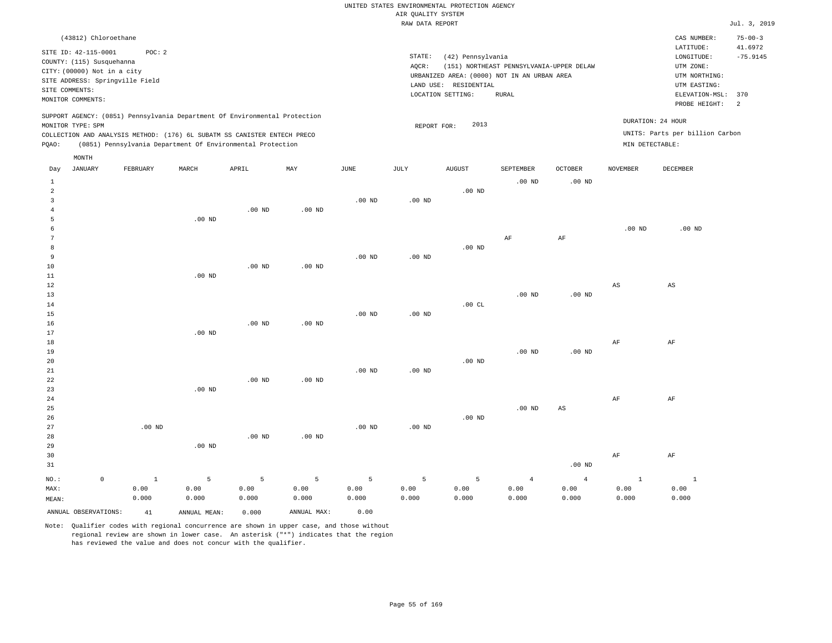| (43812) Chloroethane                                                                                                                                                                                                                                  |       |       |     |      |                 |                                                                                                                |                                                   |                                    |                 | CAS NUMBER:                                                                                              | $75 - 00 - 3$                     |
|-------------------------------------------------------------------------------------------------------------------------------------------------------------------------------------------------------------------------------------------------------|-------|-------|-----|------|-----------------|----------------------------------------------------------------------------------------------------------------|---------------------------------------------------|------------------------------------|-----------------|----------------------------------------------------------------------------------------------------------|-----------------------------------|
| SITE ID: 42-115-0001<br>POC: 2<br>COUNTY: (115) Susquehanna<br>CITY: (00000) Not in a city<br>SITE ADDRESS: Springville Field<br>SITE COMMENTS:<br>MONITOR COMMENTS:                                                                                  |       |       |     |      | STATE:<br>AOCR: | (42) Pennsylvania<br>URBANIZED AREA: (0000) NOT IN AN URBAN AREA<br>LAND USE: RESIDENTIAL<br>LOCATION SETTING: | (151) NORTHEAST PENNSYLVANIA-UPPER DELAW<br>RURAL |                                    |                 | LATITUDE:<br>LONGITUDE:<br>UTM ZONE:<br>UTM NORTHING:<br>UTM EASTING:<br>ELEVATION-MSL:<br>PROBE HEIGHT: | 41.6972<br>$-75.9145$<br>370<br>2 |
| SUPPORT AGENCY: (0851) Pennsylvania Department Of Environmental Protection<br>MONITOR TYPE: SPM<br>COLLECTION AND ANALYSIS METHOD: (176) 6L SUBATM SS CANISTER ENTECH PRECO<br>Pennsylvania Department Of Environmental Protection<br>POAO:<br>(0851) |       |       |     |      |                 | 2013<br>REPORT FOR:                                                                                            |                                                   |                                    | MIN DETECTABLE: | DURATION: 24 HOUR<br>UNITS: Parts per billion Carbon                                                     |                                   |
| MONTH<br>JANUARY<br>FEBRUARY<br>Day                                                                                                                                                                                                                   | MARCH | APRIL | MAY | JUNE | JULY            | AUGUST                                                                                                         | SEPTEMBER<br>$00 \text{ m}$                       | <b>OCTOBER</b><br>00 <sub>nm</sub> | NOVEMBER        | DECEMBER                                                                                                 |                                   |

| $\mathbf{1}$   |             |          |          |             |                   |                   |                   |                   | $.00$ ND       | $.00$ ND               |                        |                        |
|----------------|-------------|----------|----------|-------------|-------------------|-------------------|-------------------|-------------------|----------------|------------------------|------------------------|------------------------|
| $\sqrt{2}$     |             |          |          |             |                   |                   |                   | $.00$ ND          |                |                        |                        |                        |
| 3              |             |          |          |             |                   | $.00$ ND          | $.00$ ND          |                   |                |                        |                        |                        |
| 4              |             |          |          | $.00$ ND    | $.00$ ND          |                   |                   |                   |                |                        |                        |                        |
| 5              |             |          | $.00$ ND |             |                   |                   |                   |                   |                |                        |                        |                        |
| 6              |             |          |          |             |                   |                   |                   |                   |                |                        | $.00$ ND               | $.00$ ND               |
| 7              |             |          |          |             |                   |                   |                   |                   | $\rm AF$       | $\rm{AF}$              |                        |                        |
| 8              |             |          |          |             |                   |                   |                   | $.00$ ND          |                |                        |                        |                        |
| 9              |             |          |          |             |                   | $.00$ ND          | $.00$ ND          |                   |                |                        |                        |                        |
| 10             |             |          |          | $.00$ ND    | $.00$ ND          |                   |                   |                   |                |                        |                        |                        |
| 11             |             |          | $.00$ ND |             |                   |                   |                   |                   |                |                        |                        |                        |
| $12\,$         |             |          |          |             |                   |                   |                   |                   |                |                        | $\mathbb{A}\mathbb{S}$ | $\mathbb{A}\mathbb{S}$ |
| 13             |             |          |          |             |                   |                   |                   |                   | $.00$ ND       | .00 $ND$               |                        |                        |
| $14\,$         |             |          |          |             |                   |                   |                   | .00 $CL$          |                |                        |                        |                        |
| 15             |             |          |          |             |                   | .00 <sub>ND</sub> | .00 <sub>ND</sub> |                   |                |                        |                        |                        |
| 16             |             |          |          | $.00$ ND    | $.00$ ND          |                   |                   |                   |                |                        |                        |                        |
| 17             |             |          | $.00$ ND |             |                   |                   |                   |                   |                |                        |                        |                        |
| 18             |             |          |          |             |                   |                   |                   |                   |                |                        | $\rm AF$               | $\rm{AF}$              |
| 19             |             |          |          |             |                   |                   |                   |                   | $.00$ ND       | .00 $ND$               |                        |                        |
| 20             |             |          |          |             |                   |                   |                   | $.00$ ND          |                |                        |                        |                        |
| 21             |             |          |          |             |                   | $.00$ ND          | $.00$ ND          |                   |                |                        |                        |                        |
| $2\sqrt{2}$    |             |          |          | $.00$ ND    | $.00$ ND          |                   |                   |                   |                |                        |                        |                        |
| 23             |             |          | .00 $ND$ |             |                   |                   |                   |                   |                |                        |                        |                        |
| 24             |             |          |          |             |                   |                   |                   |                   |                |                        | $\rm{AF}$              | $\rm{AF}$              |
| 25             |             |          |          |             |                   |                   |                   |                   | $.00$ ND       | $\mathbb{A}\mathbb{S}$ |                        |                        |
| 26             |             |          |          |             |                   |                   |                   | $.00~\mathrm{ND}$ |                |                        |                        |                        |
| 27             |             | $.00$ ND |          |             |                   | $.00$ ND          | $.00$ ND          |                   |                |                        |                        |                        |
| 28             |             |          |          | $.00$ ND    | .00 <sub>ND</sub> |                   |                   |                   |                |                        |                        |                        |
| 29             |             |          | $.00$ ND |             |                   |                   |                   |                   |                |                        |                        |                        |
| 30             |             |          |          |             |                   |                   |                   |                   |                |                        | $\rm{AF}$              | $\rm{AF}$              |
| 31             |             |          |          |             |                   |                   |                   |                   |                | .00 $ND$               |                        |                        |
| $_{\rm NO.}$ : | $\mathsf 0$ | $\,$ 1   | 5        | $\mathsf S$ | $5\phantom{.0}$   | 5                 | 5                 | 5                 | $\overline{4}$ | $\overline{4}$         | $\,$ 1                 | $\,$ 1                 |
| MAX:           |             | 0.00     | 0.00     | 0.00        | 0.00              | 0.00              | 0.00              | 0.00              | 0.00           | 0.00                   | 0.00                   | 0.00                   |
| MEAN:          |             | 0.000    | 0.000    | 0.000       | 0.000             | 0.000             | 0.000             | 0.000             | 0.000          | 0.000                  | 0.000                  | 0.000                  |

ANNUAL OBSERVATIONS: 41 ANNUAL MEAN: 0.000 ANNUAL MAX: 0.00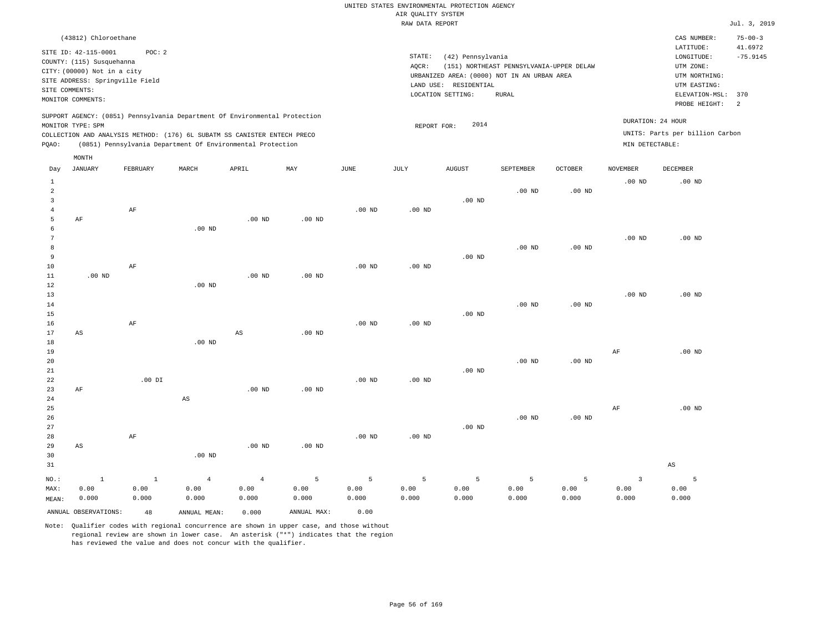| (43812) Chloroethane                                                                                                                                                                                                                                        |                                                                                                                                                                                        | CAS NUMBER:                                                                                                  | $75 - 00 - 3$         |
|-------------------------------------------------------------------------------------------------------------------------------------------------------------------------------------------------------------------------------------------------------------|----------------------------------------------------------------------------------------------------------------------------------------------------------------------------------------|--------------------------------------------------------------------------------------------------------------|-----------------------|
| STTE ID: 42-115-0001<br>POC:2<br>COUNTY: (115) Susquehanna<br>CITY: (00000) Not in a city<br>SITE ADDRESS: Springville Field<br>SITE COMMENTS:<br>MONITOR COMMENTS:                                                                                         | STATE:<br>(42) Pennsylvania<br>(151) NORTHEAST PENNSYLVANIA-UPPER DELAW<br>AOCR:<br>URBANIZED AREA: (0000) NOT IN AN URBAN AREA<br>LAND USE: RESIDENTIAL<br>LOCATION SETTING:<br>RURAL | LATITUDE:<br>LONGITUDE:<br>UTM ZONE:<br>UTM NORTHING:<br>UTM EASTING:<br>ELEVATION-MSL: 370<br>PROBE HEIGHT: | 41.6972<br>$-75.9145$ |
| SUPPORT AGENCY: (0851) Pennsylvania Department Of Environmental Protection<br>MONITOR TYPE: SPM<br>COLLECTION AND ANALYSIS METHOD: (176) 6L SUBATM SS CANISTER ENTECH PRECO<br>(0851) Pennsylvania Department Of Environmental Protection<br>POAO:<br>MONTH | 2014<br>REPORT FOR:                                                                                                                                                                    | DURATION: 24 HOUR<br>UNITS: Parts per billion Carbon<br>MIN DETECTABLE:                                      |                       |

| Day                     | JANUARY                | FEBRUARY  | MARCH                  | APRIL          | MAY            | JUNE           | JULY            | AUGUST      | SEPTEMBER | OCTOBER           | NOVEMBER                | DECEMBER          |
|-------------------------|------------------------|-----------|------------------------|----------------|----------------|----------------|-----------------|-------------|-----------|-------------------|-------------------------|-------------------|
| $\mathbf{1}$            |                        |           |                        |                |                |                |                 |             |           |                   | $.00$ ND                | $.00$ ND          |
| $\overline{\mathbf{c}}$ |                        |           |                        |                |                |                |                 |             | $.00$ ND  | $.00$ ND          |                         |                   |
| 3                       |                        |           |                        |                |                |                |                 | $.00$ ND    |           |                   |                         |                   |
| 4                       |                        | $\rm AF$  |                        |                |                | $.00$ ND       | .00 $ND$        |             |           |                   |                         |                   |
| 5                       | $\rm{AF}$              |           |                        | $.00$ ND       | $.00$ ND       |                |                 |             |           |                   |                         |                   |
| 6                       |                        |           | $.00$ ND               |                |                |                |                 |             |           |                   |                         |                   |
| 7                       |                        |           |                        |                |                |                |                 |             |           |                   | $.00$ ND                | .00 <sub>ND</sub> |
| 8                       |                        |           |                        |                |                |                |                 |             | $.00$ ND  | $.00$ ND          |                         |                   |
| 9                       |                        |           |                        |                |                |                |                 | $.00$ ND    |           |                   |                         |                   |
| $10$                    |                        | $\rm AF$  |                        |                |                | $.00$ ND       | .00 $ND$        |             |           |                   |                         |                   |
| $11\,$                  | $.00$ ND               |           |                        | $.00$ ND       | $.00$ ND       |                |                 |             |           |                   |                         |                   |
| $1\,2$                  |                        |           | $.00$ ND               |                |                |                |                 |             |           |                   |                         |                   |
| 13                      |                        |           |                        |                |                |                |                 |             |           |                   | $.00$ ND                | $.00$ ND          |
| 14                      |                        |           |                        |                |                |                |                 |             | $.00$ ND  | $.00$ ND          |                         |                   |
| 15                      |                        |           |                        |                |                |                |                 | $.00$ ND    |           |                   |                         |                   |
| 16                      |                        | $\rm AF$  |                        |                |                | $.00$ ND       | $.00$ ND        |             |           |                   |                         |                   |
| 17                      | $\mathbb{A}\mathbb{S}$ |           |                        | $_{\rm AS}$    | $.00$ ND       |                |                 |             |           |                   |                         |                   |
| 18                      |                        |           | $.00$ ND               |                |                |                |                 |             |           |                   |                         |                   |
| 19                      |                        |           |                        |                |                |                |                 |             |           |                   | AF                      | $.00$ ND          |
| 20                      |                        |           |                        |                |                |                |                 |             | $.00$ ND  | $.00~\mathrm{ND}$ |                         |                   |
| 21                      |                        |           |                        |                |                |                |                 | $.00$ ND    |           |                   |                         |                   |
| 22                      |                        | $.00$ DI  |                        |                |                | $.00$ ND       | $.00$ ND        |             |           |                   |                         |                   |
| 23                      | $\rm{AF}$              |           |                        | $.00$ ND       | $.00$ ND       |                |                 |             |           |                   |                         |                   |
| 24                      |                        |           | $\mathbb{A}\mathbb{S}$ |                |                |                |                 |             |           |                   |                         |                   |
| 25                      |                        |           |                        |                |                |                |                 |             |           |                   | AF                      | $.00$ ND          |
| 26                      |                        |           |                        |                |                |                |                 |             | $.00$ ND  | $.00~\mathrm{ND}$ |                         |                   |
| 27                      |                        |           |                        |                |                |                |                 | .00 $ND$    |           |                   |                         |                   |
| 28                      |                        | $\rm{AF}$ |                        |                |                | $.00$ ND       | .00 $ND$        |             |           |                   |                         |                   |
| 29                      | AS                     |           |                        | $.00$ ND       | $.00$ ND       |                |                 |             |           |                   |                         |                   |
| 30                      |                        |           | $.00$ ND               |                |                |                |                 |             |           |                   |                         |                   |
| 31                      |                        |           |                        |                |                |                |                 |             |           |                   |                         | $_{\rm AS}$       |
| $NO.$ :                 | $\mathbf{1}$           | $\,$ 1    | $\overline{4}$         | $\overline{4}$ | $\overline{5}$ | $\overline{5}$ | $5\phantom{.0}$ | $\mathsf S$ | 5         | 5                 | $\overline{\mathbf{3}}$ | 5                 |
| MAX:                    | 0.00                   | 0.00      | 0.00                   | 0.00           | 0.00           | 0.00           | 0.00            | 0.00        | 0.00      | 0.00              | 0.00                    | 0.00              |
| MEAN:                   | 0.000                  | 0.000     | 0.000                  | 0.000          | 0.000          | 0.000          | 0.000           | 0.000       | 0.000     | 0.000             | 0.000                   | 0.000             |
|                         | ANNUAL OBSERVATIONS:   | 48        | ANNUAL MEAN:           | 0.000          | ANNUAL MAX:    | 0.00           |                 |             |           |                   |                         |                   |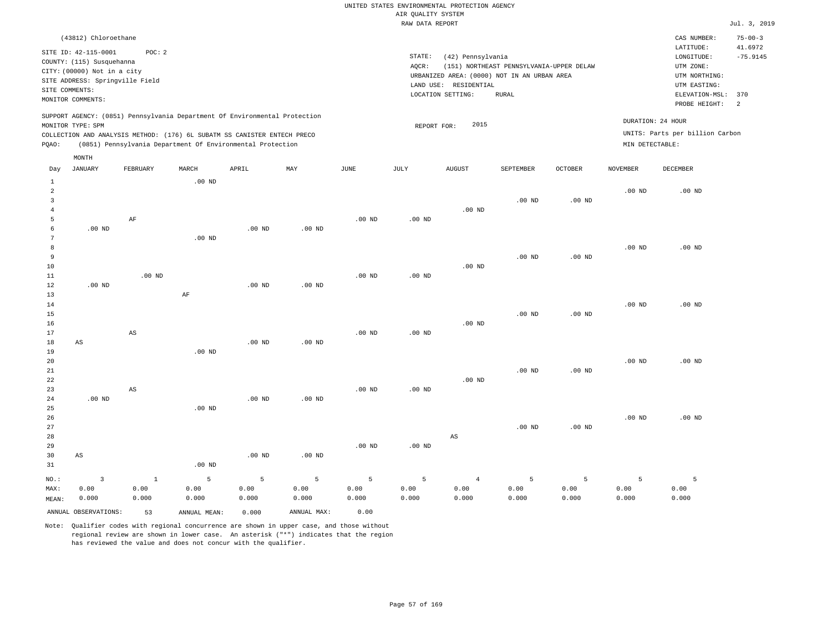|                | (43812) Chloroethane                                                                                                                     |          |       |                                                                                                                                                                                                                      |     |      |                              |                                  |                                                                           |                                          |                                      | CAS NUMBER:                                                                                              | $75 - 00 - 3$                     |
|----------------|------------------------------------------------------------------------------------------------------------------------------------------|----------|-------|----------------------------------------------------------------------------------------------------------------------------------------------------------------------------------------------------------------------|-----|------|------------------------------|----------------------------------|---------------------------------------------------------------------------|------------------------------------------|--------------------------------------|----------------------------------------------------------------------------------------------------------|-----------------------------------|
| SITE COMMENTS: | SITE ID: 42-115-0001<br>COUNTY: (115) Susquehanna<br>CITY: (00000) Not in a city<br>SITE ADDRESS: Springville Field<br>MONITOR COMMENTS: | POC: 2   |       |                                                                                                                                                                                                                      |     |      | STATE:<br>AOCR:<br>LAND USE: | RESIDENTIAL<br>LOCATION SETTING: | (42) Pennsylvania<br>URBANIZED AREA: (0000) NOT IN AN URBAN AREA<br>RURAL | (151) NORTHEAST PENNSYLVANIA-UPPER DELAW |                                      | LATITUDE:<br>LONGITUDE:<br>UTM ZONE:<br>UTM NORTHING:<br>UTM EASTING:<br>ELEVATION-MSL:<br>PROBE HEIGHT: | 41.6972<br>$-75.9145$<br>370<br>2 |
| POAO:          | MONITOR TYPE: SPM                                                                                                                        |          |       | SUPPORT AGENCY: (0851) Pennsylvania Department Of Environmental Protection<br>COLLECTION AND ANALYSIS METHOD: (176) 6L SUBATM SS CANISTER ENTECH PRECO<br>(0851) Pennsylvania Department Of Environmental Protection |     |      |                              | REPORT FOR:                      | 2015                                                                      |                                          | DURATION: 24 HOUR<br>MIN DETECTABLE: | UNITS: Parts per billion Carbon                                                                          |                                   |
| Day            | MONTH<br>JANUARY                                                                                                                         | FEBRUARY | MARCH | APRIL                                                                                                                                                                                                                | MAY | JUNE | JULY                         | AUGUST                           | <b>SEPTEMBER</b>                                                          | OCTOBER                                  | NOVEMBER                             | DECEMBER                                                                                                 |                                   |

| $\mathbf{1}$   |                         |                        | $.00$ ND     |             |                |                 |          |                |          |          |          |                   |
|----------------|-------------------------|------------------------|--------------|-------------|----------------|-----------------|----------|----------------|----------|----------|----------|-------------------|
| $\overline{c}$ |                         |                        |              |             |                |                 |          |                |          |          | $.00$ ND | .00 <sub>ND</sub> |
| 3              |                         |                        |              |             |                |                 |          |                | $.00$ ND | $.00$ ND |          |                   |
| $\overline{4}$ |                         |                        |              |             |                |                 |          | $.00$ ND       |          |          |          |                   |
| 5              |                         | $\rm AF$               |              |             |                | $.00$ ND        | .00 $ND$ |                |          |          |          |                   |
| 6              | $.00$ ND                |                        |              | $.00$ ND    | $.00$ ND       |                 |          |                |          |          |          |                   |
| 7              |                         |                        | .00 $ND$     |             |                |                 |          |                |          |          |          |                   |
| 8              |                         |                        |              |             |                |                 |          |                |          |          | $.00$ ND | .00 <sub>ND</sub> |
| 9              |                         |                        |              |             |                |                 |          |                | $.00$ ND | $.00$ ND |          |                   |
| 10             |                         |                        |              |             |                |                 |          | $.00$ ND       |          |          |          |                   |
| $11\,$         |                         | $.00$ ND               |              |             |                | $.00$ ND        | .00 $ND$ |                |          |          |          |                   |
| 12             | $.00$ ND                |                        |              | $.00$ ND    | $.00$ ND       |                 |          |                |          |          |          |                   |
| 13             |                         |                        | $\rm{AF}$    |             |                |                 |          |                |          |          |          |                   |
| $14$           |                         |                        |              |             |                |                 |          |                |          |          | $.00$ ND | $.00$ ND          |
| 15             |                         |                        |              |             |                |                 |          |                | $.00$ ND | $.00$ ND |          |                   |
| 16             |                         |                        |              |             |                |                 |          | $.00$ ND       |          |          |          |                   |
| 17             |                         | $\mathbb{A}\mathbb{S}$ |              |             |                | $.00$ ND        | .00 $ND$ |                |          |          |          |                   |
| 18             | $_{\rm AS}$             |                        |              | $.00$ ND    | $.00$ ND       |                 |          |                |          |          |          |                   |
| 19             |                         |                        | $.00$ ND     |             |                |                 |          |                |          |          |          |                   |
| 20             |                         |                        |              |             |                |                 |          |                | $.00$ ND |          | $.00$ ND | $.00$ ND          |
| $2\sqrt{1}$    |                         |                        |              |             |                |                 |          |                |          | $.00$ ND |          |                   |
| 22             |                         | $\mathbb{A}\mathbb{S}$ |              |             |                |                 |          | $.00$ ND       |          |          |          |                   |
| 23<br>24       | $.00$ ND                |                        |              | $.00$ ND    |                | $.00$ ND        | .00 $ND$ |                |          |          |          |                   |
| 25             |                         |                        | $.00$ ND     |             | $.00$ ND       |                 |          |                |          |          |          |                   |
| 26             |                         |                        |              |             |                |                 |          |                |          |          | $.00$ ND | $.00$ ND          |
| 27             |                         |                        |              |             |                |                 |          |                | $.00$ ND | $.00$ ND |          |                   |
| 28             |                         |                        |              |             |                |                 |          | $_{\rm AS}$    |          |          |          |                   |
| 29             |                         |                        |              |             |                | $.00$ ND        | $.00$ ND |                |          |          |          |                   |
| 30             | AS                      |                        |              | .00 $ND$    | .00 $ND$       |                 |          |                |          |          |          |                   |
| 31             |                         |                        | $.00$ ND     |             |                |                 |          |                |          |          |          |                   |
|                |                         |                        |              |             |                |                 |          |                |          |          |          |                   |
| $NO.$ :        | $\overline{\mathbf{3}}$ | $\,$ 1 $\,$            | 5            | $\mathsf S$ | $\overline{5}$ | $5\phantom{.0}$ | 5        | $\overline{4}$ | 5        | 5        | 5        | 5                 |
| MAX:           | 0.00                    | 0.00                   | 0.00         | 0.00        | 0.00           | 0.00            | 0.00     | 0.00           | 0.00     | 0.00     | 0.00     | 0.00              |
| MEAN:          | 0.000                   | 0.000                  | 0.000        | 0.000       | 0.000          | 0.000           | 0.000    | 0.000          | 0.000    | 0.000    | 0.000    | 0.000             |
|                | ANNUAL OBSERVATIONS:    | 53                     | ANNUAL MEAN: | 0.000       | ANNUAL MAX:    | 0.00            |          |                |          |          |          |                   |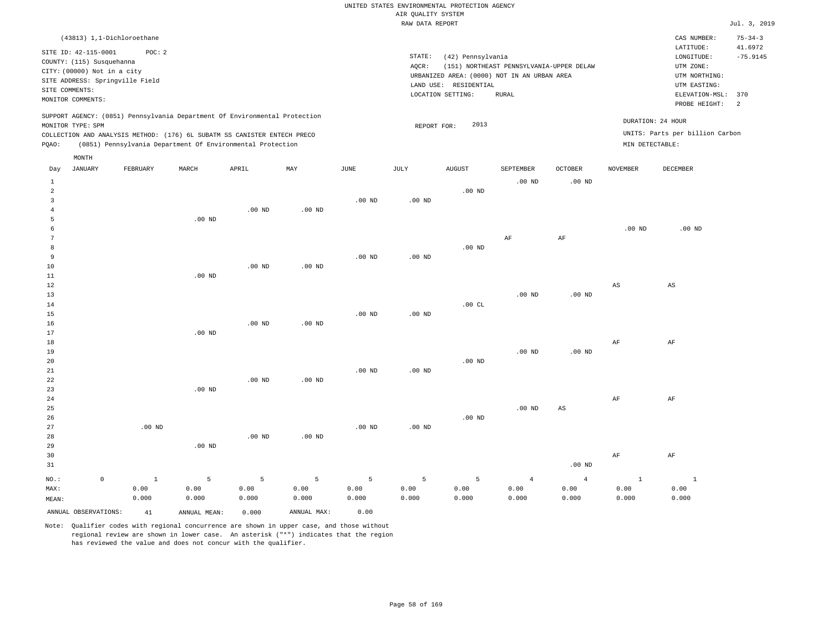|              |                                 |          |                                                                            |          |          |          | RAW DATA REPORT   |                                             |                                          |                |                 |                                 | Jul. 3, 2019   |
|--------------|---------------------------------|----------|----------------------------------------------------------------------------|----------|----------|----------|-------------------|---------------------------------------------|------------------------------------------|----------------|-----------------|---------------------------------|----------------|
|              | (43813) 1,1-Dichloroethane      |          |                                                                            |          |          |          |                   |                                             |                                          |                |                 | CAS NUMBER:                     | $75 - 34 - 3$  |
|              | SITE ID: 42-115-0001            | POC: 2   |                                                                            |          |          |          |                   |                                             |                                          |                |                 | LATITUDE:                       | 41.6972        |
|              | COUNTY: (115) Susquehanna       |          |                                                                            |          |          |          | STATE:            | (42) Pennsylvania                           |                                          |                |                 | LONGITUDE:                      | $-75.9145$     |
|              | CITY: (00000) Not in a city     |          |                                                                            |          |          |          | AOCR:             |                                             | (151) NORTHEAST PENNSYLVANIA-UPPER DELAW |                |                 | UTM ZONE:                       |                |
|              | SITE ADDRESS: Springville Field |          |                                                                            |          |          |          |                   | URBANIZED AREA: (0000) NOT IN AN URBAN AREA |                                          |                |                 | UTM NORTHING:                   |                |
|              | SITE COMMENTS:                  |          |                                                                            |          |          |          |                   | LAND USE: RESIDENTIAL                       |                                          |                |                 | UTM EASTING:                    |                |
|              | MONITOR COMMENTS:               |          |                                                                            |          |          |          |                   | LOCATION SETTING:                           | RURAL                                    |                |                 | ELEVATION-MSL:                  | 370            |
|              |                                 |          |                                                                            |          |          |          |                   |                                             |                                          |                |                 | PROBE HEIGHT:                   | $\overline{2}$ |
|              | MONITOR TYPE: SPM               |          | SUPPORT AGENCY: (0851) Pennsylvania Department Of Environmental Protection |          |          |          | REPORT FOR:       | 2013                                        |                                          |                |                 | DURATION: 24 HOUR               |                |
|              |                                 |          | COLLECTION AND ANALYSIS METHOD: (176) 6L SUBATM SS CANISTER ENTECH PRECO   |          |          |          |                   |                                             |                                          |                |                 | UNITS: Parts per billion Carbon |                |
| POAO:        |                                 |          | (0851) Pennsylvania Department Of Environmental Protection                 |          |          |          |                   |                                             |                                          |                | MIN DETECTABLE: |                                 |                |
|              | MONTH                           |          |                                                                            |          |          |          |                   |                                             |                                          |                |                 |                                 |                |
| Day          | JANUARY                         | FEBRUARY | MARCH                                                                      | APRIL    | MAY      | JUNE     | JULY              | AUGUST                                      | SEPTEMBER                                | <b>OCTOBER</b> | <b>NOVEMBER</b> | DECEMBER                        |                |
|              |                                 |          |                                                                            |          |          |          |                   |                                             |                                          |                |                 |                                 |                |
| $\mathbf{1}$ |                                 |          |                                                                            |          |          |          |                   |                                             | $.00$ ND                                 | $.00$ ND       |                 |                                 |                |
| 2            |                                 |          |                                                                            |          |          |          |                   | $.00$ ND                                    |                                          |                |                 |                                 |                |
|              |                                 |          |                                                                            |          |          | $.00$ ND | .00 <sub>ND</sub> |                                             |                                          |                |                 |                                 |                |
|              |                                 |          |                                                                            | $.00$ ND | $.00$ ND |          |                   |                                             |                                          |                |                 |                                 |                |
|              |                                 |          | $.00$ ND                                                                   |          |          |          |                   |                                             |                                          |                |                 |                                 |                |
|              |                                 |          |                                                                            |          |          |          |                   |                                             |                                          |                | $.00$ ND        | $.00$ ND                        |                |
|              |                                 |          |                                                                            |          |          |          |                   |                                             | AF                                       | AF             |                 |                                 |                |
|              |                                 |          |                                                                            |          |          |          |                   | $.00$ ND                                    |                                          |                |                 |                                 |                |
| 9            |                                 |          |                                                                            |          |          | $.00$ ND | $.00$ ND          |                                             |                                          |                |                 |                                 |                |
| 10           |                                 |          |                                                                            | $.00$ ND | $.00$ ND |          |                   |                                             |                                          |                |                 |                                 |                |
| 11           |                                 |          | $.00$ ND                                                                   |          |          |          |                   |                                             |                                          |                |                 |                                 |                |
| 12           |                                 |          |                                                                            |          |          |          |                   |                                             |                                          |                | AS              | $\mathbb{A}\mathbb{S}$          |                |
| 13           |                                 |          |                                                                            |          |          |          |                   |                                             | .00 <sub>ND</sub>                        | $.00$ ND       |                 |                                 |                |

| $14\,$      |          |          |          |          |          |          | .00 $CL$ |          |                 |    |    |
|-------------|----------|----------|----------|----------|----------|----------|----------|----------|-----------------|----|----|
| $15\,$      |          |          |          |          | $.00$ ND | $.00$ ND |          |          |                 |    |    |
| $16\,$      |          |          | $.00$ ND | $.00$ ND |          |          |          |          |                 |    |    |
| 17          |          | $.00$ ND |          |          |          |          |          |          |                 |    |    |
| 18          |          |          |          |          |          |          |          |          |                 | AF | AF |
| 19          |          |          |          |          |          |          |          | $.00$ ND | $.00$ ND        |    |    |
| $20\,$      |          |          |          |          |          |          | $.00$ ND |          |                 |    |    |
| $21\,$      |          |          |          |          | $.00$ ND | $.00$ ND |          |          |                 |    |    |
| $2\sqrt{2}$ |          |          | $.00$ ND | $.00$ ND |          |          |          |          |                 |    |    |
| 23          |          | $.00$ ND |          |          |          |          |          |          |                 |    |    |
| $2\,4$      |          |          |          |          |          |          |          |          |                 | AF | AF |
| 25          |          |          |          |          |          |          |          | $.00$ ND | AS              |    |    |
| $26\,$      |          |          |          |          |          |          | $.00$ ND |          |                 |    |    |
| 27          | $.00$ ND |          |          |          | $.00$ ND | $.00$ ND |          |          |                 |    |    |
| 28          |          |          | $.00$ ND | $.00$ ND |          |          |          |          |                 |    |    |
| 29          |          | $.00$ ND |          |          |          |          |          |          |                 |    |    |
| 30          |          |          |          |          |          |          |          |          |                 | AF | AF |
| 21          |          |          |          |          |          |          |          |          | $00 \text{ MP}$ |    |    |

| - ⊃ ⊥                |       |              |       |             |       |       |       |       | . OU IND |       |       |
|----------------------|-------|--------------|-------|-------------|-------|-------|-------|-------|----------|-------|-------|
| NO.:                 |       |              |       |             | ъ.    |       |       |       |          |       |       |
| MAX:                 | 0.00  | 0.00         | 0.00  | 0.00        | 0.00  | 0.00  | 0.00  | 0.00  | 0.00     | 0.00  | 0.00  |
| MEAN:                | 0.000 | 0.000        | 0.000 | 0.000       | 0.000 | 0.000 | 0.000 | 0.000 | 0.000    | 0.000 | 0.000 |
| ANNUAL OBSERVATIONS: | 41    | ANNUAL MEAN: | 0.000 | ANNUAL MAX: | 0.00  |       |       |       |          |       |       |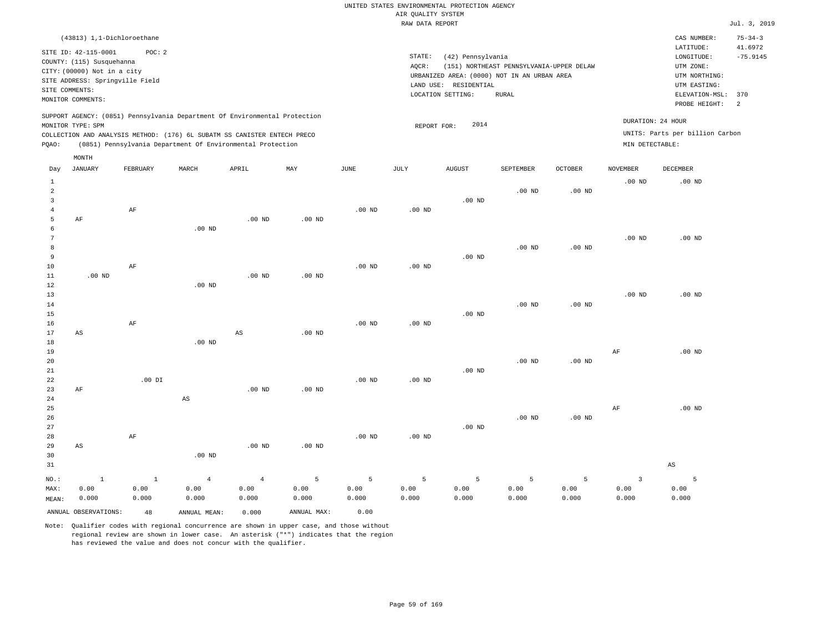| (43813) 1,1-Dichloroethane                                                                                                                                                                                                                         |                                                                                                                                                                                           | CAS NUMBER:                                                                                                  | $75 - 34 - 3$         |
|----------------------------------------------------------------------------------------------------------------------------------------------------------------------------------------------------------------------------------------------------|-------------------------------------------------------------------------------------------------------------------------------------------------------------------------------------------|--------------------------------------------------------------------------------------------------------------|-----------------------|
| SITE ID: 42-115-0001<br>POC:2<br>COUNTY: (115) Susquehanna<br>CITY: (00000) Not in a city<br>SITE ADDRESS: Springville Field<br>SITE COMMENTS:<br>MONITOR COMMENTS:                                                                                | STATE:<br>(42) Pennsylvania<br>(151) NORTHEAST PENNSYLVANIA-UPPER DELAW<br>AOCR:<br>URBANIZED AREA: (0000) NOT IN AN URBAN AREA<br>RESIDENTIAL<br>LAND USE:<br>LOCATION SETTING:<br>RURAL | LATITUDE:<br>LONGITUDE:<br>UTM ZONE:<br>UTM NORTHING:<br>UTM EASTING:<br>ELEVATION-MSL: 370<br>PROBE HEIGHT: | 41.6972<br>$-75.9145$ |
| SUPPORT AGENCY: (0851) Pennsylvania Department Of Environmental Protection<br>MONITOR TYPE: SPM<br>COLLECTION AND ANALYSIS METHOD: (176) 6L SUBATM SS CANISTER ENTECH PRECO<br>(0851) Pennsylvania Department Of Environmental Protection<br>POAO: | DURATION: 24 HOUR<br>2014<br>REPORT FOR:<br>MIN DETECTABLE:                                                                                                                               | UNITS: Parts per billion Carbon                                                                              |                       |

|                                     | MONTH                         |                         |                                 |                                 |                    |                    |                    |                    |                    |                                 |                                 |                        |
|-------------------------------------|-------------------------------|-------------------------|---------------------------------|---------------------------------|--------------------|--------------------|--------------------|--------------------|--------------------|---------------------------------|---------------------------------|------------------------|
| Day                                 | <b>JANUARY</b>                | FEBRUARY                | MARCH                           | APRIL                           | MAY                | JUNE               | JULY               | <b>AUGUST</b>      | SEPTEMBER          | OCTOBER                         | <b>NOVEMBER</b>                 | DECEMBER               |
| $\mathbf{1}$<br>$\overline{a}$<br>3 |                               |                         |                                 |                                 |                    |                    |                    | $.00$ ND           | $.00$ ND           | $.00$ ND                        | $.00$ ND                        | $.00$ ND               |
| $\overline{4}$<br>5<br>6<br>7       | $\rm{AF}$                     | $\rm AF$                | $.00$ ND                        | $.00$ ND                        | $.00$ ND           | $.00$ ND           | $.00$ ND           |                    |                    |                                 | $.00$ ND                        | $.00$ ND               |
| 8<br>9<br>10                        |                               | $\rm{AF}$               |                                 |                                 |                    | $.00$ ND           | $.00$ ND           | $.00$ ND           | $.00$ ND           | $.00$ ND                        |                                 |                        |
| 11<br>12<br>13<br>14                | $.00$ ND                      |                         | $.00$ ND                        | $.00$ ND                        | $.00$ ND           |                    |                    |                    | $.00$ ND           | $.00$ ND                        | $.00$ ND                        | $.00$ ND               |
| 15<br>16<br>17<br>18                | $\mathbb{A}\mathbb{S}$        | $\rm AF$                | $.00$ ND                        | $\mathbb{A}\mathbb{S}$          | $.00$ ND           | $.00$ ND           | $.00$ ND           | $.00$ ND           |                    |                                 |                                 |                        |
| 19<br>20<br>21                      |                               |                         |                                 |                                 |                    |                    |                    | $.00$ ND           | $.00$ ND           | $.00$ ND                        | $\rm{AF}$                       | $.00$ ND               |
| 22<br>23<br>$2\sqrt{4}$<br>25       | $\rm{AF}$                     | $.00$ DI                | $\mathbb{A}\mathbb{S}$          | $.00$ ND                        | $.00$ ND           | $.00$ ND           | $.00$ ND           |                    |                    |                                 | $\rm{AF}$                       | $.00$ ND               |
| 26<br>27<br>28                      |                               | $\rm AF$                |                                 |                                 |                    | $.00$ ND           | $.00$ ND           | $.00$ ND           | $.00$ ND           | $.00$ ND                        |                                 |                        |
| 29<br>30<br>31                      | $\mathbb{A}\mathbb{S}$        |                         | $.00$ ND                        | $.00$ ND                        | $.00$ ND           |                    |                    |                    |                    |                                 |                                 | $\mathbb{A}\mathbb{S}$ |
| $NO.$ :<br>MAX:<br>MEAN:            | $\mathbf{1}$<br>0.00<br>0.000 | $\,$ 1<br>0.00<br>0.000 | $\overline{4}$<br>0.00<br>0.000 | $\overline{4}$<br>0.00<br>0.000 | 5<br>0.00<br>0.000 | 5<br>0.00<br>0.000 | 5<br>0.00<br>0.000 | 5<br>0.00<br>0.000 | 5<br>0.00<br>0.000 | $\overline{5}$<br>0.00<br>0.000 | $\overline{3}$<br>0.00<br>0.000 | 5<br>0.00<br>0.000     |
|                                     | ANNUAL OBSERVATIONS:          | 48                      | ANNUAL MEAN:                    | 0.000                           | ANNUAL MAX:        | 0.00               |                    |                    |                    |                                 |                                 |                        |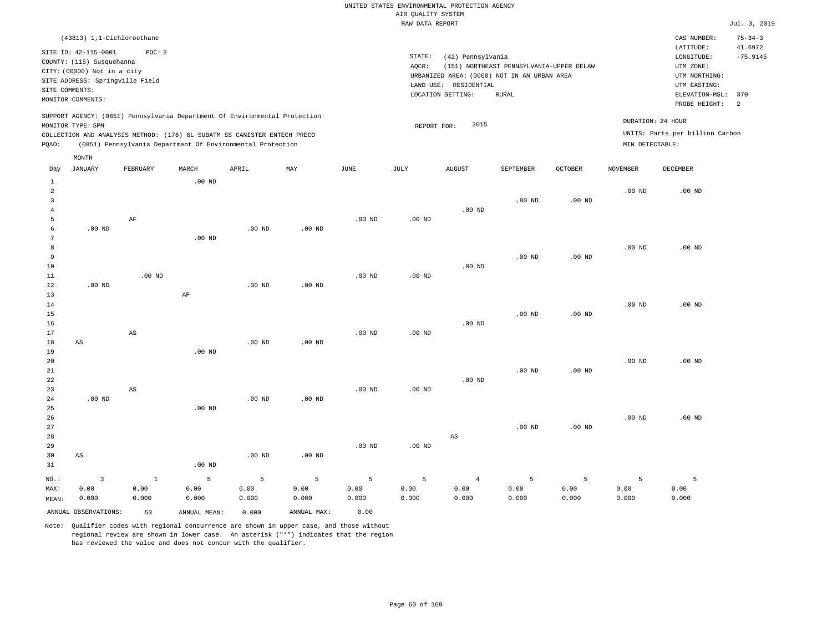| (43813) 1,1-Dichloroethane                                                                                                                                                                                                                                              |                                                                                                                                                                                        | CAS NUMBER:                                                                                 | $75 - 34 - 3$         |
|-------------------------------------------------------------------------------------------------------------------------------------------------------------------------------------------------------------------------------------------------------------------------|----------------------------------------------------------------------------------------------------------------------------------------------------------------------------------------|---------------------------------------------------------------------------------------------|-----------------------|
| SITE ID: 42-115-0001<br>POC:2<br>COUNTY: (115) Susquehanna<br>CITY: (00000) Not in a city<br>SITE ADDRESS: Springville Field<br>SITE COMMENTS:                                                                                                                          | STATE:<br>(42) Pennsylvania<br>(151) NORTHEAST PENNSYLVANIA-UPPER DELAW<br>AOCR:<br>URBANIZED AREA: (0000) NOT IN AN URBAN AREA<br>LAND USE: RESIDENTIAL<br>LOCATION SETTING:<br>RURAL | LATITUDE:<br>LONGITUDE:<br>UTM ZONE:<br>UTM NORTHING:<br>UTM EASTING:<br>ELEVATION-MSL: 370 | 41.6972<br>$-75.9145$ |
| MONITOR COMMENTS:<br>SUPPORT AGENCY: (0851) Pennsylvania Department Of Environmental Protection<br>MONITOR TYPE: SPM<br>COLLECTION AND ANALYSIS METHOD: (176) 6L SUBATM SS CANISTER ENTECH PRECO<br>(0851) Pennsylvania Department Of Environmental Protection<br>POAO: | 2015<br>REPORT FOR:                                                                                                                                                                    | PROBE HEIGHT:<br>DURATION: 24 HOUR<br>UNITS: Parts per billion Carbon<br>MIN DETECTABLE:    | $\overline{2}$        |
| MONTH                                                                                                                                                                                                                                                                   |                                                                                                                                                                                        |                                                                                             |                       |

| Day            | JANUARY                 | FEBRUARY               | MARCH             | APRIL          | MAY         | $_{\rm JUNE}$  | JULY           | AUGUST                 | SEPTEMBER | OCTOBER           | NOVEMBER | DECEMBER |
|----------------|-------------------------|------------------------|-------------------|----------------|-------------|----------------|----------------|------------------------|-----------|-------------------|----------|----------|
| $\mathbf{1}$   |                         |                        | $.00$ ND          |                |             |                |                |                        |           |                   |          |          |
| $\overline{a}$ |                         |                        |                   |                |             |                |                |                        |           |                   | $.00$ ND | $.00$ ND |
| 3              |                         |                        |                   |                |             |                |                |                        | $.00$ ND  | .00 <sub>ND</sub> |          |          |
| $\overline{4}$ |                         |                        |                   |                |             |                |                | $.00$ ND               |           |                   |          |          |
| 5              |                         | $\rm AF$               |                   |                |             | $.00$ ND       | $.00$ ND       |                        |           |                   |          |          |
| 6              | $.00$ ND                |                        |                   | $.00$ ND       | $.00$ ND    |                |                |                        |           |                   |          |          |
| 7              |                         |                        | $.00$ ND          |                |             |                |                |                        |           |                   |          |          |
| 8              |                         |                        |                   |                |             |                |                |                        |           |                   | $.00$ ND | $.00$ ND |
| 9              |                         |                        |                   |                |             |                |                |                        | $.00$ ND  | $.00$ ND          |          |          |
| $10\,$         |                         |                        |                   |                |             |                |                | $.00$ ND               |           |                   |          |          |
| $11\,$         |                         | $.00$ ND               |                   |                |             | $.00$ ND       | $.00$ ND       |                        |           |                   |          |          |
| 12             | $.00$ ND                |                        |                   | $.00$ ND       | $.00$ ND    |                |                |                        |           |                   |          |          |
| 13             |                         |                        | $\rm AF$          |                |             |                |                |                        |           |                   |          |          |
| 14             |                         |                        |                   |                |             |                |                |                        |           |                   | $.00$ ND | $.00$ ND |
| 15             |                         |                        |                   |                |             |                |                |                        | $.00$ ND  | $.00$ ND          |          |          |
| 16             |                         |                        |                   |                |             |                |                | $.00$ ND               |           |                   |          |          |
| 17             |                         | $\mathbb{A}\mathbb{S}$ |                   |                |             | $.00$ ND       | $.00$ ND       |                        |           |                   |          |          |
| 18             | AS                      |                        |                   | $.00$ ND       | $.00$ ND    |                |                |                        |           |                   |          |          |
| 19             |                         |                        | .00 <sub>ND</sub> |                |             |                |                |                        |           |                   |          |          |
| 20             |                         |                        |                   |                |             |                |                |                        |           |                   | $.00$ ND | $.00$ ND |
| $2\sqrt{1}$    |                         |                        |                   |                |             |                |                |                        | $.00$ ND  | $.00$ ND          |          |          |
| $2\sqrt{2}$    |                         |                        |                   |                |             |                |                | $.00$ ND               |           |                   |          |          |
| 23             |                         | $\mathbb{A}\mathbb{S}$ |                   |                |             | $.00$ ND       | $.00{\rm ~ND}$ |                        |           |                   |          |          |
| $2\,4$         | .00 $ND$                |                        |                   | $.00$ ND       | $.00$ ND    |                |                |                        |           |                   |          |          |
| 25             |                         |                        | .00 <sub>ND</sub> |                |             |                |                |                        |           |                   |          |          |
| 26             |                         |                        |                   |                |             |                |                |                        |           |                   | $.00$ ND | $.00$ ND |
| 27             |                         |                        |                   |                |             |                |                |                        | $.00$ ND  | .00 $ND$          |          |          |
| 28             |                         |                        |                   |                |             |                |                | $\mathbb{A}\mathbb{S}$ |           |                   |          |          |
| 29<br>30       | $\mathbb{A}\mathbb{S}$  |                        |                   | $.00$ ND       | $.00$ ND    | $.00$ ND       | $.00$ ND       |                        |           |                   |          |          |
| 31             |                         |                        | $.00$ ND          |                |             |                |                |                        |           |                   |          |          |
|                |                         |                        |                   |                |             |                |                |                        |           |                   |          |          |
| $NO.$ :        | $\overline{\mathbf{3}}$ | $\,$ 1                 | 5                 | $\overline{5}$ | 5           | $\overline{5}$ | 5              | $\sqrt{4}$             | 5         | 5                 | 5        | 5        |
| MAX:           | 0.00                    | 0.00                   | 0.00              | 0.00           | 0.00        | 0.00           | 0.00           | 0.00                   | 0.00      | 0.00              | 0.00     | 0.00     |
| MEAN:          | 0.000                   | 0.000                  | 0.000             | 0.000          | 0.000       | 0.000          | 0.000          | 0.000                  | 0.000     | 0.000             | 0.000    | 0.000    |
|                | ANNUAL OBSERVATIONS:    | 53                     | ANNUAL MEAN:      | 0.000          | ANNUAL MAX: | 0.00           |                |                        |           |                   |          |          |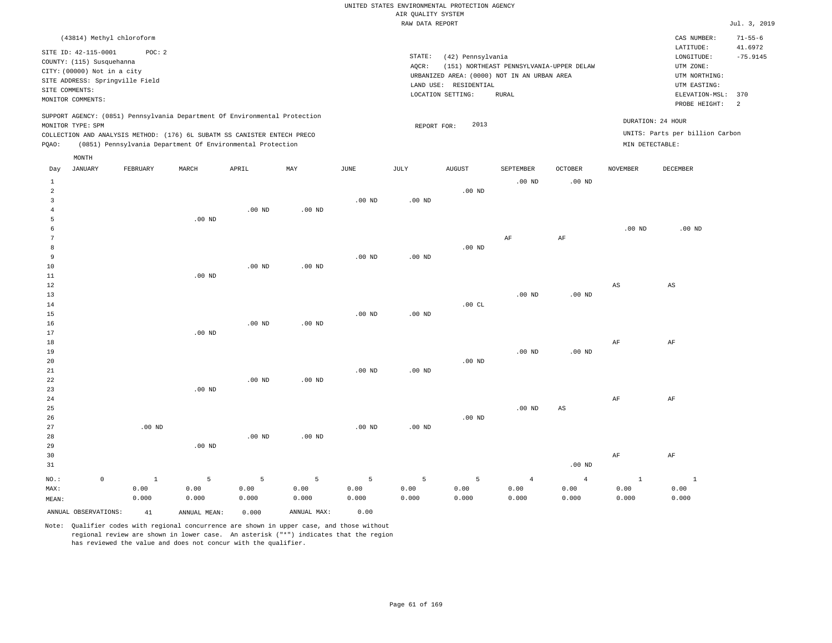|       | (43814) Methyl chloroform                                                                                               |                                           |       |                                                                                                                                                                                                                      |     |          |                 |                                                                                                                |                                                   |                |                                                                                                          | CAS NUMBER:                                                             | $71 - 55 - 6$                     |
|-------|-------------------------------------------------------------------------------------------------------------------------|-------------------------------------------|-------|----------------------------------------------------------------------------------------------------------------------------------------------------------------------------------------------------------------------|-----|----------|-----------------|----------------------------------------------------------------------------------------------------------------|---------------------------------------------------|----------------|----------------------------------------------------------------------------------------------------------|-------------------------------------------------------------------------|-----------------------------------|
|       | SITE ID: 42-115-0001<br>COUNTY: (115) Susquehanna<br>CITY: (00000) Not in a city<br>SITE COMMENTS:<br>MONITOR COMMENTS: | POC: 2<br>SITE ADDRESS: Springville Field |       |                                                                                                                                                                                                                      |     |          | STATE:<br>AQCR: | (42) Pennsylvania<br>URBANIZED AREA: (0000) NOT IN AN URBAN AREA<br>LAND USE: RESIDENTIAL<br>LOCATION SETTING: | (151) NORTHEAST PENNSYLVANIA-UPPER DELAW<br>RURAL |                | LATITUDE:<br>LONGITUDE:<br>UTM ZONE:<br>UTM NORTHING:<br>UTM EASTING:<br>ELEVATION-MSL:<br>PROBE HEIGHT: |                                                                         | 41.6972<br>$-75.9145$<br>370<br>2 |
| POAO: | MONITOR TYPE: SPM                                                                                                       |                                           |       | SUPPORT AGENCY: (0851) Pennsylvania Department Of Environmental Protection<br>COLLECTION AND ANALYSIS METHOD: (176) 6L SUBATM SS CANISTER ENTECH PRECO<br>(0851) Pennsylvania Department Of Environmental Protection |     |          |                 | 2013<br>REPORT FOR:                                                                                            |                                                   |                |                                                                                                          | DURATION: 24 HOUR<br>UNITS: Parts per billion Carbon<br>MIN DETECTABLE: |                                   |
| Day   | MONTH<br>JANUARY                                                                                                        | FEBRUARY                                  | MARCH | APRIL                                                                                                                                                                                                                | MAY | JUNE     | JULY            | AUGUST                                                                                                         | SEPTEMBER                                         | <b>OCTOBER</b> | NOVEMBER                                                                                                 | DECEMBER                                                                |                                   |
|       |                                                                                                                         |                                           |       |                                                                                                                                                                                                                      |     |          |                 |                                                                                                                | $.00$ ND                                          | $.00$ ND       |                                                                                                          |                                                                         |                                   |
|       |                                                                                                                         |                                           |       |                                                                                                                                                                                                                      |     |          |                 | $.00$ ND                                                                                                       |                                                   |                |                                                                                                          |                                                                         |                                   |
|       |                                                                                                                         |                                           |       |                                                                                                                                                                                                                      |     | $.00$ ND | $.00$ ND        |                                                                                                                |                                                   |                |                                                                                                          |                                                                         |                                   |

| -5            | $.00$ ND |          |          |          |           |    |          |          |
|---------------|----------|----------|----------|----------|-----------|----|----------|----------|
| 6             |          |          |          |          |           |    | .00 $ND$ | $.00$ ND |
| $\mathcal{L}$ |          |          |          |          | $\rm{AF}$ | AF |          |          |
| 8             |          |          |          | .00 $ND$ |           |    |          |          |
| Q             |          | $.00$ ND | $.00$ ND |          |           |    |          |          |

| 10          |          |          | $.00$ ND | $.00$ ND |          |          |          |          |             |             |      |
|-------------|----------|----------|----------|----------|----------|----------|----------|----------|-------------|-------------|------|
| $11\,$      |          | $.00$ ND |          |          |          |          |          |          |             |             |      |
| 12          |          |          |          |          |          |          |          |          |             | $_{\rm AS}$ | AS   |
| 13          |          |          |          |          |          |          |          | $.00$ ND | $.00$ ND    |             |      |
| 14          |          |          |          |          |          |          | .00 $CL$ |          |             |             |      |
| 15          |          |          |          |          | $.00$ ND | $.00$ ND |          |          |             |             |      |
| 16          |          |          | $.00$ ND | $.00$ ND |          |          |          |          |             |             |      |
| 17          |          | $.00$ ND |          |          |          |          |          |          |             |             |      |
| 18          |          |          |          |          |          |          |          |          |             | $\rm{AF}$   | AF   |
| 19          |          |          |          |          |          |          |          | $.00$ ND | $.00$ ND    |             |      |
| 20          |          |          |          |          |          |          | $.00$ ND |          |             |             |      |
| $2\sqrt{1}$ |          |          |          |          | $.00$ ND | $.00$ ND |          |          |             |             |      |
| 22          |          |          | $.00$ ND | $.00$ ND |          |          |          |          |             |             |      |
| 23          |          | $.00$ ND |          |          |          |          |          |          |             |             |      |
| $2\sqrt{4}$ |          |          |          |          |          |          |          |          |             | $\rm{AF}$   | AF   |
| 25          |          |          |          |          |          |          |          | $.00$ ND | $_{\rm AS}$ |             |      |
| 26          |          |          |          |          |          |          | $.00$ ND |          |             |             |      |
| 27          | $.00$ ND |          |          |          | $.00$ ND | $.00$ ND |          |          |             |             |      |
| 28          |          |          | $.00$ ND | $.00$ ND |          |          |          |          |             |             |      |
| 29          |          | $.00$ ND |          |          |          |          |          |          |             |             |      |
| 20          |          |          |          |          |          |          |          |          |             | $\lambda$   | 7. D |

| <b>JU</b> |       |       |       |       |       |                      |       |       |          | AF    | <b>AF</b> |
|-----------|-------|-------|-------|-------|-------|----------------------|-------|-------|----------|-------|-----------|
| 31        |       |       |       |       |       |                      |       |       | $.00$ ND |       |           |
| NO.:      |       |       |       |       |       |                      |       |       |          |       |           |
| MAX:      | 0.00  | 0.00  | 0.00  |       |       | $0.00$ $0.00$ $0.00$ | 0.00  | 0.00  | 0.00     | 0.00  | 0.00      |
| MEAN:     | 0.000 | 0.000 | 0.000 | 0.000 | 0.000 | 0.000                | 0.000 | 0.000 | 0.000    | 0.000 | 0.000     |
|           |       |       |       |       |       |                      |       |       |          |       |           |

ANNUAL OBSERVATIONS: 41 ANNUAL MEAN: 0.000 ANNUAL MAX: 0.00

4

Note: Qualifier codes with regional concurrence are shown in upper case, and those without regional review are shown in lower case. An asterisk ("\*") indicates that the region has reviewed the value and does not concur with the qualifier.

.00 ND

.00 ND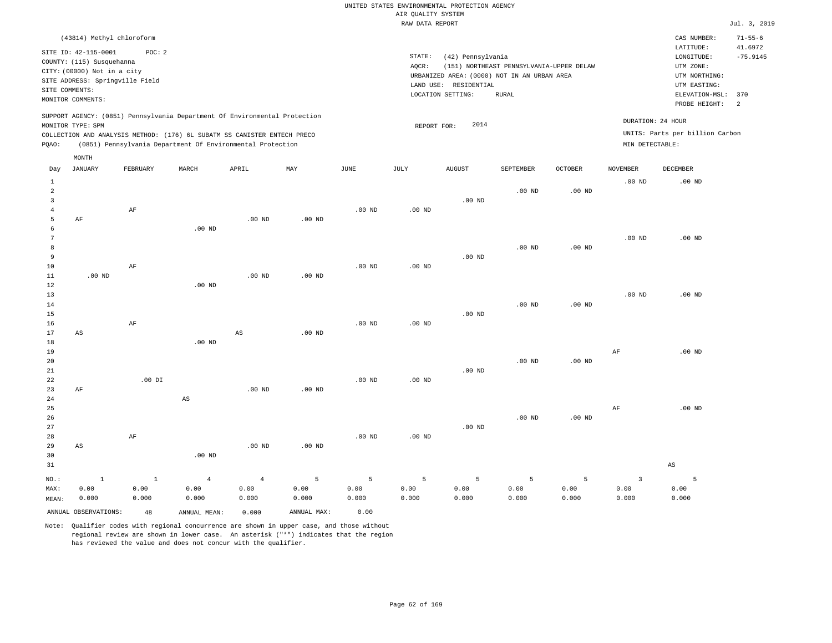| (43814) Methyl chloroform                                                                                                                                                                                                                          |                                                                                                                                                                                        | CAS NUMBER:                                                                                                  | $71 - 55 - 6$         |
|----------------------------------------------------------------------------------------------------------------------------------------------------------------------------------------------------------------------------------------------------|----------------------------------------------------------------------------------------------------------------------------------------------------------------------------------------|--------------------------------------------------------------------------------------------------------------|-----------------------|
| SITE ID: 42-115-0001<br>POC:2<br>COUNTY: (115) Susquehanna<br>CITY: (00000) Not in a city<br>SITE ADDRESS: Springville Field<br>SITE COMMENTS:<br>MONITOR COMMENTS:                                                                                | STATE:<br>(42) Pennsylvania<br>(151) NORTHEAST PENNSYLVANIA-UPPER DELAW<br>AOCR:<br>URBANIZED AREA: (0000) NOT IN AN URBAN AREA<br>LAND USE: RESIDENTIAL<br>LOCATION SETTING:<br>RURAL | LATITUDE:<br>LONGITUDE:<br>UTM ZONE:<br>UTM NORTHING:<br>UTM EASTING:<br>ELEVATION-MSL: 370<br>PROBE HEIGHT: | 41.6972<br>$-75.9145$ |
| SUPPORT AGENCY: (0851) Pennsylvania Department Of Environmental Protection<br>MONITOR TYPE: SPM<br>COLLECTION AND ANALYSIS METHOD: (176) 6L SUBATM SS CANISTER ENTECH PRECO<br>(0851) Pennsylvania Department Of Environmental Protection<br>POAO: | 2014<br>REPORT FOR:                                                                                                                                                                    | DURATION: 24 HOUR<br>UNITS: Parts per billion Carbon<br>MIN DETECTABLE:                                      |                       |

|                                     | $\texttt{MONTH}$       |          |                        |                        |                   |          |          |          |                   |                   |                         |                        |
|-------------------------------------|------------------------|----------|------------------------|------------------------|-------------------|----------|----------|----------|-------------------|-------------------|-------------------------|------------------------|
| Day                                 | JANUARY                | FEBRUARY | MARCH                  | APRIL                  | MAY               | JUNE     | JULY     | AUGUST   | SEPTEMBER         | OCTOBER           | NOVEMBER                | DECEMBER               |
| $\mathbf{1}$<br>$\overline{a}$<br>3 |                        |          |                        |                        |                   |          |          | $.00$ ND | $.00$ ND          | $.00$ ND          | $.00$ ND                | $.00$ ND               |
| $\overline{4}$                      |                        | AF       |                        |                        |                   | $.00$ ND | $.00$ ND |          |                   |                   |                         |                        |
| 5                                   | $\rm AF$               |          |                        | $.00$ ND               | $.00$ ND          |          |          |          |                   |                   |                         |                        |
| 6                                   |                        |          | .00 $ND$               |                        |                   |          |          |          |                   |                   |                         |                        |
| 7                                   |                        |          |                        |                        |                   |          |          |          |                   |                   | $.00$ ND                | $.00$ ND               |
| 8                                   |                        |          |                        |                        |                   |          |          |          | $.00$ ND          | .00 <sub>ND</sub> |                         |                        |
| 9                                   |                        |          |                        |                        |                   |          |          | $.00$ ND |                   |                   |                         |                        |
| 10                                  |                        | $\rm AF$ |                        |                        |                   | $.00$ ND | $.00$ ND |          |                   |                   |                         |                        |
| 11                                  | $.00$ ND               |          |                        | $.00$ ND               | $.00$ ND          |          |          |          |                   |                   |                         |                        |
| 12                                  |                        |          | $.00$ ND               |                        |                   |          |          |          |                   |                   |                         |                        |
| 13                                  |                        |          |                        |                        |                   |          |          |          |                   |                   | $.00$ ND                | $.00$ ND               |
| 14                                  |                        |          |                        |                        |                   |          |          |          | $.00$ ND          | $.00$ ND          |                         |                        |
| 15                                  |                        | $\rm AF$ |                        |                        |                   |          |          | $.00$ ND |                   |                   |                         |                        |
| 16<br>17                            | $\mathbb{A}\mathbb{S}$ |          |                        | $\mathbb{A}\mathbb{S}$ | $.00$ ND          | $.00$ ND | $.00$ ND |          |                   |                   |                         |                        |
| 18                                  |                        |          | $.00$ ND               |                        |                   |          |          |          |                   |                   |                         |                        |
| 19                                  |                        |          |                        |                        |                   |          |          |          |                   |                   | $\rm{AF}$               | $.00$ ND               |
| 20                                  |                        |          |                        |                        |                   |          |          |          | $.00$ ND          | $.00$ ND          |                         |                        |
| 21                                  |                        |          |                        |                        |                   |          |          | $.00$ ND |                   |                   |                         |                        |
| 22                                  |                        | $.00$ DI |                        |                        |                   | $.00$ ND | $.00$ ND |          |                   |                   |                         |                        |
| 23                                  | $\rm AF$               |          |                        | .00 $ND$               | .00 <sub>ND</sub> |          |          |          |                   |                   |                         |                        |
| 24                                  |                        |          | $\mathbb{A}\mathbb{S}$ |                        |                   |          |          |          |                   |                   |                         |                        |
| 25                                  |                        |          |                        |                        |                   |          |          |          |                   |                   | AF                      | $.00$ ND               |
| 26                                  |                        |          |                        |                        |                   |          |          |          | .00 <sub>ND</sub> | .00 <sub>ND</sub> |                         |                        |
| 27                                  |                        |          |                        |                        |                   |          |          | .00 $ND$ |                   |                   |                         |                        |
| 28                                  |                        | $\rm AF$ |                        |                        |                   | $.00$ ND | $.00$ ND |          |                   |                   |                         |                        |
| 29                                  | $\mathbb{A}\mathbb{S}$ |          |                        | $.00$ ND               | $.00$ ND          |          |          |          |                   |                   |                         |                        |
| 30                                  |                        |          | $.00$ ND               |                        |                   |          |          |          |                   |                   |                         |                        |
| 31                                  |                        |          |                        |                        |                   |          |          |          |                   |                   |                         | $\mathbb{A}\mathbb{S}$ |
| $NO.$ :                             | $\mathbf 1$            | $\,$ 1   | $\sqrt{4}$             | $\overline{4}$         | 5                 | 5        | 5        | 5        | 5                 | 5                 | $\overline{\mathbf{3}}$ | 5                      |
| MAX:                                | 0.00                   | 0.00     | 0.00                   | 0.00                   | 0.00              | 0.00     | 0.00     | 0.00     | 0.00              | 0.00              | 0.00                    | 0.00                   |
| MEAN:                               | 0.000                  | 0.000    | 0.000                  | 0.000                  | 0.000             | 0.000    | 0.000    | 0.000    | 0.000             | 0.000             | 0.000                   | 0.000                  |
|                                     | ANNUAL OBSERVATIONS:   | 48       | ANNUAL MEAN:           | 0.000                  | ANNUAL MAX:       | 0.00     |          |          |                   |                   |                         |                        |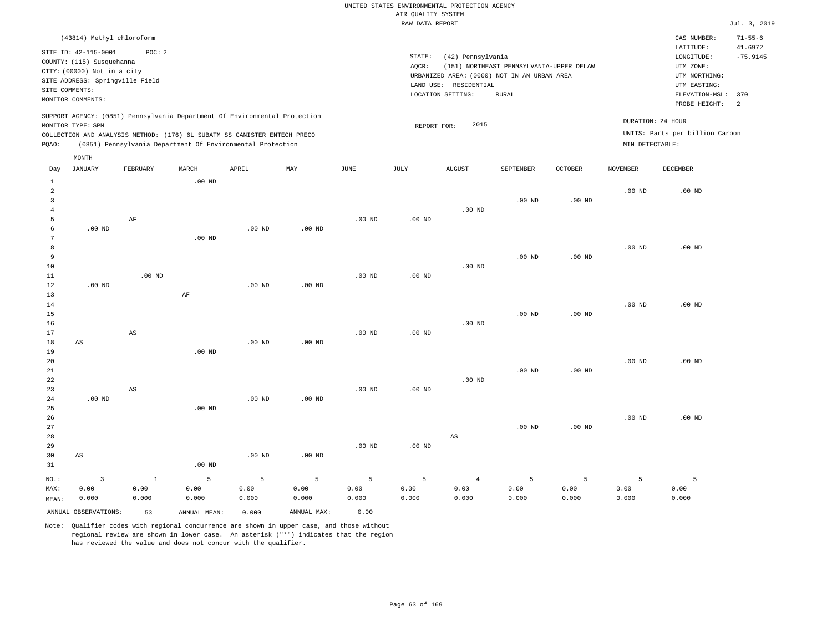| (43814) Methyl chloroform                                                                                                                                                                                                                                   |                                                                                                                                                                                        | CAS NUMBER:                                                                                                  | $71 - 55 - 6$              |
|-------------------------------------------------------------------------------------------------------------------------------------------------------------------------------------------------------------------------------------------------------------|----------------------------------------------------------------------------------------------------------------------------------------------------------------------------------------|--------------------------------------------------------------------------------------------------------------|----------------------------|
| SITE ID: 42-115-0001<br>POC:2<br>COUNTY: (115) Susquehanna<br>CITY: (00000) Not in a city<br>SITE ADDRESS: Springville Field<br>SITE COMMENTS:<br>MONITOR COMMENTS:                                                                                         | STATE:<br>(42) Pennsylvania<br>(151) NORTHEAST PENNSYLVANIA-UPPER DELAW<br>AOCR:<br>URBANIZED AREA: (0000) NOT IN AN URBAN AREA<br>LAND USE: RESIDENTIAL<br>LOCATION SETTING:<br>RURAL | LATITUDE:<br>LONGITUDE:<br>UTM ZONE:<br>UTM NORTHING:<br>UTM EASTING:<br>ELEVATION-MSL: 370<br>PROBE HEIGHT: | 41.6972<br>$-75.9145$<br>2 |
| SUPPORT AGENCY: (0851) Pennsylvania Department Of Environmental Protection<br>MONITOR TYPE: SPM<br>COLLECTION AND ANALYSIS METHOD: (176) 6L SUBATM SS CANISTER ENTECH PRECO<br>(0851) Pennsylvania Department Of Environmental Protection<br>POAO:<br>MONTH | DURATION: 24 HOUR<br>2015<br>REPORT FOR:<br>MIN DETECTABLE:                                                                                                                            | UNITS: Parts per billion Carbon                                                                              |                            |

| Day            | JANUARY                 | FEBRUARY               | MARCH             | APRIL    | MAY               | JUNE     | JULY           | <b>AUGUST</b>          | SEPTEMBER         | OCTOBER           | NOVEMBER          | DECEMBER |
|----------------|-------------------------|------------------------|-------------------|----------|-------------------|----------|----------------|------------------------|-------------------|-------------------|-------------------|----------|
| $\mathbf{1}$   |                         |                        | $.00$ ND          |          |                   |          |                |                        |                   |                   |                   |          |
| $\overline{a}$ |                         |                        |                   |          |                   |          |                |                        |                   |                   | $.00$ ND          | $.00$ ND |
| 3              |                         |                        |                   |          |                   |          |                |                        | $.00$ ND          | .00 <sub>ND</sub> |                   |          |
| $\overline{4}$ |                         |                        |                   |          |                   |          |                | $.00$ ND               |                   |                   |                   |          |
| 5              |                         | $\rm AF$               |                   |          |                   | $.00$ ND | $.00$ ND       |                        |                   |                   |                   |          |
| 6              | $.00$ ND                |                        |                   | $.00$ ND | $.00$ ND          |          |                |                        |                   |                   |                   |          |
| 7              |                         |                        | $.00$ ND          |          |                   |          |                |                        |                   |                   |                   |          |
| $^{\rm 8}$     |                         |                        |                   |          |                   |          |                |                        |                   |                   | $.00$ ND          | $.00$ ND |
| 9              |                         |                        |                   |          |                   |          |                |                        | $.00$ ND          | .00 <sub>ND</sub> |                   |          |
| 10             |                         |                        |                   |          |                   |          |                | $.00$ ND               |                   |                   |                   |          |
| $11\,$         |                         | $.00$ ND               |                   |          |                   | $.00$ ND | $.00$ ND       |                        |                   |                   |                   |          |
| 12             | $.00$ ND                |                        |                   | .00 $ND$ | $.00$ ND          |          |                |                        |                   |                   |                   |          |
| 13             |                         |                        | $\rm AF$          |          |                   |          |                |                        |                   |                   |                   |          |
| 14             |                         |                        |                   |          |                   |          |                |                        |                   |                   | $.00$ ND          | $.00$ ND |
| 15             |                         |                        |                   |          |                   |          |                |                        | $.00$ ND          | .00 <sub>ND</sub> |                   |          |
| 16             |                         |                        |                   |          |                   |          |                | $.00$ ND               |                   |                   |                   |          |
| 17             |                         | $\mathbb{A}\mathbb{S}$ |                   |          |                   | $.00$ ND | $.00$ ND       |                        |                   |                   |                   |          |
| 18             | $\mathbb{A}\mathbb{S}$  |                        |                   | $.00$ ND | $.00$ ND          |          |                |                        |                   |                   |                   |          |
| 19             |                         |                        | .00 <sub>ND</sub> |          |                   |          |                |                        |                   |                   |                   |          |
| $20\,$         |                         |                        |                   |          |                   |          |                |                        |                   |                   | .00 <sub>ND</sub> | $.00$ ND |
| $21\,$         |                         |                        |                   |          |                   |          |                |                        | $.00$ ND          | .00 <sub>ND</sub> |                   |          |
| $^{\rm 22}$    |                         |                        |                   |          |                   |          |                | $.00$ ND               |                   |                   |                   |          |
| 23             |                         | AS                     |                   |          |                   | $.00$ ND | $.00$ ND       |                        |                   |                   |                   |          |
| 24             | $.00~\mathrm{ND}$       |                        |                   | $.00$ ND | $.00$ ND          |          |                |                        |                   |                   |                   |          |
| 25             |                         |                        | $.00$ ND          |          |                   |          |                |                        |                   |                   |                   |          |
| 26             |                         |                        |                   |          |                   |          |                |                        |                   |                   | .00 <sub>ND</sub> | $.00$ ND |
| 27             |                         |                        |                   |          |                   |          |                |                        | .00 <sub>ND</sub> | $.00$ ND          |                   |          |
| 28             |                         |                        |                   |          |                   |          |                | $\mathbb{A}\mathbb{S}$ |                   |                   |                   |          |
| 29             |                         |                        |                   |          |                   | $.00$ ND | $.00$ ND       |                        |                   |                   |                   |          |
| 30             | $\mathbb{A}\mathbb{S}$  |                        |                   | $.00$ ND | .00 <sub>ND</sub> |          |                |                        |                   |                   |                   |          |
| 31             |                         |                        | $.00$ ND          |          |                   |          |                |                        |                   |                   |                   |          |
| $_{\rm NO.}$ : | $\overline{\mathbf{3}}$ | $\mathbf{1}$           | 5                 | 5        | $\mathsf S$       | 5        | $\overline{5}$ | $\overline{4}$         | 5                 | 5                 | 5                 | 5        |
| MAX:           | 0.00                    | 0.00                   | 0.00              | 0.00     | 0.00              | 0.00     | 0.00           | 0.00                   | 0.00              | 0.00              | 0.00              | 0.00     |
| MEAN:          | 0.000                   | 0.000                  | 0.000             | 0.000    | 0.000             | 0.000    | 0.000          | 0.000                  | 0.000             | 0.000             | 0.000             | 0.000    |
|                | ANNUAL OBSERVATIONS:    | 53                     | ANNUAL MEAN:      | 0.000    | ANNUAL MAX:       | 0.00     |                |                        |                   |                   |                   |          |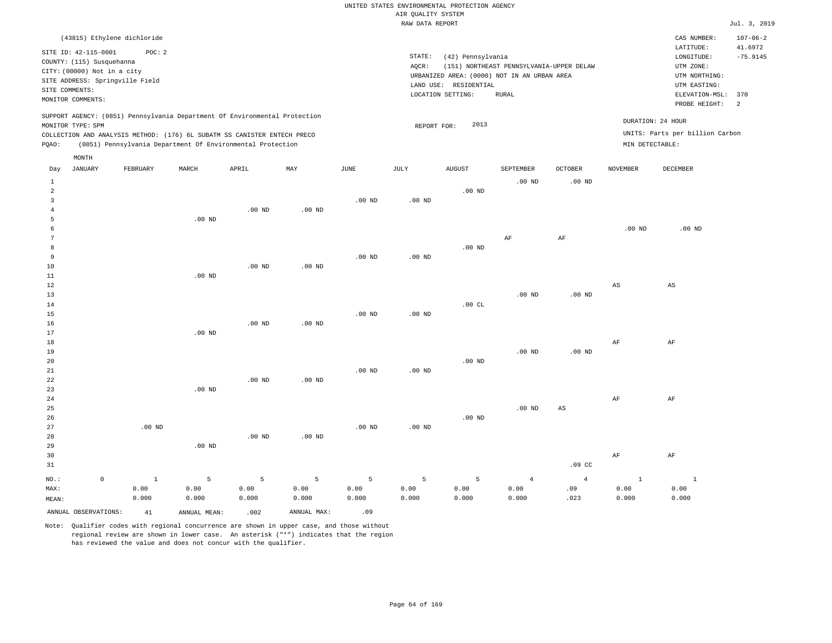|                        |                                                                                                                                                            |          |                                                                                                                                                                                                                      |                   |          |          | RAW DATA REPORT |                                                                 |                                                                                                         |                |                   |                                                                                                          | Jul. 3, 2019                      |
|------------------------|------------------------------------------------------------------------------------------------------------------------------------------------------------|----------|----------------------------------------------------------------------------------------------------------------------------------------------------------------------------------------------------------------------|-------------------|----------|----------|-----------------|-----------------------------------------------------------------|---------------------------------------------------------------------------------------------------------|----------------|-------------------|----------------------------------------------------------------------------------------------------------|-----------------------------------|
|                        | (43815) Ethylene dichloride                                                                                                                                |          |                                                                                                                                                                                                                      |                   |          |          |                 |                                                                 |                                                                                                         |                |                   | CAS NUMBER:                                                                                              | $107 - 06 - 2$                    |
|                        | SITE ID: 42-115-0001<br>COUNTY: (115) Susquehanna<br>CITY: (00000) Not in a city<br>SITE ADDRESS: Springville Field<br>SITE COMMENTS:<br>MONITOR COMMENTS: | POC: 2   |                                                                                                                                                                                                                      |                   |          |          | STATE:<br>AOCR: | (42) Pennsylvania<br>LAND USE: RESIDENTIAL<br>LOCATION SETTING: | (151) NORTHEAST PENNSYLVANIA-UPPER DELAW<br>URBANIZED AREA: (0000) NOT IN AN URBAN AREA<br><b>RURAL</b> |                |                   | LATITUDE:<br>LONGITUDE:<br>UTM ZONE:<br>UTM NORTHING:<br>UTM EASTING:<br>ELEVATION-MSL:<br>PROBE HEIGHT: | 41.6972<br>$-75.9145$<br>370<br>2 |
| POAO:                  | MONITOR TYPE: SPM                                                                                                                                          |          | SUPPORT AGENCY: (0851) Pennsylvania Department Of Environmental Protection<br>COLLECTION AND ANALYSIS METHOD: (176) 6L SUBATM SS CANISTER ENTECH PRECO<br>(0851) Pennsylvania Department Of Environmental Protection |                   |          |          | REPORT FOR:     | 2013                                                            |                                                                                                         |                | MIN DETECTABLE:   | DURATION: 24 HOUR<br>UNITS: Parts per billion Carbon                                                     |                                   |
|                        | MONTH                                                                                                                                                      |          |                                                                                                                                                                                                                      |                   |          |          |                 |                                                                 |                                                                                                         |                |                   |                                                                                                          |                                   |
| Day                    | JANUARY                                                                                                                                                    | FEBRUARY | MARCH                                                                                                                                                                                                                | APRIL             | MAY      | JUNE     | JULY            | <b>AUGUST</b>                                                   | SEPTEMBER                                                                                               | <b>OCTOBER</b> | NOVEMBER          | DECEMBER                                                                                                 |                                   |
| $\mathbf{1}$<br>2<br>3 |                                                                                                                                                            |          |                                                                                                                                                                                                                      |                   |          | $.00$ ND | $.00$ ND        | $.00$ ND                                                        | $.00$ ND                                                                                                | $.00$ ND       |                   |                                                                                                          |                                   |
|                        |                                                                                                                                                            |          |                                                                                                                                                                                                                      | .00 <sub>ND</sub> | $.00$ ND |          |                 |                                                                 |                                                                                                         |                |                   |                                                                                                          |                                   |
| 5                      |                                                                                                                                                            |          | $.00$ ND                                                                                                                                                                                                             |                   |          |          |                 |                                                                 | AF                                                                                                      | AF             | .00 <sub>ND</sub> | $.00$ ND                                                                                                 |                                   |
| 8                      |                                                                                                                                                            |          |                                                                                                                                                                                                                      |                   |          |          |                 | $.00$ ND                                                        |                                                                                                         |                |                   |                                                                                                          |                                   |
| 9                      |                                                                                                                                                            |          |                                                                                                                                                                                                                      |                   |          | $.00$ ND | $.00$ ND        |                                                                 |                                                                                                         |                |                   |                                                                                                          |                                   |
| 10                     |                                                                                                                                                            |          |                                                                                                                                                                                                                      | $.00$ ND          | $.00$ ND |          |                 |                                                                 |                                                                                                         |                |                   |                                                                                                          |                                   |
| 11                     |                                                                                                                                                            |          | $.00$ ND                                                                                                                                                                                                             |                   |          |          |                 |                                                                 |                                                                                                         |                |                   |                                                                                                          |                                   |
| 12                     |                                                                                                                                                            |          |                                                                                                                                                                                                                      |                   |          |          |                 |                                                                 |                                                                                                         |                | AS                | AS                                                                                                       |                                   |
| 13                     |                                                                                                                                                            |          |                                                                                                                                                                                                                      |                   |          |          |                 |                                                                 | $.00$ ND                                                                                                | $.00$ ND       |                   |                                                                                                          |                                   |
| 14                     |                                                                                                                                                            |          |                                                                                                                                                                                                                      |                   |          |          |                 | .00CL                                                           |                                                                                                         |                |                   |                                                                                                          |                                   |

.00 ND

.00 ND

.00 ND

.00 ND

.00 ND

AF

AF

AF

AF

1 0.00 0.000

AF

AF

1 0.00 0.000

.09 CC

4 .09 .023

AS

.00 ND

4 0.00 0.000

.00 ND

5 0.00 0.000

.00 ND

5 0.00 0.000

Note: Qualifier codes with regional concurrence are shown in upper case, and those without regional review are shown in lower case. An asterisk ("\*") indicates that the region has reviewed the value and does not concur with the qualifier.

.00 ND

.00 ND

.00 ND

.00 ND

.00 ND

.00 ND

5 0.00 0.000

.00 ND

.00 ND

5 0.00 0.000

.00 ND

.00 ND

5 0.00 0.000

.00 ND

.00 ND

5 0.00 0.000

ANNUAL OBSERVATIONS:  $41$  ANNUAL MEAN: .002 ANNUAL MAX: .09

0

.00 ND

1 0.00 0.000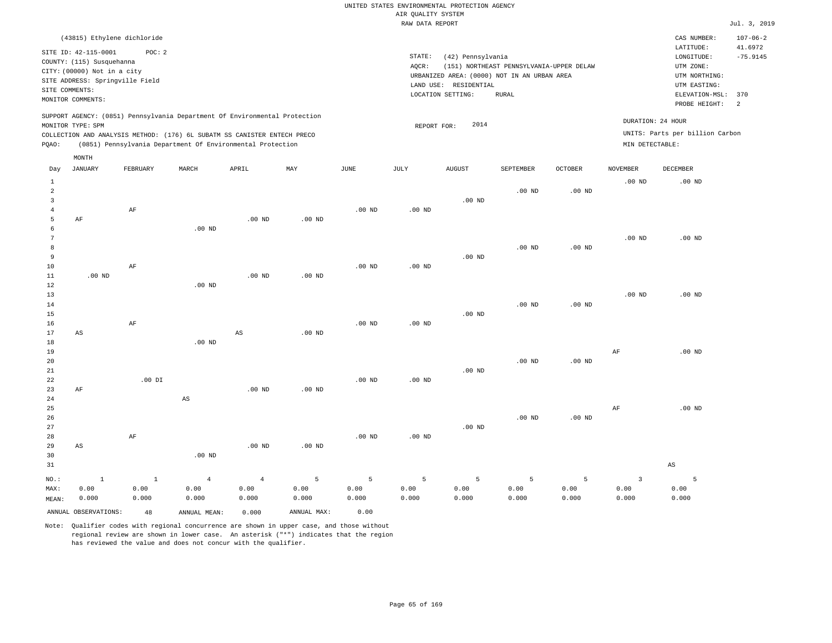|                |                                                                                  | (43815) Ethylene dichloride |       |                                                                                                                                                                                                                      |     |      |                 |                                               |                                                                                         |                |                             | CAS NUMBER:                                           | $107 - 06 - 2$        |
|----------------|----------------------------------------------------------------------------------|-----------------------------|-------|----------------------------------------------------------------------------------------------------------------------------------------------------------------------------------------------------------------------|-----|------|-----------------|-----------------------------------------------|-----------------------------------------------------------------------------------------|----------------|-----------------------------|-------------------------------------------------------|-----------------------|
|                | SITE ID: 42-115-0001<br>COUNTY: (115) Susquehanna<br>CITY: (00000) Not in a city | POC: 2                      |       |                                                                                                                                                                                                                      |     |      | STATE:<br>AOCR: | (42) Pennsylvania                             | (151) NORTHEAST PENNSYLVANIA-UPPER DELAW<br>URBANIZED AREA: (0000) NOT IN AN URBAN AREA |                |                             | LATITUDE:<br>LONGITUDE:<br>UTM ZONE:<br>UTM NORTHING: | 41.6972<br>$-75.9145$ |
|                | SITE ADDRESS: Springville Field<br>SITE COMMENTS:<br>MONITOR COMMENTS:           |                             |       |                                                                                                                                                                                                                      |     |      |                 | LAND USE:<br>RESIDENTIAL<br>LOCATION SETTING: | RURAL                                                                                   |                |                             | UTM EASTING:<br>ELEVATION-MSL:<br>PROBE HEIGHT:       | 370<br>2              |
| POAO:          | MONITOR TYPE: SPM                                                                |                             |       | SUPPORT AGENCY: (0851) Pennsylvania Department Of Environmental Protection<br>COLLECTION AND ANALYSIS METHOD: (176) 6L SUBATM SS CANISTER ENTECH PRECO<br>(0851) Pennsylvania Department Of Environmental Protection |     |      |                 | 2014<br>REPORT FOR:                           |                                                                                         |                | MIN DETECTABLE:             | DURATION: 24 HOUR<br>UNITS: Parts per billion Carbon  |                       |
| Day            | MONTH<br>JANUARY                                                                 | FEBRUARY                    | MARCH | APRIL                                                                                                                                                                                                                | MAY | JUNE | JULY            | <b>AUGUST</b>                                 | SEPTEMBER                                                                               | <b>OCTOBER</b> | <b>NOVEMBER</b><br>$.00$ ND | DECEMBER<br>$.00$ ND                                  |                       |
| $\overline{2}$ |                                                                                  |                             |       |                                                                                                                                                                                                                      |     |      |                 |                                               | $.00$ ND                                                                                | $.00$ ND       |                             |                                                       |                       |

| 3              |          |           |                        |                        |          |          |                | .00 $ND$ |          |                |           |          |
|----------------|----------|-----------|------------------------|------------------------|----------|----------|----------------|----------|----------|----------------|-----------|----------|
| $\overline{4}$ |          | $\rm{AF}$ |                        |                        |          | .00 $ND$ | $.00$ ND       |          |          |                |           |          |
| 5              | AF       |           |                        | $.00$ ND               | $.00$ ND |          |                |          |          |                |           |          |
| 6              |          |           | $.00$ ND               |                        |          |          |                |          |          |                |           |          |
| 7              |          |           |                        |                        |          |          |                |          |          |                | .00 $ND$  | .00 $ND$ |
| 8              |          |           |                        |                        |          |          |                |          | $.00$ ND | $.00$ ND       |           |          |
| 9              |          |           |                        |                        |          |          |                | $.00$ ND |          |                |           |          |
| 10             |          | $\rm AF$  |                        |                        |          | $.00$ ND | $.00$ ND       |          |          |                |           |          |
| 11             | $.00$ ND |           |                        | $.00$ ND               | $.00$ ND |          |                |          |          |                |           |          |
| 12             |          |           | .00 $ND$               |                        |          |          |                |          |          |                |           |          |
| 13             |          |           |                        |                        |          |          |                |          | .00 $ND$ |                | $.00$ ND  | .00 $ND$ |
| 14<br>15       |          |           |                        |                        |          |          |                | $.00$ ND |          | $.00$ ND       |           |          |
| 16             |          | $\rm{AF}$ |                        |                        |          | $.00$ ND | $.00$ ND       |          |          |                |           |          |
| 17             | AS       |           |                        | $\mathbb{A}\mathbb{S}$ | $.00$ ND |          |                |          |          |                |           |          |
| 18             |          |           | $.00$ ND               |                        |          |          |                |          |          |                |           |          |
| 19             |          |           |                        |                        |          |          |                |          |          |                | $\rm AF$  | .00 $ND$ |
| 20             |          |           |                        |                        |          |          |                |          | .00 $ND$ | $.00{\rm ~ND}$ |           |          |
| 21             |          |           |                        |                        |          |          |                | $.00$ ND |          |                |           |          |
| 22             |          | .00 DI    |                        |                        |          | .00 $ND$ | $.00{\rm ~ND}$ |          |          |                |           |          |
| 23             | AF       |           |                        | .00 $ND$               | $.00$ ND |          |                |          |          |                |           |          |
| 24             |          |           | $\mathbb{A}\mathbb{S}$ |                        |          |          |                |          |          |                |           |          |
| 25             |          |           |                        |                        |          |          |                |          |          |                | $\rm{AF}$ | .00 $ND$ |
| 26             |          |           |                        |                        |          |          |                |          | $.00$ ND | $.00$ ND       |           |          |
| 27             |          |           |                        |                        |          |          |                | .00 $ND$ |          |                |           |          |
| 28             |          | $\rm{AF}$ |                        |                        |          | $.00$ ND | $.00$ ND       |          |          |                |           |          |
| 29             | AS       |           |                        | .00 $ND$               | $.00$ ND |          |                |          |          |                |           |          |
| 30             |          |           | .00 <sub>ND</sub>      |                        |          |          |                |          |          |                |           |          |
| 31             |          |           |                        |                        |          |          |                |          |          |                |           | AS       |

|       |       |               |  |  |                                                         |       |                                                                                            | ----  |
|-------|-------|---------------|--|--|---------------------------------------------------------|-------|--------------------------------------------------------------------------------------------|-------|
|       |       |               |  |  |                                                         |       | NO.: 1 1 4 4 5 5 5 5 5 5 3 5                                                               |       |
| MAX:  | 0.00  |               |  |  |                                                         |       | $0.00$ $0.00$ $0.00$ $0.00$ $0.00$ $0.00$ $0.00$ $0.00$ $0.00$ $0.00$ $0.00$ $0.00$ $0.00$ |       |
| MEAN: | 0.000 | $0.000$ 0.000 |  |  | $0.000$ $0.000$ $0.000$ $0.000$ $0.000$ $0.000$ $0.000$ | 0.000 | 0.000                                                                                      | 0.000 |

ANNUAL OBSERVATIONS: 48 ANNUAL MEAN: 0.000 ANNUAL MAX: 0.00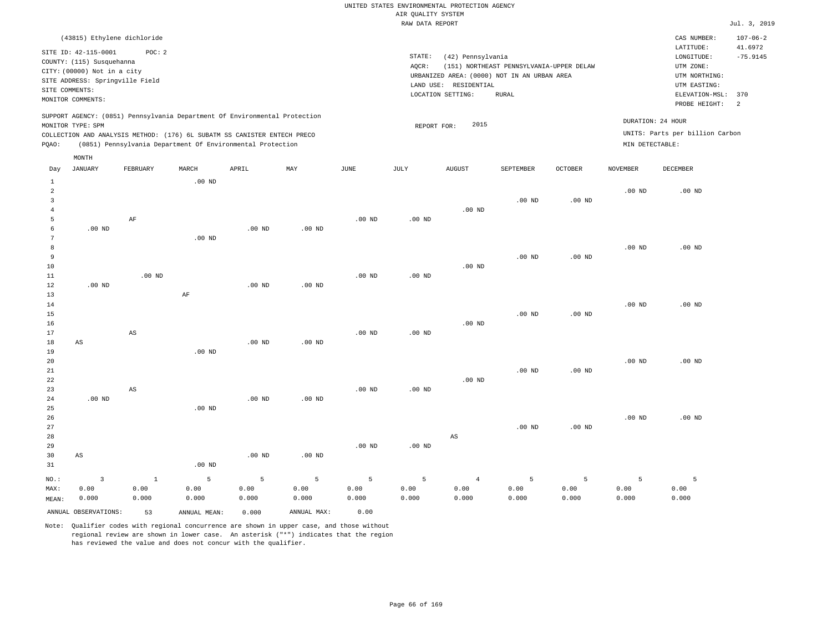| (43815) Ethylene dichloride                                                                                                                                                                                                                                 |                                                                                                                                                                                        | CAS NUMBER:                                                                                                  | $107 - 06 - 2$              |
|-------------------------------------------------------------------------------------------------------------------------------------------------------------------------------------------------------------------------------------------------------------|----------------------------------------------------------------------------------------------------------------------------------------------------------------------------------------|--------------------------------------------------------------------------------------------------------------|-----------------------------|
| STTE TD: 42-115-0001<br>POC:2<br>COUNTY: (115) Susquehanna<br>CITY: (00000) Not in a city<br>SITE ADDRESS: Springville Field<br>SITE COMMENTS:<br>MONITOR COMMENTS:                                                                                         | STATE:<br>(42) Pennsylvania<br>(151) NORTHEAST PENNSYLVANIA-UPPER DELAW<br>AOCR:<br>URBANIZED AREA: (0000) NOT IN AN URBAN AREA<br>LAND USE: RESIDENTIAL<br>LOCATION SETTING:<br>RURAL | LATITUDE:<br>LONGITUDE:<br>UTM ZONE:<br>UTM NORTHING:<br>UTM EASTING:<br>ELEVATION-MSL: 370<br>PROBE HEIGHT: | 41.6972<br>$-75.9145$<br>-2 |
| SUPPORT AGENCY: (0851) Pennsylvania Department Of Environmental Protection<br>MONITOR TYPE: SPM<br>COLLECTION AND ANALYSIS METHOD: (176) 6L SUBATM SS CANISTER ENTECH PRECO<br>(0851) Pennsylvania Department Of Environmental Protection<br>POAO:<br>MONTH | 2015<br>REPORT FOR:                                                                                                                                                                    | DURATION: 24 HOUR<br>UNITS: Parts per billion Carbon<br>MIN DETECTABLE:                                      |                             |

| Day            | JANUARY                | FEBRUARY | MARCH             | APRIL          | MAY         | JUNE     | JULY              | AUGUST                 | SEPTEMBER         | OCTOBER           | NOVEMBER | DECEMBER |
|----------------|------------------------|----------|-------------------|----------------|-------------|----------|-------------------|------------------------|-------------------|-------------------|----------|----------|
| $\mathbf{1}$   |                        |          | $.00$ ND          |                |             |          |                   |                        |                   |                   |          |          |
| $\overline{a}$ |                        |          |                   |                |             |          |                   |                        |                   |                   | $.00$ ND | $.00$ ND |
| 3              |                        |          |                   |                |             |          |                   |                        | $.00$ ND          | .00 <sub>ND</sub> |          |          |
| $\overline{4}$ |                        |          |                   |                |             |          |                   | $.00$ ND               |                   |                   |          |          |
| 5              |                        | $\rm AF$ |                   |                |             | $.00$ ND | .00 <sub>ND</sub> |                        |                   |                   |          |          |
| 6              | $.00$ ND               |          |                   | $.00$ ND       | $.00$ ND    |          |                   |                        |                   |                   |          |          |
| 7              |                        |          | .00 <sub>ND</sub> |                |             |          |                   |                        |                   |                   |          |          |
| $^{\rm 8}$     |                        |          |                   |                |             |          |                   |                        |                   |                   | $.00$ ND | $.00$ ND |
| 9              |                        |          |                   |                |             |          |                   |                        | $.00$ ND          | .00 <sub>ND</sub> |          |          |
| $10$           |                        |          |                   |                |             |          |                   | $.00$ ND               |                   |                   |          |          |
| 11             |                        | $.00$ ND |                   |                |             | $.00$ ND | $.00$ ND          |                        |                   |                   |          |          |
| 12             | $.00$ ND               |          |                   | $.00$ ND       | $.00$ ND    |          |                   |                        |                   |                   |          |          |
| 13             |                        |          | $\rm AF$          |                |             |          |                   |                        |                   |                   |          |          |
| 14             |                        |          |                   |                |             |          |                   |                        |                   |                   | .00 $ND$ | $.00$ ND |
| 15             |                        |          |                   |                |             |          |                   |                        | $.00$ ND          | .00 <sub>ND</sub> |          |          |
| 16             |                        |          |                   |                |             |          |                   | $.00$ ND               |                   |                   |          |          |
| 17             |                        | AS       |                   |                |             | $.00$ ND | $.00$ ND          |                        |                   |                   |          |          |
| 18             | $\mathbb{A}\mathbb{S}$ |          |                   | $.00$ ND       | $.00$ ND    |          |                   |                        |                   |                   |          |          |
| 19             |                        |          | $.00$ ND          |                |             |          |                   |                        |                   |                   |          |          |
| $20\,$         |                        |          |                   |                |             |          |                   |                        |                   |                   | $.00$ ND | $.00$ ND |
| $21\,$         |                        |          |                   |                |             |          |                   |                        | $.00$ ND          | .00 <sub>ND</sub> |          |          |
| $^{\rm 22}$    |                        |          |                   |                |             |          |                   | $.00$ ND               |                   |                   |          |          |
| 23             |                        | AS       |                   |                |             | $.00$ ND | $.00$ ND          |                        |                   |                   |          |          |
| 24             | $.00$ ND               |          |                   | $.00$ ND       | $.00$ ND    |          |                   |                        |                   |                   |          |          |
| 25             |                        |          | $.00$ ND          |                |             |          |                   |                        |                   |                   |          |          |
| 26             |                        |          |                   |                |             |          |                   |                        |                   |                   | $.00$ ND | $.00$ ND |
| 27             |                        |          |                   |                |             |          |                   |                        | .00 <sub>ND</sub> | $.00$ ND          |          |          |
| 28             |                        |          |                   |                |             |          |                   | $\mathbb{A}\mathbb{S}$ |                   |                   |          |          |
| 29             |                        |          |                   |                |             | $.00$ ND | .00 $ND$          |                        |                   |                   |          |          |
| 30             | AS                     |          |                   | $.00$ ND       | $.00$ ND    |          |                   |                        |                   |                   |          |          |
| 31             |                        |          | $.00$ ND          |                |             |          |                   |                        |                   |                   |          |          |
| $_{\rm NO.}$ : | $\mathbf{3}$           | $\,$ 1   | 5                 | $\overline{5}$ | 5           | 5        | 5                 | $\overline{4}$         | 5                 | 5                 | 5        | 5        |
| MAX:           | 0.00                   | 0.00     | 0.00              | 0.00           | 0.00        | 0.00     | 0.00              | 0.00                   | 0.00              | 0.00              | 0.00     | 0.00     |
| MEAN:          | 0.000                  | 0.000    | 0.000             | 0.000          | 0.000       | 0.000    | 0.000             | 0.000                  | 0.000             | 0.000             | 0.000    | 0.000    |
|                | ANNUAL OBSERVATIONS:   | 53       | ANNUAL MEAN:      | 0.000          | ANNUAL MAX: | 0.00     |                   |                        |                   |                   |          |          |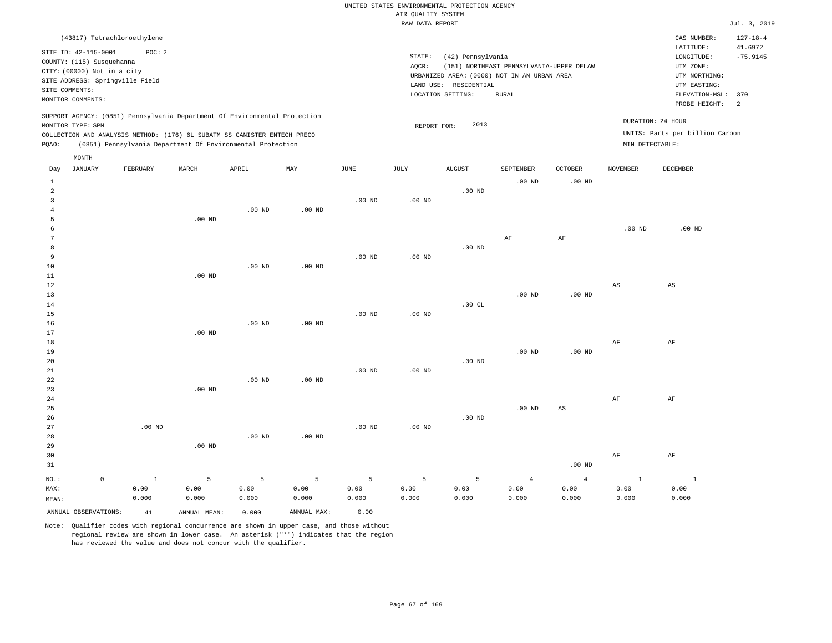|                |                                                                                             | (43817) Tetrachloroethylene |       |                                                                                                                                                                                                                      |          |          |          |                                                                         |                                          |                |                 | CAS NUMBER:                                          | $127 - 18 - 4$        |
|----------------|---------------------------------------------------------------------------------------------|-----------------------------|-------|----------------------------------------------------------------------------------------------------------------------------------------------------------------------------------------------------------------------|----------|----------|----------|-------------------------------------------------------------------------|------------------------------------------|----------------|-----------------|------------------------------------------------------|-----------------------|
|                | SITE ID: 42-115-0001                                                                        | POC:2                       |       |                                                                                                                                                                                                                      |          |          | STATE:   | (42) Pennsylvania                                                       |                                          |                |                 | LATITUDE:<br>LONGITUDE:                              | 41.6972<br>$-75.9145$ |
|                | COUNTY: (115) Susquehanna<br>CITY: (00000) Not in a city<br>SITE ADDRESS: Springville Field |                             |       |                                                                                                                                                                                                                      |          |          | AQCR:    | URBANIZED AREA: (0000) NOT IN AN URBAN AREA<br>RESIDENTIAL<br>LAND USE: | (151) NORTHEAST PENNSYLVANIA-UPPER DELAW |                |                 | UTM ZONE:<br>UTM NORTHING:<br>UTM EASTING:           |                       |
| SITE COMMENTS: | MONITOR COMMENTS:                                                                           |                             |       |                                                                                                                                                                                                                      |          |          |          | LOCATION SETTING:                                                       | RURAL                                    |                |                 | ELEVATION-MSL:<br>PROBE HEIGHT:                      | 370<br>-2             |
| POAO:          | MONITOR TYPE: SPM                                                                           |                             |       | SUPPORT AGENCY: (0851) Pennsylvania Department Of Environmental Protection<br>COLLECTION AND ANALYSIS METHOD: (176) 6L SUBATM SS CANISTER ENTECH PRECO<br>(0851) Pennsylvania Department Of Environmental Protection |          |          |          | 2013<br>REPORT FOR:                                                     |                                          |                | MIN DETECTABLE: | DURATION: 24 HOUR<br>UNITS: Parts per billion Carbon |                       |
|                | MONTH                                                                                       |                             |       |                                                                                                                                                                                                                      |          |          |          |                                                                         |                                          |                |                 |                                                      |                       |
| Day            | JANUARY                                                                                     | FEBRUARY                    | MARCH | APRIL                                                                                                                                                                                                                | MAY      | JUNE     | JULY     | <b>AUGUST</b>                                                           | SEPTEMBER                                | <b>OCTOBER</b> | NOVEMBER        | DECEMBER                                             |                       |
|                |                                                                                             |                             |       |                                                                                                                                                                                                                      |          |          |          |                                                                         | $.00$ ND                                 | $.00$ ND       |                 |                                                      |                       |
|                |                                                                                             |                             |       |                                                                                                                                                                                                                      |          |          |          | $.00$ ND                                                                |                                          |                |                 |                                                      |                       |
|                |                                                                                             |                             |       |                                                                                                                                                                                                                      |          | $.00$ ND | $.00$ ND |                                                                         |                                          |                |                 |                                                      |                       |
|                |                                                                                             |                             |       | $.00$ ND                                                                                                                                                                                                             | $.00$ ND |          |          |                                                                         |                                          |                |                 |                                                      |                       |

| $.00$ ND |          |          |          |    |           |          |          |
|----------|----------|----------|----------|----|-----------|----------|----------|
|          |          |          |          |    |           | $.00$ ND | $.00$ ND |
|          |          |          |          | AF | $\rm{AF}$ |          |          |
|          |          |          | .00 $ND$ |    |           |          |          |
|          | $.00$ ND | $.00$ ND |          |    |           |          |          |

| $11\,$      |          | $.00$ ND |          |          |          |          |          |          |          |    |           |
|-------------|----------|----------|----------|----------|----------|----------|----------|----------|----------|----|-----------|
| 12          |          |          |          |          |          |          |          |          |          | AS | AS        |
| 13          |          |          |          |          |          |          |          | $.00$ ND | .00 $ND$ |    |           |
| 14          |          |          |          |          |          |          | .00CL    |          |          |    |           |
| 15          |          |          |          |          | $.00$ ND | $.00$ ND |          |          |          |    |           |
| 16          |          |          | $.00$ ND | $.00$ ND |          |          |          |          |          |    |           |
| 17          |          | $.00$ ND |          |          |          |          |          |          |          |    |           |
| 18          |          |          |          |          |          |          |          |          |          | AF | $\rm{AF}$ |
| 19          |          |          |          |          |          |          |          | $.00$ ND | $.00$ ND |    |           |
| $20\,$      |          |          |          |          |          |          | $.00$ ND |          |          |    |           |
| $21\,$      |          |          |          |          | $.00$ ND | $.00$ ND |          |          |          |    |           |
| $2\sqrt{2}$ |          |          | $.00$ ND | $.00$ ND |          |          |          |          |          |    |           |
| 23          |          | $.00$ ND |          |          |          |          |          |          |          |    |           |
| $24\,$      |          |          |          |          |          |          |          |          |          | AF | $\rm{AF}$ |
| $25\,$      |          |          |          |          |          |          |          | $.00$ ND | AS       |    |           |
| 26          |          |          |          |          |          |          | .00 $ND$ |          |          |    |           |
| 27          | .00 $ND$ |          |          |          | $.00$ ND | $.00$ ND |          |          |          |    |           |
| 28          |          |          | $.00$ ND | $.00$ ND |          |          |          |          |          |    |           |
| 29          |          | $.00$ ND |          |          |          |          |          |          |          |    |           |

| 30    |       |       |       |       |       |       |       |       |                   | ΑF    | AF    |
|-------|-------|-------|-------|-------|-------|-------|-------|-------|-------------------|-------|-------|
| 31    |       |       |       |       |       |       |       |       | .00 <sub>ND</sub> |       |       |
| NO.:  |       |       |       |       |       |       |       |       |                   |       |       |
| MAX:  | 0.00  | 0.00  | 0.00  | 0.00  | 0.00  | 0.00  | 0.00  | 0.00  | 0.00              | 0.00  | 0.00  |
| MEAN: | 0.000 | 0.000 | 0.000 | 0.000 | 0.000 | 0.000 | 0.000 | 0.000 | 0.000             | 0.000 | 0.000 |
|       |       |       |       |       |       |       |       |       |                   |       |       |

ANNUAL OBSERVATIONS: 41 ANNUAL MEAN: 0.000 ANNUAL MAX: 0.00

10

Note: Qualifier codes with regional concurrence are shown in upper case, and those without regional review are shown in lower case. An asterisk ("\*") indicates that the region has reviewed the value and does not concur with the qualifier.

.00 ND

.00 ND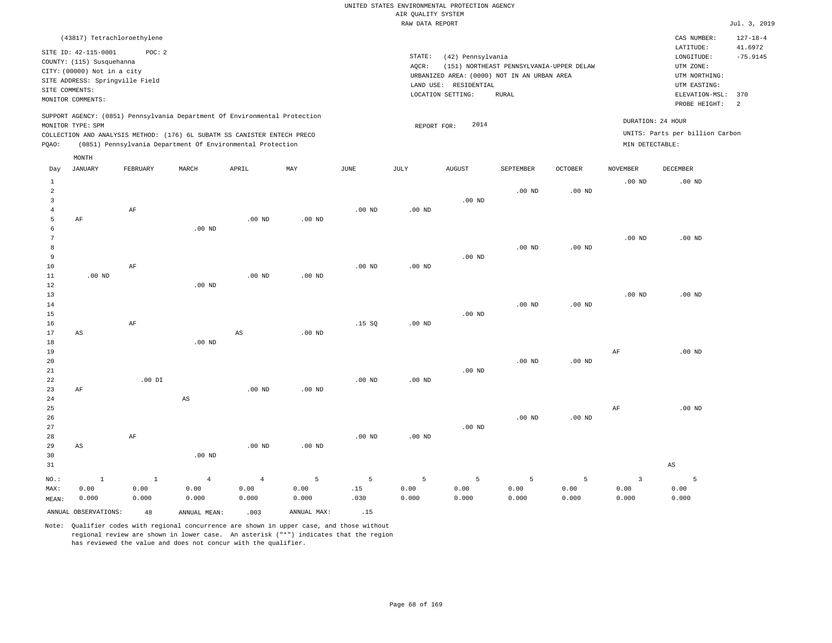| (43817) Tetrachloroethylene                                                                                                                                                                                                                        |                                                                                                                                                                                           | CAS NUMBER:                                                                                 | $127 - 18 - 4$        |
|----------------------------------------------------------------------------------------------------------------------------------------------------------------------------------------------------------------------------------------------------|-------------------------------------------------------------------------------------------------------------------------------------------------------------------------------------------|---------------------------------------------------------------------------------------------|-----------------------|
| SITE ID: 42-115-0001<br>POC: 2<br>COUNTY: (115) Susquehanna<br>CITY: (00000) Not in a city<br>SITE ADDRESS: Springville Field<br>SITE COMMENTS:                                                                                                    | STATE:<br>(42) Pennsylvania<br>AOCR:<br>(151) NORTHEAST PENNSYLVANIA-UPPER DELAW<br>URBANIZED AREA: (0000) NOT IN AN URBAN AREA<br>RESIDENTIAL<br>LAND USE:<br>LOCATION SETTING:<br>RURAL | LATITUDE:<br>LONGITUDE:<br>UTM ZONE:<br>UTM NORTHING:<br>UTM EASTING:<br>ELEVATION-MSL: 370 | 41.6972<br>$-75.9145$ |
| MONITOR COMMENTS:                                                                                                                                                                                                                                  |                                                                                                                                                                                           | PROBE HEIGHT:                                                                               | $\overline{2}$        |
| SUPPORT AGENCY: (0851) Pennsylvania Department Of Environmental Protection<br>MONITOR TYPE: SPM<br>COLLECTION AND ANALYSIS METHOD: (176) 6L SUBATM SS CANISTER ENTECH PRECO<br>(0851) Pennsylvania Department Of Environmental Protection<br>POAO: | 2014<br>REPORT FOR:                                                                                                                                                                       | DURATION: 24 HOUR<br>UNITS: Parts per billion Carbon<br>MIN DETECTABLE:                     |                       |
| MONTH                                                                                                                                                                                                                                              |                                                                                                                                                                                           |                                                                                             |                       |

| Day                                 | <b>JANUARY</b>          | FEBRUARY                      | MARCH                           | APRIL                           | MAY                          | $_{\rm JUNE}$                 | JULY                             | AUGUST                           | SEPTEMBER                       | OCTOBER            | NOVEMBER                                 | DECEMBER               |
|-------------------------------------|-------------------------|-------------------------------|---------------------------------|---------------------------------|------------------------------|-------------------------------|----------------------------------|----------------------------------|---------------------------------|--------------------|------------------------------------------|------------------------|
| $\mathbf{1}$<br>$\overline{a}$<br>3 |                         | $\rm{AF}$                     |                                 |                                 |                              | .00 $ND$                      | .00 $ND$                         | $.00$ ND                         | $.00$ ND                        | .00 $ND$           | .00 <sub>ND</sub>                        | $.00$ ND               |
| $\overline{4}$<br>5<br>6<br>7       | $\rm AF$                |                               | $.00$ ND                        | $.00$ ND                        | $.00$ ND                     |                               |                                  |                                  |                                 |                    | $.00$ ND                                 | $.00$ ND               |
| 8<br>9<br>10                        |                         | $\rm AF$                      |                                 |                                 |                              | $.00$ ND                      | $.00$ ND                         | $.00$ ND                         | .00 <sub>ND</sub>               | $.00$ ND           |                                          |                        |
| 11<br>12<br>13                      | $.00$ ND                |                               | $.00$ ND                        | $.00$ ND                        | $.00$ ND                     |                               |                                  |                                  |                                 |                    | $.00$ ND                                 | $.00$ ND               |
| 14<br>15<br>16                      |                         | $\rm AF$                      |                                 |                                 |                              | .15S                          | $.00$ ND                         | $.00$ ND                         | $.00$ ND                        | $.00$ ND           |                                          |                        |
| 17<br>18<br>19                      | $\mathbb{A}\mathbb{S}$  |                               | $.00$ ND                        | $\mathbb{A}\mathbb{S}$          | $.00$ ND                     |                               |                                  |                                  |                                 |                    | AF                                       | $.00$ ND               |
| 20<br>21                            |                         |                               |                                 |                                 |                              |                               |                                  | $.00$ ND                         | .00 <sub>ND</sub>               | $.00$ ND           |                                          |                        |
| 22<br>23<br>24                      | $\rm AF$                | $.00$ DI                      | $\mathbb{A}\mathbb{S}$          | $.00$ ND                        | $.00$ ND                     | $.00$ ND                      | $.00$ ND                         |                                  |                                 |                    |                                          |                        |
| 25<br>26<br>27                      |                         |                               |                                 |                                 |                              |                               |                                  | $.00$ ND                         | $.00$ ND                        | $.00$ ND           | AF                                       | $.00$ ND               |
| 28<br>29<br>30                      | AS                      | $\rm{AF}$                     | $.00$ ND                        | $.00$ ND                        | $.00$ ND                     | $.00$ ND                      | $.00$ ND                         |                                  |                                 |                    |                                          |                        |
| 31                                  |                         |                               |                                 |                                 |                              |                               |                                  |                                  |                                 |                    |                                          | $\mathbb{A}\mathbb{S}$ |
| $NO.$ :<br>MAX:<br>MEAN:            | $\,$ 1<br>0.00<br>0.000 | $\mathbf{1}$<br>0.00<br>0.000 | $\overline{4}$<br>0.00<br>0.000 | $\overline{4}$<br>0.00<br>0.000 | $\mathsf S$<br>0.00<br>0.000 | $\overline{5}$<br>.15<br>.030 | $5\phantom{.0}$<br>0.00<br>0.000 | $5\phantom{.0}$<br>0.00<br>0.000 | $\overline{5}$<br>0.00<br>0.000 | 5<br>0.00<br>0.000 | $\overline{\mathbf{3}}$<br>0.00<br>0.000 | 5<br>0.00<br>0.000     |
|                                     | ANNUAL OBSERVATIONS:    | 48                            | ANNUAL MEAN:                    | .003                            | ANNUAL MAX:                  | .15                           |                                  |                                  |                                 |                    |                                          |                        |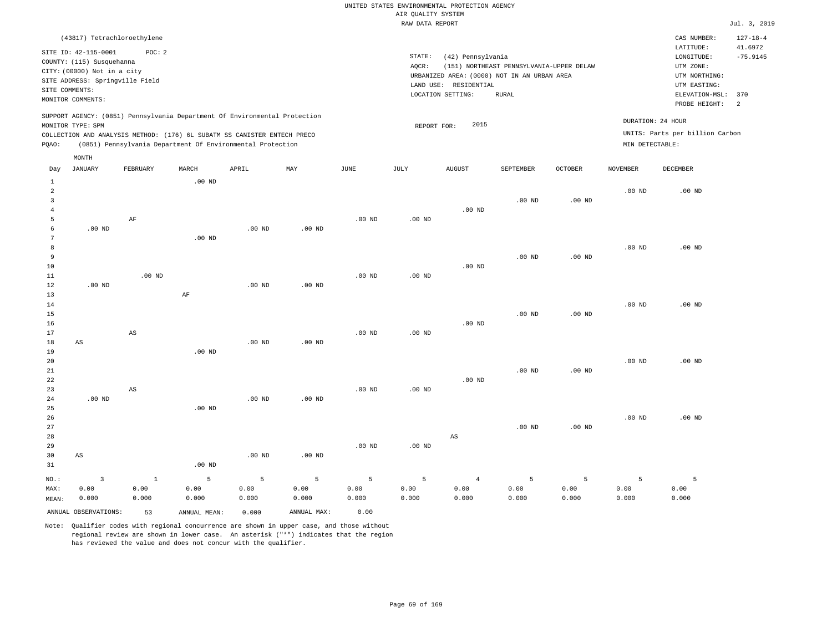| (43817) Tetrachloroethylene                                                                                                                                                                                                                                 |                                                                                                                                                                                        | CAS NUMBER:                                                                                                                   | $127 - 18 - 4$ |
|-------------------------------------------------------------------------------------------------------------------------------------------------------------------------------------------------------------------------------------------------------------|----------------------------------------------------------------------------------------------------------------------------------------------------------------------------------------|-------------------------------------------------------------------------------------------------------------------------------|----------------|
| SITE ID: 42-115-0001<br>POC:2<br>COUNTY: (115) Susquehanna<br>CITY: (00000) Not in a city<br>SITE ADDRESS: Springville Field<br>SITE COMMENTS:<br>MONITOR COMMENTS:                                                                                         | STATE:<br>(42) Pennsylvania<br>(151) NORTHEAST PENNSYLVANIA-UPPER DELAW<br>AOCR:<br>URBANIZED AREA: (0000) NOT IN AN URBAN AREA<br>LAND USE: RESIDENTIAL<br>LOCATION SETTING:<br>RURAL | 41.6972<br>LATITUDE:<br>LONGITUDE:<br>UTM ZONE:<br>UTM NORTHING:<br>UTM EASTING:<br>ELEVATION-MSL: 370<br>PROBE HEIGHT:<br>-2 | $-75.9145$     |
| SUPPORT AGENCY: (0851) Pennsylvania Department Of Environmental Protection<br>MONITOR TYPE: SPM<br>COLLECTION AND ANALYSIS METHOD: (176) 6L SUBATM SS CANISTER ENTECH PRECO<br>(0851) Pennsylvania Department Of Environmental Protection<br>POAO:<br>MONTH | 2015<br>REPORT FOR:                                                                                                                                                                    | DURATION: 24 HOUR<br>UNITS: Parts per billion Carbon<br>MIN DETECTABLE:                                                       |                |

| Day            | <b>JANUARY</b>         | FEBRUARY               | $\tt MARCH$       | APRIL             | $\mathtt{MAX}$ | $_{\rm JUNE}$ | JULY              | ${\tt AUGUST}$         | SEPTEMBER | $OCTOBER$         | $\,$ NOVEMBER | $\begin{minipage}{.4\linewidth} DECEMBER \end{minipage} \vspace{-0.5em}$ |
|----------------|------------------------|------------------------|-------------------|-------------------|----------------|---------------|-------------------|------------------------|-----------|-------------------|---------------|--------------------------------------------------------------------------|
| $\mathbf{1}$   |                        |                        | $.00$ ND          |                   |                |               |                   |                        |           |                   |               |                                                                          |
| $\,2$          |                        |                        |                   |                   |                |               |                   |                        |           |                   | $.00$ ND      | $.00$ ND                                                                 |
| 3              |                        |                        |                   |                   |                |               |                   |                        | $.00$ ND  | $.00$ ND          |               |                                                                          |
| $\overline{4}$ |                        |                        |                   |                   |                |               |                   | .00 $ND$               |           |                   |               |                                                                          |
| 5              |                        | $\rm AF$               |                   |                   |                | $.00$ ND      | $.00$ ND          |                        |           |                   |               |                                                                          |
| 6              | $.00$ ND               |                        |                   | .00 <sub>ND</sub> | $.00$ ND       |               |                   |                        |           |                   |               |                                                                          |
| 7              |                        |                        | .00 <sub>ND</sub> |                   |                |               |                   |                        |           |                   |               |                                                                          |
| 8              |                        |                        |                   |                   |                |               |                   |                        |           |                   | .00 $ND$      | $.00$ ND                                                                 |
| 9              |                        |                        |                   |                   |                |               |                   |                        | $.00$ ND  | $.00$ ND          |               |                                                                          |
| 10             |                        |                        |                   |                   |                |               |                   | $.00$ ND               |           |                   |               |                                                                          |
| 11             |                        | $.00$ ND               |                   |                   |                | $.00$ ND      | $.00$ ND          |                        |           |                   |               |                                                                          |
| 12             | $.00$ ND               |                        |                   | .00 <sub>ND</sub> | $.00$ ND       |               |                   |                        |           |                   |               |                                                                          |
| 13             |                        |                        | AF                |                   |                |               |                   |                        |           |                   |               |                                                                          |
| 14             |                        |                        |                   |                   |                |               |                   |                        |           |                   | $.00$ ND      | $.00$ ND                                                                 |
| 15             |                        |                        |                   |                   |                |               |                   |                        | $.00$ ND  | .00 <sub>ND</sub> |               |                                                                          |
| 16             |                        |                        |                   |                   |                |               |                   | $.00$ ND               |           |                   |               |                                                                          |
| 17             |                        | $\mathbb{A}\mathbb{S}$ |                   |                   |                | $.00$ ND      | .00 <sub>ND</sub> |                        |           |                   |               |                                                                          |
| 18             | $\mathbb{A}\mathbb{S}$ |                        |                   | .00 <sub>ND</sub> | $.00$ ND       |               |                   |                        |           |                   |               |                                                                          |
| 19             |                        |                        | .00 <sub>ND</sub> |                   |                |               |                   |                        |           |                   |               |                                                                          |
| 20             |                        |                        |                   |                   |                |               |                   |                        |           |                   | $.00$ ND      | $.00$ ND                                                                 |
| 21             |                        |                        |                   |                   |                |               |                   |                        | $.00$ ND  | $.00$ ND          |               |                                                                          |
| $2\sqrt{2}$    |                        |                        |                   |                   |                |               |                   | .00 $ND$               |           |                   |               |                                                                          |
| 23             |                        | $\mathbb{A}\mathbb{S}$ |                   |                   |                | $.00$ ND      | .00 <sub>ND</sub> |                        |           |                   |               |                                                                          |
| $2\,4$         | $.00$ ND               |                        |                   | .00 <sub>ND</sub> | $.00$ ND       |               |                   |                        |           |                   |               |                                                                          |
| 25             |                        |                        | .00 <sub>ND</sub> |                   |                |               |                   |                        |           |                   |               |                                                                          |
| 26             |                        |                        |                   |                   |                |               |                   |                        |           |                   | $.00$ ND      | $.00$ ND                                                                 |
| 27             |                        |                        |                   |                   |                |               |                   |                        | $.00$ ND  | $.00$ ND          |               |                                                                          |
| 28             |                        |                        |                   |                   |                |               |                   | $\mathbb{A}\mathbb{S}$ |           |                   |               |                                                                          |
| 29             |                        |                        |                   |                   |                | $.00$ ND      | $.00$ ND          |                        |           |                   |               |                                                                          |
| 30             | AS                     |                        |                   | .00 <sub>ND</sub> | $.00$ ND       |               |                   |                        |           |                   |               |                                                                          |
| 31             |                        |                        | $.00$ ND          |                   |                |               |                   |                        |           |                   |               |                                                                          |
| $_{\rm NO.}$ : | $\mathsf 3$            | $1\,$                  | 5                 | 5                 | 5              | 5             | 5                 | $\overline{4}$         | 5         | 5                 | 5             | 5                                                                        |
| MAX:           | 0.00                   | 0.00                   | 0.00              | 0.00              | 0.00           | 0.00          | 0.00              | 0.00                   | 0.00      | 0.00              | 0.00          | 0.00                                                                     |
| MEAN:          | 0.000                  | 0.000                  | 0.000             | 0.000             | 0.000          | 0.000         | 0.000             | 0.000                  | 0.000     | 0.000             | 0.000         | 0.000                                                                    |
|                | ANNUAL OBSERVATIONS:   | 53                     | ANNUAL MEAN:      | 0.000             | ANNUAL MAX:    | 0.00          |                   |                        |           |                   |               |                                                                          |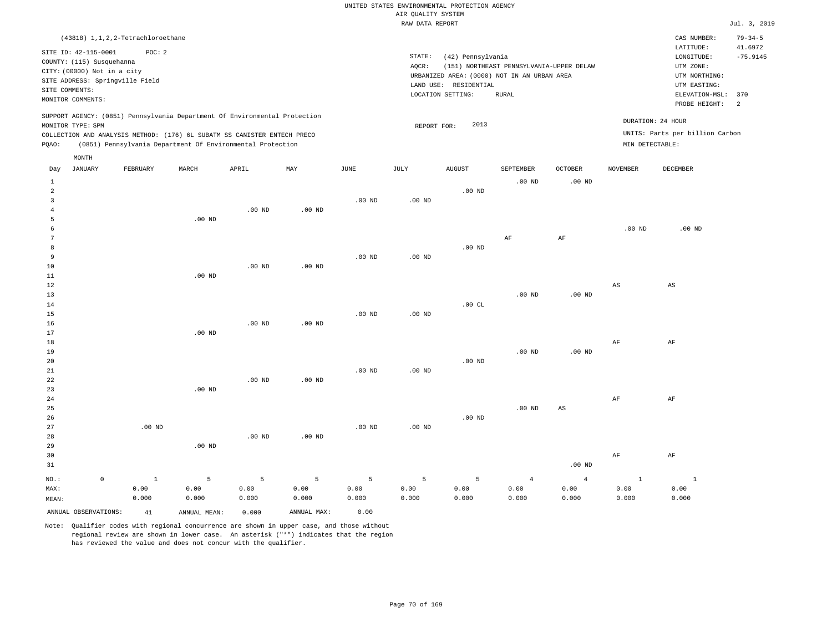|                |                                 |                                      |                                                                            |                   |             |                   | RAW DATA REPORT |                       |                                             |                |                 |                        | Jul. 3, 2019  |
|----------------|---------------------------------|--------------------------------------|----------------------------------------------------------------------------|-------------------|-------------|-------------------|-----------------|-----------------------|---------------------------------------------|----------------|-----------------|------------------------|---------------|
|                |                                 | (43818) 1, 1, 2, 2-Tetrachloroethane |                                                                            |                   |             |                   |                 |                       |                                             |                |                 | CAS NUMBER:            | $79 - 34 - 5$ |
|                | SITE ID: 42-115-0001            | POC: 2                               |                                                                            |                   |             |                   |                 |                       |                                             |                |                 | LATITUDE:              | 41.6972       |
|                | COUNTY: (115) Susquehanna       |                                      |                                                                            |                   |             |                   | STATE:          | (42) Pennsylvania     |                                             |                |                 | LONGITUDE:             | $-75.9145$    |
|                |                                 |                                      |                                                                            |                   |             |                   | AQCR:           |                       | (151) NORTHEAST PENNSYLVANIA-UPPER DELAW    |                |                 | UTM ZONE:              |               |
|                | CITY: (00000) Not in a city     |                                      |                                                                            |                   |             |                   |                 |                       | URBANIZED AREA: (0000) NOT IN AN URBAN AREA |                |                 | UTM NORTHING:          |               |
|                | SITE ADDRESS: Springville Field |                                      |                                                                            |                   |             |                   |                 | LAND USE: RESIDENTIAL |                                             |                |                 | UTM EASTING:           |               |
| SITE COMMENTS: | MONITOR COMMENTS:               |                                      |                                                                            |                   |             |                   |                 | LOCATION SETTING:     |                                             |                | ELEVATION-MSL:  | 370                    |               |
|                |                                 |                                      |                                                                            |                   |             |                   |                 |                       |                                             |                |                 | PROBE HEIGHT:          | <sup>2</sup>  |
|                |                                 |                                      | SUPPORT AGENCY: (0851) Pennsylvania Department Of Environmental Protection |                   |             |                   |                 |                       |                                             |                |                 | DURATION: 24 HOUR      |               |
|                | MONITOR TYPE: SPM               |                                      |                                                                            |                   |             |                   | REPORT FOR:     | 2013                  |                                             |                |                 |                        |               |
|                |                                 |                                      | COLLECTION AND ANALYSIS METHOD: (176) 6L SUBATM SS CANISTER ENTECH PRECO   |                   |             |                   |                 |                       | UNITS: Parts per billion Carbon             |                |                 |                        |               |
| PQAO:          |                                 |                                      | (0851) Pennsylvania Department Of Environmental Protection                 |                   |             |                   |                 |                       |                                             |                | MIN DETECTABLE: |                        |               |
|                | MONTH                           |                                      |                                                                            |                   |             |                   |                 |                       |                                             |                |                 |                        |               |
| Day            | <b>JANUARY</b>                  | FEBRUARY                             | MARCH                                                                      | APRIL             | MAY         | JUNE              | JULY            | <b>AUGUST</b>         | SEPTEMBER                                   | <b>OCTOBER</b> | <b>NOVEMBER</b> | <b>DECEMBER</b>        |               |
| $\mathbf{1}$   |                                 |                                      |                                                                            |                   |             |                   |                 |                       | $.00$ ND                                    | $.00$ ND       |                 |                        |               |
| $\overline{a}$ |                                 |                                      |                                                                            |                   |             |                   |                 | $.00$ ND              |                                             |                |                 |                        |               |
| $\overline{3}$ |                                 |                                      |                                                                            |                   |             | $.00$ ND          | $.00$ ND        |                       |                                             |                |                 |                        |               |
| $\overline{4}$ |                                 |                                      |                                                                            | $.00$ ND          | $.00$ ND    |                   |                 |                       |                                             |                |                 |                        |               |
| 5              |                                 |                                      | $.00$ ND                                                                   |                   |             |                   |                 |                       |                                             |                |                 |                        |               |
| 6              |                                 |                                      |                                                                            |                   |             |                   |                 |                       |                                             |                | $.00$ ND        | $.00$ ND               |               |
| 7              |                                 |                                      |                                                                            |                   |             |                   |                 |                       | AF                                          | AF             |                 |                        |               |
| 8              |                                 |                                      |                                                                            |                   |             |                   |                 | $.00$ ND              |                                             |                |                 |                        |               |
| 9              |                                 |                                      |                                                                            |                   |             | $.00$ ND          | $.00$ ND        |                       |                                             |                |                 |                        |               |
| 10             |                                 |                                      |                                                                            | .00 <sub>ND</sub> | $.00$ ND    |                   |                 |                       |                                             |                |                 |                        |               |
| 11             |                                 |                                      | $.00$ ND                                                                   |                   |             |                   |                 |                       |                                             |                |                 |                        |               |
| 12             |                                 |                                      |                                                                            |                   |             |                   |                 |                       |                                             |                | $_{\rm AS}$     | $\mathbb{A}\mathbb{S}$ |               |
| 13             |                                 |                                      |                                                                            |                   |             |                   |                 |                       | $.00$ ND                                    | $.00$ ND       |                 |                        |               |
| 14             |                                 |                                      |                                                                            |                   |             |                   |                 | .00CL                 |                                             |                |                 |                        |               |
| 15             |                                 |                                      |                                                                            |                   |             | .00 <sub>ND</sub> | $.00$ ND        |                       |                                             |                |                 |                        |               |
| 16             |                                 |                                      |                                                                            | $.00$ ND          | $.00$ ND    |                   |                 |                       |                                             |                |                 |                        |               |
| 17             |                                 |                                      | $.00$ ND                                                                   |                   |             |                   |                 |                       |                                             |                |                 |                        |               |
| 18             |                                 |                                      |                                                                            |                   |             |                   |                 |                       |                                             |                | AF              | AF                     |               |
| 19             |                                 |                                      |                                                                            |                   |             |                   |                 |                       | $.00$ ND                                    | $.00$ ND       |                 |                        |               |
| 20             |                                 |                                      |                                                                            |                   |             |                   |                 | $.00$ ND              |                                             |                |                 |                        |               |
| 21             |                                 |                                      |                                                                            | $.00$ ND          |             | $.00$ ND          | $.00$ ND        |                       |                                             |                |                 |                        |               |
| 22<br>23       |                                 |                                      | .00 <sub>ND</sub>                                                          |                   | $.00$ ND    |                   |                 |                       |                                             |                |                 |                        |               |
|                |                                 |                                      |                                                                            |                   |             |                   |                 |                       |                                             |                | AF              |                        |               |
| 24<br>25       |                                 |                                      |                                                                            |                   |             |                   |                 |                       | .00 <sub>ND</sub>                           |                |                 | AF                     |               |
|                |                                 |                                      |                                                                            |                   |             |                   |                 | $.00$ ND              |                                             | $_{\rm AS}$    |                 |                        |               |
| 26<br>27       |                                 | $.00$ ND                             |                                                                            |                   |             | $.00$ ND          | $.00$ ND        |                       |                                             |                |                 |                        |               |
| 28             |                                 |                                      |                                                                            | .00 <sub>ND</sub> | $.00$ ND    |                   |                 |                       |                                             |                |                 |                        |               |
| 29             |                                 |                                      | .00 <sub>ND</sub>                                                          |                   |             |                   |                 |                       |                                             |                |                 |                        |               |
| 30             |                                 |                                      |                                                                            |                   |             |                   |                 |                       |                                             |                | AF              | AF                     |               |
| 31             |                                 |                                      |                                                                            |                   |             |                   |                 |                       |                                             | $.00$ ND       |                 |                        |               |
|                |                                 |                                      |                                                                            |                   |             |                   |                 |                       |                                             |                |                 |                        |               |
| NO.:           | $\mathbb O$                     | $\mathbf{1}$                         | 5                                                                          | $\overline{5}$    | 5           | 5                 | 5               | 5                     | $\overline{4}$                              | $\overline{4}$ | $\mathbf{1}$    | $\mathbf{1}$           |               |
| MAX:           |                                 | 0.00                                 | 0.00                                                                       | 0.00              | 0.00        | 0.00              | 0.00            | 0.00                  | 0.00                                        | 0.00           | 0.00            | 0.00                   |               |
| MEAN:          |                                 | 0.000                                | 0.000                                                                      | 0.000             | 0.000       | 0.000             | 0.000           | 0.000                 | 0.000                                       | 0.000          | 0.000           | 0.000                  |               |
|                | ANNUAL OBSERVATIONS:            | 41                                   | ANNUAL MEAN:                                                               | 0.000             | ANNUAL MAX: | 0.00              |                 |                       |                                             |                |                 |                        |               |
|                |                                 |                                      |                                                                            |                   |             |                   |                 |                       |                                             |                |                 |                        |               |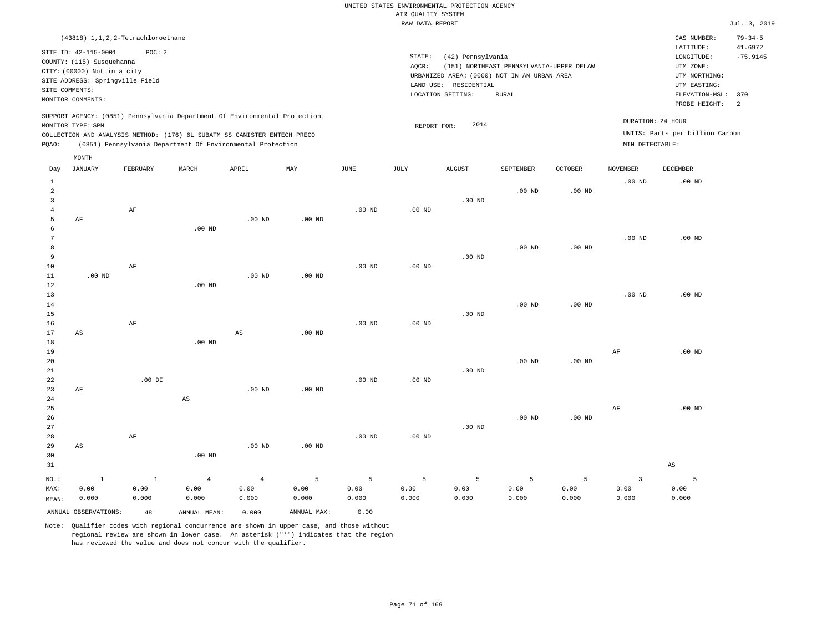| (43818) 1, 1, 2, 2-Tetrachloroethane                                       |                                                   | $79 - 34 - 5$<br>CAS NUMBER:    |  |  |
|----------------------------------------------------------------------------|---------------------------------------------------|---------------------------------|--|--|
| SITE ID: 42-115-0001<br>POC:2                                              |                                                   | LATITUDE:<br>41.6972            |  |  |
| COUNTY: (115) Susquehanna                                                  | STATE:<br>(42) Pennsylvania                       | $-75.9145$<br>LONGITUDE:        |  |  |
|                                                                            | (151) NORTHEAST PENNSYLVANIA-UPPER DELAW<br>AOCR: | UTM ZONE:                       |  |  |
| CITY: (00000) Not in a city                                                | URBANIZED AREA: (0000) NOT IN AN URBAN AREA       | UTM NORTHING:                   |  |  |
| SITE ADDRESS: Springville Field                                            | RESIDENTIAL<br>LAND USE:                          | UTM EASTING:                    |  |  |
| SITE COMMENTS:                                                             | LOCATION SETTING:<br>RURAL                        | ELEVATION-MSL: 370              |  |  |
| MONITOR COMMENTS:                                                          |                                                   | PROBE HEIGHT: 2                 |  |  |
| SUPPORT AGENCY: (0851) Pennsylvania Department Of Environmental Protection |                                                   |                                 |  |  |
| MONITOR TYPE: SPM                                                          | 2014<br>REPORT FOR:                               | DURATION: 24 HOUR               |  |  |
| COLLECTION AND ANALYSIS METHOD: (176) 6L SUBATM SS CANISTER ENTECH PRECO   |                                                   | UNITS: Parts per billion Carbon |  |  |
| (0851) Pennsylvania Department Of Environmental Protection<br>POAO:        |                                                   | MIN DETECTABLE:                 |  |  |
| MONTH                                                                      |                                                   |                                 |  |  |

| Day            | JANUARY                | FEBRUARY     | MARCH                  | APRIL          | MAY         | JUNE     | JULY     | AUGUST          | SEPTEMBER | OCTOBER  | NOVEMBER                | DECEMBER |
|----------------|------------------------|--------------|------------------------|----------------|-------------|----------|----------|-----------------|-----------|----------|-------------------------|----------|
| $\mathbf{1}$   |                        |              |                        |                |             |          |          |                 |           |          | $.00$ ND                | $.00$ ND |
| $\overline{a}$ |                        |              |                        |                |             |          |          |                 | $.00$ ND  | $.00$ ND |                         |          |
| 3              |                        |              |                        |                |             |          |          | $.00$ ND        |           |          |                         |          |
| $\overline{4}$ |                        | $\rm AF$     |                        |                |             | $.00$ ND | .00 $ND$ |                 |           |          |                         |          |
| 5              | $\rm AF$               |              |                        | .00 $ND$       | $.00$ ND    |          |          |                 |           |          |                         |          |
| 6              |                        |              | $.00$ ND               |                |             |          |          |                 |           |          |                         |          |
| 7              |                        |              |                        |                |             |          |          |                 |           |          | $.00$ ND                | $.00$ ND |
| 8              |                        |              |                        |                |             |          |          |                 | $.00$ ND  | $.00$ ND |                         |          |
| 9              |                        |              |                        |                |             |          |          | $.00$ ND        |           |          |                         |          |
| 10             |                        | $\rm AF$     |                        |                |             | $.00$ ND | .00 $ND$ |                 |           |          |                         |          |
| 11             | $.00$ ND               |              |                        | $.00$ ND       | $.00$ ND    |          |          |                 |           |          |                         |          |
| 12             |                        |              | $.00$ ND               |                |             |          |          |                 |           |          |                         |          |
| 13             |                        |              |                        |                |             |          |          |                 |           |          | $.00$ ND                | $.00$ ND |
| 14             |                        |              |                        |                |             |          |          |                 | $.00$ ND  | .00 $ND$ |                         |          |
| 15             |                        |              |                        |                |             |          |          | $.00$ ND        |           |          |                         |          |
| 16             |                        | $\rm AF$     |                        |                |             | $.00$ ND | .00 $ND$ |                 |           |          |                         |          |
| 17             | AS                     |              |                        | $_{\rm AS}$    | $.00$ ND    |          |          |                 |           |          |                         |          |
| 18             |                        |              | $.00$ ND               |                |             |          |          |                 |           |          |                         |          |
| 19             |                        |              |                        |                |             |          |          |                 |           |          | $\rm AF$                | $.00$ ND |
| 20             |                        |              |                        |                |             |          |          |                 | $.00$ ND  | $.00$ ND |                         |          |
| 21             |                        |              |                        |                |             |          |          | $.00$ ND        |           |          |                         |          |
| 22<br>23       | $\rm AF$               | .00 DI       |                        | $.00$ ND       | $.00$ ND    | $.00$ ND | $.00$ ND |                 |           |          |                         |          |
| $2\sqrt{4}$    |                        |              | $\mathbb{A}\mathbb{S}$ |                |             |          |          |                 |           |          |                         |          |
| 25             |                        |              |                        |                |             |          |          |                 |           |          | AF                      | $.00$ ND |
| 26             |                        |              |                        |                |             |          |          |                 | $.00$ ND  | .00 $ND$ |                         |          |
| 27             |                        |              |                        |                |             |          |          | $.00$ ND        |           |          |                         |          |
| 28             |                        | $\rm AF$     |                        |                |             | $.00$ ND | $.00$ ND |                 |           |          |                         |          |
| 29             | $\mathbb{A}\mathbb{S}$ |              |                        | $.00$ ND       | $.00$ ND    |          |          |                 |           |          |                         |          |
| 30             |                        |              | $.00$ ND               |                |             |          |          |                 |           |          |                         |          |
| 31             |                        |              |                        |                |             |          |          |                 |           |          |                         | AS       |
|                |                        |              |                        |                |             |          |          |                 |           |          |                         |          |
| $_{\rm NO.}$ : | $\mathbf{1}$           | $\mathbf{1}$ | $\overline{4}$         | $\overline{4}$ | 5           | 5        | 5        | $5\phantom{.0}$ | 5         | 5        | $\overline{\mathbf{3}}$ | 5        |
| MAX:           | 0.00                   | 0.00         | 0.00                   | 0.00           | 0.00        | 0.00     | 0.00     | 0.00            | 0.00      | 0.00     | 0.00                    | 0.00     |
| MEAN:          | 0.000                  | 0.000        | 0.000                  | 0.000          | 0.000       | 0.000    | 0.000    | 0.000           | 0.000     | 0.000    | 0.000                   | 0.000    |
|                | ANNUAL OBSERVATIONS:   | 48           | ANNUAL MEAN:           | 0.000          | ANNUAL MAX: | 0.00     |          |                 |           |          |                         |          |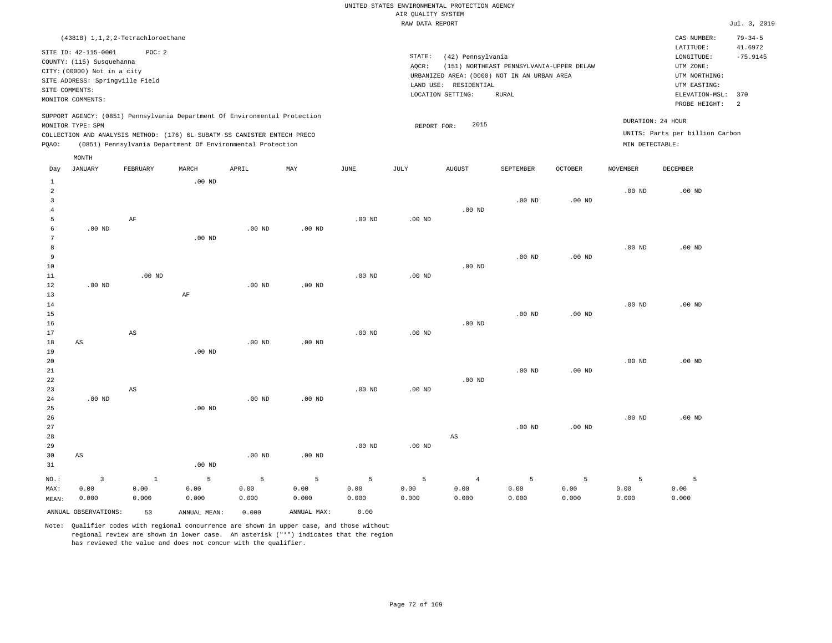|                                                                                                                                                            | (43818) 1, 1, 2, 2-Tetrachloroethane                                     |       |       |       |     |             |                              |                                                                                                      |                                                   |                |                   | CAS NUMBER:                                                                                 | $79 - 34 - 5$         |
|------------------------------------------------------------------------------------------------------------------------------------------------------------|--------------------------------------------------------------------------|-------|-------|-------|-----|-------------|------------------------------|------------------------------------------------------------------------------------------------------|---------------------------------------------------|----------------|-------------------|---------------------------------------------------------------------------------------------|-----------------------|
| SITE ID: 42-115-0001<br>COUNTY: (115) Susquehanna<br>CITY: (00000) Not in a city<br>SITE ADDRESS: Springville Field<br>SITE COMMENTS:<br>MONITOR COMMENTS: |                                                                          | POC:2 |       |       |     |             | STATE:<br>AOCR:<br>LAND USE: | (42) Pennsylvania<br>URBANIZED AREA: (0000) NOT IN AN URBAN AREA<br>RESIDENTIAL<br>LOCATION SETTING: | (151) NORTHEAST PENNSYLVANIA-UPPER DELAW<br>RURAL |                |                   | LATITUDE:<br>LONGITUDE:<br>UTM ZONE:<br>UTM NORTHING:<br>UTM EASTING:<br>ELEVATION-MSL: 370 | 41.6972<br>$-75.9145$ |
|                                                                                                                                                            |                                                                          |       |       |       |     |             |                              |                                                                                                      |                                                   |                |                   | PROBE HEIGHT:                                                                               | - 2                   |
| SUPPORT AGENCY: (0851) Pennsylvania Department Of Environmental Protection                                                                                 |                                                                          |       |       |       |     |             |                              |                                                                                                      |                                                   |                |                   |                                                                                             |                       |
| MONITOR TYPE: SPM                                                                                                                                          |                                                                          |       |       |       |     |             | REPORT FOR:                  | 2015                                                                                                 |                                                   |                | DURATION: 24 HOUR |                                                                                             |                       |
|                                                                                                                                                            | COLLECTION AND ANALYSIS METHOD: (176) 6L SUBATM SS CANISTER ENTECH PRECO |       |       |       |     |             |                              |                                                                                                      |                                                   |                |                   | UNITS: Parts per billion Carbon                                                             |                       |
| POAO:                                                                                                                                                      | (0851) Pennsylvania Department Of Environmental Protection               |       |       |       |     |             |                              |                                                                                                      |                                                   |                | MIN DETECTABLE:   |                                                                                             |                       |
| MONTH                                                                                                                                                      |                                                                          |       |       |       |     |             |                              |                                                                                                      |                                                   |                |                   |                                                                                             |                       |
| JANUARY<br>Day                                                                                                                                             | FEBRUARY                                                                 |       | MARCH | APRIL | MAY | <b>JUNE</b> | JULY                         | <b>AUGUST</b>                                                                                        | SEPTEMBER                                         | <b>OCTOBER</b> | NOVEMBER          | DECEMBER                                                                                    |                       |

| $\mathbf{1}$   |                        |                        | $.00$ ND     |          |             |          |          |                        |          |          |          |                   |
|----------------|------------------------|------------------------|--------------|----------|-------------|----------|----------|------------------------|----------|----------|----------|-------------------|
| $\overline{a}$ |                        |                        |              |          |             |          |          |                        |          |          | $.00$ ND | $.00$ ND          |
| 3              |                        |                        |              |          |             |          |          |                        | $.00$ ND | $.00$ ND |          |                   |
| $\overline{4}$ |                        |                        |              |          |             |          |          | $.00$ ND               |          |          |          |                   |
| 5              |                        | AF                     |              |          |             | $.00$ ND | $.00$ ND |                        |          |          |          |                   |
| 6              | $.00$ ND               |                        |              | $.00$ ND | $.00$ ND    |          |          |                        |          |          |          |                   |
| 7              |                        |                        | $.00$ ND     |          |             |          |          |                        |          |          |          |                   |
| 8              |                        |                        |              |          |             |          |          |                        |          |          | $.00$ ND | $.00$ ND          |
| 9              |                        |                        |              |          |             |          |          |                        | $.00$ ND | $.00$ ND |          |                   |
| 10<br>11       |                        | $.00$ ND               |              |          |             | $.00$ ND | $.00$ ND | $.00$ ND               |          |          |          |                   |
| 12             | $.00$ ND               |                        |              | .00 $ND$ | $.00$ ND    |          |          |                        |          |          |          |                   |
| 13             |                        |                        | $\rm AF$     |          |             |          |          |                        |          |          |          |                   |
| 14             |                        |                        |              |          |             |          |          |                        |          |          | $.00$ ND | $.00$ ND          |
| 15             |                        |                        |              |          |             |          |          |                        | $.00$ ND | $.00$ ND |          |                   |
| 16             |                        |                        |              |          |             |          |          | $.00$ ND               |          |          |          |                   |
| 17             |                        | $\mathbb{A}\mathbb{S}$ |              |          |             | $.00$ ND | $.00$ ND |                        |          |          |          |                   |
| 18             | $\mathbb{A}\mathbb{S}$ |                        |              | $.00$ ND | $.00$ ND    |          |          |                        |          |          |          |                   |
| 19             |                        |                        | $.00$ ND     |          |             |          |          |                        |          |          |          |                   |
| 20             |                        |                        |              |          |             |          |          |                        |          |          | $.00$ ND | .00 <sub>ND</sub> |
| 21             |                        |                        |              |          |             |          |          |                        | $.00$ ND | $.00$ ND |          |                   |
| 22             |                        |                        |              |          |             |          |          | $.00$ ND               |          |          |          |                   |
| 23             |                        | $\mathbb{A}\mathbb{S}$ |              |          |             | $.00$ ND | $.00$ ND |                        |          |          |          |                   |
| 24             | $.00$ ND               |                        |              | $.00$ ND | $.00$ ND    |          |          |                        |          |          |          |                   |
| 25             |                        |                        | $.00$ ND     |          |             |          |          |                        |          |          |          |                   |
| 26             |                        |                        |              |          |             |          |          |                        |          |          | $.00$ ND | $.00$ ND          |
| 27             |                        |                        |              |          |             |          |          |                        | $.00$ ND | $.00$ ND |          |                   |
| 28             |                        |                        |              |          |             |          |          | $\mathbb{A}\mathbb{S}$ |          |          |          |                   |
| 29             |                        |                        |              |          |             | $.00$ ND | $.00$ ND |                        |          |          |          |                   |
| 30             | AS                     |                        |              | .00 $ND$ | $.00$ ND    |          |          |                        |          |          |          |                   |
| 31             |                        |                        | $.00$ ND     |          |             |          |          |                        |          |          |          |                   |
| $_{\rm NO.}$ : | $\overline{3}$         | $\mathbf{1}$           | 5            | 5        | 5           | 5        | 5        | $\overline{4}$         | 5        | 5        | 5        | 5                 |
| MAX:           | 0.00                   | 0.00                   | 0.00         | 0.00     | 0.00        | 0.00     | 0.00     | 0.00                   | 0.00     | 0.00     | 0.00     | 0.00              |
| MEAN:          | 0.000                  | 0.000                  | 0.000        | 0.000    | 0.000       | 0.000    | 0.000    | 0.000                  | 0.000    | 0.000    | 0.000    | 0.000             |
|                | ANNUAL OBSERVATIONS:   | 53                     | ANNUAL MEAN: | 0.000    | ANNUAL MAX: | 0.00     |          |                        |          |          |          |                   |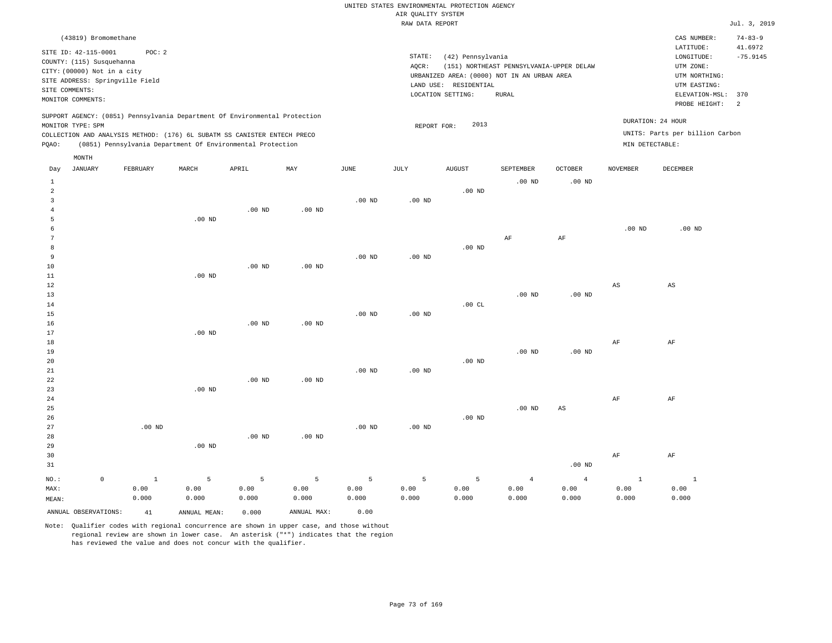|                | (43819) Bromomethane                                                                                                                     |          |       |                                                                                                                                                                                                                      |     |      |                              |                                                                                                      |                                                   |                            |                 | CAS NUMBER:                                                                                              | $74 - 83 - 9$                                |
|----------------|------------------------------------------------------------------------------------------------------------------------------------------|----------|-------|----------------------------------------------------------------------------------------------------------------------------------------------------------------------------------------------------------------------|-----|------|------------------------------|------------------------------------------------------------------------------------------------------|---------------------------------------------------|----------------------------|-----------------|----------------------------------------------------------------------------------------------------------|----------------------------------------------|
| SITE COMMENTS: | SITE ID: 42-115-0001<br>COUNTY: (115) Susquehanna<br>CITY: (00000) Not in a city<br>SITE ADDRESS: Springville Field<br>MONITOR COMMENTS: | POC: 2   |       |                                                                                                                                                                                                                      |     |      | STATE:<br>AOCR:<br>LAND USE: | (42) Pennsylvania<br>URBANIZED AREA: (0000) NOT IN AN URBAN AREA<br>RESIDENTIAL<br>LOCATION SETTING: | (151) NORTHEAST PENNSYLVANIA-UPPER DELAW<br>RURAL |                            |                 | LATITUDE:<br>LONGITUDE:<br>UTM ZONE:<br>UTM NORTHING:<br>UTM EASTING:<br>ELEVATION-MSL:<br>PROBE HEIGHT: | 41.6972<br>$-75.9145$<br>370<br><sup>2</sup> |
| POAO:          | MONITOR TYPE: SPM                                                                                                                        |          |       | SUPPORT AGENCY: (0851) Pennsylvania Department Of Environmental Protection<br>COLLECTION AND ANALYSIS METHOD: (176) 6L SUBATM SS CANISTER ENTECH PRECO<br>(0851) Pennsylvania Department Of Environmental Protection |     |      |                              | 2013<br>REPORT FOR:                                                                                  |                                                   |                            |                 | DURATION: 24 HOUR<br>UNITS: Parts per billion Carbon<br>MIN DETECTABLE:                                  |                                              |
| Day<br>2       | MONTH<br>JANUARY                                                                                                                         | FEBRUARY | MARCH | APRIL                                                                                                                                                                                                                | MAY | JUNE | JULY                         | <b>AUGUST</b><br>$.00$ ND                                                                            | SEPTEMBER<br>$.00$ ND                             | <b>OCTOBER</b><br>$.00$ ND | <b>NOVEMBER</b> | <b>DECEMBER</b>                                                                                          |                                              |

| MEAN:          |                     | 0.000        | 0.000             | 0.000    | 0.000          | 0.000          | 0.000    | 0.000    | 0.000          | 0.000             | 0.000                  | 0.000                  |
|----------------|---------------------|--------------|-------------------|----------|----------------|----------------|----------|----------|----------------|-------------------|------------------------|------------------------|
| MAX:           |                     | 0.00         | 0.00              | 0.00     | 0.00           | 0.00           | 0.00     | 0.00     | 0.00           | 0.00              | 0.00                   | 0.00                   |
| $_{\rm NO.}$ : | $\mathsf{O}\xspace$ | $\mathbf{1}$ | $\overline{5}$    | 5        | $\overline{5}$ | $\overline{5}$ | 5        | 5        | $\overline{4}$ | $\overline{4}$    | $\mathbf{1}$           | $\overline{1}$         |
| 31             |                     |              |                   |          |                |                |          |          |                | .00 <sub>ND</sub> |                        |                        |
| 30             |                     |              |                   |          |                |                |          |          |                |                   | AF                     | AF                     |
| 29             |                     |              | .00 <sub>ND</sub> |          |                |                |          |          |                |                   |                        |                        |
| 28             |                     |              |                   | $.00$ ND | $.00$ ND       |                |          |          |                |                   |                        |                        |
| 27             |                     | $.00$ ND     |                   |          |                | $.00$ ND       | $.00$ ND |          |                |                   |                        |                        |
| $26\,$         |                     |              |                   |          |                |                |          | .00 $ND$ |                |                   |                        |                        |
| $25\,$         |                     |              |                   |          |                |                |          |          | $.00$ ND       | AS                |                        |                        |
| $2\sqrt{4}$    |                     |              |                   |          |                |                |          |          |                |                   | $\rm{AF}$              | AF                     |
| 23             |                     |              | $.00$ ND          |          |                |                |          |          |                |                   |                        |                        |
| 22             |                     |              |                   | $.00$ ND | $.00$ ND       |                |          |          |                |                   |                        |                        |
| 21             |                     |              |                   |          |                | $.00$ ND       | .00 $ND$ |          |                |                   |                        |                        |
| 20             |                     |              |                   |          |                |                |          | .00 $ND$ |                |                   |                        |                        |
| 19             |                     |              |                   |          |                |                |          |          | $.00$ ND       | .00 $ND$          |                        |                        |
| 18             |                     |              |                   |          |                |                |          |          |                |                   | $\rm{AF}$              | $\rm AF$               |
| 17             |                     |              | $.00$ ND          |          |                |                |          |          |                |                   |                        |                        |
| 16             |                     |              |                   | $.00$ ND | $.00$ ND       |                |          |          |                |                   |                        |                        |
| 15             |                     |              |                   |          |                | $.00$ ND       | $.00$ ND |          |                |                   |                        |                        |
| $14\,$         |                     |              |                   |          |                |                |          | .00CL    |                |                   |                        |                        |
| 13             |                     |              |                   |          |                |                |          |          | $.00$ ND       | $.00$ ND          |                        |                        |
| 12             |                     |              |                   |          |                |                |          |          |                |                   | $\mathbb{A}\mathbb{S}$ | $\mathbb{A}\mathbb{S}$ |
| 11             |                     |              | $.00$ ND          |          |                |                |          |          |                |                   |                        |                        |
| 10             |                     |              |                   | $.00$ ND | $.00$ ND       |                |          |          |                |                   |                        |                        |
| 9              |                     |              |                   |          |                | $.00$ ND       | .00 $ND$ |          |                |                   |                        |                        |
| 8              |                     |              |                   |          |                |                |          | .00 $ND$ |                |                   |                        |                        |
| 7              |                     |              |                   |          |                |                |          |          | $\rm{AF}$      | $\rm{AF}$         |                        |                        |
| 6              |                     |              |                   |          |                |                |          |          |                |                   | $.00$ ND               | $.00$ ND               |
| 5              |                     |              | $.00$ ND          |          |                |                |          |          |                |                   |                        |                        |
| $\overline{4}$ |                     |              |                   | $.00$ ND | $.00$ ND       | $.00$ ND       | $.00$ ND |          |                |                   |                        |                        |
| $\overline{3}$ |                     |              |                   |          |                |                |          |          |                |                   |                        |                        |

ANNUAL OBSERVATIONS: 41 ANNUAL MEAN: 0.000 ANNUAL MAX: 0.00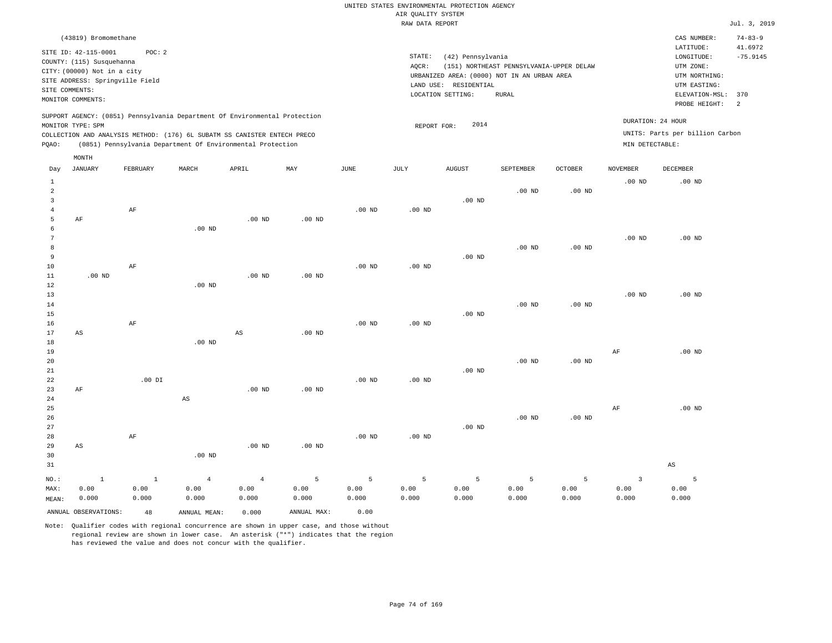| (43819) Bromomethane<br>CAS NUMBER:<br>LATITUDE:<br>SITE ID: 42-115-0001<br>POC:2<br>STATE:<br>(42) Pennsylvania<br>LONGITUDE:<br>COUNTY: (115) Susquehanna<br>AOCR:<br>(151) NORTHEAST PENNSYLVANIA-UPPER DELAW<br>UTM ZONE:<br>CITY: (00000) Not in a city<br>URBANIZED AREA: (0000) NOT IN AN URBAN AREA<br>UTM NORTHING:<br>SITE ADDRESS: Springville Field<br>UTM EASTING:<br>LAND USE: RESIDENTIAL<br>SITE COMMENTS:<br>ELEVATION-MSL: 370<br>LOCATION SETTING:<br>RURAL<br>MONITOR COMMENTS:<br>PROBE HEIGHT:<br>SUPPORT AGENCY: (0851) Pennsylvania Department Of Environmental Protection<br>DURATION: 24 HOUR<br>2014<br>MONITOR TYPE: SPM<br>REPORT FOR:<br>UNITS: Parts per billion Carbon<br>COLLECTION AND ANALYSIS METHOD: (176) 6L SUBATM SS CANISTER ENTECH PRECO |  |  |                       |
|------------------------------------------------------------------------------------------------------------------------------------------------------------------------------------------------------------------------------------------------------------------------------------------------------------------------------------------------------------------------------------------------------------------------------------------------------------------------------------------------------------------------------------------------------------------------------------------------------------------------------------------------------------------------------------------------------------------------------------------------------------------------------------|--|--|-----------------------|
|                                                                                                                                                                                                                                                                                                                                                                                                                                                                                                                                                                                                                                                                                                                                                                                    |  |  | $74 - 83 - 9$         |
|                                                                                                                                                                                                                                                                                                                                                                                                                                                                                                                                                                                                                                                                                                                                                                                    |  |  | 41.6972<br>$-75.9145$ |
| (0851) Pennsylvania Department Of Environmental Protection<br>MIN DETECTABLE:<br>POAO:<br>MONTH                                                                                                                                                                                                                                                                                                                                                                                                                                                                                                                                                                                                                                                                                    |  |  |                       |
| ______<br>______<br>-------<br>the competition of the competition<br>-------------<br>-----------<br>----------<br>____________________                                                                                                                                                                                                                                                                                                                                                                                                                                                                                                                                                                                                                                            |  |  |                       |

| Day            | JANUARY                | FEBRUARY  | MARCH          | APRIL                  | MAY         | JUNE              | JULY     | AUGUST   | SEPTEMBER | OCTOBER           | NOVEMBER  | DECEMBER               |
|----------------|------------------------|-----------|----------------|------------------------|-------------|-------------------|----------|----------|-----------|-------------------|-----------|------------------------|
| $\mathbf{1}$   |                        |           |                |                        |             |                   |          |          |           |                   | $.00$ ND  | $.00$ ND               |
| $\overline{a}$ |                        |           |                |                        |             |                   |          |          | $.00$ ND  | .00 <sub>ND</sub> |           |                        |
| 3              |                        |           |                |                        |             |                   |          | $.00$ ND |           |                   |           |                        |
| $\overline{4}$ |                        | $\rm AF$  |                |                        |             | .00 <sub>ND</sub> | $.00$ ND |          |           |                   |           |                        |
| 5              | AF                     |           |                | $.00$ ND               | $.00$ ND    |                   |          |          |           |                   |           |                        |
| 6              |                        |           | $.00$ ND       |                        |             |                   |          |          |           |                   |           |                        |
| 7              |                        |           |                |                        |             |                   |          |          |           |                   | $.00$ ND  | $.00$ ND               |
| 8              |                        |           |                |                        |             |                   |          |          | $.00$ ND  | .00 $ND$          |           |                        |
| 9              |                        |           |                |                        |             |                   |          | $.00$ ND |           |                   |           |                        |
| $10$           |                        | $\rm AF$  |                |                        |             | .00 <sub>ND</sub> | .00 $ND$ |          |           |                   |           |                        |
| $11\,$         | $.00$ ND               |           |                | $.00$ ND               | $.00$ ND    |                   |          |          |           |                   |           |                        |
| 12             |                        |           | $.00$ ND       |                        |             |                   |          |          |           |                   |           |                        |
| 13             |                        |           |                |                        |             |                   |          |          |           |                   | $.00$ ND  | $.00$ ND               |
| 14             |                        |           |                |                        |             |                   |          |          | $.00$ ND  | .00 <sub>ND</sub> |           |                        |
| 15             |                        |           |                |                        |             |                   |          | $.00$ ND |           |                   |           |                        |
| 16             |                        | $\rm{AF}$ |                |                        |             | $.00$ ND          | .00 $ND$ |          |           |                   |           |                        |
| 17             | $\mathbb{A}\mathbb{S}$ |           |                | $\mathbb{A}\mathbb{S}$ | $.00$ ND    |                   |          |          |           |                   |           |                        |
| 18             |                        |           | $.00$ ND       |                        |             |                   |          |          |           |                   |           |                        |
| 19             |                        |           |                |                        |             |                   |          |          |           |                   | $\rm{AF}$ | $.00$ ND               |
| 20             |                        |           |                |                        |             |                   |          |          | $.00$ ND  | .00 $ND$          |           |                        |
| 21             |                        |           |                |                        |             |                   |          | $.00$ ND |           |                   |           |                        |
| 22<br>23       |                        | $.00$ DI  |                | $.00$ ND               | $.00$ ND    | $.00$ ND          | .00 $ND$ |          |           |                   |           |                        |
| 24             | AF                     |           | AS             |                        |             |                   |          |          |           |                   |           |                        |
| 25             |                        |           |                |                        |             |                   |          |          |           |                   | $\rm{AF}$ | $.00$ ND               |
| 26             |                        |           |                |                        |             |                   |          |          | $.00$ ND  | .00 $ND$          |           |                        |
| 27             |                        |           |                |                        |             |                   |          | $.00$ ND |           |                   |           |                        |
| 28             |                        | $\rm{AF}$ |                |                        |             | $.00$ ND          | .00 $ND$ |          |           |                   |           |                        |
| 29             | AS                     |           |                | $.00$ ND               | $.00$ ND    |                   |          |          |           |                   |           |                        |
| 30             |                        |           | $.00$ ND       |                        |             |                   |          |          |           |                   |           |                        |
| 31             |                        |           |                |                        |             |                   |          |          |           |                   |           | $\mathbb{A}\mathbb{S}$ |
|                |                        |           |                |                        |             |                   |          |          |           |                   |           |                        |
| $NO.$ :        | $\,$ 1                 | $\,$ 1    | $\overline{4}$ | $\overline{4}$         | 5           | $\,$ 5            | 5        | 5        | 5         | $\mathsf S$       | 3         | $\overline{5}$         |
| MAX:           | 0.00                   | 0.00      | 0.00           | 0.00                   | 0.00        | 0.00              | 0.00     | 0.00     | 0.00      | 0.00              | 0.00      | 0.00                   |
| MEAN:          | 0.000                  | 0.000     | 0.000          | 0.000                  | 0.000       | 0.000             | 0.000    | 0.000    | 0.000     | 0.000             | 0.000     | 0.000                  |
|                | ANNUAL OBSERVATIONS:   | 48        | ANNUAL MEAN:   | 0.000                  | ANNUAL MAX: | 0.00              |          |          |           |                   |           |                        |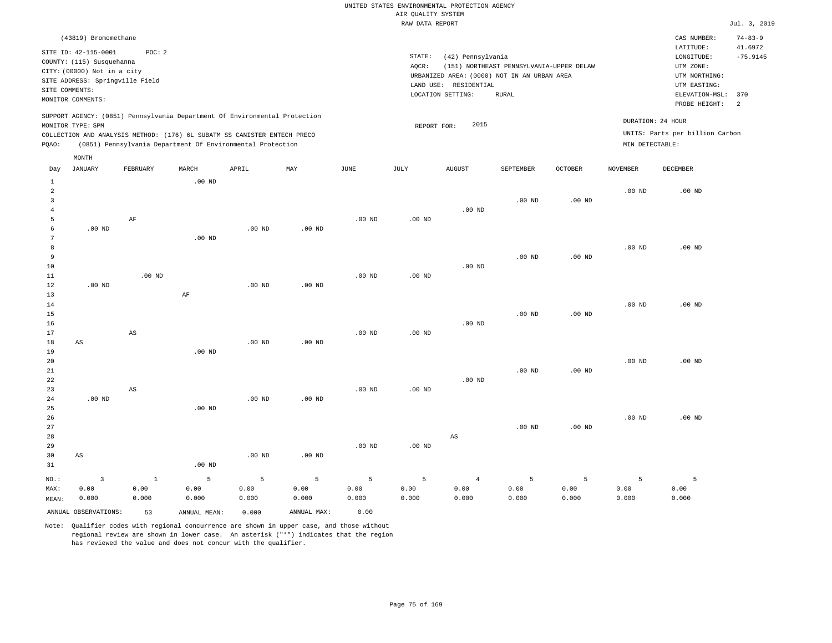|                | (43819) Bromomethane            |          |       |                                                                          |                                                                            |      |      |                   |                   |                                             |         |          | CAS NUMBER:                     | $74 - 83 - 9$ |
|----------------|---------------------------------|----------|-------|--------------------------------------------------------------------------|----------------------------------------------------------------------------|------|------|-------------------|-------------------|---------------------------------------------|---------|----------|---------------------------------|---------------|
|                | SITE ID: 42-115-0001            | POC:2    |       |                                                                          |                                                                            |      |      |                   |                   |                                             |         |          | LATITUDE:                       | 41.6972       |
|                | COUNTY: (115) Susquehanna       |          |       |                                                                          |                                                                            |      |      | STATE:            | (42) Pennsylvania |                                             |         |          | LONGITUDE:                      | $-75.9145$    |
|                |                                 |          |       |                                                                          |                                                                            |      |      | AOCR:             |                   | (151) NORTHEAST PENNSYLVANIA-UPPER DELAW    |         |          | UTM ZONE:                       |               |
|                | CITY: (00000) Not in a city     |          |       |                                                                          |                                                                            |      |      |                   |                   | URBANIZED AREA: (0000) NOT IN AN URBAN AREA |         |          | UTM NORTHING:                   |               |
|                | SITE ADDRESS: Springville Field |          |       |                                                                          |                                                                            |      |      | LAND USE:         | RESIDENTIAL       |                                             |         |          | UTM EASTING:                    |               |
| SITE COMMENTS: |                                 |          |       |                                                                          |                                                                            |      |      | LOCATION SETTING: |                   | RURAL                                       |         |          | ELEVATION-MSL: 370              |               |
|                | MONITOR COMMENTS:               |          |       |                                                                          |                                                                            |      |      |                   |                   |                                             |         |          | PROBE HEIGHT:                   | -2            |
|                |                                 |          |       |                                                                          | SUPPORT AGENCY: (0851) Pennsylvania Department Of Environmental Protection |      |      |                   |                   |                                             |         |          |                                 |               |
|                | MONITOR TYPE: SPM               |          |       |                                                                          |                                                                            |      |      | REPORT FOR:       | 2015              |                                             |         |          | DURATION: 24 HOUR               |               |
|                |                                 |          |       | COLLECTION AND ANALYSIS METHOD: (176) 6L SUBATM SS CANISTER ENTECH PRECO |                                                                            |      |      |                   |                   |                                             |         |          | UNITS: Parts per billion Carbon |               |
| POAO:          |                                 |          |       | (0851) Pennsylvania Department Of Environmental Protection               |                                                                            |      |      |                   |                   |                                             |         |          | MIN DETECTABLE:                 |               |
|                |                                 |          |       |                                                                          |                                                                            |      |      |                   |                   |                                             |         |          |                                 |               |
|                | MONTH                           |          |       |                                                                          |                                                                            |      |      |                   |                   |                                             |         |          |                                 |               |
| Day            | JANUARY                         | FEBRUARY | MARCH | APRIL                                                                    | MAY                                                                        | JUNE | JULY | <b>AUGUST</b>     |                   | SEPTEMBER                                   | OCTOBER | NOVEMBER | DECEMBER                        |               |

| 1              |                         |              | $.00$ ND     |          |                   |          |          |                        |                   |                   |          |          |
|----------------|-------------------------|--------------|--------------|----------|-------------------|----------|----------|------------------------|-------------------|-------------------|----------|----------|
| $\overline{a}$ |                         |              |              |          |                   |          |          |                        |                   |                   | $.00$ ND | $.00$ ND |
| 3              |                         |              |              |          |                   |          |          |                        | $.00$ ND          | $.00$ ND          |          |          |
| $\overline{4}$ |                         |              |              |          |                   |          |          | .00 $ND$               |                   |                   |          |          |
| 5              |                         | $\rm AF$     |              |          |                   | $.00$ ND | $.00$ ND |                        |                   |                   |          |          |
| 6              | $.00$ ND                |              |              | $.00$ ND | $.00$ ND          |          |          |                        |                   |                   |          |          |
| 7<br>8         |                         |              | $.00$ ND     |          |                   |          |          |                        |                   |                   | $.00$ ND | $.00$ ND |
| 9              |                         |              |              |          |                   |          |          |                        | .00 <sub>ND</sub> | .00 <sub>ND</sub> |          |          |
| 10             |                         |              |              |          |                   |          |          | $.00$ ND               |                   |                   |          |          |
| 11             |                         | $.00$ ND     |              |          |                   | $.00$ ND | $.00$ ND |                        |                   |                   |          |          |
| 12             | $.00$ ND                |              |              | $.00$ ND | $.00$ ND          |          |          |                        |                   |                   |          |          |
| 13             |                         |              | $\rm AF$     |          |                   |          |          |                        |                   |                   |          |          |
| 14             |                         |              |              |          |                   |          |          |                        |                   |                   | $.00$ ND | $.00$ ND |
| 15             |                         |              |              |          |                   |          |          |                        | $.00$ ND          | $.00$ ND          |          |          |
| 16             |                         |              |              |          |                   |          |          | $.00$ ND               |                   |                   |          |          |
| 17             |                         | AS           |              |          |                   | $.00$ ND | $.00$ ND |                        |                   |                   |          |          |
| 18             | $\mathbb{A}\mathbb{S}$  |              |              | .00 $ND$ | $.00$ ND          |          |          |                        |                   |                   |          |          |
| 19             |                         |              | $.00$ ND     |          |                   |          |          |                        |                   |                   |          |          |
| 20             |                         |              |              |          |                   |          |          |                        |                   |                   | $.00$ ND | $.00$ ND |
| 21             |                         |              |              |          |                   |          |          |                        | $.00$ ND          | .00 <sub>ND</sub> |          |          |
| 22             |                         |              |              |          |                   |          |          | $.00$ ND               |                   |                   |          |          |
| 23             |                         | AS           |              |          |                   | $.00$ ND | $.00$ ND |                        |                   |                   |          |          |
| 24<br>25       | $.00~\mathrm{ND}$       |              | $.00$ ND     | $.00$ ND | $.00$ ND          |          |          |                        |                   |                   |          |          |
| 26             |                         |              |              |          |                   |          |          |                        |                   |                   | $.00$ ND | $.00$ ND |
| 27             |                         |              |              |          |                   |          |          |                        | $.00$ ND          | $.00$ ND          |          |          |
| 28             |                         |              |              |          |                   |          |          | $\mathbb{A}\mathbb{S}$ |                   |                   |          |          |
| 29             |                         |              |              |          |                   | $.00$ ND | $.00$ ND |                        |                   |                   |          |          |
| 30             | $\mathbb{A}\mathbb{S}$  |              |              | $.00$ ND | .00 <sub>ND</sub> |          |          |                        |                   |                   |          |          |
| 31             |                         |              | .00 $ND$     |          |                   |          |          |                        |                   |                   |          |          |
| $NO.$ :        | $\overline{\mathbf{3}}$ | $\mathbf{1}$ | 5            | 5        | 5                 | 5        | 5        | $\overline{4}$         | 5                 | 5                 | 5        | 5        |
| MAX:           | 0.00                    | 0.00         | 0.00         | 0.00     | 0.00              | 0.00     | 0.00     | 0.00                   | 0.00              | 0.00              | 0.00     | 0.00     |
| MEAN:          | 0.000                   | 0.000        | 0.000        | 0.000    | 0.000             | 0.000    | 0.000    | 0.000                  | 0.000             | 0.000             | 0.000    | 0.000    |
|                | ANNUAL OBSERVATIONS:    | 53           | ANNUAL MEAN: | 0.000    | ANNUAL MAX:       | 0.00     |          |                        |                   |                   |          |          |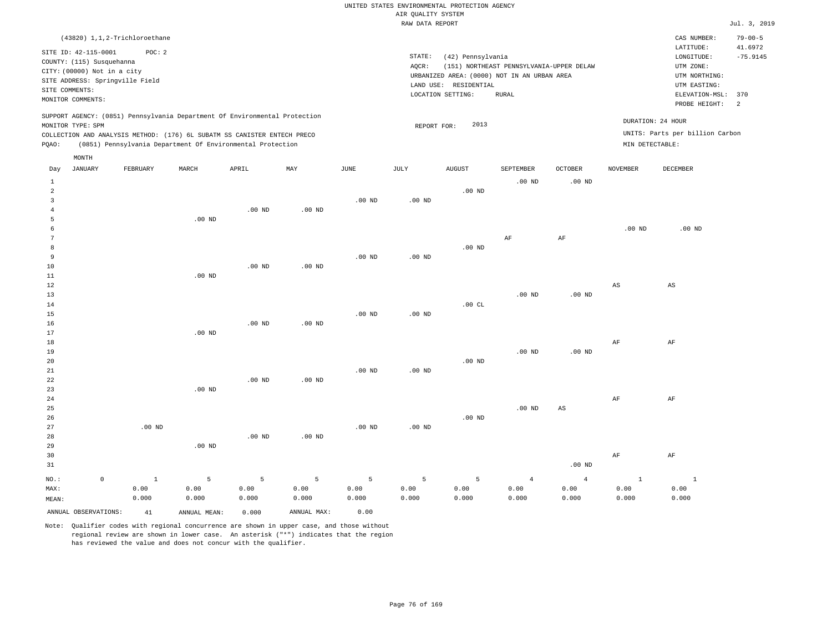|       |                                                                                                                                    | (43820) 1,1,2-Trichloroethane |                                                                                                                                                                                                                      |                   |          |          |                    |                                  |                                                                                                  |                |                 | CAS NUMBER:                                                                   | $79 - 00 - 5$         |
|-------|------------------------------------------------------------------------------------------------------------------------------------|-------------------------------|----------------------------------------------------------------------------------------------------------------------------------------------------------------------------------------------------------------------|-------------------|----------|----------|--------------------|----------------------------------|--------------------------------------------------------------------------------------------------|----------------|-----------------|-------------------------------------------------------------------------------|-----------------------|
|       | SITE ID: 42-115-0001                                                                                                               | POC:2                         |                                                                                                                                                                                                                      |                   |          |          | STATE:             | (42) Pennsylvania                |                                                                                                  |                |                 | LATITUDE:<br>LONGITUDE:                                                       | 41.6972<br>$-75.9145$ |
|       | COUNTY: (115) Susquehanna<br>CITY: (00000) Not in a city<br>SITE ADDRESS: Springville Field<br>SITE COMMENTS:<br>MONITOR COMMENTS: |                               |                                                                                                                                                                                                                      |                   |          |          | AQCR:<br>LAND USE: | RESIDENTIAL<br>LOCATION SETTING: | (151) NORTHEAST PENNSYLVANIA-UPPER DELAW<br>URBANIZED AREA: (0000) NOT IN AN URBAN AREA<br>RURAL |                |                 | UTM ZONE:<br>UTM NORTHING:<br>UTM EASTING:<br>ELEVATION-MSL:<br>PROBE HEIGHT: | 370<br>2              |
| POAO: | MONITOR TYPE: SPM                                                                                                                  |                               | SUPPORT AGENCY: (0851) Pennsylvania Department Of Environmental Protection<br>COLLECTION AND ANALYSIS METHOD: (176) 6L SUBATM SS CANISTER ENTECH PRECO<br>(0851) Pennsylvania Department Of Environmental Protection |                   |          |          | REPORT FOR:        | 2013                             |                                                                                                  |                | MIN DETECTABLE: | DURATION: 24 HOUR<br>UNITS: Parts per billion Carbon                          |                       |
|       | MONTH                                                                                                                              |                               |                                                                                                                                                                                                                      |                   |          |          |                    |                                  |                                                                                                  |                |                 |                                                                               |                       |
| Day   | JANUARY                                                                                                                            | FEBRUARY                      | MARCH                                                                                                                                                                                                                | APRIL             | MAY      | JUNE     | JULY               | <b>AUGUST</b>                    | SEPTEMBER                                                                                        | <b>OCTOBER</b> | <b>NOVEMBER</b> | DECEMBER                                                                      |                       |
|       |                                                                                                                                    |                               |                                                                                                                                                                                                                      |                   |          |          |                    |                                  | $.00$ ND                                                                                         | $.00$ ND       |                 |                                                                               |                       |
| 2     |                                                                                                                                    |                               |                                                                                                                                                                                                                      |                   |          |          |                    | $.00$ ND                         |                                                                                                  |                |                 |                                                                               |                       |
|       |                                                                                                                                    |                               |                                                                                                                                                                                                                      |                   |          | $.00$ ND | $.00$ ND           |                                  |                                                                                                  |                |                 |                                                                               |                       |
|       |                                                                                                                                    |                               |                                                                                                                                                                                                                      | .00 <sub>ND</sub> | $.00$ ND |          |                    |                                  |                                                                                                  |                |                 |                                                                               |                       |
|       |                                                                                                                                    |                               | $.00$ ND                                                                                                                                                                                                             |                   |          |          |                    |                                  |                                                                                                  |                |                 |                                                                               |                       |

|                |          |          |                   |    |    | $.00$ ND | $.00$ ND |
|----------------|----------|----------|-------------------|----|----|----------|----------|
| $\mathcal{L}$  |          |          |                   | ΑF | AF |          |          |
| 8              |          |          | .00 <sub>ND</sub> |    |    |          |          |
| $\overline{9}$ | $.00$ ND | $.00$ ND |                   |    |    |          |          |

| 11     |          | $.00$ ND |                   |          |          |          |          |          |          |    |    |
|--------|----------|----------|-------------------|----------|----------|----------|----------|----------|----------|----|----|
| 12     |          |          |                   |          |          |          |          |          |          | AS | AS |
| 13     |          |          |                   |          |          |          |          | $.00$ ND | $.00$ ND |    |    |
| 14     |          |          |                   |          |          |          | .00CL    |          |          |    |    |
| 15     |          |          |                   |          | $.00$ ND | $.00$ ND |          |          |          |    |    |
| 16     |          |          | $.00$ ND          | $.00$ ND |          |          |          |          |          |    |    |
| 17     |          | $.00$ ND |                   |          |          |          |          |          |          |    |    |
| 18     |          |          |                   |          |          |          |          |          |          | AF | AF |
| 19     |          |          |                   |          |          |          |          | $.00$ ND | $.00$ ND |    |    |
| 20     |          |          |                   |          |          |          | $.00$ ND |          |          |    |    |
| $21\,$ |          |          |                   |          | $.00$ ND | $.00$ ND |          |          |          |    |    |
| 22     |          |          | $.00$ ND          | $.00$ ND |          |          |          |          |          |    |    |
| 23     |          | $.00$ ND |                   |          |          |          |          |          |          |    |    |
| 24     |          |          |                   |          |          |          |          |          |          | AF | AF |
| 25     |          |          |                   |          |          |          |          | $.00$ ND | AS       |    |    |
| 26     |          |          |                   |          |          |          | $.00$ ND |          |          |    |    |
| 27     | $.00$ ND |          |                   |          | $.00$ ND | $.00$ ND |          |          |          |    |    |
| 28     |          |          | .00 <sub>ND</sub> | $.00$ ND |          |          |          |          |          |    |    |

| AF    |
|-------|
|       |
|       |
| 0.00  |
| 0.000 |
|       |

ANNUAL OBSERVATIONS: 41 ANNUAL MEAN: 0.000 ANNUAL MAX: 0.00

10

Note: Qualifier codes with regional concurrence are shown in upper case, and those without regional review are shown in lower case. An asterisk ("\*") indicates that the region has reviewed the value and does not concur with the qualifier.

.00 ND

.00 ND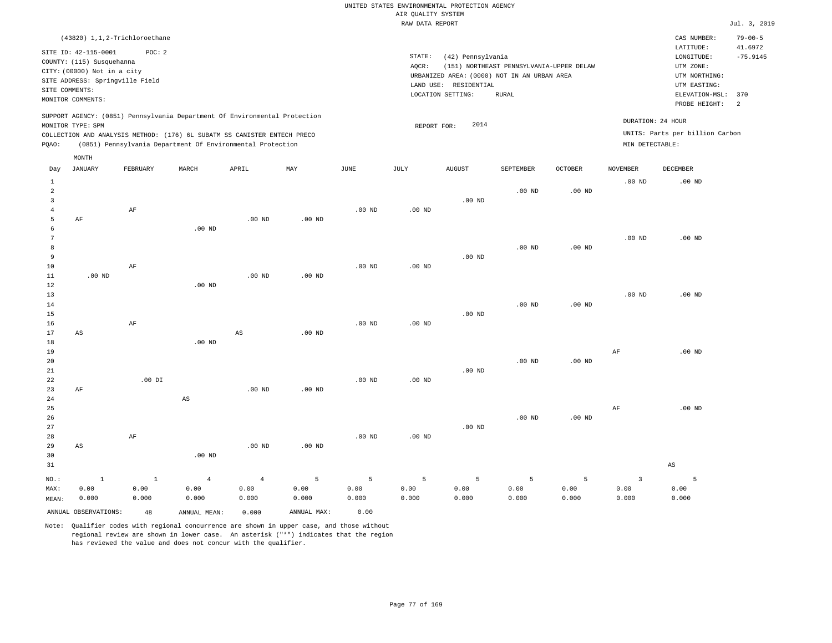| (43820) 1,1,2-Trichloroethane                                              |                                                   | CAS NUMBER:                     | $79 - 00 - 5$  |
|----------------------------------------------------------------------------|---------------------------------------------------|---------------------------------|----------------|
| SITE ID: 42-115-0001<br>POC:2                                              |                                                   | LATITUDE:                       | 41.6972        |
| COUNTY: (115) Susquehanna                                                  | STATE:<br>(42) Pennsylvania                       | LONGITUDE:                      | $-75.9145$     |
|                                                                            | (151) NORTHEAST PENNSYLVANIA-UPPER DELAW<br>AOCR: | UTM ZONE:                       |                |
| CITY: (00000) Not in a city                                                | URBANIZED AREA: (0000) NOT IN AN URBAN AREA       | UTM NORTHING:                   |                |
| SITE ADDRESS: Springville Field                                            | LAND USE: RESIDENTIAL                             | UTM EASTING:                    |                |
| SITE COMMENTS:                                                             | LOCATION SETTING:<br>RURAL                        | ELEVATION-MSL: 370              |                |
| MONITOR COMMENTS:                                                          |                                                   | PROBE HEIGHT:                   | $\overline{2}$ |
| SUPPORT AGENCY: (0851) Pennsylvania Department Of Environmental Protection |                                                   |                                 |                |
| MONITOR TYPE: SPM                                                          | 2014<br>REPORT FOR:                               | DURATION: 24 HOUR               |                |
| COLLECTION AND ANALYSIS METHOD: (176) 6L SUBATM SS CANISTER ENTECH PRECO   |                                                   | UNITS: Parts per billion Carbon |                |
| (0851) Pennsylvania Department Of Environmental Protection<br>POAO:        |                                                   | MIN DETECTABLE:                 |                |
| MONTH                                                                      |                                                   |                                 |                |

| Day            | JANUARY              | FEBRUARY     | MARCH                  | APRIL                  | MAY            | JUNE     | JULY     | AUGUST            | SEPTEMBER | OCTOBER           | NOVEMBER                | DECEMBER               |
|----------------|----------------------|--------------|------------------------|------------------------|----------------|----------|----------|-------------------|-----------|-------------------|-------------------------|------------------------|
| $\mathbf{1}$   |                      |              |                        |                        |                |          |          |                   |           |                   | $.00$ ND                | .00 <sub>ND</sub>      |
| $\overline{a}$ |                      |              |                        |                        |                |          |          |                   | $.00$ ND  | .00 <sub>ND</sub> |                         |                        |
| 3              |                      |              |                        |                        |                |          |          | $.00$ ND          |           |                   |                         |                        |
| $\overline{4}$ |                      | $\rm AF$     |                        |                        |                | $.00$ ND | $.00$ ND |                   |           |                   |                         |                        |
| 5              | AF                   |              |                        | $.00$ ND               | $.00$ ND       |          |          |                   |           |                   |                         |                        |
| 6              |                      |              | $.00$ ND               |                        |                |          |          |                   |           |                   |                         |                        |
| 7              |                      |              |                        |                        |                |          |          |                   |           |                   | $.00$ ND                | .00 <sub>ND</sub>      |
| 8              |                      |              |                        |                        |                |          |          |                   | $.00$ ND  | $.00$ ND          |                         |                        |
| 9              |                      |              |                        |                        |                |          |          | $.00$ ND          |           |                   |                         |                        |
| 10             |                      | $\rm AF$     |                        |                        |                | $.00$ ND | $.00$ ND |                   |           |                   |                         |                        |
| 11             | $.00$ ND             |              |                        | $.00$ ND               | $.00$ ND       |          |          |                   |           |                   |                         |                        |
| 12             |                      |              | $.00$ ND               |                        |                |          |          |                   |           |                   |                         |                        |
| 13             |                      |              |                        |                        |                |          |          |                   |           |                   | $.00$ ND                | .00 <sub>ND</sub>      |
| 14             |                      |              |                        |                        |                |          |          |                   | $.00$ ND  | $.00$ ND          |                         |                        |
| 15             |                      |              |                        |                        |                |          |          | $.00$ ND          |           |                   |                         |                        |
| 16             |                      | $\rm AF$     |                        |                        |                | $.00$ ND | $.00$ ND |                   |           |                   |                         |                        |
| 17             | AS                   |              |                        | $\mathbb{A}\mathbb{S}$ | $.00$ ND       |          |          |                   |           |                   |                         |                        |
| 18             |                      |              | $.00$ ND               |                        |                |          |          |                   |           |                   |                         |                        |
| 19             |                      |              |                        |                        |                |          |          |                   |           |                   | AF                      | .00 <sub>ND</sub>      |
| $20\,$         |                      |              |                        |                        |                |          |          |                   | $.00$ ND  | $.00$ ND          |                         |                        |
| $21\,$         |                      |              |                        |                        |                |          |          | $.00$ ND          |           |                   |                         |                        |
| $2\sqrt{2}$    | AF                   | $.00$ DI     |                        | $.00$ ND               | $.00$ ND       | $.00$ ND | .00 $ND$ |                   |           |                   |                         |                        |
| 23<br>24       |                      |              | $\mathbb{A}\mathbb{S}$ |                        |                |          |          |                   |           |                   |                         |                        |
| 25             |                      |              |                        |                        |                |          |          |                   |           |                   | AF                      | .00 <sub>ND</sub>      |
| 26             |                      |              |                        |                        |                |          |          |                   | $.00$ ND  | $.00$ ND          |                         |                        |
| 27             |                      |              |                        |                        |                |          |          | .00 <sub>ND</sub> |           |                   |                         |                        |
| 28             |                      | $\rm AF$     |                        |                        |                | $.00$ ND | $.00$ ND |                   |           |                   |                         |                        |
| 29             | AS                   |              |                        | $.00$ ND               | $.00$ ND       |          |          |                   |           |                   |                         |                        |
| 30             |                      |              | $.00$ ND               |                        |                |          |          |                   |           |                   |                         |                        |
| 31             |                      |              |                        |                        |                |          |          |                   |           |                   |                         | $\mathbb{A}\mathbb{S}$ |
|                |                      |              |                        |                        |                |          |          |                   |           |                   |                         |                        |
| $_{\rm NO.}$ : | $\,$ 1               | $\mathbf{1}$ | $\overline{4}$         | $\overline{4}$         | $\overline{5}$ | 5        | 5        | 5                 | 5         | 5                 | $\overline{\mathbf{3}}$ | 5                      |
| MAX:           | 0.00                 | 0.00         | 0.00                   | 0.00                   | 0.00           | 0.00     | 0.00     | 0.00              | 0.00      | 0.00              | 0.00                    | 0.00                   |
| MEAN:          | 0.000                | 0.000        | 0.000                  | 0.000                  | 0.000          | 0.000    | 0.000    | 0.000             | 0.000     | 0.000             | 0.000                   | 0.000                  |
|                | ANNUAL OBSERVATIONS: | 48           | ANNUAL MEAN:           | 0.000                  | ANNUAL MAX:    | 0.00     |          |                   |           |                   |                         |                        |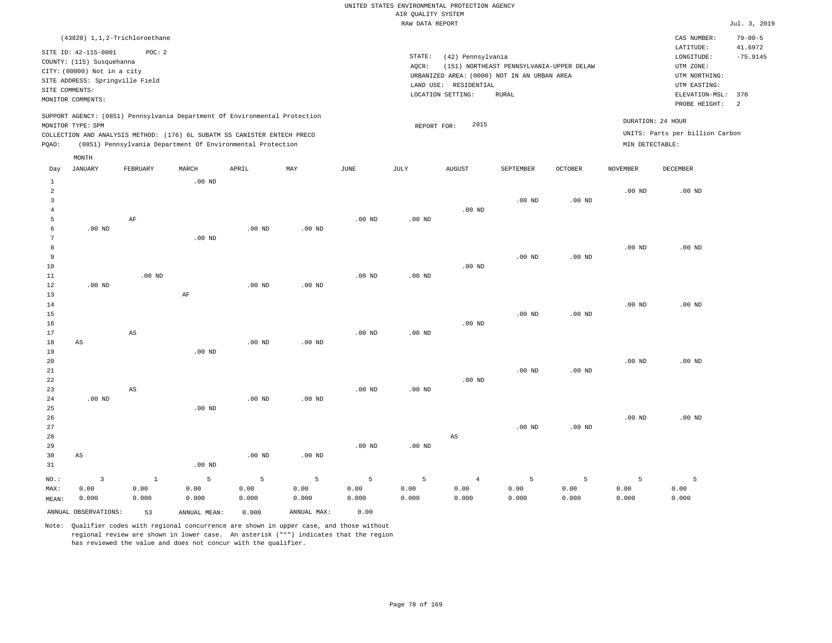#### RAW DATA REPORT **FOULD ASSESSED ASSESSED ASSESSED.** The set of the set of the set of the set of the set of the set of the set of the set of the set of the set of the set of the set of the set of the set of the set of the s UNITED STATES ENVIRONMENTAL PROTECTION AGENCY AIR QUALITY SYSTEM

| (43820) 1,1,2-Trichloroethane                                              |                                                   | CAS NUMBER:                     | $79 - 00 - 5$ |
|----------------------------------------------------------------------------|---------------------------------------------------|---------------------------------|---------------|
| SITE ID: 42-115-0001<br>POC: 2                                             |                                                   | LATITUDE:                       | 41.6972       |
| COUNTY: (115) Susquehanna                                                  | STATE:<br>(42) Pennsylvania                       | LONGITUDE:                      | $-75.9145$    |
| CITY: (00000) Not in a city                                                | (151) NORTHEAST PENNSYLVANIA-UPPER DELAW<br>AOCR: | UTM ZONE:                       |               |
|                                                                            | URBANIZED AREA: (0000) NOT IN AN URBAN AREA       | UTM NORTHING:                   |               |
| SITE ADDRESS: Springville Field                                            | LAND USE: RESIDENTIAL                             | UTM EASTING:                    |               |
| SITE COMMENTS:                                                             | LOCATION SETTING:<br>RURAL                        | ELEVATION-MSL: 370              |               |
| MONITOR COMMENTS:                                                          |                                                   | PROBE HEIGHT: 2                 |               |
| SUPPORT AGENCY: (0851) Pennsylvania Department Of Environmental Protection |                                                   |                                 |               |
| MONITOR TYPE: SPM                                                          | 2015<br>REPORT FOR:                               | DURATION: 24 HOUR               |               |
| COLLECTION AND ANALYSIS METHOD: (176) 6L SUBATM SS CANISTER ENTECH PRECO   |                                                   | UNITS: Parts per billion Carbon |               |
| (0851) Pennsylvania Department Of Environmental Protection<br>POAO:        |                                                   | MIN DETECTABLE:                 |               |
| MONTH                                                                      |                                                   |                                 |               |

| Day            | <b>JANUARY</b>       | FEBRUARY               | $\tt MARCH$       | APRIL       | $_{\rm MAY}$   | $_{\rm JUNE}$ | JULY              | AUGUST                 | SEPTEMBER         | OCTOBER           | NOVEMBER | DECEMBER       |
|----------------|----------------------|------------------------|-------------------|-------------|----------------|---------------|-------------------|------------------------|-------------------|-------------------|----------|----------------|
| $\mathbf{1}$   |                      |                        | .00 <sub>ND</sub> |             |                |               |                   |                        |                   |                   |          |                |
| $\overline{a}$ |                      |                        |                   |             |                |               |                   |                        |                   |                   | $.00$ ND | $.00$ ND       |
| 3              |                      |                        |                   |             |                |               |                   |                        | .00 <sub>ND</sub> | .00 <sub>ND</sub> |          |                |
| $\bf 4$        |                      |                        |                   |             |                |               |                   | $.00$ ND               |                   |                   |          |                |
| 5              |                      | AF                     |                   |             |                | $.00$ ND      | .00 <sub>ND</sub> |                        |                   |                   |          |                |
| 6              | $.00$ ND             |                        |                   | $.00$ ND    | $.00$ ND       |               |                   |                        |                   |                   |          |                |
| 7              |                      |                        | $.00$ ND          |             |                |               |                   |                        |                   |                   |          |                |
| 8              |                      |                        |                   |             |                |               |                   |                        |                   |                   | $.00$ ND | $.00$ ND       |
| 9              |                      |                        |                   |             |                |               |                   |                        | .00 <sub>ND</sub> | .00 <sub>ND</sub> |          |                |
| 10             |                      |                        |                   |             |                |               |                   | $.00$ ND               |                   |                   |          |                |
| 11             |                      | $.00$ ND               |                   |             |                | $.00$ ND      | .00 <sub>ND</sub> |                        |                   |                   |          |                |
| 12             | .00 <sub>ND</sub>    |                        |                   | $.00$ ND    | $.00$ ND       |               |                   |                        |                   |                   |          |                |
| 13             |                      |                        | AF                |             |                |               |                   |                        |                   |                   |          |                |
| 14             |                      |                        |                   |             |                |               |                   |                        |                   |                   | $.00$ ND | $.00$ ND       |
| 15             |                      |                        |                   |             |                |               |                   |                        | .00 <sub>ND</sub> | .00 <sub>ND</sub> |          |                |
| 16             |                      |                        |                   |             |                |               |                   | $.00$ ND               |                   |                   |          |                |
| 17<br>18       | AS                   | $\mathbb{A}\mathbb{S}$ |                   | $.00$ ND    | $.00$ ND       | $.00$ ND      | .00 <sub>ND</sub> |                        |                   |                   |          |                |
| 19             |                      |                        | .00 <sub>ND</sub> |             |                |               |                   |                        |                   |                   |          |                |
| $20\,$         |                      |                        |                   |             |                |               |                   |                        |                   |                   | $.00$ ND | $.00$ ND       |
| $2\sqrt{1}$    |                      |                        |                   |             |                |               |                   |                        | $.00$ ND          | .00 <sub>ND</sub> |          |                |
| 22             |                      |                        |                   |             |                |               |                   | $.00$ ND               |                   |                   |          |                |
| 23             |                      | AS                     |                   |             |                | $.00$ ND      | .00 <sub>ND</sub> |                        |                   |                   |          |                |
| 24             | $.00$ ND             |                        |                   | $.00$ ND    | $.00$ ND       |               |                   |                        |                   |                   |          |                |
| 25             |                      |                        | .00 <sub>ND</sub> |             |                |               |                   |                        |                   |                   |          |                |
| 26             |                      |                        |                   |             |                |               |                   |                        |                   |                   | $.00$ ND | $.00$ ND       |
| 27             |                      |                        |                   |             |                |               |                   |                        | .00 <sub>ND</sub> | .00 <sub>ND</sub> |          |                |
| 28             |                      |                        |                   |             |                |               |                   | $\mathbb{A}\mathbb{S}$ |                   |                   |          |                |
| 29             |                      |                        |                   |             |                | $.00$ ND      | $.00$ ND          |                        |                   |                   |          |                |
| 30             | AS                   |                        |                   | $.00$ ND    | $.00$ ND       |               |                   |                        |                   |                   |          |                |
| 31             |                      |                        | $.00$ ND          |             |                |               |                   |                        |                   |                   |          |                |
| $NO.$ :        | $\mathbf{3}$         | $\,$ 1                 | 5                 | $\mathsf S$ | $\overline{5}$ | 5             | $\mathsf S$       | $\overline{4}$         | 5                 | 5                 | 5        | $\overline{5}$ |
| MAX:           | 0.00                 | 0.00                   | 0.00              | 0.00        | 0.00           | 0.00          | 0.00              | 0.00                   | 0.00              | 0.00              | 0.00     | 0.00           |
| MEAN:          | 0.000                | 0.000                  | 0.000             | 0.000       | 0.000          | 0.000         | 0.000             | 0.000                  | 0.000             | 0.000             | 0.000    | 0.000          |
|                | ANNUAL OBSERVATIONS: | 53                     | ANNUAL MEAN:      | 0.000       | ANNUAL MAX:    | 0.00          |                   |                        |                   |                   |          |                |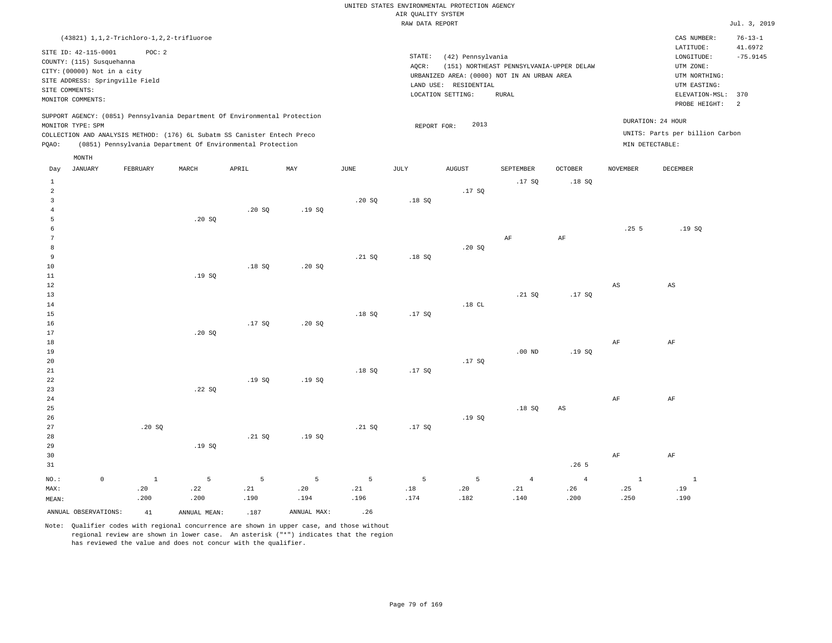|                 |                                 |                                              |                                                                            |        |                |             | RAW DATA REPORT |                       |                                             |                |                 |                                 | Jul. 3, 2019  |
|-----------------|---------------------------------|----------------------------------------------|----------------------------------------------------------------------------|--------|----------------|-------------|-----------------|-----------------------|---------------------------------------------|----------------|-----------------|---------------------------------|---------------|
|                 |                                 | (43821) 1, 1, 2-Trichloro-1, 2, 2-trifluoroe |                                                                            |        |                |             |                 |                       |                                             |                |                 | CAS NUMBER:                     | $76 - 13 - 1$ |
|                 |                                 |                                              |                                                                            |        |                |             |                 |                       |                                             |                |                 | LATITUDE:                       | 41.6972       |
|                 | SITE ID: 42-115-0001            | POC: 2                                       |                                                                            |        |                |             | STATE:          | (42) Pennsylvania     |                                             |                |                 | LONGITUDE:                      | $-75.9145$    |
|                 | COUNTY: (115) Susquehanna       |                                              |                                                                            |        |                |             | AOCR:           |                       | (151) NORTHEAST PENNSYLVANIA-UPPER DELAW    |                |                 | UTM ZONE:                       |               |
|                 | CITY: (00000) Not in a city     |                                              |                                                                            |        |                |             |                 |                       | URBANIZED AREA: (0000) NOT IN AN URBAN AREA |                |                 | UTM NORTHING:                   |               |
|                 | SITE ADDRESS: Springville Field |                                              |                                                                            |        |                |             |                 | LAND USE: RESIDENTIAL |                                             |                |                 | UTM EASTING:                    |               |
|                 | SITE COMMENTS:                  |                                              |                                                                            |        |                |             |                 | LOCATION SETTING:     | <b>RURAL</b>                                |                |                 | ELEVATION-MSL:                  | 370           |
|                 | MONITOR COMMENTS:               |                                              |                                                                            |        |                |             |                 |                       |                                             |                |                 | PROBE HEIGHT:                   | 2             |
|                 |                                 |                                              | SUPPORT AGENCY: (0851) Pennsylvania Department Of Environmental Protection |        |                |             |                 |                       |                                             |                |                 | DURATION: 24 HOUR               |               |
|                 | MONITOR TYPE: SPM               |                                              |                                                                            |        |                |             | REPORT FOR:     | 2013                  |                                             |                |                 | UNITS: Parts per billion Carbon |               |
|                 |                                 |                                              | COLLECTION AND ANALYSIS METHOD: (176) 6L Subatm SS Canister Entech Preco   |        |                |             |                 |                       |                                             |                |                 |                                 |               |
| PQAO:           |                                 |                                              | (0851) Pennsylvania Department Of Environmental Protection                 |        |                |             |                 |                       |                                             |                |                 | MIN DETECTABLE:                 |               |
|                 | MONTH                           |                                              |                                                                            |        |                |             |                 |                       |                                             |                |                 |                                 |               |
| Day             | <b>JANUARY</b>                  | FEBRUARY                                     | MARCH                                                                      | APRIL  | MAY            | <b>JUNE</b> | JULY            | <b>AUGUST</b>         | SEPTEMBER                                   | <b>OCTOBER</b> | <b>NOVEMBER</b> | <b>DECEMBER</b>                 |               |
| 1               |                                 |                                              |                                                                            |        |                |             |                 |                       | .17S                                        | .18S           |                 |                                 |               |
| $\overline{a}$  |                                 |                                              |                                                                            |        |                |             |                 | .17SQ                 |                                             |                |                 |                                 |               |
| $\overline{3}$  |                                 |                                              |                                                                            |        |                | .20SQ       | .18SQ           |                       |                                             |                |                 |                                 |               |
| $\overline{4}$  |                                 |                                              |                                                                            | .20S   | .19S           |             |                 |                       |                                             |                |                 |                                 |               |
| 5               |                                 |                                              | .20 SQ                                                                     |        |                |             |                 |                       |                                             |                |                 |                                 |               |
| 6               |                                 |                                              |                                                                            |        |                |             |                 |                       |                                             |                | .255            | .19S                            |               |
| $7\phantom{.0}$ |                                 |                                              |                                                                            |        |                |             |                 |                       | AF                                          | AF             |                 |                                 |               |
| 8               |                                 |                                              |                                                                            |        |                |             |                 | .20 SQ                |                                             |                |                 |                                 |               |
| 9               |                                 |                                              |                                                                            |        |                | .21 SQ      | .18S            |                       |                                             |                |                 |                                 |               |
| 10              |                                 |                                              |                                                                            | .18S   | .20S           |             |                 |                       |                                             |                |                 |                                 |               |
| 11              |                                 |                                              | .19SQ                                                                      |        |                |             |                 |                       |                                             |                |                 |                                 |               |
| 12              |                                 |                                              |                                                                            |        |                |             |                 |                       |                                             |                | $_{\rm AS}$     | AS                              |               |
| 13              |                                 |                                              |                                                                            |        |                |             |                 | .18 $CL$              | .21 SQ                                      | .17SQ          |                 |                                 |               |
| 14<br>15        |                                 |                                              |                                                                            |        |                | .18S        | .17S            |                       |                                             |                |                 |                                 |               |
| 16              |                                 |                                              |                                                                            | .17SQ  | .20SQ          |             |                 |                       |                                             |                |                 |                                 |               |
| 17              |                                 |                                              | .20SQ                                                                      |        |                |             |                 |                       |                                             |                |                 |                                 |               |
| 18              |                                 |                                              |                                                                            |        |                |             |                 |                       |                                             |                | AF              | AF                              |               |
| 19              |                                 |                                              |                                                                            |        |                |             |                 |                       | .00 <sub>ND</sub>                           | .19SQ          |                 |                                 |               |
| 20              |                                 |                                              |                                                                            |        |                |             |                 | .17SQ                 |                                             |                |                 |                                 |               |
| 21              |                                 |                                              |                                                                            |        |                | .18S        | .17SQ           |                       |                                             |                |                 |                                 |               |
| 22              |                                 |                                              |                                                                            | .19SQ  | .19SQ          |             |                 |                       |                                             |                |                 |                                 |               |
| 23              |                                 |                                              | .22S                                                                       |        |                |             |                 |                       |                                             |                |                 |                                 |               |
| 24              |                                 |                                              |                                                                            |        |                |             |                 |                       |                                             |                | $\rm{AF}$       | AF                              |               |
| 25              |                                 |                                              |                                                                            |        |                |             |                 |                       | .18SQ                                       | AS             |                 |                                 |               |
| 26              |                                 |                                              |                                                                            |        |                |             |                 | .19S                  |                                             |                |                 |                                 |               |
| 27              |                                 | .20S                                         |                                                                            |        |                | .21 SQ      | .17SQ           |                       |                                             |                |                 |                                 |               |
| 28              |                                 |                                              |                                                                            | .21 SQ | .19SQ          |             |                 |                       |                                             |                |                 |                                 |               |
| 29              |                                 |                                              | .19SQ                                                                      |        |                |             |                 |                       |                                             |                |                 |                                 |               |
| 30              |                                 |                                              |                                                                            |        |                |             |                 |                       |                                             |                | AF              | AF                              |               |
| 31              |                                 |                                              |                                                                            |        |                |             |                 |                       |                                             | .265           |                 |                                 |               |
|                 |                                 |                                              |                                                                            |        |                |             |                 |                       |                                             |                |                 |                                 |               |
| NO.:            | $\mathbb O$                     | $\,$ 1                                       | 5                                                                          | 5      | $\overline{5}$ | 5           | 5               | 5                     | $\overline{4}$                              | $\overline{4}$ | $\mathbf{1}$    | $\mathbf{1}$                    |               |
| MAX:            |                                 | .20                                          | .22                                                                        | .21    | .20            | .21         | $.18\,$         | .20                   | .21                                         | .26            | .25             | .19                             |               |
| MEAN:           |                                 | .200                                         | .200                                                                       | .190   | .194           | .196        | .174            | .182                  | .140                                        | .200           | .250            | .190                            |               |
|                 | ANNUAL OBSERVATIONS:            | 41                                           | ANNUAL MEAN:                                                               | .187   | ANNUAL MAX:    | .26         |                 |                       |                                             |                |                 |                                 |               |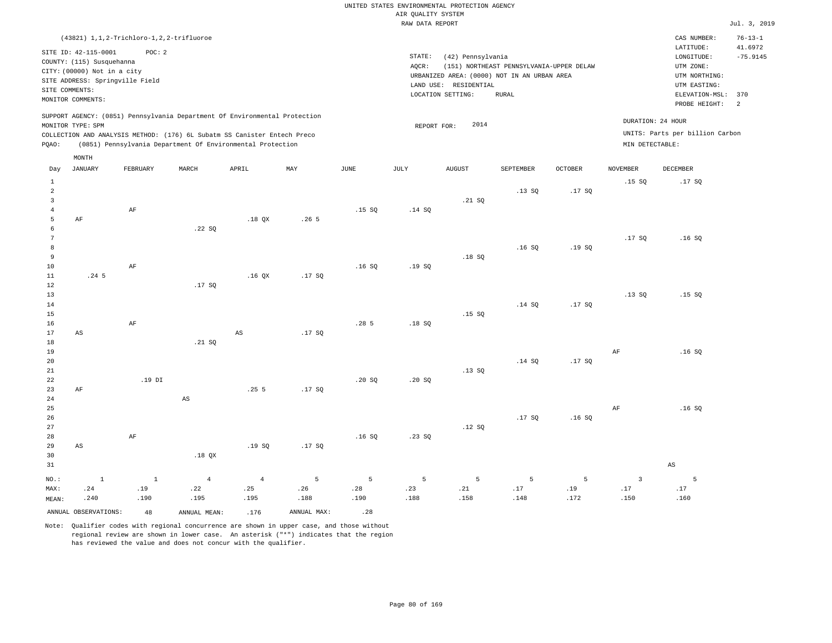|                      |                                                   |                                              |        |                                                                            |                  |      | RAW DATA REPORT |                       |                                             |         |                 |                                      | Jul. 3, 2019          |
|----------------------|---------------------------------------------------|----------------------------------------------|--------|----------------------------------------------------------------------------|------------------|------|-----------------|-----------------------|---------------------------------------------|---------|-----------------|--------------------------------------|-----------------------|
|                      |                                                   | (43821) 1, 1, 2-Trichloro-1, 2, 2-trifluoroe |        |                                                                            |                  |      |                 |                       |                                             |         |                 | CAS NUMBER:                          | $76 - 13 - 1$         |
|                      | SITE ID: 42-115-0001<br>COUNTY: (115) Susquehanna | POC: 2                                       |        |                                                                            |                  |      | STATE:<br>AQCR: | (42) Pennsylvania     | (151) NORTHEAST PENNSYLVANIA-UPPER DELAW    |         |                 | LATITUDE:<br>LONGITUDE:<br>UTM ZONE: | 41.6972<br>$-75.9145$ |
|                      | CITY: (00000) Not in a city                       |                                              |        |                                                                            |                  |      |                 |                       | URBANIZED AREA: (0000) NOT IN AN URBAN AREA |         |                 | UTM NORTHING:                        |                       |
|                      |                                                   | SITE ADDRESS: Springville Field              |        |                                                                            |                  |      |                 | LAND USE: RESIDENTIAL |                                             |         |                 | UTM EASTING:                         |                       |
|                      | SITE COMMENTS:                                    |                                              |        |                                                                            |                  |      |                 | LOCATION SETTING:     | <b>RURAL</b>                                |         |                 | ELEVATION-MSL:                       | 370                   |
|                      | MONITOR COMMENTS:                                 |                                              |        |                                                                            |                  |      |                 |                       |                                             |         |                 | PROBE HEIGHT:                        | 2                     |
|                      |                                                   |                                              |        | SUPPORT AGENCY: (0851) Pennsylvania Department Of Environmental Protection |                  |      |                 |                       |                                             |         |                 | DURATION: 24 HOUR                    |                       |
|                      | MONITOR TYPE: SPM                                 |                                              |        |                                                                            |                  |      | REPORT FOR:     | 2014                  |                                             |         |                 |                                      |                       |
|                      |                                                   |                                              |        | COLLECTION AND ANALYSIS METHOD: (176) 6L Subatm SS Canister Entech Preco   |                  |      |                 |                       |                                             |         |                 | UNITS: Parts per billion Carbon      |                       |
| PQAO:                |                                                   |                                              |        | (0851) Pennsylvania Department Of Environmental Protection                 |                  |      |                 |                       |                                             |         | MIN DETECTABLE: |                                      |                       |
|                      | MONTH                                             |                                              | MARCH  | APRIL                                                                      | MAY              | JUNE |                 | <b>AUGUST</b>         | SEPTEMBER                                   | OCTOBER | <b>NOVEMBER</b> | DECEMBER                             |                       |
| Day                  | JANUARY                                           | FEBRUARY                                     |        |                                                                            |                  |      | JULY            |                       |                                             |         |                 |                                      |                       |
| $\mathbf{1}$         |                                                   |                                              |        |                                                                            |                  |      |                 |                       |                                             |         | .15SQ           | .17SQ                                |                       |
| $\overline{a}$       |                                                   |                                              |        |                                                                            |                  |      |                 |                       | .13S                                        | .17S    |                 |                                      |                       |
| 3                    |                                                   |                                              |        |                                                                            |                  |      |                 | .21 SQ                |                                             |         |                 |                                      |                       |
| $\overline{4}$       |                                                   | AF                                           |        |                                                                            |                  | .15S | .14 SQ          |                       |                                             |         |                 |                                      |                       |
| 5                    | AF                                                |                                              |        | .18 QX                                                                     | .26 <sub>5</sub> |      |                 |                       |                                             |         |                 |                                      |                       |
| 6<br>$7\phantom{.0}$ |                                                   |                                              | .22SQ  |                                                                            |                  |      |                 |                       |                                             |         | .17S            | .16S                                 |                       |
| 8                    |                                                   |                                              |        |                                                                            |                  |      |                 |                       | .16S                                        | .19SQ   |                 |                                      |                       |
| 9                    |                                                   |                                              |        |                                                                            |                  |      |                 | .18S                  |                                             |         |                 |                                      |                       |
| 10                   |                                                   | $\rm{AF}$                                    |        |                                                                            |                  | .16S | .19SQ           |                       |                                             |         |                 |                                      |                       |
| 11                   | .24 <sub>5</sub>                                  |                                              |        | .16 <sub>QX</sub>                                                          | .17SQ            |      |                 |                       |                                             |         |                 |                                      |                       |
| 12                   |                                                   |                                              | .17S   |                                                                            |                  |      |                 |                       |                                             |         |                 |                                      |                       |
| 13                   |                                                   |                                              |        |                                                                            |                  |      |                 |                       |                                             |         | .13SQ           | .15S                                 |                       |
| 14                   |                                                   |                                              |        |                                                                            |                  |      |                 |                       | .14 S0                                      | .17SQ   |                 |                                      |                       |
| 15                   |                                                   |                                              |        |                                                                            |                  |      |                 | .15SQ                 |                                             |         |                 |                                      |                       |
| 16                   |                                                   | AF                                           |        |                                                                            |                  | .285 | .18S            |                       |                                             |         |                 |                                      |                       |
| 17                   | AS                                                |                                              |        | $_{\rm AS}$                                                                | .17SQ            |      |                 |                       |                                             |         |                 |                                      |                       |
| 18                   |                                                   |                                              | .21 S0 |                                                                            |                  |      |                 |                       |                                             |         |                 |                                      |                       |
| 19                   |                                                   |                                              |        |                                                                            |                  |      |                 |                       |                                             |         | AF              | .16S                                 |                       |
| 20                   |                                                   |                                              |        |                                                                            |                  |      |                 |                       | .14 S0                                      | .17S    |                 |                                      |                       |
| 21                   |                                                   |                                              |        |                                                                            |                  |      |                 | .13SQ                 |                                             |         |                 |                                      |                       |
| 22                   |                                                   | .19 DI                                       |        |                                                                            |                  | .20S | .20 SQ          |                       |                                             |         |                 |                                      |                       |
| 23                   | AF                                                |                                              |        | .255                                                                       | .17S             |      |                 |                       |                                             |         |                 |                                      |                       |
| 24                   |                                                   |                                              | AS     |                                                                            |                  |      |                 |                       |                                             |         |                 |                                      |                       |
| 25                   |                                                   |                                              |        |                                                                            |                  |      |                 |                       |                                             |         | AF              | .16S                                 |                       |
| 26                   |                                                   |                                              |        |                                                                            |                  |      |                 |                       | .17SQ                                       | .16S    |                 |                                      |                       |
| 27                   |                                                   |                                              |        |                                                                            |                  |      |                 | .12 SQ                |                                             |         |                 |                                      |                       |
| 28                   |                                                   | AF                                           |        |                                                                            |                  | .16S | .23SQ           |                       |                                             |         |                 |                                      |                       |
| 29                   | AS                                                |                                              |        | .19S                                                                       | .17 SO           |      |                 |                       |                                             |         |                 |                                      |                       |

30 31 NO.: MAX: MEAN: 1 .24 .240 .18 QX AS 1 .19 .190 4 .22 .195 4 .25 .195 5 .26 .188 5 .28 .190 5 .23 .188 5 .21 .158 5 .17 .148 5 .19 .172 3 .17 .150 5 .17 .160 ANNUAL OBSERVATIONS:  $48$  ANNUAL MEAN: .176 ANNUAL MAX: .28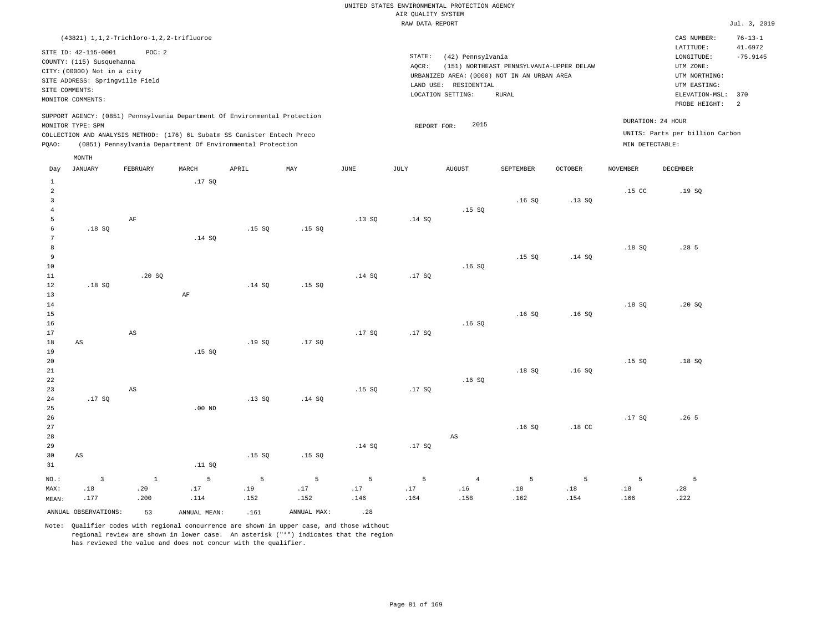|                     | (43821) 1, 1, 2-Trichloro-1, 2, 2-trifluoroe      |                        |              |                                                                            |             |               |                 |                        |                                             |                  |                  | CAS NUMBER:                          | $76 - 13 - 1$         |
|---------------------|---------------------------------------------------|------------------------|--------------|----------------------------------------------------------------------------|-------------|---------------|-----------------|------------------------|---------------------------------------------|------------------|------------------|--------------------------------------|-----------------------|
|                     | SITE ID: 42-115-0001<br>COUNTY: (115) Susquehanna | POC: 2                 |              |                                                                            |             |               | STATE:<br>AQCR: | (42) Pennsylvania      | (151) NORTHEAST PENNSYLVANIA-UPPER DELAW    |                  |                  | LATITUDE:<br>LONGITUDE:<br>UTM ZONE: | 41.6972<br>$-75.9145$ |
|                     | CITY: (00000) Not in a city                       |                        |              |                                                                            |             |               |                 |                        | URBANIZED AREA: (0000) NOT IN AN URBAN AREA |                  |                  | UTM NORTHING:                        |                       |
|                     | SITE ADDRESS: Springville Field<br>SITE COMMENTS: |                        |              |                                                                            |             |               |                 | LAND USE: RESIDENTIAL  |                                             |                  |                  | UTM EASTING:                         |                       |
|                     | MONITOR COMMENTS:                                 |                        |              |                                                                            |             |               |                 | LOCATION SETTING:      | <b>RURAL</b>                                |                  |                  | ELEVATION-MSL: 370                   |                       |
|                     |                                                   |                        |              |                                                                            |             |               |                 |                        |                                             |                  |                  | PROBE HEIGHT:                        | 2                     |
|                     | MONITOR TYPE: SPM                                 |                        |              | SUPPORT AGENCY: (0851) Pennsylvania Department Of Environmental Protection |             |               | REPORT FOR:     | 2015                   |                                             |                  |                  | DURATION: 24 HOUR                    |                       |
|                     |                                                   |                        |              | COLLECTION AND ANALYSIS METHOD: (176) 6L Subatm SS Canister Entech Preco   |             |               |                 |                        |                                             |                  |                  | UNITS: Parts per billion Carbon      |                       |
| PQAO:               |                                                   |                        |              | (0851) Pennsylvania Department Of Environmental Protection                 |             |               |                 |                        |                                             |                  | MIN DETECTABLE:  |                                      |                       |
|                     | MONTH                                             |                        |              |                                                                            |             |               |                 |                        |                                             |                  |                  |                                      |                       |
| Day                 | <b>JANUARY</b>                                    | FEBRUARY               | MARCH        | APRIL                                                                      | MAY         | $_{\rm JUNE}$ | <b>JULY</b>     | <b>AUGUST</b>          | SEPTEMBER                                   | <b>OCTOBER</b>   | <b>NOVEMBER</b>  | DECEMBER                             |                       |
| $\,$ 1              |                                                   |                        | .17SQ        |                                                                            |             |               |                 |                        |                                             |                  |                  |                                      |                       |
| $\overline{a}$      |                                                   |                        |              |                                                                            |             |               |                 |                        |                                             |                  | .15 <sub>c</sub> | .19S                                 |                       |
| $\overline{3}$      |                                                   |                        |              |                                                                            |             |               |                 |                        | .16S                                        | .13S             |                  |                                      |                       |
| $\overline{4}$<br>5 |                                                   | $\rm AF$               |              |                                                                            |             |               | .14 SQ          | .15S                   |                                             |                  |                  |                                      |                       |
| 6                   | .18SQ                                             |                        |              | .15S                                                                       | .15SQ       | .13SQ         |                 |                        |                                             |                  |                  |                                      |                       |
| 7                   |                                                   |                        | .14 SQ       |                                                                            |             |               |                 |                        |                                             |                  |                  |                                      |                       |
| 8                   |                                                   |                        |              |                                                                            |             |               |                 |                        |                                             |                  | .18SQ            | .285                                 |                       |
| 9                   |                                                   |                        |              |                                                                            |             |               |                 |                        | .15S                                        | .14 S0           |                  |                                      |                       |
| 10                  |                                                   |                        |              |                                                                            |             |               |                 | .16S                   |                                             |                  |                  |                                      |                       |
| $11\,$              |                                                   | .20SQ                  |              |                                                                            |             | .14 SQ        | .17SQ           |                        |                                             |                  |                  |                                      |                       |
| 12                  | .18SQ                                             |                        |              | .14S                                                                       | .15SQ       |               |                 |                        |                                             |                  |                  |                                      |                       |
| 13<br>14            |                                                   |                        | AF           |                                                                            |             |               |                 |                        |                                             |                  | .18SQ            | .20S                                 |                       |
| 15                  |                                                   |                        |              |                                                                            |             |               |                 |                        | .16S                                        | .16S             |                  |                                      |                       |
| 16                  |                                                   |                        |              |                                                                            |             |               |                 | .16S                   |                                             |                  |                  |                                      |                       |
| 17                  |                                                   | $\mathbb{A}\mathbb{S}$ |              |                                                                            |             | .17SQ         | .17SQ           |                        |                                             |                  |                  |                                      |                       |
| $1\,8$              | AS                                                |                        |              | .19SQ                                                                      | .17SQ       |               |                 |                        |                                             |                  |                  |                                      |                       |
| 19                  |                                                   |                        | .15S         |                                                                            |             |               |                 |                        |                                             |                  |                  |                                      |                       |
| 20                  |                                                   |                        |              |                                                                            |             |               |                 |                        |                                             |                  | .15SQ            | .18S                                 |                       |
| 21                  |                                                   |                        |              |                                                                            |             |               |                 |                        | .18SQ                                       | .16S             |                  |                                      |                       |
| 22<br>23            |                                                   | $_{\rm AS}$            |              |                                                                            |             | .15S          | .17SQ           | .16S                   |                                             |                  |                  |                                      |                       |
| 24                  | .17SQ                                             |                        |              | .13SQ                                                                      | .14 SQ      |               |                 |                        |                                             |                  |                  |                                      |                       |
| 25                  |                                                   |                        | $.00$ ND     |                                                                            |             |               |                 |                        |                                             |                  |                  |                                      |                       |
| 26                  |                                                   |                        |              |                                                                            |             |               |                 |                        |                                             |                  | .17SQ            | .26 <sub>5</sub>                     |                       |
| 27                  |                                                   |                        |              |                                                                            |             |               |                 |                        | .16S                                        | .18 <sub>c</sub> |                  |                                      |                       |
| 28                  |                                                   |                        |              |                                                                            |             |               |                 | $\mathbb{A}\mathbb{S}$ |                                             |                  |                  |                                      |                       |
| 29                  |                                                   |                        |              |                                                                            |             | .14 SQ        | .17SQ           |                        |                                             |                  |                  |                                      |                       |
| 30                  | AS                                                |                        |              | .15S                                                                       | .15SQ       |               |                 |                        |                                             |                  |                  |                                      |                       |
| 31                  |                                                   |                        | .11 SQ       |                                                                            |             |               |                 |                        |                                             |                  |                  |                                      |                       |
| NO.:                | $\mathbf{3}$                                      | $1\,$                  | 5            | 5                                                                          | 5           | 5             | 5               | $\overline{4}$         | 5                                           | 5                | 5                | 5                                    |                       |
| MAX:                | .18                                               | .20                    | .17          | .19                                                                        | .17         | .17           | .17             | .16                    | .18                                         | .18              | .18              | .28                                  |                       |
| MEAN:               | .177                                              | .200                   | .114         | .152                                                                       | .152        | .146          | .164            | .158                   | .162                                        | .154             | .166             | .222                                 |                       |
|                     | ANNUAL OBSERVATIONS:                              | 53                     | ANNUAL MEAN: | .161                                                                       | ANNUAL MAX: | .28           |                 |                        |                                             |                  |                  |                                      |                       |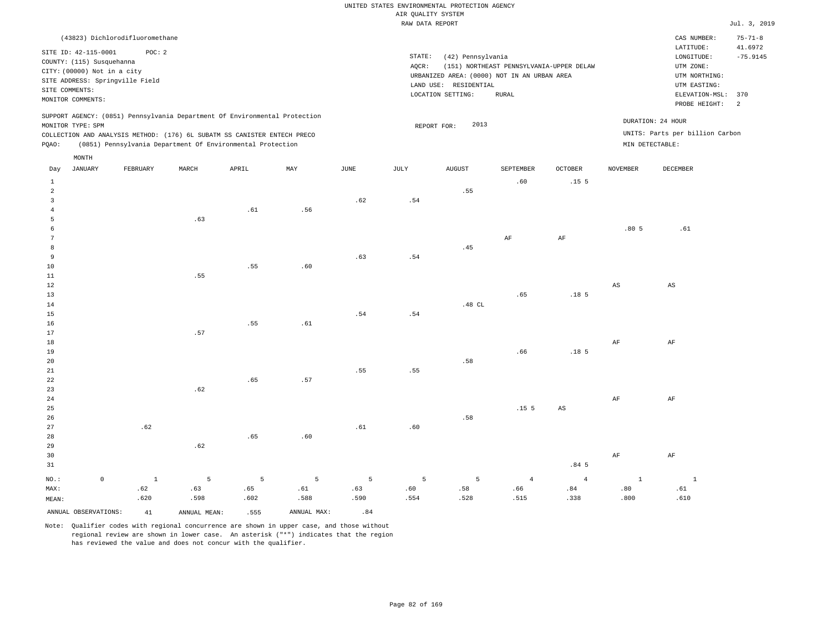|                |                                 |                                 |       |                                                                            |     |      | RAW DATA REPORT |                                             |                                          |                  |          |                                 | Jul. 3, 2019             |
|----------------|---------------------------------|---------------------------------|-------|----------------------------------------------------------------------------|-----|------|-----------------|---------------------------------------------|------------------------------------------|------------------|----------|---------------------------------|--------------------------|
|                |                                 | (43823) Dichlorodifluoromethane |       |                                                                            |     |      |                 |                                             |                                          |                  |          | CAS NUMBER:                     | $75 - 71 - 8$            |
|                | SITE ID: 42-115-0001            | POC: 2                          |       |                                                                            |     |      |                 |                                             |                                          |                  |          | LATITUDE:                       | 41.6972                  |
|                |                                 |                                 |       |                                                                            |     |      | STATE:          | (42) Pennsylvania                           |                                          |                  |          | LONGITUDE:                      | $-75.9145$               |
|                | COUNTY: (115) Susquehanna       |                                 |       |                                                                            |     |      | AOCR:           |                                             | (151) NORTHEAST PENNSYLVANIA-UPPER DELAW |                  |          | UTM ZONE:                       |                          |
|                | CITY: (00000) Not in a city     |                                 |       |                                                                            |     |      |                 | URBANIZED AREA: (0000) NOT IN AN URBAN AREA |                                          |                  |          | UTM NORTHING:                   |                          |
|                | SITE ADDRESS: Springville Field |                                 |       |                                                                            |     |      |                 | LAND USE: RESIDENTIAL                       |                                          |                  |          | UTM EASTING:                    |                          |
| SITE COMMENTS: |                                 |                                 |       |                                                                            |     |      |                 | LOCATION SETTING:                           | RURAL                                    |                  |          | ELEVATION-MSL:                  | 370                      |
|                | MONITOR COMMENTS:               |                                 |       |                                                                            |     |      |                 |                                             |                                          |                  |          | PROBE HEIGHT:                   | $\overline{\phantom{a}}$ |
|                |                                 |                                 |       | SUPPORT AGENCY: (0851) Pennsylvania Department Of Environmental Protection |     |      |                 |                                             |                                          |                  |          |                                 |                          |
|                | MONITOR TYPE: SPM               |                                 |       |                                                                            |     |      |                 | 2013<br>REPORT FOR:                         |                                          |                  |          | DURATION: 24 HOUR               |                          |
|                |                                 |                                 |       | COLLECTION AND ANALYSIS METHOD: (176) 6L SUBATM SS CANISTER ENTECH PRECO   |     |      |                 |                                             |                                          |                  |          | UNITS: Parts per billion Carbon |                          |
| PQAO:          |                                 |                                 |       | (0851) Pennsylvania Department Of Environmental Protection                 |     |      |                 |                                             |                                          |                  |          | MIN DETECTABLE:                 |                          |
|                |                                 |                                 |       |                                                                            |     |      |                 |                                             |                                          |                  |          |                                 |                          |
|                | MONTH                           |                                 |       |                                                                            |     |      |                 |                                             |                                          |                  |          |                                 |                          |
| Day            | JANUARY                         | FEBRUARY                        | MARCH | APRIL                                                                      | MAY | JUNE | JULY            | <b>AUGUST</b>                               | SEPTEMBER                                | OCTOBER          | NOVEMBER | DECEMBER                        |                          |
| 1              |                                 |                                 |       |                                                                            |     |      |                 |                                             | .60                                      | .15 <sub>5</sub> |          |                                 |                          |
| 2              |                                 |                                 |       |                                                                            |     |      |                 | .55                                         |                                          |                  |          |                                 |                          |
| 3              |                                 |                                 |       |                                                                            |     | .62  | .54             |                                             |                                          |                  |          |                                 |                          |
|                |                                 |                                 |       | .61                                                                        | .56 |      |                 |                                             |                                          |                  |          |                                 |                          |
|                |                                 |                                 | .63   |                                                                            |     |      |                 |                                             |                                          |                  |          |                                 |                          |
|                |                                 |                                 |       |                                                                            |     |      |                 |                                             |                                          |                  | .805     | .61                             |                          |
|                |                                 |                                 |       |                                                                            |     |      |                 |                                             | AF                                       | AF               |          |                                 |                          |
| 8              |                                 |                                 |       |                                                                            |     |      |                 | .45                                         |                                          |                  |          |                                 |                          |
| 9              |                                 |                                 |       |                                                                            |     | .63  | .54             |                                             |                                          |                  |          |                                 |                          |
| 10             |                                 |                                 |       | .55                                                                        | .60 |      |                 |                                             |                                          |                  |          |                                 |                          |
| 11             |                                 |                                 | .55   |                                                                            |     |      |                 |                                             |                                          |                  |          |                                 |                          |
| 12             |                                 |                                 |       |                                                                            |     |      |                 |                                             |                                          |                  | AS       | AS                              |                          |
| 13             |                                 |                                 |       |                                                                            |     |      |                 |                                             | .65                                      | .18 <sub>5</sub> |          |                                 |                          |
| 14             |                                 |                                 |       |                                                                            |     |      |                 | .48 CL                                      |                                          |                  |          |                                 |                          |
| 15             |                                 |                                 |       |                                                                            |     | .54  | .54             |                                             |                                          |                  |          |                                 |                          |

16 17 18 19 20 21 22 23 24 25 26 27 28 29 .62 .57 .62 .62 .55 .65 .65 .61 .57 .60 .55 .61 .55 .60 .58 .58 .66 .15 5 .18 5 AS AF AF AF AF

| 30                   |      |              |      |             |      |      |      |      |                  | AF   | AF   |
|----------------------|------|--------------|------|-------------|------|------|------|------|------------------|------|------|
| 31                   |      |              |      |             |      |      |      |      | .84 <sub>5</sub> |      |      |
| NO.:                 |      |              |      |             |      |      |      |      |                  |      |      |
| MAX:                 | .62  | .63          | .65  | .61         | .63  | .60  | .58  | .66  | .84              | .80  | .61  |
| MEAN:                | .620 | .598         | .602 | .588        | .590 | .554 | .528 | .515 | .338             | .800 | .610 |
| ANNUAL OBSERVATIONS: | 41   | ANNUAL MEAN: | .555 | ANNUAL MAX: | .84  |      |      |      |                  |      |      |

Note: Qualifier codes with regional concurrence are shown in upper case, and those without

regional review are shown in lower case. An asterisk ("\*") indicates that the region

has reviewed the value and does not concur with the qualifier.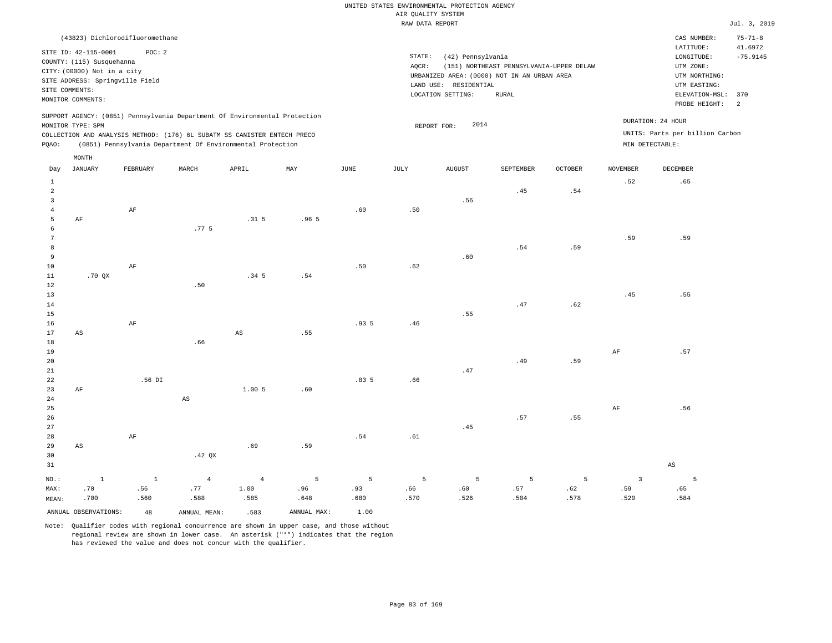|                                           |                                                                                                                                          |                       |                                                            |                                |                  |                  | RAW DATA REPORT  |                                                                 |                                                                                                         |                  |                                        |                                                                                                          | Jul. 3, 2019                      |
|-------------------------------------------|------------------------------------------------------------------------------------------------------------------------------------------|-----------------------|------------------------------------------------------------|--------------------------------|------------------|------------------|------------------|-----------------------------------------------------------------|---------------------------------------------------------------------------------------------------------|------------------|----------------------------------------|----------------------------------------------------------------------------------------------------------|-----------------------------------|
|                                           | (43823) Dichlorodifluoromethane                                                                                                          |                       |                                                            |                                |                  |                  |                  |                                                                 |                                                                                                         |                  |                                        | CAS NUMBER:                                                                                              | $75 - 71 - 8$                     |
| SITE COMMENTS:                            | SITE ID: 42-115-0001<br>COUNTY: (115) Susquehanna<br>CITY: (00000) Not in a city<br>SITE ADDRESS: Springville Field<br>MONITOR COMMENTS: | POC: 2                |                                                            |                                |                  |                  | STATE:<br>AOCR:  | (42) Pennsylvania<br>LAND USE: RESIDENTIAL<br>LOCATION SETTING: | (151) NORTHEAST PENNSYLVANIA-UPPER DELAW<br>URBANIZED AREA: (0000) NOT IN AN URBAN AREA<br><b>RURAL</b> |                  |                                        | LATITUDE:<br>LONGITUDE:<br>UTM ZONE:<br>UTM NORTHING:<br>UTM EASTING:<br>ELEVATION-MSL:<br>PROBE HEIGHT: | 41.6972<br>$-75.9145$<br>370<br>2 |
|                                           | SUPPORT AGENCY: (0851) Pennsylvania Department Of Environmental Protection                                                               |                       |                                                            |                                |                  |                  |                  |                                                                 |                                                                                                         |                  |                                        | DURATION: 24 HOUR                                                                                        |                                   |
|                                           | MONITOR TYPE: SPM                                                                                                                        |                       |                                                            |                                |                  |                  |                  | 2014<br>REPORT FOR:                                             |                                                                                                         |                  |                                        | UNITS: Parts per billion Carbon                                                                          |                                   |
| PQAO:                                     | COLLECTION AND ANALYSIS METHOD: (176) 6L SUBATM SS CANISTER ENTECH PRECO                                                                 |                       | (0851) Pennsylvania Department Of Environmental Protection |                                |                  |                  |                  |                                                                 |                                                                                                         |                  |                                        | MIN DETECTABLE:                                                                                          |                                   |
|                                           | $\texttt{MONTH}$                                                                                                                         |                       |                                                            |                                |                  |                  |                  |                                                                 |                                                                                                         |                  |                                        |                                                                                                          |                                   |
| Day                                       | <b>JANUARY</b>                                                                                                                           | FEBRUARY              | MARCH                                                      | APRIL                          | MAY              | $_{\rm JUNE}$    | $\mathtt{JULY}$  | ${\tt AUGUST}$                                                  | SEPTEMBER                                                                                               | <b>OCTOBER</b>   | <b>NOVEMBER</b>                        | DECEMBER                                                                                                 |                                   |
| $1\,$<br>$\overline{a}$<br>$\overline{3}$ |                                                                                                                                          |                       |                                                            |                                |                  |                  |                  |                                                                 | .45                                                                                                     | .54              | .52                                    | .65                                                                                                      |                                   |
| $\overline{4}$<br>5                       | $\rm{AF}$                                                                                                                                | $\rm AF$              |                                                            | .31 <sub>5</sub>               | .965             | .60              | .50              | .56                                                             |                                                                                                         |                  |                                        |                                                                                                          |                                   |
| 6<br>$\overline{7}$<br>8                  |                                                                                                                                          |                       | .77.5                                                      |                                |                  |                  |                  |                                                                 | .54                                                                                                     | .59              | .59                                    | .59                                                                                                      |                                   |
| 9<br>10<br>11<br>$1\,2$                   | .70QX                                                                                                                                    | $\rm{AF}$             |                                                            | .34 <sub>5</sub>               | .54              | .50              | .62              | .60                                                             |                                                                                                         |                  |                                        |                                                                                                          |                                   |
| 13<br>14<br>15                            |                                                                                                                                          |                       | .50                                                        |                                |                  |                  |                  | .55                                                             | .47                                                                                                     | .62              | .45                                    | .55                                                                                                      |                                   |
| 16<br>17<br>18                            | AS                                                                                                                                       | $\rm{AF}$             | .66                                                        | $_{\rm AS}$                    | .55              | .935             | .46              |                                                                 |                                                                                                         |                  |                                        |                                                                                                          |                                   |
| 19<br>20<br>21                            |                                                                                                                                          |                       |                                                            |                                |                  |                  |                  | .47                                                             | .49                                                                                                     | .59              | AF                                     | .57                                                                                                      |                                   |
| 22<br>23<br>24                            | AF                                                                                                                                       | .56 DI                | $_{\rm AS}$                                                | 1.005                          | .60              | .835             | .66              |                                                                 |                                                                                                         |                  |                                        |                                                                                                          |                                   |
| 25<br>26<br>27                            |                                                                                                                                          |                       |                                                            |                                |                  |                  |                  | .45                                                             | .57                                                                                                     | .55              | $\rm{AF}$                              | .56                                                                                                      |                                   |
| 28<br>29<br>30                            | AS                                                                                                                                       | $\rm{AF}$             | .42 QX                                                     | .69                            | .59              | .54              | .61              |                                                                 |                                                                                                         |                  |                                        |                                                                                                          |                                   |
| 31                                        |                                                                                                                                          |                       |                                                            |                                |                  |                  |                  |                                                                 |                                                                                                         |                  |                                        | $\mathbb{A}\mathbb{S}$                                                                                   |                                   |
| NO.:<br>MAX:<br>MEAN:                     | $\mathbf{1}$<br>.70<br>.700                                                                                                              | $\,$ 1<br>.56<br>.560 | $\overline{4}$<br>.77<br>.588                              | $\overline{4}$<br>1.00<br>.585 | 5<br>.96<br>.648 | 5<br>.93<br>.680 | 5<br>.66<br>.570 | 5<br>.60<br>.526                                                | 5<br>.57<br>.504                                                                                        | 5<br>.62<br>.578 | $\overline{\mathbf{3}}$<br>.59<br>.520 | 5<br>.65<br>.584                                                                                         |                                   |
|                                           | ANNUAL OBSERVATIONS:                                                                                                                     | 48                    | ANNUAL MEAN:                                               | .583                           | ANNUAL MAX:      | 1.00             |                  |                                                                 |                                                                                                         |                  |                                        |                                                                                                          |                                   |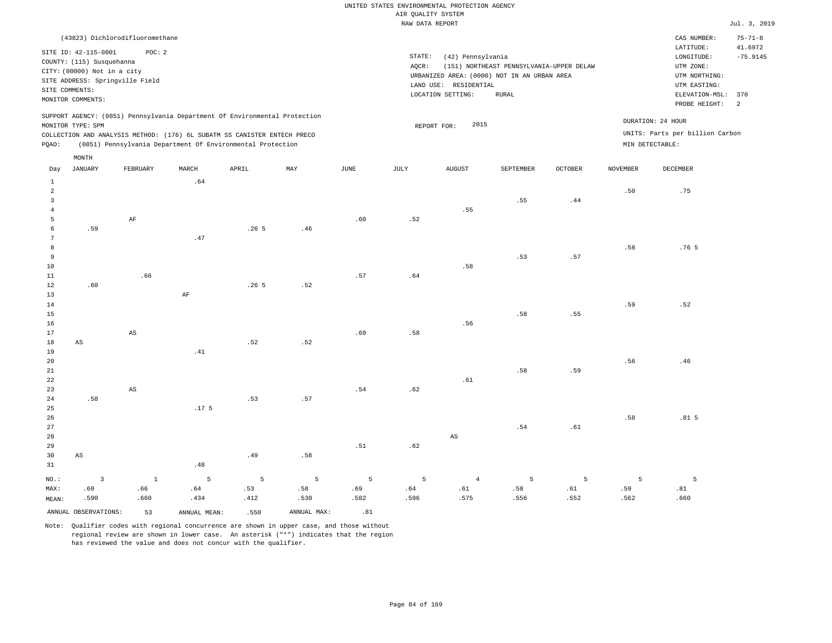| (43823) Dichlorodifluoromethane                                                                                                                                                                                                                             |                                                                                                                                                                                        | CAS NUMBER:<br>$75 - 71 - 8$                                                                                                                   |
|-------------------------------------------------------------------------------------------------------------------------------------------------------------------------------------------------------------------------------------------------------------|----------------------------------------------------------------------------------------------------------------------------------------------------------------------------------------|------------------------------------------------------------------------------------------------------------------------------------------------|
| SITE ID: 42-115-0001<br>POC:2<br>COUNTY: (115) Susquehanna<br>CITY: (00000) Not in a city<br>SITE ADDRESS: Springville Field<br>SITE COMMENTS:<br>MONITOR COMMENTS:                                                                                         | STATE:<br>(42) Pennsylvania<br>AOCR:<br>(151) NORTHEAST PENNSYLVANIA-UPPER DELAW<br>URBANIZED AREA: (0000) NOT IN AN URBAN AREA<br>LAND USE: RESIDENTIAL<br>LOCATION SETTING:<br>RURAL | 41.6972<br>LATITUDE:<br>$-75.9145$<br>LONGITUDE:<br>UTM ZONE:<br>UTM NORTHING:<br>UTM EASTING:<br>ELEVATION-MSL:<br>370<br>PROBE HEIGHT:<br>-2 |
| SUPPORT AGENCY: (0851) Pennsylvania Department Of Environmental Protection<br>MONITOR TYPE: SPM<br>COLLECTION AND ANALYSIS METHOD: (176) 6L SUBATM SS CANISTER ENTECH PRECO<br>(0851) Pennsylvania Department Of Environmental Protection<br>POAO:<br>MONTH | 2015<br>REPORT FOR:                                                                                                                                                                    | DURATION: 24 HOUR<br>UNITS: Parts per billion Carbon<br>MIN DETECTABLE:                                                                        |

| Day                     | JANUARY                 | FEBRUARY               | MARCH            | APRIL            | MAY         | JUNE | JULY | AUGUST                 | SEPTEMBER | OCTOBER                      | NOVEMBER | DECEMBER         |
|-------------------------|-------------------------|------------------------|------------------|------------------|-------------|------|------|------------------------|-----------|------------------------------|----------|------------------|
| $\mathbf{1}$            |                         |                        | .64              |                  |             |      |      |                        |           |                              |          |                  |
| $\overline{a}$          |                         |                        |                  |                  |             |      |      |                        |           |                              | .50      | .75              |
| $\overline{\mathbf{3}}$ |                         |                        |                  |                  |             |      |      |                        | .55       | .44                          |          |                  |
| $\overline{4}$          |                         |                        |                  |                  |             |      |      | .55                    |           |                              |          |                  |
| 5                       |                         | $\rm{AF}$              |                  |                  |             | .60  | .52  |                        |           |                              |          |                  |
| 6                       | .59                     |                        |                  | .265             | .46         |      |      |                        |           |                              |          |                  |
| $7\phantom{.0}$         |                         |                        | .47              |                  |             |      |      |                        |           |                              |          |                  |
| $^{\rm 8}$              |                         |                        |                  |                  |             |      |      |                        |           |                              | .58      | .76 <sub>5</sub> |
| $\overline{9}$          |                         |                        |                  |                  |             |      |      |                        | .53       | $\footnotesize\substack{57}$ |          |                  |
| 10                      |                         |                        |                  |                  |             |      |      | .58                    |           |                              |          |                  |
| 11                      |                         | .66                    |                  |                  |             | .57  | .64  |                        |           |                              |          |                  |
| 12                      | .60                     |                        |                  | .26 <sub>5</sub> | .52         |      |      |                        |           |                              |          |                  |
| 13                      |                         |                        | $\rm AF$         |                  |             |      |      |                        |           |                              |          |                  |
| 14                      |                         |                        |                  |                  |             |      |      |                        |           |                              | .59      | .52              |
| 15                      |                         |                        |                  |                  |             |      |      |                        | .58       | .55                          |          |                  |
| 16                      |                         |                        |                  |                  |             |      |      | .56                    |           |                              |          |                  |
| 17                      |                         | $\mathbb{A}\mathbb{S}$ |                  |                  |             | .69  | .58  |                        |           |                              |          |                  |
| 18                      | $\mathbb{A}\mathbb{S}$  |                        |                  | .52              | .52         |      |      |                        |           |                              |          |                  |
| 19                      |                         |                        | .41              |                  |             |      |      |                        |           |                              |          |                  |
| 20                      |                         |                        |                  |                  |             |      |      |                        |           |                              | .56      | .46              |
| 21                      |                         |                        |                  |                  |             |      |      |                        | .58       | .59                          |          |                  |
| 22                      |                         |                        |                  |                  |             |      |      | .61                    |           |                              |          |                  |
| 23                      |                         | $\mathbb{A}\mathbb{S}$ |                  |                  |             | .54  | .62  |                        |           |                              |          |                  |
| $2\,4$                  | .58                     |                        |                  | .53              | .57         |      |      |                        |           |                              |          |                  |
| 25                      |                         |                        | .17 <sub>5</sub> |                  |             |      |      |                        |           |                              |          |                  |
| 26                      |                         |                        |                  |                  |             |      |      |                        |           |                              | .58      | .81 <sub>5</sub> |
| 27                      |                         |                        |                  |                  |             |      |      |                        | .54       | .61                          |          |                  |
| 28                      |                         |                        |                  |                  |             |      |      | $\mathbb{A}\mathbb{S}$ |           |                              |          |                  |
| 29                      |                         |                        |                  |                  |             | .51  | .62  |                        |           |                              |          |                  |
| 30                      | $\mathbb{A}\mathbb{S}$  |                        |                  | .49              | .58         |      |      |                        |           |                              |          |                  |
| 31                      |                         |                        | .48              |                  |             |      |      |                        |           |                              |          |                  |
| $NO.$ :                 | $\overline{\mathbf{3}}$ | $\mathbf{1}$           | $\mathsf S$      | $\overline{5}$   | 5           | 5    | 5    | $\overline{4}$         | 5         | 5                            | 5        | 5                |
| MAX:                    | .60                     | .66                    | .64              | .53              | .58         | .69  | .64  | $.61\,$                | .58       | .61                          | .59      | .81              |
| MEAN:                   | .590                    | .660                   | .434             | .412             | .530        | .582 | .596 | .575                   | .556      | .552                         | .562     | .660             |
|                         | ANNUAL OBSERVATIONS:    | 53                     | ANNUAL MEAN:     | .550             | ANNUAL MAX: | .81  |      |                        |           |                              |          |                  |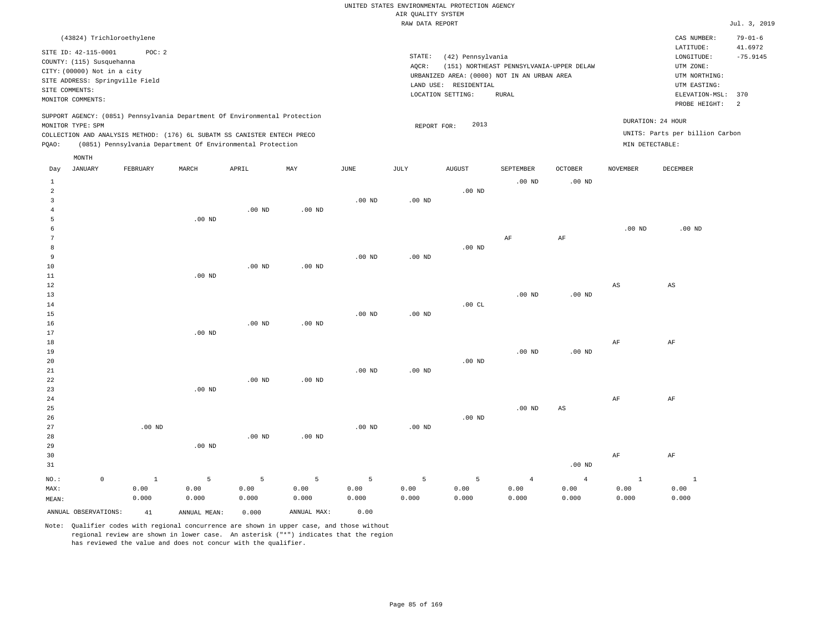|       | (43824) Trichloroethylene                                                                                                                                  |          |       |                                                                                                                                                                                                                      |     |      |                 |                                                                                                                   |                                                   |                |          | CAS NUMBER:                                                                                              | $79 - 01 - 6$                      |
|-------|------------------------------------------------------------------------------------------------------------------------------------------------------------|----------|-------|----------------------------------------------------------------------------------------------------------------------------------------------------------------------------------------------------------------------|-----|------|-----------------|-------------------------------------------------------------------------------------------------------------------|---------------------------------------------------|----------------|----------|----------------------------------------------------------------------------------------------------------|------------------------------------|
|       | SITE ID: 42-115-0001<br>COUNTY: (115) Susquehanna<br>CITY: (00000) Not in a city<br>SITE ADDRESS: Springville Field<br>SITE COMMENTS:<br>MONITOR COMMENTS: | POC: 2   |       |                                                                                                                                                                                                                      |     |      | STATE:<br>AOCR: | (42) Pennsylvania<br>URBANIZED AREA: (0000) NOT IN AN URBAN AREA<br>LAND USE:<br>RESIDENTIAL<br>LOCATION SETTING: | (151) NORTHEAST PENNSYLVANIA-UPPER DELAW<br>RURAL |                |          | LATITUDE:<br>LONGITUDE:<br>UTM ZONE:<br>UTM NORTHING:<br>UTM EASTING:<br>ELEVATION-MSL:<br>PROBE HEIGHT: | 41.6972<br>$-75.9145$<br>370<br>-2 |
| POAO: | MONITOR TYPE: SPM                                                                                                                                          |          |       | SUPPORT AGENCY: (0851) Pennsylvania Department Of Environmental Protection<br>COLLECTION AND ANALYSIS METHOD: (176) 6L SUBATM SS CANISTER ENTECH PRECO<br>(0851) Pennsylvania Department Of Environmental Protection |     |      |                 | 2013<br>REPORT FOR:                                                                                               |                                                   |                |          | DURATION: 24 HOUR<br>UNITS: Parts per billion Carbon<br>MIN DETECTABLE:                                  |                                    |
| Day   | MONTH<br>JANUARY                                                                                                                                           | FEBRUARY | MARCH | APRIL                                                                                                                                                                                                                | MAY | JUNE | JULY            | <b>AUGUST</b>                                                                                                     | SEPTEMBER                                         | <b>OCTOBER</b> | NOVEMBER | DECEMBER                                                                                                 |                                    |
|       |                                                                                                                                                            |          |       |                                                                                                                                                                                                                      |     |      |                 |                                                                                                                   | $.00$ ND                                          | $.00$ ND       |          |                                                                                                          |                                    |
|       |                                                                                                                                                            |          |       |                                                                                                                                                                                                                      |     |      |                 | $.00$ ND                                                                                                          |                                                   |                |          |                                                                                                          |                                    |

.00 ND

| $\overline{4}$ |                   |                   | .00 $ND$ | .00 $ND$          |          |          |          |           |                        |                        |                        |
|----------------|-------------------|-------------------|----------|-------------------|----------|----------|----------|-----------|------------------------|------------------------|------------------------|
| 5              |                   | .00 <sub>ND</sub> |          |                   |          |          |          |           |                        |                        |                        |
| 6              |                   |                   |          |                   |          |          |          |           |                        | .00 $ND$               | .00 $ND$               |
| 7              |                   |                   |          |                   |          |          |          | $\rm{AF}$ | AF                     |                        |                        |
| 8              |                   |                   |          |                   |          |          | $.00$ ND |           |                        |                        |                        |
| 9              |                   |                   |          |                   | $.00$ ND | $.00$ ND |          |           |                        |                        |                        |
| $10$           |                   |                   | .00 $ND$ | .00 <sub>ND</sub> |          |          |          |           |                        |                        |                        |
| $11\,$         |                   | .00 <sub>ND</sub> |          |                   |          |          |          |           |                        |                        |                        |
| 12             |                   |                   |          |                   |          |          |          |           |                        | $\mathbb{A}\mathbb{S}$ | $\mathbb{A}\mathbb{S}$ |
| 13             |                   |                   |          |                   |          |          |          | $.00$ ND  | .00 $ND$               |                        |                        |
| $14\,$         |                   |                   |          |                   |          |          | .00 $CL$ |           |                        |                        |                        |
| $15\,$         |                   |                   |          |                   | $.00$ ND | $.00$ ND |          |           |                        |                        |                        |
| $16$           |                   |                   | .00 $ND$ | .00 $ND$          |          |          |          |           |                        |                        |                        |
| $17\,$         |                   | $.00{\rm ~ND}$    |          |                   |          |          |          |           |                        |                        |                        |
| 18             |                   |                   |          |                   |          |          |          |           |                        | $\rm{AF}$              | $\rm{AF}$              |
| 19             |                   |                   |          |                   |          |          |          | $.00$ ND  | $.00{\rm ~ND}$         |                        |                        |
| 20             |                   |                   |          |                   |          |          | $.00$ ND |           |                        |                        |                        |
| $21\,$         |                   |                   |          |                   | .00 $ND$ | .00 $ND$ |          |           |                        |                        |                        |
| ${\bf 22}$     |                   |                   | .00 $ND$ | .00 $ND$          |          |          |          |           |                        |                        |                        |
| 23             |                   | $.00{\rm ~ND}$    |          |                   |          |          |          |           |                        |                        |                        |
| ${\bf 24}$     |                   |                   |          |                   |          |          |          |           |                        | $\rm{AF}$              | $\rm{AF}$              |
| $25\,$         |                   |                   |          |                   |          |          |          | .00 $ND$  | $\mathbb{A}\mathbb{S}$ |                        |                        |
| 26             |                   |                   |          |                   |          |          | .00 $ND$ |           |                        |                        |                        |
| 27             | $.00~\mathrm{ND}$ |                   |          |                   | .00 $ND$ | $.00$ ND |          |           |                        |                        |                        |
| 28             |                   |                   | $.00$ ND | .00 $ND$          |          |          |          |           |                        |                        |                        |
| 29             |                   | $.00$ ND          |          |                   |          |          |          |           |                        |                        |                        |

.00 ND

| 30                   |       |              |       |             |       |       |       |       |          | ΑF    | AF    |
|----------------------|-------|--------------|-------|-------------|-------|-------|-------|-------|----------|-------|-------|
| 31                   |       |              |       |             |       |       |       |       | $.00$ ND |       |       |
| NO.:                 |       |              |       |             |       |       |       |       |          |       |       |
| MAX:                 | 0.00  | 0.00         | 0.00  | 0.00        | 0.00  | 0.00  | 0.00  | 0.00  | 0.00     | 0.00  | 0.00  |
| MEAN:                | 0.000 | 0.000        | 0.000 | 0.000       | 0.000 | 0.000 | 0.000 | 0.000 | 0.000    | 0.000 | 0.000 |
| ANNUAL OBSERVATIONS: | 41    | ANNUAL MEAN: | 0.000 | ANNUAL MAX: | 0.00  |       |       |       |          |       |       |

Note: Qualifier codes with regional concurrence are shown in upper case, and those without regional review are shown in lower case. An asterisk ("\*") indicates that the region has reviewed the value and does not concur with the qualifier.

3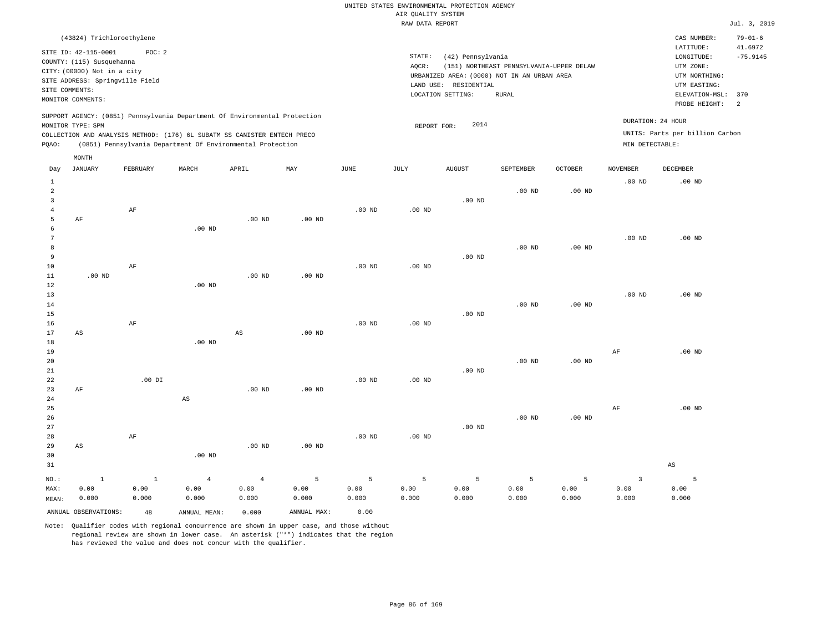| (43824) Trichloroethylene                                                                                                                                                                                                                          |                                                                                                                                                                                           | CAS NUMBER:                                                                                                  | $79 - 01 - 6$         |
|----------------------------------------------------------------------------------------------------------------------------------------------------------------------------------------------------------------------------------------------------|-------------------------------------------------------------------------------------------------------------------------------------------------------------------------------------------|--------------------------------------------------------------------------------------------------------------|-----------------------|
| SITE ID: 42-115-0001<br>POC:2<br>COUNTY: (115) Susquehanna<br>CITY: (00000) Not in a city<br>SITE ADDRESS: Springville Field<br>SITE COMMENTS:<br>MONITOR COMMENTS:                                                                                | STATE:<br>(42) Pennsylvania<br>(151) NORTHEAST PENNSYLVANIA-UPPER DELAW<br>AOCR:<br>URBANIZED AREA: (0000) NOT IN AN URBAN AREA<br>RESIDENTIAL<br>LAND USE:<br>LOCATION SETTING:<br>RURAL | LATITUDE:<br>LONGITUDE:<br>UTM ZONE:<br>UTM NORTHING:<br>UTM EASTING:<br>ELEVATION-MSL: 370<br>PROBE HEIGHT: | 41.6972<br>$-75.9145$ |
| SUPPORT AGENCY: (0851) Pennsylvania Department Of Environmental Protection<br>MONITOR TYPE: SPM<br>COLLECTION AND ANALYSIS METHOD: (176) 6L SUBATM SS CANISTER ENTECH PRECO<br>(0851) Pennsylvania Department Of Environmental Protection<br>POAO: | DURATION: 24 HOUR<br>2014<br>REPORT FOR:<br>MIN DETECTABLE:                                                                                                                               | UNITS: Parts per billion Carbon                                                                              |                       |

| Day                                                   | <b>JANUARY</b>                | FEBRUARY                      | MARCH                           | APRIL                           | MAY                | JUNE               | JULY               | AUGUST             | SEPTEMBER                    | OCTOBER                         | NOVEMBER                        | DECEMBER               |
|-------------------------------------------------------|-------------------------------|-------------------------------|---------------------------------|---------------------------------|--------------------|--------------------|--------------------|--------------------|------------------------------|---------------------------------|---------------------------------|------------------------|
| $\mathbf{1}$<br>$\overline{a}$<br>3<br>$\overline{4}$ |                               | $\rm{AF}$                     |                                 |                                 |                    | $.00$ ND           | $.00$ ND           | $.00$ ND           | $.00$ ND                     | $.00$ ND                        | $.00$ ND                        | $.00$ ND               |
| 5<br>6<br>7<br>8<br>9                                 | AF                            |                               | $.00$ ND                        | $.00$ ND                        | $.00$ ND           |                    |                    | $.00$ ND           | $.00$ ND                     | $.00$ ND                        | $.00~\mathrm{ND}$               | $.00$ ND               |
| 10<br>11<br>12<br>13                                  | $.00$ ND                      | $\rm AF$                      | $.00$ ND                        | $.00$ ND                        | $.00$ ND           | $.00$ ND           | $.00$ ND           |                    |                              |                                 | $.00$ ND                        | $.00$ ND               |
| 14<br>15<br>16<br>17                                  | AS                            | $\rm AF$                      |                                 | $\mathbb{A}\mathbb{S}$          | $.00$ ND           | $.00$ ND           | $.00$ ND           | $.00$ ND           | $.00$ ND                     | $.00$ ND                        |                                 |                        |
| 18<br>19<br>20<br>21                                  |                               |                               | $.00$ ND                        |                                 |                    |                    |                    | $.00$ ND           | $.00$ ND                     | $.00$ ND                        | AF                              | $.00$ ND               |
| 22<br>23<br>24<br>25                                  | $\rm AF$                      | $.00$ DI                      | $\mathbb{A}\mathbb{S}$          | $.00$ ND                        | $.00$ ND           | $.00$ ND           | $.00$ ND           |                    |                              |                                 |                                 |                        |
| 26<br>27<br>28                                        |                               | $\rm AF$                      |                                 |                                 |                    | $.00$ ND           | $.00$ ND           | $.00$ ND           | $.00$ ND                     | $.00$ ND                        | AF                              | $.00$ ND               |
| 29<br>30<br>31                                        | $\mathbb{A}\mathbb{S}$        |                               | $.00$ ND                        | $.00$ ND                        | $.00$ ND           |                    |                    |                    |                              |                                 |                                 | $\mathbb{A}\mathbb{S}$ |
| NO.:<br>MAX:<br>MEAN:                                 | $\mathbf{1}$<br>0.00<br>0.000 | $\mathbf{1}$<br>0.00<br>0.000 | $\overline{4}$<br>0.00<br>0.000 | $\overline{4}$<br>0.00<br>0.000 | 5<br>0.00<br>0.000 | 5<br>0.00<br>0.000 | 5<br>0.00<br>0.000 | 5<br>0.00<br>0.000 | $\mathsf S$<br>0.00<br>0.000 | $\overline{5}$<br>0.00<br>0.000 | $\overline{3}$<br>0.00<br>0.000 | 5<br>0.00<br>0.000     |
|                                                       | ANNUAL OBSERVATIONS:          | 48                            | ANNUAL MEAN:                    | 0.000                           | ANNUAL MAX:        | 0.00               |                    |                    |                              |                                 |                                 |                        |

Note: Qualifier codes with regional concurrence are shown in upper case, and those without regional review are shown in lower case. An asterisk ("\*") indicates that the region has reviewed the value and does not concur with the qualifier.

MONTH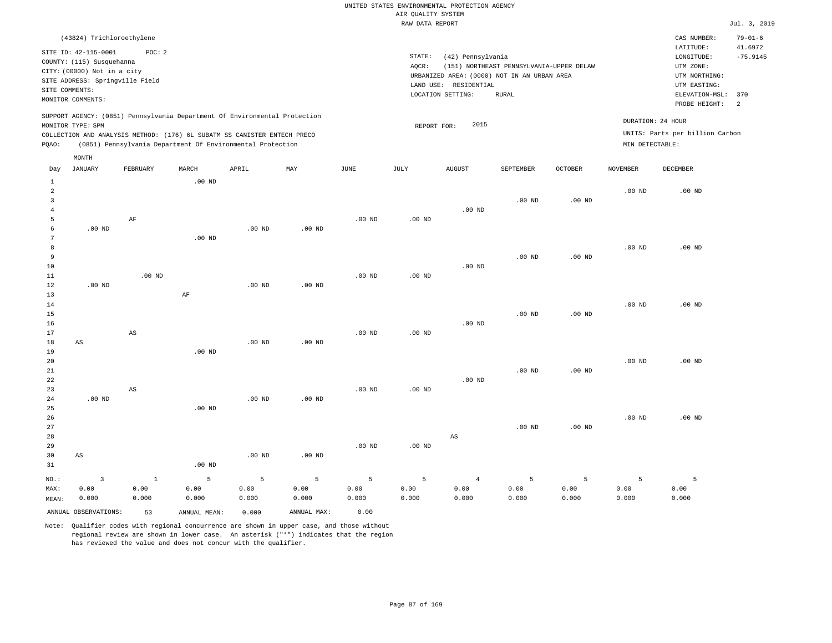| (43824) Trichloroethylene                                                                                                                                                                                                                                   |                                                                                                                                                                                        | CAS NUMBER:                                                                                                  | $79 - 01 - 6$               |
|-------------------------------------------------------------------------------------------------------------------------------------------------------------------------------------------------------------------------------------------------------------|----------------------------------------------------------------------------------------------------------------------------------------------------------------------------------------|--------------------------------------------------------------------------------------------------------------|-----------------------------|
| SITE ID: 42-115-0001<br>POC:2<br>COUNTY: (115) Susquehanna<br>CITY: (00000) Not in a city<br>SITE ADDRESS: Springville Field<br>SITE COMMENTS:<br>MONITOR COMMENTS:                                                                                         | STATE:<br>(42) Pennsylvania<br>(151) NORTHEAST PENNSYLVANIA-UPPER DELAW<br>AOCR:<br>URBANIZED AREA: (0000) NOT IN AN URBAN AREA<br>LAND USE: RESIDENTIAL<br>LOCATION SETTING:<br>RURAL | LATITUDE:<br>LONGITUDE:<br>UTM ZONE:<br>UTM NORTHING:<br>UTM EASTING:<br>ELEVATION-MSL: 370<br>PROBE HEIGHT: | 41.6972<br>$-75.9145$<br>-2 |
| SUPPORT AGENCY: (0851) Pennsylvania Department Of Environmental Protection<br>MONITOR TYPE: SPM<br>COLLECTION AND ANALYSIS METHOD: (176) 6L SUBATM SS CANISTER ENTECH PRECO<br>(0851) Pennsylvania Department Of Environmental Protection<br>POAO:<br>MONTH | 2015<br>REPORT FOR:                                                                                                                                                                    | DURATION: 24 HOUR<br>UNITS: Parts per billion Carbon<br>MIN DETECTABLE:                                      |                             |

| Day            | JANUARY                | FEBRUARY               | MARCH             | APRIL    | MAY               | $_{\rm JUNE}$  | JULY              | ${\tt AUGUST}$         | SEPTEMBER         | OCTOBER           | NOVEMBER | DECEMBER |
|----------------|------------------------|------------------------|-------------------|----------|-------------------|----------------|-------------------|------------------------|-------------------|-------------------|----------|----------|
| $\mathbf{1}$   |                        |                        | $.00$ ND          |          |                   |                |                   |                        |                   |                   |          |          |
| $\overline{a}$ |                        |                        |                   |          |                   |                |                   |                        |                   |                   | $.00$ ND | $.00$ ND |
| 3              |                        |                        |                   |          |                   |                |                   |                        | $.00$ ND          | .00 <sub>ND</sub> |          |          |
| $\overline{4}$ |                        |                        |                   |          |                   |                |                   | $.00$ ND               |                   |                   |          |          |
| 5              |                        | AF                     |                   |          |                   | $.00$ ND       | $.00~\mathrm{ND}$ |                        |                   |                   |          |          |
| 6              | .00 <sub>ND</sub>      |                        |                   | $.00$ ND | .00 <sub>ND</sub> |                |                   |                        |                   |                   |          |          |
| 7              |                        |                        | $.00$ ND          |          |                   |                |                   |                        |                   |                   |          |          |
| 8              |                        |                        |                   |          |                   |                |                   |                        |                   |                   | $.00$ ND | $.00$ ND |
| 9              |                        |                        |                   |          |                   |                |                   |                        | $.00$ ND          | .00 <sub>ND</sub> |          |          |
| $10$           |                        |                        |                   |          |                   |                |                   | $.00$ ND               |                   |                   |          |          |
| $11\,$         |                        | $.00$ ND               |                   |          |                   | $.00$ ND       | .00 <sub>ND</sub> |                        |                   |                   |          |          |
| 12             | $.00$ ND               |                        |                   | $.00$ ND | $.00$ ND          |                |                   |                        |                   |                   |          |          |
| 13             |                        |                        | $\rm AF$          |          |                   |                |                   |                        |                   |                   |          |          |
| 14             |                        |                        |                   |          |                   |                |                   |                        |                   |                   | $.00$ ND | $.00$ ND |
| 15             |                        |                        |                   |          |                   |                |                   |                        | $.00$ ND          | .00 <sub>ND</sub> |          |          |
| 16             |                        |                        |                   |          |                   |                |                   | $.00$ ND               |                   |                   |          |          |
| 17             |                        | $\mathbb{A}\mathbb{S}$ |                   |          |                   | $.00$ ND       | .00 $ND$          |                        |                   |                   |          |          |
| 18             | $\mathbb{A}\mathbb{S}$ |                        |                   | $.00$ ND | $.00$ ND          |                |                   |                        |                   |                   |          |          |
| 19             |                        |                        | .00 <sub>ND</sub> |          |                   |                |                   |                        |                   |                   |          |          |
| 20             |                        |                        |                   |          |                   |                |                   |                        |                   |                   | $.00$ ND | $.00$ ND |
| 21             |                        |                        |                   |          |                   |                |                   |                        | $.00$ ND          | .00 <sub>ND</sub> |          |          |
| 22             |                        |                        |                   |          |                   |                |                   | $.00$ ND               |                   |                   |          |          |
| 23             |                        | AS                     |                   |          |                   | $.00$ ND       | .00 $ND$          |                        |                   |                   |          |          |
| 24             | .00 <sub>ND</sub>      |                        |                   | $.00$ ND | .00 <sub>ND</sub> |                |                   |                        |                   |                   |          |          |
| $25\,$         |                        |                        | .00 <sub>ND</sub> |          |                   |                |                   |                        |                   |                   |          |          |
| 26             |                        |                        |                   |          |                   |                |                   |                        |                   |                   | $.00$ ND | $.00$ ND |
| 27             |                        |                        |                   |          |                   |                |                   |                        | .00 <sub>ND</sub> | .00 <sub>ND</sub> |          |          |
| 28             |                        |                        |                   |          |                   |                |                   | $\mathbb{A}\mathbb{S}$ |                   |                   |          |          |
| 29             |                        |                        |                   |          |                   | $.00$ ND       | $.00$ ND          |                        |                   |                   |          |          |
| 30             | $\mathbb{A}\mathbb{S}$ |                        |                   | $.00$ ND | .00 <sub>ND</sub> |                |                   |                        |                   |                   |          |          |
| 31             |                        |                        | $.00$ ND          |          |                   |                |                   |                        |                   |                   |          |          |
| $_{\rm NO.}$ : | $\mathsf 3$            | $\,$ 1                 | $\mathsf S$       | 5        | 5                 | $\overline{5}$ | $\mathsf S$       | $\sqrt{4}$             | 5                 | 5                 | 5        | 5        |
| MAX:           | 0.00                   | 0.00                   | 0.00              | 0.00     | 0.00              | 0.00           | 0.00              | 0.00                   | 0.00              | 0.00              | 0.00     | 0.00     |
| MEAN:          | 0.000                  | 0.000                  | 0.000             | 0.000    | 0.000             | 0.000          | 0.000             | 0.000                  | 0.000             | 0.000             | 0.000    | 0.000    |
|                | ANNUAL OBSERVATIONS:   | 53                     | ANNUAL MEAN:      | 0.000    | ANNUAL MAX:       | 0.00           |                   |                        |                   |                   |          |          |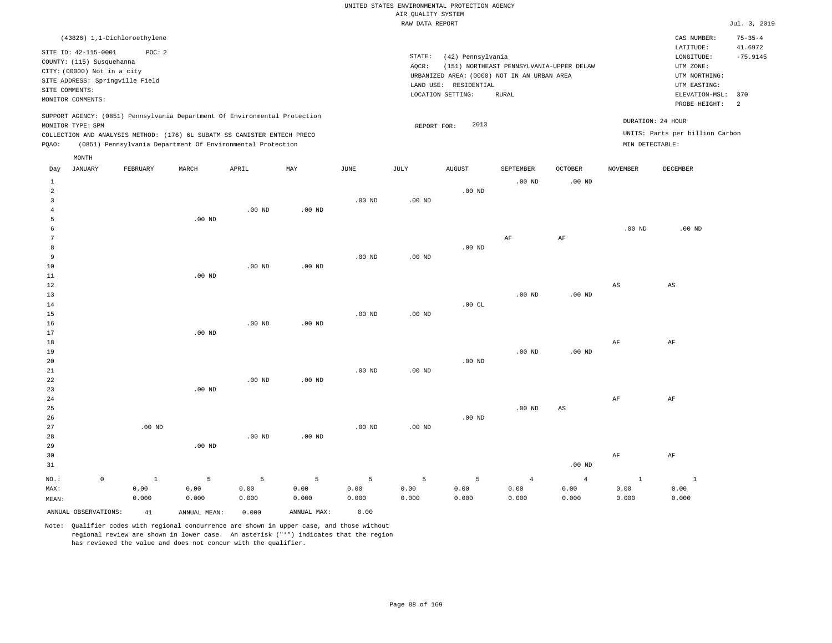|                                 |                                                                            |          |          |                   |                   | RAW DATA REPORT |                                             |                                          |                |                        |                                 | Jul. 3, 2019             |
|---------------------------------|----------------------------------------------------------------------------|----------|----------|-------------------|-------------------|-----------------|---------------------------------------------|------------------------------------------|----------------|------------------------|---------------------------------|--------------------------|
|                                 | (43826) 1,1-Dichloroethylene                                               |          |          |                   |                   |                 |                                             |                                          |                |                        | CAS NUMBER:<br>LATITUDE:        | $75 - 35 - 4$<br>41.6972 |
| SITE ID: 42-115-0001            | POC: 2                                                                     |          |          |                   |                   | STATE:          | (42) Pennsylvania                           |                                          |                |                        | LONGITUDE:                      | $-75.9145$               |
| COUNTY: (115) Susquehanna       |                                                                            |          |          |                   |                   | AQCR:           |                                             | (151) NORTHEAST PENNSYLVANIA-UPPER DELAW |                |                        | UTM ZONE:                       |                          |
| CITY: (00000) Not in a city     |                                                                            |          |          |                   |                   |                 | URBANIZED AREA: (0000) NOT IN AN URBAN AREA |                                          |                |                        | UTM NORTHING:                   |                          |
| SITE ADDRESS: Springville Field |                                                                            |          |          |                   |                   |                 | LAND USE: RESIDENTIAL                       |                                          |                |                        | UTM EASTING:                    |                          |
| SITE COMMENTS:                  |                                                                            |          |          |                   |                   |                 | LOCATION SETTING:                           | <b>RURAL</b>                             |                |                        | ELEVATION-MSL:                  | 370                      |
| MONITOR COMMENTS:               |                                                                            |          |          |                   |                   |                 |                                             |                                          |                |                        | PROBE HEIGHT:                   | 2                        |
|                                 | SUPPORT AGENCY: (0851) Pennsylvania Department Of Environmental Protection |          |          |                   |                   |                 |                                             |                                          |                |                        |                                 |                          |
| MONITOR TYPE: SPM               |                                                                            |          |          |                   |                   |                 | 2013<br>REPORT FOR:                         |                                          |                |                        | DURATION: 24 HOUR               |                          |
|                                 | COLLECTION AND ANALYSIS METHOD: (176) 6L SUBATM SS CANISTER ENTECH PRECO   |          |          |                   |                   |                 |                                             |                                          |                |                        | UNITS: Parts per billion Carbon |                          |
| PQAO:                           | (0851) Pennsylvania Department Of Environmental Protection                 |          |          |                   |                   |                 |                                             |                                          |                |                        | MIN DETECTABLE:                 |                          |
| MONTH                           |                                                                            |          |          |                   |                   |                 |                                             |                                          |                |                        |                                 |                          |
| <b>JANUARY</b><br>Day           | FEBRUARY                                                                   | MARCH    | APRIL    | MAY               | JUNE              | JULY            | AUGUST                                      | SEPTEMBER                                | <b>OCTOBER</b> | <b>NOVEMBER</b>        | DECEMBER                        |                          |
| -1                              |                                                                            |          |          |                   |                   |                 |                                             | $.00$ ND                                 | $.00$ ND       |                        |                                 |                          |
| 2                               |                                                                            |          |          |                   |                   |                 | $.00$ ND                                    |                                          |                |                        |                                 |                          |
| 3                               |                                                                            |          |          |                   | $.00$ ND          | $.00$ ND        |                                             |                                          |                |                        |                                 |                          |
|                                 |                                                                            |          | $.00$ ND | $.00$ ND          |                   |                 |                                             |                                          |                |                        |                                 |                          |
| 5                               |                                                                            | $.00$ ND |          |                   |                   |                 |                                             |                                          |                |                        |                                 |                          |
| 6                               |                                                                            |          |          |                   |                   |                 |                                             |                                          |                | $.00$ ND               | $.00$ ND                        |                          |
|                                 |                                                                            |          |          |                   |                   |                 |                                             | AF                                       | AF             |                        |                                 |                          |
| 8                               |                                                                            |          |          |                   |                   |                 | $.00$ ND                                    |                                          |                |                        |                                 |                          |
| 9                               |                                                                            |          |          |                   | $.00$ ND          | $.00$ ND        |                                             |                                          |                |                        |                                 |                          |
| 10                              |                                                                            |          | $.00$ ND | .00 <sub>ND</sub> |                   |                 |                                             |                                          |                |                        |                                 |                          |
| 11                              |                                                                            | $.00$ ND |          |                   |                   |                 |                                             |                                          |                |                        |                                 |                          |
| 12                              |                                                                            |          |          |                   |                   |                 |                                             |                                          |                | $\mathbb{A}\mathbb{S}$ | AS                              |                          |
| 13                              |                                                                            |          |          |                   |                   |                 |                                             | $.00$ ND                                 | $.00$ ND       |                        |                                 |                          |
| 14                              |                                                                            |          |          |                   |                   |                 | .00CL                                       |                                          |                |                        |                                 |                          |
| 15                              |                                                                            |          |          |                   | .00 <sub>ND</sub> | $.00$ ND        |                                             |                                          |                |                        |                                 |                          |
| 16                              |                                                                            |          | $.00$ ND | $.00$ ND          |                   |                 |                                             |                                          |                |                        |                                 |                          |
| 17                              |                                                                            | $.00$ ND |          |                   |                   |                 |                                             |                                          |                |                        |                                 |                          |
| 18                              |                                                                            |          |          |                   |                   |                 |                                             |                                          |                | AF                     | AF                              |                          |

19 20 21 22 23 24 25 26 27 .00 ND .00 ND .00 ND .00 ND .00 ND .00 ND .00 ND .00 ND .00 ND .00 ND .00 ND .00 ND AS .00 ND AF AF

| 28      |   |       |          | $.00$ ND | $.00$ ND |       |       |       |       |          |       |       |
|---------|---|-------|----------|----------|----------|-------|-------|-------|-------|----------|-------|-------|
| 29      |   |       | $.00$ ND |          |          |       |       |       |       |          |       |       |
| 30      |   |       |          |          |          |       |       |       |       |          | AF    | AF    |
| 31      |   |       |          |          |          |       |       |       |       | $.00$ ND |       |       |
| $NO.$ : | 0 |       |          | 5        | 5        | 5     | 5     |       | 4     | 4        |       |       |
| MAX:    |   | 0.00  | 0.00     | 0.00     | 0.00     | 0.00  | 0.00  | 0.00  | 0.00  | 0.00     | 0.00  | 0.00  |
| MEAN:   |   | 0.000 | 0.000    | 0.000    | 0.000    | 0.000 | 0.000 | 0.000 | 0.000 | 0.000    | 0.000 | 0.000 |
|         |   |       |          |          |          |       |       |       |       |          |       |       |

ANNUAL OBSERVATIONS: 41 ANNUAL MEAN: 0.000 ANNUAL MAX: 0.00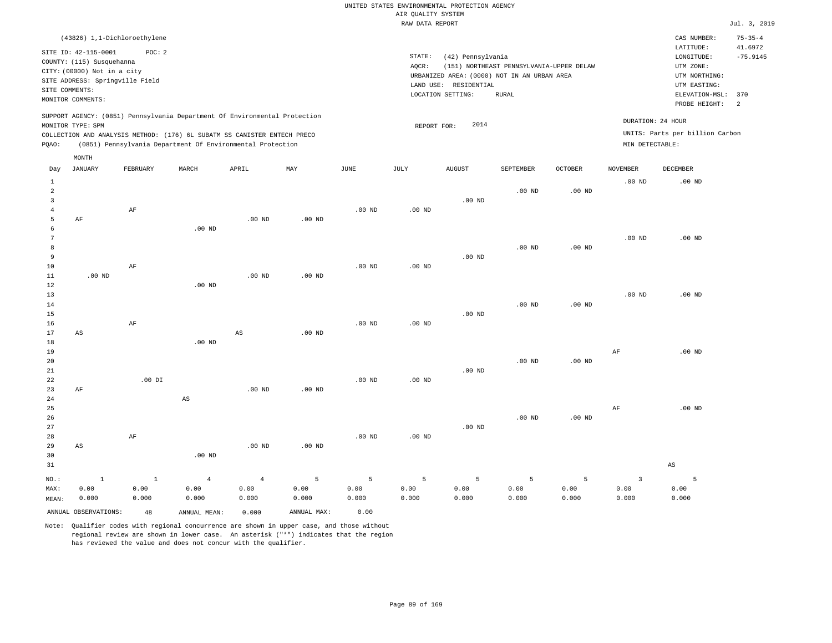| (43826) 1,1-Dichloroethylene                                                                                                                                                         |          |       |                                                            |     |             |                              |                                                       |                                                                                                  |                |                                      | CAS NUMBER:                                                                                 | $75 - 35 - 4$         |
|--------------------------------------------------------------------------------------------------------------------------------------------------------------------------------------|----------|-------|------------------------------------------------------------|-----|-------------|------------------------------|-------------------------------------------------------|--------------------------------------------------------------------------------------------------|----------------|--------------------------------------|---------------------------------------------------------------------------------------------|-----------------------|
| SITE ID: 42-115-0001<br>COUNTY: (115) Susquehanna<br>CITY: (00000) Not in a city<br>SITE ADDRESS: Springville Field<br>SITE COMMENTS:<br>MONITOR COMMENTS:                           | POC: 2   |       |                                                            |     |             | STATE:<br>AOCR:<br>LAND USE: | (42) Pennsylvania<br>RESIDENTIAL<br>LOCATION SETTING: | (151) NORTHEAST PENNSYLVANIA-UPPER DELAW<br>URBANIZED AREA: (0000) NOT IN AN URBAN AREA<br>RURAL |                |                                      | LATITUDE:<br>LONGITUDE:<br>UTM ZONE:<br>UTM NORTHING:<br>UTM EASTING:<br>ELEVATION-MSL: 370 | 41.6972<br>$-75.9145$ |
| SUPPORT AGENCY: (0851) Pennsylvania Department Of Environmental Protection<br>MONITOR TYPE: SPM<br>COLLECTION AND ANALYSIS METHOD: (176) 6L SUBATM SS CANISTER ENTECH PRECO<br>POAO: |          |       | (0851) Pennsylvania Department Of Environmental Protection |     |             |                              | 2014<br>REPORT FOR:                                   |                                                                                                  |                | DURATION: 24 HOUR<br>MIN DETECTABLE: | PROBE HEIGHT:<br>UNITS: Parts per billion Carbon                                            | $\overline{2}$        |
| MONTH<br>JANUARY<br>Day                                                                                                                                                              | FEBRUARY | MARCH | APRIL                                                      | MAY | <b>JUNE</b> | JULY                         | <b>AUGUST</b>                                         | SEPTEMBER                                                                                        | <b>OCTOBER</b> | NOVEMBER                             | DECEMBER                                                                                    |                       |

|                | ANNUAL OBSERVATIONS:   | 48            | ANNUAL MEAN:           | 0.000                  | ANNUAL MAX:   | 0.00          |               |               |               |                   |                         |                |
|----------------|------------------------|---------------|------------------------|------------------------|---------------|---------------|---------------|---------------|---------------|-------------------|-------------------------|----------------|
| MAX:<br>MEAN:  | 0.00<br>0.000          | 0.00<br>0.000 | 0.00<br>0.000          | 0.00<br>0.000          | 0.00<br>0.000 | 0.00<br>0.000 | 0.00<br>0.000 | 0.00<br>0.000 | 0.00<br>0.000 | 0.00<br>0.000     | 0.00<br>0.000           | 0.00<br>0.000  |
| NO.:           | $\,$ 1                 | $\mathbf{1}$  | $\overline{4}$         | $\sqrt{4}$             | 5             | 5             | 5             | 5             | 5             | 5                 | $\overline{\mathbf{3}}$ | $\overline{5}$ |
| 30<br>31       |                        |               | .00 $ND$               |                        |               |               |               |               |               |                   |                         | $_{\rm AS}$    |
| 28<br>29       | AS                     | $\rm{AF}$     |                        | $.00$ ND               | $.00$ ND      | $.00$ ND      | $.00$ ND      |               |               |                   |                         |                |
| 27             |                        |               |                        |                        |               |               |               | $.00$ ND      |               |                   |                         |                |
| 26             |                        |               |                        |                        |               |               |               |               | $.00$ ND      | .00 $ND$          |                         |                |
| 25             |                        |               |                        |                        |               |               |               |               |               |                   | $\rm{AF}$               | .00 $ND$       |
| 24             |                        |               | $\mathbb{A}\mathbb{S}$ |                        |               |               |               |               |               |                   |                         |                |
| 23             | AF                     |               |                        | $.00$ ND               | $.00$ ND      |               |               |               |               |                   |                         |                |
| 22             |                        | $.00$ DI      |                        |                        |               | $.00$ ND      | $.00$ ND      |               |               |                   |                         |                |
| 21             |                        |               |                        |                        |               |               |               | $.00$ ND      |               |                   |                         |                |
| 20             |                        |               |                        |                        |               |               |               |               | $.00$ ND      | $.00~\mathrm{ND}$ |                         |                |
| 19             |                        |               |                        |                        |               |               |               |               |               |                   | $\rm{AF}$               | .00 $ND$       |
| $1\,8$         |                        |               | $.00$ ND               |                        |               |               |               |               |               |                   |                         |                |
| 17             | $\mathbb{A}\mathbb{S}$ |               |                        | $\mathbb{A}\mathbb{S}$ | $.00$ ND      |               |               |               |               |                   |                         |                |
| 16             |                        | $\rm{AF}$     |                        |                        |               | .00 $ND$      | $.00$ ND      |               |               |                   |                         |                |
| 15             |                        |               |                        |                        |               |               |               | $.00$ ND      |               |                   |                         |                |
| $14\,$         |                        |               |                        |                        |               |               |               |               | $.00$ ND      | $.00$ ND          |                         |                |
| $13$           |                        |               |                        |                        |               |               |               |               |               |                   | $.00$ ND                | $.00$ ND       |
| $12\,$         |                        |               | $.00$ ND               |                        |               |               |               |               |               |                   |                         |                |
| 10<br>11       | $.00$ ND               | $\rm{AF}$     |                        | $.00$ ND               | $.00$ ND      | $.00$ ND      | $.00$ ND      |               |               |                   |                         |                |
| 9              |                        |               |                        |                        |               |               |               | $.00$ ND      |               |                   |                         |                |
| 8              |                        |               |                        |                        |               |               |               |               | $.00$ ND      | .00 $ND$          |                         |                |
| 7              |                        |               |                        |                        |               |               |               |               |               |                   | $.00$ ND                | .00 $ND$       |
| 6              |                        |               | $.00$ ND               |                        |               |               |               |               |               |                   |                         |                |
| 5              | $\rm AF$               |               |                        | $.00$ ND               | $.00$ ND      |               |               |               |               |                   |                         |                |
| $\overline{4}$ |                        | $\rm{AF}$     |                        |                        |               | $.00$ ND      | $.00$ ND      |               |               |                   |                         |                |
| $\overline{3}$ |                        |               |                        |                        |               |               |               | $.00$ ND      |               |                   |                         |                |
| $\overline{a}$ |                        |               |                        |                        |               |               |               |               | $.00$ ND      | .00 $ND$          |                         |                |
| $\mathbf{1}$   |                        |               |                        |                        |               |               |               |               |               |                   | $.00$ ND                | $.00$ ND       |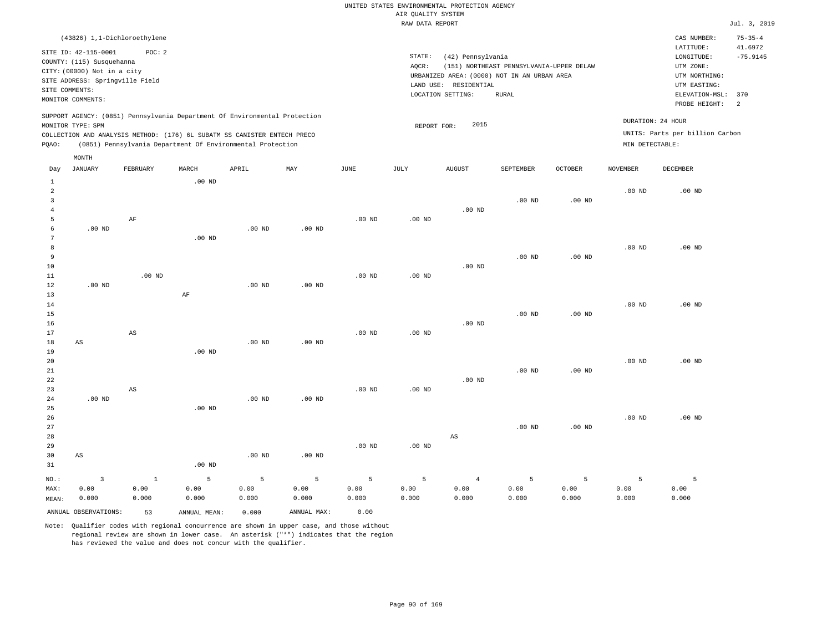| (43826) 1,1-Dichloroethylene                                                                                                                                                                                                                                |                                                                                                                                                                                        | CAS NUMBER:                                                                                                  | $75 - 35 - 4$               |
|-------------------------------------------------------------------------------------------------------------------------------------------------------------------------------------------------------------------------------------------------------------|----------------------------------------------------------------------------------------------------------------------------------------------------------------------------------------|--------------------------------------------------------------------------------------------------------------|-----------------------------|
| SITE ID: 42-115-0001<br>POC:2<br>COUNTY: (115) Susquehanna<br>CITY: (00000) Not in a city<br>SITE ADDRESS: Springville Field<br>SITE COMMENTS:<br>MONITOR COMMENTS:                                                                                         | STATE:<br>(42) Pennsylvania<br>(151) NORTHEAST PENNSYLVANIA-UPPER DELAW<br>AOCR:<br>URBANIZED AREA: (0000) NOT IN AN URBAN AREA<br>LAND USE: RESIDENTIAL<br>LOCATION SETTING:<br>RURAL | LATITUDE:<br>LONGITUDE:<br>UTM ZONE:<br>UTM NORTHING:<br>UTM EASTING:<br>ELEVATION-MSL: 370<br>PROBE HEIGHT: | 41.6972<br>$-75.9145$<br>-2 |
| SUPPORT AGENCY: (0851) Pennsylvania Department Of Environmental Protection<br>MONITOR TYPE: SPM<br>COLLECTION AND ANALYSIS METHOD: (176) 6L SUBATM SS CANISTER ENTECH PRECO<br>(0851) Pennsylvania Department Of Environmental Protection<br>POAO:<br>MONTH | 2015<br>REPORT FOR:                                                                                                                                                                    | DURATION: 24 HOUR<br>UNITS: Parts per billion Carbon<br>MIN DETECTABLE:                                      |                             |

| Day            | <b>JANUARY</b>          | ${\tt FEBRUARY}$       | $\tt MARCH$       | ${\tt APRIL}$ | $\ensuremath{\text{MAX}}$ | $\mathtt{JUNE}$   | JULY     | ${\tt AUGUST}$         | SEPTEMBER         | $OCTOBER$         | $\,$ NOVEMBER | DECEMBER |
|----------------|-------------------------|------------------------|-------------------|---------------|---------------------------|-------------------|----------|------------------------|-------------------|-------------------|---------------|----------|
| 1              |                         |                        | $.00$ ND          |               |                           |                   |          |                        |                   |                   |               |          |
| $\overline{a}$ |                         |                        |                   |               |                           |                   |          |                        |                   |                   | $.00$ ND      | $.00$ ND |
| 3              |                         |                        |                   |               |                           |                   |          |                        | $.00$ ND          | .00 <sub>ND</sub> |               |          |
| $\overline{4}$ |                         |                        |                   |               |                           |                   |          | $.00$ ND               |                   |                   |               |          |
| 5              |                         | AF                     |                   |               |                           | $.00$ ND          | $.00$ ND |                        |                   |                   |               |          |
| 6              | $.00$ ND                |                        |                   | $.00$ ND      | .00 <sub>ND</sub>         |                   |          |                        |                   |                   |               |          |
| 7              |                         |                        | $.00$ ND          |               |                           |                   |          |                        |                   |                   |               |          |
| 8              |                         |                        |                   |               |                           |                   |          |                        |                   |                   | $.00$ ND      | $.00$ ND |
| 9              |                         |                        |                   |               |                           |                   |          |                        | $.00$ ND          | .00 <sub>ND</sub> |               |          |
| 10             |                         |                        |                   |               |                           |                   |          | .00 <sub>ND</sub>      |                   |                   |               |          |
| 11             |                         | $.00$ ND               |                   |               |                           | $.00$ ND          | .00 $ND$ |                        |                   |                   |               |          |
| 12             | $.00$ ND                |                        |                   | $.00$ ND      | .00 <sub>ND</sub>         |                   |          |                        |                   |                   |               |          |
| 13             |                         |                        | $\rm AF$          |               |                           |                   |          |                        |                   |                   |               |          |
| $14\,$         |                         |                        |                   |               |                           |                   |          |                        |                   |                   | $.00$ ND      | $.00$ ND |
| 15             |                         |                        |                   |               |                           |                   |          |                        | $.00$ ND          | $.00$ ND          |               |          |
| 16             |                         |                        |                   |               |                           |                   |          | $.00$ ND               |                   |                   |               |          |
| 17             |                         | $\mathbb{A}\mathbb{S}$ |                   |               |                           | $.00$ ND          | $.00$ ND |                        |                   |                   |               |          |
| 18             | $\mathbb{A}\mathbb{S}$  |                        |                   | .00 $ND$      | $.00$ ND                  |                   |          |                        |                   |                   |               |          |
| 19             |                         |                        | $.00$ ND          |               |                           |                   |          |                        |                   |                   |               |          |
| 20             |                         |                        |                   |               |                           |                   |          |                        |                   |                   | $.00$ ND      | $.00$ ND |
| 21             |                         |                        |                   |               |                           |                   |          |                        | $.00$ ND          | .00 <sub>ND</sub> |               |          |
| 22             |                         |                        |                   |               |                           |                   |          | .00 $ND$               |                   |                   |               |          |
| 23             |                         | AS                     |                   |               |                           | .00 <sub>ND</sub> | $.00$ ND |                        |                   |                   |               |          |
| 24             | .00 $ND$                |                        |                   | $.00$ ND      | .00 <sub>ND</sub>         |                   |          |                        |                   |                   |               |          |
| 25             |                         |                        | .00 <sub>ND</sub> |               |                           |                   |          |                        |                   |                   |               |          |
| 26             |                         |                        |                   |               |                           |                   |          |                        |                   |                   | $.00$ ND      | $.00$ ND |
| 27             |                         |                        |                   |               |                           |                   |          |                        | .00 <sub>ND</sub> | .00 <sub>ND</sub> |               |          |
| 28             |                         |                        |                   |               |                           |                   |          | $\mathbb{A}\mathbb{S}$ |                   |                   |               |          |
| 29<br>30       | $\mathbb{A}\mathbb{S}$  |                        |                   | $.00$ ND      | .00 <sub>ND</sub>         | $.00$ ND          | .00 $ND$ |                        |                   |                   |               |          |
| 31             |                         |                        | .00 <sub>ND</sub> |               |                           |                   |          |                        |                   |                   |               |          |
|                |                         |                        |                   |               |                           |                   |          |                        |                   |                   |               |          |
| $_{\rm NO.}$ : | $\overline{\mathbf{3}}$ | $1\,$                  | 5                 | 5             | 5                         | $\overline{5}$    | 5        | $\overline{4}$         | 5                 | 5                 | 5             | 5        |
| MAX:           | 0.00                    | 0.00                   | 0.00              | 0.00          | 0.00                      | 0.00              | 0.00     | 0.00                   | 0.00              | 0.00              | 0.00          | 0.00     |
| MEAN:          | 0.000                   | 0.000                  | 0.000             | 0.000         | 0.000                     | 0.000             | 0.000    | 0.000                  | 0.000             | 0.000             | 0.000         | 0.000    |
|                | ANNUAL OBSERVATIONS:    | 53                     | ANNUAL MEAN:      | 0.000         | ANNUAL MAX:               | 0.00              |          |                        |                   |                   |               |          |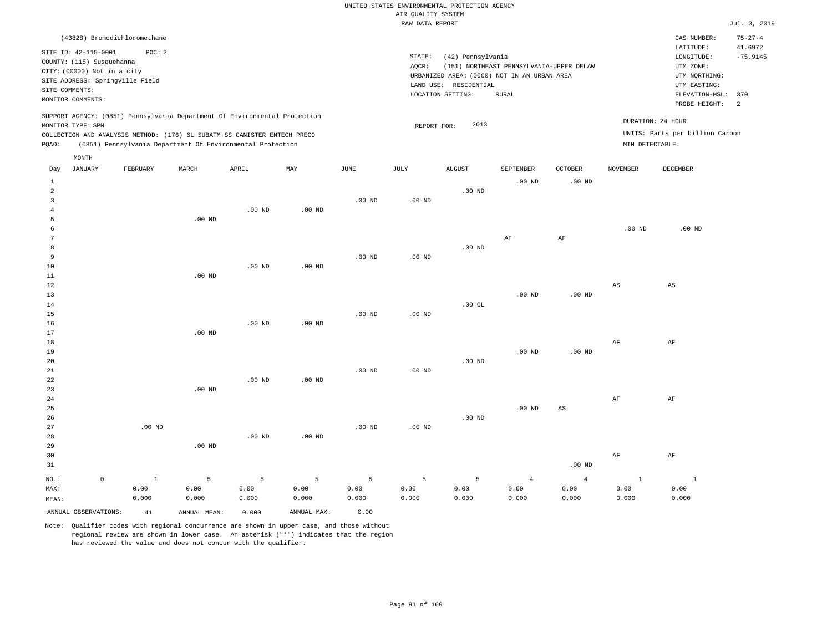|                                                                                                                         |                                                                                                                                                                                                                      |          |                      |                      |                      | RAW DATA REPORT               |                                                                                                                |                                                   |                |                   |                                                                                                                         | Jul. 3, 2019                                                    |
|-------------------------------------------------------------------------------------------------------------------------|----------------------------------------------------------------------------------------------------------------------------------------------------------------------------------------------------------------------|----------|----------------------|----------------------|----------------------|-------------------------------|----------------------------------------------------------------------------------------------------------------|---------------------------------------------------|----------------|-------------------|-------------------------------------------------------------------------------------------------------------------------|-----------------------------------------------------------------|
| SITE ID: 42-115-0001<br>COUNTY: (115) Susquehanna<br>CITY: (00000) Not in a city<br>SITE COMMENTS:<br>MONITOR COMMENTS: | (43828) Bromodichloromethane<br>POC: 2<br>SITE ADDRESS: Springville Field                                                                                                                                            |          |                      |                      |                      | STATE:<br>AQCR:               | (42) Pennsylvania<br>URBANIZED AREA: (0000) NOT IN AN URBAN AREA<br>LAND USE: RESIDENTIAL<br>LOCATION SETTING: | (151) NORTHEAST PENNSYLVANIA-UPPER DELAW<br>RURAL |                |                   | CAS NUMBER:<br>LATITUDE:<br>LONGITUDE:<br>UTM ZONE:<br>UTM NORTHING:<br>UTM EASTING:<br>ELEVATION-MSL:<br>PROBE HEIGHT: | $75 - 27 - 4$<br>41.6972<br>$-75.9145$<br>370<br>$\overline{2}$ |
| MONITOR TYPE: SPM<br>PQAO:                                                                                              | SUPPORT AGENCY: (0851) Pennsylvania Department Of Environmental Protection<br>COLLECTION AND ANALYSIS METHOD: (176) 6L SUBATM SS CANISTER ENTECH PRECO<br>(0851) Pennsylvania Department Of Environmental Protection |          |                      |                      |                      | REPORT FOR:                   | 2013                                                                                                           |                                                   |                | MIN DETECTABLE:   | DURATION: 24 HOUR<br>UNITS: Parts per billion Carbon                                                                    |                                                                 |
| MONTH<br>JANUARY<br>Day                                                                                                 | FEBRUARY                                                                                                                                                                                                             | MARCH    | APRIL                | MAY                  | JUNE                 | JULY                          | AUGUST                                                                                                         | SEPTEMBER                                         | <b>OCTOBER</b> | <b>NOVEMBER</b>   | DECEMBER                                                                                                                |                                                                 |
| 1<br>$\mathfrak{D}$<br>3<br>5<br>8                                                                                      |                                                                                                                                                                                                                      | $.00$ ND | $.00$ ND             | $.00$ ND             | .00 <sub>ND</sub>    | $.00$ ND                      | $.00$ ND<br>$.00$ ND                                                                                           | $.00$ ND<br>$\rm{AF}$                             | $.00$ ND<br>AF | .00 <sub>ND</sub> | $.00$ ND                                                                                                                |                                                                 |
| 9<br>10<br>11<br>12<br>13<br>14<br>15<br>16                                                                             |                                                                                                                                                                                                                      | $.00$ ND | $.00$ ND<br>$.00$ ND | $.00$ ND<br>$.00$ ND | $.00$ ND<br>$.00$ ND | $.00$ ND<br>.00 <sub>ND</sub> | .00CL                                                                                                          | $.00$ ND                                          | $.00$ ND       | AS                | AS                                                                                                                      |                                                                 |
| 17<br>18<br>19                                                                                                          |                                                                                                                                                                                                                      | $.00$ ND |                      |                      |                      |                               |                                                                                                                | $.00$ ND                                          | $.00$ ND       | AF                | AF                                                                                                                      |                                                                 |
|                                                                                                                         |                                                                                                                                                                                                                      |          |                      |                      |                      |                               | $\sim$ $\sim$ $\sim$ $\sim$                                                                                    |                                                   |                |                   |                                                                                                                         |                                                                 |

| 20      |         |              |          |          |          |          |          | $.00$ ND |                |                |      |      |
|---------|---------|--------------|----------|----------|----------|----------|----------|----------|----------------|----------------|------|------|
| 21      |         |              |          |          |          | $.00$ ND | $.00$ ND |          |                |                |      |      |
| 22      |         |              |          | $.00$ ND | $.00$ ND |          |          |          |                |                |      |      |
| 23      |         |              | $.00$ ND |          |          |          |          |          |                |                |      |      |
| 24      |         |              |          |          |          |          |          |          |                |                | AF   | AF   |
| 25      |         |              |          |          |          |          |          |          | $.00$ ND       | AS             |      |      |
| 26      |         |              |          |          |          |          |          | $.00$ ND |                |                |      |      |
| 27      |         | $.00$ ND     |          |          |          | $.00$ ND | $.00$ ND |          |                |                |      |      |
| 28      |         |              |          | $.00$ ND | $.00$ ND |          |          |          |                |                |      |      |
| 29      |         |              | $.00$ ND |          |          |          |          |          |                |                |      |      |
| 30      |         |              |          |          |          |          |          |          |                |                | AF   | AF   |
| 31      |         |              |          |          |          |          |          |          |                | $.00$ ND       |      |      |
| $NO.$ : | $\circ$ | <sup>1</sup> | 5        | 5        | 5        | 5        | 5        | 5        | $\overline{4}$ | $\overline{4}$ |      |      |
| MAX:    |         | 0.00         | 0.00     | 0.00     | 0.00     | 0.00     | 0.00     | 0.00     | 0.00           | 0.00           | 0.00 | 0.00 |

| -----                |       |              |       |             |       |       |        |       |       |       |  |
|----------------------|-------|--------------|-------|-------------|-------|-------|--------|-------|-------|-------|--|
| MAX:                 | 0.00  |              | 0.00  | J.00        | 0.00  | 0.00  | 0.00   | 0.00  | 0.00  | 0.00  |  |
| MEAN:                | 0.000 | 0.000        | 0.000 | J.000       | J.000 | 0.000 | 000. ن | 0.000 | 0.000 | 0.000 |  |
| ANNUAL OBSERVATIONS: | 41    | ANNUAL MEAN: | 0.000 | ANNUAL MAX: | 0.00  |       |        |       |       |       |  |

Note: Qualifier codes with regional concurrence are shown in upper case, and those without regional review are shown in lower case. An asterisk ("\*") indicates that the region has reviewed the value and does not concur with the qualifier.

0.000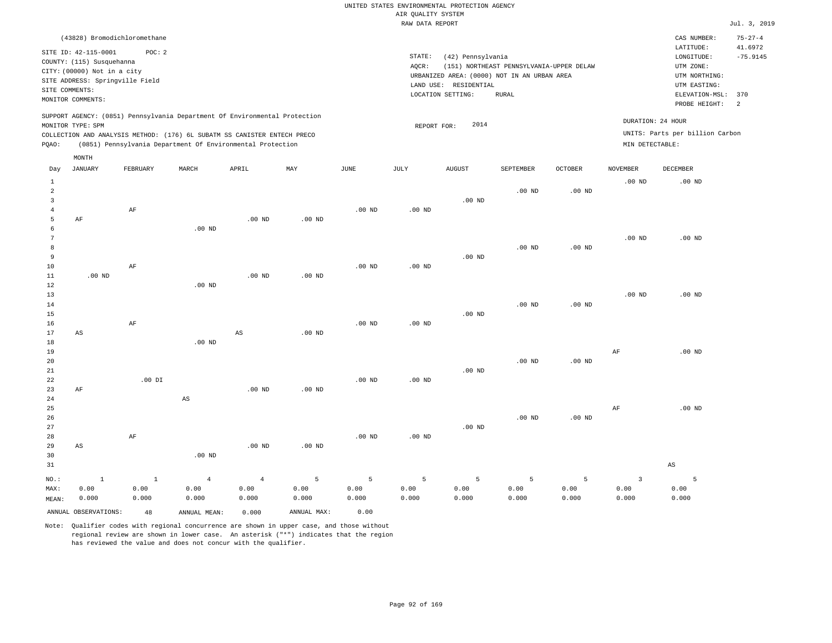|       |                                                                                                                         |                                           |       |                                                                                                                                                                                                                      |                   |             | RAW DATA REPORT              |                                                       |                                                                                                  |                                     |                                      |                                                                                                          | Jul. 3, 2019                                 |
|-------|-------------------------------------------------------------------------------------------------------------------------|-------------------------------------------|-------|----------------------------------------------------------------------------------------------------------------------------------------------------------------------------------------------------------------------|-------------------|-------------|------------------------------|-------------------------------------------------------|--------------------------------------------------------------------------------------------------|-------------------------------------|--------------------------------------|----------------------------------------------------------------------------------------------------------|----------------------------------------------|
|       |                                                                                                                         | (43828) Bromodichloromethane              |       |                                                                                                                                                                                                                      |                   |             |                              |                                                       |                                                                                                  |                                     |                                      | CAS NUMBER:                                                                                              | $75 - 27 - 4$                                |
|       | SITE ID: 42-115-0001<br>COUNTY: (115) Susquehanna<br>CITY: (00000) Not in a city<br>SITE COMMENTS:<br>MONITOR COMMENTS: | POC: 2<br>SITE ADDRESS: Springville Field |       |                                                                                                                                                                                                                      |                   |             | STATE:<br>AQCR:<br>LAND USE: | (42) Pennsylvania<br>RESIDENTIAL<br>LOCATION SETTING: | (151) NORTHEAST PENNSYLVANIA-UPPER DELAW<br>URBANIZED AREA: (0000) NOT IN AN URBAN AREA<br>RURAL |                                     |                                      | LATITUDE:<br>LONGITUDE:<br>UTM ZONE:<br>UTM NORTHING:<br>UTM EASTING:<br>ELEVATION-MSL:<br>PROBE HEIGHT: | 41.6972<br>$-75.9145$<br>370<br><sup>2</sup> |
| POAO: | MONITOR TYPE: SPM                                                                                                       |                                           |       | SUPPORT AGENCY: (0851) Pennsylvania Department Of Environmental Protection<br>COLLECTION AND ANALYSIS METHOD: (176) 6L SUBATM SS CANISTER ENTECH PRECO<br>(0851) Pennsylvania Department Of Environmental Protection |                   |             | REPORT FOR:                  | 2014                                                  |                                                                                                  |                                     | DURATION: 24 HOUR<br>MIN DETECTABLE: | UNITS: Parts per billion Carbon                                                                          |                                              |
| Day   | MONTH<br>JANUARY                                                                                                        | FEBRUARY                                  | MARCH | APRIL                                                                                                                                                                                                                | MAY               | <b>JUNE</b> | JULY                         | <b>AUGUST</b>                                         | <b>SEPTEMBER</b><br>.00 <sub>ND</sub>                                                            | <b>OCTOBER</b><br>.00 <sub>ND</sub> | NOVEMBER<br>$.00$ ND                 | DECEMBER<br>$.00$ ND                                                                                     |                                              |
|       | AF                                                                                                                      | AF                                        |       | $.00$ ND                                                                                                                                                                                                             | .00 <sub>ND</sub> | $.00$ ND    | $.00$ ND                     | $.00$ ND                                              |                                                                                                  |                                     |                                      |                                                                                                          |                                              |

| b  |          |    | $.00$ ND |          |                   |          |          |          |          |          |          |          |
|----|----------|----|----------|----------|-------------------|----------|----------|----------|----------|----------|----------|----------|
| 7  |          |    |          |          |                   |          |          |          |          |          | $.00$ ND | $.00$ ND |
| 8  |          |    |          |          |                   |          |          |          | $.00$ ND | $.00$ ND |          |          |
| 9  |          |    |          |          |                   |          |          | $.00$ ND |          |          |          |          |
| 10 |          | AF |          |          |                   | $.00$ ND | $.00$ ND |          |          |          |          |          |
| 11 | $.00$ ND |    |          | $.00$ ND | .00 <sub>ND</sub> |          |          |          |          |          |          |          |
| 12 |          |    | $.00$ ND |          |                   |          |          |          |          |          |          |          |
| 13 |          |    |          |          |                   |          |          |          |          |          | $.00$ ND | $.00$ ND |

| 14 |    |    |                   |    |                   |          |          |          | $.00$ ND | $.00$ ND |    |                   |
|----|----|----|-------------------|----|-------------------|----------|----------|----------|----------|----------|----|-------------------|
| 15 |    |    |                   |    |                   |          |          | $.00$ ND |          |          |    |                   |
| 16 |    | AF |                   |    |                   | $.00$ ND | $.00$ ND |          |          |          |    |                   |
| 17 | AS |    |                   | AS | .00 <sub>ND</sub> |          |          |          |          |          |    |                   |
| 18 |    |    | .00 <sub>ND</sub> |    |                   |          |          |          |          |          |    |                   |
| 19 |    |    |                   |    |                   |          |          |          |          |          | AF | .00 <sub>ND</sub> |

| 20 <sub>o</sub> |    |          |    |          |          |          |          | $.00$ ND | $.00$ ND |  |
|-----------------|----|----------|----|----------|----------|----------|----------|----------|----------|--|
| $21\,$          |    |          |    |          |          |          | .00 $ND$ |          |          |  |
| 22              |    | $.00$ DI |    |          | $.00$ ND | $.00$ ND |          |          |          |  |
| 23              | AF |          |    | $.00$ ND | $.00$ ND |          |          |          |          |  |
| 24              |    |          | AS |          |          |          |          |          |          |  |

| 24     |    |    | AS       |          |          |          |                   |          |          |          |    |          |
|--------|----|----|----------|----------|----------|----------|-------------------|----------|----------|----------|----|----------|
| 25     |    |    |          |          |          |          |                   |          |          |          | AF | $.00$ ND |
| 26     |    |    |          |          |          |          |                   |          | $.00$ ND | $.00$ ND |    |          |
| 27     |    |    |          |          |          |          |                   | $.00$ ND |          |          |    |          |
| $2\,8$ |    | AF |          |          |          | $.00$ ND | .00 <sub>ND</sub> |          |          |          |    |          |
| 29     | AS |    |          | $.00$ ND | $.00$ ND |          |                   |          |          |          |    |          |
| 30     |    |    | $.00$ ND |          |          |          |                   |          |          |          |    |          |

|         |       | . vv nu |       |       |       |       |       |       |       |       |       |
|---------|-------|---------|-------|-------|-------|-------|-------|-------|-------|-------|-------|
|         |       |         |       |       |       |       |       |       |       |       |       |
| $NO.$ : |       |         |       |       |       |       |       |       |       |       |       |
| 0.00    | 0.00  | 0.00    | 0.00  | 0.00  | 0.00  | 0.00  | 0.00  | 0.00  | 0.00  | 0.00  | 0.00  |
| 0.000   | 0.000 | 0.000   | 0.000 | 0.000 | 0.000 | 0.000 | 0.000 | 0.000 | 0.000 | 0.000 | 0.000 |
|         |       |         |       |       |       |       |       |       |       |       |       |

ANNUAL OBSERVATIONS: 48 ANNUAL MEAN: 0.000 ANNUAL MAX: 0.00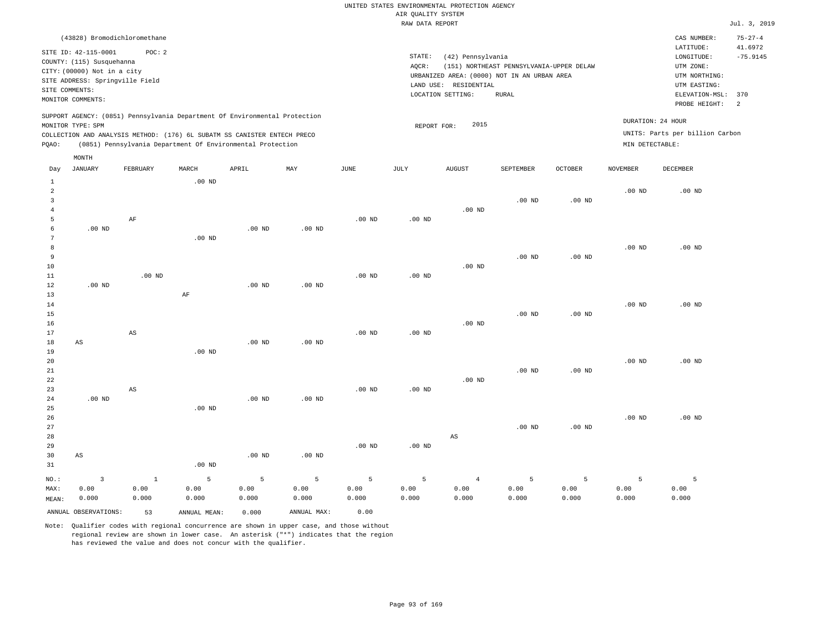|                                                                            | (43828) Bromodichloromethane                               |       |       |     |      |      |                       |                                             |                |                   | CAS NUMBER:                     | $75 - 27 - 4$ |
|----------------------------------------------------------------------------|------------------------------------------------------------|-------|-------|-----|------|------|-----------------------|---------------------------------------------|----------------|-------------------|---------------------------------|---------------|
| SITE ID: 42-115-0001                                                       | POC:2                                                      |       |       |     |      |      |                       |                                             |                |                   | LATITUDE:                       | 41.6972       |
| COUNTY: (115) Susquehanna                                                  |                                                            |       |       |     |      |      | STATE:                | (42) Pennsylvania                           |                |                   | LONGITUDE:                      | $-75.9145$    |
| CITY: (00000) Not in a city                                                |                                                            |       |       |     |      |      | AQCR:                 | (151) NORTHEAST PENNSYLVANIA-UPPER DELAW    |                |                   | UTM ZONE:                       |               |
|                                                                            |                                                            |       |       |     |      |      |                       | URBANIZED AREA: (0000) NOT IN AN URBAN AREA |                |                   | UTM NORTHING:                   |               |
| SITE ADDRESS: Springville Field                                            |                                                            |       |       |     |      |      | LAND USE: RESIDENTIAL |                                             |                |                   | UTM EASTING:                    |               |
| SITE COMMENTS:                                                             |                                                            |       |       |     |      |      | LOCATION SETTING:     | RURAL                                       |                |                   | ELEVATION-MSL:                  | 370           |
| MONITOR COMMENTS:                                                          |                                                            |       |       |     |      |      |                       |                                             |                |                   | PROBE HEIGHT:                   | 2             |
| SUPPORT AGENCY: (0851) Pennsylvania Department Of Environmental Protection |                                                            |       |       |     |      |      |                       |                                             |                |                   |                                 |               |
| MONITOR TYPE: SPM                                                          |                                                            |       |       |     |      |      | REPORT FOR:           | 2015                                        |                | DURATION: 24 HOUR |                                 |               |
| COLLECTION AND ANALYSIS METHOD: (176) 6L SUBATM SS CANISTER ENTECH PRECO   |                                                            |       |       |     |      |      |                       |                                             |                |                   | UNITS: Parts per billion Carbon |               |
| POAO:                                                                      | (0851) Pennsylvania Department Of Environmental Protection |       |       |     |      |      |                       |                                             |                | MIN DETECTABLE:   |                                 |               |
| MONTH                                                                      |                                                            |       |       |     |      |      |                       |                                             |                |                   |                                 |               |
|                                                                            |                                                            |       |       |     |      |      |                       |                                             |                |                   |                                 |               |
| JANUARY<br>Day                                                             | FEBRUARY                                                   | MARCH | APRIL | MAY | JUNE | JULY | AUGUST                | SEPTEMBER                                   | <b>OCTOBER</b> | <b>NOVEMBER</b>   | DECEMBER                        |               |

| 1              |                        |                        | $.00$ ND          |          |             |          |          |                        |          |          |          |          |
|----------------|------------------------|------------------------|-------------------|----------|-------------|----------|----------|------------------------|----------|----------|----------|----------|
| $\overline{a}$ |                        |                        |                   |          |             |          |          |                        |          |          | $.00$ ND | $.00$ ND |
| 3              |                        |                        |                   |          |             |          |          |                        | $.00$ ND | $.00$ ND |          |          |
| $\overline{4}$ |                        |                        |                   |          |             |          |          | $.00$ ND               |          |          |          |          |
| 5              |                        | AF                     |                   |          |             | $.00$ ND | $.00$ ND |                        |          |          |          |          |
| 6              | $.00$ ND               |                        |                   | $.00$ ND | $.00$ ND    |          |          |                        |          |          |          |          |
| 7              |                        |                        | .00 <sub>ND</sub> |          |             |          |          |                        |          |          |          |          |
| 8              |                        |                        |                   |          |             |          |          |                        |          |          | $.00$ ND | $.00$ ND |
| 9              |                        |                        |                   |          |             |          |          |                        | $.00$ ND | $.00$ ND |          |          |
| 10             |                        |                        |                   |          |             |          |          | $.00$ ND               |          |          |          |          |
| $11\,$         |                        | $.00$ ND               |                   |          |             | $.00$ ND | $.00$ ND |                        |          |          |          |          |
| 12             | $.00$ ND               |                        |                   | $.00$ ND | $.00$ ND    |          |          |                        |          |          |          |          |
| 13             |                        |                        | $\rm AF$          |          |             |          |          |                        |          |          |          |          |
| 14             |                        |                        |                   |          |             |          |          |                        |          |          | $.00$ ND | $.00$ ND |
| 15             |                        |                        |                   |          |             |          |          |                        | $.00$ ND | $.00$ ND |          |          |
| 16             |                        |                        |                   |          |             |          |          | $.00$ ND               |          |          |          |          |
| 17             |                        | $\mathbb{A}\mathbb{S}$ |                   |          |             | $.00$ ND | $.00$ ND |                        |          |          |          |          |
| 18             | $\mathbb{A}\mathbb{S}$ |                        |                   | $.00$ ND | $.00$ ND    |          |          |                        |          |          |          |          |
| 19             |                        |                        | $.00$ ND          |          |             |          |          |                        |          |          |          |          |
| 20             |                        |                        |                   |          |             |          |          |                        |          |          | $.00$ ND | $.00$ ND |
| 21             |                        |                        |                   |          |             |          |          |                        | $.00$ ND | $.00$ ND |          |          |
| 22             |                        |                        |                   |          |             |          |          | $.00$ ND               |          |          |          |          |
| 23             |                        | $\mathbb{A}\mathbb{S}$ |                   |          |             | $.00$ ND | $.00$ ND |                        |          |          |          |          |
| 24             | $.00$ ND               |                        |                   | $.00$ ND | $.00$ ND    |          |          |                        |          |          |          |          |
| 25             |                        |                        | $.00$ ND          |          |             |          |          |                        |          |          |          |          |
| 26             |                        |                        |                   |          |             |          |          |                        |          |          | $.00$ ND | $.00$ ND |
| 27             |                        |                        |                   |          |             |          |          |                        | $.00$ ND | $.00$ ND |          |          |
| 28             |                        |                        |                   |          |             |          |          | $\mathbb{A}\mathbb{S}$ |          |          |          |          |
| 29             |                        |                        |                   |          |             | $.00$ ND | $.00$ ND |                        |          |          |          |          |
| 30             | AS                     |                        |                   | $.00$ ND | $.00$ ND    |          |          |                        |          |          |          |          |
| 31             |                        |                        | .00 <sub>ND</sub> |          |             |          |          |                        |          |          |          |          |
| $_{\rm NO.}$ : | $\overline{3}$         | $\mathbf{1}$           | 5                 | 5        | 5           | 5        | 5        | $\overline{4}$         | 5        | 5        | 5        | 5        |
| MAX:           | 0.00                   | 0.00                   | 0.00              | 0.00     | 0.00        | 0.00     | 0.00     | 0.00                   | 0.00     | 0.00     | 0.00     | 0.00     |
| MEAN:          | 0.000                  | 0.000                  | 0.000             | 0.000    | 0.000       | 0.000    | 0.000    | 0.000                  | 0.000    | 0.000    | 0.000    | 0.000    |
|                | ANNUAL OBSERVATIONS:   | 53                     | ANNUAL MEAN:      | 0.000    | ANNUAL MAX: | 0.00     |          |                        |          |          |          |          |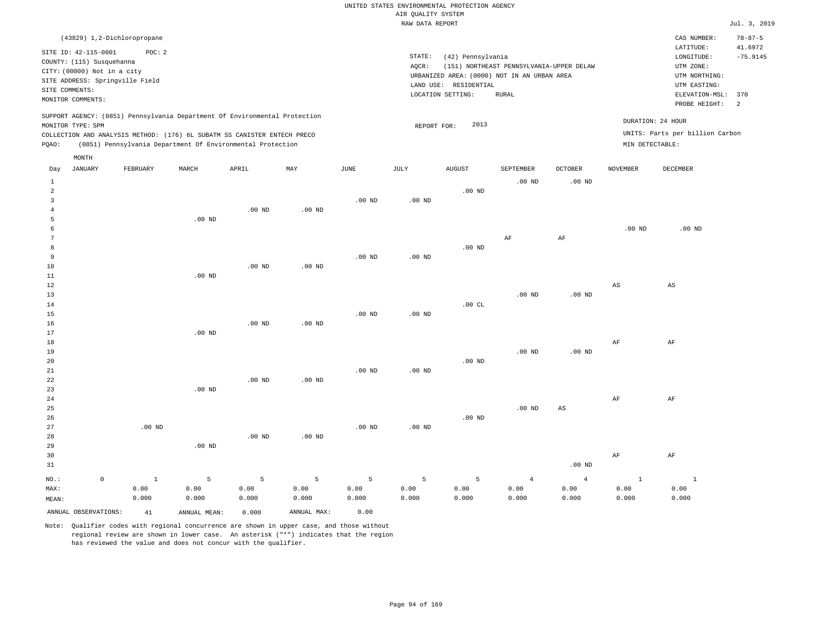|       | (43829) 1,2-Dichloropropane                                                                                                        |          |          |                                                                                                                                                                                                                      |          |          |                    |                                  |                                                                                                  |                |                                      | CAS NUMBER:                                                                                 | $78 - 87 - 5$ |
|-------|------------------------------------------------------------------------------------------------------------------------------------|----------|----------|----------------------------------------------------------------------------------------------------------------------------------------------------------------------------------------------------------------------|----------|----------|--------------------|----------------------------------|--------------------------------------------------------------------------------------------------|----------------|--------------------------------------|---------------------------------------------------------------------------------------------|---------------|
|       | SITE ID: 42-115-0001                                                                                                               | POC:2    |          |                                                                                                                                                                                                                      |          |          | STATE:             | (42) Pennsylvania                |                                                                                                  |                |                                      | 41.6972<br>$-75.9145$                                                                       |               |
|       | COUNTY: (115) Susquehanna<br>CITY: (00000) Not in a city<br>SITE ADDRESS: Springville Field<br>SITE COMMENTS:<br>MONITOR COMMENTS: |          |          |                                                                                                                                                                                                                      |          |          | AQCR:<br>LAND USE: | RESIDENTIAL<br>LOCATION SETTING: | (151) NORTHEAST PENNSYLVANIA-UPPER DELAW<br>URBANIZED AREA: (0000) NOT IN AN URBAN AREA<br>RURAL |                |                                      | LONGITUDE:<br>UTM ZONE:<br>UTM NORTHING:<br>UTM EASTING:<br>ELEVATION-MSL:<br>PROBE HEIGHT: | 370<br>-2     |
| POAO: | MONITOR TYPE: SPM                                                                                                                  |          |          | SUPPORT AGENCY: (0851) Pennsylvania Department Of Environmental Protection<br>COLLECTION AND ANALYSIS METHOD: (176) 6L SUBATM SS CANISTER ENTECH PRECO<br>(0851) Pennsylvania Department Of Environmental Protection |          |          | REPORT FOR:        | 2013                             |                                                                                                  |                | DURATION: 24 HOUR<br>MIN DETECTABLE: | UNITS: Parts per billion Carbon                                                             |               |
| Day   | MONTH<br>JANUARY                                                                                                                   | FEBRUARY | MARCH    | APRIL                                                                                                                                                                                                                | MAY      | JUNE     | JULY               | <b>AUGUST</b>                    | SEPTEMBER                                                                                        | <b>OCTOBER</b> | <b>NOVEMBER</b>                      | DECEMBER                                                                                    |               |
| 2     |                                                                                                                                    |          |          |                                                                                                                                                                                                                      |          |          |                    | $.00$ ND                         | $.00$ ND                                                                                         | $.00$ ND       |                                      |                                                                                             |               |
|       |                                                                                                                                    |          |          | $.00$ ND                                                                                                                                                                                                             | $.00$ ND | $.00$ ND | .00 <sub>ND</sub>  |                                  |                                                                                                  |                |                                      |                                                                                             |               |
|       |                                                                                                                                    |          | $.00$ ND |                                                                                                                                                                                                                      |          |          |                    |                                  |                                                                                                  |                |                                      |                                                                                             |               |

|    |          |          |          |          |                   |    |    | .00 <sub>ND</sub> | $.00$ ND |
|----|----------|----------|----------|----------|-------------------|----|----|-------------------|----------|
|    |          |          |          |          |                   | AF | AF |                   |          |
| -8 |          |          |          |          | .00 <sub>ND</sub> |    |    |                   |          |
| -9 |          |          | $.00$ ND | $.00$ ND |                   |    |    |                   |          |
| 10 | $.00$ ND | $.00$ ND |          |          |                   |    |    |                   |          |

| $11\,$      | $.00$ ND |          |          |          |          |          |          |          |             |    |
|-------------|----------|----------|----------|----------|----------|----------|----------|----------|-------------|----|
| $12\,$      |          |          |          |          |          |          |          |          | $_{\rm AS}$ | AS |
| 13          |          |          |          |          |          |          | $.00$ ND | $.00$ ND |             |    |
| $14\,$      |          |          |          |          |          | .00CL    |          |          |             |    |
| $15\,$      |          |          |          | $.00$ ND | $.00$ ND |          |          |          |             |    |
| $16$        |          | $.00$ ND | $.00$ ND |          |          |          |          |          |             |    |
| 17          | $.00$ ND |          |          |          |          |          |          |          |             |    |
| 18          |          |          |          |          |          |          |          |          | AF          | AF |
| $19$        |          |          |          |          |          |          | $.00$ ND | $.00$ ND |             |    |
| 20          |          |          |          |          |          | $.00$ ND |          |          |             |    |
| $2\sqrt{1}$ |          |          |          | $.00$ ND | $.00$ ND |          |          |          |             |    |
| $2\sqrt{2}$ |          | $.00$ ND | $.00$ ND |          |          |          |          |          |             |    |
| 23          | $.00$ ND |          |          |          |          |          |          |          |             |    |
| 24          |          |          |          |          |          |          |          |          | AF          | AF |

| 25 |          |          |          |          |          |          |          | $.00$ ND | AS |    |    |
|----|----------|----------|----------|----------|----------|----------|----------|----------|----|----|----|
| 26 |          |          |          |          |          |          | $.00$ ND |          |    |    |    |
| 27 | $.00$ ND |          |          |          | $.00$ ND | $.00$ ND |          |          |    |    |    |
| 28 |          |          | $.00$ ND | $.00$ ND |          |          |          |          |    |    |    |
| 29 |          | $.00$ ND |          |          |          |          |          |          |    |    |    |
| 30 |          |          |          |          |          |          |          |          |    | AF | AF |

| ں ر   |       |       |       |       |       |       |       |       |          | FM.   | -211  |
|-------|-------|-------|-------|-------|-------|-------|-------|-------|----------|-------|-------|
| 31    |       |       |       |       |       |       |       |       | $.00$ ND |       |       |
| NO.:  |       |       |       |       |       |       |       |       |          |       |       |
| MAX:  | 0.00  | 0.00  | 0.00  | 0.00  | 0.00  | 0.00  | 0.00  | 0.00  | 0.00     | 0.00  | 0.00  |
| MEAN: | 0.000 | 0.000 | 0.000 | 0.000 | 0.000 | 0.000 | 0.000 | 0.000 | 0.000    | 0.000 | 0.000 |
|       |       |       |       |       |       |       |       |       |          |       |       |

ANNUAL OBSERVATIONS: 41 ANNUAL MEAN: 0.000 ANNUAL MAX: 0.00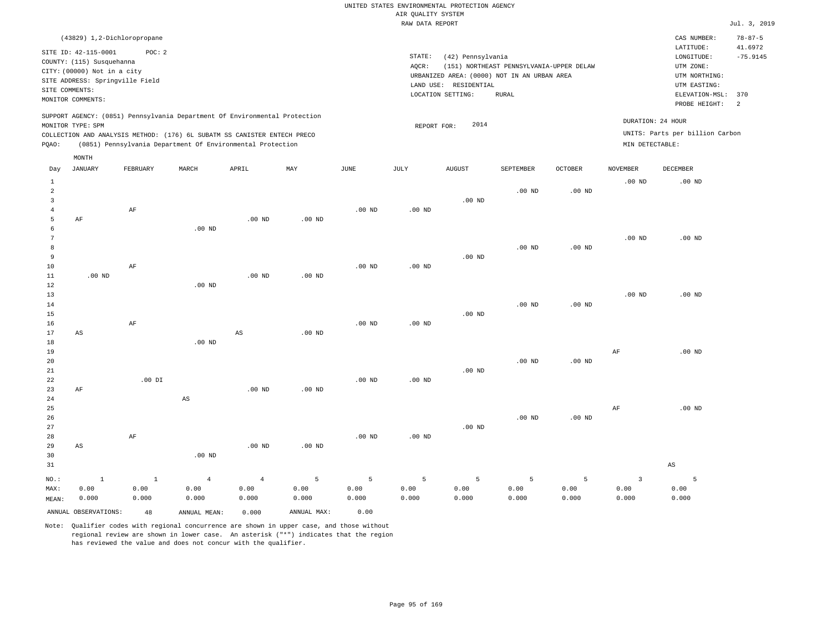| (43829) 1,2-Dichloropropane                                                                                                                                                                                                                        |                                                                                                                                                                                        | $78 - 87 - 5$<br>CAS NUMBER:                                                                                                          |
|----------------------------------------------------------------------------------------------------------------------------------------------------------------------------------------------------------------------------------------------------|----------------------------------------------------------------------------------------------------------------------------------------------------------------------------------------|---------------------------------------------------------------------------------------------------------------------------------------|
| SITE ID: 42-115-0001<br>POC: 2<br>COUNTY: (115) Susquehanna<br>CITY: (00000) Not in a city<br>SITE ADDRESS: Springville Field<br>SITE COMMENTS:<br>MONITOR COMMENTS:                                                                               | STATE:<br>(42) Pennsylvania<br>(151) NORTHEAST PENNSYLVANIA-UPPER DELAW<br>AOCR:<br>URBANIZED AREA: (0000) NOT IN AN URBAN AREA<br>LAND USE: RESIDENTIAL<br>LOCATION SETTING:<br>RURAL | 41.6972<br>LATITUDE:<br>$-75.9145$<br>LONGITUDE:<br>UTM ZONE:<br>UTM NORTHING:<br>UTM EASTING:<br>ELEVATION-MSL: 370<br>PROBE HEIGHT: |
| SUPPORT AGENCY: (0851) Pennsylvania Department Of Environmental Protection<br>MONITOR TYPE: SPM<br>COLLECTION AND ANALYSIS METHOD: (176) 6L SUBATM SS CANISTER ENTECH PRECO<br>(0851) Pennsylvania Department Of Environmental Protection<br>POAO: | 2014<br>REPORT FOR:                                                                                                                                                                    | DURATION: 24 HOUR<br>UNITS: Parts per billion Carbon<br>MIN DETECTABLE:                                                               |

|                                              | MONTH                         |                         |                                 |                                 |                    |                    |                    |                    |                    |                    |                                          |                        |
|----------------------------------------------|-------------------------------|-------------------------|---------------------------------|---------------------------------|--------------------|--------------------|--------------------|--------------------|--------------------|--------------------|------------------------------------------|------------------------|
| Day                                          | JANUARY                       | FEBRUARY                | MARCH                           | APRIL                           | MAY                | JUNE               | JULY               | <b>AUGUST</b>      | SEPTEMBER          | OCTOBER            | NOVEMBER                                 | DECEMBER               |
| $\mathbf{1}$<br>$\overline{\mathbf{c}}$<br>3 |                               |                         |                                 |                                 |                    |                    |                    | $.00$ ND           | $.00$ ND           | $.00$ ND           | $.00$ ND                                 | $.00$ ND               |
| $\overline{4}$<br>5<br>6<br>7                | $\rm{AF}$                     | AF                      | $.00$ ND                        | $.00$ ND                        | $.00$ ND           | $.00$ ND           | $.00$ ND           |                    |                    |                    | $.00$ ND                                 | $.00$ ND               |
| 8<br>9<br>10                                 |                               | $\rm AF$                |                                 |                                 |                    | $.00$ ND           | $.00$ ND           | $.00$ ND           | $.00$ ND           | $.00$ ND           |                                          |                        |
| 11<br>12<br>13<br>14                         | $.00$ ND                      |                         | $.00$ ND                        | .00 <sub>ND</sub>               | $.00$ ND           |                    |                    |                    | $.00$ ND           | $.00$ ND           | $.00$ ND                                 | $.00$ ND               |
| 15<br>16<br>17                               | $\mathbb{A}\mathbb{S}$        | $\rm{AF}$               |                                 | $\mathbb{A}\mathbb{S}$          | $.00$ ND           | $.00$ ND           | $.00$ ND           | $.00$ ND           |                    |                    |                                          |                        |
| 18<br>19<br>20<br>21                         |                               |                         | $.00$ ND                        |                                 |                    |                    |                    | $.00$ ND           | $.00$ ND           | $.00$ ND           | $\rm{AF}$                                | $.00$ ND               |
| 22<br>23<br>24                               | $\rm AF$                      | $.00$ DI                | $\mathbb{A}\mathbb{S}$          | .00 <sub>ND</sub>               | $.00$ ND           | .00 <sub>ND</sub>  | .00 <sub>ND</sub>  |                    |                    |                    |                                          |                        |
| 25<br>26<br>27<br>28                         |                               | $\rm AF$                |                                 |                                 |                    | $.00$ ND           | .00 <sub>ND</sub>  | .00 $ND$           | $.00$ ND           | $.00$ ND           | $\rm{AF}$                                | $.00$ ND               |
| 29<br>30<br>31                               | $\mathbb{A}\mathbb{S}$        |                         | $.00$ ND                        | $.00$ ND                        | $.00$ ND           |                    |                    |                    |                    |                    |                                          | $\mathbb{A}\mathbb{S}$ |
| $NO.$ :<br>MAX:<br>MEAN:                     | $\mathbf{1}$<br>0.00<br>0.000 | $\,$ 1<br>0.00<br>0.000 | $\overline{4}$<br>0.00<br>0.000 | $\overline{4}$<br>0.00<br>0.000 | 5<br>0.00<br>0.000 | 5<br>0.00<br>0.000 | 5<br>0.00<br>0.000 | 5<br>0.00<br>0.000 | 5<br>0.00<br>0.000 | 5<br>0.00<br>0.000 | $\overline{\mathbf{3}}$<br>0.00<br>0.000 | 5<br>0.00<br>0.000     |
|                                              | ANNUAL OBSERVATIONS:          | 48                      | ANNUAL MEAN:                    | 0.000                           | ANNUAL MAX:        | 0.00               |                    |                    |                    |                    |                                          |                        |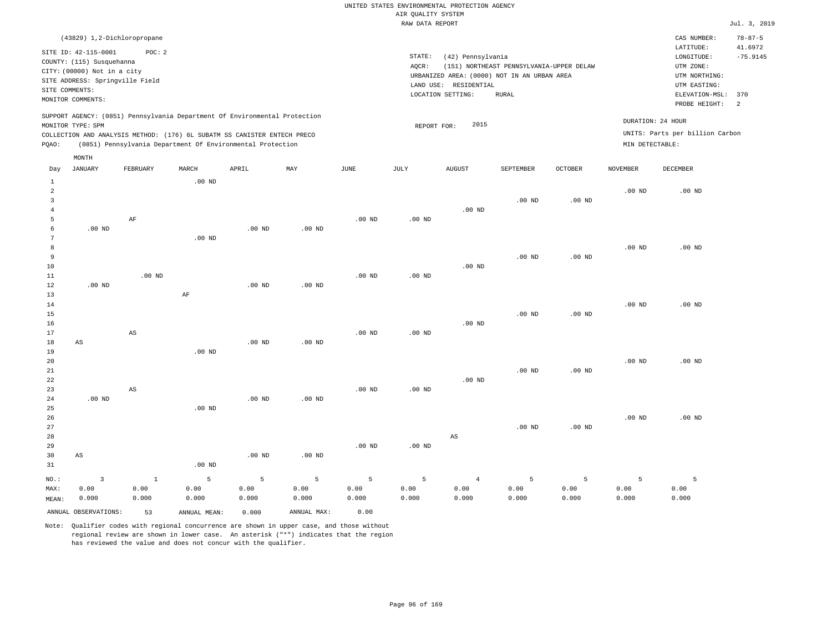|                | (43829) 1,2-Dichloropropane                                                                                                                                                 |          |          |       |     |      |                   |                                             |                                          |                |                 | CAS NUMBER:                                          | $78 - 87 - 5$ |
|----------------|-----------------------------------------------------------------------------------------------------------------------------------------------------------------------------|----------|----------|-------|-----|------|-------------------|---------------------------------------------|------------------------------------------|----------------|-----------------|------------------------------------------------------|---------------|
|                |                                                                                                                                                                             |          |          |       |     |      |                   |                                             |                                          |                |                 | LATITUDE:                                            | 41.6972       |
|                | SITE ID: 42-115-0001                                                                                                                                                        | POC:2    |          |       |     |      | STATE:            | (42) Pennsylvania                           |                                          |                |                 | LONGITUDE:                                           | $-75.9145$    |
|                | COUNTY: (115) Susquehanna                                                                                                                                                   |          |          |       |     |      | AQCR:             |                                             | (151) NORTHEAST PENNSYLVANIA-UPPER DELAW |                |                 | UTM ZONE:                                            |               |
|                | CITY: (00000) Not in a city                                                                                                                                                 |          |          |       |     |      |                   | URBANIZED AREA: (0000) NOT IN AN URBAN AREA |                                          |                |                 | UTM NORTHING:                                        |               |
|                | SITE ADDRESS: Springville Field                                                                                                                                             |          |          |       |     |      | LAND USE:         | UTM EASTING:                                |                                          |                |                 |                                                      |               |
| SITE COMMENTS: |                                                                                                                                                                             |          |          |       |     |      | LOCATION SETTING: | ELEVATION-MSL:                              | 370                                      |                |                 |                                                      |               |
|                | MONITOR COMMENTS:                                                                                                                                                           |          |          |       |     |      |                   |                                             |                                          |                |                 | PROBE HEIGHT:                                        | 2             |
|                | SUPPORT AGENCY: (0851) Pennsylvania Department Of Environmental Protection<br>MONITOR TYPE: SPM<br>COLLECTION AND ANALYSIS METHOD: (176) 6L SUBATM SS CANISTER ENTECH PRECO |          |          |       |     |      |                   | 2015<br>REPORT FOR:                         |                                          |                |                 | DURATION: 24 HOUR<br>UNITS: Parts per billion Carbon |               |
| POAO:          | (0851) Pennsylvania Department Of Environmental Protection                                                                                                                  |          |          |       |     |      |                   |                                             |                                          |                | MIN DETECTABLE: |                                                      |               |
|                |                                                                                                                                                                             |          |          |       |     |      |                   |                                             |                                          |                |                 |                                                      |               |
|                | MONTH                                                                                                                                                                       |          |          |       |     |      |                   |                                             |                                          |                |                 |                                                      |               |
| Day            | JANUARY                                                                                                                                                                     | FEBRUARY | MARCH    | APRIL | MAY | JUNE | JULY              | <b>AUGUST</b>                               | SEPTEMBER                                | <b>OCTOBER</b> | NOVEMBER        | DECEMBER                                             |               |
|                |                                                                                                                                                                             |          | $.00$ ND |       |     |      |                   |                                             |                                          |                |                 |                                                      |               |
| $\overline{2}$ |                                                                                                                                                                             |          |          |       |     |      |                   |                                             |                                          |                | $.00$ ND        | $.00$ ND                                             |               |

|                         | ANNUAL OBSERVATIONS:    | 53           | ANNUAL MEAN:      | 0.000             | ANNUAL MAX: | 0.00     |          |                        |          |          |          |          |
|-------------------------|-------------------------|--------------|-------------------|-------------------|-------------|----------|----------|------------------------|----------|----------|----------|----------|
| MEAN:                   | 0.000                   | 0.000        | 0.000             | 0.000             | 0.000       | 0.000    | 0.000    | 0.000                  | 0.000    | 0.000    | 0.000    | 0.000    |
| HAX:                    | 0.00                    | 0.00         | 0.00              | 0.00              | 0.00        | 0.00     | 0.00     | 0.00                   | 0.00     | 0.00     | 0.00     | 0.00     |
| NO.:                    | $\overline{\mathbf{3}}$ | $\mathbf{1}$ | 5                 | 5                 | 5           | 5        | 5        | $\overline{4}$         | 5        | 5        | 5        | 5        |
| $3\,1$                  |                         |              | .00 <sub>ND</sub> |                   |             |          |          |                        |          |          |          |          |
| $30$                    | $\mathbb{A}\mathbb{S}$  |              |                   | .00 <sub>ND</sub> | $.00$ ND    |          |          |                        |          |          |          |          |
| 29                      |                         |              |                   |                   |             | $.00$ ND | $.00$ ND |                        |          |          |          |          |
| $2\,8$                  |                         |              |                   |                   |             |          |          | $\mathbb{A}\mathbb{S}$ |          |          |          |          |
| $2\,7$                  |                         |              |                   |                   |             |          |          |                        | $.00$ ND | $.00$ ND |          |          |
| 26                      |                         |              |                   |                   |             |          |          |                        |          |          | $.00$ ND | $.00$ ND |
| $2\sqrt{5}$             |                         |              | $.00$ ND          |                   |             |          |          |                        |          |          |          |          |
| $2\,4$                  | $.00$ ND                |              |                   | .00 <sub>ND</sub> | $.00$ ND    |          |          |                        |          |          |          |          |
| 23                      |                         | AS           |                   |                   |             | $.00$ ND | $.00$ ND |                        |          |          |          |          |
| $2\sqrt{2}$             |                         |              |                   |                   |             |          |          | $.00$ ND               |          |          |          |          |
| $2\sqrt{1}$             |                         |              |                   |                   |             |          |          |                        | $.00$ ND | $.00$ ND |          |          |
| 20                      |                         |              |                   |                   |             |          |          |                        |          |          | $.00$ ND | $.00$ ND |
| 19                      |                         |              | .00 <sub>ND</sub> |                   |             |          |          |                        |          |          |          |          |
| $1\,8$                  | $\mathbb{A}\mathbb{S}$  |              |                   | .00 <sub>ND</sub> | $.00$ ND    |          |          |                        |          |          |          |          |
| $17\,$                  |                         | AS           |                   |                   |             | $.00$ ND | $.00$ ND |                        |          |          |          |          |
| $16\,$                  |                         |              |                   |                   |             |          |          | $.00$ ND               |          |          |          |          |
| $1\,5$                  |                         |              |                   |                   |             |          |          |                        | $.00$ ND | $.00$ ND |          |          |
| $1\,4$                  |                         |              |                   |                   |             |          |          |                        |          |          | $.00$ ND | $.00$ ND |
| $13$                    |                         |              | AF                |                   |             |          |          |                        |          |          |          |          |
| $1\,2$                  | .00 $ND$                |              |                   | $.00$ ND          | $.00$ ND    |          |          |                        |          |          |          |          |
| $1\,1$                  |                         | $.00$ ND     |                   |                   |             | $.00$ ND | $.00$ ND |                        |          |          |          |          |
| $10$                    |                         |              |                   |                   |             |          |          | $.00$ ND               |          |          |          |          |
| 9                       |                         |              |                   |                   |             |          |          |                        | $.00$ ND | $.00$ ND |          |          |
| 8                       |                         |              |                   |                   |             |          |          |                        |          |          | $.00$ ND | $.00$ ND |
| 7                       |                         |              | .00 <sub>ND</sub> |                   |             |          |          |                        |          |          |          |          |
| 6                       | $.00$ ND                |              |                   | .00 <sub>ND</sub> | $.00$ ND    |          |          |                        |          |          |          |          |
| 5                       |                         | $\rm AF$     |                   |                   |             | $.00$ ND | $.00$ ND |                        |          |          |          |          |
| $\overline{4}$          |                         |              |                   |                   |             |          |          | $.00$ ND               |          |          |          |          |
| $\overline{\mathbf{3}}$ |                         |              |                   |                   |             |          |          |                        | $.00$ ND | $.00$ ND |          |          |
| $\overline{a}$          |                         |              |                   |                   |             |          |          |                        |          |          | .00 $ND$ | $.00$ ND |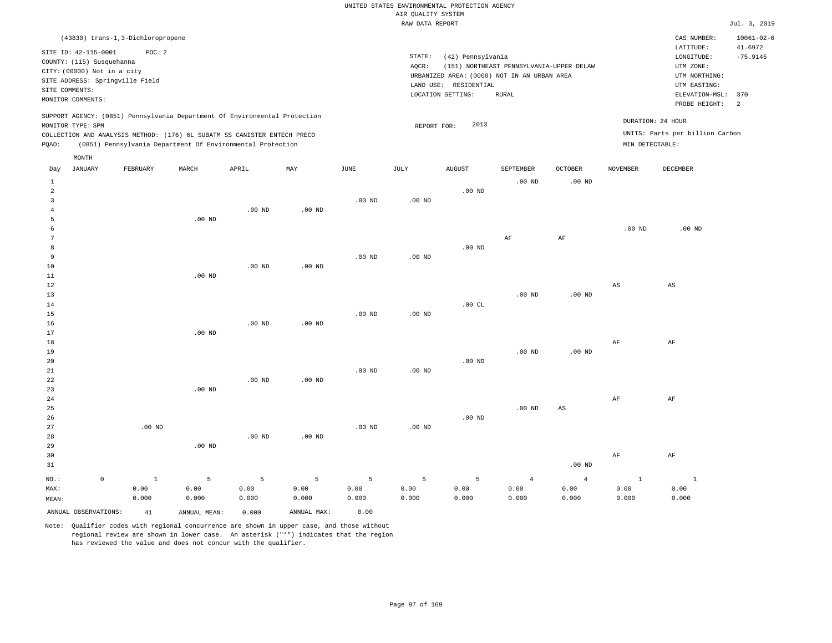|  |  |                    | UNITED STATES ENVIRONMENTAL PROTECTION AGENCY |  |
|--|--|--------------------|-----------------------------------------------|--|
|  |  | AIR OUALITY SYSTEM |                                               |  |

|                |                                   |              |                                                                            |                   |                   |                   | RAW DATA REPORT   |                       |                                             |                        |                 |                                 | Jul. 3, 2019     |
|----------------|-----------------------------------|--------------|----------------------------------------------------------------------------|-------------------|-------------------|-------------------|-------------------|-----------------------|---------------------------------------------|------------------------|-----------------|---------------------------------|------------------|
|                | (43830) trans-1,3-Dichloropropene |              |                                                                            |                   |                   |                   |                   |                       |                                             |                        |                 | CAS NUMBER:                     | $10061 - 02 - 6$ |
|                |                                   |              |                                                                            |                   |                   |                   |                   |                       |                                             |                        |                 | LATITUDE:                       | 41.6972          |
|                | SITE ID: 42-115-0001              | POC: 2       |                                                                            |                   |                   |                   | STATE:            | (42) Pennsylvania     |                                             |                        |                 | LONGITUDE:                      | $-75.9145$       |
|                | COUNTY: (115) Susquehanna         |              |                                                                            |                   |                   |                   | AOCR:             |                       | (151) NORTHEAST PENNSYLVANIA-UPPER DELAW    |                        |                 | UTM ZONE:                       |                  |
|                | CITY: (00000) Not in a city       |              |                                                                            |                   |                   |                   |                   |                       | URBANIZED AREA: (0000) NOT IN AN URBAN AREA |                        |                 | UTM NORTHING:                   |                  |
|                | SITE ADDRESS: Springville Field   |              |                                                                            |                   |                   |                   |                   | LAND USE: RESIDENTIAL |                                             |                        |                 | UTM EASTING:                    |                  |
|                | SITE COMMENTS:                    |              |                                                                            |                   |                   |                   |                   | LOCATION SETTING:     | <b>RURAL</b>                                |                        |                 | ELEVATION-MSL:                  | 370              |
|                | MONITOR COMMENTS:                 |              |                                                                            |                   |                   |                   |                   |                       |                                             |                        |                 | PROBE HEIGHT:                   | <sup>2</sup>     |
|                |                                   |              | SUPPORT AGENCY: (0851) Pennsylvania Department Of Environmental Protection |                   |                   |                   |                   |                       |                                             |                        |                 | DURATION: 24 HOUR               |                  |
|                | MONITOR TYPE: SPM                 |              |                                                                            |                   |                   |                   | REPORT FOR:       | 2013                  |                                             |                        |                 |                                 |                  |
|                |                                   |              | COLLECTION AND ANALYSIS METHOD: (176) 6L SUBATM SS CANISTER ENTECH PRECO   |                   |                   |                   |                   |                       |                                             |                        |                 | UNITS: Parts per billion Carbon |                  |
| PQAO:          |                                   |              | (0851) Pennsylvania Department Of Environmental Protection                 |                   |                   |                   |                   |                       |                                             |                        | MIN DETECTABLE: |                                 |                  |
|                | MONTH                             |              |                                                                            |                   |                   |                   |                   |                       |                                             |                        |                 |                                 |                  |
| Day            | <b>JANUARY</b>                    | FEBRUARY     | MARCH                                                                      | APRIL             | MAY               | JUNE              | JULY              | <b>AUGUST</b>         | SEPTEMBER                                   | OCTOBER                | NOVEMBER        | DECEMBER                        |                  |
| <sup>1</sup>   |                                   |              |                                                                            |                   |                   |                   |                   |                       | $.00$ ND                                    | $.00$ ND               |                 |                                 |                  |
| 2              |                                   |              |                                                                            |                   |                   |                   |                   | $.00$ ND              |                                             |                        |                 |                                 |                  |
| $\mathbf{3}$   |                                   |              |                                                                            |                   |                   | .00 <sub>ND</sub> | .00 <sub>ND</sub> |                       |                                             |                        |                 |                                 |                  |
| $\overline{4}$ |                                   |              |                                                                            | $.00$ ND          | .00 <sub>ND</sub> |                   |                   |                       |                                             |                        |                 |                                 |                  |
| 5              |                                   |              | $.00$ ND                                                                   |                   |                   |                   |                   |                       |                                             |                        |                 |                                 |                  |
| 6              |                                   |              |                                                                            |                   |                   |                   |                   |                       |                                             |                        | $.00$ ND        | $.00$ ND                        |                  |
| 7              |                                   |              |                                                                            |                   |                   |                   |                   |                       | AF                                          | AF                     |                 |                                 |                  |
| 8              |                                   |              |                                                                            |                   |                   |                   |                   | $.00$ ND              |                                             |                        |                 |                                 |                  |
| 9              |                                   |              |                                                                            |                   |                   | .00 <sub>ND</sub> | .00 <sub>ND</sub> |                       |                                             |                        |                 |                                 |                  |
| 10             |                                   |              |                                                                            | $.00$ ND          | $.00$ ND          |                   |                   |                       |                                             |                        |                 |                                 |                  |
| 11             |                                   |              | $.00$ ND                                                                   |                   |                   |                   |                   |                       |                                             |                        |                 |                                 |                  |
| 12             |                                   |              |                                                                            |                   |                   |                   |                   |                       |                                             |                        | $_{\rm AS}$     | $\mathbb{A}\mathbb{S}$          |                  |
| 13             |                                   |              |                                                                            |                   |                   |                   |                   |                       | $.00$ ND                                    | $.00$ ND               |                 |                                 |                  |
| 14             |                                   |              |                                                                            |                   |                   |                   |                   | .00CL                 |                                             |                        |                 |                                 |                  |
| 15             |                                   |              |                                                                            |                   |                   | .00 <sub>ND</sub> | $.00$ ND          |                       |                                             |                        |                 |                                 |                  |
| 16<br>17       |                                   |              | $.00$ ND                                                                   | $.00$ ND          | .00 <sub>ND</sub> |                   |                   |                       |                                             |                        |                 |                                 |                  |
|                |                                   |              |                                                                            |                   |                   |                   |                   |                       |                                             |                        |                 |                                 |                  |
| 18<br>19       |                                   |              |                                                                            |                   |                   |                   |                   |                       | $.00$ ND                                    | .00 <sub>ND</sub>      | AF              | AF                              |                  |
| 20             |                                   |              |                                                                            |                   |                   |                   |                   | $.00$ ND              |                                             |                        |                 |                                 |                  |
| 21             |                                   |              |                                                                            |                   |                   | .00 <sub>ND</sub> | .00 <sub>ND</sub> |                       |                                             |                        |                 |                                 |                  |
| 22             |                                   |              |                                                                            | .00 <sub>ND</sub> | .00 <sub>ND</sub> |                   |                   |                       |                                             |                        |                 |                                 |                  |
| 23             |                                   |              | $.00$ ND                                                                   |                   |                   |                   |                   |                       |                                             |                        |                 |                                 |                  |
| 24             |                                   |              |                                                                            |                   |                   |                   |                   |                       |                                             |                        | $\rm{AF}$       | AF                              |                  |
| 25             |                                   |              |                                                                            |                   |                   |                   |                   |                       | $.00$ ND                                    | $\mathbb{A}\mathbb{S}$ |                 |                                 |                  |
| 26             |                                   |              |                                                                            |                   |                   |                   |                   | $.00$ ND              |                                             |                        |                 |                                 |                  |
| 27             |                                   | $.00$ ND     |                                                                            |                   |                   | .00 <sub>ND</sub> | .00 <sub>ND</sub> |                       |                                             |                        |                 |                                 |                  |
| 28             |                                   |              |                                                                            | $.00$ ND          | .00 <sub>ND</sub> |                   |                   |                       |                                             |                        |                 |                                 |                  |
| 29             |                                   |              | $.00$ ND                                                                   |                   |                   |                   |                   |                       |                                             |                        |                 |                                 |                  |
| 30             |                                   |              |                                                                            |                   |                   |                   |                   |                       |                                             |                        | $\rm{AF}$       | AF                              |                  |
| 31             |                                   |              |                                                                            |                   |                   |                   |                   |                       |                                             | .00 <sub>ND</sub>      |                 |                                 |                  |
|                |                                   |              |                                                                            |                   |                   |                   |                   |                       |                                             |                        |                 |                                 |                  |
| NO.:           | $\mathbb O$                       | $\mathbf{1}$ | 5                                                                          | 5                 | 5                 | 5                 | 5                 | 5                     | $\overline{4}$                              | $\overline{4}$         | $\mathbf{1}$    | $\mathbf{1}$                    |                  |
| MAX:           |                                   | 0.00         | 0.00                                                                       | 0.00              | 0.00              | 0.00              | 0.00              | 0.00                  | 0.00                                        | 0.00                   | 0.00            | 0.00                            |                  |
| MEAN:          |                                   | 0.000        | 0.000                                                                      | 0.000             | 0.000             | 0.000             | 0.000             | 0.000                 | 0.000                                       | 0.000                  | 0.000           | 0.000                           |                  |
|                | ANNUAL OBSERVATIONS:              | 41           | ANNUAL MEAN:                                                               | 0.000             | ANNUAL MAX:       | 0.00              |                   |                       |                                             |                        |                 |                                 |                  |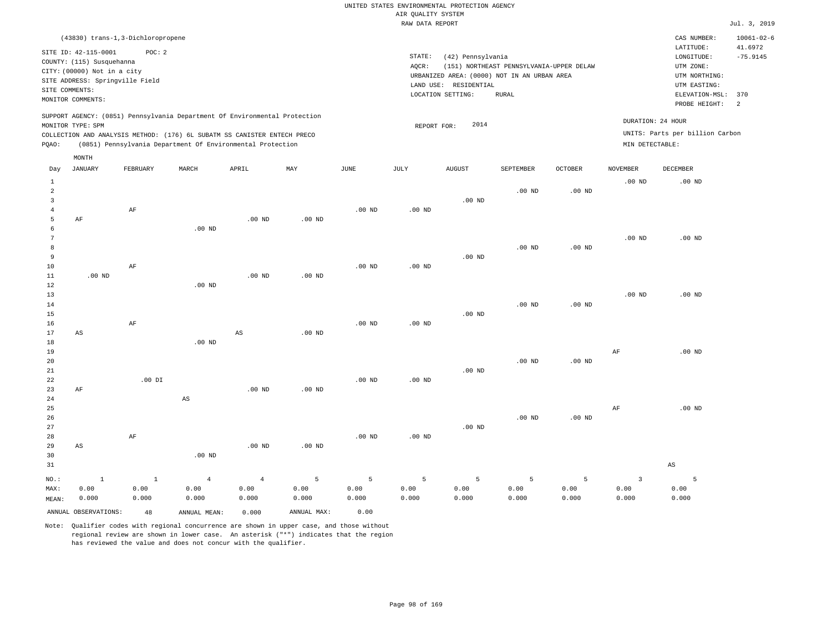|       |                                 | (43830) trans-1,3-Dichloropropene |       |                                                                          |                                                                            |      |        |                                             |                                          |         |                   | CAS NUMBER:                     | $10061 - 02 - 6$ |
|-------|---------------------------------|-----------------------------------|-------|--------------------------------------------------------------------------|----------------------------------------------------------------------------|------|--------|---------------------------------------------|------------------------------------------|---------|-------------------|---------------------------------|------------------|
|       | SITE ID: 42-115-0001            | POC: 2                            |       |                                                                          |                                                                            |      |        |                                             |                                          |         |                   | LATITUDE:                       | 41.6972          |
|       | COUNTY: (115) Susquehanna       |                                   |       |                                                                          |                                                                            |      | STATE: | (42) Pennsylvania                           |                                          |         |                   | LONGITUDE:                      | $-75.9145$       |
|       | CITY: (00000) Not in a city     |                                   |       |                                                                          |                                                                            |      | AOCR:  |                                             | (151) NORTHEAST PENNSYLVANIA-UPPER DELAW |         |                   | UTM ZONE:                       |                  |
|       | SITE ADDRESS: Springville Field |                                   |       |                                                                          |                                                                            |      |        | URBANIZED AREA: (0000) NOT IN AN URBAN AREA |                                          |         |                   | UTM NORTHING:                   |                  |
|       | SITE COMMENTS:                  |                                   |       |                                                                          |                                                                            |      |        | LAND USE: RESIDENTIAL                       |                                          |         |                   | UTM EASTING:                    |                  |
|       | MONITOR COMMENTS:               |                                   |       |                                                                          |                                                                            |      |        | LOCATION SETTING:                           | RURAL                                    |         |                   | ELEVATION-MSL:                  | 370              |
|       |                                 |                                   |       |                                                                          |                                                                            |      |        |                                             |                                          |         |                   | PROBE HEIGHT:                   | -2               |
|       | MONITOR TYPE: SPM               |                                   |       |                                                                          | SUPPORT AGENCY: (0851) Pennsylvania Department Of Environmental Protection |      |        | 2014<br>REPORT FOR:                         |                                          |         | DURATION: 24 HOUR |                                 |                  |
|       |                                 |                                   |       | COLLECTION AND ANALYSIS METHOD: (176) 6L SUBATM SS CANISTER ENTECH PRECO |                                                                            |      |        |                                             |                                          |         |                   | UNITS: Parts per billion Carbon |                  |
| POAO: |                                 |                                   |       | (0851) Pennsylvania Department Of Environmental Protection               |                                                                            |      |        |                                             |                                          |         | MIN DETECTABLE:   |                                 |                  |
|       | MONTH                           |                                   |       |                                                                          |                                                                            |      |        |                                             |                                          |         |                   |                                 |                  |
| Day   | JANUARY                         | FEBRUARY                          | MARCH | APRIL                                                                    | MAY                                                                        | JUNE | JULY   | <b>AUGUST</b>                               | SEPTEMBER                                | OCTOBER | <b>NOVEMBER</b>   | DECEMBER                        |                  |
|       |                                 |                                   |       |                                                                          |                                                                            |      |        |                                             |                                          |         | .00 <sub>ND</sub> | $.00$ ND                        |                  |

| $\overline{a}$ |                        |           |                        |                |                   |          |                |                | $.00$ ND          | $.00$ ND |                   |                        |
|----------------|------------------------|-----------|------------------------|----------------|-------------------|----------|----------------|----------------|-------------------|----------|-------------------|------------------------|
| 3              |                        |           |                        |                |                   |          |                | $.00$ ND       |                   |          |                   |                        |
| $\overline{4}$ |                        | $\rm AF$  |                        |                |                   | $.00$ ND | $.00$ ND       |                |                   |          |                   |                        |
| 5              | $\rm AF$               |           |                        | $.00$ ND       | .00 <sub>ND</sub> |          |                |                |                   |          |                   |                        |
| 6              |                        |           | $.00$ ND               |                |                   |          |                |                |                   |          |                   |                        |
| 7              |                        |           |                        |                |                   |          |                |                |                   |          | .00 $ND$          | .00 $ND$               |
| 8              |                        |           |                        |                |                   |          |                |                | $.00$ ND          | $.00$ ND |                   |                        |
| 9              |                        |           |                        |                |                   |          |                | $.00$ ND       |                   |          |                   |                        |
| 10             |                        | $\rm{AF}$ |                        |                |                   | $.00$ ND | $.00$ ND       |                |                   |          |                   |                        |
| $11\,$         | .00 $ND$               |           |                        | $.00$ ND       | .00 <sub>ND</sub> |          |                |                |                   |          |                   |                        |
| $1\,2$         |                        |           | $.00$ ND               |                |                   |          |                |                |                   |          |                   |                        |
| 13             |                        |           |                        |                |                   |          |                |                |                   |          | .00 <sub>ND</sub> | $.00$ ND               |
| 14             |                        |           |                        |                |                   |          |                |                | $.00$ ND          | $.00$ ND |                   |                        |
| 15             |                        | $\rm{AF}$ |                        |                |                   |          |                | $.00$ ND       |                   |          |                   |                        |
| 16<br>17       | $\mathbb{A}\mathbb{S}$ |           |                        | AS             | .00 <sub>ND</sub> | $.00$ ND | $.00$ ND       |                |                   |          |                   |                        |
| $1\,8$         |                        |           | .00 <sub>ND</sub>      |                |                   |          |                |                |                   |          |                   |                        |
| 19             |                        |           |                        |                |                   |          |                |                |                   |          | $\rm{AF}$         | $.00$ ND               |
| 20             |                        |           |                        |                |                   |          |                |                | $.00$ ND          | .00 $ND$ |                   |                        |
| $2\sqrt{1}$    |                        |           |                        |                |                   |          |                | $.00$ ND       |                   |          |                   |                        |
| 22             |                        | .00 DI    |                        |                |                   | .00 $ND$ | $.00$ ND       |                |                   |          |                   |                        |
| 23             | $\rm AF$               |           |                        | $.00$ ND       | $.00$ ND          |          |                |                |                   |          |                   |                        |
| 24             |                        |           | $\mathbb{A}\mathbb{S}$ |                |                   |          |                |                |                   |          |                   |                        |
| 25             |                        |           |                        |                |                   |          |                |                |                   |          | $\rm{AF}$         | $.00$ ND               |
| 26             |                        |           |                        |                |                   |          |                |                | .00 <sub>ND</sub> | .00 $ND$ |                   |                        |
| 27             |                        |           |                        |                |                   |          |                | $.00$ ND       |                   |          |                   |                        |
| 28             |                        | $\rm AF$  |                        |                |                   | $.00$ ND | $.00$ ND       |                |                   |          |                   |                        |
| 29             | $\mathbb{A}\mathbb{S}$ |           |                        | $.00$ ND       | .00 <sub>ND</sub> |          |                |                |                   |          |                   |                        |
| 30             |                        |           | $.00$ ND               |                |                   |          |                |                |                   |          |                   |                        |
| 31             |                        |           |                        |                |                   |          |                |                |                   |          |                   | $\mathbb{A}\mathbb{S}$ |
| $NO.$ :        | $\,$ 1                 | $\,$ 1    | $\overline{4}$         | $\overline{4}$ | $\overline{5}$    | 5        | $\overline{5}$ | $\overline{5}$ | $\overline{5}$    | 5        | $\overline{3}$    | 5                      |
| MAX:           | 0.00                   | 0.00      | 0.00                   | 0.00           | 0.00              | 0.00     | 0.00           | 0.00           | 0.00              | 0.00     | 0.00              | 0.00                   |
| MEAN:          | 0.000                  | 0.000     | 0.000                  | 0.000          | 0.000             | 0.000    | 0.000          | 0.000          | 0.000             | 0.000    | 0.000             | 0.000                  |

Note: Qualifier codes with regional concurrence are shown in upper case, and those without regional review are shown in lower case. An asterisk ("\*") indicates that the region has reviewed the value and does not concur with the qualifier.

ANNUAL OBSERVATIONS: 48 ANNUAL MEAN: 0.000 ANNUAL MAX: 0.00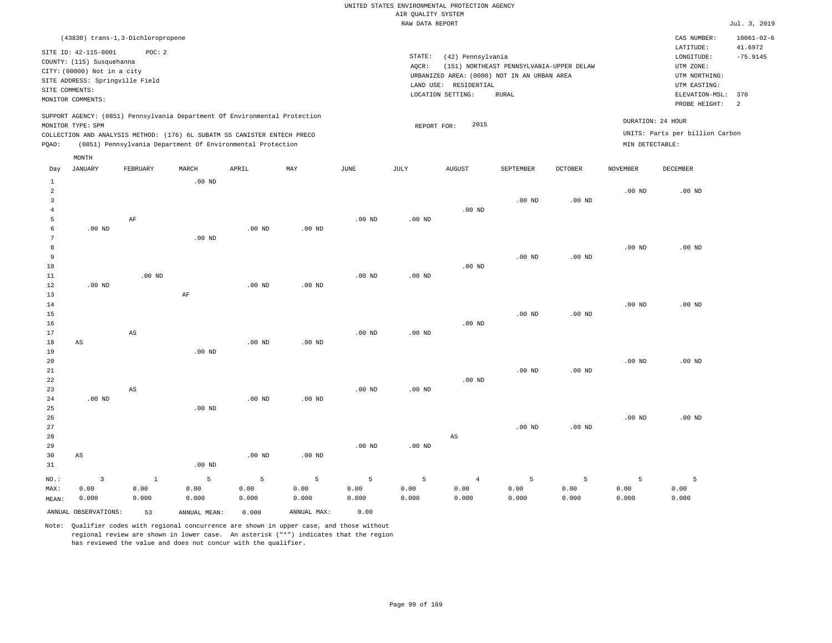|                |                                 | (43830) trans-1,3-Dichloropropene |       |                                                                          |                                                                            |      |        |                       |                                             |                |                   | CAS NUMBER:                     | $10061 - 02 - 6$ |
|----------------|---------------------------------|-----------------------------------|-------|--------------------------------------------------------------------------|----------------------------------------------------------------------------|------|--------|-----------------------|---------------------------------------------|----------------|-------------------|---------------------------------|------------------|
|                |                                 |                                   |       |                                                                          |                                                                            |      |        |                       |                                             |                |                   |                                 |                  |
|                | SITE ID: 42-115-0001            | POC:2                             |       |                                                                          |                                                                            |      | STATE: |                       |                                             |                |                   | LATITUDE:                       | 41.6972          |
|                | COUNTY: (115) Susquehanna       |                                   |       |                                                                          |                                                                            |      |        | (42) Pennsylvania     |                                             |                |                   | LONGITUDE:                      | $-75.9145$       |
|                | CITY: (00000) Not in a city     |                                   |       |                                                                          |                                                                            |      | AQCR:  |                       | (151) NORTHEAST PENNSYLVANIA-UPPER DELAW    |                |                   | UTM ZONE:                       |                  |
|                | SITE ADDRESS: Springville Field |                                   |       |                                                                          |                                                                            |      |        |                       | URBANIZED AREA: (0000) NOT IN AN URBAN AREA |                |                   | UTM NORTHING:                   |                  |
| SITE COMMENTS: |                                 |                                   |       |                                                                          |                                                                            |      |        | LAND USE: RESIDENTIAL |                                             |                |                   | UTM EASTING:                    |                  |
|                | MONITOR COMMENTS:               |                                   |       |                                                                          |                                                                            |      |        | LOCATION SETTING:     | RURAL                                       |                |                   | ELEVATION-MSL:                  | 370              |
|                |                                 |                                   |       |                                                                          |                                                                            |      |        |                       |                                             |                |                   | PROBE HEIGHT:                   | 2                |
|                |                                 |                                   |       |                                                                          | SUPPORT AGENCY: (0851) Pennsylvania Department Of Environmental Protection |      |        |                       |                                             |                |                   |                                 |                  |
|                | MONITOR TYPE: SPM               |                                   |       |                                                                          |                                                                            |      |        | 2015<br>REPORT FOR:   |                                             |                | DURATION: 24 HOUR |                                 |                  |
|                |                                 |                                   |       | COLLECTION AND ANALYSIS METHOD: (176) 6L SUBATM SS CANISTER ENTECH PRECO |                                                                            |      |        |                       |                                             |                |                   | UNITS: Parts per billion Carbon |                  |
| POAO:          |                                 |                                   |       | (0851) Pennsylvania Department Of Environmental Protection               |                                                                            |      |        |                       |                                             |                | MIN DETECTABLE:   |                                 |                  |
|                | MONTH                           |                                   |       |                                                                          |                                                                            |      |        |                       |                                             |                |                   |                                 |                  |
| Day            | JANUARY                         | FEBRUARY                          | MARCH | APRIL                                                                    | MAY                                                                        | JUNE | JULY   | AUGUST                | SEPTEMBER                                   | <b>OCTOBER</b> | <b>NOVEMBER</b>   | DECEMBER                        |                  |

|                | ANNUAL OBSERVATIONS:    | 53                     | ANNUAL MEAN:   | 0.000         | ANNUAL MAX:       | 0.00            |               |                        |               |                |               |               |
|----------------|-------------------------|------------------------|----------------|---------------|-------------------|-----------------|---------------|------------------------|---------------|----------------|---------------|---------------|
| MAX:<br>MEAN:  | 0.00<br>0.000           | 0.00<br>0.000          | 0.00<br>0.000  | 0.00<br>0.000 | 0.00<br>0.000     | 0.00<br>0.000   | 0.00<br>0.000 | 0.00<br>0.000          | 0.00<br>0.000 | 0.00<br>0.000  | 0.00<br>0.000 | 0.00<br>0.000 |
| $NO.$ :        | $\overline{\mathbf{3}}$ | $1\,$                  | $\overline{5}$ | 5             | $5\phantom{.0}$   | $5\phantom{.0}$ | 5             | $\overline{4}$         | 5             | $\overline{5}$ | 5             | 5             |
| 31             |                         |                        | $.00$ ND       |               |                   |                 |               |                        |               |                |               |               |
| 30             | AS                      |                        |                | $.00$ ND      | .00 <sub>ND</sub> |                 |               |                        |               |                |               |               |
| 29             |                         |                        |                |               |                   | $.00$ ND        | $.00$ ND      |                        |               |                |               |               |
| 28             |                         |                        |                |               |                   |                 |               | $\mathbb{A}\mathbb{S}$ |               |                |               |               |
| 27             |                         |                        |                |               |                   |                 |               |                        | $.00$ ND      | $.00$ ND       |               |               |
| 26             |                         |                        |                |               |                   |                 |               |                        |               |                | $.00$ ND      | $.00$ ND      |
| 25             |                         |                        | $.00$ ND       |               |                   |                 |               |                        |               |                |               |               |
| 24             | $.00$ ND                |                        |                | .00 $ND$      | $.00$ ND          |                 |               |                        |               |                |               |               |
| 23             |                         | $\mathbb{A}\mathbb{S}$ |                |               |                   | $.00$ ND        | .00 $ND$      |                        |               |                |               |               |
| 22             |                         |                        |                |               |                   |                 |               | $.00$ ND               |               |                |               |               |
| $21\,$         |                         |                        |                |               |                   |                 |               |                        | $.00$ ND      | $.00$ ND       |               |               |
| 20             |                         |                        |                |               |                   |                 |               |                        |               |                | $.00$ ND      | $.00$ ND      |
| 19             |                         |                        | $.00$ ND       |               |                   |                 |               |                        |               |                |               |               |
| 18             | $\mathbb{A}\mathbb{S}$  | $\mathbb{A}\mathbb{S}$ |                | $.00$ ND      | $.00$ ND          |                 | .00 $ND$      |                        |               |                |               |               |
| 16<br>17       |                         |                        |                |               |                   | $.00$ ND        |               | $.00$ ND               |               |                |               |               |
| 15             |                         |                        |                |               |                   |                 |               |                        | $.00$ ND      | $.00$ ND       |               |               |
| 14             |                         |                        |                |               |                   |                 |               |                        |               |                | $.00$ ND      | $.00$ ND      |
| 13             |                         |                        | $\rm AF$       |               |                   |                 |               |                        |               |                |               |               |
| 12             | $.00$ ND                |                        |                | $.00$ ND      | $.00$ ND          |                 |               |                        |               |                |               |               |
| $11\,$         |                         | $.00$ ND               |                |               |                   | $.00$ ND        | .00 $ND$      |                        |               |                |               |               |
| 10             |                         |                        |                |               |                   |                 |               | $.00$ ND               |               |                |               |               |
| 9              |                         |                        |                |               |                   |                 |               |                        | $.00$ ND      | $.00$ ND       |               |               |
| 8              |                         |                        |                |               |                   |                 |               |                        |               |                | $.00$ ND      | $.00$ ND      |
| 7              |                         |                        | $.00$ ND       |               |                   |                 |               |                        |               |                |               |               |
| 6              | $.00$ ND                |                        |                | $.00$ ND      | $.00$ ND          |                 |               |                        |               |                |               |               |
| 5              |                         | $\rm AF$               |                |               |                   | $.00$ ND        | .00 $ND$      |                        |               |                |               |               |
| $\overline{4}$ |                         |                        |                |               |                   |                 |               | $.00$ ND               |               |                |               |               |
| 3              |                         |                        |                |               |                   |                 |               |                        | $.00$ ND      | $.00$ ND       |               |               |
| $\overline{c}$ |                         |                        |                |               |                   |                 |               |                        |               |                | $.00$ ND      | $.00$ ND      |
| $\mathbf{1}$   |                         |                        | $.00$ ND       |               |                   |                 |               |                        |               |                |               |               |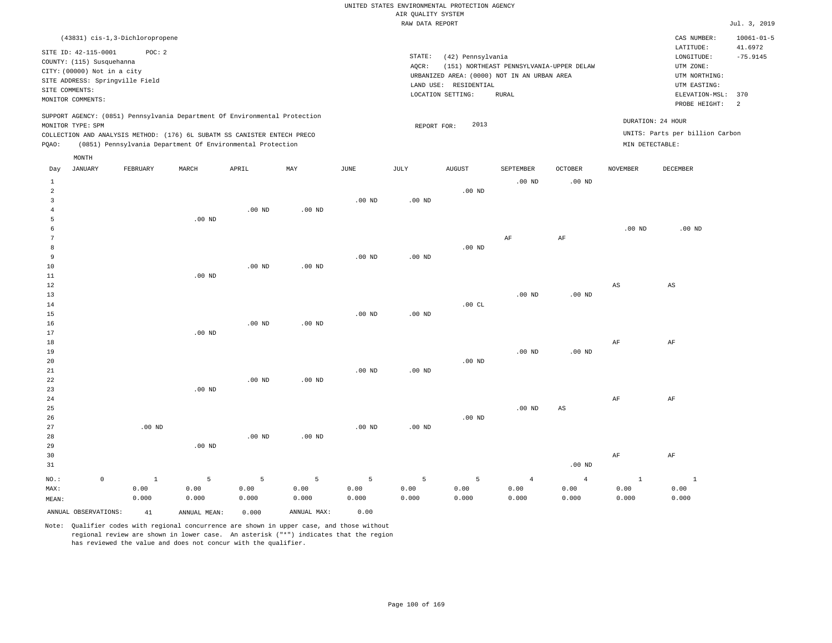|                |                             |                                            |                   |                                                                                                                                        |                   |                       |                                       | UNITED STATES ENVIRONMENTAL PROTECTION AGENCY |                                             |                   |                   |                                 |                             |
|----------------|-----------------------------|--------------------------------------------|-------------------|----------------------------------------------------------------------------------------------------------------------------------------|-------------------|-----------------------|---------------------------------------|-----------------------------------------------|---------------------------------------------|-------------------|-------------------|---------------------------------|-----------------------------|
|                |                             |                                            |                   |                                                                                                                                        |                   |                       | AIR QUALITY SYSTEM<br>RAW DATA REPORT |                                               |                                             |                   |                   |                                 | Jul. 3, 2019                |
|                |                             |                                            |                   |                                                                                                                                        |                   |                       |                                       |                                               |                                             |                   |                   |                                 |                             |
|                | SITE ID: 42-115-0001        | (43831) cis-1, 3-Dichloropropene<br>POC: 2 |                   |                                                                                                                                        |                   |                       |                                       |                                               |                                             |                   |                   | CAS NUMBER:<br>LATITUDE:        | $10061 - 01 - 5$<br>41.6972 |
|                | COUNTY: (115) Susquehanna   |                                            |                   |                                                                                                                                        |                   |                       | STATE:                                | (42) Pennsylvania                             |                                             |                   |                   | LONGITUDE:                      | $-75.9145$                  |
|                | CITY: (00000) Not in a city |                                            |                   |                                                                                                                                        |                   |                       | AOCR:                                 |                                               | (151) NORTHEAST PENNSYLVANIA-UPPER DELAW    |                   |                   | UTM ZONE:                       |                             |
|                |                             | SITE ADDRESS: Springville Field            |                   |                                                                                                                                        |                   |                       |                                       |                                               | URBANIZED AREA: (0000) NOT IN AN URBAN AREA |                   |                   | UTM NORTHING:                   |                             |
| SITE COMMENTS: |                             |                                            |                   |                                                                                                                                        |                   |                       |                                       | LAND USE: RESIDENTIAL                         |                                             |                   |                   | UTM EASTING:                    |                             |
|                | MONITOR COMMENTS:           |                                            |                   |                                                                                                                                        |                   |                       |                                       | LOCATION SETTING:                             | RURAL                                       |                   |                   | ELEVATION-MSL:<br>PROBE HEIGHT: | 370<br>2                    |
|                |                             |                                            |                   | SUPPORT AGENCY: (0851) Pennsylvania Department Of Environmental Protection                                                             |                   |                       |                                       |                                               |                                             |                   | DURATION: 24 HOUR |                                 |                             |
|                | MONITOR TYPE: SPM           |                                            |                   |                                                                                                                                        |                   |                       | REPORT FOR:                           | 2013                                          |                                             |                   |                   |                                 |                             |
| PQAO:          |                             |                                            |                   | COLLECTION AND ANALYSIS METHOD: (176) 6L SUBATM SS CANISTER ENTECH PRECO<br>(0851) Pennsylvania Department Of Environmental Protection |                   |                       |                                       |                                               |                                             |                   | MIN DETECTABLE:   | UNITS: Parts per billion Carbon |                             |
|                | MONTH                       |                                            |                   |                                                                                                                                        |                   |                       |                                       |                                               |                                             |                   |                   |                                 |                             |
| Day            | <b>JANUARY</b>              | FEBRUARY                                   | MARCH             | APRIL                                                                                                                                  | MAY               | $\operatorname{JUNE}$ | JULY                                  | <b>AUGUST</b>                                 | SEPTEMBER                                   | <b>OCTOBER</b>    | <b>NOVEMBER</b>   | DECEMBER                        |                             |
| <sup>1</sup>   |                             |                                            |                   |                                                                                                                                        |                   |                       |                                       |                                               | $.00$ ND                                    | $.00$ ND          |                   |                                 |                             |
| $\overline{a}$ |                             |                                            |                   |                                                                                                                                        |                   |                       |                                       | $.00$ ND                                      |                                             |                   |                   |                                 |                             |
| $\overline{3}$ |                             |                                            |                   |                                                                                                                                        |                   | $.00$ ND              | $.00$ ND                              |                                               |                                             |                   |                   |                                 |                             |
| $\overline{4}$ |                             |                                            |                   | .00 <sub>ND</sub>                                                                                                                      | .00 <sub>ND</sub> |                       |                                       |                                               |                                             |                   |                   |                                 |                             |
| 5              |                             |                                            | .00 <sub>ND</sub> |                                                                                                                                        |                   |                       |                                       |                                               |                                             |                   |                   |                                 |                             |
| 6              |                             |                                            |                   |                                                                                                                                        |                   |                       |                                       |                                               |                                             |                   | .00 <sub>ND</sub> | $.00$ ND                        |                             |
| 7              |                             |                                            |                   |                                                                                                                                        |                   |                       |                                       |                                               | AF                                          | AF                |                   |                                 |                             |
| 8              |                             |                                            |                   |                                                                                                                                        |                   |                       |                                       | $.00$ ND                                      |                                             |                   |                   |                                 |                             |
| $\overline{9}$ |                             |                                            |                   |                                                                                                                                        |                   | $.00$ ND              | $.00$ ND                              |                                               |                                             |                   |                   |                                 |                             |
| 10             |                             |                                            |                   | .00 <sub>ND</sub>                                                                                                                      | .00 <sub>ND</sub> |                       |                                       |                                               |                                             |                   |                   |                                 |                             |
| 11             |                             |                                            | $.00$ ND          |                                                                                                                                        |                   |                       |                                       |                                               |                                             |                   |                   |                                 |                             |
| 12             |                             |                                            |                   |                                                                                                                                        |                   |                       |                                       |                                               |                                             |                   | AS                | AS                              |                             |
| 13             |                             |                                            |                   |                                                                                                                                        |                   |                       |                                       |                                               | $.00$ ND                                    | .00 <sub>ND</sub> |                   |                                 |                             |
| 14             |                             |                                            |                   |                                                                                                                                        |                   |                       |                                       | .00CL                                         |                                             |                   |                   |                                 |                             |
| 15<br>16       |                             |                                            |                   | .00 <sub>ND</sub>                                                                                                                      | .00 <sub>ND</sub> | .00 <sub>ND</sub>     | $.00$ ND                              |                                               |                                             |                   |                   |                                 |                             |
| 17             |                             |                                            | $.00$ ND          |                                                                                                                                        |                   |                       |                                       |                                               |                                             |                   |                   |                                 |                             |
| 18             |                             |                                            |                   |                                                                                                                                        |                   |                       |                                       |                                               |                                             |                   | AF                | AF                              |                             |
| 19             |                             |                                            |                   |                                                                                                                                        |                   |                       |                                       |                                               | $.00$ ND                                    | .00 <sub>ND</sub> |                   |                                 |                             |
| 20             |                             |                                            |                   |                                                                                                                                        |                   |                       |                                       | $.00$ ND                                      |                                             |                   |                   |                                 |                             |
| 21             |                             |                                            |                   |                                                                                                                                        |                   | .00 <sub>ND</sub>     | .00 <sub>ND</sub>                     |                                               |                                             |                   |                   |                                 |                             |
| 22             |                             |                                            |                   | $.00$ ND                                                                                                                               | $.00$ ND          |                       |                                       |                                               |                                             |                   |                   |                                 |                             |
| 23             |                             |                                            | $.00$ ND          |                                                                                                                                        |                   |                       |                                       |                                               |                                             |                   |                   |                                 |                             |
| 24             |                             |                                            |                   |                                                                                                                                        |                   |                       |                                       |                                               |                                             |                   | AF                | AF                              |                             |
| 25             |                             |                                            |                   |                                                                                                                                        |                   |                       |                                       |                                               | $.00$ ND                                    | AS                |                   |                                 |                             |
| 26             |                             |                                            |                   |                                                                                                                                        |                   |                       |                                       | .00 <sub>ND</sub>                             |                                             |                   |                   |                                 |                             |
| 27             |                             | $.00$ ND                                   |                   |                                                                                                                                        |                   | .00 <sub>ND</sub>     | .00 <sub>ND</sub>                     |                                               |                                             |                   |                   |                                 |                             |
| 28             |                             |                                            |                   | .00 <sub>ND</sub>                                                                                                                      | $.00$ ND          |                       |                                       |                                               |                                             |                   |                   |                                 |                             |
| 29             |                             |                                            | $.00$ ND          |                                                                                                                                        |                   |                       |                                       |                                               |                                             |                   |                   |                                 |                             |
| 30             |                             |                                            |                   |                                                                                                                                        |                   |                       |                                       |                                               |                                             |                   | AF                | AF                              |                             |
| 31             |                             |                                            |                   |                                                                                                                                        |                   |                       |                                       |                                               |                                             | .00 <sub>ND</sub> |                   |                                 |                             |
| NO.:           | $\mathsf{O}\xspace$         | <sup>1</sup>                               | 5                 | 5                                                                                                                                      | 5                 | 5                     | 5                                     | 5                                             | $\overline{4}$                              | $\overline{4}$    | $\mathbf{1}$      | $\mathbf{1}$                    |                             |
| MAX:           |                             | 0.00                                       | 0.00              | 0.00                                                                                                                                   | 0.00              | 0.00                  | 0.00                                  | 0.00                                          | 0.00                                        | 0.00              | 0.00              | 0.00                            |                             |
| MEAN:          |                             | 0.000                                      | 0.000             | 0.000                                                                                                                                  | 0.000             | 0.000                 | 0.000                                 | 0.000                                         | 0.000                                       | 0.000             | 0.000             | 0.000                           |                             |

ANNUAL OBSERVATIONS: 41 ANNUAL MEAN: 0.000 ANNUAL MAX: 0.00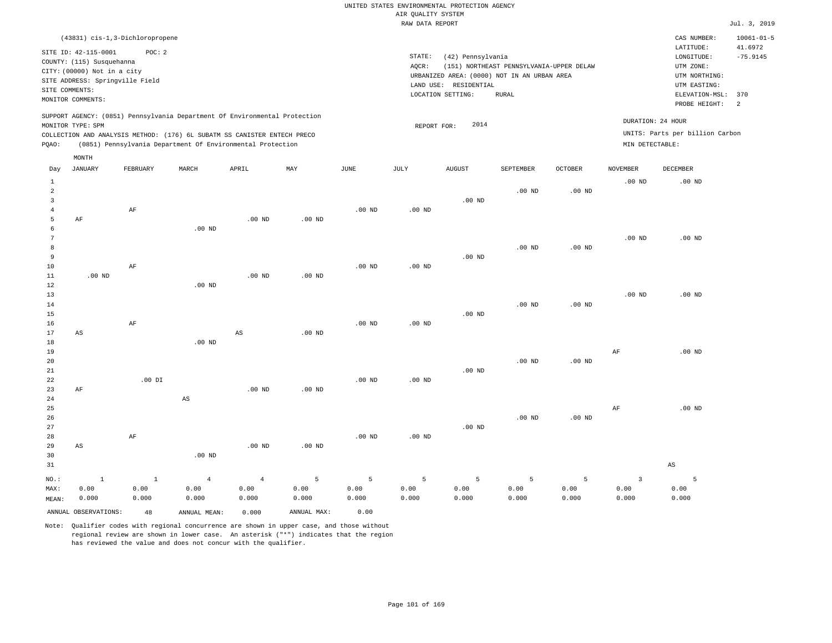| UNITED STATES ENVIRONMENTAL PROTECTION AGENCY                                                                                                                               |              |                                                                                     |                                          |                   |                                      |                                                                      |                                           |  |  |  |  |  |
|-----------------------------------------------------------------------------------------------------------------------------------------------------------------------------|--------------|-------------------------------------------------------------------------------------|------------------------------------------|-------------------|--------------------------------------|----------------------------------------------------------------------|-------------------------------------------|--|--|--|--|--|
|                                                                                                                                                                             |              | AIR QUALITY SYSTEM                                                                  |                                          |                   |                                      |                                                                      |                                           |  |  |  |  |  |
|                                                                                                                                                                             |              | RAW DATA REPORT                                                                     |                                          |                   |                                      |                                                                      | Jul. 3, 2019                              |  |  |  |  |  |
| (43831) cis-1,3-Dichloropropene<br>SITE ID: 42-115-0001<br>POC:2<br>COUNTY: (115) Susquehanna<br>CITY: (00000) Not in a city                                                |              | STATE:<br>(42) Pennsylvania<br>AQCR:<br>URBANIZED AREA: (0000) NOT IN AN URBAN AREA | (151) NORTHEAST PENNSYLVANIA-UPPER DELAW |                   |                                      | CAS NUMBER:<br>LATITUDE:<br>LONGITUDE:<br>UTM ZONE:<br>UTM NORTHING: | $10061 - 01 - 5$<br>41.6972<br>$-75.9145$ |  |  |  |  |  |
| SITE ADDRESS: Springville Field<br>SITE COMMENTS:<br>MONITOR COMMENTS:                                                                                                      |              | LAND USE:<br>RESIDENTIAL<br>LOCATION SETTING:                                       | RURAL                                    |                   |                                      | UTM EASTING:<br>ELEVATION-MSL:<br>PROBE HEIGHT:                      | 370<br>2                                  |  |  |  |  |  |
| SUPPORT AGENCY: (0851) Pennsylvania Department Of Environmental Protection<br>MONITOR TYPE: SPM<br>COLLECTION AND ANALYSIS METHOD: (176) 6L SUBATM SS CANISTER ENTECH PRECO |              | 2014<br>REPORT FOR:                                                                 |                                          |                   | DURATION: 24 HOUR<br>MIN DETECTABLE: | UNITS: Parts per billion Carbon                                      |                                           |  |  |  |  |  |
| (0851) Pennsylvania Department Of Environmental Protection<br>PQAO:<br>MONTH<br>MAY<br><b>JANUARY</b><br>FEBRUARY<br>MARCH<br>APRIL<br>Day                                  | JUNE<br>JULY | <b>AUGUST</b>                                                                       | <b>SEPTEMBER</b>                         | OCTOBER           | <b>NOVEMBER</b>                      | DECEMBER                                                             |                                           |  |  |  |  |  |
| 2                                                                                                                                                                           |              |                                                                                     | $.00$ ND                                 | .00 <sub>ND</sub> | $.00$ ND                             | $.00$ ND                                                             |                                           |  |  |  |  |  |

| MAX:           | 0.00                   | 0.00      | 0.00                   | 0.00                   | 0.00              | 0.00           | 0.00              | 0.00            | 0.00              | 0.00              | 0.00                    | 0.00                   |
|----------------|------------------------|-----------|------------------------|------------------------|-------------------|----------------|-------------------|-----------------|-------------------|-------------------|-------------------------|------------------------|
| $_{\rm NO.}$ : | $\mathbf 1$            | $1\,$     | $\overline{4}$         | $\sqrt{4}$             | 5                 | $\overline{5}$ | 5                 | $5\overline{)}$ | 5                 | 5                 | $\overline{\mathbf{3}}$ | 5                      |
| $3\,1$         |                        |           |                        |                        |                   |                |                   |                 |                   |                   |                         | $\mathbb{A}\mathbb{S}$ |
| 30             |                        |           | $.00$ ND               |                        |                   |                |                   |                 |                   |                   |                         |                        |
| 29             | $\mathbb{A}\mathbb{S}$ |           |                        | $.00$ ND               | $.00$ ND          |                |                   |                 |                   |                   |                         |                        |
| 28             |                        | $\rm{AF}$ |                        |                        |                   | .00 $ND$       | .00 <sub>ND</sub> |                 |                   |                   |                         |                        |
| 27             |                        |           |                        |                        |                   |                |                   | $.00$ ND        |                   |                   |                         |                        |
| 26             |                        |           |                        |                        |                   |                |                   |                 | $.00$ ND          | $.00~\mathrm{ND}$ |                         |                        |
| 25             |                        |           |                        |                        |                   |                |                   |                 |                   |                   | $\rm{AF}$               | $.00$ ND               |
| $2\sqrt{4}$    |                        |           | $\mathbb{A}\mathbb{S}$ |                        |                   |                |                   |                 |                   |                   |                         |                        |
| 23             | $\rm AF$               |           |                        | .00 $ND$               | $.00$ ND          |                |                   |                 |                   |                   |                         |                        |
| 22             |                        | .00 DI    |                        |                        |                   | .00 $ND$       | .00 <sub>ND</sub> |                 |                   |                   |                         |                        |
| 21             |                        |           |                        |                        |                   |                |                   | $.00$ ND        |                   |                   |                         |                        |
| 20             |                        |           |                        |                        |                   |                |                   |                 | $.00$ ND          | $.00$ ND          |                         |                        |
| 19             |                        |           |                        |                        |                   |                |                   |                 |                   |                   | $\rm{AF}$               | .00 $ND$               |
| 18             |                        |           | .00 $ND$               |                        |                   |                |                   |                 |                   |                   |                         |                        |
| 17             | $\mathbb{A}\mathbb{S}$ |           |                        | $\mathbb{A}\mathbb{S}$ | .00 <sub>ND</sub> |                |                   |                 |                   |                   |                         |                        |
| 16             |                        | $\rm{AF}$ |                        |                        |                   | .00 $ND$       | $.00$ ND          |                 |                   |                   |                         |                        |
| 15             |                        |           |                        |                        |                   |                |                   | $.00$ ND        |                   |                   |                         |                        |
| 14             |                        |           |                        |                        |                   |                |                   |                 | $.00$ ND          | $.00$ ND          |                         |                        |
| 13             |                        |           |                        |                        |                   |                |                   |                 |                   |                   | .00 $ND$                | .00 $ND$               |
| 11<br>12       | .00 $ND$               |           | $.00$ ND               | $.00$ ND               | $.00$ ND          |                |                   |                 |                   |                   |                         |                        |
| $10$           |                        | $\rm{AF}$ |                        |                        |                   | $.00$ ND       | $.00$ ND          |                 |                   |                   |                         |                        |
| 9              |                        |           |                        |                        |                   |                |                   | $.00$ ND        |                   |                   |                         |                        |
| 8              |                        |           |                        |                        |                   |                |                   |                 | $.00$ ND          | $.00$ ND          |                         |                        |
| 7              |                        |           |                        |                        |                   |                |                   |                 |                   |                   | .00 $ND$                | .00 $ND$               |
| 6              |                        |           | $.00$ ND               |                        |                   |                |                   |                 |                   |                   |                         |                        |
| 5              | $\rm AF$               |           |                        | $.00$ ND               | $.00$ ND          |                |                   |                 |                   |                   |                         |                        |
| $\overline{4}$ |                        | $\rm{AF}$ |                        |                        |                   | .00 $ND$       | $.00$ ND          |                 |                   |                   |                         |                        |
| 3              |                        |           |                        |                        |                   |                |                   | $.00$ ND        |                   |                   |                         |                        |
| $\overline{a}$ |                        |           |                        |                        |                   |                |                   |                 | .00 <sub>ND</sub> | $.00~\mathrm{ND}$ |                         |                        |
| 1              |                        |           |                        |                        |                   |                |                   |                 |                   |                   | $.00$ ND                | $.00$ ND               |

0.000

Note: Qualifier codes with regional concurrence are shown in upper case, and those without regional review are shown in lower case. An asterisk ("\*") indicates that the region has reviewed the value and does not concur with the qualifier.

ANNUAL OBSERVATIONS: 48 ANNUAL MEAN: 0.000 ANNUAL MAX: 0.00

0.000

0.000

0.000

MEAN:

0.000

0.000

0.000

0.000

0.000

0.000

0.000

0.000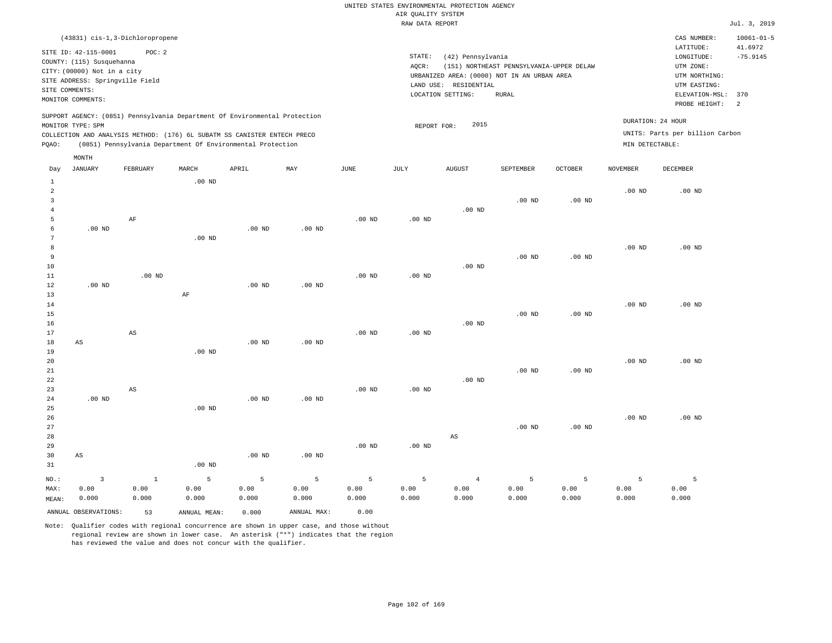|              |                                 |                                 |                                                                            |          |          |          | RAW DATA REPORT |                                             |                                          |          |                   |                                 | Jul. 3, 2019                |
|--------------|---------------------------------|---------------------------------|----------------------------------------------------------------------------|----------|----------|----------|-----------------|---------------------------------------------|------------------------------------------|----------|-------------------|---------------------------------|-----------------------------|
|              |                                 | (43831) cis-1,3-Dichloropropene |                                                                            |          |          |          |                 |                                             |                                          |          |                   | CAS NUMBER:<br>LATITUDE:        | $10061 - 01 - 5$<br>41.6972 |
|              | SITE ID: 42-115-0001            | POC: 2                          |                                                                            |          |          |          | STATE:          | (42) Pennsylvania                           |                                          |          |                   | LONGITUDE:                      | $-75.9145$                  |
|              | COUNTY: (115) Susquehanna       |                                 |                                                                            |          |          |          | AOCR:           |                                             | (151) NORTHEAST PENNSYLVANIA-UPPER DELAW |          |                   | UTM ZONE:                       |                             |
|              | CITY: (00000) Not in a city     |                                 |                                                                            |          |          |          |                 | URBANIZED AREA: (0000) NOT IN AN URBAN AREA |                                          |          |                   | UTM NORTHING:                   |                             |
|              | SITE ADDRESS: Springville Field |                                 |                                                                            |          |          |          |                 | LAND USE: RESIDENTIAL                       |                                          |          |                   | UTM EASTING:                    |                             |
|              | SITE COMMENTS:                  |                                 |                                                                            |          |          |          |                 | LOCATION SETTING:                           | <b>RURAL</b>                             |          |                   | ELEVATION-MSL:                  | 370                         |
|              | MONITOR COMMENTS:               |                                 |                                                                            |          |          |          |                 |                                             |                                          |          |                   | PROBE HEIGHT:                   | $\overline{2}$              |
|              |                                 |                                 | SUPPORT AGENCY: (0851) Pennsylvania Department Of Environmental Protection |          |          |          |                 |                                             |                                          |          |                   |                                 |                             |
|              | MONITOR TYPE: SPM               |                                 |                                                                            |          |          |          |                 | 2015<br>REPORT FOR:                         |                                          |          |                   | DURATION: 24 HOUR               |                             |
|              |                                 |                                 | COLLECTION AND ANALYSIS METHOD: (176) 6L SUBATM SS CANISTER ENTECH PRECO   |          |          |          |                 |                                             |                                          |          |                   | UNITS: Parts per billion Carbon |                             |
| POAO:        |                                 |                                 | (0851) Pennsylvania Department Of Environmental Protection                 |          |          |          |                 |                                             |                                          |          | MIN DETECTABLE:   |                                 |                             |
|              | MONTH                           |                                 |                                                                            |          |          |          |                 |                                             |                                          |          |                   |                                 |                             |
| Day          | JANUARY                         | FEBRUARY                        | MARCH                                                                      | APRIL    | MAY      | JUNE     | JULY            | <b>AUGUST</b>                               | SEPTEMBER                                | OCTOBER  | <b>NOVEMBER</b>   | DECEMBER                        |                             |
| $\mathbf{1}$ |                                 |                                 | $.00$ ND                                                                   |          |          |          |                 |                                             |                                          |          |                   |                                 |                             |
| 2            |                                 |                                 |                                                                            |          |          |          |                 |                                             |                                          |          | .00 <sub>ND</sub> | $.00$ ND                        |                             |
| 3            |                                 |                                 |                                                                            |          |          |          |                 |                                             | $.00$ ND                                 | $.00$ ND |                   |                                 |                             |
|              |                                 |                                 |                                                                            |          |          |          |                 | $.00$ ND                                    |                                          |          |                   |                                 |                             |
| 5            |                                 | $\rm AF$                        |                                                                            |          |          | $.00$ ND | $.00$ ND        |                                             |                                          |          |                   |                                 |                             |
| 6            | $.00$ ND                        |                                 |                                                                            | $.00$ ND | $.00$ ND |          |                 |                                             |                                          |          |                   |                                 |                             |
| 7            |                                 |                                 | $.00$ ND                                                                   |          |          |          |                 |                                             |                                          |          |                   |                                 |                             |
| 8            |                                 |                                 |                                                                            |          |          |          |                 |                                             |                                          |          | $.00$ ND          | $.00$ ND                        |                             |
| 9            |                                 |                                 |                                                                            |          |          |          |                 |                                             | $.00$ ND                                 | $.00$ ND |                   |                                 |                             |
| 10           |                                 |                                 |                                                                            |          |          |          |                 | $.00$ ND                                    |                                          |          |                   |                                 |                             |
| 11           |                                 | $.00$ ND                        |                                                                            |          |          | $.00$ ND | $.00$ ND        |                                             |                                          |          |                   |                                 |                             |
| 12           | $.00$ ND                        |                                 |                                                                            | $.00$ ND | $.00$ ND |          |                 |                                             |                                          |          |                   |                                 |                             |
| 13           |                                 |                                 | AF                                                                         |          |          |          |                 |                                             |                                          |          |                   |                                 |                             |
| 14           |                                 |                                 |                                                                            |          |          |          |                 |                                             |                                          |          | $.00$ ND          | $.00$ ND                        |                             |
| 15           |                                 |                                 |                                                                            |          |          |          |                 |                                             | $.00$ ND                                 | $.00$ ND |                   |                                 |                             |
| 16           |                                 |                                 |                                                                            |          |          |          |                 | $.00$ ND                                    |                                          |          |                   |                                 |                             |
| 17           |                                 | AS                              |                                                                            |          |          | $.00$ ND | $.00$ ND        |                                             |                                          |          |                   |                                 |                             |
| 18           | AS                              |                                 |                                                                            | $.00$ ND | $.00$ ND |          |                 |                                             |                                          |          |                   |                                 |                             |

.00 ND

.00 ND

.00 ND

.00 ND

19 20 21 22 23 24 .00 ND AS .00 ND .00 ND .00 ND .00 ND .00 ND .00 ND

25 26 27 28 29 30 31 AS NO.: MAX: MEAN: 3 0.00 0.000 .00 ND .00 ND .00 ND .00 ND .00 ND .00 ND AS .00 ND .00 ND .00 ND .00 ND 1 0.00 0.000 5 0.00 0.000 5 0.00 0.000 5 0.00 0.000 5 0.00 0.000 5 0.00 0.000 4 0.00 0.000 5 0.00 0.000 5 0.00 0.000 5 0.00 0.000 5 0.00 0.000

ANNUAL OBSERVATIONS: 53 ANNUAL MEAN: 0.000 ANNUAL MAX: 0.00

18

AS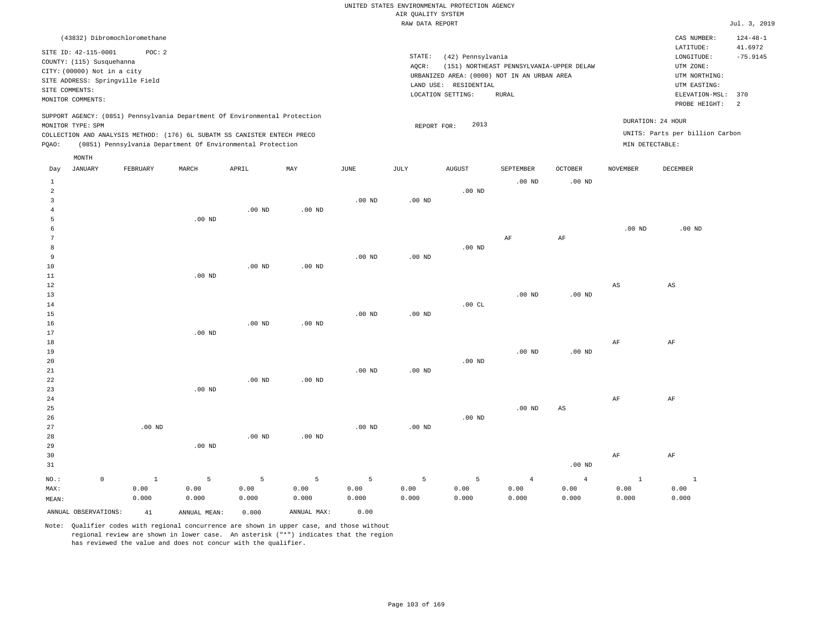|              |                             |                                                                            |          |                   |          |                   | RAW DATA REPORT   |                       |                                             |                   |                   |                                 | Jul. 3, 2019              |
|--------------|-----------------------------|----------------------------------------------------------------------------|----------|-------------------|----------|-------------------|-------------------|-----------------------|---------------------------------------------|-------------------|-------------------|---------------------------------|---------------------------|
|              |                             | (43832) Dibromochloromethane                                               |          |                   |          |                   |                   |                       |                                             |                   |                   | CAS NUMBER:<br>LATITUDE:        | $124 - 48 - 1$<br>41.6972 |
|              | SITE ID: 42-115-0001        | POC: 2                                                                     |          |                   |          |                   | STATE:            | (42) Pennsylvania     |                                             |                   |                   | LONGITUDE:                      | $-75.9145$                |
|              | COUNTY: (115) Susquehanna   |                                                                            |          |                   |          |                   | AOCR:             |                       | (151) NORTHEAST PENNSYLVANIA-UPPER DELAW    |                   |                   | UTM ZONE:                       |                           |
|              | CITY: (00000) Not in a city |                                                                            |          |                   |          |                   |                   |                       | URBANIZED AREA: (0000) NOT IN AN URBAN AREA |                   |                   | UTM NORTHING:                   |                           |
|              |                             | SITE ADDRESS: Springville Field                                            |          |                   |          |                   |                   | LAND USE: RESIDENTIAL |                                             |                   |                   | UTM EASTING:                    |                           |
|              | SITE COMMENTS:              |                                                                            |          |                   |          |                   |                   | LOCATION SETTING:     | RURAL                                       |                   |                   | ELEVATION-MSL:                  | 370                       |
|              | MONITOR COMMENTS:           |                                                                            |          |                   |          |                   |                   |                       |                                             |                   |                   | PROBE HEIGHT:                   | 2                         |
|              |                             | SUPPORT AGENCY: (0851) Pennsylvania Department Of Environmental Protection |          |                   |          |                   |                   |                       |                                             |                   |                   |                                 |                           |
|              | MONITOR TYPE: SPM           |                                                                            |          |                   |          |                   | REPORT FOR:       | 2013                  |                                             |                   |                   | DURATION: 24 HOUR               |                           |
|              |                             | COLLECTION AND ANALYSIS METHOD: (176) 6L SUBATM SS CANISTER ENTECH PRECO   |          |                   |          |                   |                   |                       |                                             |                   |                   | UNITS: Parts per billion Carbon |                           |
| PQAO:        |                             | (0851) Pennsylvania Department Of Environmental Protection                 |          |                   |          |                   |                   |                       |                                             |                   | MIN DETECTABLE:   |                                 |                           |
|              | MONTH                       |                                                                            |          |                   |          |                   |                   |                       |                                             |                   |                   |                                 |                           |
| Day          | JANUARY                     | FEBRUARY                                                                   | MARCH    | APRIL             | MAY      | JUNE              | JULY              | <b>AUGUST</b>         | SEPTEMBER                                   | <b>OCTOBER</b>    | <b>NOVEMBER</b>   | DECEMBER                        |                           |
| $\mathbf{1}$ |                             |                                                                            |          |                   |          |                   |                   |                       | $.00$ ND                                    | $.00$ ND          |                   |                                 |                           |
| 2            |                             |                                                                            |          |                   |          |                   |                   | .00 <sub>ND</sub>     |                                             |                   |                   |                                 |                           |
| 3            |                             |                                                                            |          |                   |          | $.00$ ND          | .00 <sub>ND</sub> |                       |                                             |                   |                   |                                 |                           |
| 4            |                             |                                                                            |          | $.00$ ND          | $.00$ ND |                   |                   |                       |                                             |                   |                   |                                 |                           |
| 5            |                             |                                                                            | $.00$ ND |                   |          |                   |                   |                       |                                             |                   |                   |                                 |                           |
| 6            |                             |                                                                            |          |                   |          |                   |                   |                       |                                             |                   | .00 <sub>ND</sub> | $.00$ ND                        |                           |
| 7            |                             |                                                                            |          |                   |          |                   |                   |                       | AF                                          | AF                |                   |                                 |                           |
| 8            |                             |                                                                            |          |                   |          |                   |                   | $.00$ ND              |                                             |                   |                   |                                 |                           |
| 9            |                             |                                                                            |          |                   |          | $.00$ ND          | $.00$ ND          |                       |                                             |                   |                   |                                 |                           |
| 10           |                             |                                                                            |          | .00 <sub>ND</sub> | $.00$ ND |                   |                   |                       |                                             |                   |                   |                                 |                           |
| 11           |                             |                                                                            | $.00$ ND |                   |          |                   |                   |                       |                                             |                   |                   |                                 |                           |
| 12           |                             |                                                                            |          |                   |          |                   |                   |                       |                                             |                   | $_{\rm AS}$       | $\mathbb{A}\mathbb{S}$          |                           |
| 13           |                             |                                                                            |          |                   |          |                   |                   |                       | $.00$ ND                                    | .00 <sub>ND</sub> |                   |                                 |                           |
| 14           |                             |                                                                            |          |                   |          |                   |                   | .00CL                 |                                             |                   |                   |                                 |                           |
| 15           |                             |                                                                            |          |                   |          | $.00$ ND          | $.00$ ND          |                       |                                             |                   |                   |                                 |                           |
| 16<br>17     |                             |                                                                            | $.00$ ND | $.00$ ND          | $.00$ ND |                   |                   |                       |                                             |                   |                   |                                 |                           |
| 18           |                             |                                                                            |          |                   |          |                   |                   |                       |                                             |                   | AF                | AF                              |                           |
| 19           |                             |                                                                            |          |                   |          |                   |                   |                       | $.00$ ND                                    | .00 <sub>ND</sub> |                   |                                 |                           |
| 20           |                             |                                                                            |          |                   |          |                   |                   | .00 <sub>ND</sub>     |                                             |                   |                   |                                 |                           |
| 21           |                             |                                                                            |          |                   |          | $.00$ ND          | $.00$ ND          |                       |                                             |                   |                   |                                 |                           |
| 22           |                             |                                                                            |          | $.00$ ND          | $.00$ ND |                   |                   |                       |                                             |                   |                   |                                 |                           |
| 23           |                             |                                                                            | $.00$ ND |                   |          |                   |                   |                       |                                             |                   |                   |                                 |                           |
| 24           |                             |                                                                            |          |                   |          |                   |                   |                       |                                             |                   | AF                | AF                              |                           |
| 25           |                             |                                                                            |          |                   |          |                   |                   |                       | $.00$ ND                                    | $_{\rm AS}$       |                   |                                 |                           |
| 26           |                             |                                                                            |          |                   |          |                   |                   | $.00$ ND              |                                             |                   |                   |                                 |                           |
| 27           |                             | $.00$ ND                                                                   |          |                   |          | .00 <sub>ND</sub> | $.00$ ND          |                       |                                             |                   |                   |                                 |                           |

28 29 30 31 NO.: MAX: MEAN:  $\mathbf 0$  .00 ND .00 ND .00 ND .00 ND AF AF 1 0.00 0.000 5 0.00 0.000 5 0.00 0.000 5 0.00 0.000 5 0.00 0.000 5 0.00 0.000 5 0.00 0.000 4 0.00 0.000 4 0.00 0.000 1 0.00 0.000 1 0.00 0.000 ANNUAL OBSERVATIONS: 41 ANNUAL MEAN: 0.000 ANNUAL MAX: 0.00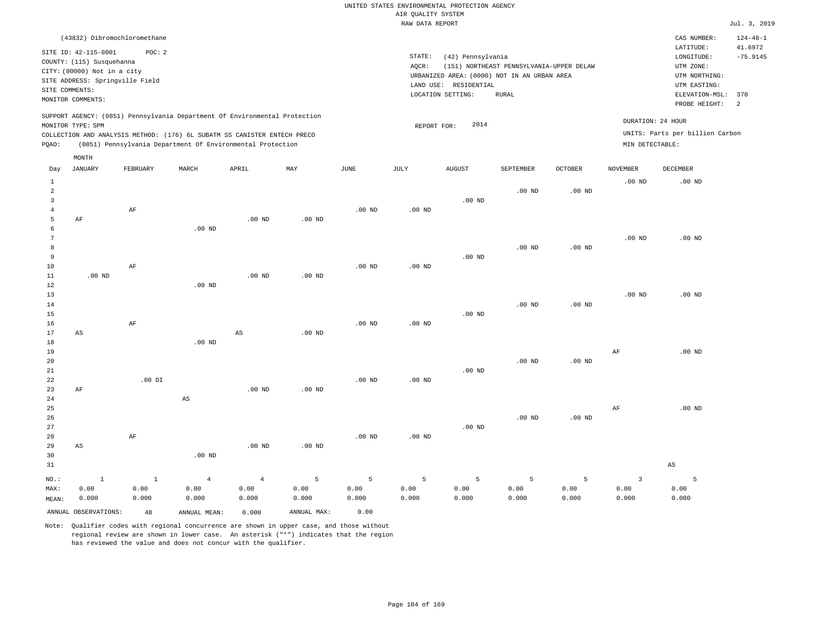| (43832) Dibromochloromethane                                                                                                                                                                                                                                |                                                                                                                                                                                        | CAS NUMBER:                                                                                                  | $124 - 48 - 1$               |
|-------------------------------------------------------------------------------------------------------------------------------------------------------------------------------------------------------------------------------------------------------------|----------------------------------------------------------------------------------------------------------------------------------------------------------------------------------------|--------------------------------------------------------------------------------------------------------------|------------------------------|
| SITE ID: 42-115-0001<br>POC:2<br>COUNTY: (115) Susquehanna<br>CITY: (00000) Not in a city<br>SITE ADDRESS: Springville Field<br>SITE COMMENTS:<br>MONITOR COMMENTS:                                                                                         | STATE:<br>(42) Pennsylvania<br>AOCR:<br>(151) NORTHEAST PENNSYLVANIA-UPPER DELAW<br>URBANIZED AREA: (0000) NOT IN AN URBAN AREA<br>LAND USE: RESIDENTIAL<br>LOCATION SETTING:<br>RURAL | LATITUDE:<br>LONGITUDE:<br>UTM ZONE:<br>UTM NORTHING:<br>UTM EASTING:<br>ELEVATION-MSL: 370<br>PROBE HEIGHT: | 41.6972<br>$-75.9145$<br>- 2 |
| SUPPORT AGENCY: (0851) Pennsylvania Department Of Environmental Protection<br>MONITOR TYPE: SPM<br>COLLECTION AND ANALYSIS METHOD: (176) 6L SUBATM SS CANISTER ENTECH PRECO<br>(0851) Pennsylvania Department Of Environmental Protection<br>POAO:<br>MONTH | DURATION: 24 HOUR<br>2014<br>REPORT FOR:<br>MIN DETECTABLE:                                                                                                                            | UNITS: Parts per billion Carbon                                                                              |                              |

| Day            | JANUARY                | FEBRUARY  | MARCH                  | APRIL          | MAY            | JUNE     | JULY     | AUGUST   | SEPTEMBER | OCTOBER  | NOVEMBER                | DECEMBER               |
|----------------|------------------------|-----------|------------------------|----------------|----------------|----------|----------|----------|-----------|----------|-------------------------|------------------------|
| $\mathbf{1}$   |                        |           |                        |                |                |          |          |          |           |          | $.00$ ND                | $.00$ ND               |
| $\,2$          |                        |           |                        |                |                |          |          |          | $.00$ ND  | $.00$ ND |                         |                        |
| 3              |                        |           |                        |                |                |          |          | $.00$ ND |           |          |                         |                        |
| $\overline{4}$ |                        | $\rm{AF}$ |                        |                |                | $.00$ ND | .00 $ND$ |          |           |          |                         |                        |
| 5              | $\rm AF$               |           |                        | $.00$ ND       | $.00$ ND       |          |          |          |           |          |                         |                        |
| 6              |                        |           | $.00$ ND               |                |                |          |          |          |           |          |                         |                        |
| 7              |                        |           |                        |                |                |          |          |          |           |          | $.00$ ND                | $.00$ ND               |
| 8              |                        |           |                        |                |                |          |          |          | $.00$ ND  | $.00$ ND |                         |                        |
| 9              |                        |           |                        |                |                |          |          | $.00$ ND |           |          |                         |                        |
| 10             |                        | $\rm AF$  |                        |                |                | $.00$ ND | .00 $ND$ |          |           |          |                         |                        |
| 11             | $.00$ ND               |           |                        | $.00$ ND       | $.00$ ND       |          |          |          |           |          |                         |                        |
| 12             |                        |           | $.00$ ND               |                |                |          |          |          |           |          |                         |                        |
| 13             |                        |           |                        |                |                |          |          |          |           |          | $.00$ ND                | $.00$ ND               |
| 14             |                        |           |                        |                |                |          |          |          | $.00$ ND  | .00 $ND$ |                         |                        |
| 15             |                        |           |                        |                |                |          |          | $.00$ ND |           |          |                         |                        |
| 16<br>17       |                        | $\rm AF$  |                        | $_{\rm AS}$    | $.00$ ND       | $.00$ ND | .00 $ND$ |          |           |          |                         |                        |
| 18             | AS                     |           | $.00$ ND               |                |                |          |          |          |           |          |                         |                        |
| 19             |                        |           |                        |                |                |          |          |          |           |          | $\rm AF$                | $.00$ ND               |
| 20             |                        |           |                        |                |                |          |          |          | $.00$ ND  | $.00$ ND |                         |                        |
| 21             |                        |           |                        |                |                |          |          | $.00$ ND |           |          |                         |                        |
| $2\sqrt{2}$    |                        | .00 DI    |                        |                |                | $.00$ ND | .00 $ND$ |          |           |          |                         |                        |
| 23             | $\rm AF$               |           |                        | $.00$ ND       | $.00$ ND       |          |          |          |           |          |                         |                        |
| $2\,4$         |                        |           | $\mathbb{A}\mathbb{S}$ |                |                |          |          |          |           |          |                         |                        |
| $25\,$         |                        |           |                        |                |                |          |          |          |           |          | AF                      | $.00$ ND               |
| 26             |                        |           |                        |                |                |          |          |          | .00 $ND$  | .00 $ND$ |                         |                        |
| 27             |                        |           |                        |                |                |          |          | $.00$ ND |           |          |                         |                        |
| 28             |                        | $\rm{AF}$ |                        |                |                | $.00$ ND | $.00$ ND |          |           |          |                         |                        |
| 29             | $\mathbb{A}\mathbb{S}$ |           |                        | $.00$ ND       | $.00$ ND       |          |          |          |           |          |                         |                        |
| 30             |                        |           | $.00$ ND               |                |                |          |          |          |           |          |                         |                        |
| 31             |                        |           |                        |                |                |          |          |          |           |          |                         | $\mathbb{A}\mathbb{S}$ |
| $_{\rm NO.}$ : | $\,$ 1                 | $\,$ 1    | $\overline{4}$         | $\overline{4}$ | $\overline{5}$ | 5        | 5        | 5        | 5         | 5        | $\overline{\mathbf{3}}$ | 5                      |
| MAX:           | 0.00                   | 0.00      | 0.00                   | 0.00           | 0.00           | 0.00     | 0.00     | 0.00     | 0.00      | 0.00     | 0.00                    | 0.00                   |
| MEAN:          | 0.000                  | 0.000     | 0.000                  | 0.000          | 0.000          | 0.000    | 0.000    | 0.000    | 0.000     | 0.000    | 0.000                   | 0.000                  |
|                | ANNUAL OBSERVATIONS:   | 48        | ANNUAL MEAN:           | 0.000          | ANNUAL MAX:    | 0.00     |          |          |           |          |                         |                        |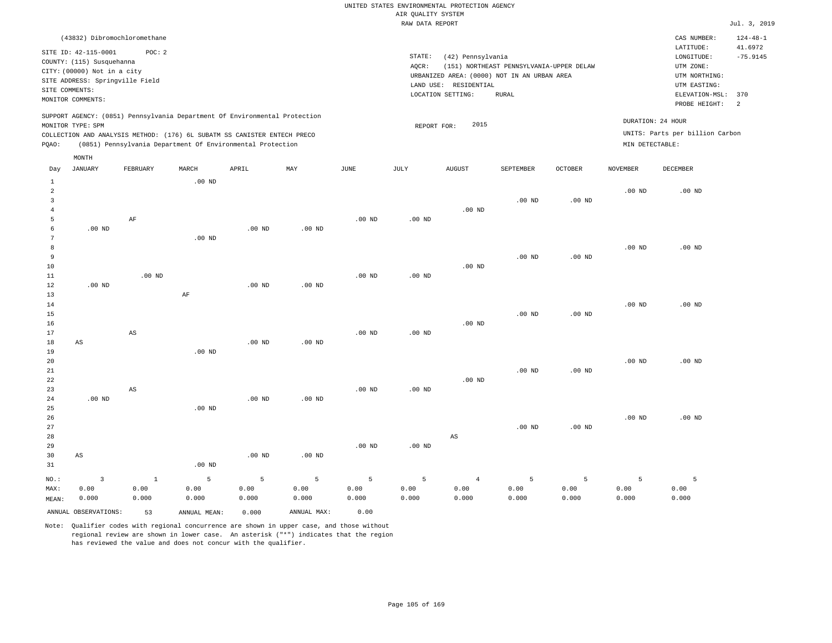|                |                                                                | (43832) Dibromochloromethane                                                                                                           |                          |       |                                                                            |      |                 |                                                                      |                                          |                |                 | CAS NUMBER:                                          | $124 - 48 - 1$        |
|----------------|----------------------------------------------------------------|----------------------------------------------------------------------------------------------------------------------------------------|--------------------------|-------|----------------------------------------------------------------------------|------|-----------------|----------------------------------------------------------------------|------------------------------------------|----------------|-----------------|------------------------------------------------------|-----------------------|
|                | SITE ID: 42-115-0001<br>COUNTY: (115) Susquehanna              | POC:2                                                                                                                                  |                          |       |                                                                            |      | STATE:<br>AOCR: | (42) Pennsylvania                                                    | (151) NORTHEAST PENNSYLVANIA-UPPER DELAW |                |                 | LATITUDE:<br>LONGITUDE:<br>UTM ZONE:                 | 41.6972<br>$-75.9145$ |
| SITE COMMENTS: | CITY: (00000) Not in a city<br>SITE ADDRESS: Springville Field |                                                                                                                                        |                          |       |                                                                            |      |                 | URBANIZED AREA: (0000) NOT IN AN URBAN AREA<br>LAND USE: RESIDENTIAL |                                          |                |                 | UTM NORTHING:<br>UTM EASTING:                        |                       |
|                | MONITOR COMMENTS:                                              |                                                                                                                                        |                          |       |                                                                            |      |                 | LOCATION SETTING:                                                    | <b>RURAL</b>                             |                |                 | ELEVATION-MSL:<br>PROBE HEIGHT:                      | 370<br>- 2            |
| POAO:          | MONITOR TYPE: SPM                                              | COLLECTION AND ANALYSIS METHOD: (176) 6L SUBATM SS CANISTER ENTECH PRECO<br>(0851) Pennsylvania Department Of Environmental Protection |                          |       | SUPPORT AGENCY: (0851) Pennsylvania Department Of Environmental Protection |      |                 | 2015<br>REPORT FOR:                                                  |                                          |                | MIN DETECTABLE: | DURATION: 24 HOUR<br>UNITS: Parts per billion Carbon |                       |
| Day            | MONTH<br>JANUARY                                               | FEBRUARY                                                                                                                               | MARCH<br>$00 \text{ MP}$ | APRIL | MAY                                                                        | JUNE | JULY            | <b>AUGUST</b>                                                        | SEPTEMBER                                | <b>OCTOBER</b> | NOVEMBER        | DECEMBER                                             |                       |

| $\pm$          |                         |                        | .UU ND   |          |          |          |          |                        |          |          |          |                   |
|----------------|-------------------------|------------------------|----------|----------|----------|----------|----------|------------------------|----------|----------|----------|-------------------|
| $\overline{a}$ |                         |                        |          |          |          |          |          |                        |          |          | $.00$ ND | .00 <sub>ND</sub> |
| 3              |                         |                        |          |          |          |          |          |                        | $.00$ ND | $.00$ ND |          |                   |
| 4              |                         |                        |          |          |          |          |          | .00 $ND$               |          |          |          |                   |
| 5              |                         | $\rm AF$               |          |          |          | $.00$ ND | .00 $ND$ |                        |          |          |          |                   |
| 6              | $.00$ ND                |                        |          | .00 $ND$ | $.00$ ND |          |          |                        |          |          |          |                   |
| 7              |                         |                        | $.00$ ND |          |          |          |          |                        |          |          |          |                   |
| 8              |                         |                        |          |          |          |          |          |                        |          |          | .00 $ND$ | $.00$ ND          |
| 9              |                         |                        |          |          |          |          |          |                        | $.00$ ND | $.00$ ND |          |                   |
| 10             |                         |                        |          |          |          |          |          | $.00$ ND               |          |          |          |                   |
| 11             |                         | $.00$ ND               |          |          |          | $.00$ ND | $.00$ ND |                        |          |          |          |                   |
| 12             | $.00$ ND                |                        |          | $.00$ ND | $.00$ ND |          |          |                        |          |          |          |                   |
| 13             |                         |                        | $\rm AF$ |          |          |          |          |                        |          |          |          |                   |
| 14             |                         |                        |          |          |          |          |          |                        |          |          | $.00$ ND | $.00$ ND          |
| 15             |                         |                        |          |          |          |          |          |                        | $.00$ ND | $.00$ ND |          |                   |
| 16             |                         |                        |          |          |          |          |          | $.00$ ND               |          |          |          |                   |
| 17             |                         | $\mathbb{A}\mathbb{S}$ |          |          |          | $.00$ ND | $.00$ ND |                        |          |          |          |                   |
| 18             | $\mathbb{A}\mathbb{S}$  |                        |          | .00 $ND$ | $.00$ ND |          |          |                        |          |          |          |                   |
| 19             |                         |                        | $.00$ ND |          |          |          |          |                        |          |          |          |                   |
| 20             |                         |                        |          |          |          |          |          |                        |          |          | $.00$ ND | $.00$ ND          |
| 21             |                         |                        |          |          |          |          |          |                        | $.00$ ND | $.00$ ND |          |                   |
| 22<br>23       |                         |                        |          |          |          | $.00$ ND |          | .00 $ND$               |          |          |          |                   |
| 24             | $.00$ ND                | AS                     |          | $.00$ ND | $.00$ ND |          | .00 $ND$ |                        |          |          |          |                   |
| 25             |                         |                        | $.00$ ND |          |          |          |          |                        |          |          |          |                   |
| 26             |                         |                        |          |          |          |          |          |                        |          |          | $.00$ ND | $.00$ ND          |
| 27             |                         |                        |          |          |          |          |          |                        | $.00$ ND | $.00$ ND |          |                   |
| 28             |                         |                        |          |          |          |          |          | $\mathbb{A}\mathbb{S}$ |          |          |          |                   |
| 29             |                         |                        |          |          |          | $.00$ ND | $.00$ ND |                        |          |          |          |                   |
| 30             | $\mathbb{A}\mathbb{S}$  |                        |          | $.00$ ND | $.00$ ND |          |          |                        |          |          |          |                   |
| 31             |                         |                        | $.00$ ND |          |          |          |          |                        |          |          |          |                   |
| $_{\rm NO.}$ : | $\overline{\mathbf{3}}$ | $\,$ 1                 | 5        | 5        | 5        | 5        | 5        | $\overline{4}$         | 5        | 5        | 5        | 5                 |
| MAX:           | 0.00                    | 0.00                   | 0.00     | 0.00     | 0.00     | 0.00     | 0.00     | 0.00                   | 0.00     | 0.00     | 0.00     | 0.00              |
| MEAN:          | 0.000                   | 0.000                  | 0.000    | 0.000    | 0.000    | 0.000    | 0.000    | 0.000                  | 0.000    | 0.000    | 0.000    | 0.000             |
|                |                         |                        |          |          |          |          |          |                        |          |          |          |                   |

ANNUAL OBSERVATIONS: 53 ANNUAL MEAN: 0.000 ANNUAL MAX: 0.00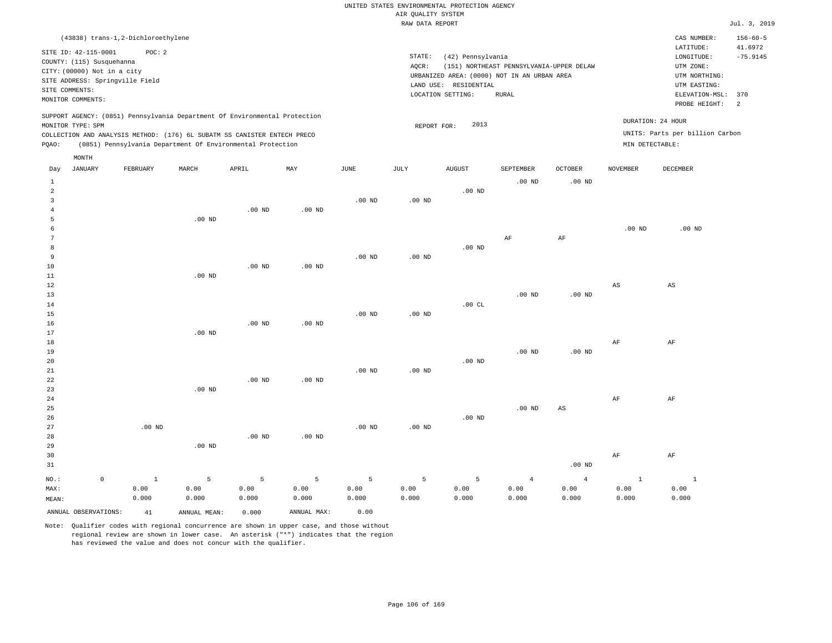|                |                             |                                    |                                                                            |          |                   |                   | RAW DATA REPORT   |                       |                                             |                 |                                 |                   | Jul. 3, 2019   |  |
|----------------|-----------------------------|------------------------------------|----------------------------------------------------------------------------|----------|-------------------|-------------------|-------------------|-----------------------|---------------------------------------------|-----------------|---------------------------------|-------------------|----------------|--|
|                |                             | (43838) trans-1,2-Dichloroethylene |                                                                            |          |                   |                   |                   |                       |                                             |                 |                                 | CAS NUMBER:       | $156 - 60 - 5$ |  |
|                |                             |                                    |                                                                            |          |                   |                   |                   |                       |                                             |                 |                                 | LATITUDE:         | 41.6972        |  |
|                | SITE ID: 42-115-0001        | POC: 2                             |                                                                            |          |                   |                   | STATE:            | (42) Pennsylvania     |                                             |                 | LONGITUDE:                      | $-75.9145$        |                |  |
|                | COUNTY: (115) Susquehanna   |                                    |                                                                            |          |                   |                   | AOCR:             |                       | (151) NORTHEAST PENNSYLVANIA-UPPER DELAW    |                 |                                 | UTM ZONE:         |                |  |
|                | CITY: (00000) Not in a city |                                    |                                                                            |          |                   |                   |                   |                       | URBANIZED AREA: (0000) NOT IN AN URBAN AREA |                 |                                 | UTM NORTHING:     |                |  |
|                |                             | SITE ADDRESS: Springville Field    |                                                                            |          |                   |                   |                   | LAND USE: RESIDENTIAL |                                             |                 |                                 | UTM EASTING:      |                |  |
|                | SITE COMMENTS:              |                                    |                                                                            |          |                   |                   |                   | LOCATION SETTING:     | <b>RURAL</b>                                |                 |                                 | ELEVATION-MSL:    | 370            |  |
|                | MONITOR COMMENTS:           |                                    |                                                                            |          |                   |                   |                   |                       |                                             |                 |                                 | PROBE HEIGHT:     | 2              |  |
|                |                             |                                    | SUPPORT AGENCY: (0851) Pennsylvania Department Of Environmental Protection |          |                   |                   |                   |                       |                                             |                 |                                 | DURATION: 24 HOUR |                |  |
|                | MONITOR TYPE: SPM           |                                    |                                                                            |          |                   |                   | REPORT FOR:       | 2013                  |                                             |                 |                                 |                   |                |  |
|                |                             |                                    | COLLECTION AND ANALYSIS METHOD: (176) 6L SUBATM SS CANISTER ENTECH PRECO   |          |                   |                   |                   |                       |                                             |                 | UNITS: Parts per billion Carbon |                   |                |  |
| PQAO:          |                             |                                    | (0851) Pennsylvania Department Of Environmental Protection                 |          |                   |                   |                   |                       |                                             | MIN DETECTABLE: |                                 |                   |                |  |
|                | MONTH                       |                                    |                                                                            |          |                   |                   |                   |                       |                                             |                 |                                 |                   |                |  |
| Day            | <b>JANUARY</b>              | FEBRUARY                           | MARCH                                                                      | APRIL    | MAY               | $_{\rm JUNE}$     | JULY              | <b>AUGUST</b>         | SEPTEMBER                                   | <b>OCTOBER</b>  | <b>NOVEMBER</b>                 | <b>DECEMBER</b>   |                |  |
| $\mathbf{1}$   |                             |                                    |                                                                            |          |                   |                   |                   |                       | $.00$ ND                                    | $.00$ ND        |                                 |                   |                |  |
| $\overline{a}$ |                             |                                    |                                                                            |          |                   |                   |                   | $.00$ ND              |                                             |                 |                                 |                   |                |  |
| $\mathbf{3}$   |                             |                                    |                                                                            |          |                   | .00 <sub>ND</sub> | $.00$ ND          |                       |                                             |                 |                                 |                   |                |  |
| $\overline{4}$ |                             |                                    |                                                                            | $.00$ ND | $.00$ ND          |                   |                   |                       |                                             |                 |                                 |                   |                |  |
| 5              |                             |                                    | .00 <sub>ND</sub>                                                          |          |                   |                   |                   |                       |                                             |                 |                                 |                   |                |  |
| 6              |                             |                                    |                                                                            |          |                   |                   |                   |                       |                                             |                 | $.00$ ND                        | $.00$ ND          |                |  |
| 7              |                             |                                    |                                                                            |          |                   |                   |                   |                       | AF                                          | AF              |                                 |                   |                |  |
| 8              |                             |                                    |                                                                            |          |                   |                   |                   | $.00$ ND              |                                             |                 |                                 |                   |                |  |
| 9              |                             |                                    |                                                                            |          |                   | $.00$ ND          | $.00$ ND          |                       |                                             |                 |                                 |                   |                |  |
| 10             |                             |                                    |                                                                            | $.00$ ND | .00 <sub>ND</sub> |                   |                   |                       |                                             |                 |                                 |                   |                |  |
| 11             |                             |                                    | $.00$ ND                                                                   |          |                   |                   |                   |                       |                                             |                 |                                 |                   |                |  |
| 12             |                             |                                    |                                                                            |          |                   |                   |                   |                       |                                             |                 | $_{\rm AS}$                     | AS                |                |  |
| 13             |                             |                                    |                                                                            |          |                   |                   |                   | .00CL                 | $.00$ ND                                    | $.00$ ND        |                                 |                   |                |  |
| 14             |                             |                                    |                                                                            |          |                   | $.00$ ND          |                   |                       |                                             |                 |                                 |                   |                |  |
| 15             |                             |                                    |                                                                            |          |                   |                   | .00 <sub>ND</sub> |                       |                                             |                 |                                 |                   |                |  |
| 16<br>17       |                             |                                    | $.00$ ND                                                                   | $.00$ ND | .00 <sub>ND</sub> |                   |                   |                       |                                             |                 |                                 |                   |                |  |
| 18             |                             |                                    |                                                                            |          |                   |                   |                   |                       |                                             |                 | AF                              | AF                |                |  |
| 19             |                             |                                    |                                                                            |          |                   |                   |                   |                       | $.00$ ND                                    | .00 $ND$        |                                 |                   |                |  |
| 20             |                             |                                    |                                                                            |          |                   |                   |                   | $.00$ ND              |                                             |                 |                                 |                   |                |  |
| 21             |                             |                                    |                                                                            |          |                   | $.00$ ND          | $.00$ ND          |                       |                                             |                 |                                 |                   |                |  |
| 22             |                             |                                    |                                                                            | $.00$ ND | $.00$ ND          |                   |                   |                       |                                             |                 |                                 |                   |                |  |
| 23             |                             |                                    | $.00$ ND                                                                   |          |                   |                   |                   |                       |                                             |                 |                                 |                   |                |  |
| 24             |                             |                                    |                                                                            |          |                   |                   |                   |                       |                                             |                 | AF                              | AF                |                |  |
| 25             |                             |                                    |                                                                            |          |                   |                   |                   |                       | $.00$ ND                                    | AS              |                                 |                   |                |  |
| 26             |                             |                                    |                                                                            |          |                   |                   |                   | $.00$ ND              |                                             |                 |                                 |                   |                |  |
| 27             |                             | $.00$ ND                           |                                                                            |          |                   | .00 <sub>ND</sub> | $.00$ ND          |                       |                                             |                 |                                 |                   |                |  |
| 28             |                             |                                    |                                                                            | $.00$ ND | .00 <sub>ND</sub> |                   |                   |                       |                                             |                 |                                 |                   |                |  |
| 29             |                             |                                    | $.00$ ND                                                                   |          |                   |                   |                   |                       |                                             |                 |                                 |                   |                |  |
| 30             |                             |                                    |                                                                            |          |                   |                   |                   |                       |                                             |                 | AF                              | AF                |                |  |
| 31             |                             |                                    |                                                                            |          |                   |                   |                   |                       |                                             | $.00$ ND        |                                 |                   |                |  |
|                |                             |                                    |                                                                            |          |                   |                   |                   |                       |                                             |                 |                                 |                   |                |  |
| NO.:           | $\mathbb O$                 | $\mathbf{1}$                       | 5                                                                          | 5        | 5                 | 5                 | 5                 | 5                     | $\overline{4}$                              | $\overline{4}$  | $\mathbf{1}$                    | $1\,$             |                |  |
| MAX:           |                             | 0.00                               | 0.00                                                                       | 0.00     | 0.00              | 0.00              | 0.00              | 0.00                  | 0.00                                        | 0.00            | 0.00                            | 0.00              |                |  |
| MEAN:          |                             | 0.000                              | 0.000                                                                      | 0.000    | 0.000             | 0.000             | 0.000             | 0.000                 | 0.000                                       | 0.000           | 0.000                           | 0.000             |                |  |
|                | ANNUAL OBSERVATIONS:        | 41                                 | ANNUAL MEAN:                                                               | 0.000    | ANNUAL MAX:       | 0.00              |                   |                       |                                             |                 |                                 |                   |                |  |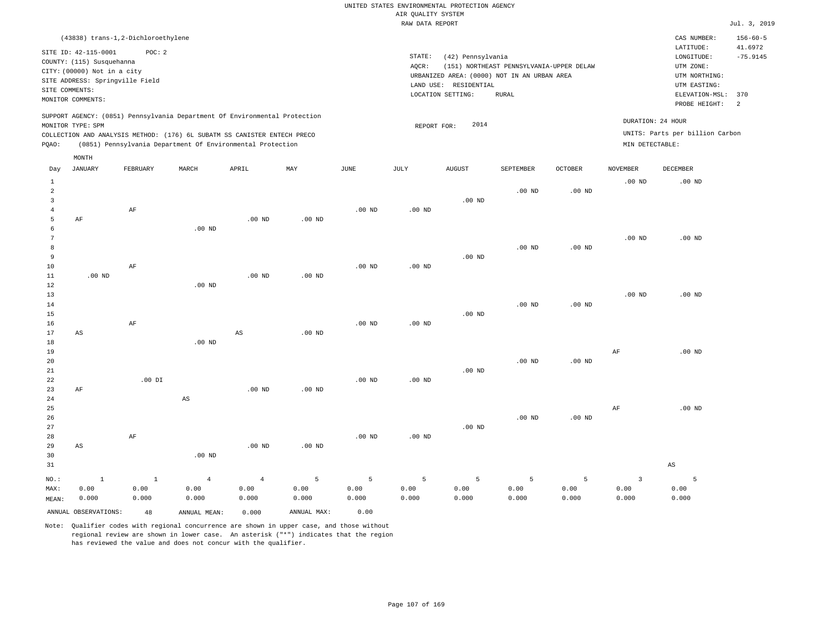|                                                                                               |                                    |          |                                                                            |                   |                           |                   | RAW DATA REPORT |                       |                                             |                                 |                         |                   | Jul. 3, 2019   |
|-----------------------------------------------------------------------------------------------|------------------------------------|----------|----------------------------------------------------------------------------|-------------------|---------------------------|-------------------|-----------------|-----------------------|---------------------------------------------|---------------------------------|-------------------------|-------------------|----------------|
|                                                                                               | (43838) trans-1,2-Dichloroethylene |          |                                                                            |                   |                           |                   |                 |                       |                                             |                                 |                         | CAS NUMBER:       | $156 - 60 - 5$ |
|                                                                                               |                                    | POC: 2   |                                                                            |                   |                           |                   |                 |                       |                                             |                                 |                         | LATITUDE:         | 41.6972        |
| SITE ID: 42-115-0001                                                                          |                                    |          |                                                                            |                   |                           |                   |                 | (42) Pennsylvania     | LONGITUDE:                                  | $-75.9145$                      |                         |                   |                |
| COUNTY: (115) Susquehanna<br>CITY: (00000) Not in a city                                      |                                    |          |                                                                            |                   |                           |                   |                 |                       | (151) NORTHEAST PENNSYLVANIA-UPPER DELAW    |                                 | UTM ZONE:               |                   |                |
| SITE ADDRESS: Springville Field                                                               |                                    |          |                                                                            |                   |                           |                   |                 |                       | URBANIZED AREA: (0000) NOT IN AN URBAN AREA |                                 |                         | UTM NORTHING:     |                |
| SITE COMMENTS:                                                                                |                                    |          |                                                                            |                   |                           |                   |                 | LAND USE: RESIDENTIAL |                                             |                                 |                         | UTM EASTING:      |                |
|                                                                                               | MONITOR COMMENTS:                  |          |                                                                            |                   |                           |                   |                 | LOCATION SETTING:     | <b>RURAL</b>                                |                                 | ELEVATION-MSL:          | 370               |                |
|                                                                                               |                                    |          |                                                                            |                   |                           |                   |                 |                       |                                             |                                 |                         | PROBE HEIGHT:     | 2              |
|                                                                                               |                                    |          | SUPPORT AGENCY: (0851) Pennsylvania Department Of Environmental Protection |                   |                           |                   |                 | 2014                  |                                             |                                 |                         | DURATION: 24 HOUR |                |
| MONITOR TYPE: SPM<br>COLLECTION AND ANALYSIS METHOD: (176) 6L SUBATM SS CANISTER ENTECH PRECO |                                    |          |                                                                            |                   |                           |                   | REPORT FOR:     |                       |                                             | UNITS: Parts per billion Carbon |                         |                   |                |
| PQAO:                                                                                         |                                    |          | (0851) Pennsylvania Department Of Environmental Protection                 |                   |                           |                   |                 |                       |                                             | MIN DETECTABLE:                 |                         |                   |                |
|                                                                                               | MONTH                              |          |                                                                            |                   |                           |                   |                 |                       |                                             |                                 |                         |                   |                |
| Day                                                                                           | JANUARY                            | FEBRUARY | MARCH                                                                      | APRIL             | $\ensuremath{\text{MAX}}$ | JUNE              | JULY            | <b>AUGUST</b>         | SEPTEMBER                                   | <b>OCTOBER</b>                  | <b>NOVEMBER</b>         | <b>DECEMBER</b>   |                |
| $\mathbf{1}$                                                                                  |                                    |          |                                                                            |                   |                           |                   |                 |                       |                                             |                                 | .00 <sub>ND</sub>       | $.00$ ND          |                |
| 2                                                                                             |                                    |          |                                                                            |                   |                           |                   |                 |                       | $.00$ ND                                    | .00 <sub>ND</sub>               |                         |                   |                |
| 3                                                                                             |                                    |          |                                                                            |                   |                           |                   |                 | $.00$ ND              |                                             |                                 |                         |                   |                |
| $\overline{4}$                                                                                |                                    | AF       |                                                                            |                   |                           | $.00$ ND          | $.00$ ND        |                       |                                             |                                 |                         |                   |                |
| 5                                                                                             | AF                                 |          |                                                                            | .00 <sub>ND</sub> | $.00$ ND                  |                   |                 |                       |                                             |                                 |                         |                   |                |
| 6                                                                                             |                                    |          | $.00$ ND                                                                   |                   |                           |                   |                 |                       |                                             |                                 |                         |                   |                |
| $7\phantom{.0}$                                                                               |                                    |          |                                                                            |                   |                           |                   |                 |                       |                                             |                                 | .00 <sub>ND</sub>       | $.00$ ND          |                |
| 8                                                                                             |                                    |          |                                                                            |                   |                           |                   |                 |                       | $.00$ ND                                    | $.00$ ND                        |                         |                   |                |
| 9                                                                                             |                                    |          |                                                                            |                   |                           |                   |                 | $.00$ ND              |                                             |                                 |                         |                   |                |
| 10                                                                                            |                                    | AF       |                                                                            |                   |                           | $.00$ ND          | $.00$ ND        |                       |                                             |                                 |                         |                   |                |
| 11                                                                                            | .00 <sub>ND</sub>                  |          |                                                                            | .00 <sub>ND</sub> | $.00$ ND                  |                   |                 |                       |                                             |                                 |                         |                   |                |
| 12                                                                                            |                                    |          | $.00$ ND                                                                   |                   |                           |                   |                 |                       |                                             |                                 |                         |                   |                |
| 13                                                                                            |                                    |          |                                                                            |                   |                           |                   |                 |                       |                                             |                                 | .00 <sub>ND</sub>       | $.00$ ND          |                |
| 14                                                                                            |                                    |          |                                                                            |                   |                           |                   |                 |                       | .00 <sub>ND</sub>                           | $.00$ ND                        |                         |                   |                |
| 15                                                                                            |                                    |          |                                                                            |                   |                           |                   |                 | .00 <sub>ND</sub>     |                                             |                                 |                         |                   |                |
| 16                                                                                            |                                    | AF       |                                                                            |                   |                           | .00 <sub>ND</sub> | $.00$ ND        |                       |                                             |                                 |                         |                   |                |
| 17                                                                                            | AS                                 |          | $.00$ ND                                                                   | $_{\rm AS}$       | .00 <sub>ND</sub>         |                   |                 |                       |                                             |                                 |                         |                   |                |
| 18<br>19                                                                                      |                                    |          |                                                                            |                   |                           |                   |                 |                       |                                             |                                 | AF                      | $.00$ ND          |                |
| 20                                                                                            |                                    |          |                                                                            |                   |                           |                   |                 |                       | $.00$ ND                                    | $.00$ ND                        |                         |                   |                |
| 21                                                                                            |                                    |          |                                                                            |                   |                           |                   |                 | $.00$ ND              |                                             |                                 |                         |                   |                |
| 22                                                                                            |                                    | $.00$ DI |                                                                            |                   |                           | $.00$ ND          | $.00$ ND        |                       |                                             |                                 |                         |                   |                |
| 23                                                                                            | AF                                 |          |                                                                            | $.00$ ND          | $.00$ ND                  |                   |                 |                       |                                             |                                 |                         |                   |                |
| 24                                                                                            |                                    |          | $\mathbb{A}\mathbb{S}$                                                     |                   |                           |                   |                 |                       |                                             |                                 |                         |                   |                |
| 25                                                                                            |                                    |          |                                                                            |                   |                           |                   |                 |                       |                                             |                                 | AF                      | $.00$ ND          |                |
| 26                                                                                            |                                    |          |                                                                            |                   |                           |                   |                 |                       | .00 <sub>ND</sub>                           | $.00$ ND                        |                         |                   |                |
| 27                                                                                            |                                    |          |                                                                            |                   |                           |                   |                 | $.00$ ND              |                                             |                                 |                         |                   |                |
| 28                                                                                            |                                    | AF       |                                                                            |                   |                           | $.00$ ND          | $.00$ ND        |                       |                                             |                                 |                         |                   |                |
| 29                                                                                            | AS                                 |          |                                                                            | $.00$ ND          | $.00$ ND                  |                   |                 |                       |                                             |                                 |                         |                   |                |
| 30                                                                                            |                                    |          | .00 <sub>ND</sub>                                                          |                   |                           |                   |                 |                       |                                             |                                 |                         |                   |                |
| 31                                                                                            |                                    |          |                                                                            |                   |                           |                   |                 |                       |                                             |                                 |                         | $_{\rm AS}$       |                |
| NO.:                                                                                          | $\mathbf{1}$                       | $\,$ 1   | $\overline{4}$                                                             | $\overline{4}$    | 5                         | 5                 | 5               | 5                     | $\overline{5}$                              | 5                               | $\overline{\mathbf{3}}$ | 5                 |                |
| MAX:                                                                                          | 0.00                               | 0.00     | 0.00                                                                       | 0.00              | 0.00                      | 0.00              | 0.00            | 0.00                  | 0.00                                        | 0.00                            | 0.00                    | 0.00              |                |
| MEAN:                                                                                         | 0.000                              | 0.000    | 0.000                                                                      | 0.000             | 0.000                     | 0.000             | 0.000           | 0.000                 | 0.000                                       | 0.000                           | 0.000                   | 0.000             |                |
|                                                                                               | ANNUAL OBSERVATIONS:               | 48       | ANNUAL MEAN:                                                               | 0.000             | ANNUAL MAX:               | 0.00              |                 |                       |                                             |                                 |                         |                   |                |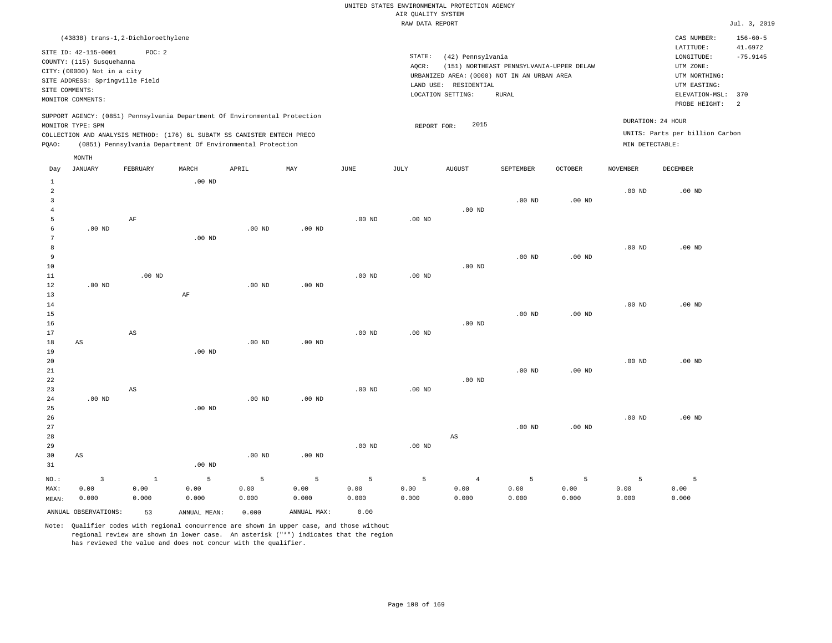|       |                                                          |                                    |          |                                                                                                                                                                                                                      |          |                   | RAW DATA REPORT   |                                             |                                          |                   |                   |                                                      | Jul. 3, 2019             |
|-------|----------------------------------------------------------|------------------------------------|----------|----------------------------------------------------------------------------------------------------------------------------------------------------------------------------------------------------------------------|----------|-------------------|-------------------|---------------------------------------------|------------------------------------------|-------------------|-------------------|------------------------------------------------------|--------------------------|
|       |                                                          | (43838) trans-1,2-Dichloroethylene |          |                                                                                                                                                                                                                      |          |                   |                   |                                             |                                          |                   |                   | CAS NUMBER:                                          | $156 - 60 - 5$           |
|       | SITE ID: 42-115-0001                                     | POC: 2                             |          |                                                                                                                                                                                                                      |          |                   |                   |                                             |                                          |                   |                   | LATITUDE:                                            | 41.6972                  |
|       |                                                          |                                    |          |                                                                                                                                                                                                                      |          |                   | STATE:            | (42) Pennsylvania                           |                                          |                   |                   | LONGITUDE:                                           | $-75.9145$               |
|       | COUNTY: (115) Susquehanna<br>CITY: (00000) Not in a city |                                    |          |                                                                                                                                                                                                                      |          |                   | AOCR:             |                                             | (151) NORTHEAST PENNSYLVANIA-UPPER DELAW |                   |                   | UTM ZONE:                                            |                          |
|       |                                                          |                                    |          |                                                                                                                                                                                                                      |          |                   |                   | URBANIZED AREA: (0000) NOT IN AN URBAN AREA |                                          |                   |                   | UTM NORTHING:                                        |                          |
|       | SITE ADDRESS: Springville Field                          |                                    |          |                                                                                                                                                                                                                      |          |                   | LAND USE:         | RESIDENTIAL                                 |                                          |                   |                   | UTM EASTING:                                         |                          |
|       | SITE COMMENTS:                                           |                                    |          |                                                                                                                                                                                                                      |          |                   |                   | LOCATION SETTING:                           | RURAL                                    |                   |                   | ELEVATION-MSL:                                       | 370                      |
|       | MONITOR COMMENTS:                                        |                                    |          |                                                                                                                                                                                                                      |          |                   |                   |                                             |                                          |                   |                   | PROBE HEIGHT:                                        | $\overline{\phantom{0}}$ |
| PQAO: | MONITOR TYPE: SPM                                        |                                    |          | SUPPORT AGENCY: (0851) Pennsylvania Department Of Environmental Protection<br>COLLECTION AND ANALYSIS METHOD: (176) 6L SUBATM SS CANISTER ENTECH PRECO<br>(0851) Pennsylvania Department Of Environmental Protection |          |                   | REPORT FOR:       | 2015                                        |                                          |                   | MIN DETECTABLE:   | DURATION: 24 HOUR<br>UNITS: Parts per billion Carbon |                          |
|       | MONTH                                                    |                                    |          |                                                                                                                                                                                                                      |          |                   |                   |                                             |                                          |                   |                   |                                                      |                          |
| Day   | JANUARY                                                  | FEBRUARY                           | MARCH    | APRIL                                                                                                                                                                                                                | MAY      | JUNE              | JULY              | <b>AUGUST</b>                               | SEPTEMBER                                | <b>OCTOBER</b>    | NOVEMBER          | DECEMBER                                             |                          |
| 2     |                                                          |                                    | $.00$ ND |                                                                                                                                                                                                                      |          |                   |                   |                                             |                                          |                   | .00 <sub>ND</sub> | $.00$ ND                                             |                          |
|       |                                                          |                                    |          |                                                                                                                                                                                                                      |          |                   |                   |                                             | $.00$ ND                                 | .00 <sub>ND</sub> |                   |                                                      |                          |
|       |                                                          |                                    |          |                                                                                                                                                                                                                      |          |                   |                   | $.00$ ND                                    |                                          |                   |                   |                                                      |                          |
|       |                                                          | AF                                 |          |                                                                                                                                                                                                                      |          | .00 <sub>ND</sub> | .00 <sub>ND</sub> |                                             |                                          |                   |                   |                                                      |                          |
|       | $.00$ ND                                                 |                                    |          | $.00$ ND                                                                                                                                                                                                             | $.00$ ND |                   |                   |                                             |                                          |                   |                   |                                                      |                          |
|       |                                                          |                                    | $.00$ ND |                                                                                                                                                                                                                      |          |                   |                   |                                             |                                          |                   |                   |                                                      |                          |
| 8     |                                                          |                                    |          |                                                                                                                                                                                                                      |          |                   |                   |                                             |                                          |                   | .00 <sub>ND</sub> | $.00$ ND                                             |                          |
| 9     |                                                          |                                    |          |                                                                                                                                                                                                                      |          |                   |                   |                                             | $.00$ ND                                 | .00 <sub>ND</sub> |                   |                                                      |                          |
| 10    |                                                          |                                    |          |                                                                                                                                                                                                                      |          |                   |                   | $.00$ ND                                    |                                          |                   |                   |                                                      |                          |
| 11    |                                                          | .00 <sub>ND</sub>                  |          |                                                                                                                                                                                                                      |          | .00 <sub>ND</sub> | .00 <sub>ND</sub> |                                             |                                          |                   |                   |                                                      |                          |
| 12    | $.00$ ND                                                 |                                    |          | .00 <sub>ND</sub>                                                                                                                                                                                                    | $.00$ ND |                   |                   |                                             |                                          |                   |                   |                                                      |                          |

| 13          |                        |                        | AF       |          |          |          |          |          |          |          |          |          |
|-------------|------------------------|------------------------|----------|----------|----------|----------|----------|----------|----------|----------|----------|----------|
| $14\,$      |                        |                        |          |          |          |          |          |          |          |          | $.00$ ND | $.00$ ND |
| $15\,$      |                        |                        |          |          |          |          |          |          | $.00$ ND | $.00$ ND |          |          |
| 16          |                        |                        |          |          |          |          |          | $.00$ ND |          |          |          |          |
| 17          |                        | $\mathbb{A}\mathbb{S}$ |          |          |          | $.00$ ND | $.00$ ND |          |          |          |          |          |
| 18          | AS                     |                        |          | $.00$ ND | $.00$ ND |          |          |          |          |          |          |          |
| 19          |                        |                        | $.00$ ND |          |          |          |          |          |          |          |          |          |
| 20          |                        |                        |          |          |          |          |          |          |          |          | $.00$ ND | $.00$ ND |
| $2\sqrt{1}$ |                        |                        |          |          |          |          |          |          | $.00$ ND | $.00$ ND |          |          |
| ${\bf 22}$  |                        |                        |          |          |          |          |          | $.00$ ND |          |          |          |          |
| 23          |                        | AS                     |          |          |          | $.00$ ND | $.00$ ND |          |          |          |          |          |
| 24          | .00 $ND$               |                        |          | $.00$ ND | $.00$ ND |          |          |          |          |          |          |          |
| $25\,$      |                        |                        | $.00$ ND |          |          |          |          |          |          |          |          |          |
| $26\,$      |                        |                        |          |          |          |          |          |          |          |          | $.00$ ND | $.00$ ND |
| 27          |                        |                        |          |          |          |          |          |          | $.00$ ND | $.00$ ND |          |          |
| 28          |                        |                        |          |          |          |          |          | AS       |          |          |          |          |
| 29          |                        |                        |          |          |          | $.00$ ND | $.00$ ND |          |          |          |          |          |
| 30          | $\mathbb{A}\mathbb{S}$ |                        |          | $.00$ ND | $.00$ ND |          |          |          |          |          |          |          |
| 31          |                        |                        | $.00$ ND |          |          |          |          |          |          |          |          |          |

| NO.:  | $\overline{\mathbf{3}}$ | $\sim$ 1 | the control 5 and 200 | $5 - 5$ | $-5$ $-5$   |       | $5^{\circ}$ | $\sim$ 4 |       |       |       |       |
|-------|-------------------------|----------|-----------------------|---------|-------------|-------|-------------|----------|-------|-------|-------|-------|
| MAX:  | 0.00                    | 0.00     | 0.00                  | 0.00    | 0.00        | 0.00  | 0.00        | 0.00     | 0.00  | 0.00  | 0.00  | 0.00  |
| MEAN: | 0.000                   | 0.000    | 0.000                 | 0.000   | 0.000       | 0.000 | 0.000       | 0.000    | 0.000 | 0.000 | 0.000 | 0.000 |
|       | ANNUAL OBSERVATIONS:    | 53       | ANNUAL MEAN:          | 0.000   | ANNUAL MAX: | 0.00  |             |          |       |       |       |       |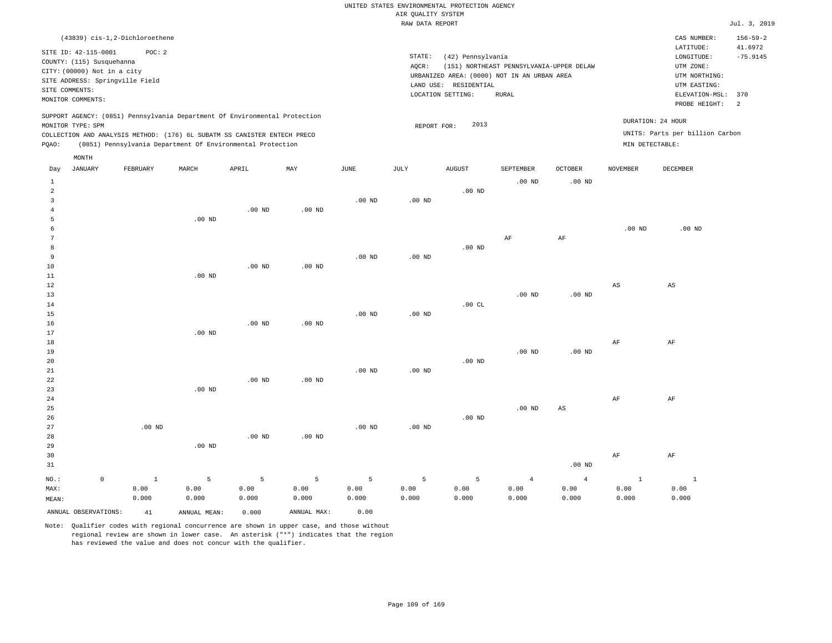|       | (43839) cis-1,2-Dichloroethene  |          |                   |                                                                            |          |          |                   |                       |                                             |                |                   | CAS NUMBER:                     | $156 - 59 - 2$ |
|-------|---------------------------------|----------|-------------------|----------------------------------------------------------------------------|----------|----------|-------------------|-----------------------|---------------------------------------------|----------------|-------------------|---------------------------------|----------------|
|       | SITE ID: 42-115-0001            | POC: 2   |                   |                                                                            |          |          |                   |                       |                                             |                |                   | LATITUDE:                       | 41.6972        |
|       | COUNTY: (115) Susquehanna       |          |                   |                                                                            |          |          | STATE:            | (42) Pennsylvania     |                                             |                |                   | LONGITUDE:                      | $-75.9145$     |
|       | CITY: (00000) Not in a city     |          |                   |                                                                            |          |          | AQCR:             |                       | (151) NORTHEAST PENNSYLVANIA-UPPER DELAW    |                |                   | UTM ZONE:                       |                |
|       | SITE ADDRESS: Springville Field |          |                   |                                                                            |          |          |                   |                       | URBANIZED AREA: (0000) NOT IN AN URBAN AREA |                |                   | UTM NORTHING:                   |                |
|       | SITE COMMENTS:                  |          |                   |                                                                            |          |          |                   | LAND USE: RESIDENTIAL |                                             |                |                   | UTM EASTING:                    |                |
|       | MONITOR COMMENTS:               |          |                   |                                                                            |          |          |                   | LOCATION SETTING:     | RURAL                                       |                |                   | ELEVATION-MSL:                  | 370            |
|       |                                 |          |                   |                                                                            |          |          |                   |                       |                                             |                |                   | PROBE HEIGHT:                   | 2              |
|       |                                 |          |                   | SUPPORT AGENCY: (0851) Pennsylvania Department Of Environmental Protection |          |          |                   |                       |                                             |                |                   |                                 |                |
|       | MONITOR TYPE: SPM               |          |                   |                                                                            |          |          | REPORT FOR:       | 2013                  |                                             |                | DURATION: 24 HOUR |                                 |                |
|       |                                 |          |                   | COLLECTION AND ANALYSIS METHOD: (176) 6L SUBATM SS CANISTER ENTECH PRECO   |          |          |                   |                       |                                             |                |                   | UNITS: Parts per billion Carbon |                |
| POAO: |                                 |          |                   | (0851) Pennsylvania Department Of Environmental Protection                 |          |          |                   |                       |                                             |                | MIN DETECTABLE:   |                                 |                |
|       | MONTH                           |          |                   |                                                                            |          |          |                   |                       |                                             |                |                   |                                 |                |
|       |                                 |          |                   |                                                                            |          |          |                   |                       |                                             |                |                   |                                 |                |
| Day   | JANUARY                         | FEBRUARY | MARCH             | APRIL                                                                      | MAY      | JUNE     | JULY              | AUGUST                | SEPTEMBER                                   | <b>OCTOBER</b> | NOVEMBER          | DECEMBER                        |                |
|       |                                 |          |                   |                                                                            |          |          |                   |                       | $.00$ ND                                    | $.00$ ND       |                   |                                 |                |
| 2     |                                 |          |                   |                                                                            |          |          |                   | $.00$ ND              |                                             |                |                   |                                 |                |
|       |                                 |          |                   |                                                                            |          | $.00$ ND | .00 <sub>ND</sub> |                       |                                             |                |                   |                                 |                |
|       |                                 |          |                   | .00 <sub>ND</sub>                                                          | $.00$ ND |          |                   |                       |                                             |                |                   |                                 |                |
|       |                                 |          | .00 <sub>ND</sub> |                                                                            |          |          |                   |                       |                                             |                |                   |                                 |                |
| 6     |                                 |          |                   |                                                                            |          |          |                   |                       |                                             |                | $.00$ ND          | $.00$ ND                        |                |

| 7  |          |          |          |                   |          |          | AF       | AF       |    |    |
|----|----------|----------|----------|-------------------|----------|----------|----------|----------|----|----|
| 8  |          |          |          |                   |          | $.00$ ND |          |          |    |    |
| 9  |          |          |          | $.00$ ND          | $.00$ ND |          |          |          |    |    |
| 10 |          | $.00$ ND | $.00$ ND |                   |          |          |          |          |    |    |
| 11 | $.00$ ND |          |          |                   |          |          |          |          |    |    |
| 12 |          |          |          |                   |          |          |          |          | AS | AS |
| 13 |          |          |          |                   |          |          | $.00$ ND | $.00$ ND |    |    |
| 14 |          |          |          |                   |          | .00CL    |          |          |    |    |
| 15 |          |          |          | .00 <sub>ND</sub> | $.00$ ND |          |          |          |    |    |

| 16 |          | $.00$ ND | $.00$ ND          |                   |          |          |          |          |    |    |
|----|----------|----------|-------------------|-------------------|----------|----------|----------|----------|----|----|
| 17 | $.00$ ND |          |                   |                   |          |          |          |          |    |    |
| 18 |          |          |                   |                   |          |          |          |          | AF | AF |
| 19 |          |          |                   |                   |          |          | $.00$ ND | $.00$ ND |    |    |
| 20 |          |          |                   |                   |          | $.00$ ND |          |          |    |    |
| 21 |          |          |                   | .00 <sub>ND</sub> | $.00$ ND |          |          |          |    |    |
| 22 |          | $.00$ ND | .00 <sub>ND</sub> |                   |          |          |          |          |    |    |

| 23     |          | $.00$ ND |          |          |          |          |          |          |          |    |    |
|--------|----------|----------|----------|----------|----------|----------|----------|----------|----------|----|----|
| 24     |          |          |          |          |          |          |          |          |          | AF | AF |
| 25     |          |          |          |          |          |          |          | $.00$ ND | AS       |    |    |
| 26     |          |          |          |          |          |          | $.00$ ND |          |          |    |    |
| 27     | $.00$ ND |          |          |          | $.00$ ND | $.00$ ND |          |          |          |    |    |
| $28\,$ |          |          | $.00$ ND | $.00$ ND |          |          |          |          |          |    |    |
| 29     |          | $.00$ ND |          |          |          |          |          |          |          |    |    |
| 30     |          |          |          |          |          |          |          |          |          | AF | AF |
| 31     |          |          |          |          |          |          |          |          | $.00$ ND |    |    |
|        |          |          |          |          |          |          |          |          |          |    |    |

| NO.:                    |       |              |       |             |       |       |       |       |       |       |       |
|-------------------------|-------|--------------|-------|-------------|-------|-------|-------|-------|-------|-------|-------|
| MAX:                    | 0.00  | 0.00         | 0.00  | 0.00        | 0.00  | 0.00  | 0.00  | 0.00  | 0.00  | 0.00  | 0.00  |
| MEAN:                   | 0.000 | 0.000        | 0.000 | 0.000       | 0.000 | 0.000 | 0.000 | 0.000 | 0.000 | 0.000 | 0.000 |
| ANNUAL OBSERVATIONS: 41 |       | ANNUAL MEAN: | 0.000 | ANNUAL MAX: | 0.00  |       |       |       |       |       |       |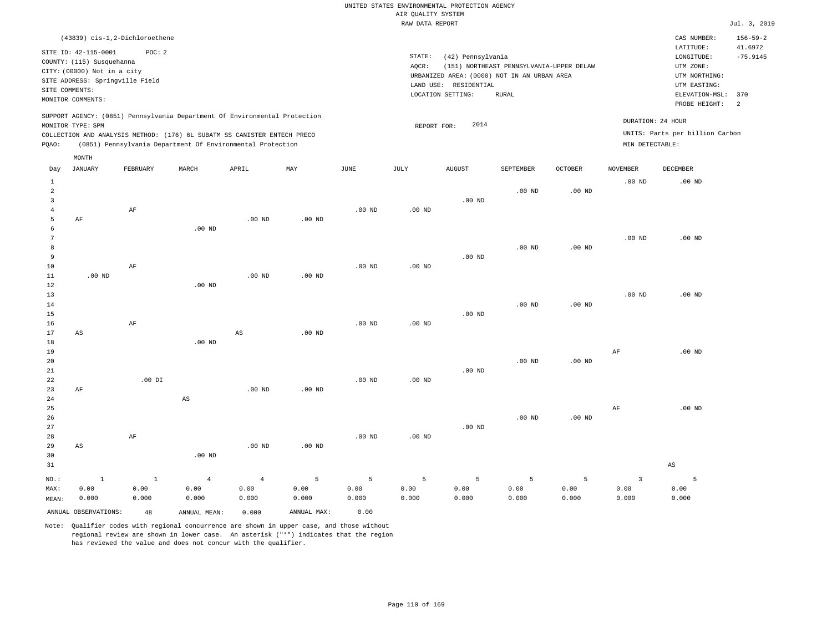| (43839) cis-1,2-Dichloroethene                                                                                                                                                                                                                              |                                                                                                                                                                                        | CAS NUMBER:                                                                                                  | $156 - 59 - 2$                          |
|-------------------------------------------------------------------------------------------------------------------------------------------------------------------------------------------------------------------------------------------------------------|----------------------------------------------------------------------------------------------------------------------------------------------------------------------------------------|--------------------------------------------------------------------------------------------------------------|-----------------------------------------|
| SITE ID: 42-115-0001<br>POC:2<br>COUNTY: (115) Susquehanna<br>CITY: (00000) Not in a city<br>SITE ADDRESS: Springville Field<br>SITE COMMENTS:<br>MONITOR COMMENTS:                                                                                         | STATE:<br>(42) Pennsylvania<br>(151) NORTHEAST PENNSYLVANIA-UPPER DELAW<br>AOCR:<br>URBANIZED AREA: (0000) NOT IN AN URBAN AREA<br>LAND USE: RESIDENTIAL<br>LOCATION SETTING:<br>RURAL | LATITUDE:<br>LONGITUDE:<br>UTM ZONE:<br>UTM NORTHING:<br>UTM EASTING:<br>ELEVATION-MSL: 370<br>PROBE HEIGHT: | 41.6972<br>$-75.9145$<br>$\overline{2}$ |
| SUPPORT AGENCY: (0851) Pennsylvania Department Of Environmental Protection<br>MONITOR TYPE: SPM<br>COLLECTION AND ANALYSIS METHOD: (176) 6L SUBATM SS CANISTER ENTECH PRECO<br>(0851) Pennsylvania Department Of Environmental Protection<br>POAO:<br>MONTH | 2014<br>REPORT FOR:                                                                                                                                                                    | DURATION: 24 HOUR<br>UNITS: Parts per billion Carbon<br>MIN DETECTABLE:                                      |                                         |

| Day            | JANUARY              | FEBRUARY     | MARCH                  | APRIL                  | $\mathtt{MAX}$ | $_{\rm JUNE}$ | JULY              | AUGUST            | SEPTEMBER         | OCTOBER           | NOVEMBER                | DECEMBER               |
|----------------|----------------------|--------------|------------------------|------------------------|----------------|---------------|-------------------|-------------------|-------------------|-------------------|-------------------------|------------------------|
| 1              |                      |              |                        |                        |                |               |                   |                   |                   |                   | $.00$ ND                | $.00$ ND               |
| $\overline{a}$ |                      |              |                        |                        |                |               |                   |                   | $.00$ ND          | $.00$ ND          |                         |                        |
| 3              |                      |              |                        |                        |                |               |                   | $.00$ ND          |                   |                   |                         |                        |
| $\overline{4}$ |                      | $\rm AF$     |                        |                        |                | $.00$ ND      | .00 <sub>ND</sub> |                   |                   |                   |                         |                        |
| 5              | $\rm AF$             |              |                        | $.00$ ND               | $.00$ ND       |               |                   |                   |                   |                   |                         |                        |
| 6              |                      |              | $.00$ ND               |                        |                |               |                   |                   |                   |                   |                         |                        |
| 7              |                      |              |                        |                        |                |               |                   |                   |                   |                   | $.00$ ND                | $.00$ ND               |
| 8              |                      |              |                        |                        |                |               |                   |                   | $.00$ ND          | .00 <sub>ND</sub> |                         |                        |
| 9              |                      |              |                        |                        |                |               |                   | $.00$ ND          |                   |                   |                         |                        |
| $10$           |                      | $\rm AF$     |                        |                        |                | $.00$ ND      | $.00$ ND          |                   |                   |                   |                         |                        |
| 11             | $.00$ ND             |              |                        | $.00$ ND               | $.00$ ND       |               |                   |                   |                   |                   |                         |                        |
| $12\,$         |                      |              | $.00$ ND               |                        |                |               |                   |                   |                   |                   |                         |                        |
| 13             |                      |              |                        |                        |                |               |                   |                   |                   |                   | .00 $ND$                | $.00$ ND               |
| 14             |                      |              |                        |                        |                |               |                   |                   | .00 <sub>ND</sub> | $.00$ ND          |                         |                        |
| 15             |                      |              |                        |                        |                |               |                   | $.00$ ND          |                   |                   |                         |                        |
| 16             |                      | $\rm AF$     |                        |                        |                | $.00$ ND      | $.00$ ND          |                   |                   |                   |                         |                        |
| 17             | AS                   |              |                        | $\mathbb{A}\mathbb{S}$ | $.00$ ND       |               |                   |                   |                   |                   |                         |                        |
| 18             |                      |              | $.00$ ND               |                        |                |               |                   |                   |                   |                   |                         |                        |
| 19             |                      |              |                        |                        |                |               |                   |                   |                   |                   | $\rm{AF}$               | $.00$ ND               |
| 20             |                      |              |                        |                        |                |               |                   |                   | $.00$ ND          | $.00$ ND          |                         |                        |
| 21             |                      |              |                        |                        |                |               |                   | .00 <sub>ND</sub> |                   |                   |                         |                        |
| $2\sqrt{2}$    |                      | .00 DI       |                        |                        |                | $.00$ ND      | $.00$ ND          |                   |                   |                   |                         |                        |
| 23             | $\rm AF$             |              |                        | $.00$ ND               | $.00$ ND       |               |                   |                   |                   |                   |                         |                        |
| $2\sqrt{4}$    |                      |              | $\mathbb{A}\mathbb{S}$ |                        |                |               |                   |                   |                   |                   |                         |                        |
| 25             |                      |              |                        |                        |                |               |                   |                   |                   |                   | AF                      | $.00$ ND               |
| 26             |                      |              |                        |                        |                |               |                   |                   | .00 <sub>ND</sub> | .00 <sub>ND</sub> |                         |                        |
| 27             |                      |              |                        |                        |                |               |                   | .00 $ND$          |                   |                   |                         |                        |
| 28             |                      | $\rm AF$     |                        |                        |                | $.00$ ND      | $.00$ ND          |                   |                   |                   |                         |                        |
| 29             | AS                   |              |                        | .00 $ND$               | $.00$ ND       |               |                   |                   |                   |                   |                         |                        |
| 30             |                      |              | $.00$ ND               |                        |                |               |                   |                   |                   |                   |                         |                        |
| 31             |                      |              |                        |                        |                |               |                   |                   |                   |                   |                         | $\mathbb{A}\mathbb{S}$ |
| $_{\rm NO.}$ : | $\,$ 1               | $\mathbf{1}$ | $\overline{4}$         | $\overline{4}$         | $\overline{5}$ | 5             | 5                 | 5                 | 5                 | 5                 | $\overline{\mathbf{3}}$ | 5                      |
| MAX:           | 0.00                 | 0.00         | 0.00                   | 0.00                   | 0.00           | 0.00          | 0.00              | 0.00              | 0.00              | 0.00              | 0.00                    | 0.00                   |
| MEAN:          | 0.000                | 0.000        | 0.000                  | 0.000                  | 0.000          | 0.000         | 0.000             | 0.000             | 0.000             | 0.000             | 0.000                   | 0.000                  |
|                | ANNUAL OBSERVATIONS: | 48           | ANNUAL MEAN:           | 0.000                  | ANNUAL MAX:    | 0.00          |                   |                   |                   |                   |                         |                        |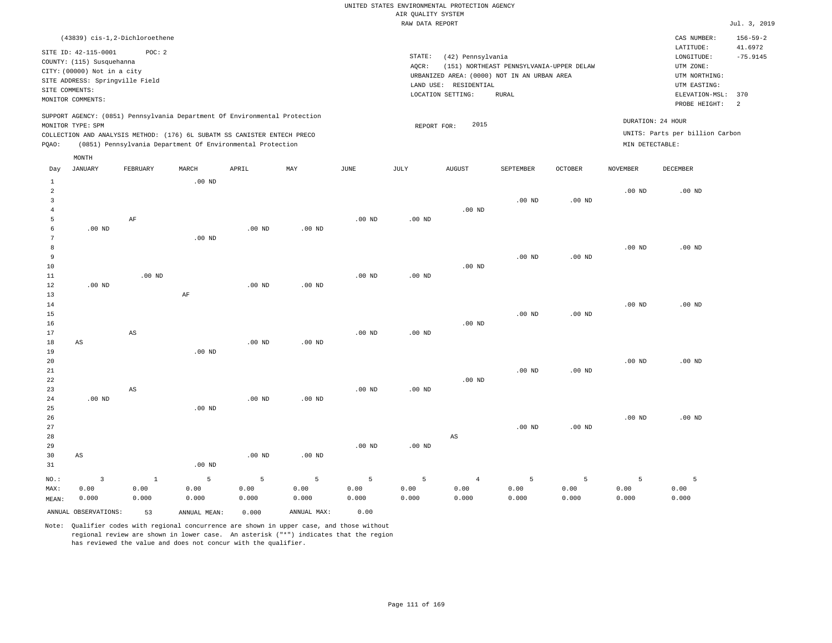### RAW DATA REPORT **FOULD ASSESSED ASSESSED ASSESSED.** The set of the set of the set of the set of the set of the set of the set of the set of the set of the set of the set of the set of the set of the set of the set of the s UNITED STATES ENVIRONMENTAL PROTECTION AGENCY AIR QUALITY SYSTEM

| (43839) cis-1,2-Dichloroethene                                                                                                                                                                                                                              |                                                                                                                                                                                        | $156 - 59 - 2$<br>CAS NUMBER:                                                                                                               |
|-------------------------------------------------------------------------------------------------------------------------------------------------------------------------------------------------------------------------------------------------------------|----------------------------------------------------------------------------------------------------------------------------------------------------------------------------------------|---------------------------------------------------------------------------------------------------------------------------------------------|
| SITE ID: 42-115-0001<br>POC:2<br>COUNTY: (115) Susquehanna<br>CITY: (00000) Not in a city<br>SITE ADDRESS: Springville Field<br>SITE COMMENTS:<br>MONITOR COMMENTS:                                                                                         | STATE:<br>(42) Pennsylvania<br>(151) NORTHEAST PENNSYLVANIA-UPPER DELAW<br>AOCR:<br>URBANIZED AREA: (0000) NOT IN AN URBAN AREA<br>LAND USE: RESIDENTIAL<br>LOCATION SETTING:<br>RURAL | LATITUDE:<br>41.6972<br>$-75.9145$<br>LONGITUDE:<br>UTM ZONE:<br>UTM NORTHING:<br>UTM EASTING:<br>ELEVATION-MSL: 370<br>PROBE HEIGHT:<br>-2 |
| SUPPORT AGENCY: (0851) Pennsylvania Department Of Environmental Protection<br>MONITOR TYPE: SPM<br>COLLECTION AND ANALYSIS METHOD: (176) 6L SUBATM SS CANISTER ENTECH PRECO<br>(0851) Pennsylvania Department Of Environmental Protection<br>POAO:<br>MONTH | 2015<br>REPORT FOR:                                                                                                                                                                    | DURATION: 24 HOUR<br>UNITS: Parts per billion Carbon<br>MIN DETECTABLE:                                                                     |

| Day                     | <b>JANUARY</b>       | FEBRUARY       | MARCH             | APRIL    | $\mathtt{MAX}$ | $_{\rm JUNE}$     | JULY     | AUGUST         | SEPTEMBER | OCTOBER           | NOVEMBER | DECEMBER |
|-------------------------|----------------------|----------------|-------------------|----------|----------------|-------------------|----------|----------------|-----------|-------------------|----------|----------|
| $\mathbf{1}$            |                      |                | .00 <sub>ND</sub> |          |                |                   |          |                |           |                   |          |          |
| $\overline{\mathbf{c}}$ |                      |                |                   |          |                |                   |          |                |           |                   | $.00$ ND | $.00$ ND |
| 3                       |                      |                |                   |          |                |                   |          |                | $.00$ ND  | $.00$ ND          |          |          |
| $\overline{4}$          |                      |                |                   |          |                |                   |          | $.00$ ND       |           |                   |          |          |
| 5                       |                      | $\rm AF$       |                   |          |                | $.00$ ND          | $.00$ ND |                |           |                   |          |          |
| 6                       | $.00$ ND             |                |                   | $.00$ ND | $.00$ ND       |                   |          |                |           |                   |          |          |
| 7                       |                      |                | .00 <sub>ND</sub> |          |                |                   |          |                |           |                   |          |          |
| 8                       |                      |                |                   |          |                |                   |          |                |           |                   | $.00$ ND | $.00$ ND |
| 9                       |                      |                |                   |          |                |                   |          |                | $.00$ ND  | .00 <sub>ND</sub> |          |          |
| 10                      |                      |                |                   |          |                |                   |          | $.00$ ND       |           |                   |          |          |
| $11\,$                  |                      | $.00$ ND       |                   |          |                | $.00$ ND          | .00 $ND$ |                |           |                   |          |          |
| 12                      | $.00$ ND             |                |                   | $.00$ ND | $.00$ ND       |                   |          |                |           |                   |          |          |
| 13                      |                      |                | $\rm AF$          |          |                |                   |          |                |           |                   |          |          |
| 14                      |                      |                |                   |          |                |                   |          |                |           |                   | .00 $ND$ | $.00$ ND |
| 15                      |                      |                |                   |          |                |                   |          |                | $.00$ ND  | $.00$ ND          |          |          |
| 16                      |                      |                |                   |          |                |                   |          | .00 $ND$       |           |                   |          |          |
| 17                      |                      | AS             |                   | $.00$ ND | $.00$ ND       | .00 <sub>ND</sub> | $.00$ ND |                |           |                   |          |          |
| 18<br>19                | AS                   |                | .00 <sub>ND</sub> |          |                |                   |          |                |           |                   |          |          |
| 20                      |                      |                |                   |          |                |                   |          |                |           |                   | $.00$ ND | $.00$ ND |
| 21                      |                      |                |                   |          |                |                   |          |                | $.00$ ND  | .00 <sub>ND</sub> |          |          |
| 22                      |                      |                |                   |          |                |                   |          | $.00$ ND       |           |                   |          |          |
| 23                      |                      | AS             |                   |          |                | $.00$ ND          | .00 $ND$ |                |           |                   |          |          |
| 24                      | .00 $ND$             |                |                   | $.00$ ND | $.00$ ND       |                   |          |                |           |                   |          |          |
| 25                      |                      |                | $.00$ ND          |          |                |                   |          |                |           |                   |          |          |
| 26                      |                      |                |                   |          |                |                   |          |                |           |                   | $.00$ ND | $.00$ ND |
| 27                      |                      |                |                   |          |                |                   |          |                | $.00$ ND  | $.00$ ND          |          |          |
| 28                      |                      |                |                   |          |                |                   |          | AS             |           |                   |          |          |
| 29                      |                      |                |                   |          |                | $.00$ ND          | .00 $ND$ |                |           |                   |          |          |
| 30                      | AS                   |                |                   | $.00$ ND | $.00$ ND       |                   |          |                |           |                   |          |          |
| 31                      |                      |                | $.00$ ND          |          |                |                   |          |                |           |                   |          |          |
| $NO.$ :                 | $\mathbf{3}$         | $\overline{1}$ | 5                 | 5        | 5              | 5                 | 5        | $\overline{4}$ | 5         | 5                 | 5        | 5        |
| MAX:                    | 0.00                 | 0.00           | 0.00              | 0.00     | 0.00           | 0.00              | 0.00     | 0.00           | 0.00      | 0.00              | 0.00     | 0.00     |
| MEAN:                   | 0.000                | 0.000          | 0.000             | 0.000    | 0.000          | 0.000             | 0.000    | 0.000          | 0.000     | 0.000             | 0.000    | 0.000    |
|                         | ANNUAL OBSERVATIONS: | 53             | ANNUAL MEAN:      | 0.000    | ANNUAL MAX:    | 0.00              |          |                |           |                   |          |          |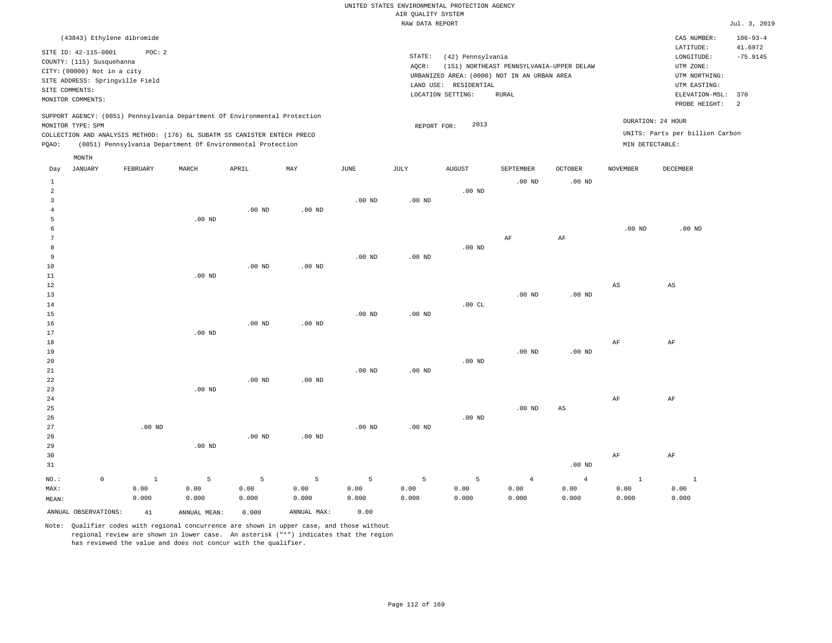|       | (43843) Ethylene dibromide      |          |       |                                                                            |     |          |          |                                             |                                          |                |          | CAS NUMBER:                     | $106 - 93 - 4$ |
|-------|---------------------------------|----------|-------|----------------------------------------------------------------------------|-----|----------|----------|---------------------------------------------|------------------------------------------|----------------|----------|---------------------------------|----------------|
|       | SITE ID: 42-115-0001            | POC: 2   |       |                                                                            |     |          |          |                                             |                                          |                |          | LATITUDE:                       | 41.6972        |
|       | COUNTY: (115) Susquehanna       |          |       |                                                                            |     |          | STATE:   | (42) Pennsylvania                           |                                          |                |          | LONGITUDE:                      | $-75.9145$     |
|       | CITY: (00000) Not in a city     |          |       |                                                                            |     |          | AQCR:    |                                             | (151) NORTHEAST PENNSYLVANIA-UPPER DELAW |                |          | UTM ZONE:                       |                |
|       | SITE ADDRESS: Springville Field |          |       |                                                                            |     |          |          | URBANIZED AREA: (0000) NOT IN AN URBAN AREA |                                          |                |          | UTM NORTHING:                   |                |
|       | SITE COMMENTS:                  |          |       |                                                                            |     |          |          | RESIDENTIAL<br>LAND USE:                    |                                          |                |          | UTM EASTING:                    |                |
|       | MONITOR COMMENTS:               |          |       |                                                                            |     |          |          | LOCATION SETTING:                           | RURAL                                    |                |          | ELEVATION-MSL:                  | 370<br>-2      |
|       |                                 |          |       |                                                                            |     |          |          |                                             |                                          |                |          | PROBE HEIGHT:                   |                |
|       |                                 |          |       | SUPPORT AGENCY: (0851) Pennsylvania Department Of Environmental Protection |     |          |          | 2013                                        |                                          |                |          | DURATION: 24 HOUR               |                |
|       | MONITOR TYPE: SPM               |          |       | COLLECTION AND ANALYSIS METHOD: (176) 6L SUBATM SS CANISTER ENTECH PRECO   |     |          |          | REPORT FOR:                                 |                                          |                |          | UNITS: Parts per billion Carbon |                |
| POAO: |                                 |          |       | (0851) Pennsylvania Department Of Environmental Protection                 |     |          |          |                                             |                                          |                |          | MIN DETECTABLE:                 |                |
|       |                                 |          |       |                                                                            |     |          |          |                                             |                                          |                |          |                                 |                |
|       | MONTH                           |          |       |                                                                            |     |          |          |                                             |                                          |                |          |                                 |                |
| Day   | JANUARY                         | FEBRUARY | MARCH | APRIL                                                                      | MAY | JUNE     | JULY     | <b>AUGUST</b>                               | SEPTEMBER                                | <b>OCTOBER</b> | NOVEMBER | <b>DECEMBER</b>                 |                |
|       |                                 |          |       |                                                                            |     |          |          |                                             | $.00$ ND                                 | $.00$ ND       |          |                                 |                |
|       |                                 |          |       |                                                                            |     |          |          | $.00$ ND                                    |                                          |                |          |                                 |                |
|       |                                 |          |       |                                                                            |     | $.00$ ND | $.00$ ND |                                             |                                          |                |          |                                 |                |

|              | .00 <sub>ND</sub> |          |                  |          |    |           |          |                                         |
|--------------|-------------------|----------|------------------|----------|----|-----------|----------|-----------------------------------------|
| 6            |                   |          |                  |          |    |           | $.00$ ND | $.00$ ND<br>$\sim$ $\sim$ $\sim$ $\sim$ |
| $\mathbf{r}$ |                   |          |                  |          | AF | $\rm{AF}$ |          |                                         |
| -8           |                   |          |                  | $.00$ ND |    |           |          |                                         |
| $\Omega$     |                   | $.00$ ND | $.00 \text{ ND}$ |          |    |           |          |                                         |

| $11\,$      | $.00$ ND |          |          |          |          |          |          |          |    |    |
|-------------|----------|----------|----------|----------|----------|----------|----------|----------|----|----|
| $12\,$      |          |          |          |          |          |          |          |          | AS | AS |
| 13          |          |          |          |          |          |          | $.00$ ND | $.00$ ND |    |    |
| $14$        |          |          |          |          |          | .00CL    |          |          |    |    |
| $15\,$      |          |          |          | $.00$ ND | $.00$ ND |          |          |          |    |    |
| $16$        |          | $.00$ ND | $.00$ ND |          |          |          |          |          |    |    |
| 17          | $.00$ ND |          |          |          |          |          |          |          |    |    |
| $1\,8$      |          |          |          |          |          |          |          |          | AF | AF |
| $19$        |          |          |          |          |          |          | $.00$ ND | $.00$ ND |    |    |
| $20\,$      |          |          |          |          |          | $.00$ ND |          |          |    |    |
| $2\sqrt{1}$ |          |          |          | $.00$ ND | $.00$ ND |          |          |          |    |    |
| ${\bf 22}$  |          | $.00$ ND | $.00$ ND |          |          |          |          |          |    |    |
| $23$        | $.00$ ND |          |          |          |          |          |          |          |    |    |
| $2\sqrt{4}$ |          |          |          |          |          |          |          |          | AF | AF |
| 25          |          |          |          |          |          |          | $.00$ ND | AS       |    |    |
| 26          |          |          |          |          |          | $.00$ ND |          |          |    |    |

| 27    |   | $.00$ ND |          |          |                   | $.00$ ND | $.00$ ND |       |       |          |       |       |
|-------|---|----------|----------|----------|-------------------|----------|----------|-------|-------|----------|-------|-------|
| 28    |   |          |          | $.00$ ND | .00 <sub>ND</sub> |          |          |       |       |          |       |       |
| 29    |   |          | $.00$ ND |          |                   |          |          |       |       |          |       |       |
| 30    |   |          |          |          |                   |          |          |       |       |          | AF    | AF    |
| 31    |   |          |          |          |                   |          |          |       |       | $.00$ ND |       |       |
| NO.:  | 0 |          |          |          | 5                 | 5        |          | 5     | 4     | -4       |       |       |
| MAX:  |   | 0.00     | 0.00     | 0.00     | 0.00              | 0.00     | 0.00     | 0.00  | 0.00  | 0.00     | 0.00  | 0.00  |
| MEAN: |   | 0.000    | 0.000    | 0.000    | 0.000             | 0.000    | 0.000    | 0.000 | 0.000 | 0.000    | 0.000 | 0.000 |
|       |   |          |          |          |                   |          |          |       |       |          |       |       |

ANNUAL OBSERVATIONS: 41 ANNUAL MEAN: 0.000 ANNUAL MAX: 0.00

4

10

Note: Qualifier codes with regional concurrence are shown in upper case, and those without regional review are shown in lower case. An asterisk ("\*") indicates that the region has reviewed the value and does not concur with the qualifier.

.00 ND

.00 ND

.00 ND

.00 ND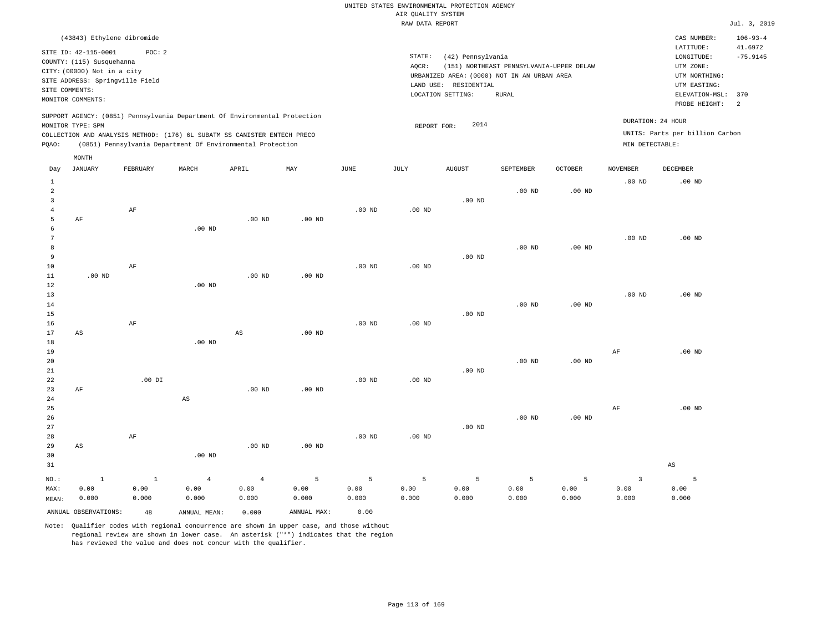| (43843) Ethylene dibromide                                                                                                                                                                                                                         |                                                                                                                                                                                        | CAS NUMBER:                                                                                                  | $106 - 93 - 4$                          |
|----------------------------------------------------------------------------------------------------------------------------------------------------------------------------------------------------------------------------------------------------|----------------------------------------------------------------------------------------------------------------------------------------------------------------------------------------|--------------------------------------------------------------------------------------------------------------|-----------------------------------------|
| SITE ID: 42-115-0001<br>POC: 2<br>COUNTY: (115) Susquehanna<br>CITY: (00000) Not in a city<br>SITE ADDRESS: Springville Field<br>SITE COMMENTS:<br>MONITOR COMMENTS:                                                                               | STATE:<br>(42) Pennsylvania<br>(151) NORTHEAST PENNSYLVANIA-UPPER DELAW<br>AOCR:<br>URBANIZED AREA: (0000) NOT IN AN URBAN AREA<br>LAND USE: RESIDENTIAL<br>LOCATION SETTING:<br>RURAL | LATITUDE:<br>LONGITUDE:<br>UTM ZONE:<br>UTM NORTHING:<br>UTM EASTING:<br>ELEVATION-MSL: 370<br>PROBE HEIGHT: | 41.6972<br>$-75.9145$<br>$\overline{2}$ |
| SUPPORT AGENCY: (0851) Pennsylvania Department Of Environmental Protection<br>MONITOR TYPE: SPM<br>COLLECTION AND ANALYSIS METHOD: (176) 6L SUBATM SS CANISTER ENTECH PRECO<br>(0851) Pennsylvania Department Of Environmental Protection<br>POAO: | DURATION: 24 HOUR<br>2014<br>REPORT FOR:<br>MIN DETECTABLE:                                                                                                                            | UNITS: Parts per billion Carbon                                                                              |                                         |

|                                                  | MONTH                  |                         |                           |                                 |                    |                    |                    |                    |                    |                    |                                          |                        |
|--------------------------------------------------|------------------------|-------------------------|---------------------------|---------------------------------|--------------------|--------------------|--------------------|--------------------|--------------------|--------------------|------------------------------------------|------------------------|
| Day                                              | <b>JANUARY</b>         | FEBRUARY                | MARCH                     | APRIL                           | MAY                | $_{\rm JUNE}$      | JULY               | <b>AUGUST</b>      | SEPTEMBER          | <b>OCTOBER</b>     | <b>NOVEMBER</b>                          | DECEMBER               |
| $\mathbf{1}$<br>$\overline{a}$<br>$\overline{3}$ |                        |                         |                           |                                 |                    |                    |                    | $.00$ ND           | $.00$ ND           | $.00$ ND           | $.00$ ND                                 | .00 <sub>ND</sub>      |
| $\overline{4}$<br>5<br>6<br>7                    | AF                     | $\rm AF$                | .00 $ND$                  | $.00$ ND                        | $.00$ ND           | $.00$ ND           | $.00$ ND           |                    |                    |                    | $.00$ ND                                 | .00 <sub>ND</sub>      |
| 8<br>9<br>$10$                                   |                        | $\rm AF$                |                           |                                 |                    | $.00$ ND           | .00 $ND$           | $.00$ ND           | $.00$ ND           | $.00$ ND           |                                          |                        |
| 11<br>12<br>13<br>14                             | $.00$ ND               |                         | $.00$ ND                  | $.00$ ND                        | $.00$ ND           |                    |                    |                    | $.00$ ND           | $.00$ ND           | $.00$ ND                                 | .00 <sub>ND</sub>      |
| 15<br>16<br>17                                   | $\mathbb{A}\mathbb{S}$ | $\rm AF$                |                           | $\mathbb{A}\mathbb{S}$          | $.00$ ND           | $.00$ ND           | $.00$ ND           | $.00$ ND           |                    |                    |                                          |                        |
| 18<br>19<br>20<br>21                             |                        |                         | .00 $ND$                  |                                 |                    |                    |                    | $.00$ ND           | $.00$ ND           | $.00$ ND           | $\rm{AF}$                                | .00 <sub>ND</sub>      |
| 22<br>23<br>24                                   | $\rm AF$               | $.00$ DI                | $\mathbb{A}\mathbb{S}$    | $.00$ ND                        | $.00$ ND           | $.00$ ND           | $.00$ ND           |                    |                    |                    |                                          |                        |
| 25<br>26<br>27<br>28                             |                        | $\rm AF$                |                           |                                 |                    | $.00$ ND           | $.00$ ND           | $.00$ ND           | $.00$ ND           | $.00$ ND           | $\rm{AF}$                                | .00 <sub>ND</sub>      |
| 29<br>30<br>31                                   | $\mathbb{A}\mathbb{S}$ |                         | $.00$ ND                  | .00 $ND$                        | .00 $ND$           |                    |                    |                    |                    |                    |                                          | $\mathbb{A}\mathbb{S}$ |
| $NO.$ :<br>MAX:<br>MEAN:                         | $1\,$<br>0.00<br>0.000 | $\,$ 1<br>0.00<br>0.000 | $\bf{4}$<br>0.00<br>0.000 | $\overline{4}$<br>0.00<br>0.000 | 5<br>0.00<br>0.000 | 5<br>0.00<br>0.000 | 5<br>0.00<br>0.000 | 5<br>0.00<br>0.000 | 5<br>0.00<br>0.000 | 5<br>0.00<br>0.000 | $\overline{\mathbf{3}}$<br>0.00<br>0.000 | 5<br>0.00<br>0.000     |
|                                                  | ANNUAL OBSERVATIONS:   | 48                      | ANNUAL MEAN:              | 0.000                           | ANNUAL MAX:        | 0.00               |                    |                    |                    |                    |                                          |                        |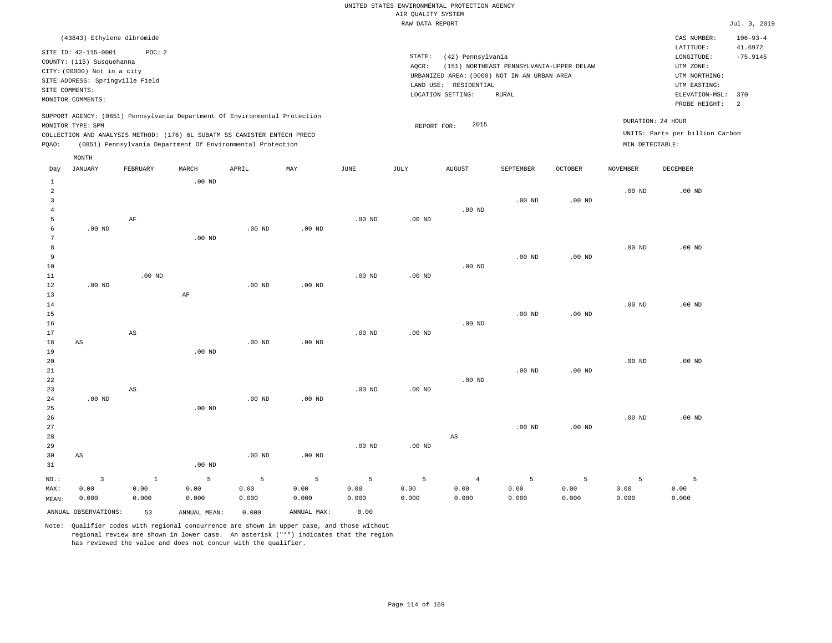|                                                                                                                                                                     | CAS NUMBER:<br>LATITUDE:                                                                        | $106 - 93 - 4$<br>41.6972                                               |
|---------------------------------------------------------------------------------------------------------------------------------------------------------------------|-------------------------------------------------------------------------------------------------|-------------------------------------------------------------------------|
|                                                                                                                                                                     |                                                                                                 |                                                                         |
| (42) Pennsylvania<br>(151) NORTHEAST PENNSYLVANIA-UPPER DELAW<br>URBANIZED AREA: (0000) NOT IN AN URBAN AREA<br>LAND USE: RESIDENTIAL<br>LOCATION SETTING:<br>RURAL | LONGITUDE:<br>UTM ZONE:<br>UTM NORTHING:<br>UTM EASTING:<br>ELEVATION-MSL: 370<br>PROBE HEIGHT: | $-75.9145$<br>- 2                                                       |
| 2015<br>REPORT FOR:                                                                                                                                                 |                                                                                                 |                                                                         |
|                                                                                                                                                                     |                                                                                                 | DURATION: 24 HOUR<br>UNITS: Parts per billion Carbon<br>MIN DETECTABLE: |

| Day            | JANUARY                 | FEBRUARY               | $\tt MARCH$       | ${\tt APRIL}$  | $\ensuremath{\text{MAX}}$ | $_{\rm JUNE}$ | JULY     | ${\tt AUGUST}$         | SEPTEMBER | OCTOBER           | NOVEMBER | DECEMBER          |
|----------------|-------------------------|------------------------|-------------------|----------------|---------------------------|---------------|----------|------------------------|-----------|-------------------|----------|-------------------|
| $\mathbf{1}$   |                         |                        | $.00$ ND          |                |                           |               |          |                        |           |                   |          |                   |
| $\sqrt{2}$     |                         |                        |                   |                |                           |               |          |                        |           |                   | $.00$ ND | .00 <sub>ND</sub> |
| 3              |                         |                        |                   |                |                           |               |          |                        | $.00$ ND  | $.00$ ND          |          |                   |
| $\overline{4}$ |                         |                        |                   |                |                           |               |          | $.00$ ND               |           |                   |          |                   |
| 5              |                         | $\rm AF$               |                   |                |                           | $.00$ ND      | $.00$ ND |                        |           |                   |          |                   |
| 6              | $.00$ ND                |                        |                   | $.00$ ND       | .00 <sub>ND</sub>         |               |          |                        |           |                   |          |                   |
| 7              |                         |                        | $.00$ ND          |                |                           |               |          |                        |           |                   |          |                   |
| 8              |                         |                        |                   |                |                           |               |          |                        |           |                   | $.00$ ND | $.00$ ND          |
| 9              |                         |                        |                   |                |                           |               |          |                        | $.00$ ND  | .00 <sub>ND</sub> |          |                   |
| $10$           |                         |                        |                   |                |                           |               |          | $.00$ ND               |           |                   |          |                   |
| 11             |                         | $.00$ ND               |                   |                |                           | $.00$ ND      | $.00$ ND |                        |           |                   |          |                   |
| 12             | $.00$ ND                |                        |                   | $.00$ ND       | .00 <sub>ND</sub>         |               |          |                        |           |                   |          |                   |
| 13             |                         |                        | $\rm AF$          |                |                           |               |          |                        |           |                   |          |                   |
| 14             |                         |                        |                   |                |                           |               |          |                        |           |                   | $.00$ ND | $.00$ ND          |
| 15             |                         |                        |                   |                |                           |               |          |                        | $.00$ ND  | $.00$ ND          |          |                   |
| 16             |                         |                        |                   |                |                           |               |          | $.00$ ND               |           |                   |          |                   |
| 17             |                         | $\mathbb{A}\mathbb{S}$ |                   |                |                           | $.00$ ND      | $.00$ ND |                        |           |                   |          |                   |
| 18             | $\mathbb{A}\mathbb{S}$  |                        |                   | $.00$ ND       | .00 <sub>ND</sub>         |               |          |                        |           |                   |          |                   |
| 19             |                         |                        | .00 <sub>ND</sub> |                |                           |               |          |                        |           |                   |          |                   |
| 20             |                         |                        |                   |                |                           |               |          |                        |           |                   | $.00$ ND | $.00$ ND          |
| 21             |                         |                        |                   |                |                           |               |          |                        | $.00$ ND  | $.00$ ND          |          |                   |
| $2\sqrt{2}$    |                         |                        |                   |                |                           |               |          | $.00$ ND               |           |                   |          |                   |
| 23<br>24       | .00 <sub>ND</sub>       | $\mathbb{A}\mathbb{S}$ |                   | $.00$ ND       | .00 <sub>ND</sub>         | $.00$ ND      | $.00$ ND |                        |           |                   |          |                   |
| 25             |                         |                        | $.00$ ND          |                |                           |               |          |                        |           |                   |          |                   |
| 26             |                         |                        |                   |                |                           |               |          |                        |           |                   | $.00$ ND | $.00$ ND          |
| 27             |                         |                        |                   |                |                           |               |          |                        | $.00$ ND  | $.00$ ND          |          |                   |
| 28             |                         |                        |                   |                |                           |               |          | $\mathbb{A}\mathbb{S}$ |           |                   |          |                   |
| 29             |                         |                        |                   |                |                           | $.00$ ND      | $.00$ ND |                        |           |                   |          |                   |
| 30             | $\mathbb{A}\mathbb{S}$  |                        |                   | $.00$ ND       | $.00$ ND                  |               |          |                        |           |                   |          |                   |
| 31             |                         |                        | $.00$ ND          |                |                           |               |          |                        |           |                   |          |                   |
|                |                         |                        |                   |                |                           |               |          |                        |           |                   |          |                   |
| $_{\rm NO.}$ : | $\overline{\mathbf{3}}$ | $1\,$                  | 5                 | $\overline{5}$ | 5                         | 5             | 5        | $\sqrt{4}$             | 5         | 5                 | 5        | 5                 |
| MAX:           | 0.00                    | 0.00                   | 0.00              | 0.00           | 0.00                      | 0.00          | 0.00     | 0.00                   | 0.00      | 0.00              | 0.00     | 0.00              |
| MEAN:          | 0.000                   | 0.000                  | 0.000             | 0.000          | 0.000                     | 0.000         | 0.000    | 0.000                  | 0.000     | 0.000             | 0.000    | 0.000             |
|                | ANNUAL OBSERVATIONS:    | 53                     | ANNUAL MEAN:      | 0.000          | ANNUAL MAX:               | 0.00          |          |                        |           |                   |          |                   |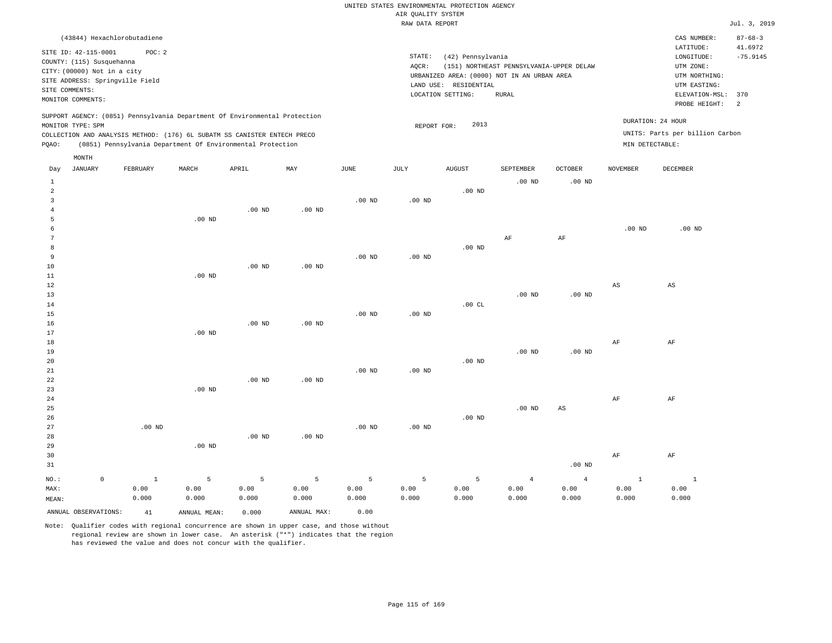#### RAW DATA REPORT **FOULD ASSESSED ASSESSED A** THE RAW DATA REPORT **Jul. 3**, 2019 UNITED STATES ENVIRONMENTAL PROTECTION AGENCY AIR QUALITY SYSTEM

|                                                                                                                                                                      |                   |                             |       |                                                                                                                                                                                                                      |          |          |                                                                                                  |                                                                                                          |                                   |          |                 |                                                      | $0.421$ $0.404$ |
|----------------------------------------------------------------------------------------------------------------------------------------------------------------------|-------------------|-----------------------------|-------|----------------------------------------------------------------------------------------------------------------------------------------------------------------------------------------------------------------------|----------|----------|--------------------------------------------------------------------------------------------------|----------------------------------------------------------------------------------------------------------|-----------------------------------|----------|-----------------|------------------------------------------------------|-----------------|
|                                                                                                                                                                      |                   | (43844) Hexachlorobutadiene |       |                                                                                                                                                                                                                      |          |          |                                                                                                  |                                                                                                          |                                   |          |                 | CAS NUMBER:                                          | $87 - 68 - 3$   |
| SITE ID: 42-115-0001<br>POC: 2<br>COUNTY: (115) Susquehanna<br>CITY: (00000) Not in a city<br>SITE ADDRESS: Springville Field<br>SITE COMMENTS:<br>MONITOR COMMENTS: |                   |                             |       |                                                                                                                                                                                                                      |          |          | STATE:<br>AOCR:<br>URBANIZED AREA: (0000) NOT IN AN URBAN AREA<br>LAND USE:<br>LOCATION SETTING: | LATITUDE:<br>LONGITUDE:<br>UTM ZONE:<br>UTM NORTHING:<br>UTM EASTING:<br>ELEVATION-MSL:<br>PROBE HEIGHT: | 41.6972<br>$-75.9145$<br>370<br>2 |          |                 |                                                      |                 |
| POAO:                                                                                                                                                                | MONITOR TYPE: SPM |                             |       | SUPPORT AGENCY: (0851) Pennsylvania Department Of Environmental Protection<br>COLLECTION AND ANALYSIS METHOD: (176) 6L SUBATM SS CANISTER ENTECH PRECO<br>(0851) Pennsylvania Department Of Environmental Protection |          |          |                                                                                                  | 2013<br>REPORT FOR:                                                                                      |                                   |          | MIN DETECTABLE: | DURATION: 24 HOUR<br>UNITS: Parts per billion Carbon |                 |
| Day                                                                                                                                                                  | MONTH<br>JANUARY  | FEBRUARY                    | MARCH | APRIL                                                                                                                                                                                                                | MAY      | JUNE     | JULY                                                                                             | <b>AUGUST</b>                                                                                            | SEPTEMBER                         | OCTOBER  | NOVEMBER        | DECEMBER                                             |                 |
|                                                                                                                                                                      |                   |                             |       |                                                                                                                                                                                                                      |          |          |                                                                                                  |                                                                                                          | $.00$ ND                          | $.00$ ND |                 |                                                      |                 |
|                                                                                                                                                                      |                   |                             |       |                                                                                                                                                                                                                      |          |          |                                                                                                  | $.00$ ND                                                                                                 |                                   |          |                 |                                                      |                 |
|                                                                                                                                                                      |                   |                             |       |                                                                                                                                                                                                                      |          | $.00$ ND | $.00$ ND                                                                                         |                                                                                                          |                                   |          |                 |                                                      |                 |
|                                                                                                                                                                      |                   |                             |       | $.00$ ND                                                                                                                                                                                                             | $.00$ ND |          |                                                                                                  |                                                                                                          |                                   |          |                 |                                                      |                 |

| 5            | $.00$ ND |          |          |          |    |           |            |          |
|--------------|----------|----------|----------|----------|----|-----------|------------|----------|
| $\mathbf{b}$ |          |          |          |          |    |           | $.00\,$ ND | .00 $ND$ |
|              |          |          |          |          | AF | $\rm{AF}$ |            |          |
| 8            |          |          |          | .00 $ND$ |    |           |            |          |
|              |          | $.00$ ND | $.00$ ND |          |    |           |            |          |

|             |          |          | $.00$ ND | $.00$ ND |          |          |          |          |                        |             |                        |
|-------------|----------|----------|----------|----------|----------|----------|----------|----------|------------------------|-------------|------------------------|
| $10$        |          |          |          |          |          |          |          |          |                        |             |                        |
| $11\,$      |          | $.00$ ND |          |          |          |          |          |          |                        |             |                        |
| 12          |          |          |          |          |          |          |          |          |                        | $_{\rm AS}$ | $\mathbb{A}\mathbb{S}$ |
| $13\,$      |          |          |          |          |          |          |          | $.00$ ND | .00 $ND$               |             |                        |
| 14          |          |          |          |          |          |          | .00CL    |          |                        |             |                        |
| 15          |          |          |          |          | $.00$ ND | $.00$ ND |          |          |                        |             |                        |
| 16          |          |          | $.00$ ND | $.00$ ND |          |          |          |          |                        |             |                        |
| 17          |          | $.00$ ND |          |          |          |          |          |          |                        |             |                        |
| $18\,$      |          |          |          |          |          |          |          |          |                        | AF          | $\rm{AF}$              |
| 19          |          |          |          |          |          |          |          | $.00$ ND | .00 $ND$               |             |                        |
| 20          |          |          |          |          |          |          | $.00$ ND |          |                        |             |                        |
| $21\,$      |          |          |          |          | .00 $ND$ | $.00$ ND |          |          |                        |             |                        |
| $2\sqrt{2}$ |          |          | $.00$ ND | $.00$ ND |          |          |          |          |                        |             |                        |
| 23          |          | $.00$ ND |          |          |          |          |          |          |                        |             |                        |
| $2\sqrt{4}$ |          |          |          |          |          |          |          |          |                        | $\rm{AF}$   | $\rm AF$               |
| 25          |          |          |          |          |          |          |          | $.00$ ND | $\mathbb{A}\mathbb{S}$ |             |                        |
| $26\,$      |          |          |          |          |          |          | $.00$ ND |          |                        |             |                        |
| 27          | $.00$ ND |          |          |          | $.00$ ND | $.00$ ND |          |          |                        |             |                        |
| 28          |          |          | $.00$ ND | $.00$ ND |          |          |          |          |                        |             |                        |
| 29          |          | $.00$ ND |          |          |          |          |          |          |                        |             |                        |
| 30          |          |          |          |          |          |          |          |          |                        | AF          | AF                     |

| --                   |       |              |       |             |       |       |       |       |          | $\sim$ $\sim$ | $\ddotsc$ |
|----------------------|-------|--------------|-------|-------------|-------|-------|-------|-------|----------|---------------|-----------|
| 31                   |       |              |       |             |       |       |       |       | $.00$ ND |               |           |
| $NO.$ :              |       |              |       | 5.          | -5.   |       |       |       |          |               |           |
| MAX:                 | 0.00  | 0.00         | 0.00  | 0.00        | 0.00  | 0.00  | 0.00  | 0.00  | 0.00     | 0.00          | 0.00      |
| MEAN:                | 0.000 | 0.000        | 0.000 | 0.000       | 0.000 | 0.000 | 0.000 | 0.000 | 0.000    | 0.000         | 0.000     |
| ANNUAL OBSERVATIONS: | 41    | ANNUAL MEAN: | 0.000 | ANNUAL MAX: | 0.00  |       |       |       |          |               |           |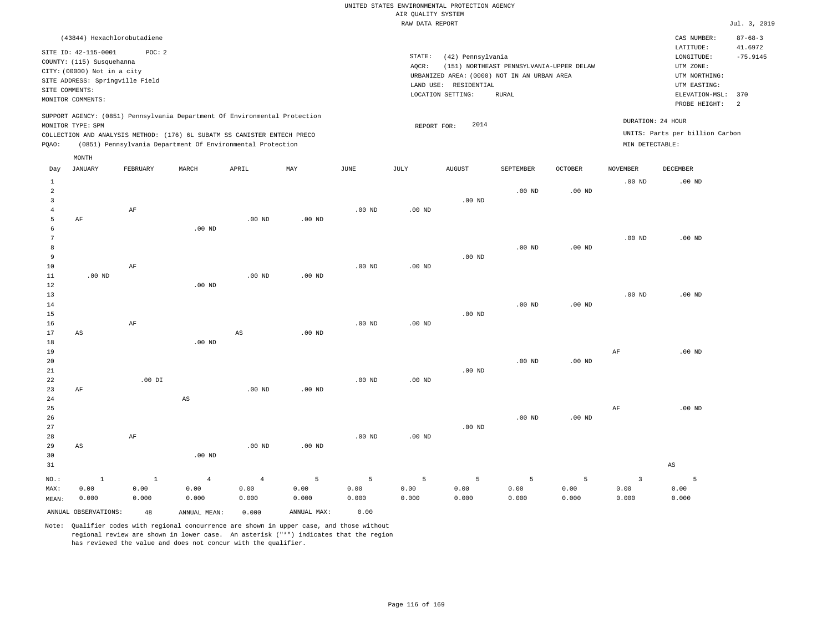| (43844) Hexachlorobutadiene                                                                                                                                                                                                                                 |                                                                                                                                                                                        | CAS NUMBER:                                                                                                  | $87 - 68 - 3$         |
|-------------------------------------------------------------------------------------------------------------------------------------------------------------------------------------------------------------------------------------------------------------|----------------------------------------------------------------------------------------------------------------------------------------------------------------------------------------|--------------------------------------------------------------------------------------------------------------|-----------------------|
| SITE ID: 42-115-0001<br>POC:2<br>COUNTY: (115) Susquehanna<br>CITY: (00000) Not in a city<br>SITE ADDRESS: Springville Field<br>SITE COMMENTS:<br>MONITOR COMMENTS:                                                                                         | STATE:<br>(42) Pennsylvania<br>(151) NORTHEAST PENNSYLVANIA-UPPER DELAW<br>AOCR:<br>URBANIZED AREA: (0000) NOT IN AN URBAN AREA<br>LAND USE: RESIDENTIAL<br>LOCATION SETTING:<br>RURAL | LATITUDE:<br>LONGITUDE:<br>UTM ZONE:<br>UTM NORTHING:<br>UTM EASTING:<br>ELEVATION-MSL: 370<br>PROBE HEIGHT: | 41.6972<br>$-75.9145$ |
| SUPPORT AGENCY: (0851) Pennsylvania Department Of Environmental Protection<br>MONITOR TYPE: SPM<br>COLLECTION AND ANALYSIS METHOD: (176) 6L SUBATM SS CANISTER ENTECH PRECO<br>(0851) Pennsylvania Department Of Environmental Protection<br>POAO:<br>MONTH | 2014<br>REPORT FOR:                                                                                                                                                                    | DURATION: 24 HOUR<br>UNITS: Parts per billion Carbon<br>MIN DETECTABLE:                                      |                       |

| Day            | JANUARY                | FEBRUARY  | MARCH          | APRIL                  | MAY         | JUNE              | JULY     | AUGUST   | SEPTEMBER | OCTOBER           | NOVEMBER          | DECEMBER               |
|----------------|------------------------|-----------|----------------|------------------------|-------------|-------------------|----------|----------|-----------|-------------------|-------------------|------------------------|
| $\mathbf{1}$   |                        |           |                |                        |             |                   |          |          |           |                   | .00 <sub>ND</sub> | $.00$ ND               |
| $\overline{a}$ |                        |           |                |                        |             |                   |          |          | $.00$ ND  | .00 <sub>ND</sub> |                   |                        |
| 3              |                        |           |                |                        |             |                   |          | $.00$ ND |           |                   |                   |                        |
| $\overline{4}$ |                        | $\rm AF$  |                |                        |             | .00 <sub>ND</sub> | $.00$ ND |          |           |                   |                   |                        |
| 5              | AF                     |           |                | $.00$ ND               | $.00$ ND    |                   |          |          |           |                   |                   |                        |
| 6              |                        |           | $.00$ ND       |                        |             |                   |          |          |           |                   |                   |                        |
| 7              |                        |           |                |                        |             |                   |          |          |           |                   | $.00$ ND          | $.00$ ND               |
| 8              |                        |           |                |                        |             |                   |          |          | $.00$ ND  | .00 $ND$          |                   |                        |
| 9              |                        |           |                |                        |             |                   |          | $.00$ ND |           |                   |                   |                        |
| $10$           |                        | $\rm AF$  |                |                        |             | .00 <sub>ND</sub> | .00 $ND$ |          |           |                   |                   |                        |
| $11\,$         | $.00$ ND               |           |                | $.00$ ND               | $.00$ ND    |                   |          |          |           |                   |                   |                        |
| 12             |                        |           | $.00$ ND       |                        |             |                   |          |          |           |                   |                   |                        |
| 13             |                        |           |                |                        |             |                   |          |          |           |                   | $.00$ ND          | $.00$ ND               |
| 14             |                        |           |                |                        |             |                   |          |          | $.00$ ND  | .00 <sub>ND</sub> |                   |                        |
| 15             |                        |           |                |                        |             |                   |          | $.00$ ND |           |                   |                   |                        |
| 16             |                        | $\rm{AF}$ |                |                        |             | $.00$ ND          | .00 $ND$ |          |           |                   |                   |                        |
| 17             | $\mathbb{A}\mathbb{S}$ |           |                | $\mathbb{A}\mathbb{S}$ | $.00$ ND    |                   |          |          |           |                   |                   |                        |
| 18             |                        |           | $.00$ ND       |                        |             |                   |          |          |           |                   |                   |                        |
| 19             |                        |           |                |                        |             |                   |          |          |           |                   | $\rm{AF}$         | $.00$ ND               |
| 20             |                        |           |                |                        |             |                   |          |          | $.00$ ND  | .00 $ND$          |                   |                        |
| 21             |                        |           |                |                        |             |                   |          | $.00$ ND |           |                   |                   |                        |
| 22<br>23       |                        | $.00$ DI  |                | $.00$ ND               | $.00$ ND    | $.00$ ND          | .00 $ND$ |          |           |                   |                   |                        |
| 24             | AF                     |           | AS             |                        |             |                   |          |          |           |                   |                   |                        |
| 25             |                        |           |                |                        |             |                   |          |          |           |                   | $\rm{AF}$         | $.00$ ND               |
| 26             |                        |           |                |                        |             |                   |          |          | $.00$ ND  | .00 $ND$          |                   |                        |
| 27             |                        |           |                |                        |             |                   |          | $.00$ ND |           |                   |                   |                        |
| 28             |                        | $\rm{AF}$ |                |                        |             | $.00$ ND          | .00 $ND$ |          |           |                   |                   |                        |
| 29             | AS                     |           |                | $.00$ ND               | $.00$ ND    |                   |          |          |           |                   |                   |                        |
| 30             |                        |           | $.00$ ND       |                        |             |                   |          |          |           |                   |                   |                        |
| 31             |                        |           |                |                        |             |                   |          |          |           |                   |                   | $\mathbb{A}\mathbb{S}$ |
|                |                        |           |                |                        |             |                   |          |          |           |                   |                   |                        |
| $NO.$ :        | $\,$ 1                 | $\,$ 1    | $\overline{4}$ | $\overline{4}$         | 5           | $\overline{5}$    | 5        | 5        | 5         | $\mathsf S$       | 3                 | $\overline{5}$         |
| MAX:           | 0.00                   | 0.00      | 0.00           | 0.00                   | 0.00        | 0.00              | 0.00     | 0.00     | 0.00      | 0.00              | 0.00              | 0.00                   |
| MEAN:          | 0.000                  | 0.000     | 0.000          | 0.000                  | 0.000       | 0.000             | 0.000    | 0.000    | 0.000     | 0.000             | 0.000             | 0.000                  |
|                | ANNUAL OBSERVATIONS:   | 48        | ANNUAL MEAN:   | 0.000                  | ANNUAL MAX: | 0.00              |          |          |           |                   |                   |                        |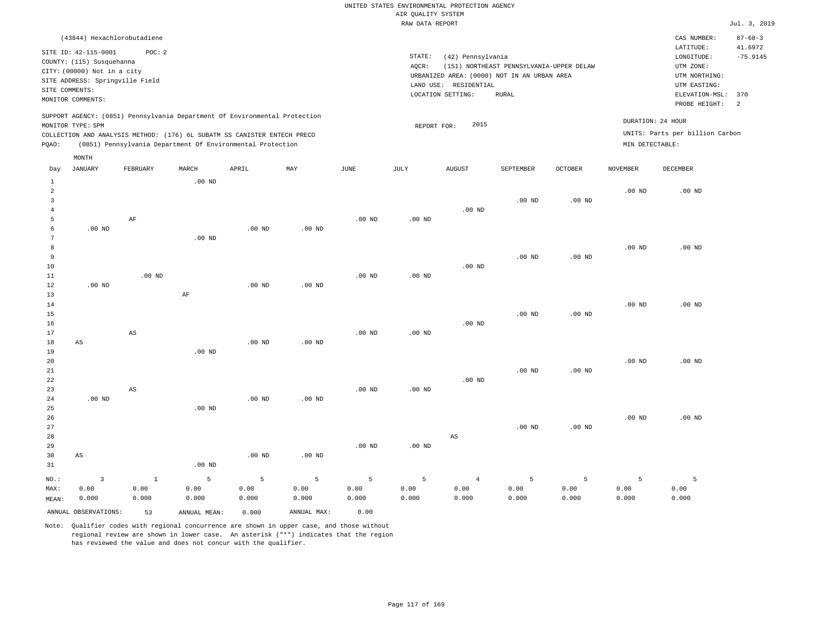| (43844) Hexachlorobutadiene                                                                                                                                                                                                                                 |                                                                                                                                                                                        | CAS NUMBER:                                                                                                  | $87 - 68 - 3$               |
|-------------------------------------------------------------------------------------------------------------------------------------------------------------------------------------------------------------------------------------------------------------|----------------------------------------------------------------------------------------------------------------------------------------------------------------------------------------|--------------------------------------------------------------------------------------------------------------|-----------------------------|
| SITE ID: 42-115-0001<br>POC:2<br>COUNTY: (115) Susquehanna<br>CITY: (00000) Not in a city<br>SITE ADDRESS: Springville Field<br>SITE COMMENTS:<br>MONITOR COMMENTS:                                                                                         | STATE:<br>(42) Pennsylvania<br>(151) NORTHEAST PENNSYLVANIA-UPPER DELAW<br>AOCR:<br>URBANIZED AREA: (0000) NOT IN AN URBAN AREA<br>LAND USE: RESIDENTIAL<br>LOCATION SETTING:<br>RURAL | LATITUDE:<br>LONGITUDE:<br>UTM ZONE:<br>UTM NORTHING:<br>UTM EASTING:<br>ELEVATION-MSL: 370<br>PROBE HEIGHT: | 41.6972<br>$-75.9145$<br>-2 |
| SUPPORT AGENCY: (0851) Pennsylvania Department Of Environmental Protection<br>MONITOR TYPE: SPM<br>COLLECTION AND ANALYSIS METHOD: (176) 6L SUBATM SS CANISTER ENTECH PRECO<br>(0851) Pennsylvania Department Of Environmental Protection<br>POAO:<br>MONTH | 2015<br>REPORT FOR:                                                                                                                                                                    | DURATION: 24 HOUR<br>UNITS: Parts per billion Carbon<br>MIN DETECTABLE:                                      |                             |

| Day            | <b>JANUARY</b>       | FEBRUARY               | MARCH             | APRIL    | $\ensuremath{\text{MAX}}$ | $_{\rm JUNE}$     | JULY              | AUGUST                 | SEPTEMBER         | $\mathtt{OCTOBER}$ | NOVEMBER | DECEMBER |
|----------------|----------------------|------------------------|-------------------|----------|---------------------------|-------------------|-------------------|------------------------|-------------------|--------------------|----------|----------|
| $\mathbf{1}$   |                      |                        | .00 <sub>ND</sub> |          |                           |                   |                   |                        |                   |                    |          |          |
| $\,2$          |                      |                        |                   |          |                           |                   |                   |                        |                   |                    | $.00$ ND | $.00$ ND |
| 3              |                      |                        |                   |          |                           |                   |                   |                        | $.00$ ND          | .00 <sub>ND</sub>  |          |          |
| $\overline{4}$ |                      |                        |                   |          |                           |                   |                   | $.00$ ND               |                   |                    |          |          |
| 5              |                      | $\rm AF$               |                   |          |                           | $.00$ ND          | .00 $ND$          |                        |                   |                    |          |          |
| 6              | $.00$ ND             |                        |                   | $.00$ ND | $.00$ ND                  |                   |                   |                        |                   |                    |          |          |
| 7              |                      |                        | .00 <sub>ND</sub> |          |                           |                   |                   |                        |                   |                    |          |          |
| 8              |                      |                        |                   |          |                           |                   |                   |                        |                   |                    | $.00$ ND | $.00$ ND |
| 9              |                      |                        |                   |          |                           |                   |                   |                        | $.00$ ND          | .00 <sub>ND</sub>  |          |          |
| $10$           |                      |                        |                   |          |                           |                   |                   | .00 <sub>ND</sub>      |                   |                    |          |          |
| 11             |                      | $.00$ ND               |                   |          |                           | $.00$ ND          | $.00$ ND          |                        |                   |                    |          |          |
| 12             | .00 <sub>ND</sub>    |                        |                   | $.00$ ND | $.00$ ND                  |                   |                   |                        |                   |                    |          |          |
| 13             |                      |                        | $\rm AF$          |          |                           |                   |                   |                        |                   |                    |          |          |
| 14             |                      |                        |                   |          |                           |                   |                   |                        |                   |                    | $.00$ ND | $.00$ ND |
| 15             |                      |                        |                   |          |                           |                   |                   |                        | $.00$ ND          | .00 <sub>ND</sub>  |          |          |
| 16             |                      |                        |                   |          |                           |                   |                   | $.00$ ND               |                   |                    |          |          |
| 17             |                      | $\mathbb{A}\mathbb{S}$ |                   |          |                           | $.00$ ND          | .00 <sub>ND</sub> |                        |                   |                    |          |          |
| 18             | AS                   |                        |                   | $.00$ ND | $.00$ ND                  |                   |                   |                        |                   |                    |          |          |
| 19             |                      |                        | $.00$ ND          |          |                           |                   |                   |                        |                   |                    |          |          |
| 20             |                      |                        |                   |          |                           |                   |                   |                        |                   |                    | $.00$ ND | $.00$ ND |
| $21\,$         |                      |                        |                   |          |                           |                   |                   |                        | $.00$ ND          | .00 <sub>ND</sub>  |          |          |
| $2\sqrt{2}$    |                      |                        |                   |          |                           |                   |                   | $.00$ ND               |                   |                    |          |          |
| 23             |                      | AS                     |                   | $.00$ ND | .00 <sub>ND</sub>         | $.00~\mathrm{ND}$ | $.00$ ND          |                        |                   |                    |          |          |
| $2\,4$<br>25   | .00 <sub>ND</sub>    |                        | .00 <sub>ND</sub> |          |                           |                   |                   |                        |                   |                    |          |          |
| 26             |                      |                        |                   |          |                           |                   |                   |                        |                   |                    | $.00$ ND | $.00$ ND |
| 27             |                      |                        |                   |          |                           |                   |                   |                        | .00 <sub>ND</sub> | .00 <sub>ND</sub>  |          |          |
| 28             |                      |                        |                   |          |                           |                   |                   | $\mathbb{A}\mathbb{S}$ |                   |                    |          |          |
| 29             |                      |                        |                   |          |                           | .00 <sub>ND</sub> | $.00$ ND          |                        |                   |                    |          |          |
| 30             | AS                   |                        |                   | $.00$ ND | $.00$ ND                  |                   |                   |                        |                   |                    |          |          |
| 31             |                      |                        | $.00$ ND          |          |                           |                   |                   |                        |                   |                    |          |          |
|                |                      |                        |                   |          |                           |                   |                   |                        |                   |                    |          |          |
| $_{\rm NO.}$ : | $\overline{3}$       | $\mathbf{1}$           | 5                 | 5        | 5                         | $\mathsf S$       | $\overline{5}$    | $\overline{4}$         | 5                 | 5                  | 5        | 5        |
| MAX:           | 0.00                 | 0.00                   | 0.00              | 0.00     | 0.00                      | 0.00              | 0.00              | 0.00                   | 0.00              | 0.00               | 0.00     | 0.00     |
| MEAN:          | 0.000                | 0.000                  | 0.000             | 0.000    | 0.000                     | 0.000             | 0.000             | 0.000                  | 0.000             | 0.000              | 0.000    | 0.000    |
|                | ANNUAL OBSERVATIONS: | 53                     | ANNUAL MEAN:      | 0.000    | ANNUAL MAX:               | 0.00              |                   |                        |                   |                    |          |          |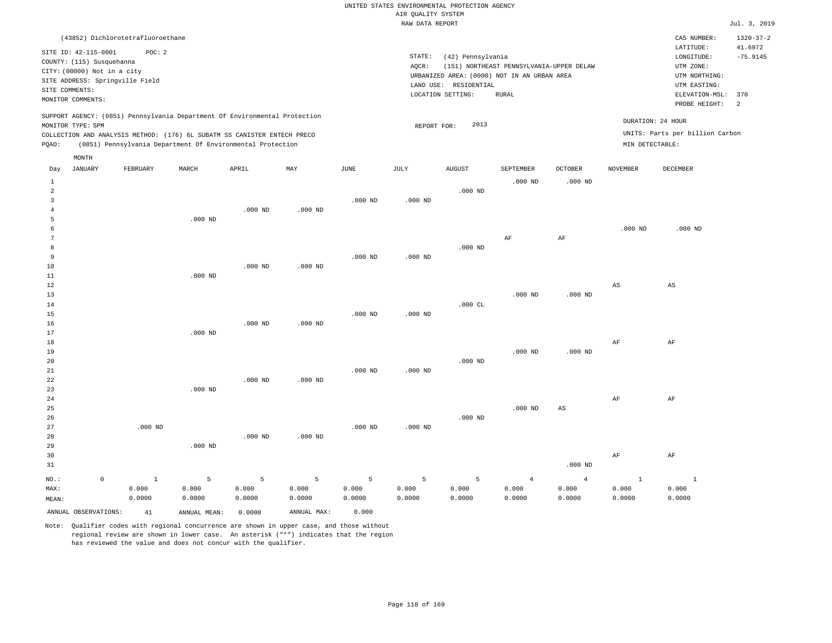|                |                             |                                   |                                                                            |           |             |               | RAW DATA REPORT |                       |                                             |                |                 |                                 | Jul. 3, 2019    |
|----------------|-----------------------------|-----------------------------------|----------------------------------------------------------------------------|-----------|-------------|---------------|-----------------|-----------------------|---------------------------------------------|----------------|-----------------|---------------------------------|-----------------|
|                |                             | (43852) Dichlorotetrafluoroethane |                                                                            |           |             |               |                 |                       |                                             |                |                 | CAS NUMBER:                     | $1320 - 37 - 2$ |
|                |                             |                                   |                                                                            |           |             |               |                 |                       |                                             |                |                 | LATITUDE:                       | 41.6972         |
|                | SITE ID: 42-115-0001        | POC: 2                            |                                                                            |           |             |               | STATE:          | (42) Pennsylvania     |                                             |                |                 | LONGITUDE:                      | $-75.9145$      |
|                | COUNTY: (115) Susquehanna   |                                   |                                                                            |           |             |               | AQCR:           |                       | (151) NORTHEAST PENNSYLVANIA-UPPER DELAW    |                |                 | UTM ZONE:                       |                 |
|                | CITY: (00000) Not in a city |                                   |                                                                            |           |             |               |                 |                       | URBANIZED AREA: (0000) NOT IN AN URBAN AREA |                |                 | UTM NORTHING:                   |                 |
|                |                             | SITE ADDRESS: Springville Field   |                                                                            |           |             |               |                 | LAND USE: RESIDENTIAL |                                             |                |                 | UTM EASTING:                    |                 |
|                | SITE COMMENTS:              |                                   |                                                                            |           |             |               |                 | LOCATION SETTING:     | RURAL                                       |                |                 | ELEVATION-MSL:                  | 370             |
|                | MONITOR COMMENTS:           |                                   |                                                                            |           |             |               |                 |                       |                                             |                |                 | PROBE HEIGHT:                   | 2               |
|                |                             |                                   | SUPPORT AGENCY: (0851) Pennsylvania Department Of Environmental Protection |           |             |               |                 |                       |                                             |                |                 | DURATION: 24 HOUR               |                 |
|                | MONITOR TYPE: SPM           |                                   |                                                                            |           |             |               | REPORT FOR:     | 2013                  |                                             |                |                 |                                 |                 |
|                |                             |                                   | COLLECTION AND ANALYSIS METHOD: (176) 6L SUBATM SS CANISTER ENTECH PRECO   |           |             |               |                 |                       |                                             |                |                 | UNITS: Parts per billion Carbon |                 |
| PQAO:          |                             |                                   | (0851) Pennsylvania Department Of Environmental Protection                 |           |             |               |                 |                       |                                             |                | MIN DETECTABLE: |                                 |                 |
|                | MONTH                       |                                   |                                                                            |           |             |               |                 |                       |                                             |                |                 |                                 |                 |
| Day            | <b>JANUARY</b>              | FEBRUARY                          | MARCH                                                                      | APRIL     | MAY         | $_{\rm JUNE}$ | JULY            | <b>AUGUST</b>         | SEPTEMBER                                   | OCTOBER        | <b>NOVEMBER</b> | DECEMBER                        |                 |
| $\mathbf{1}$   |                             |                                   |                                                                            |           |             |               |                 |                       | $.000$ ND                                   | $.000$ ND      |                 |                                 |                 |
| 2              |                             |                                   |                                                                            |           |             |               |                 | $.000$ ND             |                                             |                |                 |                                 |                 |
| $\overline{3}$ |                             |                                   |                                                                            |           |             | $.000$ ND     | $.000$ ND       |                       |                                             |                |                 |                                 |                 |
| 4              |                             |                                   |                                                                            | $.000$ ND | $.000$ ND   |               |                 |                       |                                             |                |                 |                                 |                 |
| 5              |                             |                                   | $.000$ ND                                                                  |           |             |               |                 |                       |                                             |                |                 |                                 |                 |
| 6              |                             |                                   |                                                                            |           |             |               |                 |                       |                                             |                | $.000$ ND       | $.000$ ND                       |                 |
| $\overline{7}$ |                             |                                   |                                                                            |           |             |               |                 |                       | AF                                          | AF             |                 |                                 |                 |
| 8              |                             |                                   |                                                                            |           |             |               |                 | $.000$ ND             |                                             |                |                 |                                 |                 |
| 9              |                             |                                   |                                                                            |           |             | $.000$ ND     | $.000$ ND       |                       |                                             |                |                 |                                 |                 |
| 10             |                             |                                   |                                                                            | $.000$ ND | $.000$ ND   |               |                 |                       |                                             |                |                 |                                 |                 |
| 11             |                             |                                   | $.000$ ND                                                                  |           |             |               |                 |                       |                                             |                |                 |                                 |                 |
| 12             |                             |                                   |                                                                            |           |             |               |                 |                       |                                             |                | AS              | AS                              |                 |
| 13             |                             |                                   |                                                                            |           |             |               |                 |                       | $.000$ ND                                   | $.000$ ND      |                 |                                 |                 |
| 14             |                             |                                   |                                                                            |           |             |               |                 | $.000$ CL             |                                             |                |                 |                                 |                 |
| 15             |                             |                                   |                                                                            |           |             | $.000$ ND     | $.000$ ND       |                       |                                             |                |                 |                                 |                 |
| 16             |                             |                                   |                                                                            | $.000$ ND | $.000$ ND   |               |                 |                       |                                             |                |                 |                                 |                 |
| 17             |                             |                                   | $.000$ ND                                                                  |           |             |               |                 |                       |                                             |                |                 |                                 |                 |
| 18             |                             |                                   |                                                                            |           |             |               |                 |                       |                                             |                | AF              | AF                              |                 |
| 19             |                             |                                   |                                                                            |           |             |               |                 |                       | $.000$ ND                                   | $.000$ ND      |                 |                                 |                 |
| 20             |                             |                                   |                                                                            |           |             |               |                 | $.000$ ND             |                                             |                |                 |                                 |                 |
| 21             |                             |                                   |                                                                            |           |             | $.000$ ND     | $.000$ ND       |                       |                                             |                |                 |                                 |                 |
| 22             |                             |                                   |                                                                            | $.000$ ND | $.000$ ND   |               |                 |                       |                                             |                |                 |                                 |                 |
| 23             |                             |                                   | $.000$ ND                                                                  |           |             |               |                 |                       |                                             |                |                 |                                 |                 |
| 24             |                             |                                   |                                                                            |           |             |               |                 |                       |                                             |                | AF              | AF                              |                 |
| 25             |                             |                                   |                                                                            |           |             |               |                 |                       | $.000$ ND                                   | $_{\rm AS}$    |                 |                                 |                 |
| 26             |                             |                                   |                                                                            |           |             |               |                 | $.000$ ND             |                                             |                |                 |                                 |                 |
| 27             |                             | $.000$ ND                         |                                                                            |           |             | $.000$ ND     | $.000$ ND       |                       |                                             |                |                 |                                 |                 |
| 28             |                             |                                   |                                                                            | $.000$ ND | $.000$ ND   |               |                 |                       |                                             |                |                 |                                 |                 |
| 29             |                             |                                   | $.000$ ND                                                                  |           |             |               |                 |                       |                                             |                |                 |                                 |                 |
| 30             |                             |                                   |                                                                            |           |             |               |                 |                       |                                             |                | AF              | AF                              |                 |
| 31             |                             |                                   |                                                                            |           |             |               |                 |                       |                                             | $.000$ ND      |                 |                                 |                 |
| NO.:           | $\mathbb O$                 | $\mathbf{1}$                      | 5                                                                          | 5         | 5           | 5             | 5               | 5                     | $\overline{4}$                              | $\overline{4}$ | 1               | $\mathbf{1}$                    |                 |
| MAX:           |                             | 0.000                             | 0.000                                                                      | 0.000     | 0.000       | 0.000         | 0.000           | 0.000                 | 0.000                                       | 0.000          | 0.000           | 0.000                           |                 |
| MEAN:          |                             | 0.0000                            | 0.0000                                                                     | 0.0000    | 0.0000      | 0.0000        | 0.0000          | 0.0000                | 0.0000                                      | 0.0000         | 0.0000          | 0.0000                          |                 |
|                | ANNUAL OBSERVATIONS:        | 41                                | ANNUAL MEAN:                                                               | 0.0000    | ANNUAL MAX: | 0.000         |                 |                       |                                             |                |                 |                                 |                 |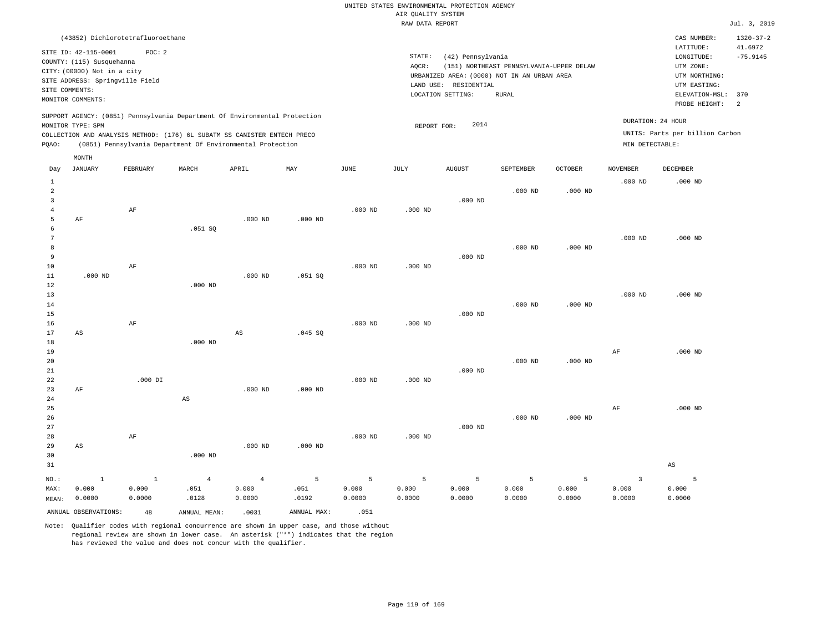|                |                                   |                 |                                                                            |                        |                |           | RAW DATA REPORT |                       |                                             |                |                         |                                 | Jul. 3, 2019    |
|----------------|-----------------------------------|-----------------|----------------------------------------------------------------------------|------------------------|----------------|-----------|-----------------|-----------------------|---------------------------------------------|----------------|-------------------------|---------------------------------|-----------------|
|                | (43852) Dichlorotetrafluoroethane |                 |                                                                            |                        |                |           |                 |                       |                                             |                |                         | CAS NUMBER:                     | $1320 - 37 - 2$ |
|                | SITE ID: 42-115-0001              | POC: 2          |                                                                            |                        |                |           |                 |                       |                                             |                |                         | LATITUDE:                       | 41.6972         |
|                | COUNTY: (115) Susquehanna         |                 |                                                                            |                        |                |           | STATE:          | (42) Pennsylvania     |                                             |                |                         | LONGITUDE:                      | $-75.9145$      |
|                | CITY: (00000) Not in a city       |                 |                                                                            |                        |                |           | AQCR:           |                       | (151) NORTHEAST PENNSYLVANIA-UPPER DELAW    |                |                         | UTM ZONE:                       |                 |
|                | SITE ADDRESS: Springville Field   |                 |                                                                            |                        |                |           |                 |                       | URBANIZED AREA: (0000) NOT IN AN URBAN AREA |                |                         | UTM NORTHING:                   |                 |
| SITE COMMENTS: |                                   |                 |                                                                            |                        |                |           |                 | LAND USE: RESIDENTIAL |                                             |                |                         | UTM EASTING:                    |                 |
|                | MONITOR COMMENTS:                 |                 |                                                                            |                        |                |           |                 | LOCATION SETTING:     | <b>RURAL</b>                                |                |                         | ELEVATION-MSL:                  | 370             |
|                |                                   |                 |                                                                            |                        |                |           |                 |                       |                                             |                |                         | PROBE HEIGHT:                   | 2               |
|                | MONITOR TYPE: SPM                 |                 | SUPPORT AGENCY: (0851) Pennsylvania Department Of Environmental Protection |                        |                |           | REPORT FOR:     | 2014                  |                                             |                |                         | DURATION: 24 HOUR               |                 |
|                |                                   |                 | COLLECTION AND ANALYSIS METHOD: (176) 6L SUBATM SS CANISTER ENTECH PRECO   |                        |                |           |                 |                       |                                             |                |                         | UNITS: Parts per billion Carbon |                 |
| PQAO:          |                                   |                 | (0851) Pennsylvania Department Of Environmental Protection                 |                        |                |           |                 |                       |                                             |                | MIN DETECTABLE:         |                                 |                 |
|                | MONTH                             |                 |                                                                            |                        |                |           |                 |                       |                                             |                |                         |                                 |                 |
| Day            | <b>JANUARY</b>                    | <b>FEBRUARY</b> | MARCH                                                                      | APRIL                  | MAY            | JUNE      | JULY            | <b>AUGUST</b>         | SEPTEMBER                                   | <b>OCTOBER</b> | <b>NOVEMBER</b>         | <b>DECEMBER</b>                 |                 |
| $1\,$          |                                   |                 |                                                                            |                        |                |           |                 |                       |                                             |                | $.000$ ND               | $.000$ ND                       |                 |
| $\overline{2}$ |                                   |                 |                                                                            |                        |                |           |                 |                       | $.000$ ND                                   | $.000$ ND      |                         |                                 |                 |
| 3              |                                   |                 |                                                                            |                        |                |           |                 | $.000$ ND             |                                             |                |                         |                                 |                 |
| 4              |                                   | $\rm AF$        |                                                                            |                        |                | $.000$ ND | $.000$ ND       |                       |                                             |                |                         |                                 |                 |
| 5              | AF                                |                 |                                                                            | $.000$ ND              | $.000$ ND      |           |                 |                       |                                             |                |                         |                                 |                 |
| 6              |                                   |                 | .051SQ                                                                     |                        |                |           |                 |                       |                                             |                |                         |                                 |                 |
| 7              |                                   |                 |                                                                            |                        |                |           |                 |                       |                                             |                | $.000$ ND               | $.000$ ND                       |                 |
| 8              |                                   |                 |                                                                            |                        |                |           |                 |                       | $.000$ ND                                   | $.000$ ND      |                         |                                 |                 |
| 9              |                                   |                 |                                                                            |                        |                |           |                 | $.000$ ND             |                                             |                |                         |                                 |                 |
| 10             |                                   | AF              |                                                                            |                        |                | $.000$ ND | $.000$ ND       |                       |                                             |                |                         |                                 |                 |
| $11\,$         | $.000$ ND                         |                 |                                                                            | $.000$ ND              | .051 SQ        |           |                 |                       |                                             |                |                         |                                 |                 |
| 12             |                                   |                 | $.000$ ND                                                                  |                        |                |           |                 |                       |                                             |                |                         |                                 |                 |
| 13             |                                   |                 |                                                                            |                        |                |           |                 |                       |                                             |                | $.000$ ND               | $.000$ ND                       |                 |
| 14             |                                   |                 |                                                                            |                        |                |           |                 |                       | $.000$ ND                                   | $.000$ ND      |                         |                                 |                 |
| 15             |                                   |                 |                                                                            |                        |                |           |                 | $.000$ ND             |                                             |                |                         |                                 |                 |
| 16<br>17       | AS                                | AF              |                                                                            | $\mathbb{A}\mathbb{S}$ | .045 SQ        | $.000$ ND | $.000$ ND       |                       |                                             |                |                         |                                 |                 |
| 18             |                                   |                 | $.000$ ND                                                                  |                        |                |           |                 |                       |                                             |                |                         |                                 |                 |
| 19             |                                   |                 |                                                                            |                        |                |           |                 |                       |                                             |                | AF                      | $.000$ ND                       |                 |
| 20             |                                   |                 |                                                                            |                        |                |           |                 |                       | $.000$ ND                                   | $.000$ ND      |                         |                                 |                 |
| 21             |                                   |                 |                                                                            |                        |                |           |                 | $.000$ ND             |                                             |                |                         |                                 |                 |
| 22             |                                   | $.000$ DI       |                                                                            |                        |                | $.000$ ND | $.000$ ND       |                       |                                             |                |                         |                                 |                 |
| 23             | $\rm AF$                          |                 |                                                                            | $.000$ ND              | $.000$ ND      |           |                 |                       |                                             |                |                         |                                 |                 |
| 24             |                                   |                 | $\mathbb{A}\mathbb{S}$                                                     |                        |                |           |                 |                       |                                             |                |                         |                                 |                 |
| 25             |                                   |                 |                                                                            |                        |                |           |                 |                       |                                             |                | AF                      | $.000$ ND                       |                 |
| 26             |                                   |                 |                                                                            |                        |                |           |                 |                       | $.000$ ND                                   | $.000$ ND      |                         |                                 |                 |
| 27             |                                   |                 |                                                                            |                        |                |           |                 | $.000$ ND             |                                             |                |                         |                                 |                 |
| 28             |                                   | $\rm AF$        |                                                                            |                        |                | $.000$ ND | $.000$ ND       |                       |                                             |                |                         |                                 |                 |
| 29             | $\mathbb{A}\mathbb{S}$            |                 |                                                                            | $.000$ ND              | $.000$ ND      |           |                 |                       |                                             |                |                         |                                 |                 |
| 30             |                                   |                 | $.000$ ND                                                                  |                        |                |           |                 |                       |                                             |                |                         |                                 |                 |
| 31             |                                   |                 |                                                                            |                        |                |           |                 |                       |                                             |                |                         | $\mathbb{A}\mathbb{S}$          |                 |
| NO.:           | $\mathbf{1}$                      | $\,$ 1          | $\overline{4}$                                                             | $\overline{4}$         | $\overline{5}$ | 5         | $\overline{5}$  | 5                     | $\overline{5}$                              | 5              | $\overline{\mathbf{3}}$ | 5                               |                 |
| MAX:           | 0.000                             | 0.000           | .051                                                                       | 0.000                  | .051           | 0.000     | 0.000           | 0.000                 | 0.000                                       | 0.000          | 0.000                   | 0.000                           |                 |
| MEAN:          | 0.0000                            | 0.0000          | .0128                                                                      | 0.0000                 | .0192          | 0.0000    | 0.0000          | 0.0000                | 0.0000                                      | 0.0000         | 0.0000                  | 0.0000                          |                 |
|                | ANNUAL OBSERVATIONS:              | 48              | ANNUAL MEAN:                                                               | .0031                  | ANNUAL MAX:    | .051      |                 |                       |                                             |                |                         |                                 |                 |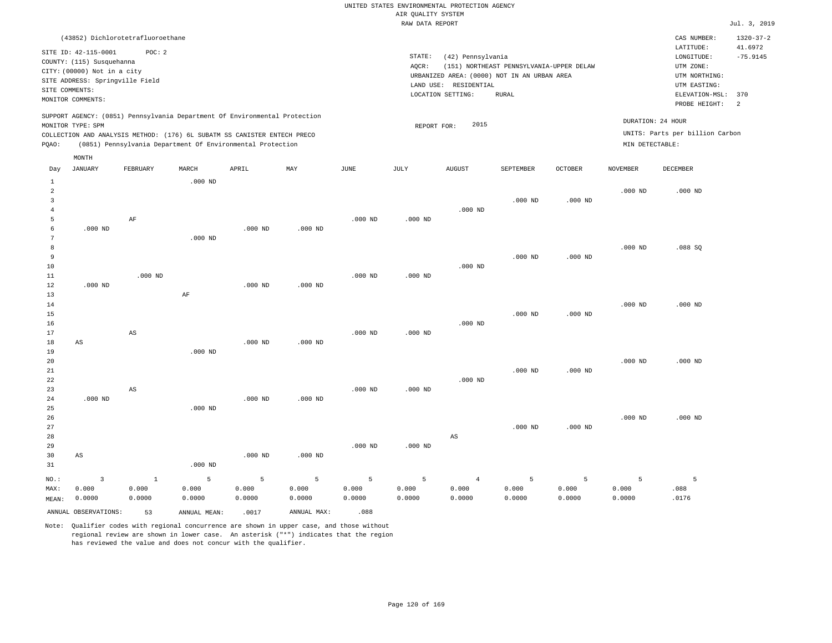|                                  |                                                                                                                                                                             |                                   |                                                            |                      |                      |                      | RAW DATA REPORT      |                                                                 |                                                                                                  |                      |                      |                                                                                                     | Jul. 3, 2019                 |
|----------------------------------|-----------------------------------------------------------------------------------------------------------------------------------------------------------------------------|-----------------------------------|------------------------------------------------------------|----------------------|----------------------|----------------------|----------------------|-----------------------------------------------------------------|--------------------------------------------------------------------------------------------------|----------------------|----------------------|-----------------------------------------------------------------------------------------------------|------------------------------|
|                                  | (43852) Dichlorotetrafluoroethane                                                                                                                                           |                                   |                                                            |                      |                      |                      |                      |                                                                 |                                                                                                  |                      |                      | CAS NUMBER:                                                                                         | $1320 - 37 - 2$              |
|                                  | SITE ID: 42-115-0001<br>COUNTY: (115) Susquehanna<br>CITY: (00000) Not in a city<br>SITE ADDRESS: Springville Field<br>SITE COMMENTS:                                       | POC: 2                            |                                                            |                      |                      |                      | STATE:<br>AQCR:      | (42) Pennsylvania<br>LAND USE: RESIDENTIAL<br>LOCATION SETTING: | (151) NORTHEAST PENNSYLVANIA-UPPER DELAW<br>URBANIZED AREA: (0000) NOT IN AN URBAN AREA<br>RURAL |                      |                      | LATITUDE:<br>$\texttt{LONGITUDE}$ :<br>UTM ZONE:<br>UTM NORTHING:<br>UTM EASTING:<br>ELEVATION-MSL: | 41.6972<br>$-75.9145$<br>370 |
|                                  | MONITOR COMMENTS:                                                                                                                                                           |                                   |                                                            |                      |                      |                      |                      |                                                                 |                                                                                                  |                      |                      | PROBE HEIGHT:                                                                                       | 2                            |
| PQAO:                            | SUPPORT AGENCY: (0851) Pennsylvania Department Of Environmental Protection<br>MONITOR TYPE: SPM<br>COLLECTION AND ANALYSIS METHOD: (176) 6L SUBATM SS CANISTER ENTECH PRECO |                                   | (0851) Pennsylvania Department Of Environmental Protection |                      |                      |                      | REPORT FOR:          | 2015                                                            |                                                                                                  |                      | MIN DETECTABLE:      | DURATION: 24 HOUR<br>UNITS: Parts per billion Carbon                                                |                              |
|                                  | MONTH                                                                                                                                                                       |                                   |                                                            |                      |                      |                      |                      |                                                                 |                                                                                                  |                      |                      |                                                                                                     |                              |
| Day                              | <b>JANUARY</b>                                                                                                                                                              | FEBRUARY                          | MARCH                                                      | APRIL                | MAY                  | JUNE                 | JULY                 | <b>AUGUST</b>                                                   | SEPTEMBER                                                                                        | <b>OCTOBER</b>       | <b>NOVEMBER</b>      | <b>DECEMBER</b>                                                                                     |                              |
| $\mathbf{1}$<br>2<br>3<br>4<br>5 |                                                                                                                                                                             | AF                                | $.000$ ND                                                  |                      |                      | $.000$ ND            | $.000$ ND            | $.000$ ND                                                       | $.000$ ND                                                                                        | $.000$ ND            | $.000$ ND            | $.000$ ND                                                                                           |                              |
| 6<br>7<br>8<br>9                 | $.000$ ND                                                                                                                                                                   |                                   | $.000$ ND                                                  | $.000$ ND            | $.000$ ND            |                      |                      |                                                                 | $.000$ ND                                                                                        | $.000$ ND            | $.000$ ND            | .088SQ                                                                                              |                              |
| 10<br>11<br>12<br>13             | $.000$ ND                                                                                                                                                                   | $.000$ ND                         | AF                                                         | $.000$ ND            | $.000$ ND            | $.000$ ND            | $.000$ ND            | $.000$ ND                                                       |                                                                                                  |                      |                      |                                                                                                     |                              |
| $1\,4$<br>15<br>16<br>17         |                                                                                                                                                                             | $\mathbb{A}\mathbb{S}$            |                                                            |                      |                      | $.000$ ND            | $.000$ ND            | $.000$ ND                                                       | $.000$ ND                                                                                        | $.000$ ND            | $.000$ ND            | $.000$ ND                                                                                           |                              |
| $18\,$<br>19<br>20<br>21<br>22   | $_{\rm AS}$                                                                                                                                                                 |                                   | $.000$ ND                                                  | $.000$ ND            | $.000$ ND            |                      |                      | $.000$ ND                                                       | $.000$ ND                                                                                        | $.000$ ND            | $.000$ ND            | $.000$ ND                                                                                           |                              |
| 23<br>24<br>25<br>26             | $.000$ ND                                                                                                                                                                   | $_{\rm AS}$                       | $.000$ ND                                                  | $.000$ ND            | $.000$ ND            | $.000$ ND            | $.000$ ND            |                                                                 |                                                                                                  |                      | $.000$ ND            | $.000$ ND                                                                                           |                              |
| 27<br>28<br>29<br>30<br>31       | AS                                                                                                                                                                          |                                   | $.000$ ND                                                  | $.000$ ND            | $.000$ ND            | $.000$ ND            | $.000$ ND            | AS                                                              | $.000$ ND                                                                                        | $.000$ ND            |                      |                                                                                                     |                              |
| NO.:<br>MAX:<br>MEAN:            | $\overline{3}$<br>0.000<br>0.0000                                                                                                                                           | $\overline{1}$<br>0.000<br>0.0000 | 5<br>0.000<br>0.0000                                       | 5<br>0.000<br>0.0000 | 5<br>0.000<br>0.0000 | 5<br>0.000<br>0.0000 | 5<br>0.000<br>0.0000 | $\overline{4}$<br>0.000<br>0.0000                               | 5<br>0.000<br>0.0000                                                                             | 5<br>0.000<br>0.0000 | 5<br>0.000<br>0.0000 | 5<br>.088<br>.0176                                                                                  |                              |
|                                  | ANNUAL OBSERVATIONS:                                                                                                                                                        | 53                                | ANNUAL MEAN:                                               | .0017                | ANNUAL MAX:          | .088                 |                      |                                                                 |                                                                                                  |                      |                      |                                                                                                     |                              |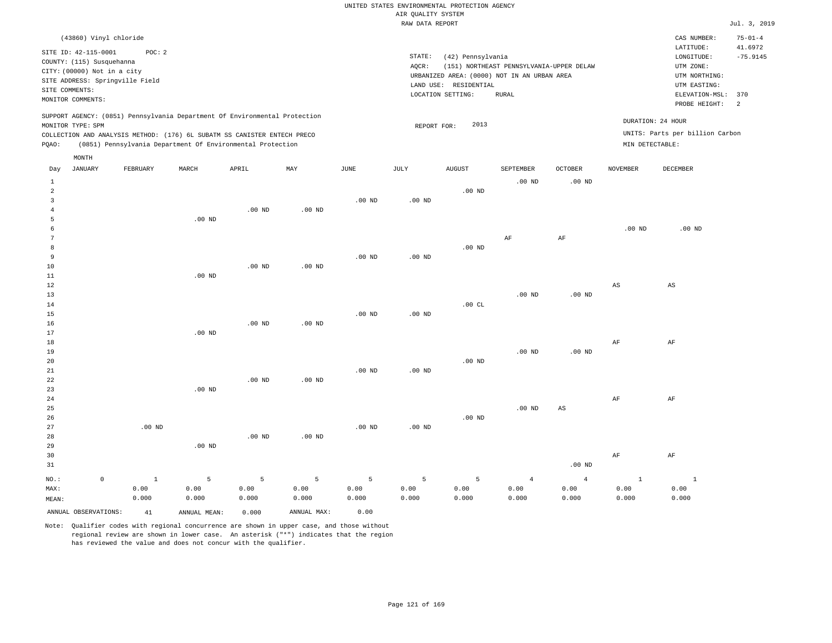| (43860) Vinyl chloride                                                                                                                                                                                                                             |                                                                                                                                                                                        | CAS NUMBER:                                                                                                  | $75 - 01 - 4$                           |
|----------------------------------------------------------------------------------------------------------------------------------------------------------------------------------------------------------------------------------------------------|----------------------------------------------------------------------------------------------------------------------------------------------------------------------------------------|--------------------------------------------------------------------------------------------------------------|-----------------------------------------|
| SITE ID: 42-115-0001<br>POC:2<br>COUNTY: (115) Susquehanna<br>CITY: (00000) Not in a city<br>SITE ADDRESS: Springville Field<br>SITE COMMENTS:<br>MONITOR COMMENTS:                                                                                | STATE:<br>(42) Pennsylvania<br>AOCR:<br>(151) NORTHEAST PENNSYLVANIA-UPPER DELAW<br>URBANIZED AREA: (0000) NOT IN AN URBAN AREA<br>LAND USE: RESIDENTIAL<br>LOCATION SETTING:<br>RURAL | LATITUDE:<br>LONGITUDE:<br>UTM ZONE:<br>UTM NORTHING:<br>UTM EASTING:<br>ELEVATION-MSL: 370<br>PROBE HEIGHT: | 41.6972<br>$-75.9145$<br>$\overline{2}$ |
| SUPPORT AGENCY: (0851) Pennsylvania Department Of Environmental Protection<br>MONITOR TYPE: SPM<br>COLLECTION AND ANALYSIS METHOD: (176) 6L SUBATM SS CANISTER ENTECH PRECO<br>(0851) Pennsylvania Department Of Environmental Protection<br>POAO: | 2013<br>REPORT FOR:                                                                                                                                                                    | DURATION: 24 HOUR<br>UNITS: Parts per billion Carbon<br>MIN DETECTABLE:                                      |                                         |
| MONTH                                                                                                                                                                                                                                              |                                                                                                                                                                                        |                                                                                                              |                                         |

| Day            | JANUARY              | FEBRUARY     | MARCH        | APRIL       | MAY               | JUNE     | JULY              | AUGUST   | SEPTEMBER      | OCTOBER                | NOVEMBER     | DECEMBER               |
|----------------|----------------------|--------------|--------------|-------------|-------------------|----------|-------------------|----------|----------------|------------------------|--------------|------------------------|
| $\mathbf{1}$   |                      |              |              |             |                   |          |                   |          | $.00$ ND       | $.00$ ND               |              |                        |
| $\overline{a}$ |                      |              |              |             |                   |          |                   | $.00$ ND |                |                        |              |                        |
| 3              |                      |              |              |             |                   | $.00$ ND | $.00$ ND          |          |                |                        |              |                        |
| $\overline{4}$ |                      |              |              | $.00$ ND    | $.00$ ND          |          |                   |          |                |                        |              |                        |
| 5              |                      |              | $.00$ ND     |             |                   |          |                   |          |                |                        |              |                        |
| 6              |                      |              |              |             |                   |          |                   |          |                |                        | $.00$ ND     | $.00$ ND               |
| 7              |                      |              |              |             |                   |          |                   |          | $\rm AF$       | $\rm{AF}$              |              |                        |
| 8              |                      |              |              |             |                   |          |                   | $.00$ ND |                |                        |              |                        |
| 9              |                      |              |              |             |                   | $.00$ ND | $.00$ ND          |          |                |                        |              |                        |
| 10             |                      |              |              | $.00$ ND    | .00 <sub>ND</sub> |          |                   |          |                |                        |              |                        |
| 11             |                      |              | $.00$ ND     |             |                   |          |                   |          |                |                        |              |                        |
| 12             |                      |              |              |             |                   |          |                   |          |                |                        | AS           | $\mathbb{A}\mathbb{S}$ |
| 13             |                      |              |              |             |                   |          |                   |          | $.00$ ND       | $.00$ ND               |              |                        |
| 14             |                      |              |              |             |                   |          |                   | .00 $CL$ |                |                        |              |                        |
| 15             |                      |              |              |             |                   | $.00$ ND | .00 <sub>ND</sub> |          |                |                        |              |                        |
| 16             |                      |              |              | $.00$ ND    | $.00$ ND          |          |                   |          |                |                        |              |                        |
| 17             |                      |              | $.00$ ND     |             |                   |          |                   |          |                |                        |              |                        |
| 18             |                      |              |              |             |                   |          |                   |          |                |                        | $\rm{AF}$    | $\rm AF$               |
| 19             |                      |              |              |             |                   |          |                   |          | $.00$ ND       | $.00$ ND               |              |                        |
| 20             |                      |              |              |             |                   |          |                   | $.00$ ND |                |                        |              |                        |
| 21             |                      |              |              |             |                   | $.00$ ND | $.00$ ND          |          |                |                        |              |                        |
| 22             |                      |              |              | $.00$ ND    | .00 <sub>ND</sub> |          |                   |          |                |                        |              |                        |
| 23             |                      |              | $.00$ ND     |             |                   |          |                   |          |                |                        |              |                        |
| 24             |                      |              |              |             |                   |          |                   |          |                |                        | $\rm{AF}$    | $\rm AF$               |
| 25             |                      |              |              |             |                   |          |                   |          | $.00$ ND       | $\mathbb{A}\mathbb{S}$ |              |                        |
| 26             |                      |              |              |             |                   |          |                   | $.00$ ND |                |                        |              |                        |
| 27             |                      | $.00$ ND     |              |             |                   | .00 $ND$ | $.00$ ND          |          |                |                        |              |                        |
| 28             |                      |              |              | $.00$ ND    | $.00$ ND          |          |                   |          |                |                        |              |                        |
| 29             |                      |              | $.00$ ND     |             |                   |          |                   |          |                |                        |              |                        |
| 30             |                      |              |              |             |                   |          |                   |          |                |                        | $\rm{AF}$    | $\rm AF$               |
| 31             |                      |              |              |             |                   |          |                   |          |                | $.00$ ND               |              |                        |
| $_{\rm NO.}$ : | $\mathsf 0$          | $\mathbf{1}$ | $\mathsf S$  | $\mathsf S$ | $\overline{5}$    | 5        | 5                 | 5        | $\overline{4}$ | $\overline{4}$         | $\mathbf{1}$ | $\mathbf{1}$           |
| MAX:           |                      | 0.00         | 0.00         | 0.00        | 0.00              | 0.00     | 0.00              | 0.00     | 0.00           | 0.00                   | 0.00         | 0.00                   |
| MEAN:          |                      | 0.000        | 0.000        | 0.000       | 0.000             | 0.000    | 0.000             | 0.000    | 0.000          | 0.000                  | 0.000        | 0.000                  |
|                | ANNUAL OBSERVATIONS: | 41           | ANNUAL MEAN: | 0.000       | ANNUAL MAX:       | 0.00     |                   |          |                |                        |              |                        |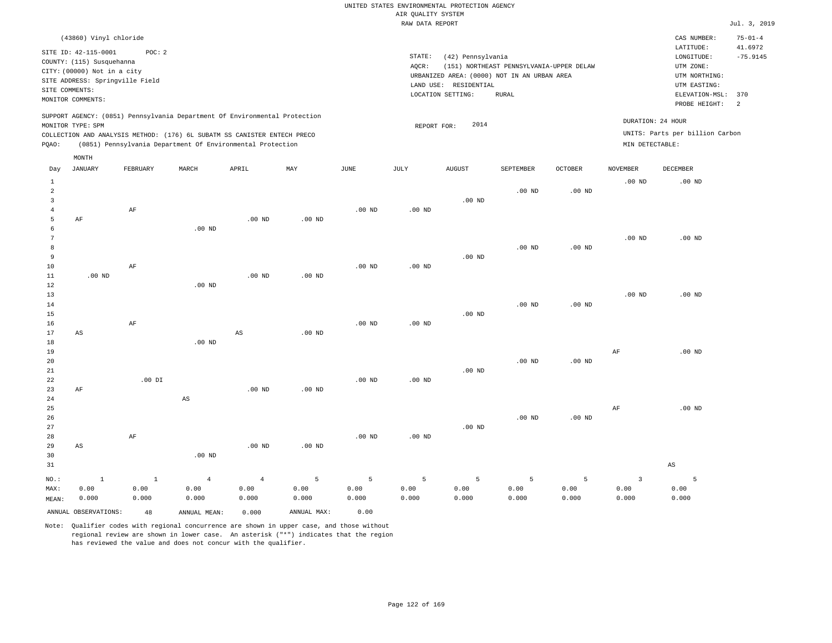| (43860) Vinyl chloride                                                                                                                                                                                                                             |                                                                                                                                                          | CAS NUMBER:                                                             | $75 - 01 - 4$         |
|----------------------------------------------------------------------------------------------------------------------------------------------------------------------------------------------------------------------------------------------------|----------------------------------------------------------------------------------------------------------------------------------------------------------|-------------------------------------------------------------------------|-----------------------|
| SITE ID: 42-115-0001<br>POC:2<br>COUNTY: (115) Susquehanna<br>CITY: (00000) Not in a city<br>SITE ADDRESS: Springville Field<br>SITE COMMENTS:                                                                                                     | STATE:<br>(42) Pennsylvania<br>(151) NORTHEAST PENNSYLVANIA-UPPER DELAW<br>AOCR:<br>URBANIZED AREA: (0000) NOT IN AN URBAN AREA<br>LAND USE: RESIDENTIAL | LATITUDE:<br>LONGITUDE:<br>UTM ZONE:<br>UTM NORTHING:<br>UTM EASTING:   | 41.6972<br>$-75.9145$ |
| MONITOR COMMENTS:                                                                                                                                                                                                                                  | LOCATION SETTING:<br>RURAL                                                                                                                               | ELEVATION-MSL: 370<br>PROBE HEIGHT:                                     | $\overline{2}$        |
| SUPPORT AGENCY: (0851) Pennsylvania Department Of Environmental Protection<br>MONITOR TYPE: SPM<br>COLLECTION AND ANALYSIS METHOD: (176) 6L SUBATM SS CANISTER ENTECH PRECO<br>(0851) Pennsylvania Department Of Environmental Protection<br>POAO: | 2014<br>REPORT FOR:                                                                                                                                      | DURATION: 24 HOUR<br>UNITS: Parts per billion Carbon<br>MIN DETECTABLE: |                       |
| MONTH                                                                                                                                                                                                                                              |                                                                                                                                                          |                                                                         |                       |

| Day                                                        | JANUARY                       | FEBRUARY             | MARCH                  | APRIL                  | MAY                  | JUNE               | $\mathtt{JULY}$     | AUGUST             | SEPTEMBER | <b>OCTOBER</b>    | NOVEMBER                        | DECEMBER               |
|------------------------------------------------------------|-------------------------------|----------------------|------------------------|------------------------|----------------------|--------------------|---------------------|--------------------|-----------|-------------------|---------------------------------|------------------------|
| $\mathbf{1}$<br>$\overline{a}$<br>3<br>$\overline{4}$<br>5 | AF                            | $\rm AF$             |                        | $.00$ ND               | $.00$ ND             | $.00$ ND           | $.00$ ND            | $.00$ ND           | $.00$ ND  | $.00$ ND          | $.00$ ND                        | $.00$ ND               |
| 6<br>7<br>8<br>9<br>10<br>11                               | .00 $ND$                      | AF                   | $.00$ ND               | .00 $ND$               | $.00$ ND             | $.00$ ND           | $.00$ ND            | .00 $ND$           | $.00$ ND  | .00 <sub>ND</sub> | $.00$ ND                        | $.00$ ND               |
| 12<br>13<br>14<br>15<br>16                                 |                               | $\rm AF$             | $.00$ ND               |                        |                      | $.00$ ND           | $.00$ ND            | $.00$ ND           | $.00$ ND  | .00 <sub>ND</sub> | $.00$ ND                        | $.00$ ND               |
| 17<br>18<br>19<br>20<br>21                                 | AS                            |                      | $.00$ ND               | $\mathbb{A}\mathbb{S}$ | .00 $ND$             |                    |                     | $.00$ ND           | $.00$ ND  | $.00$ ND          | AF                              | $.00$ ND               |
| 22<br>23<br>24<br>25<br>26                                 | $\rm AF$                      | $.00$ DI             | $\mathbb{A}\mathbb{S}$ | $.00$ ND               | .00 $ND$             | $.00$ ND           | $.00$ ND            |                    | $.00$ ND  | .00 <sub>ND</sub> | AF                              | $.00$ ND               |
| 27<br>28<br>29<br>30<br>31                                 | AS                            | $\rm AF$             | $.00$ ND               | $.00$ ND               | $.00$ ND             | $.00$ ND           | .00 <sub>ND</sub>   | $.00$ ND           |           |                   |                                 | $\mathbb{A}\mathbb{S}$ |
| $NO.$ :<br>MAX:                                            | $\,$ 1<br>0.00                | $\mathbf{1}$<br>0.00 | $\overline{4}$<br>0.00 | $\overline{4}$<br>0.00 | 5<br>0.00            | 5<br>0.00<br>0.000 | $\mathsf S$<br>0.00 | 5<br>0.00<br>0.000 | 5<br>0.00 | 5<br>0.00         | $\overline{\mathbf{3}}$<br>0.00 | 5<br>0.00<br>0.000     |
| MEAN:                                                      | 0.000<br>ANNUAL OBSERVATIONS: | 0.000<br>48          | 0.000<br>ANNUAL MEAN:  | 0.000<br>0.000         | 0.000<br>ANNUAL MAX: | 0.00               | 0.000               |                    | 0.000     | 0.000             | 0.000                           |                        |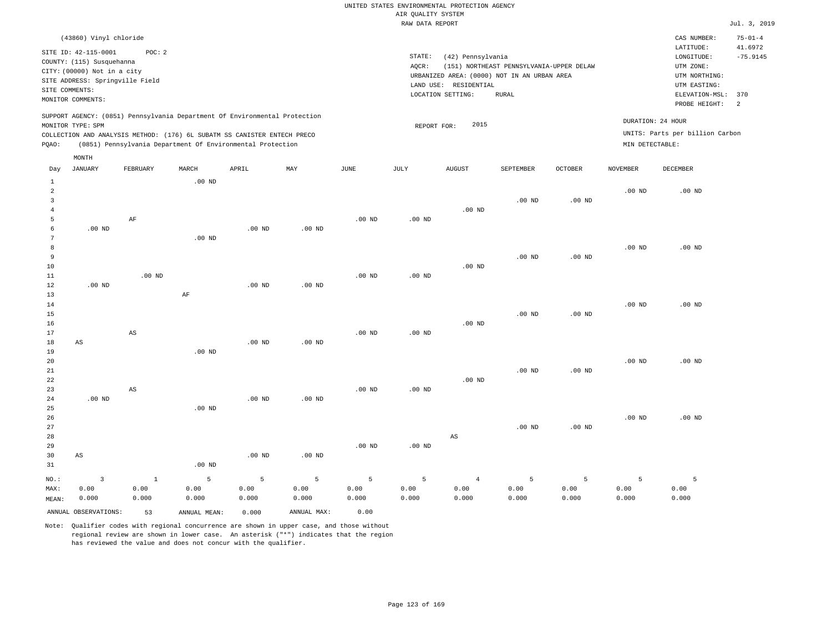| (43860) Vinyl chloride                                                                                                                                                                                                                                      |                                                                                                                                                                                           | $75 - 01 - 4$<br>CAS NUMBER:                                                                                                          |
|-------------------------------------------------------------------------------------------------------------------------------------------------------------------------------------------------------------------------------------------------------------|-------------------------------------------------------------------------------------------------------------------------------------------------------------------------------------------|---------------------------------------------------------------------------------------------------------------------------------------|
| SITE ID: 42-115-0001<br>POC: 2<br>COUNTY: (115) Susquehanna<br>CITY: (00000) Not in a city<br>SITE ADDRESS: Springville Field<br>SITE COMMENTS:<br>MONITOR COMMENTS:                                                                                        | STATE:<br>(42) Pennsylvania<br>(151) NORTHEAST PENNSYLVANIA-UPPER DELAW<br>AOCR:<br>URBANIZED AREA: (0000) NOT IN AN URBAN AREA<br>RESIDENTIAL<br>LAND USE:<br>LOCATION SETTING:<br>RURAL | 41.6972<br>LATITUDE:<br>$-75.9145$<br>LONGITUDE:<br>UTM ZONE:<br>UTM NORTHING:<br>UTM EASTING:<br>ELEVATION-MSL: 370<br>PROBE HEIGHT: |
| SUPPORT AGENCY: (0851) Pennsylvania Department Of Environmental Protection<br>MONITOR TYPE: SPM<br>COLLECTION AND ANALYSIS METHOD: (176) 6L SUBATM SS CANISTER ENTECH PRECO<br>(0851) Pennsylvania Department Of Environmental Protection<br>POAO:<br>MONTH | 2015<br>REPORT FOR:                                                                                                                                                                       | DURATION: 24 HOUR<br>UNITS: Parts per billion Carbon<br>MIN DETECTABLE:                                                               |

| Day                                     | JANUARY                 | FEBRUARY               | $\tt MARCH$  | APRIL    | MAY         | $_{\rm JUNE}$ | JULY     | AUGUST                 | SEPTEMBER | OCTOBER           | NOVEMBER          | DECEMBER |
|-----------------------------------------|-------------------------|------------------------|--------------|----------|-------------|---------------|----------|------------------------|-----------|-------------------|-------------------|----------|
| $\mathbf{1}$<br>$\overline{\mathbf{c}}$ |                         |                        | $.00$ ND     |          |             |               |          |                        |           |                   | .00 <sub>ND</sub> | $.00$ ND |
| 3                                       |                         |                        |              |          |             |               |          |                        | $.00$ ND  | .00 <sub>ND</sub> |                   |          |
| 4                                       |                         |                        |              |          |             |               |          | $.00$ ND               |           |                   |                   |          |
| 5                                       |                         | $\rm AF$               |              |          |             | $.00$ ND      | $.00$ ND |                        |           |                   |                   |          |
| 6                                       | $.00$ ND                |                        |              | $.00$ ND | $.00$ ND    |               |          |                        |           |                   |                   |          |
| 7                                       |                         |                        | $.00$ ND     |          |             |               |          |                        |           |                   |                   |          |
| 8                                       |                         |                        |              |          |             |               |          |                        |           |                   | .00 <sub>ND</sub> | $.00$ ND |
| 9                                       |                         |                        |              |          |             |               |          |                        | $.00$ ND  | .00 <sub>ND</sub> |                   |          |
| 10                                      |                         |                        |              |          |             |               |          | $.00$ ND               |           |                   |                   |          |
| $11\,$                                  |                         | $.00$ ND               |              |          |             | $.00$ ND      | $.00$ ND |                        |           |                   |                   |          |
| 12                                      | $.00~\mathrm{ND}$       |                        |              | $.00$ ND | $.00$ ND    |               |          |                        |           |                   |                   |          |
| 13                                      |                         |                        | AF           |          |             |               |          |                        |           |                   |                   |          |
| 14                                      |                         |                        |              |          |             |               |          |                        |           |                   | $.00$ ND          | $.00$ ND |
| 15                                      |                         |                        |              |          |             |               |          |                        | $.00$ ND  | .00 <sub>ND</sub> |                   |          |
| 16<br>17                                |                         |                        |              |          |             | $.00$ ND      |          | $.00$ ND               |           |                   |                   |          |
| 18                                      | AS                      | AS                     |              | $.00$ ND | $.00$ ND    |               | $.00$ ND |                        |           |                   |                   |          |
| 19                                      |                         |                        | $.00$ ND     |          |             |               |          |                        |           |                   |                   |          |
| 20                                      |                         |                        |              |          |             |               |          |                        |           |                   | $.00$ ND          | $.00$ ND |
| 21                                      |                         |                        |              |          |             |               |          |                        | $.00$ ND  | $.00$ ND          |                   |          |
| 22                                      |                         |                        |              |          |             |               |          | $.00$ ND               |           |                   |                   |          |
| 23                                      |                         | $\mathbb{A}\mathbb{S}$ |              |          |             | $.00$ ND      | $.00$ ND |                        |           |                   |                   |          |
| 24                                      | $.00$ ND                |                        |              | .00 $ND$ | $.00$ ND    |               |          |                        |           |                   |                   |          |
| 25                                      |                         |                        | $.00$ ND     |          |             |               |          |                        |           |                   |                   |          |
| 26                                      |                         |                        |              |          |             |               |          |                        |           |                   | $.00$ ND          | $.00$ ND |
| 27                                      |                         |                        |              |          |             |               |          |                        | $.00$ ND  | .00 <sub>ND</sub> |                   |          |
| 28                                      |                         |                        |              |          |             |               |          | $\mathbb{A}\mathbb{S}$ |           |                   |                   |          |
| 29                                      |                         |                        |              |          |             | $.00$ ND      | $.00$ ND |                        |           |                   |                   |          |
| 30                                      | AS                      |                        |              | $.00$ ND | $.00$ ND    |               |          |                        |           |                   |                   |          |
| 31                                      |                         |                        | $.00$ ND     |          |             |               |          |                        |           |                   |                   |          |
| $NO.$ :                                 | $\overline{\mathbf{3}}$ | $\mathbf{1}$           | 5            | 5        | $\mathsf S$ | 5             | 5        | $\overline{4}$         | 5         | 5                 | $\overline{5}$    | 5        |
| MAX:                                    | 0.00                    | 0.00                   | 0.00         | 0.00     | 0.00        | 0.00          | 0.00     | 0.00                   | 0.00      | 0.00              | 0.00              | 0.00     |
| MEAN:                                   | 0.000                   | 0.000                  | 0.000        | 0.000    | 0.000       | 0.000         | 0.000    | 0.000                  | 0.000     | 0.000             | 0.000             | 0.000    |
|                                         | ANNUAL OBSERVATIONS:    | 53                     | ANNUAL MEAN: | 0.000    | ANNUAL MAX: | 0.00          |          |                        |           |                   |                   |          |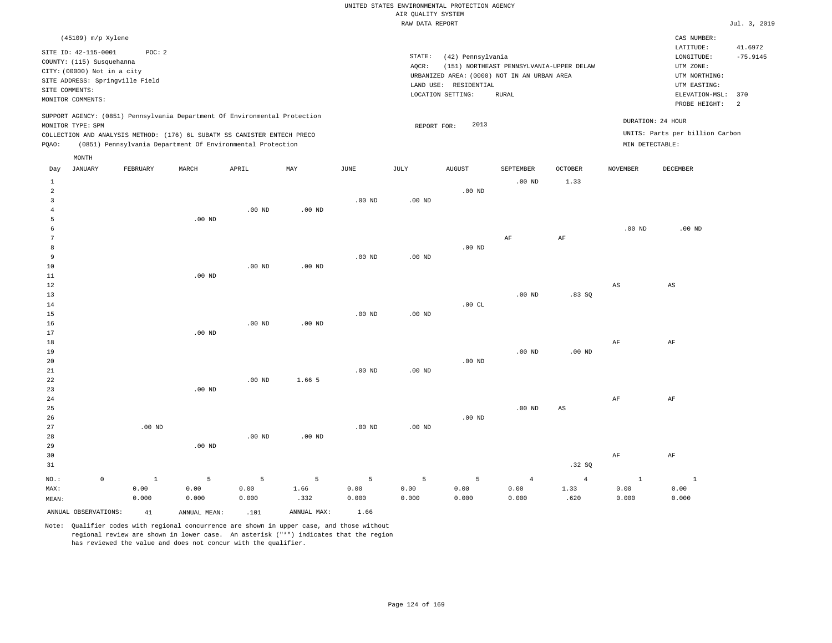| Jul. | 3, 2019 |
|------|---------|

| SITE COMMENTS:                            | (45109) m/p Xylene<br>SITE ID: 42-115-0001<br>COUNTY: (115) Susquehanna<br>CITY: (00000) Not in a city<br>SITE ADDRESS: Springville Field<br>MONITOR COMMENTS: | POC: 2        |                                                                                                                                                                                                                      |               |                           |                   | STATE:<br>AQCR: | (42) Pennsylvania<br>LAND USE: RESIDENTIAL<br>LOCATION SETTING: | (151) NORTHEAST PENNSYLVANIA-UPPER DELAW<br>URBANIZED AREA: (0000) NOT IN AN URBAN AREA<br><b>RURAL</b> |                        |                                      | CAS NUMBER:<br>LATITUDE:<br>LONGITUDE:<br>UTM ZONE:<br>UTM NORTHING:<br>UTM EASTING:<br>ELEVATION-MSL:<br>PROBE HEIGHT: | 41.6972<br>$-75.9145$<br>370<br>2 |
|-------------------------------------------|----------------------------------------------------------------------------------------------------------------------------------------------------------------|---------------|----------------------------------------------------------------------------------------------------------------------------------------------------------------------------------------------------------------------|---------------|---------------------------|-------------------|-----------------|-----------------------------------------------------------------|---------------------------------------------------------------------------------------------------------|------------------------|--------------------------------------|-------------------------------------------------------------------------------------------------------------------------|-----------------------------------|
| PQAO:                                     | MONITOR TYPE: SPM                                                                                                                                              |               | SUPPORT AGENCY: (0851) Pennsylvania Department Of Environmental Protection<br>COLLECTION AND ANALYSIS METHOD: (176) 6L SUBATM SS CANISTER ENTECH PRECO<br>(0851) Pennsylvania Department Of Environmental Protection |               |                           |                   | REPORT FOR:     | 2013                                                            |                                                                                                         |                        | DURATION: 24 HOUR<br>MIN DETECTABLE: | UNITS: Parts per billion Carbon                                                                                         |                                   |
|                                           | MONTH                                                                                                                                                          |               |                                                                                                                                                                                                                      |               |                           |                   |                 |                                                                 |                                                                                                         |                        |                                      |                                                                                                                         |                                   |
| Day                                       | <b>JANUARY</b>                                                                                                                                                 | FEBRUARY      | MARCH                                                                                                                                                                                                                | APRIL         | $\ensuremath{\text{MAX}}$ | $_{\rm JUNE}$     | JULY            | <b>AUGUST</b>                                                   | SEPTEMBER                                                                                               | OCTOBER                | NOVEMBER                             | <b>DECEMBER</b>                                                                                                         |                                   |
| $\mathbf{1}$<br>$\overline{a}$            |                                                                                                                                                                |               |                                                                                                                                                                                                                      |               |                           |                   |                 | $.00$ ND                                                        | $.00$ ND                                                                                                | 1.33                   |                                      |                                                                                                                         |                                   |
| $\overline{\mathbf{3}}$<br>$\overline{4}$ |                                                                                                                                                                |               |                                                                                                                                                                                                                      | $.00$ ND      | $.00$ ND                  | $.00$ ND          | $.00$ ND        |                                                                 |                                                                                                         |                        |                                      |                                                                                                                         |                                   |
| 5<br>6<br>$7\phantom{.0}$                 |                                                                                                                                                                |               | $.00$ ND                                                                                                                                                                                                             |               |                           |                   |                 |                                                                 | AF                                                                                                      | AF                     | .00 <sub>ND</sub>                    | $.00$ ND                                                                                                                |                                   |
| 8<br>9                                    |                                                                                                                                                                |               |                                                                                                                                                                                                                      |               |                           | $.00$ ND          | $.00$ ND        | $.00$ ND                                                        |                                                                                                         |                        |                                      |                                                                                                                         |                                   |
| 10<br>11                                  |                                                                                                                                                                |               | $.00$ ND                                                                                                                                                                                                             | $.00$ ND      | $.00$ ND                  |                   |                 |                                                                 |                                                                                                         |                        |                                      |                                                                                                                         |                                   |
| 12<br>13                                  |                                                                                                                                                                |               |                                                                                                                                                                                                                      |               |                           |                   |                 |                                                                 | .00 <sub>ND</sub>                                                                                       | .83SQ                  | AS                                   | AS                                                                                                                      |                                   |
| $14\,$<br>15                              |                                                                                                                                                                |               |                                                                                                                                                                                                                      |               |                           | $.00$ ND          | $.00$ ND        | .00CL                                                           |                                                                                                         |                        |                                      |                                                                                                                         |                                   |
| 16<br>17                                  |                                                                                                                                                                |               | $.00$ ND                                                                                                                                                                                                             | $.00$ ND      | $.00$ ND                  |                   |                 |                                                                 |                                                                                                         |                        |                                      |                                                                                                                         |                                   |
| $1\,8$<br>19                              |                                                                                                                                                                |               |                                                                                                                                                                                                                      |               |                           |                   |                 |                                                                 | .00 <sub>ND</sub>                                                                                       | .00 <sub>ND</sub>      | AF                                   | $\rm AF$                                                                                                                |                                   |
| 20<br>21                                  |                                                                                                                                                                |               |                                                                                                                                                                                                                      |               |                           | .00 <sub>ND</sub> | $.00$ ND        | $.00$ ND                                                        |                                                                                                         |                        |                                      |                                                                                                                         |                                   |
| 22<br>23                                  |                                                                                                                                                                |               | $.00$ ND                                                                                                                                                                                                             | $.00$ ND      | 1.66 5                    |                   |                 |                                                                 |                                                                                                         |                        |                                      |                                                                                                                         |                                   |
| 24                                        |                                                                                                                                                                |               |                                                                                                                                                                                                                      |               |                           |                   |                 |                                                                 |                                                                                                         |                        | $\rm{AF}$                            | $\rm AF$                                                                                                                |                                   |
| 25<br>26                                  |                                                                                                                                                                |               |                                                                                                                                                                                                                      |               |                           |                   |                 | $.00$ ND                                                        | .00 <sub>ND</sub>                                                                                       | $\mathbb{A}\mathbb{S}$ |                                      |                                                                                                                         |                                   |
| 27                                        |                                                                                                                                                                | $.00$ ND      |                                                                                                                                                                                                                      |               |                           | $.00$ ND          | $.00$ ND        |                                                                 |                                                                                                         |                        |                                      |                                                                                                                         |                                   |
| 28                                        |                                                                                                                                                                |               |                                                                                                                                                                                                                      | $.00$ ND      | $.00$ ND                  |                   |                 |                                                                 |                                                                                                         |                        |                                      |                                                                                                                         |                                   |
| 29<br>30<br>31                            |                                                                                                                                                                |               | $.00$ ND                                                                                                                                                                                                             |               |                           |                   |                 |                                                                 |                                                                                                         | .32S                   | $\rm{AF}$                            | $\rm AF$                                                                                                                |                                   |
| NO.:                                      | $\mathbb O$                                                                                                                                                    | $\mathbf{1}$  | $\overline{5}$                                                                                                                                                                                                       | 5             | 5                         | 5                 | 5               | 5                                                               | $\overline{4}$                                                                                          | $\overline{4}$         | $1\,$                                | $\mathbf{1}$                                                                                                            |                                   |
| MAX:<br>MEAN:                             |                                                                                                                                                                | 0.00<br>0.000 | 0.00<br>0.000                                                                                                                                                                                                        | 0.00<br>0.000 | 1.66<br>.332              | 0.00<br>0.000     | 0.00<br>0.000   | 0.00<br>0.000                                                   | 0.00<br>0.000                                                                                           | 1.33<br>.620           | 0.00<br>0.000                        | 0.00<br>0.000                                                                                                           |                                   |
|                                           | ANNUAL OBSERVATIONS:                                                                                                                                           | 41            | ANNUAL MEAN:                                                                                                                                                                                                         | .101          | ANNUAL MAX:               | 1.66              |                 |                                                                 |                                                                                                         |                        |                                      |                                                                                                                         |                                   |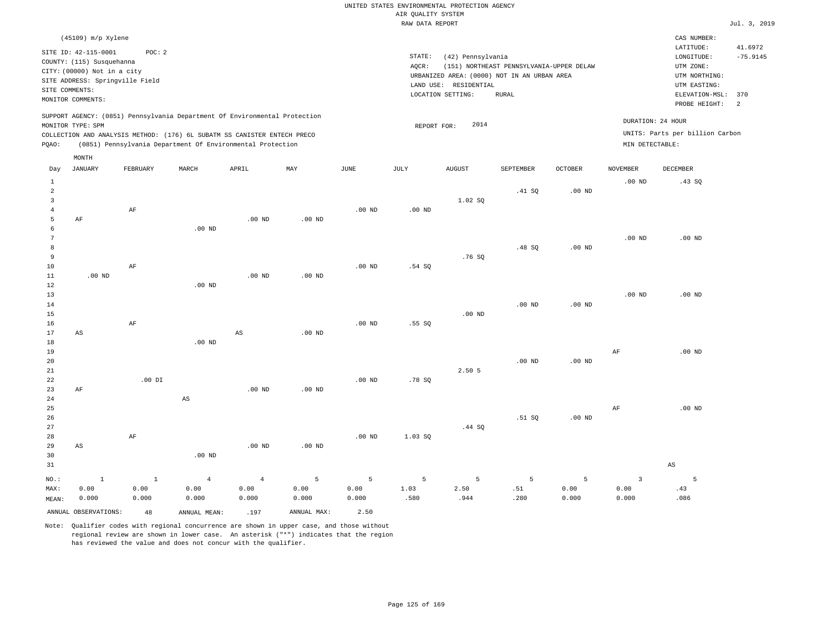| $(45109)$ m/p Xylene                                                                                                                                                                                                                               |                                                                                                                                                                                        | CAS NUMBER:                                                                                                                    |                       |
|----------------------------------------------------------------------------------------------------------------------------------------------------------------------------------------------------------------------------------------------------|----------------------------------------------------------------------------------------------------------------------------------------------------------------------------------------|--------------------------------------------------------------------------------------------------------------------------------|-----------------------|
| SITE ID: 42-115-0001<br>POC:2<br>COUNTY: (115) Susquehanna<br>CITY: (00000) Not in a city<br>SITE ADDRESS: Springville Field<br>SITE COMMENTS:<br>MONITOR COMMENTS:                                                                                | STATE:<br>(42) Pennsylvania<br>(151) NORTHEAST PENNSYLVANIA-UPPER DELAW<br>AOCR:<br>URBANIZED AREA: (0000) NOT IN AN URBAN AREA<br>LAND USE: RESIDENTIAL<br>LOCATION SETTING:<br>RURAL | LATITUDE:<br>LONGITUDE:<br>UTM ZONE:<br>UTM NORTHING:<br>UTM EASTING:<br>ELEVATION-MSL: 370<br>PROBE HEIGHT:<br>$\overline{2}$ | 41.6972<br>$-75.9145$ |
| SUPPORT AGENCY: (0851) Pennsylvania Department Of Environmental Protection<br>MONITOR TYPE: SPM<br>COLLECTION AND ANALYSIS METHOD: (176) 6L SUBATM SS CANISTER ENTECH PRECO<br>(0851) Pennsylvania Department Of Environmental Protection<br>POAO: | 2014<br>REPORT FOR:                                                                                                                                                                    | DURATION: 24 HOUR<br>UNITS: Parts per billion Carbon<br>MIN DETECTABLE:                                                        |                       |

|                                     | MONTH                   |                        |                                 |                                 |                    |                    |                   |                   |                  |                    |                              |                        |
|-------------------------------------|-------------------------|------------------------|---------------------------------|---------------------------------|--------------------|--------------------|-------------------|-------------------|------------------|--------------------|------------------------------|------------------------|
| Day                                 | <b>JANUARY</b>          | FEBRUARY               | MARCH                           | APRIL                           | MAY                | $_{\rm JUNE}$      | JULY              | <b>AUGUST</b>     | SEPTEMBER        | OCTOBER            | <b>NOVEMBER</b>              | DECEMBER               |
| $\mathbf{1}$<br>$\overline{a}$<br>3 |                         |                        |                                 |                                 |                    |                    |                   | 1.02 SQ           | .41 SQ           | $.00$ ND           | $.00$ ND                     | .43SQ                  |
| $\overline{4}$<br>5<br>6<br>7       | $\rm AF$                | $\rm AF$               | .00 $ND$                        | $.00$ ND                        | $.00$ ND           | .00 <sub>ND</sub>  | $.00$ ND          |                   |                  |                    | $.00$ ND                     | $.00$ ND               |
| 8<br>9<br>10                        |                         | $\rm AF$               |                                 |                                 |                    | .00 <sub>ND</sub>  | .54 SQ            | .76SQ             | .48SQ            | $.00$ ND           |                              |                        |
| 11<br>12<br>13                      | $.00$ ND                |                        | $.00$ ND                        | $.00$ ND                        | $.00$ ND           |                    |                   |                   |                  |                    | $.00$ ND                     | $.00$ ND               |
| 14<br>15<br>16<br>17                | $\mathbb{A}\mathbb{S}$  | $\rm AF$               |                                 | $_{\rm AS}$                     | $.00$ ND           | $.00$ ND           | .55SQ             | $.00$ ND          | $.00$ ND         | .00 <sub>ND</sub>  |                              |                        |
| 18<br>19<br>20                      |                         |                        | .00 $ND$                        |                                 |                    |                    |                   |                   | $.00$ ND         | $.00$ ND           | $\rm AF$                     | $.00$ ND               |
| 21<br>22<br>23<br>24                | $\rm AF$                | $.00$ DI               | $\mathbb{A}\mathbb{S}$          | $.00$ ND                        | $.00$ ND           | $.00$ ND           | .78S              | 2.50 5            |                  |                    |                              |                        |
| 25<br>26<br>27                      |                         |                        |                                 |                                 |                    |                    |                   | .44 SQ            | .51 SQ           | .00 <sub>ND</sub>  | $\rm AF$                     | $.00$ ND               |
| 28<br>29<br>30<br>31                | $\mathbb{A}\mathbb{S}$  | $\rm AF$               | .00 $ND$                        | .00 $ND$                        | .00 $ND$           | .00 <sub>ND</sub>  | 1.03 SQ           |                   |                  |                    |                              | $\mathbb{A}\mathbb{S}$ |
| $NO.$ :<br>MAX:<br>MEAN:            | $\,$ 1<br>0.00<br>0.000 | $1\,$<br>0.00<br>0.000 | $\overline{4}$<br>0.00<br>0.000 | $\overline{4}$<br>0.00<br>0.000 | 5<br>0.00<br>0.000 | 5<br>0.00<br>0.000 | 5<br>1.03<br>.580 | 5<br>2.50<br>.944 | 5<br>.51<br>.280 | 5<br>0.00<br>0.000 | $\mathsf 3$<br>0.00<br>0.000 | 5<br>.43<br>.086       |
|                                     | ANNUAL OBSERVATIONS:    | 48                     | ANNUAL MEAN:                    | .197                            | ANNUAL MAX:        | 2.50               |                   |                   |                  |                    |                              |                        |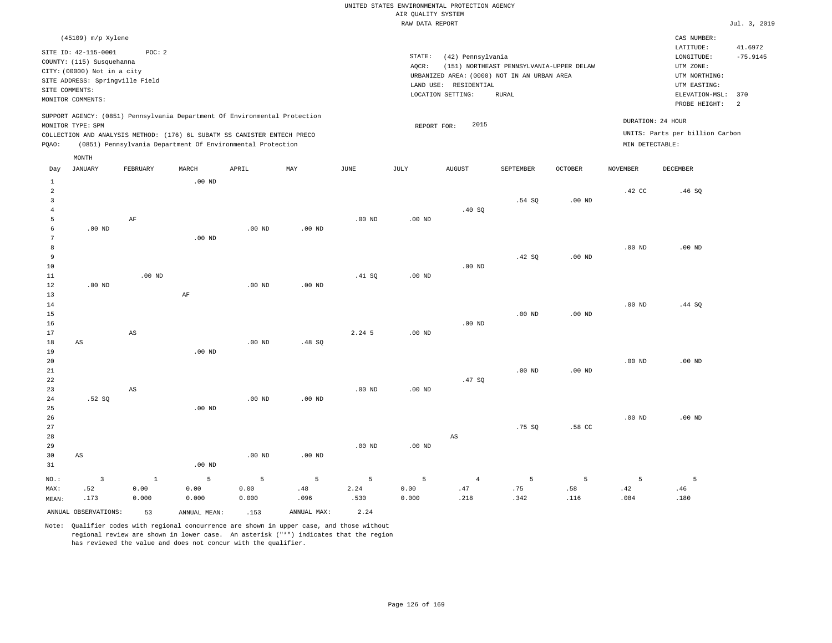| Jul. | 3. 2019 |
|------|---------|

| (45109) m/p Xylene<br>CAS NUMBER:<br>LATITUDE:<br>41.6972<br>SITE ID: 42-115-0001<br>POC: 2<br>STATE:<br>(42) Pennsylvania<br>$-75.9145$<br>LONGITUDE:<br>COUNTY: (115) Susquehanna<br>(151) NORTHEAST PENNSYLVANIA-UPPER DELAW<br>UTM ZONE:<br>AQCR:<br>CITY: (00000) Not in a city<br>URBANIZED AREA: (0000) NOT IN AN URBAN AREA<br>UTM NORTHING:<br>SITE ADDRESS: Springville Field<br>LAND USE: RESIDENTIAL<br>UTM EASTING:<br>SITE COMMENTS:<br>LOCATION SETTING:<br><b>RURAL</b><br>ELEVATION-MSL:<br>370<br>MONITOR COMMENTS:<br>2<br>PROBE HEIGHT:<br>SUPPORT AGENCY: (0851) Pennsylvania Department Of Environmental Protection<br>DURATION: 24 HOUR<br>2015<br>MONITOR TYPE: SPM<br>REPORT FOR:<br>UNITS: Parts per billion Carbon<br>COLLECTION AND ANALYSIS METHOD: (176) 6L SUBATM SS CANISTER ENTECH PRECO<br>MIN DETECTABLE:<br>(0851) Pennsylvania Department Of Environmental Protection<br>PQAO:<br>MONTH<br><b>JANUARY</b><br>FEBRUARY<br>MARCH<br>APRIL<br>MAY<br>$_{\rm JUNE}$<br>JULY<br><b>AUGUST</b><br>OCTOBER<br><b>NOVEMBER</b><br>DECEMBER<br>Day<br>SEPTEMBER<br>$\,$ 1<br>$.00$ ND<br>$\overline{a}$<br>.42 CC<br>.46SQ<br>$\overline{3}$<br>.54 SO<br>.00 <sub>ND</sub><br>$\overline{4}$<br>.40S<br>5<br>AF<br>$.00$ ND<br>$.00$ ND<br>$\sqrt{6}$<br>.00 <sub>ND</sub><br>$.00$ ND<br>.00 <sub>ND</sub><br>7<br>$.00$ ND<br>8<br>$.00$ ND<br>$.00$ ND<br>9<br>.42 SQ<br>.00 <sub>ND</sub><br>10<br>$.00$ ND<br>$11\,$<br>.00 <sub>ND</sub><br>.41 SQ<br>.00 <sub>ND</sub><br>12<br>$.00$ ND<br>$.00$ ND<br>$.00$ ND<br>13<br>AF<br>$1\,4$<br>.00 <sub>ND</sub><br>.44 SQ<br>15<br>.00 <sub>ND</sub><br>$.00$ ND<br>16<br>$.00$ ND<br>2.245<br>17<br>AS<br>.00 <sub>ND</sub><br>$18$<br>AS<br>$.00$ ND<br>.48 SQ<br>19<br>.00 <sub>ND</sub><br>20<br>.00 <sub>ND</sub><br>$.00$ ND<br>21<br>$.00$ ND<br>$.00$ ND<br>22<br>.47SQ<br>23<br>AS<br>$.00$ ND<br>.00 <sub>ND</sub><br>.52S<br>$.00$ ND<br>24<br>$.00$ ND<br>25<br>$.00$ ND<br>26<br>$.00$ ND<br>$.00$ ND<br>27<br>.75S<br>.58 CC<br>28<br>$\mathbb{A}\mathbb{S}$<br>29<br>.00 <sub>ND</sub><br>$.00$ ND<br>30<br>$.00$ ND<br>$.00$ ND<br>$\mathbb{A}\mathbb{S}$<br>31<br>$.00$ ND<br>5<br>5<br>5<br>5<br>$\overline{4}$<br>5<br>5<br>5<br>$\overline{\mathbf{3}}$<br>$\mathbf{1}$<br>5<br>5<br>NO.:<br>0.00<br>0.00<br>0.00<br>.48<br>2.24<br>0.00<br>.47<br>.75<br>.58<br>.42<br>MAX:<br>.52<br>.46<br>.173<br>0.000<br>0.000<br>0.000<br>.096<br>.530<br>0.000<br>.218<br>.342<br>.116<br>.084<br>.180<br>MEAN:<br>ANNUAL OBSERVATIONS:<br>ANNUAL MAX:<br>2.24 |  |    |              |      |  |  |  |  |  |
|------------------------------------------------------------------------------------------------------------------------------------------------------------------------------------------------------------------------------------------------------------------------------------------------------------------------------------------------------------------------------------------------------------------------------------------------------------------------------------------------------------------------------------------------------------------------------------------------------------------------------------------------------------------------------------------------------------------------------------------------------------------------------------------------------------------------------------------------------------------------------------------------------------------------------------------------------------------------------------------------------------------------------------------------------------------------------------------------------------------------------------------------------------------------------------------------------------------------------------------------------------------------------------------------------------------------------------------------------------------------------------------------------------------------------------------------------------------------------------------------------------------------------------------------------------------------------------------------------------------------------------------------------------------------------------------------------------------------------------------------------------------------------------------------------------------------------------------------------------------------------------------------------------------------------------------------------------------------------------------------------------------------------------------------------------------------------------------------------------------------------------------------------------------------------------------------------------------------------------------------------------------------------------------------------------------------------------------------------------------------------------------------------------------------------------------------------------------------------------------------------------------------------------------------------------|--|----|--------------|------|--|--|--|--|--|
|                                                                                                                                                                                                                                                                                                                                                                                                                                                                                                                                                                                                                                                                                                                                                                                                                                                                                                                                                                                                                                                                                                                                                                                                                                                                                                                                                                                                                                                                                                                                                                                                                                                                                                                                                                                                                                                                                                                                                                                                                                                                                                                                                                                                                                                                                                                                                                                                                                                                                                                                                            |  |    |              |      |  |  |  |  |  |
|                                                                                                                                                                                                                                                                                                                                                                                                                                                                                                                                                                                                                                                                                                                                                                                                                                                                                                                                                                                                                                                                                                                                                                                                                                                                                                                                                                                                                                                                                                                                                                                                                                                                                                                                                                                                                                                                                                                                                                                                                                                                                                                                                                                                                                                                                                                                                                                                                                                                                                                                                            |  |    |              |      |  |  |  |  |  |
|                                                                                                                                                                                                                                                                                                                                                                                                                                                                                                                                                                                                                                                                                                                                                                                                                                                                                                                                                                                                                                                                                                                                                                                                                                                                                                                                                                                                                                                                                                                                                                                                                                                                                                                                                                                                                                                                                                                                                                                                                                                                                                                                                                                                                                                                                                                                                                                                                                                                                                                                                            |  |    |              |      |  |  |  |  |  |
|                                                                                                                                                                                                                                                                                                                                                                                                                                                                                                                                                                                                                                                                                                                                                                                                                                                                                                                                                                                                                                                                                                                                                                                                                                                                                                                                                                                                                                                                                                                                                                                                                                                                                                                                                                                                                                                                                                                                                                                                                                                                                                                                                                                                                                                                                                                                                                                                                                                                                                                                                            |  |    |              |      |  |  |  |  |  |
|                                                                                                                                                                                                                                                                                                                                                                                                                                                                                                                                                                                                                                                                                                                                                                                                                                                                                                                                                                                                                                                                                                                                                                                                                                                                                                                                                                                                                                                                                                                                                                                                                                                                                                                                                                                                                                                                                                                                                                                                                                                                                                                                                                                                                                                                                                                                                                                                                                                                                                                                                            |  |    |              |      |  |  |  |  |  |
|                                                                                                                                                                                                                                                                                                                                                                                                                                                                                                                                                                                                                                                                                                                                                                                                                                                                                                                                                                                                                                                                                                                                                                                                                                                                                                                                                                                                                                                                                                                                                                                                                                                                                                                                                                                                                                                                                                                                                                                                                                                                                                                                                                                                                                                                                                                                                                                                                                                                                                                                                            |  |    |              |      |  |  |  |  |  |
|                                                                                                                                                                                                                                                                                                                                                                                                                                                                                                                                                                                                                                                                                                                                                                                                                                                                                                                                                                                                                                                                                                                                                                                                                                                                                                                                                                                                                                                                                                                                                                                                                                                                                                                                                                                                                                                                                                                                                                                                                                                                                                                                                                                                                                                                                                                                                                                                                                                                                                                                                            |  |    |              |      |  |  |  |  |  |
|                                                                                                                                                                                                                                                                                                                                                                                                                                                                                                                                                                                                                                                                                                                                                                                                                                                                                                                                                                                                                                                                                                                                                                                                                                                                                                                                                                                                                                                                                                                                                                                                                                                                                                                                                                                                                                                                                                                                                                                                                                                                                                                                                                                                                                                                                                                                                                                                                                                                                                                                                            |  |    |              |      |  |  |  |  |  |
|                                                                                                                                                                                                                                                                                                                                                                                                                                                                                                                                                                                                                                                                                                                                                                                                                                                                                                                                                                                                                                                                                                                                                                                                                                                                                                                                                                                                                                                                                                                                                                                                                                                                                                                                                                                                                                                                                                                                                                                                                                                                                                                                                                                                                                                                                                                                                                                                                                                                                                                                                            |  |    |              |      |  |  |  |  |  |
|                                                                                                                                                                                                                                                                                                                                                                                                                                                                                                                                                                                                                                                                                                                                                                                                                                                                                                                                                                                                                                                                                                                                                                                                                                                                                                                                                                                                                                                                                                                                                                                                                                                                                                                                                                                                                                                                                                                                                                                                                                                                                                                                                                                                                                                                                                                                                                                                                                                                                                                                                            |  |    |              |      |  |  |  |  |  |
|                                                                                                                                                                                                                                                                                                                                                                                                                                                                                                                                                                                                                                                                                                                                                                                                                                                                                                                                                                                                                                                                                                                                                                                                                                                                                                                                                                                                                                                                                                                                                                                                                                                                                                                                                                                                                                                                                                                                                                                                                                                                                                                                                                                                                                                                                                                                                                                                                                                                                                                                                            |  |    |              |      |  |  |  |  |  |
|                                                                                                                                                                                                                                                                                                                                                                                                                                                                                                                                                                                                                                                                                                                                                                                                                                                                                                                                                                                                                                                                                                                                                                                                                                                                                                                                                                                                                                                                                                                                                                                                                                                                                                                                                                                                                                                                                                                                                                                                                                                                                                                                                                                                                                                                                                                                                                                                                                                                                                                                                            |  |    |              |      |  |  |  |  |  |
|                                                                                                                                                                                                                                                                                                                                                                                                                                                                                                                                                                                                                                                                                                                                                                                                                                                                                                                                                                                                                                                                                                                                                                                                                                                                                                                                                                                                                                                                                                                                                                                                                                                                                                                                                                                                                                                                                                                                                                                                                                                                                                                                                                                                                                                                                                                                                                                                                                                                                                                                                            |  |    |              |      |  |  |  |  |  |
|                                                                                                                                                                                                                                                                                                                                                                                                                                                                                                                                                                                                                                                                                                                                                                                                                                                                                                                                                                                                                                                                                                                                                                                                                                                                                                                                                                                                                                                                                                                                                                                                                                                                                                                                                                                                                                                                                                                                                                                                                                                                                                                                                                                                                                                                                                                                                                                                                                                                                                                                                            |  |    |              |      |  |  |  |  |  |
|                                                                                                                                                                                                                                                                                                                                                                                                                                                                                                                                                                                                                                                                                                                                                                                                                                                                                                                                                                                                                                                                                                                                                                                                                                                                                                                                                                                                                                                                                                                                                                                                                                                                                                                                                                                                                                                                                                                                                                                                                                                                                                                                                                                                                                                                                                                                                                                                                                                                                                                                                            |  |    |              |      |  |  |  |  |  |
|                                                                                                                                                                                                                                                                                                                                                                                                                                                                                                                                                                                                                                                                                                                                                                                                                                                                                                                                                                                                                                                                                                                                                                                                                                                                                                                                                                                                                                                                                                                                                                                                                                                                                                                                                                                                                                                                                                                                                                                                                                                                                                                                                                                                                                                                                                                                                                                                                                                                                                                                                            |  |    |              |      |  |  |  |  |  |
|                                                                                                                                                                                                                                                                                                                                                                                                                                                                                                                                                                                                                                                                                                                                                                                                                                                                                                                                                                                                                                                                                                                                                                                                                                                                                                                                                                                                                                                                                                                                                                                                                                                                                                                                                                                                                                                                                                                                                                                                                                                                                                                                                                                                                                                                                                                                                                                                                                                                                                                                                            |  |    |              |      |  |  |  |  |  |
|                                                                                                                                                                                                                                                                                                                                                                                                                                                                                                                                                                                                                                                                                                                                                                                                                                                                                                                                                                                                                                                                                                                                                                                                                                                                                                                                                                                                                                                                                                                                                                                                                                                                                                                                                                                                                                                                                                                                                                                                                                                                                                                                                                                                                                                                                                                                                                                                                                                                                                                                                            |  |    |              |      |  |  |  |  |  |
|                                                                                                                                                                                                                                                                                                                                                                                                                                                                                                                                                                                                                                                                                                                                                                                                                                                                                                                                                                                                                                                                                                                                                                                                                                                                                                                                                                                                                                                                                                                                                                                                                                                                                                                                                                                                                                                                                                                                                                                                                                                                                                                                                                                                                                                                                                                                                                                                                                                                                                                                                            |  |    |              |      |  |  |  |  |  |
|                                                                                                                                                                                                                                                                                                                                                                                                                                                                                                                                                                                                                                                                                                                                                                                                                                                                                                                                                                                                                                                                                                                                                                                                                                                                                                                                                                                                                                                                                                                                                                                                                                                                                                                                                                                                                                                                                                                                                                                                                                                                                                                                                                                                                                                                                                                                                                                                                                                                                                                                                            |  |    |              |      |  |  |  |  |  |
|                                                                                                                                                                                                                                                                                                                                                                                                                                                                                                                                                                                                                                                                                                                                                                                                                                                                                                                                                                                                                                                                                                                                                                                                                                                                                                                                                                                                                                                                                                                                                                                                                                                                                                                                                                                                                                                                                                                                                                                                                                                                                                                                                                                                                                                                                                                                                                                                                                                                                                                                                            |  |    |              |      |  |  |  |  |  |
|                                                                                                                                                                                                                                                                                                                                                                                                                                                                                                                                                                                                                                                                                                                                                                                                                                                                                                                                                                                                                                                                                                                                                                                                                                                                                                                                                                                                                                                                                                                                                                                                                                                                                                                                                                                                                                                                                                                                                                                                                                                                                                                                                                                                                                                                                                                                                                                                                                                                                                                                                            |  |    |              |      |  |  |  |  |  |
|                                                                                                                                                                                                                                                                                                                                                                                                                                                                                                                                                                                                                                                                                                                                                                                                                                                                                                                                                                                                                                                                                                                                                                                                                                                                                                                                                                                                                                                                                                                                                                                                                                                                                                                                                                                                                                                                                                                                                                                                                                                                                                                                                                                                                                                                                                                                                                                                                                                                                                                                                            |  |    |              |      |  |  |  |  |  |
|                                                                                                                                                                                                                                                                                                                                                                                                                                                                                                                                                                                                                                                                                                                                                                                                                                                                                                                                                                                                                                                                                                                                                                                                                                                                                                                                                                                                                                                                                                                                                                                                                                                                                                                                                                                                                                                                                                                                                                                                                                                                                                                                                                                                                                                                                                                                                                                                                                                                                                                                                            |  |    |              |      |  |  |  |  |  |
|                                                                                                                                                                                                                                                                                                                                                                                                                                                                                                                                                                                                                                                                                                                                                                                                                                                                                                                                                                                                                                                                                                                                                                                                                                                                                                                                                                                                                                                                                                                                                                                                                                                                                                                                                                                                                                                                                                                                                                                                                                                                                                                                                                                                                                                                                                                                                                                                                                                                                                                                                            |  |    |              |      |  |  |  |  |  |
|                                                                                                                                                                                                                                                                                                                                                                                                                                                                                                                                                                                                                                                                                                                                                                                                                                                                                                                                                                                                                                                                                                                                                                                                                                                                                                                                                                                                                                                                                                                                                                                                                                                                                                                                                                                                                                                                                                                                                                                                                                                                                                                                                                                                                                                                                                                                                                                                                                                                                                                                                            |  |    |              |      |  |  |  |  |  |
|                                                                                                                                                                                                                                                                                                                                                                                                                                                                                                                                                                                                                                                                                                                                                                                                                                                                                                                                                                                                                                                                                                                                                                                                                                                                                                                                                                                                                                                                                                                                                                                                                                                                                                                                                                                                                                                                                                                                                                                                                                                                                                                                                                                                                                                                                                                                                                                                                                                                                                                                                            |  |    |              |      |  |  |  |  |  |
|                                                                                                                                                                                                                                                                                                                                                                                                                                                                                                                                                                                                                                                                                                                                                                                                                                                                                                                                                                                                                                                                                                                                                                                                                                                                                                                                                                                                                                                                                                                                                                                                                                                                                                                                                                                                                                                                                                                                                                                                                                                                                                                                                                                                                                                                                                                                                                                                                                                                                                                                                            |  |    |              |      |  |  |  |  |  |
|                                                                                                                                                                                                                                                                                                                                                                                                                                                                                                                                                                                                                                                                                                                                                                                                                                                                                                                                                                                                                                                                                                                                                                                                                                                                                                                                                                                                                                                                                                                                                                                                                                                                                                                                                                                                                                                                                                                                                                                                                                                                                                                                                                                                                                                                                                                                                                                                                                                                                                                                                            |  |    |              |      |  |  |  |  |  |
|                                                                                                                                                                                                                                                                                                                                                                                                                                                                                                                                                                                                                                                                                                                                                                                                                                                                                                                                                                                                                                                                                                                                                                                                                                                                                                                                                                                                                                                                                                                                                                                                                                                                                                                                                                                                                                                                                                                                                                                                                                                                                                                                                                                                                                                                                                                                                                                                                                                                                                                                                            |  |    |              |      |  |  |  |  |  |
|                                                                                                                                                                                                                                                                                                                                                                                                                                                                                                                                                                                                                                                                                                                                                                                                                                                                                                                                                                                                                                                                                                                                                                                                                                                                                                                                                                                                                                                                                                                                                                                                                                                                                                                                                                                                                                                                                                                                                                                                                                                                                                                                                                                                                                                                                                                                                                                                                                                                                                                                                            |  |    |              |      |  |  |  |  |  |
|                                                                                                                                                                                                                                                                                                                                                                                                                                                                                                                                                                                                                                                                                                                                                                                                                                                                                                                                                                                                                                                                                                                                                                                                                                                                                                                                                                                                                                                                                                                                                                                                                                                                                                                                                                                                                                                                                                                                                                                                                                                                                                                                                                                                                                                                                                                                                                                                                                                                                                                                                            |  |    |              |      |  |  |  |  |  |
|                                                                                                                                                                                                                                                                                                                                                                                                                                                                                                                                                                                                                                                                                                                                                                                                                                                                                                                                                                                                                                                                                                                                                                                                                                                                                                                                                                                                                                                                                                                                                                                                                                                                                                                                                                                                                                                                                                                                                                                                                                                                                                                                                                                                                                                                                                                                                                                                                                                                                                                                                            |  |    |              |      |  |  |  |  |  |
|                                                                                                                                                                                                                                                                                                                                                                                                                                                                                                                                                                                                                                                                                                                                                                                                                                                                                                                                                                                                                                                                                                                                                                                                                                                                                                                                                                                                                                                                                                                                                                                                                                                                                                                                                                                                                                                                                                                                                                                                                                                                                                                                                                                                                                                                                                                                                                                                                                                                                                                                                            |  |    |              |      |  |  |  |  |  |
|                                                                                                                                                                                                                                                                                                                                                                                                                                                                                                                                                                                                                                                                                                                                                                                                                                                                                                                                                                                                                                                                                                                                                                                                                                                                                                                                                                                                                                                                                                                                                                                                                                                                                                                                                                                                                                                                                                                                                                                                                                                                                                                                                                                                                                                                                                                                                                                                                                                                                                                                                            |  |    |              |      |  |  |  |  |  |
|                                                                                                                                                                                                                                                                                                                                                                                                                                                                                                                                                                                                                                                                                                                                                                                                                                                                                                                                                                                                                                                                                                                                                                                                                                                                                                                                                                                                                                                                                                                                                                                                                                                                                                                                                                                                                                                                                                                                                                                                                                                                                                                                                                                                                                                                                                                                                                                                                                                                                                                                                            |  |    |              |      |  |  |  |  |  |
|                                                                                                                                                                                                                                                                                                                                                                                                                                                                                                                                                                                                                                                                                                                                                                                                                                                                                                                                                                                                                                                                                                                                                                                                                                                                                                                                                                                                                                                                                                                                                                                                                                                                                                                                                                                                                                                                                                                                                                                                                                                                                                                                                                                                                                                                                                                                                                                                                                                                                                                                                            |  |    |              |      |  |  |  |  |  |
|                                                                                                                                                                                                                                                                                                                                                                                                                                                                                                                                                                                                                                                                                                                                                                                                                                                                                                                                                                                                                                                                                                                                                                                                                                                                                                                                                                                                                                                                                                                                                                                                                                                                                                                                                                                                                                                                                                                                                                                                                                                                                                                                                                                                                                                                                                                                                                                                                                                                                                                                                            |  |    |              |      |  |  |  |  |  |
|                                                                                                                                                                                                                                                                                                                                                                                                                                                                                                                                                                                                                                                                                                                                                                                                                                                                                                                                                                                                                                                                                                                                                                                                                                                                                                                                                                                                                                                                                                                                                                                                                                                                                                                                                                                                                                                                                                                                                                                                                                                                                                                                                                                                                                                                                                                                                                                                                                                                                                                                                            |  |    |              |      |  |  |  |  |  |
|                                                                                                                                                                                                                                                                                                                                                                                                                                                                                                                                                                                                                                                                                                                                                                                                                                                                                                                                                                                                                                                                                                                                                                                                                                                                                                                                                                                                                                                                                                                                                                                                                                                                                                                                                                                                                                                                                                                                                                                                                                                                                                                                                                                                                                                                                                                                                                                                                                                                                                                                                            |  |    |              |      |  |  |  |  |  |
|                                                                                                                                                                                                                                                                                                                                                                                                                                                                                                                                                                                                                                                                                                                                                                                                                                                                                                                                                                                                                                                                                                                                                                                                                                                                                                                                                                                                                                                                                                                                                                                                                                                                                                                                                                                                                                                                                                                                                                                                                                                                                                                                                                                                                                                                                                                                                                                                                                                                                                                                                            |  |    |              |      |  |  |  |  |  |
|                                                                                                                                                                                                                                                                                                                                                                                                                                                                                                                                                                                                                                                                                                                                                                                                                                                                                                                                                                                                                                                                                                                                                                                                                                                                                                                                                                                                                                                                                                                                                                                                                                                                                                                                                                                                                                                                                                                                                                                                                                                                                                                                                                                                                                                                                                                                                                                                                                                                                                                                                            |  |    |              |      |  |  |  |  |  |
|                                                                                                                                                                                                                                                                                                                                                                                                                                                                                                                                                                                                                                                                                                                                                                                                                                                                                                                                                                                                                                                                                                                                                                                                                                                                                                                                                                                                                                                                                                                                                                                                                                                                                                                                                                                                                                                                                                                                                                                                                                                                                                                                                                                                                                                                                                                                                                                                                                                                                                                                                            |  | 53 | ANNUAL MEAN: | .153 |  |  |  |  |  |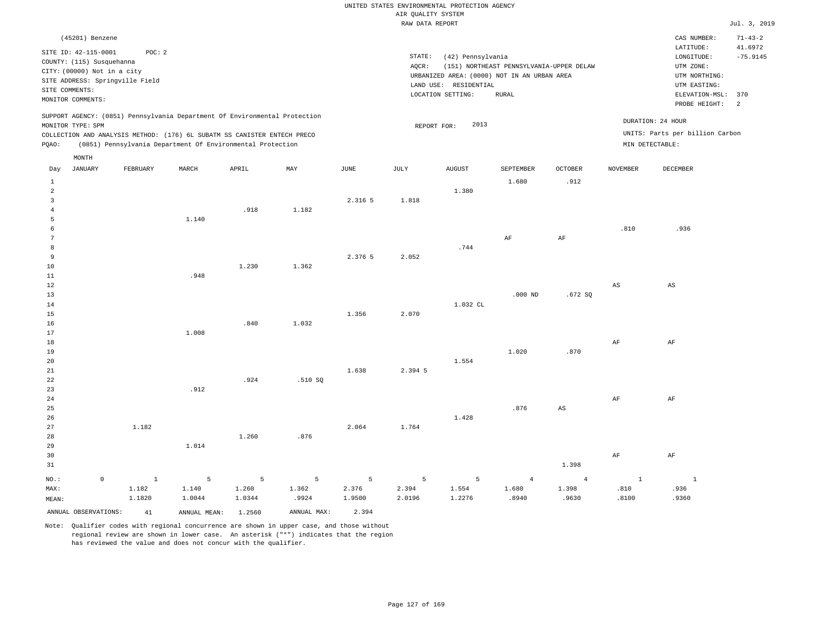|                |                             |                                 |       |                                                                            |                |         | RAW DATA REPORT |                                             |                                          |                |                        |                                 | Jul. 3, 2019             |
|----------------|-----------------------------|---------------------------------|-------|----------------------------------------------------------------------------|----------------|---------|-----------------|---------------------------------------------|------------------------------------------|----------------|------------------------|---------------------------------|--------------------------|
|                | (45201) Benzene             |                                 |       |                                                                            |                |         |                 |                                             |                                          |                |                        | CAS NUMBER:<br>LATITUDE:        | $71 - 43 - 2$<br>41.6972 |
|                | SITE ID: 42-115-0001        | POC: 2                          |       |                                                                            |                |         | STATE:          | (42) Pennsylvania                           |                                          |                |                        | LONGITUDE:                      | $-75.9145$               |
|                | COUNTY: (115) Susquehanna   |                                 |       |                                                                            |                |         | AQCR:           |                                             | (151) NORTHEAST PENNSYLVANIA-UPPER DELAW |                |                        | UTM ZONE:                       |                          |
|                | CITY: (00000) Not in a city |                                 |       |                                                                            |                |         |                 | URBANIZED AREA: (0000) NOT IN AN URBAN AREA |                                          |                |                        | UTM NORTHING:                   |                          |
|                | SITE COMMENTS:              | SITE ADDRESS: Springville Field |       |                                                                            |                |         |                 | LAND USE: RESIDENTIAL                       |                                          |                |                        | UTM EASTING:                    |                          |
|                | MONITOR COMMENTS:           |                                 |       |                                                                            |                |         |                 | LOCATION SETTING:                           | <b>RURAL</b>                             |                |                        | ELEVATION-MSL:                  | 370                      |
|                |                             |                                 |       |                                                                            |                |         |                 |                                             |                                          |                |                        | PROBE HEIGHT:                   | $\overline{2}$           |
|                |                             |                                 |       | SUPPORT AGENCY: (0851) Pennsylvania Department Of Environmental Protection |                |         |                 |                                             |                                          |                |                        | DURATION: 24 HOUR               |                          |
|                | MONITOR TYPE: SPM           |                                 |       |                                                                            |                |         |                 | 2013<br>REPORT FOR:                         |                                          |                |                        |                                 |                          |
|                |                             |                                 |       | COLLECTION AND ANALYSIS METHOD: (176) 6L SUBATM SS CANISTER ENTECH PRECO   |                |         |                 |                                             |                                          |                |                        | UNITS: Parts per billion Carbon |                          |
| PQAO:          |                             |                                 |       | (0851) Pennsylvania Department Of Environmental Protection                 |                |         |                 |                                             |                                          |                |                        | MIN DETECTABLE:                 |                          |
|                | MONTH                       |                                 |       |                                                                            |                |         |                 |                                             |                                          |                |                        |                                 |                          |
| Day            | <b>JANUARY</b>              | FEBRUARY                        | MARCH | APRIL                                                                      | MAY            | JUNE    | JULY            | <b>AUGUST</b>                               | SEPTEMBER                                | <b>OCTOBER</b> | <b>NOVEMBER</b>        | DECEMBER                        |                          |
| $\mathbf{1}$   |                             |                                 |       |                                                                            |                |         |                 |                                             | 1.680                                    | .912           |                        |                                 |                          |
| $\overline{a}$ |                             |                                 |       |                                                                            |                |         |                 | 1.380                                       |                                          |                |                        |                                 |                          |
| $\overline{3}$ |                             |                                 |       |                                                                            |                | 2.316 5 | 1.818           |                                             |                                          |                |                        |                                 |                          |
| $\overline{4}$ |                             |                                 |       | .918                                                                       | 1.182          |         |                 |                                             |                                          |                |                        |                                 |                          |
| 5              |                             |                                 | 1.140 |                                                                            |                |         |                 |                                             |                                          |                |                        |                                 |                          |
| 6              |                             |                                 |       |                                                                            |                |         |                 |                                             |                                          |                | .810                   | .936                            |                          |
| $\overline{7}$ |                             |                                 |       |                                                                            |                |         |                 |                                             | AF                                       | AF             |                        |                                 |                          |
| 8              |                             |                                 |       |                                                                            |                |         |                 | .744                                        |                                          |                |                        |                                 |                          |
| 9              |                             |                                 |       |                                                                            |                | 2.376 5 | 2.052           |                                             |                                          |                |                        |                                 |                          |
| 10             |                             |                                 |       | 1.230                                                                      | 1.362          |         |                 |                                             |                                          |                |                        |                                 |                          |
| 11             |                             |                                 | .948  |                                                                            |                |         |                 |                                             |                                          |                |                        |                                 |                          |
| 12             |                             |                                 |       |                                                                            |                |         |                 |                                             |                                          |                | $\mathbb{A}\mathbb{S}$ | $_{\rm AS}$                     |                          |
| 13             |                             |                                 |       |                                                                            |                |         |                 |                                             | $.000$ ND                                | .672S          |                        |                                 |                          |
| $14\,$         |                             |                                 |       |                                                                            |                |         |                 | 1.032 CL                                    |                                          |                |                        |                                 |                          |
| 15<br>16       |                             |                                 |       | .840                                                                       | 1.032          | 1.356   | 2.070           |                                             |                                          |                |                        |                                 |                          |
| 17             |                             |                                 | 1,008 |                                                                            |                |         |                 |                                             |                                          |                |                        |                                 |                          |
| 18             |                             |                                 |       |                                                                            |                |         |                 |                                             |                                          |                | $\rm{AF}$              | $\rm AF$                        |                          |
| 19             |                             |                                 |       |                                                                            |                |         |                 |                                             | 1,020                                    | .870           |                        |                                 |                          |
| 20             |                             |                                 |       |                                                                            |                |         |                 | 1.554                                       |                                          |                |                        |                                 |                          |
| 21             |                             |                                 |       |                                                                            |                | 1.638   | 2.394 5         |                                             |                                          |                |                        |                                 |                          |
| 22             |                             |                                 |       | .924                                                                       | .510 SQ        |         |                 |                                             |                                          |                |                        |                                 |                          |
| 23             |                             |                                 | .912  |                                                                            |                |         |                 |                                             |                                          |                |                        |                                 |                          |
| 24             |                             |                                 |       |                                                                            |                |         |                 |                                             |                                          |                | $\rm{AF}$              | AF                              |                          |
| 25             |                             |                                 |       |                                                                            |                |         |                 |                                             | .876                                     | $_{\rm AS}$    |                        |                                 |                          |
| 26             |                             |                                 |       |                                                                            |                |         |                 | 1.428                                       |                                          |                |                        |                                 |                          |
| 27             |                             | 1.182                           |       |                                                                            |                | 2.064   | 1.764           |                                             |                                          |                |                        |                                 |                          |
| 28             |                             |                                 |       | 1.260                                                                      | .876           |         |                 |                                             |                                          |                |                        |                                 |                          |
| 29             |                             |                                 | 1.014 |                                                                            |                |         |                 |                                             |                                          |                |                        |                                 |                          |
| 30             |                             |                                 |       |                                                                            |                |         |                 |                                             |                                          |                | $\rm{AF}$              | $\rm AF$                        |                          |
| 31             |                             |                                 |       |                                                                            |                |         |                 |                                             |                                          | 1.398          |                        |                                 |                          |
| NO.:           | $\circ$                     | $\mathbf{1}$                    | 5     | 5                                                                          | $\overline{5}$ | 5       | 5               | 5                                           | $\overline{4}$                           | $\overline{4}$ | $\mathbf{1}$           | $\mathbf{1}$                    |                          |

ANNUAL OBSERVATIONS: 41 ANNUAL MEAN: 1.2560 ANNUAL MAX: 2.394

 1.140 1.0044

 1.182 1.1820

MAX: MEAN:

Note: Qualifier codes with regional concurrence are shown in upper case, and those without regional review are shown in lower case. An asterisk ("\*") indicates that the region has reviewed the value and does not concur with the qualifier.

 1.260 1.0344  1.362 .9924  2.376 1.9500

 2.394 2.0196  1.554 1.2276  1.680 .8940  1.398 .9630  .810 .8100  .936 .9360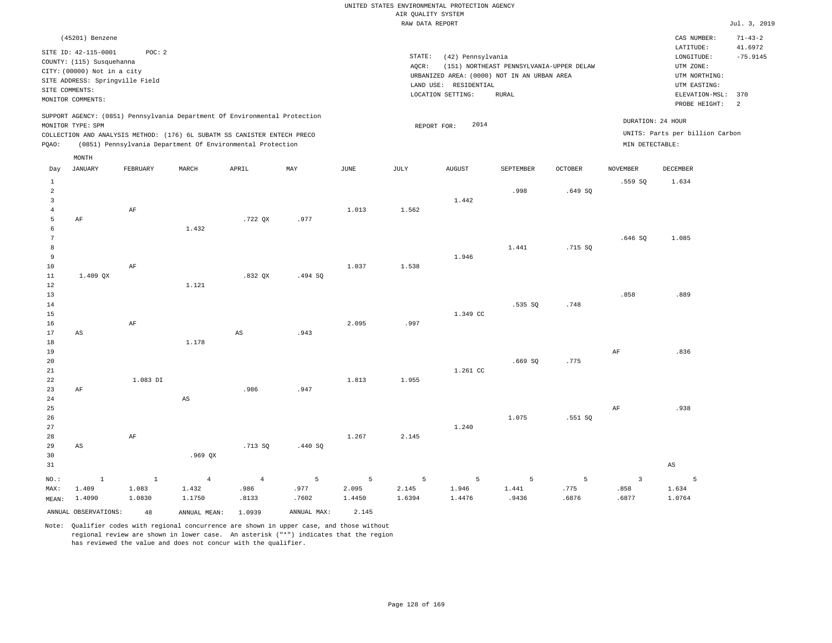|                    |  |  |  |  | UNITED STATES ENVIRONMENTAL PROTECTION AGENCY |  |  |  |  |  |  |  |
|--------------------|--|--|--|--|-----------------------------------------------|--|--|--|--|--|--|--|
| AIR OUALITY SYSTEM |  |  |  |  |                                               |  |  |  |  |  |  |  |
| ---- ---- ------   |  |  |  |  |                                               |  |  |  |  |  |  |  |

| $71 - 43 - 2$<br>(45201) Benzene<br>CAS NUMBER:<br>41.6972<br>LATITUDE:<br>SITE ID: 42-115-0001<br>POC: 2<br>STATE:<br>(42) Pennsylvania<br>$-75.9145$<br>LONGITUDE:<br>COUNTY: (115) Susquehanna<br>(151) NORTHEAST PENNSYLVANIA-UPPER DELAW<br>AQCR:<br>UTM ZONE:<br>CITY: (00000) Not in a city<br>URBANIZED AREA: (0000) NOT IN AN URBAN AREA<br>UTM NORTHING:<br>SITE ADDRESS: Springville Field<br>LAND USE: RESIDENTIAL<br>UTM EASTING:<br>SITE COMMENTS:<br>LOCATION SETTING:<br><b>RURAL</b><br>ELEVATION-MSL:<br>370<br>MONITOR COMMENTS:<br>PROBE HEIGHT:<br>2<br>SUPPORT AGENCY: (0851) Pennsylvania Department Of Environmental Protection<br>DURATION: 24 HOUR<br>2014<br>MONITOR TYPE: SPM<br>REPORT FOR:<br>UNITS: Parts per billion Carbon<br>COLLECTION AND ANALYSIS METHOD: (176) 6L SUBATM SS CANISTER ENTECH PRECO<br>(0851) Pennsylvania Department Of Environmental Protection<br>MIN DETECTABLE:<br>PQAO:<br>MONTH<br><b>JANUARY</b><br>MARCH<br>APRIL<br>MAY<br>$_{\rm JUNE}$<br>$\mathtt{JULY}$<br>${\tt AUGUST}$<br>SEPTEMBER<br><b>OCTOBER</b><br><b>NOVEMBER</b><br><b>DECEMBER</b><br>FEBRUARY<br>Day<br>$\mathbf{1}$<br>.559S<br>1.634<br>$\sqrt{2}$<br>.998<br>.649SQ<br>3<br>1.442<br>$\overline{4}$<br>AF<br>1.013<br>1.562<br>5<br>.722 QX<br>.977<br>AF<br>1.432<br>6<br>$7\phantom{.0}$<br>.646SQ<br>1.085<br>8<br>1.441<br>.715 SQ<br>9<br>1.946<br>10<br>AF<br>1.037<br>1.538<br>1.409 QX<br>$.832$ QX<br>11<br>.494SQ<br>1.121<br>12<br>13<br>.858<br>.889<br>.535 SQ<br>14<br>.748<br>1.349 CC<br>15<br>2.095<br>.997<br>16<br>AF<br>17<br>$_{\rm AS}$<br>.943<br>AS<br>1.178<br>18<br>19<br>.836<br>$\rm{AF}$<br>.775<br>20<br>.669SQ<br>21<br>1.261 CC<br>1.083 DI<br>1.813<br>1.955<br>22<br>.986<br>.947<br>23<br>AF |
|-------------------------------------------------------------------------------------------------------------------------------------------------------------------------------------------------------------------------------------------------------------------------------------------------------------------------------------------------------------------------------------------------------------------------------------------------------------------------------------------------------------------------------------------------------------------------------------------------------------------------------------------------------------------------------------------------------------------------------------------------------------------------------------------------------------------------------------------------------------------------------------------------------------------------------------------------------------------------------------------------------------------------------------------------------------------------------------------------------------------------------------------------------------------------------------------------------------------------------------------------------------------------------------------------------------------------------------------------------------------------------------------------------------------------------------------------------------------------------------------------------------------------------------------------------------------------------------------------------------------------------------------------------------------------------------------------------------------------------------------------------------------|
|                                                                                                                                                                                                                                                                                                                                                                                                                                                                                                                                                                                                                                                                                                                                                                                                                                                                                                                                                                                                                                                                                                                                                                                                                                                                                                                                                                                                                                                                                                                                                                                                                                                                                                                                                                   |
|                                                                                                                                                                                                                                                                                                                                                                                                                                                                                                                                                                                                                                                                                                                                                                                                                                                                                                                                                                                                                                                                                                                                                                                                                                                                                                                                                                                                                                                                                                                                                                                                                                                                                                                                                                   |
|                                                                                                                                                                                                                                                                                                                                                                                                                                                                                                                                                                                                                                                                                                                                                                                                                                                                                                                                                                                                                                                                                                                                                                                                                                                                                                                                                                                                                                                                                                                                                                                                                                                                                                                                                                   |
|                                                                                                                                                                                                                                                                                                                                                                                                                                                                                                                                                                                                                                                                                                                                                                                                                                                                                                                                                                                                                                                                                                                                                                                                                                                                                                                                                                                                                                                                                                                                                                                                                                                                                                                                                                   |
|                                                                                                                                                                                                                                                                                                                                                                                                                                                                                                                                                                                                                                                                                                                                                                                                                                                                                                                                                                                                                                                                                                                                                                                                                                                                                                                                                                                                                                                                                                                                                                                                                                                                                                                                                                   |
|                                                                                                                                                                                                                                                                                                                                                                                                                                                                                                                                                                                                                                                                                                                                                                                                                                                                                                                                                                                                                                                                                                                                                                                                                                                                                                                                                                                                                                                                                                                                                                                                                                                                                                                                                                   |
|                                                                                                                                                                                                                                                                                                                                                                                                                                                                                                                                                                                                                                                                                                                                                                                                                                                                                                                                                                                                                                                                                                                                                                                                                                                                                                                                                                                                                                                                                                                                                                                                                                                                                                                                                                   |
|                                                                                                                                                                                                                                                                                                                                                                                                                                                                                                                                                                                                                                                                                                                                                                                                                                                                                                                                                                                                                                                                                                                                                                                                                                                                                                                                                                                                                                                                                                                                                                                                                                                                                                                                                                   |
|                                                                                                                                                                                                                                                                                                                                                                                                                                                                                                                                                                                                                                                                                                                                                                                                                                                                                                                                                                                                                                                                                                                                                                                                                                                                                                                                                                                                                                                                                                                                                                                                                                                                                                                                                                   |
|                                                                                                                                                                                                                                                                                                                                                                                                                                                                                                                                                                                                                                                                                                                                                                                                                                                                                                                                                                                                                                                                                                                                                                                                                                                                                                                                                                                                                                                                                                                                                                                                                                                                                                                                                                   |
|                                                                                                                                                                                                                                                                                                                                                                                                                                                                                                                                                                                                                                                                                                                                                                                                                                                                                                                                                                                                                                                                                                                                                                                                                                                                                                                                                                                                                                                                                                                                                                                                                                                                                                                                                                   |
|                                                                                                                                                                                                                                                                                                                                                                                                                                                                                                                                                                                                                                                                                                                                                                                                                                                                                                                                                                                                                                                                                                                                                                                                                                                                                                                                                                                                                                                                                                                                                                                                                                                                                                                                                                   |
|                                                                                                                                                                                                                                                                                                                                                                                                                                                                                                                                                                                                                                                                                                                                                                                                                                                                                                                                                                                                                                                                                                                                                                                                                                                                                                                                                                                                                                                                                                                                                                                                                                                                                                                                                                   |
|                                                                                                                                                                                                                                                                                                                                                                                                                                                                                                                                                                                                                                                                                                                                                                                                                                                                                                                                                                                                                                                                                                                                                                                                                                                                                                                                                                                                                                                                                                                                                                                                                                                                                                                                                                   |
|                                                                                                                                                                                                                                                                                                                                                                                                                                                                                                                                                                                                                                                                                                                                                                                                                                                                                                                                                                                                                                                                                                                                                                                                                                                                                                                                                                                                                                                                                                                                                                                                                                                                                                                                                                   |
|                                                                                                                                                                                                                                                                                                                                                                                                                                                                                                                                                                                                                                                                                                                                                                                                                                                                                                                                                                                                                                                                                                                                                                                                                                                                                                                                                                                                                                                                                                                                                                                                                                                                                                                                                                   |
|                                                                                                                                                                                                                                                                                                                                                                                                                                                                                                                                                                                                                                                                                                                                                                                                                                                                                                                                                                                                                                                                                                                                                                                                                                                                                                                                                                                                                                                                                                                                                                                                                                                                                                                                                                   |
|                                                                                                                                                                                                                                                                                                                                                                                                                                                                                                                                                                                                                                                                                                                                                                                                                                                                                                                                                                                                                                                                                                                                                                                                                                                                                                                                                                                                                                                                                                                                                                                                                                                                                                                                                                   |
|                                                                                                                                                                                                                                                                                                                                                                                                                                                                                                                                                                                                                                                                                                                                                                                                                                                                                                                                                                                                                                                                                                                                                                                                                                                                                                                                                                                                                                                                                                                                                                                                                                                                                                                                                                   |
|                                                                                                                                                                                                                                                                                                                                                                                                                                                                                                                                                                                                                                                                                                                                                                                                                                                                                                                                                                                                                                                                                                                                                                                                                                                                                                                                                                                                                                                                                                                                                                                                                                                                                                                                                                   |
|                                                                                                                                                                                                                                                                                                                                                                                                                                                                                                                                                                                                                                                                                                                                                                                                                                                                                                                                                                                                                                                                                                                                                                                                                                                                                                                                                                                                                                                                                                                                                                                                                                                                                                                                                                   |
|                                                                                                                                                                                                                                                                                                                                                                                                                                                                                                                                                                                                                                                                                                                                                                                                                                                                                                                                                                                                                                                                                                                                                                                                                                                                                                                                                                                                                                                                                                                                                                                                                                                                                                                                                                   |
|                                                                                                                                                                                                                                                                                                                                                                                                                                                                                                                                                                                                                                                                                                                                                                                                                                                                                                                                                                                                                                                                                                                                                                                                                                                                                                                                                                                                                                                                                                                                                                                                                                                                                                                                                                   |
|                                                                                                                                                                                                                                                                                                                                                                                                                                                                                                                                                                                                                                                                                                                                                                                                                                                                                                                                                                                                                                                                                                                                                                                                                                                                                                                                                                                                                                                                                                                                                                                                                                                                                                                                                                   |
|                                                                                                                                                                                                                                                                                                                                                                                                                                                                                                                                                                                                                                                                                                                                                                                                                                                                                                                                                                                                                                                                                                                                                                                                                                                                                                                                                                                                                                                                                                                                                                                                                                                                                                                                                                   |
|                                                                                                                                                                                                                                                                                                                                                                                                                                                                                                                                                                                                                                                                                                                                                                                                                                                                                                                                                                                                                                                                                                                                                                                                                                                                                                                                                                                                                                                                                                                                                                                                                                                                                                                                                                   |
|                                                                                                                                                                                                                                                                                                                                                                                                                                                                                                                                                                                                                                                                                                                                                                                                                                                                                                                                                                                                                                                                                                                                                                                                                                                                                                                                                                                                                                                                                                                                                                                                                                                                                                                                                                   |
|                                                                                                                                                                                                                                                                                                                                                                                                                                                                                                                                                                                                                                                                                                                                                                                                                                                                                                                                                                                                                                                                                                                                                                                                                                                                                                                                                                                                                                                                                                                                                                                                                                                                                                                                                                   |
|                                                                                                                                                                                                                                                                                                                                                                                                                                                                                                                                                                                                                                                                                                                                                                                                                                                                                                                                                                                                                                                                                                                                                                                                                                                                                                                                                                                                                                                                                                                                                                                                                                                                                                                                                                   |
|                                                                                                                                                                                                                                                                                                                                                                                                                                                                                                                                                                                                                                                                                                                                                                                                                                                                                                                                                                                                                                                                                                                                                                                                                                                                                                                                                                                                                                                                                                                                                                                                                                                                                                                                                                   |
|                                                                                                                                                                                                                                                                                                                                                                                                                                                                                                                                                                                                                                                                                                                                                                                                                                                                                                                                                                                                                                                                                                                                                                                                                                                                                                                                                                                                                                                                                                                                                                                                                                                                                                                                                                   |
|                                                                                                                                                                                                                                                                                                                                                                                                                                                                                                                                                                                                                                                                                                                                                                                                                                                                                                                                                                                                                                                                                                                                                                                                                                                                                                                                                                                                                                                                                                                                                                                                                                                                                                                                                                   |
|                                                                                                                                                                                                                                                                                                                                                                                                                                                                                                                                                                                                                                                                                                                                                                                                                                                                                                                                                                                                                                                                                                                                                                                                                                                                                                                                                                                                                                                                                                                                                                                                                                                                                                                                                                   |
|                                                                                                                                                                                                                                                                                                                                                                                                                                                                                                                                                                                                                                                                                                                                                                                                                                                                                                                                                                                                                                                                                                                                                                                                                                                                                                                                                                                                                                                                                                                                                                                                                                                                                                                                                                   |
|                                                                                                                                                                                                                                                                                                                                                                                                                                                                                                                                                                                                                                                                                                                                                                                                                                                                                                                                                                                                                                                                                                                                                                                                                                                                                                                                                                                                                                                                                                                                                                                                                                                                                                                                                                   |
| 24<br>AS                                                                                                                                                                                                                                                                                                                                                                                                                                                                                                                                                                                                                                                                                                                                                                                                                                                                                                                                                                                                                                                                                                                                                                                                                                                                                                                                                                                                                                                                                                                                                                                                                                                                                                                                                          |
| 25<br>.938<br>AF                                                                                                                                                                                                                                                                                                                                                                                                                                                                                                                                                                                                                                                                                                                                                                                                                                                                                                                                                                                                                                                                                                                                                                                                                                                                                                                                                                                                                                                                                                                                                                                                                                                                                                                                                  |
| 1.075<br>26<br>.551 SQ                                                                                                                                                                                                                                                                                                                                                                                                                                                                                                                                                                                                                                                                                                                                                                                                                                                                                                                                                                                                                                                                                                                                                                                                                                                                                                                                                                                                                                                                                                                                                                                                                                                                                                                                            |
| 27<br>1.240                                                                                                                                                                                                                                                                                                                                                                                                                                                                                                                                                                                                                                                                                                                                                                                                                                                                                                                                                                                                                                                                                                                                                                                                                                                                                                                                                                                                                                                                                                                                                                                                                                                                                                                                                       |
| 28<br>AF<br>1.267<br>2.145                                                                                                                                                                                                                                                                                                                                                                                                                                                                                                                                                                                                                                                                                                                                                                                                                                                                                                                                                                                                                                                                                                                                                                                                                                                                                                                                                                                                                                                                                                                                                                                                                                                                                                                                        |
| .713 SQ<br>29<br>$\mathbb{A}\mathbb{S}$<br>.440 SQ                                                                                                                                                                                                                                                                                                                                                                                                                                                                                                                                                                                                                                                                                                                                                                                                                                                                                                                                                                                                                                                                                                                                                                                                                                                                                                                                                                                                                                                                                                                                                                                                                                                                                                                |
| 30<br>$.969$ QX                                                                                                                                                                                                                                                                                                                                                                                                                                                                                                                                                                                                                                                                                                                                                                                                                                                                                                                                                                                                                                                                                                                                                                                                                                                                                                                                                                                                                                                                                                                                                                                                                                                                                                                                                   |
| 31<br>AS                                                                                                                                                                                                                                                                                                                                                                                                                                                                                                                                                                                                                                                                                                                                                                                                                                                                                                                                                                                                                                                                                                                                                                                                                                                                                                                                                                                                                                                                                                                                                                                                                                                                                                                                                          |
| $\overline{3}$<br>$\mathbf 1$<br>$\mathbf{1}$<br>$\overline{4}$<br>$\overline{4}$<br>5<br>5<br>5<br>5<br>5<br>5<br>5<br>$NO.$ :                                                                                                                                                                                                                                                                                                                                                                                                                                                                                                                                                                                                                                                                                                                                                                                                                                                                                                                                                                                                                                                                                                                                                                                                                                                                                                                                                                                                                                                                                                                                                                                                                                   |
| 1.409<br>1.083<br>.986<br>.977<br>2.145<br>1.946<br>1.441<br>.775<br>.858<br>1.634<br>MAX:<br>1.432<br>2.095                                                                                                                                                                                                                                                                                                                                                                                                                                                                                                                                                                                                                                                                                                                                                                                                                                                                                                                                                                                                                                                                                                                                                                                                                                                                                                                                                                                                                                                                                                                                                                                                                                                      |
| 1.4090<br>1.0830<br>1.1750<br>.8133<br>.7602<br>1.4450<br>1.6394<br>1.4476<br>.9436<br>.6876<br>.6877<br>1.0764<br>MEAN:                                                                                                                                                                                                                                                                                                                                                                                                                                                                                                                                                                                                                                                                                                                                                                                                                                                                                                                                                                                                                                                                                                                                                                                                                                                                                                                                                                                                                                                                                                                                                                                                                                          |
| ANNUAL OBSERVATIONS:<br>ANNUAL MAX:<br>2.145<br>48<br>ANNUAL MEAN:<br>1.0939                                                                                                                                                                                                                                                                                                                                                                                                                                                                                                                                                                                                                                                                                                                                                                                                                                                                                                                                                                                                                                                                                                                                                                                                                                                                                                                                                                                                                                                                                                                                                                                                                                                                                      |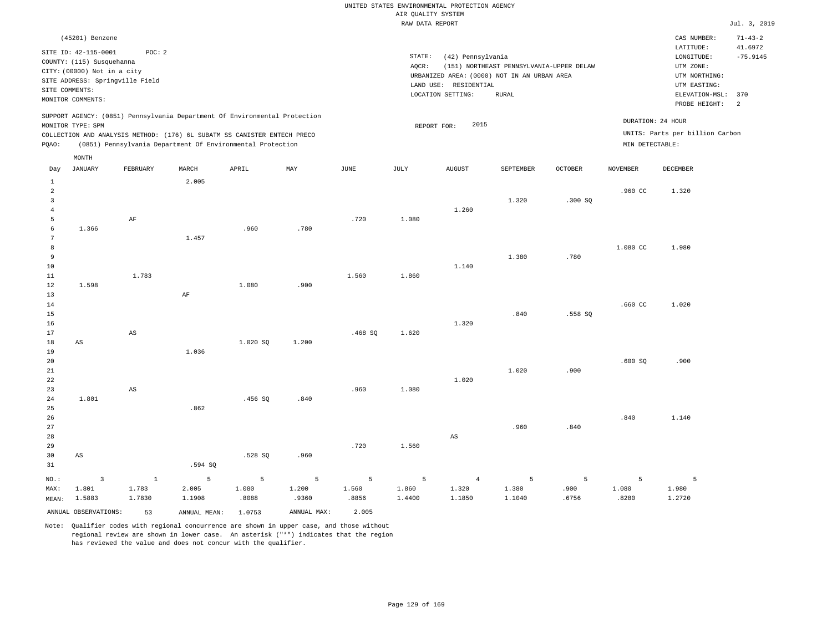|                |                                                                                  |                                 |       |                                                                            |       |        | RAW DATA REPORT |                       |                                                                                         |                |                 |                                                       | Jul. 3, 2019          |
|----------------|----------------------------------------------------------------------------------|---------------------------------|-------|----------------------------------------------------------------------------|-------|--------|-----------------|-----------------------|-----------------------------------------------------------------------------------------|----------------|-----------------|-------------------------------------------------------|-----------------------|
|                | (45201) Benzene                                                                  |                                 |       |                                                                            |       |        |                 |                       |                                                                                         |                |                 | CAS NUMBER:                                           | $71 - 43 - 2$         |
|                | SITE ID: 42-115-0001<br>COUNTY: (115) Susquehanna<br>CITY: (00000) Not in a city | POC: 2                          |       |                                                                            |       |        | STATE:<br>AOCR: | (42) Pennsylvania     | (151) NORTHEAST PENNSYLVANIA-UPPER DELAW<br>URBANIZED AREA: (0000) NOT IN AN URBAN AREA |                |                 | LATITUDE:<br>LONGITUDE:<br>UTM ZONE:<br>UTM NORTHING: | 41.6972<br>$-75.9145$ |
|                | SITE COMMENTS:                                                                   | SITE ADDRESS: Springville Field |       |                                                                            |       |        |                 | LAND USE: RESIDENTIAL |                                                                                         |                |                 | UTM EASTING:                                          |                       |
|                | MONITOR COMMENTS:                                                                |                                 |       |                                                                            |       |        |                 | LOCATION SETTING:     | RURAL                                                                                   |                |                 | ELEVATION-MSL:                                        | 370                   |
|                |                                                                                  |                                 |       |                                                                            |       |        |                 |                       |                                                                                         |                |                 | PROBE HEIGHT:                                         | $\overline{c}$        |
|                | MONITOR TYPE: SPM                                                                |                                 |       | SUPPORT AGENCY: (0851) Pennsylvania Department Of Environmental Protection |       |        |                 | 2015<br>REPORT FOR:   |                                                                                         |                |                 | DURATION: 24 HOUR                                     |                       |
|                |                                                                                  |                                 |       | COLLECTION AND ANALYSIS METHOD: (176) 6L SUBATM SS CANISTER ENTECH PRECO   |       |        |                 |                       |                                                                                         |                |                 | UNITS: Parts per billion Carbon                       |                       |
| PQAO:          |                                                                                  |                                 |       | (0851) Pennsylvania Department Of Environmental Protection                 |       |        |                 |                       |                                                                                         |                | MIN DETECTABLE: |                                                       |                       |
|                | MONTH                                                                            |                                 |       |                                                                            |       |        |                 |                       |                                                                                         |                |                 |                                                       |                       |
| Day            | JANUARY                                                                          | FEBRUARY                        | MARCH | APRIL                                                                      | MAY   | JUNE   | <b>JULY</b>     | <b>AUGUST</b>         | <b>SEPTEMBER</b>                                                                        | <b>OCTOBER</b> | <b>NOVEMBER</b> | <b>DECEMBER</b>                                       |                       |
| $\mathbf{1}$   |                                                                                  |                                 | 2.005 |                                                                            |       |        |                 |                       |                                                                                         |                |                 |                                                       |                       |
| $\overline{a}$ |                                                                                  |                                 |       |                                                                            |       |        |                 |                       |                                                                                         |                | .960 CC         | 1.320                                                 |                       |
| $\overline{3}$ |                                                                                  |                                 |       |                                                                            |       |        |                 |                       | 1.320                                                                                   | .300SQ         |                 |                                                       |                       |
| $\overline{4}$ |                                                                                  |                                 |       |                                                                            |       |        |                 | 1.260                 |                                                                                         |                |                 |                                                       |                       |
| 5              |                                                                                  | AF                              |       |                                                                            |       | .720   | 1.080           |                       |                                                                                         |                |                 |                                                       |                       |
| 6              | 1.366                                                                            |                                 |       | .960                                                                       | .780  |        |                 |                       |                                                                                         |                |                 |                                                       |                       |
| 7              |                                                                                  |                                 | 1.457 |                                                                            |       |        |                 |                       |                                                                                         |                |                 |                                                       |                       |
| 8<br>9         |                                                                                  |                                 |       |                                                                            |       |        |                 |                       | 1.380                                                                                   | .780           | 1.080 CC        | 1.980                                                 |                       |
| 10             |                                                                                  |                                 |       |                                                                            |       |        |                 | 1.140                 |                                                                                         |                |                 |                                                       |                       |
| 11             |                                                                                  | 1.783                           |       |                                                                            |       | 1.560  | 1,860           |                       |                                                                                         |                |                 |                                                       |                       |
| 12             | 1.598                                                                            |                                 |       | 1.080                                                                      | .900  |        |                 |                       |                                                                                         |                |                 |                                                       |                       |
| 13             |                                                                                  |                                 | AF    |                                                                            |       |        |                 |                       |                                                                                         |                |                 |                                                       |                       |
| 14             |                                                                                  |                                 |       |                                                                            |       |        |                 |                       |                                                                                         |                | .660 CC         | 1.020                                                 |                       |
| 15             |                                                                                  |                                 |       |                                                                            |       |        |                 |                       | .840                                                                                    | .558 SQ        |                 |                                                       |                       |
| 16             |                                                                                  |                                 |       |                                                                            |       |        |                 | 1.320                 |                                                                                         |                |                 |                                                       |                       |
| 17             |                                                                                  | AS                              |       |                                                                            |       | .468SQ | 1.620           |                       |                                                                                         |                |                 |                                                       |                       |
| 18             | AS                                                                               |                                 |       | 1.020 SQ                                                                   | 1.200 |        |                 |                       |                                                                                         |                |                 |                                                       |                       |
| 19             |                                                                                  |                                 | 1.036 |                                                                            |       |        |                 |                       |                                                                                         |                |                 |                                                       |                       |
| 20             |                                                                                  |                                 |       |                                                                            |       |        |                 |                       |                                                                                         |                | .600SQ          | .900                                                  |                       |
| 21             |                                                                                  |                                 |       |                                                                            |       |        |                 |                       | 1.020                                                                                   | .900           |                 |                                                       |                       |
| 22             |                                                                                  |                                 |       |                                                                            |       |        |                 | 1.020                 |                                                                                         |                |                 |                                                       |                       |
| 23             |                                                                                  | $_{\rm AS}$                     |       |                                                                            |       | .960   | 1.080           |                       |                                                                                         |                |                 |                                                       |                       |
| 24             | 1.801                                                                            |                                 |       | .456SQ                                                                     | .840  |        |                 |                       |                                                                                         |                |                 |                                                       |                       |
| 25             |                                                                                  |                                 | .862  |                                                                            |       |        |                 |                       |                                                                                         |                |                 |                                                       |                       |

26 27 28 29 30 31 AS .594 SQ .528 SQ .960 .720 1.560 AS .960 .840 .840 1.140

|      |              |        | NO.: 3 1 5 5 5 5 5 4 5 5                    |       |             |       |        |        |        |       | $\sim$ 5 $\sim$ |        |
|------|--------------|--------|---------------------------------------------|-------|-------------|-------|--------|--------|--------|-------|-----------------|--------|
| MAX: | 1.801        | 1.783  | 2.005                                       | 1.080 | 1,200       | 1.560 | 1.860  | 1.320  | 1.380  | .900  | 1.080           | 1.980  |
|      | MEAN: 1.5883 | 1.7830 | 1.1908                                      | .8088 | .9360       | .8856 | 1.4400 | 1.1850 | 1.1040 | .6756 | .8280           | 1.2720 |
|      |              |        | ANNUAL OBSERVATIONS: 53 ANNUAL MEAN: 1.0753 |       | ANNUAL MAX: | 2.005 |        |        |        |       |                 |        |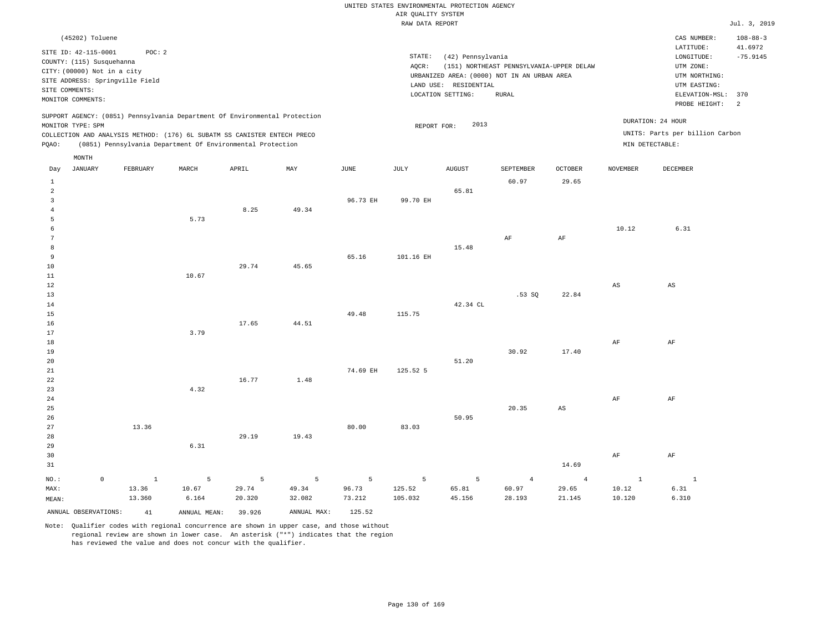| (45202) Toluene                                                                                                                                                                      |                                                            |       |     |      |                              |                                                                                                      |                                                   |                                |                 | CAS NUMBER:                                                                                                  | $108 - 88 - 3$              |
|--------------------------------------------------------------------------------------------------------------------------------------------------------------------------------------|------------------------------------------------------------|-------|-----|------|------------------------------|------------------------------------------------------------------------------------------------------|---------------------------------------------------|--------------------------------|-----------------|--------------------------------------------------------------------------------------------------------------|-----------------------------|
| SITE ID: 42-115-0001<br>COUNTY: (115) Susquehanna<br>CITY: (00000) Not in a city<br>SITE ADDRESS: Springville Field<br>SITE COMMENTS:<br>MONITOR COMMENTS:                           | POC: 2                                                     |       |     |      | STATE:<br>AQCR:<br>LAND USE: | (42) Pennsylvania<br>URBANIZED AREA: (0000) NOT IN AN URBAN AREA<br>RESIDENTIAL<br>LOCATION SETTING: | (151) NORTHEAST PENNSYLVANIA-UPPER DELAW<br>RURAL |                                |                 | LATITUDE:<br>LONGITUDE:<br>UTM ZONE:<br>UTM NORTHING:<br>UTM EASTING:<br>ELEVATION-MSL: 370<br>PROBE HEIGHT: | 41.6972<br>$-75.9145$<br>-2 |
| SUPPORT AGENCY: (0851) Pennsylvania Department Of Environmental Protection<br>MONITOR TYPE: SPM<br>COLLECTION AND ANALYSIS METHOD: (176) 6L SUBATM SS CANISTER ENTECH PRECO<br>POAO: | (0851) Pennsylvania Department Of Environmental Protection |       |     |      |                              | 2013<br>REPORT FOR:                                                                                  |                                                   |                                | MIN DETECTABLE: | DURATION: 24 HOUR<br>UNITS: Parts per billion Carbon                                                         |                             |
| MONTH<br>JANUARY<br>Day                                                                                                                                                              | FEBRUARY<br>MARCH                                          | APRIL | MAY | JUNE | JULY                         | <b>AUGUST</b>                                                                                        | SEPTEMBER<br>60.97                                | <b>OCTOBER</b><br><b>20 SE</b> | NOVEMBER        | DECEMBER                                                                                                     |                             |

| 1              |             |             |                 |                 |        |                |           |          | 60.97          | 29.65                  |                        |                        |
|----------------|-------------|-------------|-----------------|-----------------|--------|----------------|-----------|----------|----------------|------------------------|------------------------|------------------------|
| $\overline{c}$ |             |             |                 |                 |        |                |           | 65.81    |                |                        |                        |                        |
| $\overline{3}$ |             |             |                 |                 |        | 96.73 EH       | 99.70 EH  |          |                |                        |                        |                        |
| $\overline{4}$ |             |             |                 | 8.25            | 49.34  |                |           |          |                |                        |                        |                        |
| 5              |             |             | 5.73            |                 |        |                |           |          |                |                        |                        |                        |
| $\epsilon$     |             |             |                 |                 |        |                |           |          |                |                        | 10.12                  | 6.31                   |
| 7              |             |             |                 |                 |        |                |           |          | $\rm AF$       | $\rm{AF}$              |                        |                        |
| 8              |             |             |                 |                 |        |                |           | 15.48    |                |                        |                        |                        |
| 9              |             |             |                 |                 |        | 65.16          | 101.16 EH |          |                |                        |                        |                        |
| 10             |             |             |                 | 29.74           | 45.65  |                |           |          |                |                        |                        |                        |
| 11             |             |             | 10.67           |                 |        |                |           |          |                |                        |                        |                        |
| 12             |             |             |                 |                 |        |                |           |          |                |                        | $\mathbb{A}\mathbb{S}$ | $\mathbb{A}\mathbb{S}$ |
| 13             |             |             |                 |                 |        |                |           |          | .53SQ          | 22.84                  |                        |                        |
| 14             |             |             |                 |                 |        |                |           | 42.34 CL |                |                        |                        |                        |
| $15\,$         |             |             |                 |                 |        | 49.48          | 115.75    |          |                |                        |                        |                        |
| 16             |             |             |                 | 17.65           | 44.51  |                |           |          |                |                        |                        |                        |
| 17             |             |             | 3.79            |                 |        |                |           |          |                |                        |                        |                        |
| 18             |             |             |                 |                 |        |                |           |          |                |                        | $\rm AF$               | $\rm{AF}$              |
| 19             |             |             |                 |                 |        |                |           |          | 30.92          | 17.40                  |                        |                        |
| 20             |             |             |                 |                 |        |                |           | 51.20    |                |                        |                        |                        |
| 21             |             |             |                 |                 |        | 74.69 EH       | 125.52 5  |          |                |                        |                        |                        |
| 22             |             |             |                 | 16.77           | 1.48   |                |           |          |                |                        |                        |                        |
| 23             |             |             | 4.32            |                 |        |                |           |          |                |                        |                        |                        |
| 24             |             |             |                 |                 |        |                |           |          |                |                        | $\rm{AF}$              | $\rm{AF}$              |
| 25             |             |             |                 |                 |        |                |           |          | 20.35          | $\mathbb{A}\mathbb{S}$ |                        |                        |
| 26             |             |             |                 |                 |        |                |           | 50.95    |                |                        |                        |                        |
| 27             |             | 13.36       |                 |                 |        | 80.00          | 83.03     |          |                |                        |                        |                        |
| 28             |             |             |                 | 29.19           | 19.43  |                |           |          |                |                        |                        |                        |
| 29             |             |             | 6.31            |                 |        |                |           |          |                |                        |                        |                        |
| 30             |             |             |                 |                 |        |                |           |          |                |                        | $\rm{AF}$              | $\rm AF$               |
| 31             |             |             |                 |                 |        |                |           |          |                | 14.69                  |                        |                        |
| $NO.$ :        | $\mathbb O$ | $\mathbf 1$ | $5\phantom{.0}$ | $5\phantom{.0}$ | 5      | $\overline{5}$ | 5         | 5        | $\overline{4}$ | $\overline{4}$         | $\mathbf{1}$           | $\mathbf{1}$           |
| MAX:           |             | 13.36       | 10.67           | 29.74           | 49.34  | 96.73          | 125.52    | 65.81    | 60.97          | 29.65                  | 10.12                  | 6.31                   |
| MEAN:          |             | 13.360      | 6.164           | 20.320          | 32.082 | 73.212         | 105.032   | 45.156   | 28.193         | 21.145                 | 10.120                 | 6.310                  |

ANNUAL OBSERVATIONS: 41 ANNUAL MEAN: 39.926 ANNUAL MAX: 125.52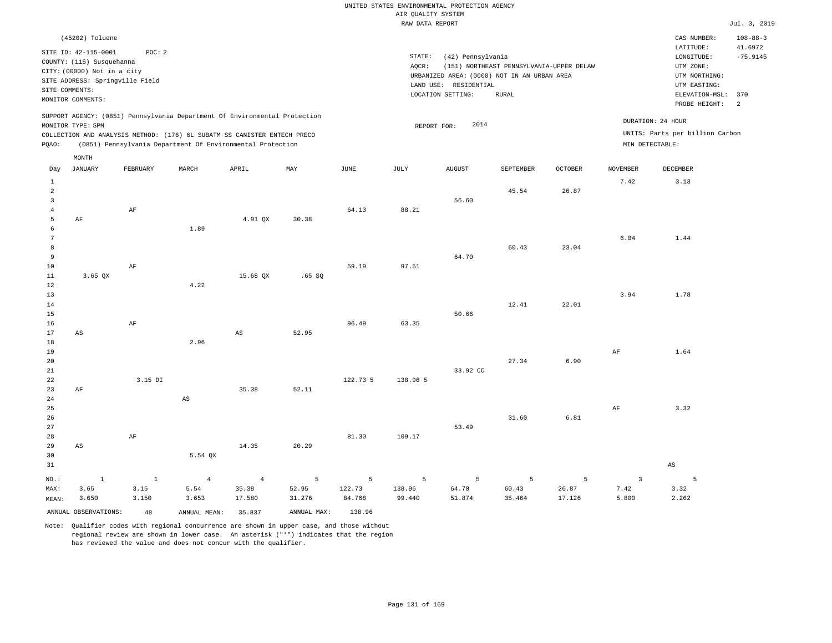|                      |                                 |          |                                                                            |                |                |               | RAW DATA REPORT |                                             |                                          |                |                 |                                 | Jul. 3, 2019   |
|----------------------|---------------------------------|----------|----------------------------------------------------------------------------|----------------|----------------|---------------|-----------------|---------------------------------------------|------------------------------------------|----------------|-----------------|---------------------------------|----------------|
|                      | (45202) Toluene                 |          |                                                                            |                |                |               |                 |                                             |                                          |                |                 | CAS NUMBER:                     | $108 - 88 - 3$ |
|                      | SITE ID: 42-115-0001            | POC: 2   |                                                                            |                |                |               |                 |                                             |                                          |                |                 | LATITUDE:                       | 41.6972        |
|                      | COUNTY: (115) Susquehanna       |          |                                                                            |                |                |               | STATE:          | (42) Pennsylvania                           |                                          |                |                 | LONGITUDE:                      | $-75.9145$     |
|                      | CITY: (00000) Not in a city     |          |                                                                            |                |                |               | AOCR:           |                                             | (151) NORTHEAST PENNSYLVANIA-UPPER DELAW |                |                 | UTM ZONE:                       |                |
|                      | SITE ADDRESS: Springville Field |          |                                                                            |                |                |               |                 | URBANIZED AREA: (0000) NOT IN AN URBAN AREA |                                          |                |                 | UTM NORTHING:                   |                |
| SITE COMMENTS:       |                                 |          |                                                                            |                |                |               |                 | LAND USE: RESIDENTIAL                       |                                          |                |                 | UTM EASTING:                    |                |
|                      | MONITOR COMMENTS:               |          |                                                                            |                |                |               |                 | LOCATION SETTING:                           | <b>RURAL</b>                             |                |                 | ELEVATION-MSL:                  | 370            |
|                      |                                 |          |                                                                            |                |                |               |                 |                                             |                                          |                |                 | PROBE HEIGHT:                   | $\overline{c}$ |
|                      |                                 |          | SUPPORT AGENCY: (0851) Pennsylvania Department Of Environmental Protection |                |                |               |                 |                                             |                                          |                |                 | DURATION: 24 HOUR               |                |
|                      | MONITOR TYPE: SPM               |          |                                                                            |                |                |               | REPORT FOR:     | 2014                                        |                                          |                |                 | UNITS: Parts per billion Carbon |                |
|                      |                                 |          | COLLECTION AND ANALYSIS METHOD: (176) 6L SUBATM SS CANISTER ENTECH PRECO   |                |                |               |                 |                                             |                                          |                | MIN DETECTABLE: |                                 |                |
| PQAO:                |                                 |          | (0851) Pennsylvania Department Of Environmental Protection                 |                |                |               |                 |                                             |                                          |                |                 |                                 |                |
|                      | MONTH                           |          |                                                                            |                |                |               |                 |                                             |                                          |                |                 |                                 |                |
| Day                  | <b>JANUARY</b>                  | FEBRUARY | MARCH                                                                      | APRIL          | MAY            | $_{\rm JUNE}$ | <b>JULY</b>     | ${\tt AUGUST}$                              | SEPTEMBER                                | <b>OCTOBER</b> | <b>NOVEMBER</b> | <b>DECEMBER</b>                 |                |
| $\mathbf{1}$         |                                 |          |                                                                            |                |                |               |                 |                                             |                                          |                | 7.42            | 3.13                            |                |
| $\overline{a}$       |                                 |          |                                                                            |                |                |               |                 |                                             | 45.54                                    | 26.87          |                 |                                 |                |
| $\overline{3}$       |                                 |          |                                                                            |                |                |               |                 | 56.60                                       |                                          |                |                 |                                 |                |
| $\overline{4}$       |                                 | $\rm AF$ |                                                                            |                |                | 64.13         | 88.21           |                                             |                                          |                |                 |                                 |                |
| 5                    | $\rm AF$                        |          |                                                                            | 4.91 QX        | 30.38          |               |                 |                                             |                                          |                |                 |                                 |                |
| 6                    |                                 |          | 1.89                                                                       |                |                |               |                 |                                             |                                          |                |                 |                                 |                |
| $7\phantom{.0}$<br>8 |                                 |          |                                                                            |                |                |               |                 |                                             | 60.43                                    | 23.04          | 6.04            | 1.44                            |                |
| 9                    |                                 |          |                                                                            |                |                |               |                 | 64.70                                       |                                          |                |                 |                                 |                |
| 10                   |                                 | AF       |                                                                            |                |                | 59.19         | 97.51           |                                             |                                          |                |                 |                                 |                |
| 11                   | $3.65$ QX                       |          |                                                                            | 15.68 QX       | .65 SQ         |               |                 |                                             |                                          |                |                 |                                 |                |
| 12                   |                                 |          | 4.22                                                                       |                |                |               |                 |                                             |                                          |                |                 |                                 |                |
| 13                   |                                 |          |                                                                            |                |                |               |                 |                                             |                                          |                | 3.94            | 1.78                            |                |
| 14                   |                                 |          |                                                                            |                |                |               |                 |                                             | 12.41                                    | 22.01          |                 |                                 |                |
| 15                   |                                 |          |                                                                            |                |                |               |                 | 50.66                                       |                                          |                |                 |                                 |                |
| 16                   |                                 | $\rm AF$ |                                                                            |                |                | 96.49         | 63.35           |                                             |                                          |                |                 |                                 |                |
| 17                   | AS                              |          |                                                                            | AS             | 52.95          |               |                 |                                             |                                          |                |                 |                                 |                |
| 18                   |                                 |          | 2.96                                                                       |                |                |               |                 |                                             |                                          |                |                 |                                 |                |
| 19                   |                                 |          |                                                                            |                |                |               |                 |                                             |                                          |                | $\rm AF$        | 1.64                            |                |
| 20                   |                                 |          |                                                                            |                |                |               |                 |                                             | 27.34                                    | 6.90           |                 |                                 |                |
| 21                   |                                 | 3.15 DI  |                                                                            |                |                | 122.73 5      |                 | 33.92 CC                                    |                                          |                |                 |                                 |                |
| 22<br>23             | AF                              |          |                                                                            | 35.38          | 52.11          |               | 138.96 5        |                                             |                                          |                |                 |                                 |                |
| 24                   |                                 |          | $\mathbb{A}\mathbb{S}$                                                     |                |                |               |                 |                                             |                                          |                |                 |                                 |                |
| 25                   |                                 |          |                                                                            |                |                |               |                 |                                             |                                          |                | $\rm AF$        | 3.32                            |                |
| 26                   |                                 |          |                                                                            |                |                |               |                 |                                             | 31.60                                    | 6.81           |                 |                                 |                |
| 27                   |                                 |          |                                                                            |                |                |               |                 | 53.49                                       |                                          |                |                 |                                 |                |
| 28                   |                                 | $\rm AF$ |                                                                            |                |                | 81.30         | 109.17          |                                             |                                          |                |                 |                                 |                |
| 29                   | AS                              |          |                                                                            | 14.35          | 20.29          |               |                 |                                             |                                          |                |                 |                                 |                |
| 30                   |                                 |          | 5.54 QX                                                                    |                |                |               |                 |                                             |                                          |                |                 |                                 |                |
| 31                   |                                 |          |                                                                            |                |                |               |                 |                                             |                                          |                |                 | $\mathbb{A}\mathbb{S}$          |                |
| NO.:                 | $\mathbf 1$                     | $\,$ 1   | $\overline{4}$                                                             | $\overline{4}$ | $\overline{5}$ | 5             | 5               | 5                                           | 5                                        | 5              | $\overline{3}$  | 5                               |                |
| MAX:                 | 3.65                            | 3.15     | 5.54                                                                       | 35.38          | 52.95          | 122.73        | 138.96          | 64.70                                       | 60.43                                    | 26.87          | 7.42            | 3.32                            |                |
| MEAN:                | 3.650                           | 3.150    | 3.653                                                                      | 17.580         | 31.276         | 84.768        | 99.440          | 51.874                                      | 35.464                                   | 17.126         | 5.800           | 2.262                           |                |
|                      | ANNUAL OBSERVATIONS:            | 48       | ANNUAL MEAN:                                                               | 35.837         | ANNUAL MAX:    | 138.96        |                 |                                             |                                          |                |                 |                                 |                |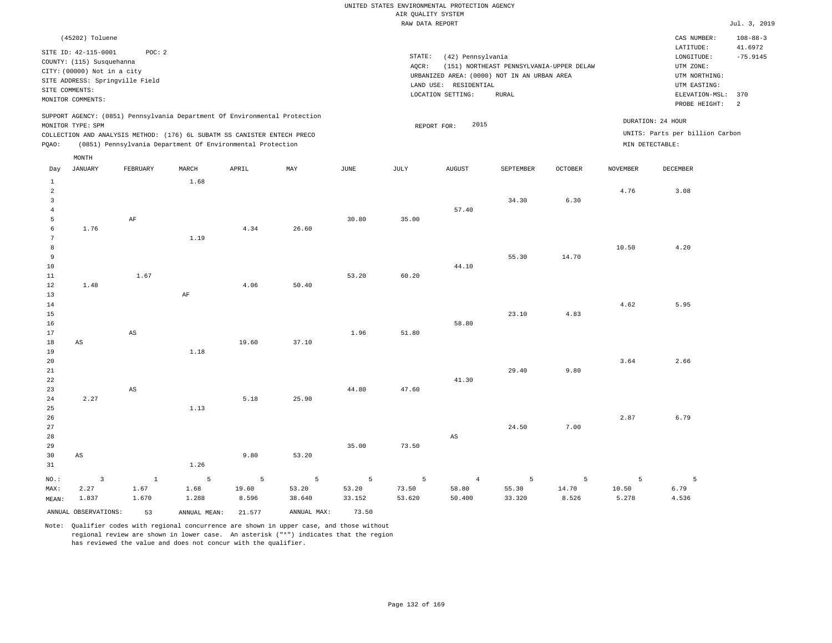|       | (45202) Toluene                                   |                                                                                                                                        |       |       |                                                                            |      |        |                                               |                                          |                |                 | CAS NUMBER:                                          | $108 - 88 - 3$        |
|-------|---------------------------------------------------|----------------------------------------------------------------------------------------------------------------------------------------|-------|-------|----------------------------------------------------------------------------|------|--------|-----------------------------------------------|------------------------------------------|----------------|-----------------|------------------------------------------------------|-----------------------|
|       | SITE ID: 42-115-0001<br>COUNTY: (115) Susquehanna | POC: 2                                                                                                                                 |       |       |                                                                            |      | STATE: | (42) Pennsylvania                             |                                          |                |                 | LATITUDE:<br>LONGITUDE:                              | 41.6972<br>$-75.9145$ |
|       | CITY: (00000) Not in a city                       | SITE ADDRESS: Springville Field                                                                                                        |       |       |                                                                            |      | AOCR:  | URBANIZED AREA: (0000) NOT IN AN URBAN AREA   | (151) NORTHEAST PENNSYLVANIA-UPPER DELAW |                |                 | UTM ZONE:<br>UTM NORTHING:                           |                       |
|       | SITE COMMENTS:<br>MONITOR COMMENTS:               |                                                                                                                                        |       |       |                                                                            |      |        | RESIDENTIAL<br>LAND USE:<br>LOCATION SETTING: | RURAL                                    |                |                 | UTM EASTING:<br>ELEVATION-MSL:<br>PROBE HEIGHT:      | 370<br>-2             |
| POAO: | MONITOR TYPE: SPM                                 | COLLECTION AND ANALYSIS METHOD: (176) 6L SUBATM SS CANISTER ENTECH PRECO<br>(0851) Pennsylvania Department Of Environmental Protection |       |       | SUPPORT AGENCY: (0851) Pennsylvania Department Of Environmental Protection |      |        | 2015<br>REPORT FOR:                           |                                          |                | MIN DETECTABLE: | DURATION: 24 HOUR<br>UNITS: Parts per billion Carbon |                       |
|       | MONTH                                             |                                                                                                                                        |       |       |                                                                            |      |        |                                               |                                          |                |                 |                                                      |                       |
| Day   | <b>JANUARY</b>                                    | FEBRUARY                                                                                                                               | MARCH | APRIL | MAY                                                                        | JUNE | JULY   | <b>AUGUST</b>                                 | SEPTEMBER                                | <b>OCTOBER</b> | NOVEMBER        | DECEMBER                                             |                       |
|       |                                                   |                                                                                                                                        | 1.68  |       |                                                                            |      |        |                                               |                                          |                |                 |                                                      |                       |
| 2     |                                                   |                                                                                                                                        |       |       |                                                                            |      |        |                                               |                                          |                | 4.76            | 3.08                                                 |                       |
| 3     |                                                   |                                                                                                                                        |       |       |                                                                            |      |        | 57.40                                         | 34.30                                    | 6.30           |                 |                                                      |                       |
|       |                                                   |                                                                                                                                        |       |       |                                                                            |      |        |                                               |                                          |                |                 |                                                      |                       |

35.00

| 6      | 1.76 |      |      | 4.34 | 26.60 |       |       |       |       |       |       |      |
|--------|------|------|------|------|-------|-------|-------|-------|-------|-------|-------|------|
| 7      |      |      | 1.19 |      |       |       |       |       |       |       |       |      |
| 8      |      |      |      |      |       |       |       |       |       |       | 10.50 | 4.20 |
| 9      |      |      |      |      |       |       |       |       | 55.30 | 14.70 |       |      |
| 10     |      |      |      |      |       |       |       | 44.10 |       |       |       |      |
| 11     |      | 1.67 |      |      |       | 53.20 | 60.20 |       |       |       |       |      |
| 12     | 1.48 |      |      | 4.06 | 50.40 |       |       |       |       |       |       |      |
| 13     |      |      | AF   |      |       |       |       |       |       |       |       |      |
| 14     |      |      |      |      |       |       |       |       |       |       | 4.62  | 5.95 |
| $15\,$ |      |      |      |      |       |       |       |       | 23.10 | 4.83  |       |      |
| 16     |      |      |      |      |       |       |       | 58.80 |       |       |       |      |
| 17     |      | AS   |      |      |       | 1.96  | 51.80 |       |       |       |       |      |

30.80

| - -             |    | $\sim$ |      |       |       | $-120$ | $    -$ |       |       |      |      |      |
|-----------------|----|--------|------|-------|-------|--------|---------|-------|-------|------|------|------|
| 18              | AS |        |      | 19.60 | 37.10 |        |         |       |       |      |      |      |
| 19              |    |        | 1.18 |       |       |        |         |       |       |      |      |      |
| 20 <sub>o</sub> |    |        |      |       |       |        |         |       |       |      | 3.64 | 2.66 |
| 21              |    |        |      |       |       |        |         |       | 29.40 | 9.80 |      |      |
| 22              |    |        |      |       |       |        |         | 41.30 |       |      |      |      |
| 23              |    | AS     |      |       |       | 44.80  | 47.60   |       |       |      |      |      |

| 24    | 2.27  |         |       | 5.18  | 25.90  |        |        |                |        |       |       |       |
|-------|-------|---------|-------|-------|--------|--------|--------|----------------|--------|-------|-------|-------|
| 25    |       |         | 1.13  |       |        |        |        |                |        |       |       |       |
| 26    |       |         |       |       |        |        |        |                |        |       | 2.87  | 6.79  |
| 27    |       |         |       |       |        |        |        |                | 24.50  | 7.00  |       |       |
| 28    |       |         |       |       |        |        |        | AS             |        |       |       |       |
| 29    |       |         |       |       |        | 35.00  | 73.50  |                |        |       |       |       |
| 30    | AS    |         |       | 9.80  | 53.20  |        |        |                |        |       |       |       |
| 31    |       |         | 1.26  |       |        |        |        |                |        |       |       |       |
| NO.:  |       | $\perp$ | 5     | - 5   | 5      | 5      | 5      | $\overline{4}$ | 5      |       | 5     | 5     |
| MAX:  | 2.27  | 1.67    | 1.68  | 19.60 | 53.20  | 53.20  | 73.50  | 58.80          | 55.30  | 14.70 | 10.50 | 6.79  |
| MEAN: | 1.837 | 1.670   | 1.288 | 8.596 | 38.640 | 33.152 | 53.620 | 50.400         | 33.320 | 8.526 | 5.278 | 4.536 |

Note: Qualifier codes with regional concurrence are shown in upper case, and those without regional review are shown in lower case. An asterisk ("\*") indicates that the region has reviewed the value and does not concur with the qualifier.

ANNUAL OBSERVATIONS: 53 ANNUAL MEAN: 21.577 ANNUAL MAX: 73.50

5

AF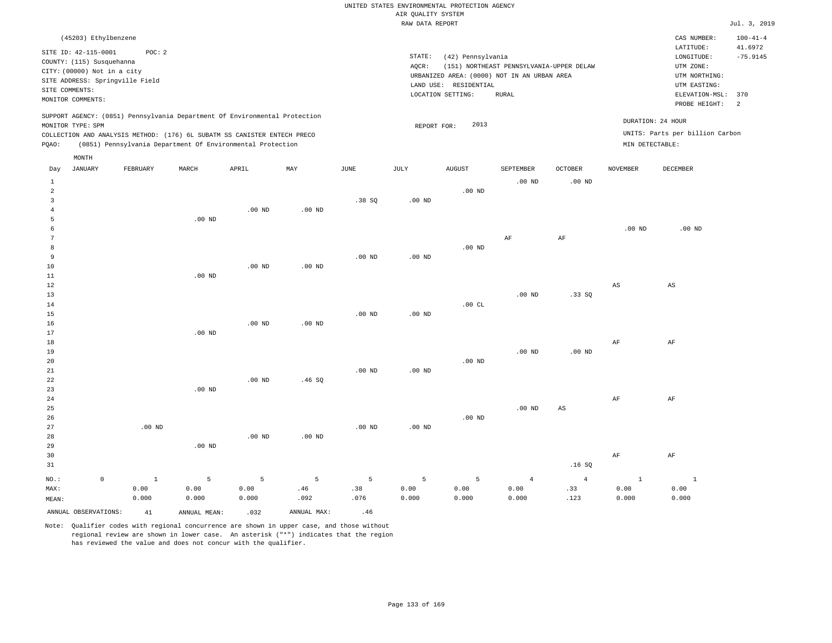|  |  |                    | UNITED STATES ENVIRONMENTAL PROTECTION AGENCY |  |
|--|--|--------------------|-----------------------------------------------|--|
|  |  | AIR OUALITY SYSTEM |                                               |  |

|                                |                                                                                                                                                            |              |                                                                                                                                        |          |             |                   | RAW DATA REPORT    |                                                                 |                                                                                                  |                   |                   |                                                                                                              | Jul. 3, 2019               |
|--------------------------------|------------------------------------------------------------------------------------------------------------------------------------------------------------|--------------|----------------------------------------------------------------------------------------------------------------------------------------|----------|-------------|-------------------|--------------------|-----------------------------------------------------------------|--------------------------------------------------------------------------------------------------|-------------------|-------------------|--------------------------------------------------------------------------------------------------------------|----------------------------|
|                                | (45203) Ethylbenzene                                                                                                                                       |              |                                                                                                                                        |          |             |                   |                    |                                                                 |                                                                                                  |                   |                   | CAS NUMBER:                                                                                                  | $100 - 41 - 4$             |
|                                | SITE ID: 42-115-0001<br>COUNTY: (115) Susquehanna<br>CITY: (00000) Not in a city<br>SITE ADDRESS: Springville Field<br>SITE COMMENTS:<br>MONITOR COMMENTS: | POC: 2       |                                                                                                                                        |          |             |                   | STATE:<br>$AQCR$ : | (42) Pennsylvania<br>LAND USE: RESIDENTIAL<br>LOCATION SETTING: | (151) NORTHEAST PENNSYLVANIA-UPPER DELAW<br>URBANIZED AREA: (0000) NOT IN AN URBAN AREA<br>RURAL |                   |                   | LATITUDE:<br>LONGITUDE:<br>UTM ZONE:<br>UTM NORTHING:<br>UTM EASTING:<br>ELEVATION-MSL: 370<br>PROBE HEIGHT: | 41.6972<br>$-75.9145$<br>2 |
|                                |                                                                                                                                                            |              | SUPPORT AGENCY: (0851) Pennsylvania Department Of Environmental Protection                                                             |          |             |                   |                    |                                                                 |                                                                                                  |                   |                   | DURATION: 24 HOUR                                                                                            |                            |
|                                | MONITOR TYPE: SPM                                                                                                                                          |              |                                                                                                                                        |          |             |                   | REPORT FOR:        | 2013                                                            |                                                                                                  |                   |                   | UNITS: Parts per billion Carbon                                                                              |                            |
| PQAO:                          |                                                                                                                                                            |              | COLLECTION AND ANALYSIS METHOD: (176) 6L SUBATM SS CANISTER ENTECH PRECO<br>(0851) Pennsylvania Department Of Environmental Protection |          |             |                   |                    |                                                                 |                                                                                                  |                   | MIN DETECTABLE:   |                                                                                                              |                            |
|                                |                                                                                                                                                            |              |                                                                                                                                        |          |             |                   |                    |                                                                 |                                                                                                  |                   |                   |                                                                                                              |                            |
| Day                            | MONTH<br><b>JANUARY</b>                                                                                                                                    | FEBRUARY     | MARCH                                                                                                                                  | APRIL    | MAX         | <b>JUNE</b>       | <b>JULY</b>        | ${\tt AUGUST}$                                                  | SEPTEMBER                                                                                        | <b>OCTOBER</b>    | <b>NOVEMBER</b>   | DECEMBER                                                                                                     |                            |
|                                |                                                                                                                                                            |              |                                                                                                                                        |          |             |                   |                    |                                                                 |                                                                                                  |                   |                   |                                                                                                              |                            |
| $\mathbf{1}$<br>$\overline{a}$ |                                                                                                                                                            |              |                                                                                                                                        |          |             |                   |                    | $.00$ ND                                                        | $.00$ ND                                                                                         | $.00$ ND          |                   |                                                                                                              |                            |
| $\overline{3}$                 |                                                                                                                                                            |              |                                                                                                                                        |          |             | .38SQ             | .00 <sub>ND</sub>  |                                                                 |                                                                                                  |                   |                   |                                                                                                              |                            |
| 4                              |                                                                                                                                                            |              |                                                                                                                                        | $.00$ ND | $.00$ ND    |                   |                    |                                                                 |                                                                                                  |                   |                   |                                                                                                              |                            |
| 5                              |                                                                                                                                                            |              | .00 <sub>ND</sub>                                                                                                                      |          |             |                   |                    |                                                                 |                                                                                                  |                   |                   |                                                                                                              |                            |
| 6                              |                                                                                                                                                            |              |                                                                                                                                        |          |             |                   |                    |                                                                 |                                                                                                  |                   | .00 <sub>ND</sub> | .00 <sub>ND</sub>                                                                                            |                            |
| 7                              |                                                                                                                                                            |              |                                                                                                                                        |          |             |                   |                    |                                                                 | AF                                                                                               | AF                |                   |                                                                                                              |                            |
| 8                              |                                                                                                                                                            |              |                                                                                                                                        |          |             |                   |                    | $.00$ ND                                                        |                                                                                                  |                   |                   |                                                                                                              |                            |
| $\overline{9}$                 |                                                                                                                                                            |              |                                                                                                                                        |          |             | .00 <sub>ND</sub> | .00 <sub>ND</sub>  |                                                                 |                                                                                                  |                   |                   |                                                                                                              |                            |
| 10                             |                                                                                                                                                            |              |                                                                                                                                        | $.00$ ND | $.00$ ND    |                   |                    |                                                                 |                                                                                                  |                   |                   |                                                                                                              |                            |
| $11\,$                         |                                                                                                                                                            |              | $.00$ ND                                                                                                                               |          |             |                   |                    |                                                                 |                                                                                                  |                   |                   |                                                                                                              |                            |
| 12                             |                                                                                                                                                            |              |                                                                                                                                        |          |             |                   |                    |                                                                 |                                                                                                  |                   | AS                | $_{\rm AS}$                                                                                                  |                            |
| 13                             |                                                                                                                                                            |              |                                                                                                                                        |          |             |                   |                    |                                                                 | $.00$ ND                                                                                         | .33SQ             |                   |                                                                                                              |                            |
| 14                             |                                                                                                                                                            |              |                                                                                                                                        |          |             |                   |                    | .00CL                                                           |                                                                                                  |                   |                   |                                                                                                              |                            |
| 15                             |                                                                                                                                                            |              |                                                                                                                                        |          |             | .00 <sub>ND</sub> | .00 <sub>ND</sub>  |                                                                 |                                                                                                  |                   |                   |                                                                                                              |                            |
| 16                             |                                                                                                                                                            |              |                                                                                                                                        | $.00$ ND | $.00$ ND    |                   |                    |                                                                 |                                                                                                  |                   |                   |                                                                                                              |                            |
| 17<br>18                       |                                                                                                                                                            |              | $.00$ ND                                                                                                                               |          |             |                   |                    |                                                                 |                                                                                                  |                   | AF                | AF                                                                                                           |                            |
| 19                             |                                                                                                                                                            |              |                                                                                                                                        |          |             |                   |                    |                                                                 | .00 <sub>ND</sub>                                                                                | .00 <sub>ND</sub> |                   |                                                                                                              |                            |
| 20                             |                                                                                                                                                            |              |                                                                                                                                        |          |             |                   |                    | $.00$ ND                                                        |                                                                                                  |                   |                   |                                                                                                              |                            |
| $21\,$                         |                                                                                                                                                            |              |                                                                                                                                        |          |             | .00 <sub>ND</sub> | .00 <sub>ND</sub>  |                                                                 |                                                                                                  |                   |                   |                                                                                                              |                            |
| 22                             |                                                                                                                                                            |              |                                                                                                                                        | $.00$ ND | .46SQ       |                   |                    |                                                                 |                                                                                                  |                   |                   |                                                                                                              |                            |
| 23                             |                                                                                                                                                            |              | $.00$ ND                                                                                                                               |          |             |                   |                    |                                                                 |                                                                                                  |                   |                   |                                                                                                              |                            |
| 24                             |                                                                                                                                                            |              |                                                                                                                                        |          |             |                   |                    |                                                                 |                                                                                                  |                   | AF                | AF                                                                                                           |                            |
| 25                             |                                                                                                                                                            |              |                                                                                                                                        |          |             |                   |                    |                                                                 | $.00$ ND                                                                                         | $_{\rm AS}$       |                   |                                                                                                              |                            |
| 26                             |                                                                                                                                                            |              |                                                                                                                                        |          |             |                   |                    | $.00$ ND                                                        |                                                                                                  |                   |                   |                                                                                                              |                            |
| 27                             |                                                                                                                                                            | $.00$ ND     |                                                                                                                                        |          |             | .00 <sub>ND</sub> | .00 <sub>ND</sub>  |                                                                 |                                                                                                  |                   |                   |                                                                                                              |                            |
| 28                             |                                                                                                                                                            |              |                                                                                                                                        | $.00$ ND | $.00$ ND    |                   |                    |                                                                 |                                                                                                  |                   |                   |                                                                                                              |                            |
| 29                             |                                                                                                                                                            |              | $.00$ ND                                                                                                                               |          |             |                   |                    |                                                                 |                                                                                                  |                   |                   |                                                                                                              |                            |
| 30                             |                                                                                                                                                            |              |                                                                                                                                        |          |             |                   |                    |                                                                 |                                                                                                  |                   | AF                | AF                                                                                                           |                            |
| 31                             |                                                                                                                                                            |              |                                                                                                                                        |          |             |                   |                    |                                                                 |                                                                                                  | .16S              |                   |                                                                                                              |                            |
| $NO.$ :                        | $\mathsf 0$                                                                                                                                                | $\mathbf{1}$ | 5                                                                                                                                      | 5        | 5           | 5                 | 5                  | 5                                                               | $\overline{4}$                                                                                   | $\overline{4}$    | $\mathbf{1}$      | $\,$ 1                                                                                                       |                            |
| MAX:                           |                                                                                                                                                            | 0.00         | 0.00                                                                                                                                   | 0.00     | .46         | .38               | 0.00               | 0.00                                                            | 0.00                                                                                             | .33               | 0.00              | 0.00                                                                                                         |                            |
| MEAN:                          |                                                                                                                                                            | 0.000        | 0.000                                                                                                                                  | 0.000    | .092        | .076              | 0.000              | 0.000                                                           | 0.000                                                                                            | .123              | 0.000             | 0.000                                                                                                        |                            |
|                                | ANNUAL OBSERVATIONS:                                                                                                                                       | 41           | ANNUAL MEAN:                                                                                                                           | .032     | ANNUAL MAX: | .46               |                    |                                                                 |                                                                                                  |                   |                   |                                                                                                              |                            |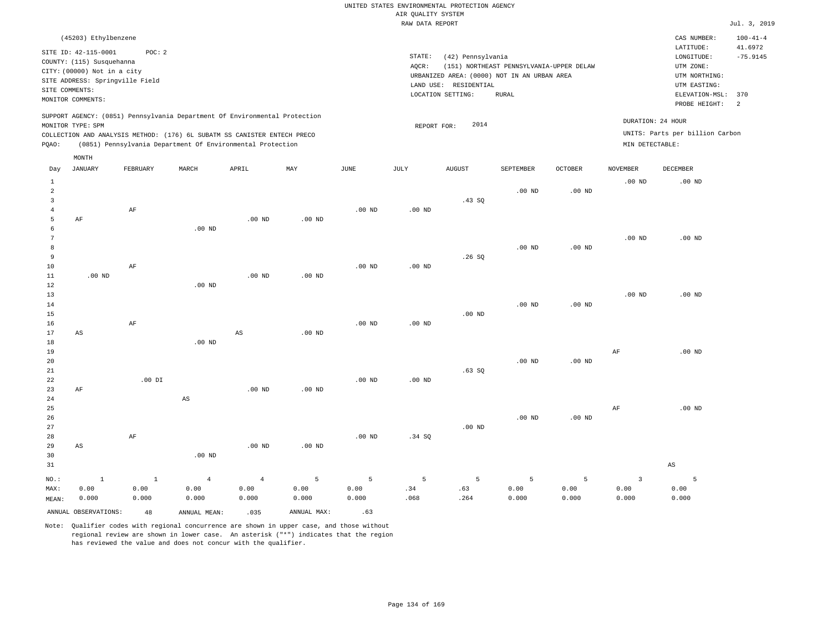| (45203) Ethylbenzene                                                                                                                                                                                                                               |                                                                                                                                                                                           | $100 - 41 - 4$<br>CAS NUMBER:                                                                                                                |
|----------------------------------------------------------------------------------------------------------------------------------------------------------------------------------------------------------------------------------------------------|-------------------------------------------------------------------------------------------------------------------------------------------------------------------------------------------|----------------------------------------------------------------------------------------------------------------------------------------------|
| SITE ID: 42-115-0001<br>POC: 2<br>COUNTY: (115) Susquehanna<br>CITY: (00000) Not in a city<br>SITE ADDRESS: Springville Field<br>SITE COMMENTS:<br>MONITOR COMMENTS:                                                                               | STATE:<br>(42) Pennsylvania<br>(151) NORTHEAST PENNSYLVANIA-UPPER DELAW<br>AOCR:<br>URBANIZED AREA: (0000) NOT IN AN URBAN AREA<br>LAND USE:<br>RESIDENTIAL<br>LOCATION SETTING:<br>RURAL | 41.6972<br>LATITUDE:<br>$-75.9145$<br>LONGITUDE:<br>UTM ZONE:<br>UTM NORTHING:<br>UTM EASTING:<br>ELEVATION-MSL: 370<br>PROBE HEIGHT:<br>- 2 |
| SUPPORT AGENCY: (0851) Pennsylvania Department Of Environmental Protection<br>MONITOR TYPE: SPM<br>COLLECTION AND ANALYSIS METHOD: (176) 6L SUBATM SS CANISTER ENTECH PRECO<br>(0851) Pennsylvania Department Of Environmental Protection<br>POAO: | 2014<br>REPORT FOR:                                                                                                                                                                       | DURATION: 24 HOUR<br>UNITS: Parts per billion Carbon<br>MIN DETECTABLE:                                                                      |
| MONTH                                                                                                                                                                                                                                              |                                                                                                                                                                                           |                                                                                                                                              |
| -----------<br>$1.033$ matrix<br>$\sim$ mm $\sim$ $\sim$<br><br>$-$ -----<br><b>The Telephone of the Telephone of the United States</b>                                                                                                            | 1.77777777777<br>$\alpha$ mmmtrumm<br>$\alpha$ monn                                                                                                                                       | 170777157777<br><b>DRAMMON</b>                                                                                                               |

| Day            | JANUARY                | FEBRUARY  | MARCH        | APRIL          | MAY         | JUNE           | JULY        | AUGUST      | SEPTEMBER | OCTOBER           | NOVEMBER  | DECEMBER               |
|----------------|------------------------|-----------|--------------|----------------|-------------|----------------|-------------|-------------|-----------|-------------------|-----------|------------------------|
| $\mathbf{1}$   |                        |           |              |                |             |                |             |             |           |                   | $.00$ ND  | $.00$ ND               |
| $\overline{a}$ |                        |           |              |                |             |                |             |             | $.00$ ND  | .00 <sub>ND</sub> |           |                        |
| 3              |                        |           |              |                |             |                |             | .43 SQ      |           |                   |           |                        |
| $\overline{4}$ |                        | $\rm{AF}$ |              |                |             | $.00$ ND       | .00 $ND$    |             |           |                   |           |                        |
| 5              | AF                     |           |              | $.00$ ND       | $.00$ ND    |                |             |             |           |                   |           |                        |
| 6              |                        |           | $.00$ ND     |                |             |                |             |             |           |                   |           |                        |
| 7              |                        |           |              |                |             |                |             |             |           |                   | $.00$ ND  | $.00$ ND               |
| 8              |                        |           |              |                |             |                |             |             | $.00$ ND  | .00 $ND$          |           |                        |
| 9              |                        |           |              |                |             |                |             | .26SQ       |           |                   |           |                        |
| $10$           |                        | $\rm AF$  |              |                |             | $.00$ ND       | .00 $ND$    |             |           |                   |           |                        |
| $11\,$         | $.00$ ND               |           |              | $.00$ ND       | $.00$ ND    |                |             |             |           |                   |           |                        |
| 12             |                        |           | $.00$ ND     |                |             |                |             |             |           |                   |           |                        |
| 13             |                        |           |              |                |             |                |             |             |           |                   | $.00$ ND  | $.00$ ND               |
| 14             |                        |           |              |                |             |                |             |             | $.00$ ND  | .00 <sub>ND</sub> |           |                        |
| 15             |                        |           |              |                |             |                |             | $.00$ ND    |           |                   |           |                        |
| 16             |                        | $\rm{AF}$ |              |                |             | $.00$ ND       | .00 $ND$    |             |           |                   |           |                        |
| 17             | $\mathbb{A}\mathbb{S}$ |           |              | $_{\rm AS}$    | $.00$ ND    |                |             |             |           |                   |           |                        |
| 18             |                        |           | $.00$ ND     |                |             |                |             |             |           |                   |           |                        |
| 19             |                        |           |              |                |             |                |             |             |           |                   | $\rm{AF}$ | $.00$ ND               |
| 20             |                        |           |              |                |             |                |             |             | $.00$ ND  | .00 $ND$          |           |                        |
| 21             |                        |           |              |                |             |                |             | .63SQ       |           |                   |           |                        |
| 22             |                        | .00 DI    |              |                |             | $.00$ ND       | .00 $ND$    |             |           |                   |           |                        |
| 23             | AF                     |           |              | $.00$ ND       | $.00$ ND    |                |             |             |           |                   |           |                        |
| 24             |                        |           | AS           |                |             |                |             |             |           |                   |           |                        |
| 25             |                        |           |              |                |             |                |             |             |           |                   | $\rm{AF}$ | $.00$ ND               |
| 26             |                        |           |              |                |             |                |             |             | $.00$ ND  | .00 $ND$          |           |                        |
| 27             |                        |           |              |                |             |                |             | $.00$ ND    |           |                   |           |                        |
| 28             |                        | $\rm{AF}$ |              |                |             | $.00$ ND       | .34 SQ      |             |           |                   |           |                        |
| 29             | AS                     |           |              | $.00$ ND       | $.00$ ND    |                |             |             |           |                   |           |                        |
| 30             |                        |           | $.00$ ND     |                |             |                |             |             |           |                   |           |                        |
| 31             |                        |           |              |                |             |                |             |             |           |                   |           | $\mathbb{A}\mathbb{S}$ |
| $NO.$ :        | $\,$ 1                 | $\,$ 1    | $\sqrt{4}$   | $\overline{4}$ | 5           | $\overline{5}$ | $\mathsf S$ | $\mathsf S$ | 5         | $\mathsf S$       | 3         | $\overline{5}$         |
| MAX:           | 0.00                   | 0.00      | 0.00         | 0.00           | 0.00        | 0.00           | .34         | .63         | 0.00      | 0.00              | 0.00      | 0.00                   |
| MEAN:          | 0.000                  | 0.000     | 0.000        | 0.000          | 0.000       | 0.000          | .068        | .264        | 0.000     | 0.000             | 0.000     | 0.000                  |
|                | ANNUAL OBSERVATIONS:   | 48        | ANNUAL MEAN: | .035           | ANNUAL MAX: | .63            |             |             |           |                   |           |                        |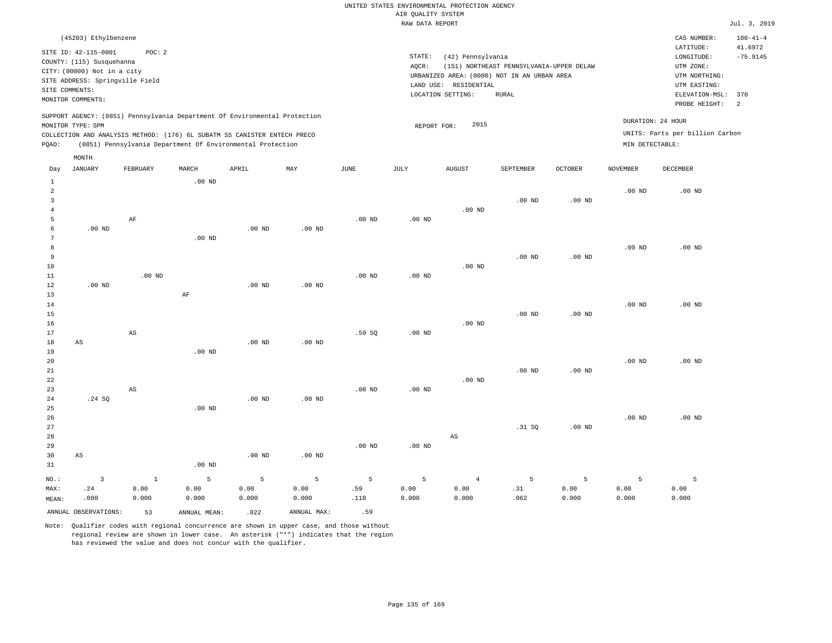| (45203) Ethylbenzene                                                                                                                                                                                                                                        |                                                                                                                                                                                        | CAS NUMBER:                                                                                                  | $100 - 41 - 4$        |
|-------------------------------------------------------------------------------------------------------------------------------------------------------------------------------------------------------------------------------------------------------------|----------------------------------------------------------------------------------------------------------------------------------------------------------------------------------------|--------------------------------------------------------------------------------------------------------------|-----------------------|
| SITE ID: 42-115-0001<br>POC:2<br>COUNTY: (115) Susquehanna<br>CITY: (00000) Not in a city<br>SITE ADDRESS: Springville Field<br>SITE COMMENTS:<br>MONITOR COMMENTS:                                                                                         | STATE:<br>(42) Pennsylvania<br>AOCR:<br>(151) NORTHEAST PENNSYLVANIA-UPPER DELAW<br>URBANIZED AREA: (0000) NOT IN AN URBAN AREA<br>LAND USE: RESIDENTIAL<br>LOCATION SETTING:<br>RURAL | LATITUDE:<br>LONGITUDE:<br>UTM ZONE:<br>UTM NORTHING:<br>UTM EASTING:<br>ELEVATION-MSL: 370<br>PROBE HEIGHT: | 41.6972<br>$-75.9145$ |
| SUPPORT AGENCY: (0851) Pennsylvania Department Of Environmental Protection<br>MONITOR TYPE: SPM<br>COLLECTION AND ANALYSIS METHOD: (176) 6L SUBATM SS CANISTER ENTECH PRECO<br>(0851) Pennsylvania Department Of Environmental Protection<br>POAO:<br>MONTH | 2015<br>REPORT FOR:                                                                                                                                                                    | DURATION: 24 HOUR<br>UNITS: Parts per billion Carbon<br>MIN DETECTABLE:                                      |                       |

| Day            | JANUARY                 | FEBRUARY               | $\tt MARCH$    | APRIL          | $\ensuremath{\text{MAX}}$ | $_{\rm JUNE}$ | JULY     | ${\tt AUGUST}$ | SEPTEMBER | $\mathtt{OCTOBER}$ | NOVEMBER | DECEMBER          |
|----------------|-------------------------|------------------------|----------------|----------------|---------------------------|---------------|----------|----------------|-----------|--------------------|----------|-------------------|
| 1              |                         |                        | $.00$ ND       |                |                           |               |          |                |           |                    |          |                   |
| $\overline{c}$ |                         |                        |                |                |                           |               |          |                |           |                    | $.00$ ND | .00 <sub>ND</sub> |
| 3              |                         |                        |                |                |                           |               |          |                | $.00$ ND  | .00 <sub>ND</sub>  |          |                   |
| $\overline{4}$ |                         |                        |                |                |                           |               |          | $.00$ ND       |           |                    |          |                   |
| 5              |                         | $\rm AF$               |                |                |                           | .00 $ND$      | .00 $ND$ |                |           |                    |          |                   |
| 6              | $.00$ ND                |                        |                | $.00$ ND       | $.00$ ND                  |               |          |                |           |                    |          |                   |
| 7              |                         |                        | $.00$ ND       |                |                           |               |          |                |           |                    |          |                   |
| 8              |                         |                        |                |                |                           |               |          |                |           |                    | $.00$ ND | $.00$ ND          |
| 9              |                         |                        |                |                |                           |               |          |                | $.00$ ND  | $.00$ ND           |          |                   |
| $10$           |                         |                        |                |                |                           |               |          | $.00$ ND       |           |                    |          |                   |
| 11             |                         | $.00$ ND               |                |                |                           | $.00$ ND      | .00 $ND$ |                |           |                    |          |                   |
| 12             | .00 $ND$                |                        |                | $.00$ ND       | $.00$ ND                  |               |          |                |           |                    |          |                   |
| 13             |                         |                        | $\rm{AF}$      |                |                           |               |          |                |           |                    |          |                   |
| 14             |                         |                        |                |                |                           |               |          |                |           |                    | $.00$ ND | $.00$ ND          |
| $15\,$         |                         |                        |                |                |                           |               |          |                | $.00$ ND  | $.00$ ND           |          |                   |
| $16$           |                         |                        |                |                |                           |               |          | $.00$ ND       |           |                    |          |                   |
| 17             |                         | $\mathbb{A}\mathbb{S}$ |                |                |                           | .59 SQ        | .00 $ND$ |                |           |                    |          |                   |
| 18             | $\mathbb{A}\mathbb{S}$  |                        |                | $.00$ ND       | $.00$ ND                  |               |          |                |           |                    |          |                   |
| 19             |                         |                        | .00 $ND$       |                |                           |               |          |                |           |                    |          |                   |
| $20\,$         |                         |                        |                |                |                           |               |          |                |           |                    | $.00$ ND | $.00$ ND          |
| $2\sqrt{1}$    |                         |                        |                |                |                           |               |          |                | $.00$ ND  | .00 <sub>ND</sub>  |          |                   |
| 22             |                         |                        |                |                |                           |               |          | $.00$ ND       |           |                    |          |                   |
| 23             |                         | $\mathbb{A}\mathbb{S}$ |                |                |                           | $.00$ ND      | .00 $ND$ |                |           |                    |          |                   |
| 24             | .24 SQ                  |                        | $.00$ ND       | $.00$ ND       | .00 <sub>ND</sub>         |               |          |                |           |                    |          |                   |
| 25<br>26       |                         |                        |                |                |                           |               |          |                |           |                    | $.00$ ND | $.00$ ND          |
| 27             |                         |                        |                |                |                           |               |          |                | .31 SQ    | $.00$ ND           |          |                   |
| 28             |                         |                        |                |                |                           |               |          | $_{\rm AS}$    |           |                    |          |                   |
| 29             |                         |                        |                |                |                           | $.00$ ND      | .00 $ND$ |                |           |                    |          |                   |
| 30             | $\mathbb{A}\mathbb{S}$  |                        |                | .00 $ND$       | .00 <sub>ND</sub>         |               |          |                |           |                    |          |                   |
| 31             |                         |                        | $.00$ ND       |                |                           |               |          |                |           |                    |          |                   |
|                |                         |                        |                |                |                           |               |          |                |           |                    |          |                   |
| $_{\rm NO.}$ : | $\overline{\mathbf{3}}$ | $\,$ 1                 | $\overline{5}$ | $\overline{5}$ | $\mathsf S$               | $\mathsf S$   | 5        | $\overline{4}$ | 5         | 5                  | 5        | 5                 |
| MAX:           | .24                     | 0.00                   | 0.00           | 0.00           | 0.00                      | .59           | 0.00     | 0.00           | .31       | 0.00               | 0.00     | 0.00              |
| MEAN:          | .080                    | 0.000                  | 0.000          | 0.000          | 0.000                     | .118          | 0.000    | 0.000          | .062      | 0.000              | 0.000    | 0.000             |
|                | ANNUAL OBSERVATIONS:    | 53                     | ANNUAL MEAN:   | .022           | ANNUAL MAX:               | .59           |          |                |           |                    |          |                   |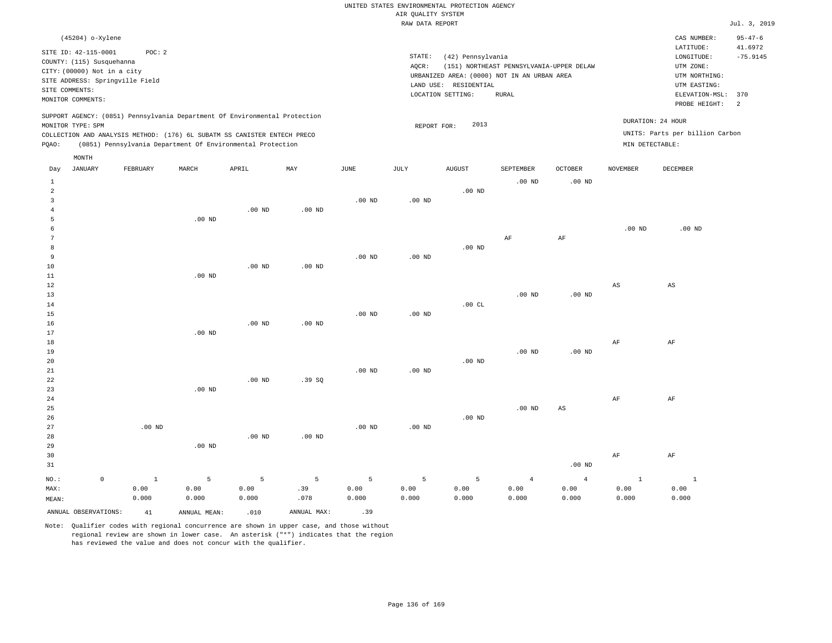| (45204) o-Xylene                                                                                                                                                                                                                                      |       |     |      |                 |                                                                 |                                                                                                  |                                    |                                      | CAS NUMBER:                                                                                              | $95 - 47 - 6$                     |
|-------------------------------------------------------------------------------------------------------------------------------------------------------------------------------------------------------------------------------------------------------|-------|-----|------|-----------------|-----------------------------------------------------------------|--------------------------------------------------------------------------------------------------|------------------------------------|--------------------------------------|----------------------------------------------------------------------------------------------------------|-----------------------------------|
| SITE ID: 42-115-0001<br>POC: 2<br>COUNTY: (115) Susquehanna<br>CITY: (00000) Not in a city<br>SITE ADDRESS: Springville Field<br>SITE COMMENTS:<br>MONITOR COMMENTS:                                                                                  |       |     |      | STATE:<br>AOCR: | (42) Pennsylvania<br>LAND USE: RESIDENTIAL<br>LOCATION SETTING: | (151) NORTHEAST PENNSYLVANIA-UPPER DELAW<br>URBANIZED AREA: (0000) NOT IN AN URBAN AREA<br>RURAL |                                    |                                      | LATITUDE:<br>LONGITUDE:<br>UTM ZONE:<br>UTM NORTHING:<br>UTM EASTING:<br>ELEVATION-MSL:<br>PROBE HEIGHT: | 41.6972<br>$-75.9145$<br>370<br>2 |
| SUPPORT AGENCY: (0851) Pennsylvania Department Of Environmental Protection<br>MONITOR TYPE: SPM<br>COLLECTION AND ANALYSIS METHOD: (176) 6L SUBATM SS CANISTER ENTECH PRECO<br>Pennsylvania Department Of Environmental Protection<br>POAO:<br>(0851) |       |     |      | REPORT FOR:     | 2013                                                            |                                                                                                  |                                    | DURATION: 24 HOUR<br>MIN DETECTABLE: | UNITS: Parts per billion Carbon                                                                          |                                   |
| MONTH<br>JANUARY<br>FEBRUARY<br>MARCH<br>Day                                                                                                                                                                                                          | APRIL | MAY | JUNE | JULY            | AUGUST                                                          | SEPTEMBER<br>$00 \text{ m}$                                                                      | <b>OCTOBER</b><br>00 <sub>nm</sub> | NOVEMBER                             | <b>DECEMBER</b>                                                                                          |                                   |

| $\mathbf{1}$   |             |          |          |             |                   |          |                   |          | $.00$ ND       | $.00$ ND               |                        |                        |
|----------------|-------------|----------|----------|-------------|-------------------|----------|-------------------|----------|----------------|------------------------|------------------------|------------------------|
| $\overline{a}$ |             |          |          |             |                   |          |                   | $.00$ ND |                |                        |                        |                        |
| 3              |             |          |          |             |                   | $.00$ ND | $.00$ ND          |          |                |                        |                        |                        |
| 4              |             |          |          | $.00$ ND    | $.00$ ND          |          |                   |          |                |                        |                        |                        |
| 5              |             |          | $.00$ ND |             |                   |          |                   |          |                |                        |                        |                        |
| 6              |             |          |          |             |                   |          |                   |          |                |                        | .00 <sub>ND</sub>      | $.00$ ND               |
| 7              |             |          |          |             |                   |          |                   |          | $\rm AF$       | $\rm{AF}$              |                        |                        |
| 8              |             |          |          |             |                   |          |                   | $.00$ ND |                |                        |                        |                        |
| 9              |             |          |          |             |                   | $.00$ ND | $.00$ ND          |          |                |                        |                        |                        |
| $10$           |             |          |          | $.00$ ND    | $.00$ ND          |          |                   |          |                |                        |                        |                        |
| 11             |             |          | $.00$ ND |             |                   |          |                   |          |                |                        |                        |                        |
| $12\,$         |             |          |          |             |                   |          |                   |          |                |                        | $\mathbb{A}\mathbb{S}$ | $\mathbb{A}\mathbb{S}$ |
| 13             |             |          |          |             |                   |          |                   |          | $.00$ ND       | .00 $ND$               |                        |                        |
| 14             |             |          |          |             |                   |          |                   | .00CL    |                |                        |                        |                        |
| 15             |             |          |          |             |                   | $.00$ ND | $.00$ ND          |          |                |                        |                        |                        |
| 16             |             |          |          | $.00$ ND    | $.00$ ND          |          |                   |          |                |                        |                        |                        |
| 17             |             |          | .00 $ND$ |             |                   |          |                   |          |                |                        |                        |                        |
| 18             |             |          |          |             |                   |          |                   |          |                |                        | $\rm AF$               | $\rm{AF}$              |
| 19             |             |          |          |             |                   |          |                   |          | $.00$ ND       | .00 $ND$               |                        |                        |
| 20             |             |          |          |             |                   |          |                   | $.00$ ND |                |                        |                        |                        |
| $2\sqrt{1}$    |             |          |          |             |                   | $.00$ ND | $.00$ ND          |          |                |                        |                        |                        |
| $2\sqrt{2}$    |             |          |          | $.00$ ND    | .39SQ             |          |                   |          |                |                        |                        |                        |
| 23             |             |          | $.00$ ND |             |                   |          |                   |          |                |                        |                        |                        |
| $2\sqrt{4}$    |             |          |          |             |                   |          |                   |          |                |                        | $\rm{AF}$              | $\rm{AF}$              |
| 25             |             |          |          |             |                   |          |                   |          | $.00$ ND       | $\mathbb{A}\mathbb{S}$ |                        |                        |
| $26\,$         |             |          |          |             |                   |          |                   | .00 $ND$ |                |                        |                        |                        |
| $2\,7$         |             | .00 $ND$ |          |             |                   | $.00$ ND | .00 <sub>ND</sub> |          |                |                        |                        |                        |
| 28             |             |          |          | $.00$ ND    | .00 <sub>ND</sub> |          |                   |          |                |                        |                        |                        |
| 29             |             |          | .00 $ND$ |             |                   |          |                   |          |                |                        |                        |                        |
| 30             |             |          |          |             |                   |          |                   |          |                |                        | $\rm{AF}$              | $\rm{AF}$              |
| 31             |             |          |          |             |                   |          |                   |          |                | .00 $ND$               |                        |                        |
| $NO.$ :        | $\mathbb O$ | $1\,$    | 5        | $\mathsf S$ | $5\phantom{.0}$   | 5        | 5                 | 5        | $\overline{4}$ | $\overline{4}$         | $\mathbf{1}$           | $\mathbf{1}$           |
| MAX:           |             | 0.00     | 0.00     | 0.00        | .39               | 0.00     | 0.00              | 0.00     | 0.00           | 0.00                   | 0.00                   | 0.00                   |
| MEAN:          |             | 0.000    | 0.000    | 0.000       | .078              | 0.000    | 0.000             | 0.000    | 0.000          | 0.000                  | 0.000                  | 0.000                  |

ANNUAL OBSERVATIONS:  $41$  ANNUAL MEAN: .010 ANNUAL MAX: .39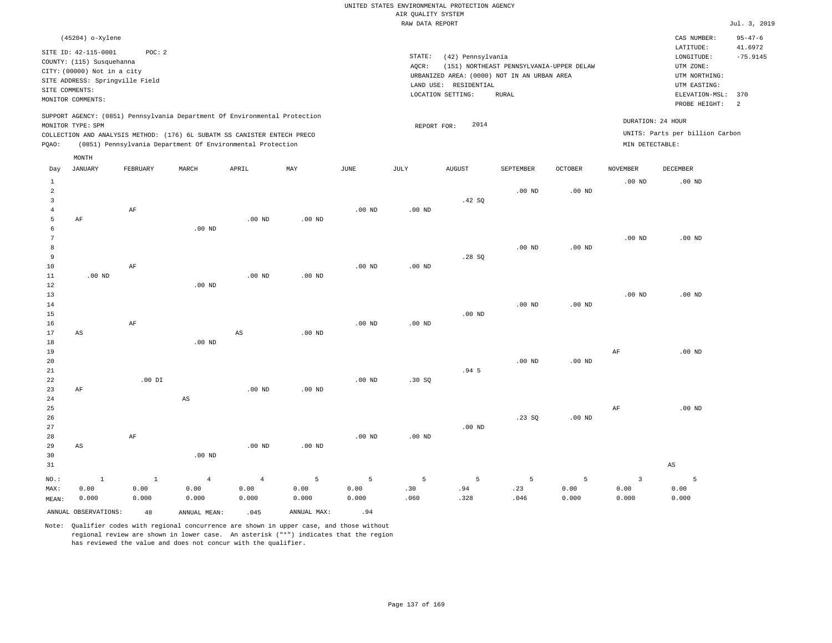| (45204) o-Xylene                                                                                                                                                                                                                                   |                                                                                                                                                                                        | CAS NUMBER:                                                                                                                                | $95 - 47 - 6$         |
|----------------------------------------------------------------------------------------------------------------------------------------------------------------------------------------------------------------------------------------------------|----------------------------------------------------------------------------------------------------------------------------------------------------------------------------------------|--------------------------------------------------------------------------------------------------------------------------------------------|-----------------------|
| SITE ID: 42-115-0001<br>POC:2<br>COUNTY: (115) Susquehanna<br>CITY: (00000) Not in a city<br>SITE ADDRESS: Springville Field<br>SITE COMMENTS:<br>MONITOR COMMENTS:                                                                                | STATE:<br>(42) Pennsylvania<br>(151) NORTHEAST PENNSYLVANIA-UPPER DELAW<br>AOCR:<br>URBANIZED AREA: (0000) NOT IN AN URBAN AREA<br>LAND USE: RESIDENTIAL<br>LOCATION SETTING:<br>RURAL | LATITUDE:<br>LONGITUDE:<br>UTM ZONE:<br>UTM NORTHING:<br>UTM EASTING:<br>ELEVATION-MSL: 370<br>PROBE HEIGHT:<br>$\overline{\phantom{0}}^2$ | 41.6972<br>$-75.9145$ |
| SUPPORT AGENCY: (0851) Pennsylvania Department Of Environmental Protection<br>MONITOR TYPE: SPM<br>COLLECTION AND ANALYSIS METHOD: (176) 6L SUBATM SS CANISTER ENTECH PRECO<br>(0851) Pennsylvania Department Of Environmental Protection<br>POAO: | 2014<br>REPORT FOR:                                                                                                                                                                    | DURATION: 24 HOUR<br>UNITS: Parts per billion Carbon<br>MIN DETECTABLE:                                                                    |                       |
| MONTH                                                                                                                                                                                                                                              |                                                                                                                                                                                        |                                                                                                                                            |                       |

| Day            | <b>JANUARY</b>         | FEBRUARY     | $\tt MARCH$            | APRIL          | MAY         | $_{\rm JUNE}$     | $_{\rm JULY}$ | ${\tt AUGUST}$ | SEPTEMBER         | OCTOBER  | NOVEMBER                | DECEMBER               |
|----------------|------------------------|--------------|------------------------|----------------|-------------|-------------------|---------------|----------------|-------------------|----------|-------------------------|------------------------|
| 1              |                        |              |                        |                |             |                   |               |                |                   |          | $.00$ ND                | $.00$ ND               |
| $\overline{a}$ |                        |              |                        |                |             |                   |               |                | $.00$ ND          | $.00$ ND |                         |                        |
| 3              |                        |              |                        |                |             |                   |               | .42 SQ         |                   |          |                         |                        |
| 4              |                        | $\rm AF$     |                        |                |             | $.00$ ND          | .00 $ND$      |                |                   |          |                         |                        |
| 5              | $\rm AF$               |              |                        | $.00$ ND       | $.00$ ND    |                   |               |                |                   |          |                         |                        |
| 6              |                        |              | $.00$ ND               |                |             |                   |               |                |                   |          |                         |                        |
| 7              |                        |              |                        |                |             |                   |               |                |                   |          | $.00$ ND                | $.00$ ND               |
| 8              |                        |              |                        |                |             |                   |               |                | .00 <sub>ND</sub> | .00 $ND$ |                         |                        |
| 9              |                        |              |                        |                |             |                   |               | .28SQ          |                   |          |                         |                        |
| $10$           |                        | AF           |                        |                |             | .00 <sub>ND</sub> | .00 $ND$      |                |                   |          |                         |                        |
| $11\,$         | $.00$ ND               |              |                        | $.00$ ND       | $.00$ ND    |                   |               |                |                   |          |                         |                        |
| 12             |                        |              | $.00$ ND               |                |             |                   |               |                |                   |          |                         |                        |
| 13             |                        |              |                        |                |             |                   |               |                |                   |          | $.00$ ND                | $.00$ ND               |
| 14             |                        |              |                        |                |             |                   |               |                | $.00$ ND          | $.00$ ND |                         |                        |
| 15             |                        |              |                        |                |             |                   |               | .00 $ND$       |                   |          |                         |                        |
| 16             |                        | $\rm AF$     |                        |                |             | $.00$ ND          | .00 $ND$      |                |                   |          |                         |                        |
| 17             | $\mathbb{A}\mathbb{S}$ |              |                        | $_{\rm AS}$    | $.00$ ND    |                   |               |                |                   |          |                         |                        |
| 18<br>19       |                        |              | $.00$ ND               |                |             |                   |               |                |                   |          |                         | $.00$ ND               |
| 20             |                        |              |                        |                |             |                   |               |                | $.00$ ND          | .00 $ND$ | AF                      |                        |
| $2\sqrt{1}$    |                        |              |                        |                |             |                   |               | .945           |                   |          |                         |                        |
| 22             |                        | $.00$ DI     |                        |                |             | $.00$ ND          | .30SQ         |                |                   |          |                         |                        |
| 23             | $\rm AF$               |              |                        | $.00$ ND       | $.00$ ND    |                   |               |                |                   |          |                         |                        |
| $2\,4$         |                        |              | $\mathbb{A}\mathbb{S}$ |                |             |                   |               |                |                   |          |                         |                        |
| 25             |                        |              |                        |                |             |                   |               |                |                   |          | $\rm{AF}$               | $.00$ ND               |
| 26             |                        |              |                        |                |             |                   |               |                | .23SQ             | .00 $ND$ |                         |                        |
| $2\,7$         |                        |              |                        |                |             |                   |               | .00 $ND$       |                   |          |                         |                        |
| 28             |                        | $\rm AF$     |                        |                |             | $.00$ ND          | .00 $ND$      |                |                   |          |                         |                        |
| 29             | $\mathbb{A}\mathbb{S}$ |              |                        | $.00$ ND       | $.00$ ND    |                   |               |                |                   |          |                         |                        |
| 30             |                        |              | $.00$ ND               |                |             |                   |               |                |                   |          |                         |                        |
| 31             |                        |              |                        |                |             |                   |               |                |                   |          |                         | $\mathbb{A}\mathbb{S}$ |
| $NO.$ :        | $\,$ 1                 | $\mathbf{1}$ | $\overline{4}$         | $\overline{4}$ | 5           | 5                 | 5             | 5              | 5                 | 5        | $\overline{\mathbf{3}}$ | 5                      |
| MAX:           | 0.00                   | 0.00         | 0.00                   | 0.00           | 0.00        | 0.00              | .30           | .94            | .23               | 0.00     | 0.00                    | 0.00                   |
| MEAN:          | 0.000                  | 0.000        | 0.000                  | 0.000          | 0.000       | 0.000             | .060          | .328           | .046              | 0.000    | 0.000                   | 0.000                  |
|                | ANNUAL OBSERVATIONS:   | 48           | ANNUAL MEAN:           | .045           | ANNUAL MAX: | .94               |               |                |                   |          |                         |                        |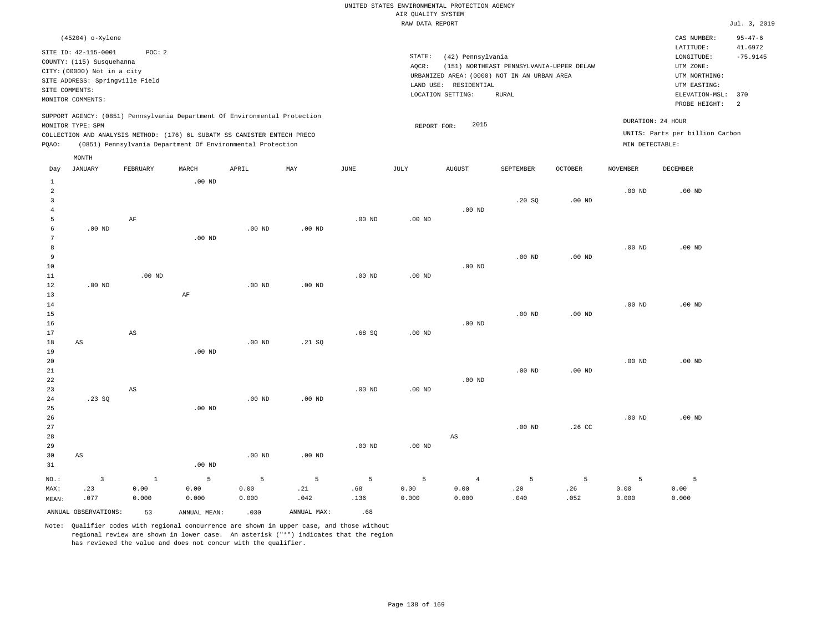| (45204) o-Xylene                                                                                                                                                                                                                                            |                                                                                                                                                                                        | CAS NUMBER:                                                                                                  | $95 - 47 - 6$                           |
|-------------------------------------------------------------------------------------------------------------------------------------------------------------------------------------------------------------------------------------------------------------|----------------------------------------------------------------------------------------------------------------------------------------------------------------------------------------|--------------------------------------------------------------------------------------------------------------|-----------------------------------------|
| SITE ID: 42-115-0001<br>POC:2<br>COUNTY: (115) Susquehanna<br>CITY: (00000) Not in a city<br>SITE ADDRESS: Springville Field<br>SITE COMMENTS:<br>MONITOR COMMENTS:                                                                                         | STATE:<br>(42) Pennsylvania<br>(151) NORTHEAST PENNSYLVANIA-UPPER DELAW<br>AOCR:<br>URBANIZED AREA: (0000) NOT IN AN URBAN AREA<br>LAND USE: RESIDENTIAL<br>LOCATION SETTING:<br>RURAL | LATITUDE:<br>LONGITUDE:<br>UTM ZONE:<br>UTM NORTHING:<br>UTM EASTING:<br>ELEVATION-MSL: 370<br>PROBE HEIGHT: | 41.6972<br>$-75.9145$<br>$\overline{2}$ |
| SUPPORT AGENCY: (0851) Pennsylvania Department Of Environmental Protection<br>MONITOR TYPE: SPM<br>COLLECTION AND ANALYSIS METHOD: (176) 6L SUBATM SS CANISTER ENTECH PRECO<br>(0851) Pennsylvania Department Of Environmental Protection<br>POAO:<br>MONTH | 2015<br>REPORT FOR:                                                                                                                                                                    | DURATION: 24 HOUR<br>UNITS: Parts per billion Carbon<br>MIN DETECTABLE:                                      |                                         |

| Day            | <b>JANUARY</b>          | FEBRUARY               | MARCH        | APRIL    | MAY         | $_{\rm JUNE}$ | $_{\rm JULY}$ | ${\tt AUGUST}$ | SEPTEMBER      | OCTOBER           | <b>NOVEMBER</b>   | DECEMBER |
|----------------|-------------------------|------------------------|--------------|----------|-------------|---------------|---------------|----------------|----------------|-------------------|-------------------|----------|
| 1              |                         |                        | $.00$ ND     |          |             |               |               |                |                |                   |                   |          |
| 2              |                         |                        |              |          |             |               |               |                |                |                   | .00 <sub>ND</sub> | $.00$ ND |
| 3              |                         |                        |              |          |             |               |               |                | .20SQ          | .00 <sub>ND</sub> |                   |          |
| $\overline{4}$ |                         |                        |              |          |             |               |               | $.00$ ND       |                |                   |                   |          |
| 5              |                         | $\rm AF$               |              |          |             | $.00$ ND      | $.00$ ND      |                |                |                   |                   |          |
| 6              | $.00$ ND                |                        |              | $.00$ ND | $.00$ ND    |               |               |                |                |                   |                   |          |
| 7              |                         |                        | $.00$ ND     |          |             |               |               |                |                |                   |                   |          |
| 8              |                         |                        |              |          |             |               |               |                |                |                   | .00 $ND$          | $.00$ ND |
| 9              |                         |                        |              |          |             |               |               |                | $.00$ ND       | $.00$ ND          |                   |          |
| 10             |                         |                        |              |          |             |               |               | $.00$ ND       |                |                   |                   |          |
| $11\,$         |                         | $.00$ ND               |              |          |             | $.00$ ND      | $.00$ ND      |                |                |                   |                   |          |
| 12             | .00 $ND$                |                        |              | .00 $ND$ | $.00$ ND    |               |               |                |                |                   |                   |          |
| 13             |                         |                        | $\rm AF$     |          |             |               |               |                |                |                   |                   |          |
| 14             |                         |                        |              |          |             |               |               |                |                |                   | $.00$ ND          | $.00$ ND |
| 15             |                         |                        |              |          |             |               |               |                | $.00$ ND       | $.00$ ND          |                   |          |
| $16$           |                         |                        |              |          |             |               |               | $.00$ ND       |                |                   |                   |          |
| 17             |                         | $\mathbb{A}\mathbb{S}$ |              |          |             | .68SQ         | $.00$ ND      |                |                |                   |                   |          |
| 18             | AS                      |                        | $.00$ ND     | $.00$ ND | .21 SQ      |               |               |                |                |                   |                   |          |
| 19<br>$20\,$   |                         |                        |              |          |             |               |               |                |                |                   | $.00$ ND          | $.00$ ND |
| $21\,$         |                         |                        |              |          |             |               |               |                | $.00$ ND       | .00 <sub>ND</sub> |                   |          |
| 22             |                         |                        |              |          |             |               |               | $.00$ ND       |                |                   |                   |          |
| 23             |                         | $\mathbb{A}\mathbb{S}$ |              |          |             | $.00$ ND      | $.00$ ND      |                |                |                   |                   |          |
| 24             | .23SQ                   |                        |              | .00 $ND$ | $.00$ ND    |               |               |                |                |                   |                   |          |
| 25             |                         |                        | $.00$ ND     |          |             |               |               |                |                |                   |                   |          |
| 26             |                         |                        |              |          |             |               |               |                |                |                   | $.00$ ND          | $.00$ ND |
| 27             |                         |                        |              |          |             |               |               |                | $.00$ ND       | .26 <sub>C</sub>  |                   |          |
| 28             |                         |                        |              |          |             |               |               | AS             |                |                   |                   |          |
| 29             |                         |                        |              |          |             | $.00$ ND      | $.00$ ND      |                |                |                   |                   |          |
| 30             | $\mathbb{A}\mathbb{S}$  |                        |              | $.00$ ND | $.00$ ND    |               |               |                |                |                   |                   |          |
| 31             |                         |                        | $.00$ ND     |          |             |               |               |                |                |                   |                   |          |
| $_{\rm NO.}$ : | $\overline{\mathbf{3}}$ | $1\,$                  | 5            | 5        | 5           | 5             | 5             | $\overline{4}$ | $\overline{5}$ | $\overline{5}$    | 5                 | 5        |
| MAX:           | .23                     | 0.00                   | 0.00         | 0.00     | .21         | .68           | 0.00          | 0.00           | .20            | .26               | 0.00              | 0.00     |
| MEAN:          | .077                    | 0.000                  | 0.000        | 0.000    | .042        | .136          | 0.000         | 0.000          | .040           | .052              | 0.000             | 0.000    |
|                | ANNUAL OBSERVATIONS:    | 53                     | ANNUAL MEAN: | .030     | ANNUAL MAX: | .68           |               |                |                |                   |                   |          |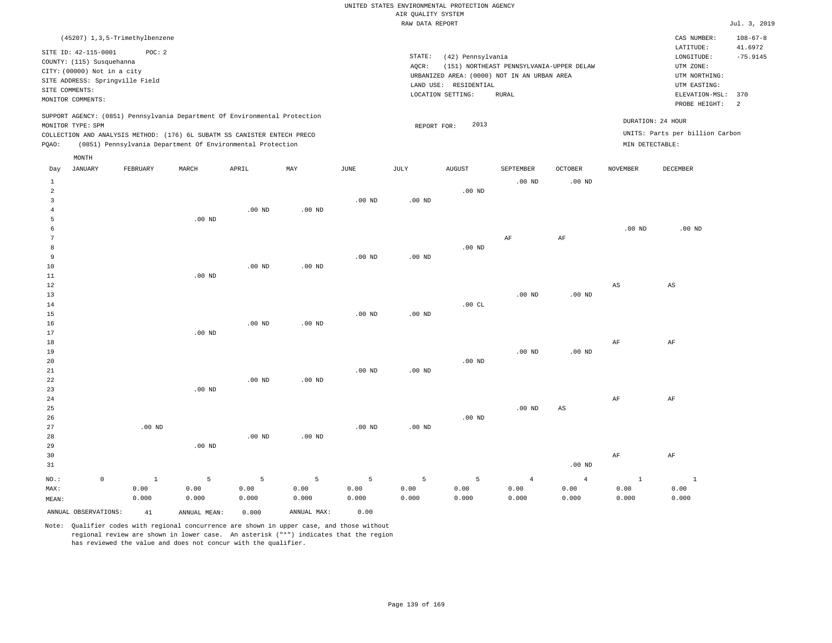|                |                                 | (45207) 1,3,5-Trimethylbenzene |       |                                                                            |          |          |          |                       |                                             |                |                   | CAS NUMBER:                     | $108 - 67 - 8$ |
|----------------|---------------------------------|--------------------------------|-------|----------------------------------------------------------------------------|----------|----------|----------|-----------------------|---------------------------------------------|----------------|-------------------|---------------------------------|----------------|
|                | SITE ID: 42-115-0001            | POC:2                          |       |                                                                            |          |          |          |                       |                                             |                |                   | LATITUDE:                       | 41.6972        |
|                | COUNTY: (115) Susquehanna       |                                |       |                                                                            |          |          | STATE:   | (42) Pennsylvania     |                                             |                |                   | LONGITUDE:                      | $-75.9145$     |
|                | CITY: (00000) Not in a city     |                                |       |                                                                            |          |          | AQCR:    |                       | (151) NORTHEAST PENNSYLVANIA-UPPER DELAW    |                |                   | UTM ZONE:                       |                |
|                | SITE ADDRESS: Springville Field |                                |       |                                                                            |          |          |          |                       | URBANIZED AREA: (0000) NOT IN AN URBAN AREA |                |                   | UTM NORTHING:                   |                |
| SITE COMMENTS: |                                 |                                |       |                                                                            |          |          |          | LAND USE: RESIDENTIAL |                                             |                |                   | UTM EASTING:                    |                |
|                | MONITOR COMMENTS:               |                                |       |                                                                            |          |          |          | LOCATION SETTING:     | RURAL                                       |                |                   | ELEVATION-MSL:                  | 370            |
|                |                                 |                                |       |                                                                            |          |          |          |                       |                                             |                |                   | PROBE HEIGHT:                   | 2              |
|                |                                 |                                |       | SUPPORT AGENCY: (0851) Pennsylvania Department Of Environmental Protection |          |          |          |                       |                                             |                | DURATION: 24 HOUR |                                 |                |
|                | MONITOR TYPE: SPM               |                                |       |                                                                            |          |          |          | 2013<br>REPORT FOR:   |                                             |                |                   |                                 |                |
|                |                                 |                                |       | COLLECTION AND ANALYSIS METHOD: (176) 6L SUBATM SS CANISTER ENTECH PRECO   |          |          |          |                       |                                             |                |                   | UNITS: Parts per billion Carbon |                |
| POAO:          |                                 |                                |       | (0851) Pennsylvania Department Of Environmental Protection                 |          |          |          |                       |                                             |                | MIN DETECTABLE:   |                                 |                |
|                | MONTH                           |                                |       |                                                                            |          |          |          |                       |                                             |                |                   |                                 |                |
| Dav            | JANUARY                         | FEBRUARY                       | MARCH | APRIL                                                                      | MAY      | JUNE     | JULY     | <b>AUGUST</b>         | SEPTEMBER                                   | <b>OCTOBER</b> | NOVEMBER          | <b>DECEMBER</b>                 |                |
|                |                                 |                                |       |                                                                            |          |          |          |                       | $.00$ ND                                    | $.00$ ND       |                   |                                 |                |
| $\overline{2}$ |                                 |                                |       |                                                                            |          |          |          | $.00$ ND              |                                             |                |                   |                                 |                |
|                |                                 |                                |       |                                                                            |          | $.00$ ND | $.00$ ND |                       |                                             |                |                   |                                 |                |
|                |                                 |                                |       | $.00$ ND                                                                   | $.00$ ND |          |          |                       |                                             |                |                   |                                 |                |

 6 7 8 9 .00 ND .00 ND .00 ND AF AF .00 ND .00 ND

| 10         |          |          | $.00$ ND | $.00$ ND |          |          |          |          |          |    |                        |
|------------|----------|----------|----------|----------|----------|----------|----------|----------|----------|----|------------------------|
| 11         |          | $.00$ ND |          |          |          |          |          |          |          |    |                        |
| 12         |          |          |          |          |          |          |          |          |          | AS | $\mathbb{A}\mathbb{S}$ |
| 13         |          |          |          |          |          |          |          | $.00$ ND | $.00$ ND |    |                        |
| 14         |          |          |          |          |          |          | .00 $CL$ |          |          |    |                        |
| $15\,$     |          |          |          |          | $.00$ ND | $.00$ ND |          |          |          |    |                        |
| 16         |          |          | $.00$ ND | $.00$ ND |          |          |          |          |          |    |                        |
| $17$       |          | $.00$ ND |          |          |          |          |          |          |          |    |                        |
| $18\,$     |          |          |          |          |          |          |          |          |          | AF | AF                     |
| 19         |          |          |          |          |          |          |          | $.00$ ND | .00 $ND$ |    |                        |
| $20\,$     |          |          |          |          |          |          | $.00$ ND |          |          |    |                        |
| ${\bf 21}$ |          |          |          |          | $.00$ ND | $.00$ ND |          |          |          |    |                        |
| 22         |          |          | $.00$ ND | $.00$ ND |          |          |          |          |          |    |                        |
| 23         |          | $.00$ ND |          |          |          |          |          |          |          |    |                        |
| 24         |          |          |          |          |          |          |          |          |          | AF | AF                     |
| $25\,$     |          |          |          |          |          |          |          | $.00$ ND | AS       |    |                        |
| 26         |          |          |          |          |          |          | $.00$ ND |          |          |    |                        |
| 27         | $.00$ ND |          |          |          | $.00$ ND | $.00$ ND |          |          |          |    |                        |
| 28         |          |          | $.00$ ND | $.00$ ND |          |          |          |          |          |    |                        |

| 29      |                |          | $.00$ ND |         |       |             |       |          |       |          |       |              |
|---------|----------------|----------|----------|---------|-------|-------------|-------|----------|-------|----------|-------|--------------|
| 30      |                |          |          |         |       |             |       |          |       |          | AF    | AF           |
| 31      |                |          |          |         |       |             |       |          |       | $.00$ ND |       |              |
| $NO.$ : | $\overline{0}$ | $\sim$ 1 | $5 - 5$  | $5 - 5$ |       | $555$ $555$ |       | $5 \t 4$ |       | 4        |       | $\mathbf{1}$ |
| MAX:    |                | 0.00     | 0.00     | 0.00    | 0.00  | 0.00        | 0.00  | 0.00     | 0.00  | 0.00     | 0.00  | 0.00         |
| MEAN:   |                | 0.000    | 0.000    | 0.000   | 0.000 | 0.000       | 0.000 | 0.000    | 0.000 | 0.000    | 0.000 | 0.000        |

ANNUAL OBSERVATIONS: 41 ANNUAL MEAN: 0.000 ANNUAL MAX: 0.00

.00 ND

5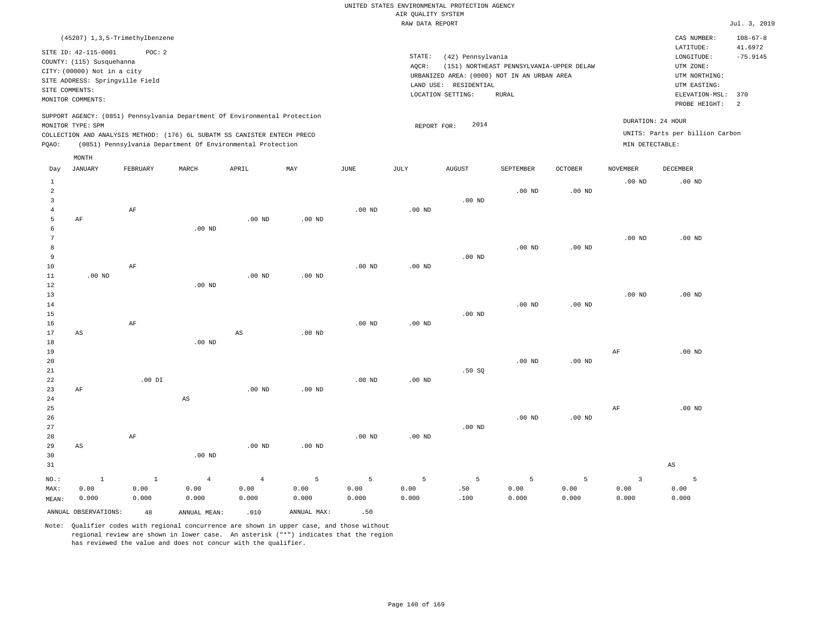| (45207) 1,3,5-Trimethylbenzene                                                                                                                                                                                                                              |                                                                                                                                                                                        | CAS NUMBER:                                                                                                  | $108 - 67 - 8$               |
|-------------------------------------------------------------------------------------------------------------------------------------------------------------------------------------------------------------------------------------------------------------|----------------------------------------------------------------------------------------------------------------------------------------------------------------------------------------|--------------------------------------------------------------------------------------------------------------|------------------------------|
| SITE ID: 42-115-0001<br>POC:2<br>COUNTY: (115) Susquehanna<br>CITY: (00000) Not in a city<br>SITE ADDRESS: Springville Field<br>SITE COMMENTS:<br>MONITOR COMMENTS:                                                                                         | STATE:<br>(42) Pennsylvania<br>(151) NORTHEAST PENNSYLVANIA-UPPER DELAW<br>AOCR:<br>URBANIZED AREA: (0000) NOT IN AN URBAN AREA<br>LAND USE: RESIDENTIAL<br>LOCATION SETTING:<br>RURAL | LATITUDE:<br>LONGITUDE:<br>UTM ZONE:<br>UTM NORTHING:<br>UTM EASTING:<br>ELEVATION-MSL: 370<br>PROBE HEIGHT: | 41.6972<br>$-75.9145$<br>- 2 |
| SUPPORT AGENCY: (0851) Pennsylvania Department Of Environmental Protection<br>MONITOR TYPE: SPM<br>COLLECTION AND ANALYSIS METHOD: (176) 6L SUBATM SS CANISTER ENTECH PRECO<br>(0851) Pennsylvania Department Of Environmental Protection<br>POAO:<br>MONTH | 2014<br>REPORT FOR:                                                                                                                                                                    | DURATION: 24 HOUR<br>UNITS: Parts per billion Carbon<br>MIN DETECTABLE:                                      |                              |

| Day            | JANUARY                | FEBRUARY      | MARCH                  | APRIL          | MAY                 | JUNE          | JULY              | AUGUST             | SEPTEMBER         | OCTOBER       | NOVEMBER                | DECEMBER               |
|----------------|------------------------|---------------|------------------------|----------------|---------------------|---------------|-------------------|--------------------|-------------------|---------------|-------------------------|------------------------|
| $\mathbf{1}$   |                        |               |                        |                |                     |               |                   |                    |                   |               | $.00$ ND                | $.00$ ND               |
| $\sqrt{2}$     |                        |               |                        |                |                     |               |                   |                    | .00 <sub>ND</sub> | $.00$ ND      |                         |                        |
| 3              |                        |               |                        |                |                     |               |                   | $.00$ ND           |                   |               |                         |                        |
| $\overline{4}$ |                        | $\rm{AF}$     |                        |                |                     | $.00$ ND      | .00 <sub>ND</sub> |                    |                   |               |                         |                        |
| 5              | $\rm AF$               |               |                        | $.00$ ND       | $.00$ ND            |               |                   |                    |                   |               |                         |                        |
| 6              |                        |               | .00 <sub>ND</sub>      |                |                     |               |                   |                    |                   |               |                         |                        |
| 7              |                        |               |                        |                |                     |               |                   |                    |                   |               | $.00$ ND                | $.00$ ND               |
| 8              |                        |               |                        |                |                     |               |                   |                    | $.00$ ND          | $.00$ ND      |                         |                        |
| 9              |                        |               |                        |                |                     |               |                   | $.00$ ND           |                   |               |                         |                        |
| 10             |                        | $\rm{AF}$     |                        |                |                     | $.00$ ND      | $.00$ ND          |                    |                   |               |                         |                        |
| 11             | $.00$ ND               |               |                        | $.00$ ND       | $.00$ ND            |               |                   |                    |                   |               |                         |                        |
| $1\,2$         |                        |               | $.00$ ND               |                |                     |               |                   |                    |                   |               |                         |                        |
| $13$           |                        |               |                        |                |                     |               |                   |                    |                   |               | $.00$ ND                | $.00$ ND               |
| 14             |                        |               |                        |                |                     |               |                   |                    | $.00$ ND          | $.00$ ND      |                         |                        |
| 15             |                        |               |                        |                |                     |               |                   | $.00$ ND           |                   |               |                         |                        |
| 16             |                        | $\rm{AF}$     |                        |                |                     | $.00$ ND      | .00 <sub>ND</sub> |                    |                   |               |                         |                        |
| 17             | $\mathbb{A}\mathbb{S}$ |               |                        | AS             | $.00$ ND            |               |                   |                    |                   |               |                         |                        |
| 18             |                        |               | $.00$ ND               |                |                     |               |                   |                    |                   |               |                         |                        |
| 19             |                        |               |                        |                |                     |               |                   |                    |                   |               | $\rm{AF}$               | $.00$ ND               |
| 20<br>21       |                        |               |                        |                |                     |               |                   |                    | $.00$ ND          | $.00$ ND      |                         |                        |
| 22             |                        | .00 DI        |                        |                |                     | $.00$ ND      | $.00$ ND          | .50S               |                   |               |                         |                        |
| 23             | $\rm AF$               |               |                        | $.00$ ND       | $.00$ ND            |               |                   |                    |                   |               |                         |                        |
| 24             |                        |               | $\mathbb{A}\mathbb{S}$ |                |                     |               |                   |                    |                   |               |                         |                        |
| 25             |                        |               |                        |                |                     |               |                   |                    |                   |               | AF                      | $.00$ ND               |
| 26             |                        |               |                        |                |                     |               |                   |                    | $.00$ ND          | $.00$ ND      |                         |                        |
| 27             |                        |               |                        |                |                     |               |                   | $.00$ ND           |                   |               |                         |                        |
| 28             |                        | $\rm AF$      |                        |                |                     | $.00$ ND      | $.00$ ND          |                    |                   |               |                         |                        |
| 29             | $_{\rm AS}$            |               |                        | $.00$ ND       | $.00$ ND            |               |                   |                    |                   |               |                         |                        |
| 30             |                        |               | .00 <sub>ND</sub>      |                |                     |               |                   |                    |                   |               |                         |                        |
| 31             |                        |               |                        |                |                     |               |                   |                    |                   |               |                         | $\mathbb{A}\mathbb{S}$ |
|                |                        |               |                        |                |                     |               |                   |                    |                   |               |                         |                        |
| $NO.$ :        | $\,$ 1                 | $1\,$         | $\overline{4}$<br>0.00 | $\overline{4}$ | $\mathsf S$<br>0.00 | $\mathsf S$   | 5                 | $\mathsf S$<br>.50 | $\mathsf S$       | 5             | $\overline{\mathbf{3}}$ | 5                      |
| MAX:           | 0.00                   | 0.00<br>0.000 | 0.000                  | 0.00<br>0.000  | 0.000               | 0.00<br>0.000 | 0.00<br>0.000     | .100               | 0.00<br>0.000     | 0.00<br>0.000 | 0.00<br>0.000           | 0.00<br>0.000          |
| MEAN:          | 0.000                  |               |                        |                |                     |               |                   |                    |                   |               |                         |                        |
|                | ANNUAL OBSERVATIONS:   | 48            | ANNUAL MEAN:           | .010           | ANNUAL MAX:         | .50           |                   |                    |                   |               |                         |                        |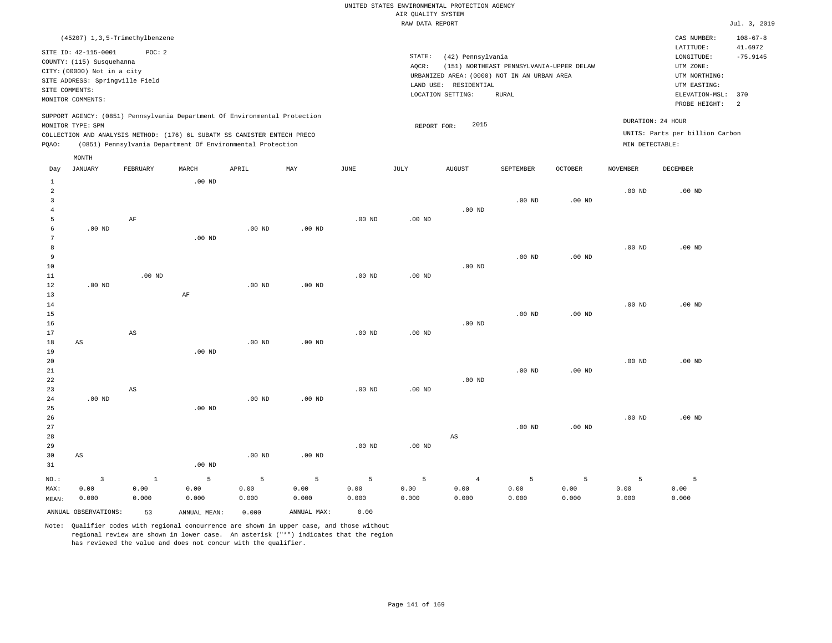| (45207) 1,3,5-Trimethylbenzene                                                                                                                                                                                                                              |                                                                                                                                                                                        | $108 - 67 - 8$<br>CAS NUMBER:                                                                                                                 |  |
|-------------------------------------------------------------------------------------------------------------------------------------------------------------------------------------------------------------------------------------------------------------|----------------------------------------------------------------------------------------------------------------------------------------------------------------------------------------|-----------------------------------------------------------------------------------------------------------------------------------------------|--|
| SITE ID: 42-115-0001<br>POC:2<br>COUNTY: (115) Susquehanna<br>CITY: (00000) Not in a city<br>SITE ADDRESS: Springville Field<br>SITE COMMENTS:<br>MONITOR COMMENTS:                                                                                         | STATE:<br>(42) Pennsylvania<br>AOCR:<br>(151) NORTHEAST PENNSYLVANIA-UPPER DELAW<br>URBANIZED AREA: (0000) NOT IN AN URBAN AREA<br>LAND USE: RESIDENTIAL<br>LOCATION SETTING:<br>RURAL | LATITUDE:<br>41.6972<br>$-75.9145$<br>LONGITUDE:<br>UTM ZONE:<br>UTM NORTHING:<br>UTM EASTING:<br>ELEVATION-MSL: 370<br>- 2.<br>PROBE HEIGHT: |  |
| SUPPORT AGENCY: (0851) Pennsylvania Department Of Environmental Protection<br>MONITOR TYPE: SPM<br>COLLECTION AND ANALYSIS METHOD: (176) 6L SUBATM SS CANISTER ENTECH PRECO<br>(0851) Pennsylvania Department Of Environmental Protection<br>POAO:<br>MONTH | 2015<br>REPORT FOR:                                                                                                                                                                    | DURATION: 24 HOUR<br>UNITS: Parts per billion Carbon<br>MIN DETECTABLE:                                                                       |  |

| Day            | JANUARY                | FEBRUARY               | MARCH        | APRIL             | MAY         | JUNE     | JULY              | AUGUST                 | SEPTEMBER | OCTOBER           | NOVEMBER | DECEMBER |
|----------------|------------------------|------------------------|--------------|-------------------|-------------|----------|-------------------|------------------------|-----------|-------------------|----------|----------|
| $\mathbf{1}$   |                        |                        | $.00$ ND     |                   |             |          |                   |                        |           |                   |          |          |
| $\overline{a}$ |                        |                        |              |                   |             |          |                   |                        |           |                   | $.00$ ND | $.00$ ND |
| 3              |                        |                        |              |                   |             |          |                   |                        | $.00$ ND  | .00 <sub>ND</sub> |          |          |
| $\bf 4$        |                        |                        |              |                   |             |          |                   | $.00$ ND               |           |                   |          |          |
| 5              |                        | $\rm{AF}$              |              |                   |             | $.00$ ND | .00 <sub>ND</sub> |                        |           |                   |          |          |
| 6              | $.00$ ND               |                        |              | .00 <sub>ND</sub> | $.00$ ND    |          |                   |                        |           |                   |          |          |
| 7              |                        |                        | $.00$ ND     |                   |             |          |                   |                        |           |                   |          |          |
| 8              |                        |                        |              |                   |             |          |                   |                        |           |                   | $.00$ ND | $.00$ ND |
| 9              |                        |                        |              |                   |             |          |                   |                        | $.00$ ND  | .00 <sub>ND</sub> |          |          |
| $10$           |                        |                        |              |                   |             |          |                   | $.00$ ND               |           |                   |          |          |
| $11\,$         |                        | $.00$ ND               |              |                   |             | $.00$ ND | .00 <sub>ND</sub> |                        |           |                   |          |          |
| 12             | $.00$ ND               |                        |              | .00 <sub>ND</sub> | $.00$ ND    |          |                   |                        |           |                   |          |          |
| 13             |                        |                        | $\rm{AF}$    |                   |             |          |                   |                        |           |                   |          |          |
| 14             |                        |                        |              |                   |             |          |                   |                        |           |                   | $.00$ ND | $.00$ ND |
| 15             |                        |                        |              |                   |             |          |                   |                        | $.00$ ND  | .00 <sub>ND</sub> |          |          |
| 16             |                        |                        |              |                   |             |          |                   | $.00$ ND               |           |                   |          |          |
| 17             |                        | $\mathbb{A}\mathbb{S}$ |              |                   |             | $.00$ ND | .00 <sub>ND</sub> |                        |           |                   |          |          |
| 18             | $\mathbb{A}\mathbb{S}$ |                        |              | .00 <sub>ND</sub> | $.00$ ND    |          |                   |                        |           |                   |          |          |
| 19             |                        |                        | .00 $ND$     |                   |             |          |                   |                        |           |                   |          |          |
| 20             |                        |                        |              |                   |             |          |                   |                        |           |                   | $.00$ ND | $.00$ ND |
| $2\sqrt{1}$    |                        |                        |              |                   |             |          |                   |                        | $.00$ ND  | .00 <sub>ND</sub> |          |          |
| $2\sqrt{2}$    |                        |                        |              |                   |             |          |                   | $.00~\mathrm{ND}$      |           |                   |          |          |
| 23             |                        | AS                     |              |                   |             | $.00$ ND | .00 <sub>ND</sub> |                        |           |                   |          |          |
| 24             | .00 $ND$               |                        |              | $.00$ ND          | $.00$ ND    |          |                   |                        |           |                   |          |          |
| 25             |                        |                        | $.00$ ND     |                   |             |          |                   |                        |           |                   |          |          |
| 26             |                        |                        |              |                   |             |          |                   |                        |           |                   | $.00$ ND | $.00$ ND |
| 27             |                        |                        |              |                   |             |          |                   |                        | $.00$ ND  | .00 <sub>ND</sub> |          |          |
| 28             |                        |                        |              |                   |             |          |                   | $\mathbb{A}\mathbb{S}$ |           |                   |          |          |
| 29             |                        |                        |              |                   |             | $.00$ ND | $.00$ ND          |                        |           |                   |          |          |
| 30             | $\mathbb{A}\mathbb{S}$ |                        |              | $.00$ ND          | $.00$ ND    |          |                   |                        |           |                   |          |          |
| 31             |                        |                        | $.00$ ND     |                   |             |          |                   |                        |           |                   |          |          |
| $_{\rm NO.}$ : | $\mathsf 3$            | $\,1\,$                | $\mathsf S$  | 5                 | 5           | 5        | $\overline{5}$    | $\overline{4}$         | 5         | 5                 | 5        | 5        |
| MAX:           | 0.00                   | 0.00                   | 0.00         | 0.00              | 0.00        | 0.00     | 0.00              | 0.00                   | 0.00      | 0.00              | 0.00     | 0.00     |
| MEAN:          | 0.000                  | 0.000                  | 0.000        | 0.000             | 0.000       | 0.000    | 0.000             | 0.000                  | 0.000     | 0.000             | 0.000    | 0.000    |
|                | ANNUAL OBSERVATIONS:   | 53                     | ANNUAL MEAN: | 0.000             | ANNUAL MAX: | 0.00     |                   |                        |           |                   |          |          |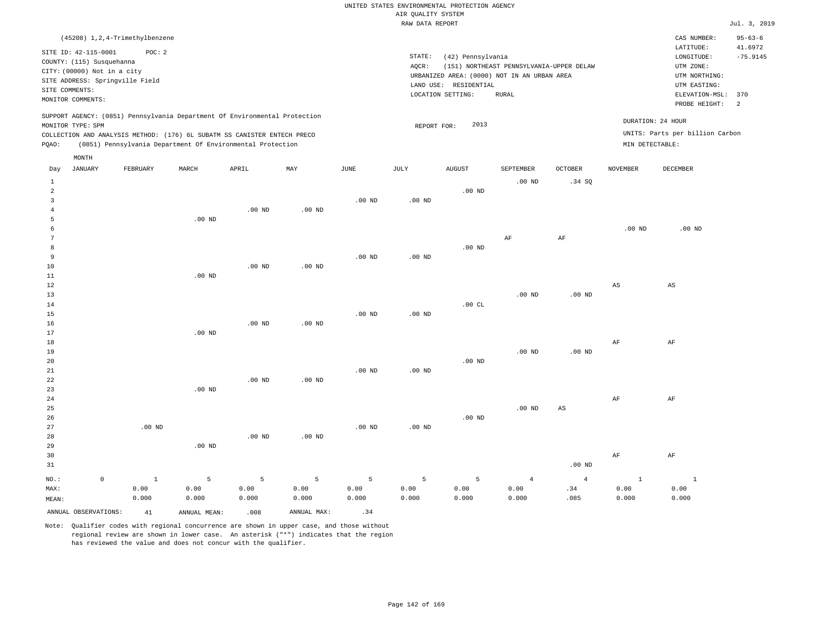|                |                             |                                  |                   |                                                                            |                   |                   | RAW DATA REPORT |                       |                                             |                   |                        |                                 | Jul. 3, 2019             |
|----------------|-----------------------------|----------------------------------|-------------------|----------------------------------------------------------------------------|-------------------|-------------------|-----------------|-----------------------|---------------------------------------------|-------------------|------------------------|---------------------------------|--------------------------|
|                |                             | (45208) 1, 2, 4-Trimethylbenzene |                   |                                                                            |                   |                   |                 |                       |                                             |                   |                        | CAS NUMBER:<br>LATITUDE:        | $95 - 63 - 6$<br>41.6972 |
|                | SITE ID: 42-115-0001        | POC: 2                           |                   |                                                                            |                   |                   | STATE:          | (42) Pennsylvania     |                                             |                   |                        | LONGITUDE:                      | $-75.9145$               |
|                | COUNTY: (115) Susquehanna   |                                  |                   |                                                                            |                   |                   | AQCR:           |                       | (151) NORTHEAST PENNSYLVANIA-UPPER DELAW    |                   |                        | UTM ZONE:                       |                          |
|                | CITY: (00000) Not in a city |                                  |                   |                                                                            |                   |                   |                 |                       | URBANIZED AREA: (0000) NOT IN AN URBAN AREA |                   |                        | UTM NORTHING:                   |                          |
|                | SITE COMMENTS:              | SITE ADDRESS: Springville Field  |                   |                                                                            |                   |                   |                 | LAND USE: RESIDENTIAL |                                             |                   |                        | UTM EASTING:                    |                          |
|                | MONITOR COMMENTS:           |                                  |                   |                                                                            |                   |                   |                 | LOCATION SETTING:     | <b>RURAL</b>                                |                   |                        | ELEVATION-MSL:                  | 370                      |
|                |                             |                                  |                   |                                                                            |                   |                   |                 |                       |                                             |                   |                        | PROBE HEIGHT:                   | $\overline{a}$           |
|                |                             |                                  |                   | SUPPORT AGENCY: (0851) Pennsylvania Department Of Environmental Protection |                   |                   |                 |                       |                                             |                   |                        | DURATION: 24 HOUR               |                          |
|                | MONITOR TYPE: SPM           |                                  |                   |                                                                            |                   |                   | REPORT FOR:     | 2013                  |                                             |                   |                        |                                 |                          |
|                |                             |                                  |                   | COLLECTION AND ANALYSIS METHOD: (176) 6L SUBATM SS CANISTER ENTECH PRECO   |                   |                   |                 |                       |                                             |                   |                        | UNITS: Parts per billion Carbon |                          |
| PQAO:          |                             |                                  |                   | (0851) Pennsylvania Department Of Environmental Protection                 |                   |                   |                 |                       |                                             |                   | MIN DETECTABLE:        |                                 |                          |
|                | MONTH                       |                                  |                   |                                                                            |                   |                   |                 |                       |                                             |                   |                        |                                 |                          |
| Day            | JANUARY                     | FEBRUARY                         | MARCH             | APRIL                                                                      | MAY               | JUNE              | JULY            | <b>AUGUST</b>         | SEPTEMBER                                   | <b>OCTOBER</b>    | <b>NOVEMBER</b>        | DECEMBER                        |                          |
| $\mathbf{1}$   |                             |                                  |                   |                                                                            |                   |                   |                 |                       | .00 <sub>ND</sub>                           | .34SQ             |                        |                                 |                          |
| $\overline{a}$ |                             |                                  |                   |                                                                            |                   |                   |                 | .00 <sub>ND</sub>     |                                             |                   |                        |                                 |                          |
| 3              |                             |                                  |                   |                                                                            |                   | .00 <sub>ND</sub> | $.00$ ND        |                       |                                             |                   |                        |                                 |                          |
| $\overline{4}$ |                             |                                  |                   | $.00$ ND                                                                   | .00 <sub>ND</sub> |                   |                 |                       |                                             |                   |                        |                                 |                          |
| 5              |                             |                                  | $.00$ ND          |                                                                            |                   |                   |                 |                       |                                             |                   |                        |                                 |                          |
| 6              |                             |                                  |                   |                                                                            |                   |                   |                 |                       |                                             |                   | .00 <sub>ND</sub>      | $.00$ ND                        |                          |
| 7              |                             |                                  |                   |                                                                            |                   |                   |                 |                       | AF                                          | AF                |                        |                                 |                          |
| 8              |                             |                                  |                   |                                                                            |                   |                   |                 | .00 <sub>ND</sub>     |                                             |                   |                        |                                 |                          |
| 9              |                             |                                  |                   | $.00$ ND                                                                   |                   | $.00$ ND          | $.00$ ND        |                       |                                             |                   |                        |                                 |                          |
| 10<br>11       |                             |                                  | $.00$ ND          |                                                                            | .00 <sub>ND</sub> |                   |                 |                       |                                             |                   |                        |                                 |                          |
| 12             |                             |                                  |                   |                                                                            |                   |                   |                 |                       |                                             |                   | $\mathbb{A}\mathbb{S}$ | $_{\rm AS}$                     |                          |
| 13             |                             |                                  |                   |                                                                            |                   |                   |                 |                       | $.00$ ND                                    | $.00$ ND          |                        |                                 |                          |
| 14             |                             |                                  |                   |                                                                            |                   |                   |                 | .00CL                 |                                             |                   |                        |                                 |                          |
| 15             |                             |                                  |                   |                                                                            |                   | .00 <sub>ND</sub> | $.00$ ND        |                       |                                             |                   |                        |                                 |                          |
| 16             |                             |                                  |                   | $.00$ ND                                                                   | $.00$ ND          |                   |                 |                       |                                             |                   |                        |                                 |                          |
| 17             |                             |                                  | $.00$ ND          |                                                                            |                   |                   |                 |                       |                                             |                   |                        |                                 |                          |
| 18             |                             |                                  |                   |                                                                            |                   |                   |                 |                       |                                             |                   | $\rm AF$               | AF                              |                          |
| 19             |                             |                                  |                   |                                                                            |                   |                   |                 |                       | $.00$ ND                                    | $.00$ ND          |                        |                                 |                          |
| 20             |                             |                                  |                   |                                                                            |                   |                   |                 | .00 <sub>ND</sub>     |                                             |                   |                        |                                 |                          |
| 21             |                             |                                  |                   | .00 <sub>ND</sub>                                                          |                   | .00 <sub>ND</sub> | $.00$ ND        |                       |                                             |                   |                        |                                 |                          |
| 22<br>23       |                             |                                  | .00 <sub>ND</sub> |                                                                            | .00 <sub>ND</sub> |                   |                 |                       |                                             |                   |                        |                                 |                          |
| 24             |                             |                                  |                   |                                                                            |                   |                   |                 |                       |                                             |                   | $\rm AF$               | AF                              |                          |
| 25             |                             |                                  |                   |                                                                            |                   |                   |                 |                       | $.00$ ND                                    | $_{\rm AS}$       |                        |                                 |                          |
| 26             |                             |                                  |                   |                                                                            |                   |                   |                 | .00 <sub>ND</sub>     |                                             |                   |                        |                                 |                          |
| 27             |                             | $.00$ ND                         |                   |                                                                            |                   | .00 <sub>ND</sub> | $.00$ ND        |                       |                                             |                   |                        |                                 |                          |
| 28             |                             |                                  |                   | .00 <sub>ND</sub>                                                          | .00 <sub>ND</sub> |                   |                 |                       |                                             |                   |                        |                                 |                          |
| 29             |                             |                                  | .00 <sub>ND</sub> |                                                                            |                   |                   |                 |                       |                                             |                   |                        |                                 |                          |
| 30             |                             |                                  |                   |                                                                            |                   |                   |                 |                       |                                             |                   | $\rm AF$               | AF                              |                          |
| 31             |                             |                                  |                   |                                                                            |                   |                   |                 |                       |                                             | .00 <sub>ND</sub> |                        |                                 |                          |
| NO.:           | $\circ$                     | $\mathbf{1}$                     | 5                 | 5                                                                          | 5                 | 5                 | 5               | 5                     | $\overline{4}$                              | $\overline{4}$    | $\mathbf{1}$           | $\mathbf{1}$                    |                          |
| MAX:           |                             | 0.00                             | 0.00              | 0.00                                                                       | 0.00              | 0.00              | 0.00            | 0.00                  | 0.00                                        | .34               | 0.00                   | 0.00                            |                          |

MEAN: 0.000 0.000 0.000 0.000 0.000 0.000 0.000 ANNUAL OBSERVATIONS:  $41$  ANNUAL MEAN: .008 ANNUAL MAX: .34

Note: Qualifier codes with regional concurrence are shown in upper case, and those without regional review are shown in lower case. An asterisk ("\*") indicates that the region has reviewed the value and does not concur with the qualifier.

0.000

.085

0.000

0.000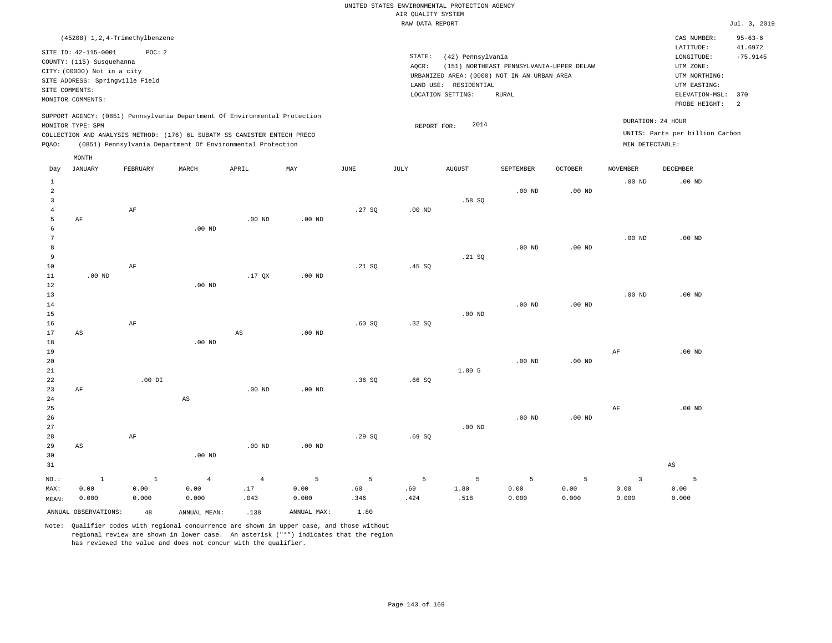| (45208) 1, 2, 4-Trimethylbenzene                                                                                                                                                                                                                            |                                                                                                                                                                                           | CAS NUMBER:                                                                                                  | $95 - 63 - 6$                           |
|-------------------------------------------------------------------------------------------------------------------------------------------------------------------------------------------------------------------------------------------------------------|-------------------------------------------------------------------------------------------------------------------------------------------------------------------------------------------|--------------------------------------------------------------------------------------------------------------|-----------------------------------------|
| SITE ID: 42-115-0001<br>POC:2<br>COUNTY: (115) Susquehanna<br>CITY: (00000) Not in a city<br>SITE ADDRESS: Springville Field<br>SITE COMMENTS:<br>MONITOR COMMENTS:                                                                                         | STATE:<br>(42) Pennsylvania<br>(151) NORTHEAST PENNSYLVANIA-UPPER DELAW<br>AOCR:<br>URBANIZED AREA: (0000) NOT IN AN URBAN AREA<br>LAND USE:<br>RESIDENTIAL<br>LOCATION SETTING:<br>RURAL | LATITUDE:<br>LONGITUDE:<br>UTM ZONE:<br>UTM NORTHING:<br>UTM EASTING:<br>ELEVATION-MSL: 370<br>PROBE HEIGHT: | 41.6972<br>$-75.9145$<br>$\overline{2}$ |
| SUPPORT AGENCY: (0851) Pennsylvania Department Of Environmental Protection<br>MONITOR TYPE: SPM<br>COLLECTION AND ANALYSIS METHOD: (176) 6L SUBATM SS CANISTER ENTECH PRECO<br>(0851) Pennsylvania Department Of Environmental Protection<br>POAO:<br>MONTH | 2014<br>REPORT FOR:                                                                                                                                                                       | DURATION: 24 HOUR<br>UNITS: Parts per billion Carbon<br>MIN DETECTABLE:                                      |                                         |

| Day                                                | JANUARY                      | FEBRUARY                | MARCH                           | APRIL                         | MAY                | $_{\rm JUNE}$    | JULY             | AUGUST            | SEPTEMBER          | OCTOBER            | <b>NOVEMBER</b>                          | DECEMBER               |
|----------------------------------------------------|------------------------------|-------------------------|---------------------------------|-------------------------------|--------------------|------------------|------------------|-------------------|--------------------|--------------------|------------------------------------------|------------------------|
| $\mathbf{1}$<br>$\overline{a}$<br>3<br>4<br>5<br>6 | $\rm AF$                     | $\rm AF$                | $.00$ ND                        | $.00$ ND                      | $.00$ ND           | .27SQ            | $.00$ ND         | .58 SQ            | $.00$ ND           | $.00$ ND           | $.00$ ND                                 | $.00$ ND               |
| 7<br>$^{\rm 8}$<br>9<br>10<br>11                   | .00 $ND$                     | $\rm AF$                |                                 | $.17$ QX                      | $.00$ ND           | .21 SQ           | .45 SQ           | .21 SQ            | .00 <sub>ND</sub>  | $.00$ ND           | $.00$ ND                                 | $.00$ ND               |
| 12<br>13<br>14<br>15<br>16<br>17                   | $\mathbb{A}\mathbb{S}$       | $\rm AF$                | $.00$ ND                        | $_{\rm AS}$                   |                    | .60SQ            | .32SQ            | $.00$ ND          | $.00$ ND           | $.00$ ND           | $.00$ ND                                 | $.00$ ND               |
| 18<br>19<br>20<br>21<br>22                         |                              | .00 DI                  | $.00$ ND                        |                               | $.00$ ND           | .36SQ            | .66SQ            | 1.80 5            | $.00$ ND           | $.00$ ND           | $\rm AF$                                 | $.00$ ND               |
| 23<br>24<br>25<br>26<br>27                         | $\rm AF$                     |                         | $_{\rm AS}$                     | $.00$ ND                      | $.00$ ND           |                  |                  | $.00$ ND          | $.00$ ND           | $.00$ ND           | $\rm{AF}$                                | $.00$ ND               |
| 28<br>29<br>30<br>31                               | AS                           | $\rm AF$                | $.00$ ND                        | $.00$ ND                      | $.00$ ND           | .29SQ            | .69SQ            |                   |                    |                    |                                          | $\mathbb{A}\mathbb{S}$ |
| $NO.$ :<br>MAX:<br>MEAN:                           | $\mathbf 1$<br>0.00<br>0.000 | $\,$ 1<br>0.00<br>0.000 | $\overline{4}$<br>0.00<br>0.000 | $\overline{4}$<br>.17<br>.043 | 5<br>0.00<br>0.000 | 5<br>.60<br>.346 | 5<br>.69<br>.424 | 5<br>1.80<br>.518 | 5<br>0.00<br>0.000 | 5<br>0.00<br>0.000 | $\overline{\mathbf{3}}$<br>0.00<br>0.000 | 5<br>0.00<br>0.000     |
|                                                    | ANNUAL OBSERVATIONS:         | 48                      | ANNUAL MEAN:                    | .138                          | ANNUAL MAX:        | 1.80             |                  |                   |                    |                    |                                          |                        |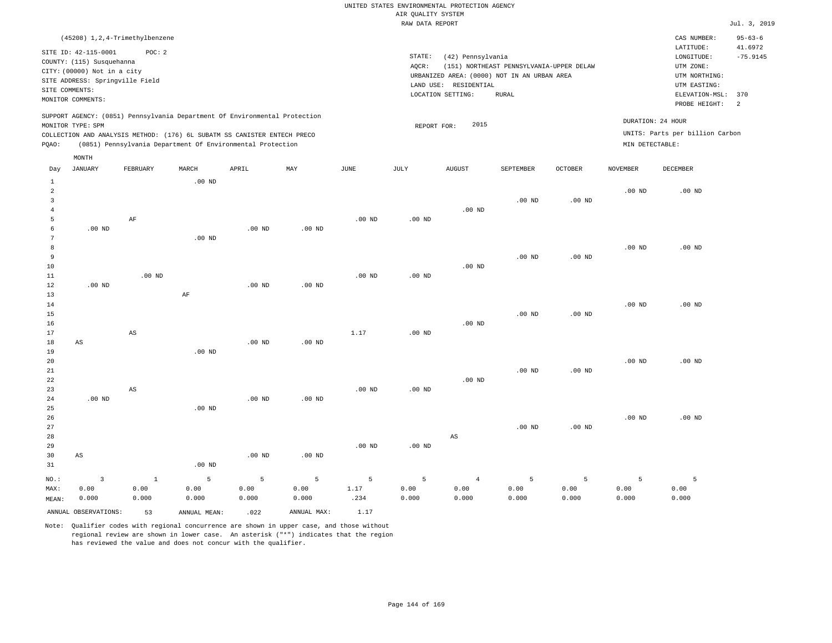| (45208) 1,2,4-Trimethylbenzene                                                                                                                                                                                                                              |                                                                                                                                                                                           | $95 - 63 - 6$<br>CAS NUMBER:                                                                                                                            |
|-------------------------------------------------------------------------------------------------------------------------------------------------------------------------------------------------------------------------------------------------------------|-------------------------------------------------------------------------------------------------------------------------------------------------------------------------------------------|---------------------------------------------------------------------------------------------------------------------------------------------------------|
| POC:2<br>SITE ID: 42-115-0001<br>COUNTY: (115) Susquehanna<br>CITY: (00000) Not in a city<br>SITE ADDRESS: Springville Field<br>SITE COMMENTS:<br>MONITOR COMMENTS:                                                                                         | STATE:<br>(42) Pennsylvania<br>(151) NORTHEAST PENNSYLVANIA-UPPER DELAW<br>AOCR:<br>URBANIZED AREA: (0000) NOT IN AN URBAN AREA<br>RESIDENTIAL<br>LAND USE:<br>LOCATION SETTING:<br>RURAL | 41.6972<br>LATITUDE:<br>$-75.9145$<br>LONGITUDE:<br>UTM ZONE:<br>UTM NORTHING:<br>UTM EASTING:<br>ELEVATION-MSL: 370<br>$\overline{2}$<br>PROBE HEIGHT: |
| SUPPORT AGENCY: (0851) Pennsylvania Department Of Environmental Protection<br>MONITOR TYPE: SPM<br>COLLECTION AND ANALYSIS METHOD: (176) 6L SUBATM SS CANISTER ENTECH PRECO<br>(0851) Pennsylvania Department Of Environmental Protection<br>POAO:<br>MONTH | 2015<br>REPORT FOR:                                                                                                                                                                       | DURATION: 24 HOUR<br>UNITS: Parts per billion Carbon<br>MIN DETECTABLE:                                                                                 |

| Day            | JANUARY                 | FEBRUARY               | MARCH             | APRIL    | MAY         | JUNE     | JULY     | AUGUST                 | SEPTEMBER | OCTOBER           | NOVEMBER | DECEMBER |
|----------------|-------------------------|------------------------|-------------------|----------|-------------|----------|----------|------------------------|-----------|-------------------|----------|----------|
| $\mathbf{1}$   |                         |                        | $.00$ ND          |          |             |          |          |                        |           |                   |          |          |
| $\overline{a}$ |                         |                        |                   |          |             |          |          |                        |           |                   | $.00$ ND | $.00$ ND |
| 3              |                         |                        |                   |          |             |          |          |                        | $.00$ ND  | .00 <sub>ND</sub> |          |          |
| $\sqrt{4}$     |                         |                        |                   |          |             |          |          | $.00$ ND               |           |                   |          |          |
| 5              |                         | $\rm AF$               |                   |          |             | $.00$ ND | $.00$ ND |                        |           |                   |          |          |
| 6              | $.00$ ND                |                        |                   | $.00$ ND | $.00$ ND    |          |          |                        |           |                   |          |          |
| 7              |                         |                        | $.00$ ND          |          |             |          |          |                        |           |                   |          |          |
| $^{\rm 8}$     |                         |                        |                   |          |             |          |          |                        |           |                   | $.00$ ND | $.00$ ND |
| 9              |                         |                        |                   |          |             |          |          |                        | $.00$ ND  | .00 <sub>ND</sub> |          |          |
| $10$           |                         |                        |                   |          |             |          |          | $.00$ ND               |           |                   |          |          |
| $11\,$         |                         | $.00$ ND               |                   |          |             | $.00$ ND | $.00$ ND |                        |           |                   |          |          |
| 12             | $.00~\mathrm{ND}$       |                        |                   | .00 $ND$ | $.00$ ND    |          |          |                        |           |                   |          |          |
| 13             |                         |                        | $\rm AF$          |          |             |          |          |                        |           |                   |          |          |
| 14             |                         |                        |                   |          |             |          |          |                        |           |                   | $.00$ ND | $.00$ ND |
| 15             |                         |                        |                   |          |             |          |          |                        | $.00$ ND  | $.00$ ND          |          |          |
| 16             |                         |                        |                   |          |             |          |          | $.00$ ND               |           |                   |          |          |
| 17             |                         | $\mathbb{A}\mathbb{S}$ |                   |          |             | 1.17     | $.00$ ND |                        |           |                   |          |          |
| 18             | AS                      |                        |                   | $.00$ ND | $.00$ ND    |          |          |                        |           |                   |          |          |
| 19             |                         |                        | .00 <sub>ND</sub> |          |             |          |          |                        |           |                   |          |          |
| 20             |                         |                        |                   |          |             |          |          |                        |           |                   | $.00$ ND | $.00$ ND |
| $2\sqrt{1}$    |                         |                        |                   |          |             |          |          |                        | $.00$ ND  | $.00$ ND          |          |          |
| 22             |                         |                        |                   |          |             |          |          | $.00$ ND               |           |                   |          |          |
| 23             |                         | $\mathbb{A}\mathbb{S}$ |                   |          |             | $.00$ ND | $.00$ ND |                        |           |                   |          |          |
| 24             | $.00~\mathrm{ND}$       |                        |                   | $.00$ ND | $.00$ ND    |          |          |                        |           |                   |          |          |
| $25\,$         |                         |                        | $.00$ ND          |          |             |          |          |                        |           |                   |          |          |
| 26             |                         |                        |                   |          |             |          |          |                        |           |                   | $.00$ ND | $.00$ ND |
| 27             |                         |                        |                   |          |             |          |          |                        | $.00$ ND  | .00 <sub>ND</sub> |          |          |
| 28             |                         |                        |                   |          |             |          |          | $\mathbb{A}\mathbb{S}$ |           |                   |          |          |
| 29             |                         |                        |                   |          |             | $.00$ ND | $.00$ ND |                        |           |                   |          |          |
| 30             | $\mathbb{A}\mathbb{S}$  |                        |                   | $.00$ ND | $.00$ ND    |          |          |                        |           |                   |          |          |
| 31             |                         |                        | .00 <sub>ND</sub> |          |             |          |          |                        |           |                   |          |          |
| $_{\rm NO.}$ : | $\overline{\mathbf{3}}$ | $\mathbf{1}$           | 5                 | 5        | $\mathsf S$ | 5        | 5        | $\overline{4}$         | 5         | 5                 | 5        | 5        |
| MAX:           | 0.00                    | 0.00                   | 0.00              | 0.00     | 0.00        | 1.17     | 0.00     | 0.00                   | 0.00      | 0.00              | 0.00     | 0.00     |
| MEAN:          | 0.000                   | 0.000                  | 0.000             | 0.000    | 0.000       | .234     | 0.000    | 0.000                  | 0.000     | 0.000             | 0.000    | 0.000    |
|                | ANNUAL OBSERVATIONS:    | 53                     | ANNUAL MEAN:      | .022     | ANNUAL MAX: | 1.17     |          |                        |           |                   |          |          |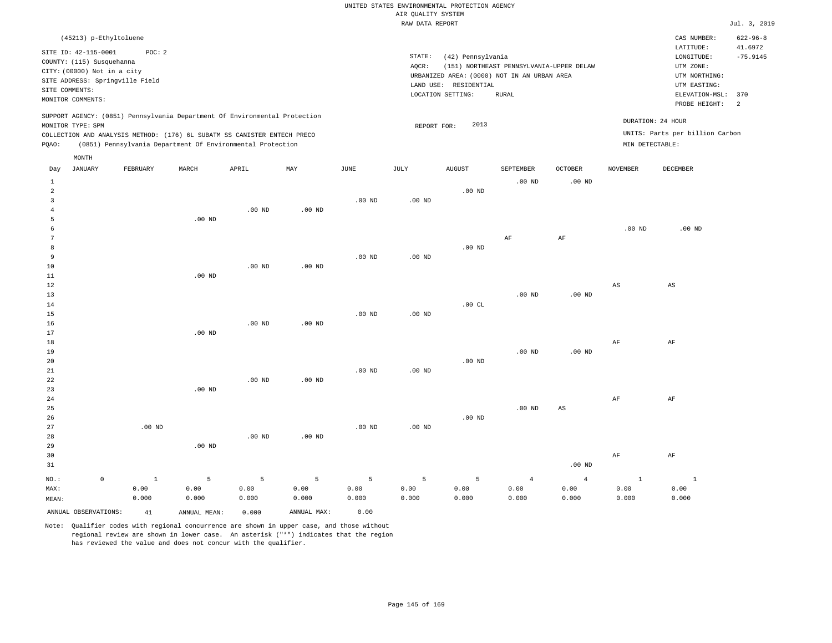|                                                             | (45213) p-Ethyltoluene                                                                                                                                                                                               |       |       |     |      |                 |                                                                                                                |                                                   |                            |          | CAS NUMBER:                                                                                                  | $622 - 96 - 8$              |
|-------------------------------------------------------------|----------------------------------------------------------------------------------------------------------------------------------------------------------------------------------------------------------------------|-------|-------|-----|------|-----------------|----------------------------------------------------------------------------------------------------------------|---------------------------------------------------|----------------------------|----------|--------------------------------------------------------------------------------------------------------------|-----------------------------|
| SITE ID: 42-115-0001<br>SITE COMMENTS:<br>MONITOR COMMENTS: | POC: 2<br>COUNTY: (115) Susquehanna<br>CITY: (00000) Not in a city<br>SITE ADDRESS: Springville Field                                                                                                                |       |       |     |      | STATE:<br>AOCR: | (42) Pennsylvania<br>URBANIZED AREA: (0000) NOT IN AN URBAN AREA<br>LAND USE: RESIDENTIAL<br>LOCATION SETTING: | (151) NORTHEAST PENNSYLVANIA-UPPER DELAW<br>RURAL |                            |          | LATITUDE:<br>LONGITUDE:<br>UTM ZONE:<br>UTM NORTHING:<br>UTM EASTING:<br>ELEVATION-MSL: 370<br>PROBE HEIGHT: | 41.6972<br>$-75.9145$<br>-2 |
| MONITOR TYPE: SPM<br>POAO:                                  | SUPPORT AGENCY: (0851) Pennsylvania Department Of Environmental Protection<br>COLLECTION AND ANALYSIS METHOD: (176) 6L SUBATM SS CANISTER ENTECH PRECO<br>(0851) Pennsylvania Department Of Environmental Protection |       |       |     |      |                 | 2013<br>REPORT FOR:                                                                                            |                                                   |                            |          | DURATION: 24 HOUR<br>UNITS: Parts per billion Carbon<br>MIN DETECTABLE:                                      |                             |
| MONTH<br>JANUARY<br>Day                                     | FEBRUARY                                                                                                                                                                                                             | MARCH | APRIL | MAY | JUNE | JULY            | <b>AUGUST</b>                                                                                                  | SEPTEMBER<br>$.00$ ND                             | <b>OCTOBER</b><br>$.00$ ND | NOVEMBER | DECEMBER                                                                                                     |                             |

| 2              |         |              |                   |                |                   |                   |                 | .00 $ND$ |                   |                        |                        |                        |
|----------------|---------|--------------|-------------------|----------------|-------------------|-------------------|-----------------|----------|-------------------|------------------------|------------------------|------------------------|
| 3              |         |              |                   |                |                   | .00 $ND$          | .00 $ND$        |          |                   |                        |                        |                        |
| $\overline{4}$ |         |              |                   | $.00$ ND       | $.00$ ND          |                   |                 |          |                   |                        |                        |                        |
| 5              |         |              | $.00$ ND          |                |                   |                   |                 |          |                   |                        |                        |                        |
| 6              |         |              |                   |                |                   |                   |                 |          |                   |                        | $.00$ ND               | $.00$ ND               |
| 7              |         |              |                   |                |                   |                   |                 |          | $\rm AF$          | $\rm{AF}$              |                        |                        |
| 8              |         |              |                   |                |                   |                   |                 | .00 $ND$ |                   |                        |                        |                        |
| 9              |         |              |                   |                |                   | .00 $ND$          | .00 $ND$        |          |                   |                        |                        |                        |
| $10$           |         |              |                   | $.00$ ND       | .00 <sub>ND</sub> |                   |                 |          |                   |                        |                        |                        |
| $11\,$         |         |              | $.00$ ND          |                |                   |                   |                 |          |                   |                        |                        |                        |
| 12             |         |              |                   |                |                   |                   |                 |          |                   |                        | $\mathbb{A}\mathbb{S}$ | $\mathbb{A}\mathbb{S}$ |
| 13             |         |              |                   |                |                   |                   |                 |          | $.00$ ND          | $.00$ ND               |                        |                        |
| $14\,$         |         |              |                   |                |                   |                   |                 | .00 $CL$ |                   |                        |                        |                        |
| 15             |         |              |                   |                |                   | .00 $ND$          | .00 $ND$        |          |                   |                        |                        |                        |
| 16             |         |              |                   | $.00$ ND       | $.00$ ND          |                   |                 |          |                   |                        |                        |                        |
| 17             |         |              | .00 <sub>ND</sub> |                |                   |                   |                 |          |                   |                        |                        |                        |
| 18             |         |              |                   |                |                   |                   |                 |          |                   |                        | $\rm{AF}$              | $\rm{AF}$              |
| 19             |         |              |                   |                |                   |                   |                 |          | .00 <sub>ND</sub> | $.00$ ND               |                        |                        |
| 20             |         |              |                   |                |                   |                   |                 | $.00$ ND |                   |                        |                        |                        |
| 21             |         |              |                   |                |                   | $.00$ ND          | .00 $ND$        |          |                   |                        |                        |                        |
| 22             |         |              |                   | $.00$ ND       | $.00$ ND          |                   |                 |          |                   |                        |                        |                        |
| 23             |         |              | $.00$ ND          |                |                   |                   |                 |          |                   |                        |                        |                        |
| 24             |         |              |                   |                |                   |                   |                 |          |                   |                        | $\rm{AF}$              | $\rm{AF}$              |
| 25             |         |              |                   |                |                   |                   |                 |          | .00 <sub>ND</sub> | $\mathbb{A}\mathbb{S}$ |                        |                        |
| 26             |         |              |                   |                |                   |                   |                 | $.00$ ND |                   |                        |                        |                        |
| 27             |         | $.00$ ND     |                   |                |                   | .00 <sub>ND</sub> | .00 $ND$        |          |                   |                        |                        |                        |
| 28             |         |              |                   | $.00$ ND       | $.00$ ND          |                   |                 |          |                   |                        |                        |                        |
| 29             |         |              | $.00$ ND          |                |                   |                   |                 |          |                   |                        |                        |                        |
| 30             |         |              |                   |                |                   |                   |                 |          |                   |                        | $\rm{AF}$              | $\rm{AF}$              |
| 31             |         |              |                   |                |                   |                   |                 |          |                   | $.00$ ND               |                        |                        |
| $_{\rm NO.}$ : | $\circ$ | $\mathbf{1}$ | $\,$ 5            | $\overline{5}$ | $\mathsf S$       | $\overline{5}$    | $5\phantom{.0}$ | 5        | $\overline{4}$    | $\overline{4}$         | $\mathbf{1}$           | $\mathbf{1}$           |
| MAX:           |         | 0.00         | 0.00              | 0.00           | 0.00              | 0.00              | 0.00            | 0.00     | 0.00              | 0.00                   | 0.00                   | 0.00                   |
| MEAN:          |         | 0.000        | 0.000             | 0.000          | 0.000             | 0.000             | 0.000           | 0.000    | 0.000             | 0.000                  | 0.000                  | 0.000                  |

ANNUAL OBSERVATIONS: 41 ANNUAL MEAN: 0.000 ANNUAL MAX: 0.00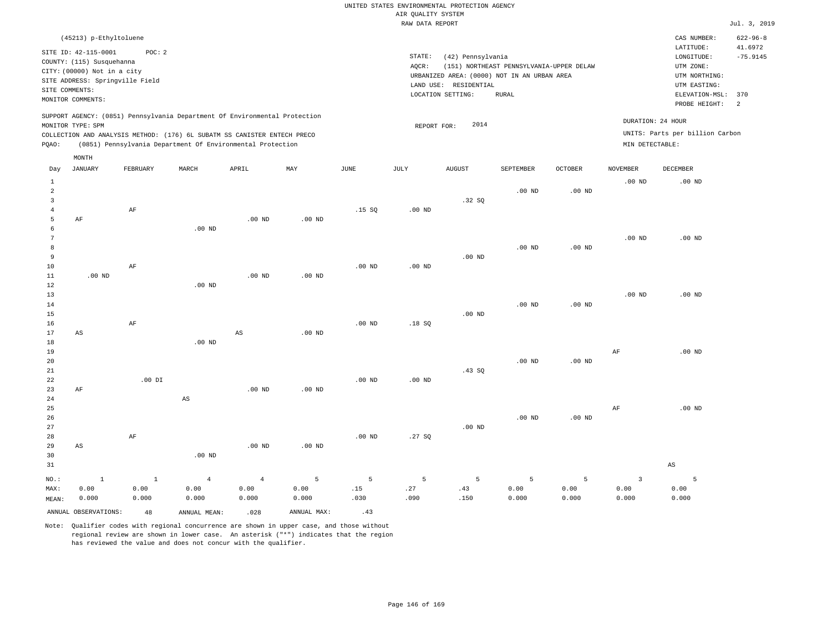| (45213) p-Ethyltoluene                                                                                                                                                                                                                             |                                                                                                                                                                                        | $622 - 96 - 8$<br>CAS NUMBER:                                                                                                                           |
|----------------------------------------------------------------------------------------------------------------------------------------------------------------------------------------------------------------------------------------------------|----------------------------------------------------------------------------------------------------------------------------------------------------------------------------------------|---------------------------------------------------------------------------------------------------------------------------------------------------------|
| SITE ID: 42-115-0001<br>POC:2<br>COUNTY: (115) Susquehanna<br>CITY: (00000) Not in a city<br>SITE ADDRESS: Springville Field<br>SITE COMMENTS:<br>MONITOR COMMENTS:                                                                                | STATE:<br>(42) Pennsylvania<br>(151) NORTHEAST PENNSYLVANIA-UPPER DELAW<br>AOCR:<br>URBANIZED AREA: (0000) NOT IN AN URBAN AREA<br>LAND USE: RESIDENTIAL<br>LOCATION SETTING:<br>RURAL | 41.6972<br>LATITUDE:<br>$-75.9145$<br>LONGITUDE:<br>UTM ZONE:<br>UTM NORTHING:<br>UTM EASTING:<br>ELEVATION-MSL: 370<br>PROBE HEIGHT:<br>$\overline{2}$ |
| SUPPORT AGENCY: (0851) Pennsylvania Department Of Environmental Protection<br>MONITOR TYPE: SPM<br>COLLECTION AND ANALYSIS METHOD: (176) 6L SUBATM SS CANISTER ENTECH PRECO<br>(0851) Pennsylvania Department Of Environmental Protection<br>POAO: | 2014<br>REPORT FOR:                                                                                                                                                                    | DURATION: 24 HOUR<br>UNITS: Parts per billion Carbon<br>MIN DETECTABLE:                                                                                 |

|                                     | MONTH                   |                         |                                 |                                 |                    |                  |                  |                  |                    |                    |                                          |                        |
|-------------------------------------|-------------------------|-------------------------|---------------------------------|---------------------------------|--------------------|------------------|------------------|------------------|--------------------|--------------------|------------------------------------------|------------------------|
| Day                                 | <b>JANUARY</b>          | FEBRUARY                | MARCH                           | APRIL                           | MAY                | $_{\rm JUNE}$    | JULY             | <b>AUGUST</b>    | SEPTEMBER          | OCTOBER            | <b>NOVEMBER</b>                          | DECEMBER               |
| $\mathbf{1}$<br>$\overline{a}$<br>3 |                         |                         |                                 |                                 |                    |                  |                  | .32SQ            | .00 <sub>ND</sub>  | $.00$ ND           | $.00$ ND                                 | $.00$ ND               |
| $\overline{4}$<br>5                 | $\rm AF$                | $\rm AF$                |                                 | $.00$ ND                        | $.00$ ND           | .15S             | $.00$ ND         |                  |                    |                    |                                          |                        |
| 6<br>7<br>8<br>9                    |                         |                         | .00 <sub>ND</sub>               |                                 |                    |                  |                  | $.00$ ND         | $.00$ ND           | $.00$ ND           | $.00$ ND                                 | $.00$ ND               |
| $10$<br>11                          | $.00$ ND                | $\rm AF$                |                                 | $.00$ ND                        | $.00$ ND           | $.00$ ND         | .00 $ND$         |                  |                    |                    |                                          |                        |
| 12<br>13<br>14                      |                         |                         | $.00$ ND                        |                                 |                    |                  |                  |                  | $.00$ ND           | $.00$ ND           | $.00$ ND                                 | $.00$ ND               |
| 15<br>16<br>17                      | $\mathbb{A}\mathbb{S}$  | $\rm AF$                |                                 | $_{\rm AS}$                     | $.00$ ND           | $.00$ ND         | .18SQ            | $.00$ ND         |                    |                    |                                          |                        |
| 18<br>19<br>20                      |                         |                         | .00 $ND$                        |                                 |                    |                  |                  |                  | $.00$ ND           | $.00$ ND           | $\rm AF$                                 | $.00$ ND               |
| 21<br>22<br>23                      | $\rm AF$                | $.00$ DI                |                                 | $.00$ ND                        | $.00$ ND           | $.00$ ND         | $.00$ ND         | .43SQ            |                    |                    |                                          |                        |
| 24<br>25<br>26                      |                         |                         | $\mathbb{A}\mathbb{S}$          |                                 |                    |                  |                  |                  | $.00$ ND           | $.00$ ND           | $\rm AF$                                 | $.00$ ND               |
| 27<br>28                            |                         | $\rm AF$                |                                 |                                 |                    | $.00$ ND         | .27SQ            | $.00$ ND         |                    |                    |                                          |                        |
| 29<br>30<br>31                      | AS                      |                         | .00 <sub>ND</sub>               | $.00$ ND                        | .00 $ND$           |                  |                  |                  |                    |                    |                                          | $\mathbb{A}\mathbb{S}$ |
| $NO.$ :<br>MAX:<br>MEAN:            | $\,$ 1<br>0.00<br>0.000 | $\,$ 1<br>0.00<br>0.000 | $\overline{4}$<br>0.00<br>0.000 | $\overline{4}$<br>0.00<br>0.000 | 5<br>0.00<br>0.000 | 5<br>.15<br>.030 | 5<br>.27<br>.090 | 5<br>.43<br>.150 | 5<br>0.00<br>0.000 | 5<br>0.00<br>0.000 | $\overline{\mathbf{3}}$<br>0.00<br>0.000 | 5<br>0.00<br>0.000     |
|                                     | ANNUAL OBSERVATIONS:    | 48                      | ANNUAL MEAN:                    | .028                            | ANNUAL MAX:        | .43              |                  |                  |                    |                    |                                          |                        |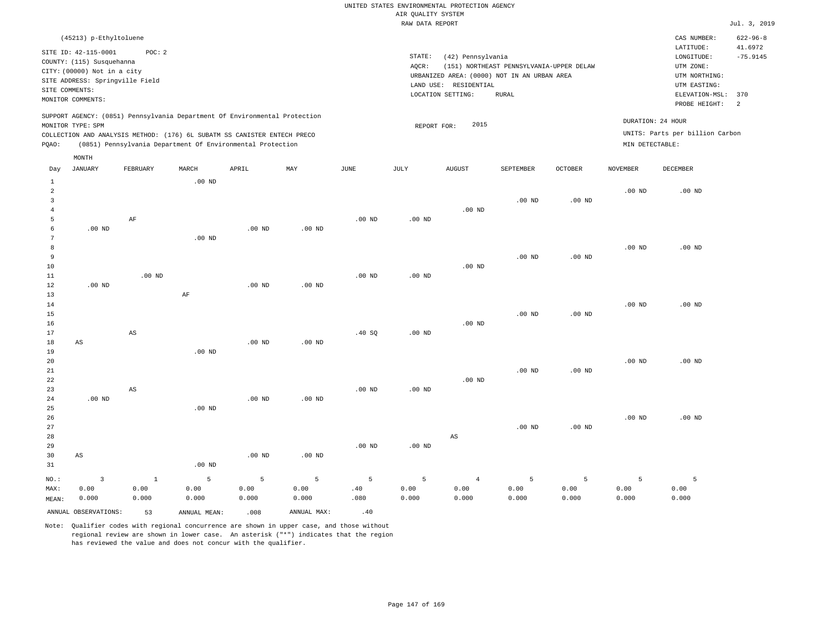| (45213) p-Ethyltoluene                                                                                                                                                                                                                                      |                                                                                                                                                                                        | $622 - 96 - 8$<br>CAS NUMBER:                                                                                                         |
|-------------------------------------------------------------------------------------------------------------------------------------------------------------------------------------------------------------------------------------------------------------|----------------------------------------------------------------------------------------------------------------------------------------------------------------------------------------|---------------------------------------------------------------------------------------------------------------------------------------|
| SITE ID: 42-115-0001<br>POC:2<br>COUNTY: (115) Susquehanna<br>CITY: (00000) Not in a city<br>SITE ADDRESS: Springville Field<br>SITE COMMENTS:<br>MONITOR COMMENTS:                                                                                         | STATE:<br>(42) Pennsylvania<br>AOCR:<br>(151) NORTHEAST PENNSYLVANIA-UPPER DELAW<br>URBANIZED AREA: (0000) NOT IN AN URBAN AREA<br>LAND USE: RESIDENTIAL<br>LOCATION SETTING:<br>RURAL | 41.6972<br>LATITUDE:<br>$-75.9145$<br>LONGITUDE:<br>UTM ZONE:<br>UTM NORTHING:<br>UTM EASTING:<br>ELEVATION-MSL: 370<br>PROBE HEIGHT: |
| SUPPORT AGENCY: (0851) Pennsylvania Department Of Environmental Protection<br>MONITOR TYPE: SPM<br>COLLECTION AND ANALYSIS METHOD: (176) 6L SUBATM SS CANISTER ENTECH PRECO<br>(0851) Pennsylvania Department Of Environmental Protection<br>POAO:<br>MONTH | 2015<br>REPORT FOR:                                                                                                                                                                    | DURATION: 24 HOUR<br>UNITS: Parts per billion Carbon<br>MIN DETECTABLE:                                                               |

|                                  | ANNUAL OBSERVATIONS:   | 53                     | ANNUAL MEAN:      | .008              | ANNUAL MAX:       | .40         |                |               |                |                   |                   |               |
|----------------------------------|------------------------|------------------------|-------------------|-------------------|-------------------|-------------|----------------|---------------|----------------|-------------------|-------------------|---------------|
| MAX:<br>MEAN:                    | 0.00<br>0.000          | 0.00<br>0.000          | 0.00<br>0.000     | 0.00<br>0.000     | 0.00<br>0.000     | .40<br>.080 | 0.00<br>0.000  | 0.00<br>0.000 | 0.00<br>0.000  | 0.00<br>0.000     | 0.00<br>0.000     | 0.00<br>0.000 |
| $NO.$ :                          | $\overline{3}$         | $\,$ 1                 | $\overline{5}$    | $\overline{5}$    | $\mathsf S$       | $\mathsf S$ | $\overline{5}$ | $\sqrt{4}$    | $\overline{5}$ | 5                 | 5                 | 5             |
| 31                               |                        |                        | .00 <sub>ND</sub> |                   |                   |             |                |               |                |                   |                   |               |
| 30                               | AS                     |                        |                   | $.00$ ND          | .00 <sub>ND</sub> |             |                |               |                |                   |                   |               |
| 29                               |                        |                        |                   |                   |                   | $.00$ ND    | $.00$ ND       |               |                |                   |                   |               |
| 28                               |                        |                        |                   |                   |                   |             |                | $_{\rm AS}$   |                |                   |                   |               |
| 27                               |                        |                        |                   |                   |                   |             |                |               | $.00$ ND       | .00 <sub>ND</sub> |                   |               |
| 26                               |                        |                        |                   |                   |                   |             |                |               |                |                   | $.00$ ND          | $.00$ ND      |
| 25                               |                        |                        | $.00$ ND          |                   |                   |             |                |               |                |                   |                   |               |
| 24                               | $.00$ ND               |                        |                   | .00 <sub>ND</sub> | .00 <sub>ND</sub> |             |                |               |                |                   |                   |               |
| 23                               |                        | $\mathbb{A}\mathbb{S}$ |                   |                   |                   | $.00$ ND    | $.00$ ND       |               |                |                   |                   |               |
| $2\sqrt{2}$                      |                        |                        |                   |                   |                   |             |                | $.00$ ND      |                |                   |                   |               |
| 21                               |                        |                        |                   |                   |                   |             |                |               | $.00$ ND       | .00 <sub>ND</sub> |                   |               |
| 20                               |                        |                        |                   |                   |                   |             |                |               |                |                   | .00 <sub>ND</sub> | $.00$ ND      |
| 19                               |                        |                        | $.00$ ND          |                   |                   |             |                |               |                |                   |                   |               |
| 17<br>18                         | $\mathbb{A}\mathbb{S}$ | $\mathbb{A}\mathbb{S}$ |                   | $.00$ ND          | $.00$ ND          | .40 SQ      | $.00$ ND       |               |                |                   |                   |               |
| 16                               |                        |                        |                   |                   |                   |             |                | $.00$ ND      |                |                   |                   |               |
| 15                               |                        |                        |                   |                   |                   |             |                |               | $.00$ ND       | $.00$ ND          |                   |               |
| 14                               |                        |                        |                   |                   |                   |             |                |               |                |                   | $.00$ ND          | $.00$ ND      |
| 13                               |                        |                        | $\rm AF$          |                   |                   |             |                |               |                |                   |                   |               |
| 12                               | $.00$ ND               |                        |                   | .00 $ND$          | $.00$ ND          |             |                |               |                |                   |                   |               |
| 11                               |                        | $.00$ ND               |                   |                   |                   | $.00$ ND    | $.00$ ND       |               |                |                   |                   |               |
| $10$                             |                        |                        |                   |                   |                   |             |                | $.00$ ND      |                |                   |                   |               |
| 9                                |                        |                        |                   |                   |                   |             |                |               | $.00$ ND       | $.00$ ND          |                   |               |
| 8                                |                        |                        |                   |                   |                   |             |                |               |                |                   | $.00$ ND          | $.00$ ND      |
| $7\phantom{.0}$                  |                        |                        | $.00$ ND          |                   |                   |             |                |               |                |                   |                   |               |
| 6                                | $.00$ ND               |                        |                   | $.00$ ND          | .00 <sub>ND</sub> |             |                |               |                |                   |                   |               |
| 5                                |                        | $\rm AF$               |                   |                   |                   | $.00$ ND    | $.00$ ND       |               |                |                   |                   |               |
| 4                                |                        |                        |                   |                   |                   |             |                | $.00$ ND      |                |                   |                   |               |
| $\overline{a}$<br>$\overline{3}$ |                        |                        |                   |                   |                   |             |                |               | $.00$ ND       | $.00$ ND          | $.00$ ND          | $.00$ ND      |
|                                  |                        |                        |                   |                   |                   |             |                |               |                |                   |                   |               |

Day JANUARY FEBRUARY MARCH APRIL MAY JUNE JULY AUGUST SEPTEMBER OCTOBER NOVEMBER DECEMBER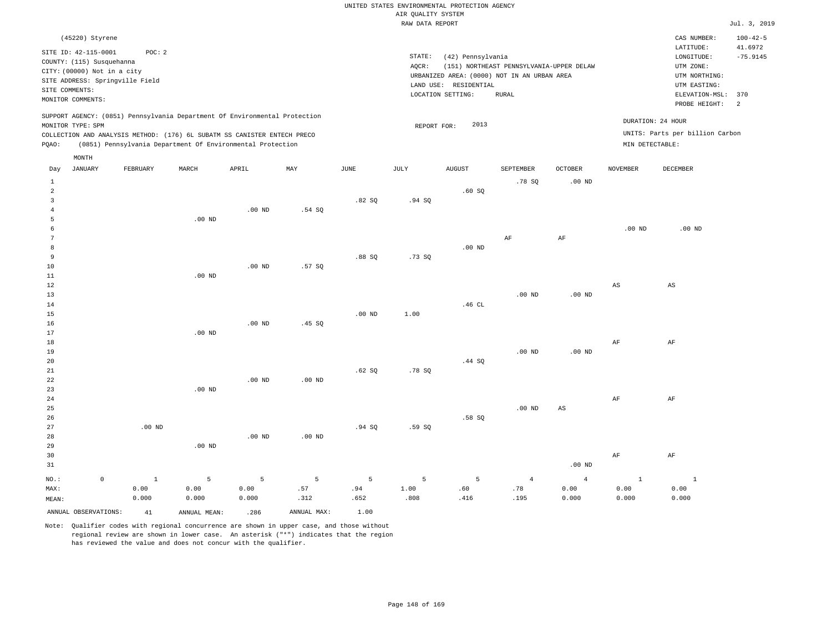|                      | (45220) Styrene                                                            |       |       |     |      |        |                                             |                                          |                |                 | CAS NUMBER:                     | $100 - 42 - 5$ |
|----------------------|----------------------------------------------------------------------------|-------|-------|-----|------|--------|---------------------------------------------|------------------------------------------|----------------|-----------------|---------------------------------|----------------|
| SITE ID: 42-115-0001 | POC:2                                                                      |       |       |     |      |        |                                             |                                          |                |                 | LATITUDE:                       | 41.6972        |
|                      | COUNTY: (115) Susquehanna                                                  |       |       |     |      | STATE: | (42) Pennsylvania                           |                                          |                |                 | LONGITUDE:                      | $-75.9145$     |
|                      | CITY: (00000) Not in a city                                                |       |       |     |      | AQCR:  |                                             | (151) NORTHEAST PENNSYLVANIA-UPPER DELAW |                |                 | UTM ZONE:                       |                |
|                      | SITE ADDRESS: Springville Field                                            |       |       |     |      |        | URBANIZED AREA: (0000) NOT IN AN URBAN AREA |                                          |                |                 | UTM NORTHING:                   |                |
| SITE COMMENTS:       |                                                                            |       |       |     |      |        | LAND USE: RESIDENTIAL                       |                                          |                |                 | UTM EASTING:                    |                |
| MONITOR COMMENTS:    |                                                                            |       |       |     |      |        | LOCATION SETTING:                           | RURAL                                    |                |                 | ELEVATION-MSL:                  | 370            |
|                      |                                                                            |       |       |     |      |        |                                             |                                          |                |                 | PROBE HEIGHT:                   | - 2            |
|                      | SUPPORT AGENCY: (0851) Pennsylvania Department Of Environmental Protection |       |       |     |      |        |                                             |                                          |                |                 | DURATION: 24 HOUR               |                |
| MONITOR TYPE: SPM    |                                                                            |       |       |     |      |        | 2013<br>REPORT FOR:                         |                                          |                |                 |                                 |                |
|                      | COLLECTION AND ANALYSIS METHOD: (176) 6L SUBATM SS CANISTER ENTECH PRECO   |       |       |     |      |        |                                             |                                          |                |                 | UNITS: Parts per billion Carbon |                |
| POAO:                | (0851) Pennsylvania Department Of Environmental Protection                 |       |       |     |      |        |                                             |                                          |                |                 | MIN DETECTABLE:                 |                |
| MONTH                |                                                                            |       |       |     |      |        |                                             |                                          |                |                 |                                 |                |
| JANUARY<br>Day       | FEBRUARY                                                                   | MARCH | APRIL | MAY | JUNE | JULY   | <b>AUGUST</b>                               | SEPTEMBER                                | <b>OCTOBER</b> | <b>NOVEMBER</b> | DECEMBER                        |                |
|                      |                                                                            |       |       |     |      |        |                                             | .78 SO                                   | $.00$ ND       |                 |                                 |                |
|                      |                                                                            |       |       |     |      |        | .60S                                        |                                          |                |                 |                                 |                |

| 10<br>11       |                     |          | $.00$ ND          | $.00$ ND | .57SQ    |          |       |        |            |                        |                        |                        |
|----------------|---------------------|----------|-------------------|----------|----------|----------|-------|--------|------------|------------------------|------------------------|------------------------|
| 12<br>13       |                     |          |                   |          |          |          |       |        | $.00$ ND   | $.00$ ND               | $\mathbb{A}\mathbb{S}$ | $\mathbb{A}\mathbb{S}$ |
| 14             |                     |          |                   |          |          |          |       | .46 CL |            |                        |                        |                        |
| 15             |                     |          |                   |          |          | $.00$ ND | 1.00  |        |            |                        |                        |                        |
| 16             |                     |          |                   | .00 $ND$ | .45 SQ   |          |       |        |            |                        |                        |                        |
| 17             |                     |          | .00 <sub>ND</sub> |          |          |          |       |        |            |                        |                        |                        |
| 18             |                     |          |                   |          |          |          |       |        |            |                        | AF                     | $\rm{AF}$              |
| 19             |                     |          |                   |          |          |          |       |        | $.00$ ND   | .00 $ND$               |                        |                        |
| 20             |                     |          |                   |          |          |          |       | .44 SQ |            |                        |                        |                        |
| 21             |                     |          |                   |          |          | .62 SQ   | .78S  |        |            |                        |                        |                        |
| $2\sqrt{2}$    |                     |          |                   | $.00$ ND | $.00$ ND |          |       |        |            |                        |                        |                        |
| 23             |                     |          | $.00$ ND          |          |          |          |       |        |            |                        |                        |                        |
| 24             |                     |          |                   |          |          |          |       |        |            |                        | $\rm{AF}$              | $\rm{AF}$              |
| 25             |                     |          |                   |          |          |          |       |        | $.00$ ND   | $\mathbb{A}\mathbb{S}$ |                        |                        |
| 26             |                     |          |                   |          |          |          |       | .58 SQ |            |                        |                        |                        |
| 27             |                     | $.00$ ND |                   |          |          | .94 SQ   | .59SQ |        |            |                        |                        |                        |
| 28             |                     |          |                   | $.00$ ND | $.00$ ND |          |       |        |            |                        |                        |                        |
| 29             |                     |          | $.00$ ND          |          |          |          |       |        |            |                        |                        |                        |
| 30             |                     |          |                   |          |          |          |       |        |            |                        | $\rm{AF}$              | $\rm{AF}$              |
| 31             |                     |          |                   |          |          |          |       |        |            | $.00$ ND               |                        |                        |
| $_{\rm NO.}$ : | $\mathsf{O}\xspace$ | $\,$ 1   | 5                 | 5        | 5        | 5        | 5     | 5      | $\sqrt{4}$ | $\overline{4}$         | $\mathbf{1}$           | $\mathbf{1}$           |
| MAX:           |                     | 0.00     | 0.00              | 0.00     | .57      | .94      | 1.00  | .60    | .78        | 0.00                   | 0.00                   | 0.00                   |
| MEAN:          |                     | 0.000    | 0.000             | 0.000    | .312     | .652     | .808  | .416   | .195       | 0.000                  | 0.000                  | 0.000                  |

Note: Qualifier codes with regional concurrence are shown in upper case, and those without regional review are shown in lower case. An asterisk ("\*") indicates that the region has reviewed the value and does not concur with the qualifier.

ANNUAL OBSERVATIONS: 41 ANNUAL MEAN: .286 ANNUAL MAX: 1.00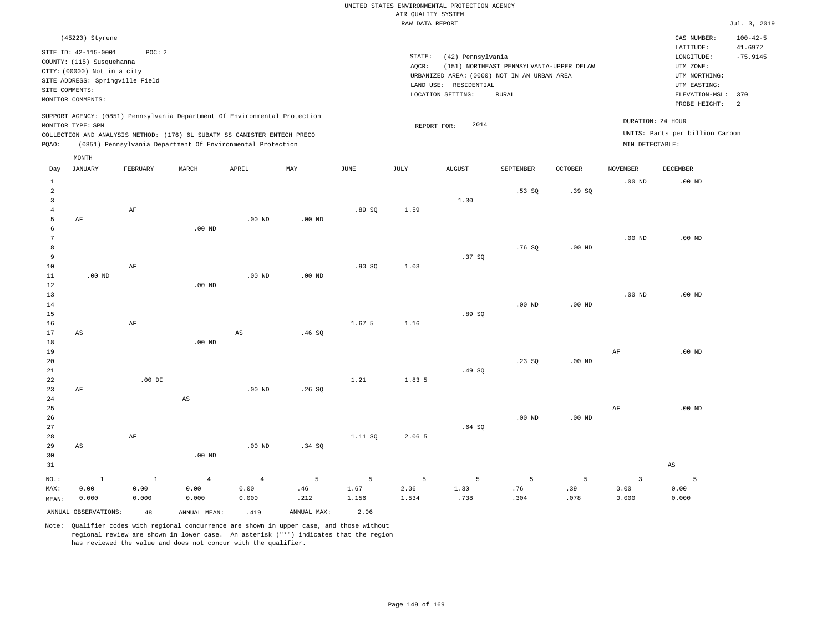| (45220) Styrene                                                                                                                                                                                                                                             |                                                                                                                                                                                           | CAS NUMBER:                                                                                                  | $100 - 42 - 5$                                      |
|-------------------------------------------------------------------------------------------------------------------------------------------------------------------------------------------------------------------------------------------------------------|-------------------------------------------------------------------------------------------------------------------------------------------------------------------------------------------|--------------------------------------------------------------------------------------------------------------|-----------------------------------------------------|
| SITE ID: 42-115-0001<br>POC: 2<br>COUNTY: (115) Susquehanna<br>CITY: (00000) Not in a city<br>SITE ADDRESS: Springville Field<br>SITE COMMENTS:<br>MONITOR COMMENTS:                                                                                        | STATE:<br>(42) Pennsylvania<br>(151) NORTHEAST PENNSYLVANIA-UPPER DELAW<br>AOCR:<br>URBANIZED AREA: (0000) NOT IN AN URBAN AREA<br>LAND USE:<br>RESIDENTIAL<br>LOCATION SETTING:<br>RURAL | LATITUDE:<br>LONGITUDE:<br>UTM ZONE:<br>UTM NORTHING:<br>UTM EASTING:<br>ELEVATION-MSL: 370<br>PROBE HEIGHT: | 41.6972<br>$-75.9145$<br>$\overline{\phantom{0}}^2$ |
| SUPPORT AGENCY: (0851) Pennsylvania Department Of Environmental Protection<br>MONITOR TYPE: SPM<br>COLLECTION AND ANALYSIS METHOD: (176) 6L SUBATM SS CANISTER ENTECH PRECO<br>(0851) Pennsylvania Department Of Environmental Protection<br>POAO:<br>MONTH | 2014<br>REPORT FOR:                                                                                                                                                                       | DURATION: 24 HOUR<br>UNITS: Parts per billion Carbon<br>MIN DETECTABLE:                                      |                                                     |

| Day                     | <b>JANUARY</b>       | FEBRUARY     | MARCH                  | APRIL                  | $\ensuremath{\text{MAX}}$ | $_{\rm JUNE}$ | $\mathtt{JULY}$ | AUGUST | SEPTEMBER         | OCTOBER  | $\,$ NOVEMBER           | DECEMBER               |
|-------------------------|----------------------|--------------|------------------------|------------------------|---------------------------|---------------|-----------------|--------|-------------------|----------|-------------------------|------------------------|
| $\mathbf{1}$            |                      |              |                        |                        |                           |               |                 |        |                   |          | $.00$ ND                | $.00$ ND               |
| $\overline{\mathbf{c}}$ |                      |              |                        |                        |                           |               |                 |        | .53SQ             | .39SQ    |                         |                        |
| 3                       |                      |              |                        |                        |                           |               |                 | 1.30   |                   |          |                         |                        |
| $\overline{4}$          |                      | $\rm{AF}$    |                        |                        |                           | .89 SQ        | 1.59            |        |                   |          |                         |                        |
| 5                       | $\rm AF$             |              |                        | $.00$ ND               | $.00$ ND                  |               |                 |        |                   |          |                         |                        |
| 6                       |                      |              | .00 <sub>ND</sub>      |                        |                           |               |                 |        |                   |          |                         |                        |
| 7                       |                      |              |                        |                        |                           |               |                 |        |                   |          | $.00$ ND                | $.00$ ND               |
| 8                       |                      |              |                        |                        |                           |               |                 |        | .76SQ             | .00 $ND$ |                         |                        |
| 9                       |                      |              |                        |                        |                           |               |                 | .37SQ  |                   |          |                         |                        |
| $10$                    |                      | $\rm AF$     |                        |                        |                           | .90SQ         | 1.03            |        |                   |          |                         |                        |
| $11\,$                  | $.00$ ND             |              |                        | $.00$ ND               | $.00$ ND                  |               |                 |        |                   |          |                         |                        |
| 12                      |                      |              | .00 <sub>ND</sub>      |                        |                           |               |                 |        |                   |          |                         |                        |
| 13                      |                      |              |                        |                        |                           |               |                 |        |                   |          | $.00$ ND                | $.00$ ND               |
| $14$                    |                      |              |                        |                        |                           |               |                 |        | $.00$ ND          | $.00$ ND |                         |                        |
| 15                      |                      |              |                        |                        |                           | 1.67 5        |                 | .89 SQ |                   |          |                         |                        |
| 16<br>17                | AS                   | $\rm{AF}$    |                        | $\mathbb{A}\mathbb{S}$ | .46SQ                     |               | 1.16            |        |                   |          |                         |                        |
| 18                      |                      |              | .00 $ND$               |                        |                           |               |                 |        |                   |          |                         |                        |
| 19                      |                      |              |                        |                        |                           |               |                 |        |                   |          | AF                      | $.00$ ND               |
| 20                      |                      |              |                        |                        |                           |               |                 |        | .23SQ             | $.00$ ND |                         |                        |
| 21                      |                      |              |                        |                        |                           |               |                 | .49 SQ |                   |          |                         |                        |
| $2\sqrt{2}$             |                      | $.00$ DI     |                        |                        |                           | 1.21          | 1.83 5          |        |                   |          |                         |                        |
| 23                      | $\rm AF$             |              |                        | $.00$ ND               | .26SQ                     |               |                 |        |                   |          |                         |                        |
| 24                      |                      |              | $\mathbb{A}\mathbb{S}$ |                        |                           |               |                 |        |                   |          |                         |                        |
| 25                      |                      |              |                        |                        |                           |               |                 |        |                   |          | $\rm AF$                | $.00$ ND               |
| 26                      |                      |              |                        |                        |                           |               |                 |        | .00 <sub>ND</sub> | $.00$ ND |                         |                        |
| 27                      |                      |              |                        |                        |                           |               |                 | .64SQ  |                   |          |                         |                        |
| 28                      |                      | $\rm{AF}$    |                        |                        |                           | 1.11 SQ       | 2.06 5          |        |                   |          |                         |                        |
| 29                      | AS                   |              |                        | $.00$ ND               | .34 SQ                    |               |                 |        |                   |          |                         |                        |
| 30                      |                      |              | .00 <sub>ND</sub>      |                        |                           |               |                 |        |                   |          |                         |                        |
| 31                      |                      |              |                        |                        |                           |               |                 |        |                   |          |                         | $\mathbb{A}\mathbb{S}$ |
| $_{\rm NO.}$ :          | $\,$ 1               | $\mathbf{1}$ | $\overline{4}$         | $\overline{4}$         | 5                         | 5             | 5               | 5      | 5                 | 5        | $\overline{\mathbf{3}}$ | 5                      |
| MAX:                    | 0.00                 | 0.00         | 0.00                   | 0.00                   | $.46\,$                   | 1.67          | 2.06            | 1.30   | .76               | .39      | 0.00                    | 0.00                   |
| MEAN:                   | 0.000                | 0.000        | 0.000                  | 0.000                  | .212                      | 1.156         | 1.534           | .738   | .304              | .078     | 0.000                   | 0.000                  |
|                         | ANNUAL OBSERVATIONS: | 48           | ANNUAL MEAN:           | .419                   | ANNUAL MAX:               | 2.06          |                 |        |                   |          |                         |                        |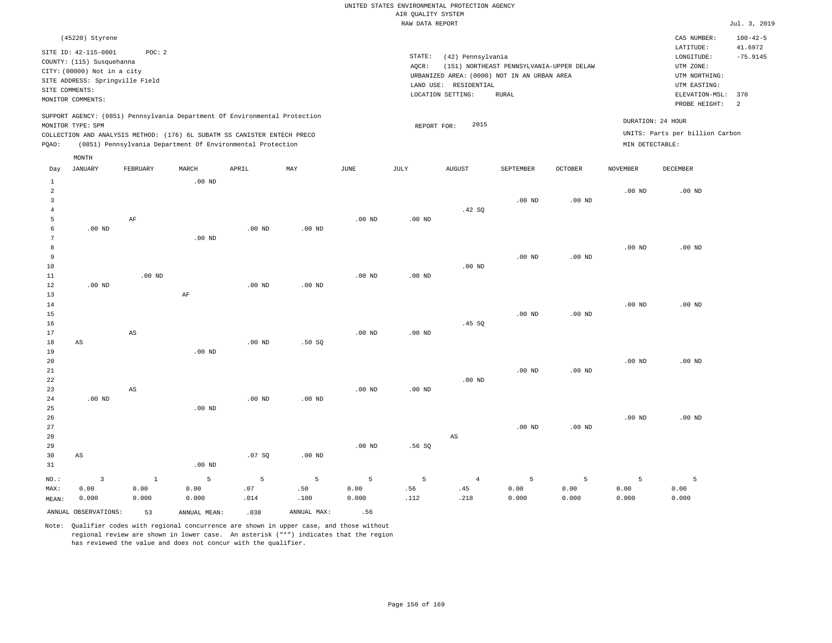| (45220) Styrene                                                                                                                                                                                                                                             |                                                                                                                                                                                        | CAS NUMBER:                                                                                                  | $100 - 42 - 5$        |
|-------------------------------------------------------------------------------------------------------------------------------------------------------------------------------------------------------------------------------------------------------------|----------------------------------------------------------------------------------------------------------------------------------------------------------------------------------------|--------------------------------------------------------------------------------------------------------------|-----------------------|
| SITE ID: 42-115-0001<br>POC:2<br>COUNTY: (115) Susquehanna<br>CITY: (00000) Not in a city<br>SITE ADDRESS: Springville Field<br>SITE COMMENTS:<br>MONITOR COMMENTS:                                                                                         | STATE:<br>(42) Pennsylvania<br>(151) NORTHEAST PENNSYLVANIA-UPPER DELAW<br>AOCR:<br>URBANIZED AREA: (0000) NOT IN AN URBAN AREA<br>LAND USE: RESIDENTIAL<br>LOCATION SETTING:<br>RURAL | LATITUDE:<br>LONGITUDE:<br>UTM ZONE:<br>UTM NORTHING:<br>UTM EASTING:<br>ELEVATION-MSL: 370<br>PROBE HEIGHT: | 41.6972<br>$-75.9145$ |
| SUPPORT AGENCY: (0851) Pennsylvania Department Of Environmental Protection<br>MONITOR TYPE: SPM<br>COLLECTION AND ANALYSIS METHOD: (176) 6L SUBATM SS CANISTER ENTECH PRECO<br>(0851) Pennsylvania Department Of Environmental Protection<br>POAO:<br>MONTH | 2015<br>REPORT FOR:                                                                                                                                                                    | DURATION: 24 HOUR<br>UNITS: Parts per billion Carbon<br>MIN DETECTABLE:                                      |                       |

| Day            | JANUARY                 | FEBRUARY               | MARCH        | APRIL    | MAY            | JUNE              | JULY        | AUGUST         | SEPTEMBER   | OCTOBER  | NOVEMBER | DECEMBER |
|----------------|-------------------------|------------------------|--------------|----------|----------------|-------------------|-------------|----------------|-------------|----------|----------|----------|
| $\mathbf{1}$   |                         |                        | $.00$ ND     |          |                |                   |             |                |             |          |          |          |
| $\overline{a}$ |                         |                        |              |          |                |                   |             |                |             |          | $.00$ ND | $.00$ ND |
| 3              |                         |                        |              |          |                |                   |             |                | $.00$ ND    | $.00$ ND |          |          |
| $\overline{4}$ |                         |                        |              |          |                |                   |             | .42 SQ         |             |          |          |          |
| 5              |                         | $\rm AF$               |              |          |                | $.00$ ND          | $.00$ ND    |                |             |          |          |          |
| 6              | $.00$ ND                |                        |              | $.00$ ND | $.00$ ND       |                   |             |                |             |          |          |          |
| 7              |                         |                        | $.00$ ND     |          |                |                   |             |                |             |          |          |          |
| 8              |                         |                        |              |          |                |                   |             |                |             |          | $.00$ ND | $.00$ ND |
| 9              |                         |                        |              |          |                |                   |             |                | $.00$ ND    | $.00$ ND |          |          |
| 10             |                         |                        |              |          |                |                   |             | $.00$ ND       |             |          |          |          |
| 11             |                         | $.00$ ND               |              |          |                | .00 <sub>ND</sub> | $.00$ ND    |                |             |          |          |          |
| 12             | .00 $ND$                |                        |              | .00 $ND$ | $.00$ ND       |                   |             |                |             |          |          |          |
| 13             |                         |                        | $\rm AF$     |          |                |                   |             |                |             |          |          |          |
| 14             |                         |                        |              |          |                |                   |             |                |             |          | $.00$ ND | $.00$ ND |
| 15             |                         |                        |              |          |                |                   |             |                | $.00$ ND    | $.00$ ND |          |          |
| 16             |                         |                        |              |          |                |                   |             | .45 SQ         |             |          |          |          |
| 17             |                         | $\mathbb{A}\mathbb{S}$ |              |          |                | .00 <sub>ND</sub> | $.00$ ND    |                |             |          |          |          |
| 18             | $\mathbb{A}\mathbb{S}$  |                        |              | .00 $ND$ | .50SQ          |                   |             |                |             |          |          |          |
| 19             |                         |                        | $.00$ ND     |          |                |                   |             |                |             |          |          |          |
| $20\,$         |                         |                        |              |          |                |                   |             |                |             |          | .00 $ND$ | $.00$ ND |
| $2\sqrt{1}$    |                         |                        |              |          |                |                   |             |                | $.00$ ND    | $.00$ ND |          |          |
| $^{\rm 22}$    |                         |                        |              |          |                |                   |             | $.00$ ND       |             |          |          |          |
| 23             |                         | $\mathbb{A}\mathbb{S}$ |              |          |                | $.00$ ND          | $.00$ ND    |                |             |          |          |          |
| 24             | .00 $ND$                |                        |              | .00 $ND$ | $.00$ ND       |                   |             |                |             |          |          |          |
| 25             |                         |                        | $.00$ ND     |          |                |                   |             |                |             |          |          |          |
| 26             |                         |                        |              |          |                |                   |             |                |             |          | .00 $ND$ | $.00$ ND |
| 27             |                         |                        |              |          |                |                   |             |                | $.00$ ND    | $.00$ ND |          |          |
| 28             |                         |                        |              |          |                |                   |             | AS             |             |          |          |          |
| 29             |                         |                        |              |          |                | $.00$ ND          | .56SQ       |                |             |          |          |          |
| 30             | $\mathbb{A}\mathbb{S}$  |                        |              | .07 SQ   | .00 $ND$       |                   |             |                |             |          |          |          |
| 31             |                         |                        | $.00$ ND     |          |                |                   |             |                |             |          |          |          |
| $_{\rm NO.}$ : | $\overline{\mathbf{3}}$ | $1\,$                  | 5            | 5        | $\overline{5}$ | 5                 | $\mathsf S$ | $\overline{4}$ | $\mathsf S$ | 5        | 5        | 5        |
| MAX:           | 0.00                    | 0.00                   | 0.00         | .07      | .50            | 0.00              | .56         | .45            | 0.00        | 0.00     | 0.00     | 0.00     |
| MEAN:          | 0.000                   | 0.000                  | 0.000        | .014     | .100           | 0.000             | .112        | .218           | 0.000       | 0.000    | 0.000    | 0.000    |
|                | ANNUAL OBSERVATIONS:    | 53                     | ANNUAL MEAN: | .038     | ANNUAL MAX:    | .56               |             |                |             |          |          |          |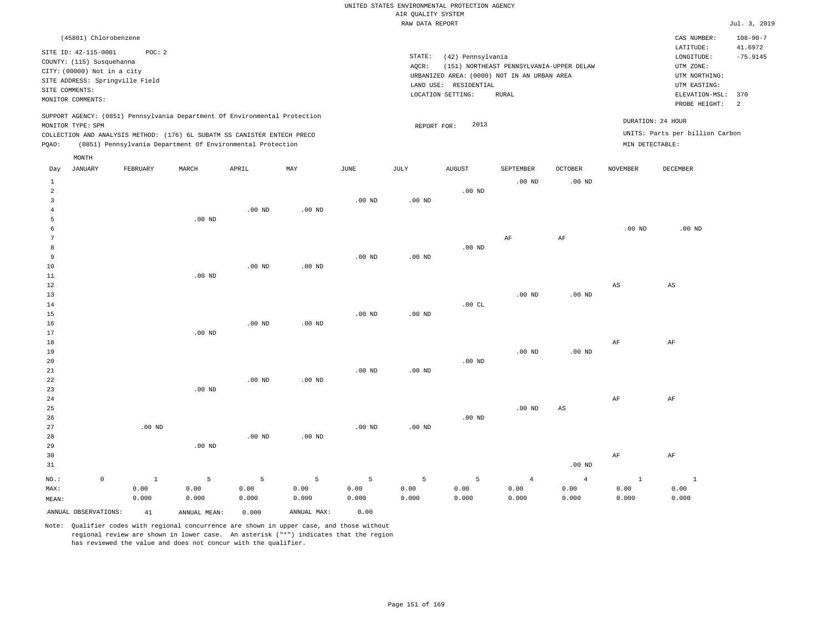|                | (45801) Chlorobenzene           |          |       |                                                                                                                                        |     |      |        |                                             |                                          |                |                 | CAS NUMBER:                     | $108 - 90 - 7$ |
|----------------|---------------------------------|----------|-------|----------------------------------------------------------------------------------------------------------------------------------------|-----|------|--------|---------------------------------------------|------------------------------------------|----------------|-----------------|---------------------------------|----------------|
|                | SITE ID: 42-115-0001            | POC: 2   |       |                                                                                                                                        |     |      |        |                                             |                                          |                |                 | LATITUDE:                       | 41.6972        |
|                | COUNTY: (115) Susquehanna       |          |       |                                                                                                                                        |     |      | STATE: | (42) Pennsylvania                           |                                          |                |                 | LONGITUDE:                      | $-75.9145$     |
|                | CITY: (00000) Not in a city     |          |       |                                                                                                                                        |     |      | AOCR:  |                                             | (151) NORTHEAST PENNSYLVANIA-UPPER DELAW |                |                 | UTM ZONE:                       |                |
|                | SITE ADDRESS: Springville Field |          |       |                                                                                                                                        |     |      |        | URBANIZED AREA: (0000) NOT IN AN URBAN AREA |                                          |                |                 | UTM NORTHING:                   |                |
| SITE COMMENTS: |                                 |          |       |                                                                                                                                        |     |      |        | LAND USE: RESIDENTIAL                       |                                          |                |                 | UTM EASTING:                    |                |
|                | MONITOR COMMENTS:               |          |       |                                                                                                                                        |     |      |        | LOCATION SETTING:                           | RURAL                                    |                |                 | ELEVATION-MSL: 370              | $\overline{2}$ |
|                |                                 |          |       |                                                                                                                                        |     |      |        |                                             |                                          |                |                 | PROBE HEIGHT:                   |                |
|                |                                 |          |       | SUPPORT AGENCY: (0851) Pennsylvania Department Of Environmental Protection                                                             |     |      |        |                                             |                                          |                |                 | DURATION: 24 HOUR               |                |
|                | MONITOR TYPE: SPM               |          |       |                                                                                                                                        |     |      |        | 2013<br>REPORT FOR:                         |                                          |                |                 | UNITS: Parts per billion Carbon |                |
| POAO:          |                                 |          |       | COLLECTION AND ANALYSIS METHOD: (176) 6L SUBATM SS CANISTER ENTECH PRECO<br>(0851) Pennsylvania Department Of Environmental Protection |     |      |        |                                             |                                          |                | MIN DETECTABLE: |                                 |                |
|                |                                 |          |       |                                                                                                                                        |     |      |        |                                             |                                          |                |                 |                                 |                |
|                | MONTH                           |          |       |                                                                                                                                        |     |      |        |                                             |                                          |                |                 |                                 |                |
| Day            | JANUARY                         | FEBRUARY | MARCH | APRIL                                                                                                                                  | MAY | JUNE | JULY   | <b>AUGUST</b>                               | SEPTEMBER                                | <b>OCTOBER</b> | <b>NOVEMBER</b> | DECEMBER                        |                |
|                |                                 |          |       |                                                                                                                                        |     |      |        |                                             | $00 \text{ m}$                           | $00 \text{ m}$ |                 |                                 |                |

| ANNUAL OBSERVATIONS:                  | 41       | ANNUAL MEAN: | 0.000             | ANNUAL MAX:                     | 0.00            |                                                           |          |                |                        |                        |                        |
|---------------------------------------|----------|--------------|-------------------|---------------------------------|-----------------|-----------------------------------------------------------|----------|----------------|------------------------|------------------------|------------------------|
| MEAN:                                 | 0.000    | 0.000        | 0.000             | 0.000                           | 0.000           | 0.000                                                     | 0.000    | 0.000          | 0.000                  | 0.000                  | 0.000                  |
| MAX:                                  | 0.00     | 0.00         | 0.00              | ${\bf 0}$ . ${\bf 0}$ ${\bf 0}$ | 0.00            | $\ensuremath{\text{0}}$ . $\ensuremath{\text{0}}\xspace0$ | 0.00     | 0.00           | 0.00                   | 0.00                   | 0.00                   |
| $\mathsf{O}\xspace$<br>$_{\rm NO.}$ : | $\,$ 1   | $\mathsf S$  | $\overline{5}$    | $\overline{5}$                  | $5\phantom{.0}$ | 5                                                         | 5        | $\overline{4}$ | $\overline{4}$         | $\,$ 1                 | $\mathbf 1$            |
| 31                                    |          |              |                   |                                 |                 |                                                           |          |                | $.00$ ND               |                        |                        |
| 30                                    |          |              |                   |                                 |                 |                                                           |          |                |                        | $\rm{AF}$              | $\rm AF$               |
| 29                                    |          | $.00$ ND     |                   |                                 |                 |                                                           |          |                |                        |                        |                        |
| 28                                    |          |              | .00 <sub>ND</sub> | $.00$ ND                        |                 |                                                           |          |                |                        |                        |                        |
| 27                                    | $.00$ ND |              |                   |                                 | $.00$ ND        | $.00$ ND                                                  |          |                |                        |                        |                        |
| 26                                    |          |              |                   |                                 |                 |                                                           | $.00$ ND |                |                        |                        |                        |
| 25                                    |          |              |                   |                                 |                 |                                                           |          | $.00$ ND       | $\mathbb{A}\mathbb{S}$ |                        |                        |
| 24                                    |          |              |                   |                                 |                 |                                                           |          |                |                        | $\rm{AF}$              | $\rm{AF}$              |
| 23                                    |          | $.00$ ND     |                   |                                 |                 |                                                           |          |                |                        |                        |                        |
| 22                                    |          |              | .00 $ND$          | $.00$ ND                        |                 |                                                           |          |                |                        |                        |                        |
| 21                                    |          |              |                   |                                 | $.00$ ND        | .00 $ND$                                                  |          |                |                        |                        |                        |
| 20                                    |          |              |                   |                                 |                 |                                                           | $.00$ ND |                |                        |                        |                        |
| 19                                    |          |              |                   |                                 |                 |                                                           |          | $.00$ ND       | .00 <sub>ND</sub>      |                        |                        |
| 18                                    |          |              |                   |                                 |                 |                                                           |          |                |                        | $\rm{AF}$              | $\rm{AF}$              |
| 17                                    |          | $.00$ ND     |                   |                                 |                 |                                                           |          |                |                        |                        |                        |
| 16                                    |          |              | $.00$ ND          | $.00$ ND                        |                 |                                                           |          |                |                        |                        |                        |
| 15                                    |          |              |                   |                                 | $.00$ ND        | $.00$ ND                                                  |          |                |                        |                        |                        |
| 14                                    |          |              |                   |                                 |                 |                                                           | .00CL    |                |                        |                        |                        |
| 13                                    |          |              |                   |                                 |                 |                                                           |          | $.00$ ND       | $.00$ ND               |                        |                        |
| 12                                    |          |              |                   |                                 |                 |                                                           |          |                |                        | $\mathbb{A}\mathbb{S}$ | $\mathbb{A}\mathbb{S}$ |
| 11                                    |          | $.00$ ND     |                   |                                 |                 |                                                           |          |                |                        |                        |                        |
| 10                                    |          |              | $.00$ ND          | $.00$ ND                        |                 |                                                           |          |                |                        |                        |                        |
| 9                                     |          |              |                   |                                 | $.00$ ND        | $.00$ ND                                                  |          |                |                        |                        |                        |
| 8                                     |          |              |                   |                                 |                 |                                                           | $.00$ ND |                |                        |                        |                        |
| 7                                     |          |              |                   |                                 |                 |                                                           |          | $\rm{AF}$      | $\rm{AF}$              |                        |                        |
| 6                                     |          |              |                   |                                 |                 |                                                           |          |                |                        | $.00$ ND               | $.00$ ND               |
| 5                                     |          | $.00$ ND     |                   |                                 |                 |                                                           |          |                |                        |                        |                        |
| 3<br>$\overline{4}$                   |          |              | $.00$ ND          | $.00$ ND                        | $.00$ ND        | .00 $ND$                                                  |          |                |                        |                        |                        |
| $\overline{a}$                        |          |              |                   |                                 |                 |                                                           | $.00$ ND |                |                        |                        |                        |
| $\mathbf{1}$                          |          |              |                   |                                 |                 |                                                           |          | $.00$ ND       | $.00$ ND               |                        |                        |
|                                       |          |              |                   |                                 |                 |                                                           |          |                |                        |                        |                        |

Note: Qualifier codes with regional concurrence are shown in upper case, and those without regional review are shown in lower case. An asterisk ("\*") indicates that the region

has reviewed the value and does not concur with the qualifier.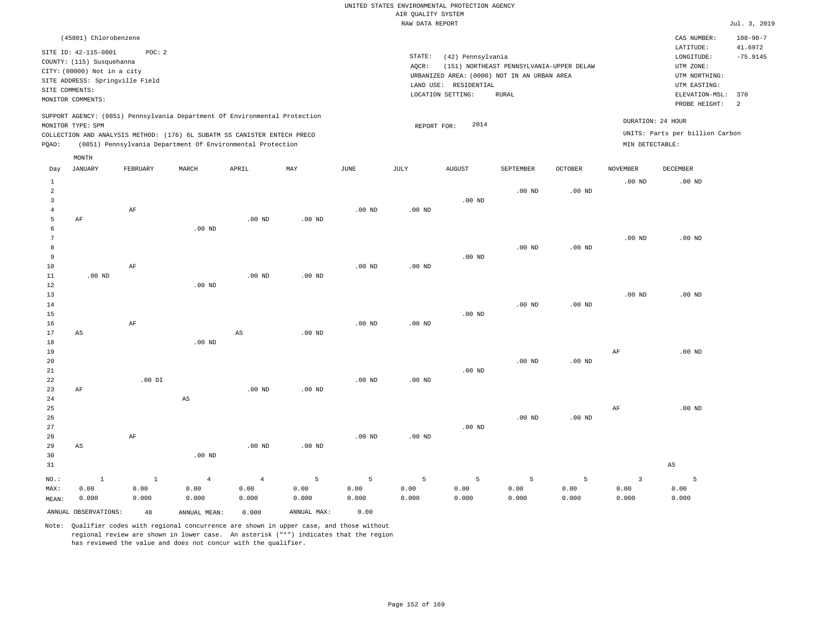| (45801) Chlorobenzene                                                                                                                                                                                                                                       |                                                                                                                                                                                           | CAS NUMBER:                                                                                                  | $108 - 90 - 7$        |
|-------------------------------------------------------------------------------------------------------------------------------------------------------------------------------------------------------------------------------------------------------------|-------------------------------------------------------------------------------------------------------------------------------------------------------------------------------------------|--------------------------------------------------------------------------------------------------------------|-----------------------|
| SITE ID: 42-115-0001<br>POC:2<br>COUNTY: (115) Susquehanna<br>CITY: (00000) Not in a city<br>SITE ADDRESS: Springville Field<br>SITE COMMENTS:<br>MONITOR COMMENTS:                                                                                         | STATE:<br>(42) Pennsylvania<br>(151) NORTHEAST PENNSYLVANIA-UPPER DELAW<br>AOCR:<br>URBANIZED AREA: (0000) NOT IN AN URBAN AREA<br>RESIDENTIAL<br>LAND USE:<br>LOCATION SETTING:<br>RURAL | LATITUDE:<br>LONGITUDE:<br>UTM ZONE:<br>UTM NORTHING:<br>UTM EASTING:<br>ELEVATION-MSL: 370<br>PROBE HEIGHT: | 41.6972<br>$-75.9145$ |
| SUPPORT AGENCY: (0851) Pennsylvania Department Of Environmental Protection<br>MONITOR TYPE: SPM<br>COLLECTION AND ANALYSIS METHOD: (176) 6L SUBATM SS CANISTER ENTECH PRECO<br>(0851) Pennsylvania Department Of Environmental Protection<br>POAO:<br>MONTH | 2014<br>REPORT FOR:                                                                                                                                                                       | DURATION: 24 HOUR<br>UNITS: Parts per billion Carbon<br>MIN DETECTABLE:                                      |                       |

| Day            | <b>JANUARY</b>       | FEBRUARY     | MARCH                  | APRIL          | MAY         | $_{\rm JUNE}$ | $\mathtt{JULY}$ | AUGUST   | SEPTEMBER         | OCTOBER           | NOVEMBER                | DECEMBER               |
|----------------|----------------------|--------------|------------------------|----------------|-------------|---------------|-----------------|----------|-------------------|-------------------|-------------------------|------------------------|
| $\mathbf{1}$   |                      |              |                        |                |             |               |                 |          |                   |                   | $.00$ ND                | $.00$ ND               |
| $\overline{a}$ |                      |              |                        |                |             |               |                 |          | $.00$ ND          | .00 <sub>ND</sub> |                         |                        |
| 3              |                      |              |                        |                |             |               |                 | $.00$ ND |                   |                   |                         |                        |
| $\overline{4}$ |                      | $\rm AF$     |                        |                |             | $.00$ ND      | $.00$ ND        |          |                   |                   |                         |                        |
| 5              | $\rm AF$             |              |                        | $.00$ ND       | $.00$ ND    |               |                 |          |                   |                   |                         |                        |
| 6              |                      |              | $.00$ ND               |                |             |               |                 |          |                   |                   |                         |                        |
| 7              |                      |              |                        |                |             |               |                 |          |                   |                   | $.00$ ND                | $.00$ ND               |
| 8              |                      |              |                        |                |             |               |                 |          | $.00$ ND          | $.00$ ND          |                         |                        |
| 9              |                      |              |                        |                |             |               |                 | $.00$ ND |                   |                   |                         |                        |
| $10$           |                      | AF           |                        |                |             | $.00$ ND      | $.00$ ND        |          |                   |                   |                         |                        |
| 11             | $.00$ ND             |              |                        | $.00$ ND       | $.00$ ND    |               |                 |          |                   |                   |                         |                        |
| 12             |                      |              | $.00$ ND               |                |             |               |                 |          |                   |                   |                         |                        |
| 13             |                      |              |                        |                |             |               |                 |          |                   |                   | $.00$ ND                | $.00$ ND               |
| 14             |                      |              |                        |                |             |               |                 |          | .00 <sub>ND</sub> | $.00$ ND          |                         |                        |
| 15<br>16       |                      | AF           |                        |                |             | $.00$ ND      | $.00$ ND        | $.00$ ND |                   |                   |                         |                        |
| 17             | AS                   |              |                        | $_{\rm AS}$    | $.00$ ND    |               |                 |          |                   |                   |                         |                        |
| 18             |                      |              | .00 $ND$               |                |             |               |                 |          |                   |                   |                         |                        |
| 19             |                      |              |                        |                |             |               |                 |          |                   |                   | $\rm{AF}$               | $.00$ ND               |
| $20$           |                      |              |                        |                |             |               |                 |          | $.00$ ND          | $.00$ ND          |                         |                        |
| 21             |                      |              |                        |                |             |               |                 | $.00$ ND |                   |                   |                         |                        |
| 22             |                      | $.00$ DI     |                        |                |             | $.00$ ND      | $.00$ ND        |          |                   |                   |                         |                        |
| 23             | $\rm AF$             |              |                        | $.00$ ND       | $.00$ ND    |               |                 |          |                   |                   |                         |                        |
| 24             |                      |              | $\mathbb{A}\mathbb{S}$ |                |             |               |                 |          |                   |                   |                         |                        |
| 25             |                      |              |                        |                |             |               |                 |          |                   |                   | $\rm{AF}$               | $.00$ ND               |
| 26             |                      |              |                        |                |             |               |                 |          | .00 <sub>ND</sub> | .00 <sub>ND</sub> |                         |                        |
| 27             |                      |              |                        |                |             |               |                 | .00 $ND$ |                   |                   |                         |                        |
| 28             |                      | AF           |                        |                |             | $.00$ ND      | $.00$ ND        |          |                   |                   |                         |                        |
| 29             | AS                   |              |                        | $.00$ ND       | .00 $ND$    |               |                 |          |                   |                   |                         |                        |
| 30             |                      |              | .00 $ND$               |                |             |               |                 |          |                   |                   |                         |                        |
| 31             |                      |              |                        |                |             |               |                 |          |                   |                   |                         | $\mathbb{A}\mathbb{S}$ |
| $NO.$ :        | $\mathbf{1}$         | $\mathbf{1}$ | $\overline{4}$         | $\overline{4}$ | 5           | $\mathsf S$   | 5               | 5        | 5                 | 5                 | $\overline{\mathbf{3}}$ | 5                      |
| MAX:           | 0.00                 | 0.00         | 0.00                   | 0.00           | 0.00        | 0.00          | 0.00            | 0.00     | 0.00              | 0.00              | 0.00                    | 0.00                   |
| MEAN:          | 0.000                | 0.000        | 0.000                  | 0.000          | 0.000       | 0.000         | 0.000           | 0.000    | 0.000             | 0.000             | 0.000                   | 0.000                  |
|                | ANNUAL OBSERVATIONS: | 48           | ANNUAL MEAN:           | 0.000          | ANNUAL MAX: | 0.00          |                 |          |                   |                   |                         |                        |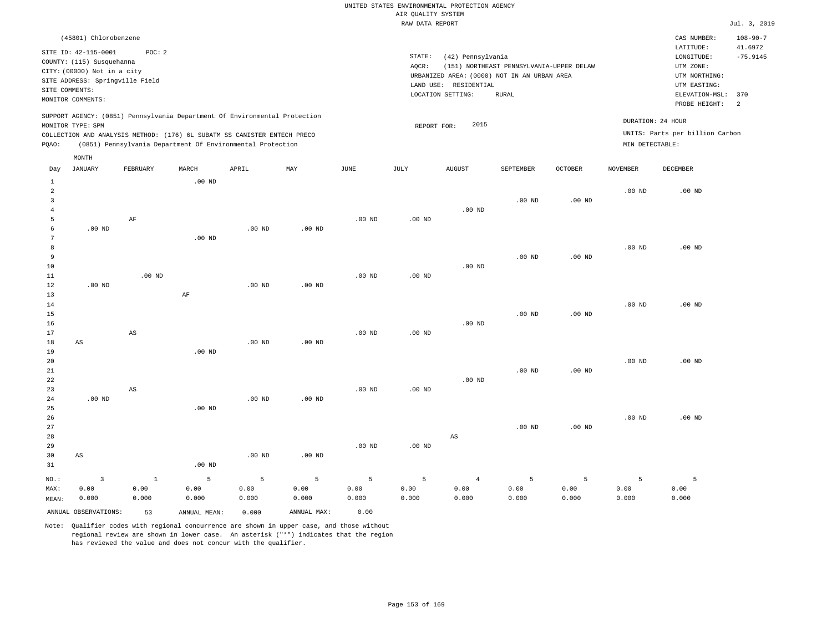| (45801) Chlorobenzene                                                                                                                                                                                                                                       |                                                                                                                                                                                        | CAS NUMBER:                                                                                                  | $108 - 90 - 7$                          |
|-------------------------------------------------------------------------------------------------------------------------------------------------------------------------------------------------------------------------------------------------------------|----------------------------------------------------------------------------------------------------------------------------------------------------------------------------------------|--------------------------------------------------------------------------------------------------------------|-----------------------------------------|
| SITE ID: 42-115-0001<br>POC:2<br>COUNTY: (115) Susquehanna<br>CITY: (00000) Not in a city<br>SITE ADDRESS: Springville Field<br>SITE COMMENTS:<br>MONITOR COMMENTS:                                                                                         | STATE:<br>(42) Pennsylvania<br>(151) NORTHEAST PENNSYLVANIA-UPPER DELAW<br>AOCR:<br>URBANIZED AREA: (0000) NOT IN AN URBAN AREA<br>LAND USE: RESIDENTIAL<br>LOCATION SETTING:<br>RURAL | LATITUDE:<br>LONGITUDE:<br>UTM ZONE:<br>UTM NORTHING:<br>UTM EASTING:<br>ELEVATION-MSL: 370<br>PROBE HEIGHT: | 41.6972<br>$-75.9145$<br>$\overline{2}$ |
| SUPPORT AGENCY: (0851) Pennsylvania Department Of Environmental Protection<br>MONITOR TYPE: SPM<br>COLLECTION AND ANALYSIS METHOD: (176) 6L SUBATM SS CANISTER ENTECH PRECO<br>(0851) Pennsylvania Department Of Environmental Protection<br>POAO:<br>MONTH | 2015<br>REPORT FOR:                                                                                                                                                                    | DURATION: 24 HOUR<br>UNITS: Parts per billion Carbon<br>MIN DETECTABLE:                                      |                                         |

|                | ANNUAL OBSERVATIONS:   | 53                     | ANNUAL MEAN:      | 0.000             | ANNUAL MAX:       | 0.00           |                   |                        |               |               |               |               |
|----------------|------------------------|------------------------|-------------------|-------------------|-------------------|----------------|-------------------|------------------------|---------------|---------------|---------------|---------------|
| MAX:<br>MEAN:  | 0.00<br>0.000          | 0.00<br>0.000          | 0.00<br>0.000     | 0.00<br>0.000     | 0.00<br>0.000     | 0.00<br>0.000  | 0.00<br>0.000     | 0.00<br>0.000          | 0.00<br>0.000 | 0.00<br>0.000 | 0.00<br>0.000 | 0.00<br>0.000 |
| $_{\rm NO.}$ : | $\overline{3}$         | $\mathbf{1}$           | $\overline{5}$    | 5                 | 5                 | $\overline{5}$ | 5                 | $\overline{4}$         | 5             | 5             | 5             | 5             |
| $31\,$         |                        |                        | .00 <sub>ND</sub> |                   |                   |                |                   |                        |               |               |               |               |
| $30$           | $\mathbb{A}\mathbb{S}$ |                        |                   | .00 <sub>ND</sub> | .00 <sub>ND</sub> |                |                   |                        |               |               |               |               |
| 29             |                        |                        |                   |                   |                   | .00 $ND$       | .00 $ND$          |                        |               |               |               |               |
| 28             |                        |                        |                   |                   |                   |                |                   | $\mathbb{A}\mathbb{S}$ |               |               |               |               |
| 27             |                        |                        |                   |                   |                   |                |                   |                        | $.00$ ND      | $.00$ ND      |               |               |
| 26             |                        |                        |                   |                   |                   |                |                   |                        |               |               | $.00$ ND      | $.00$ ND      |
| 25             |                        |                        | .00 <sub>ND</sub> |                   |                   |                |                   |                        |               |               |               |               |
| 24             | .00 $ND$               |                        |                   | .00 <sub>ND</sub> | $.00$ ND          |                |                   |                        |               |               |               |               |
| 23             |                        | AS                     |                   |                   |                   | $.00$ ND       | $.00~\mathrm{ND}$ |                        |               |               |               |               |
| 22             |                        |                        |                   |                   |                   |                |                   | $.00$ ND               |               |               |               |               |
| 21             |                        |                        |                   |                   |                   |                |                   |                        | $.00$ ND      | $.00$ ND      |               |               |
| 20             |                        |                        |                   |                   |                   |                |                   |                        |               |               | $.00$ ND      | $.00$ ND      |
| 19             |                        |                        | .00 <sub>ND</sub> |                   |                   |                |                   |                        |               |               |               |               |
| 18             | $\mathbb{A}\mathbb{S}$ |                        |                   | $.00$ ND          | .00 <sub>ND</sub> |                |                   |                        |               |               |               |               |
| $16$<br>17     |                        | $\mathbb{A}\mathbb{S}$ |                   |                   |                   | .00 $ND$       | .00 $ND$          | .00 $ND$               |               |               |               |               |
| $15\,$         |                        |                        |                   |                   |                   |                |                   |                        |               | $.00$ ND      |               |               |
| 14             |                        |                        |                   |                   |                   |                |                   |                        | $.00$ ND      |               | $.00$ ND      | $.00$ ND      |
| 13             |                        |                        | $\rm AF$          |                   |                   |                |                   |                        |               |               |               |               |
| 12             | $.00$ ND               |                        |                   | .00 <sub>ND</sub> | .00 <sub>ND</sub> |                |                   |                        |               |               |               |               |
| $11\,$         |                        | $.00$ ND               |                   |                   |                   | $.00$ ND       | $.00~\mathrm{ND}$ |                        |               |               |               |               |
| $10$           |                        |                        |                   |                   |                   |                |                   | $.00$ ND               |               |               |               |               |
| 9              |                        |                        |                   |                   |                   |                |                   |                        | $.00$ ND      | $.00$ ND      |               |               |
| 8              |                        |                        |                   |                   |                   |                |                   |                        |               |               | $.00$ ND      | $.00$ ND      |
| 7              |                        |                        | .00 <sub>ND</sub> |                   |                   |                |                   |                        |               |               |               |               |
| 6              | $.00$ ND               |                        |                   | $.00$ ND          | .00 <sub>ND</sub> |                |                   |                        |               |               |               |               |
| 5              |                        | AF                     |                   |                   |                   | $.00$ ND       | .00 $ND$          |                        |               |               |               |               |
| $\overline{4}$ |                        |                        |                   |                   |                   |                |                   | $.00$ ND               |               |               |               |               |
| 3              |                        |                        |                   |                   |                   |                |                   |                        | $.00$ ND      | $.00$ ND      |               |               |
| $\overline{a}$ |                        |                        |                   |                   |                   |                |                   |                        |               |               | $.00$ ND      | $.00$ ND      |
| 1              |                        |                        | $.00$ ND          |                   |                   |                |                   |                        |               |               |               |               |

Day JANUARY FEBRUARY MARCH APRIL MAY JUNE JULY AUGUST SEPTEMBER OCTOBER NOVEMBER DECEMBER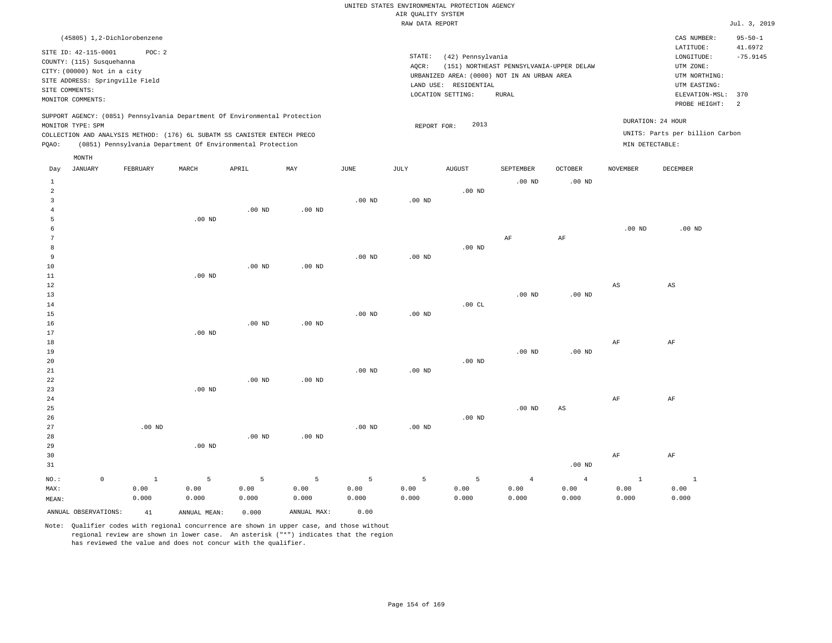|       | (45805) 1,2-Dichlorobenzene                                                                                                           |          |       |                                                                                                                                                                                                                      |     |      |                 |                                                                                              |                                          |                |          | CAS NUMBER:                                                             | $95 - 50 - 1$ |
|-------|---------------------------------------------------------------------------------------------------------------------------------------|----------|-------|----------------------------------------------------------------------------------------------------------------------------------------------------------------------------------------------------------------------|-----|------|-----------------|----------------------------------------------------------------------------------------------|------------------------------------------|----------------|----------|-------------------------------------------------------------------------|---------------|
|       | SITE ID: 42-115-0001<br>COUNTY: (115) Susquehanna<br>CITY: (00000) Not in a city<br>SITE ADDRESS: Springville Field<br>SITE COMMENTS: | POC: 2   |       |                                                                                                                                                                                                                      |     |      | STATE:<br>AOCR: | (42) Pennsylvania<br>URBANIZED AREA: (0000) NOT IN AN URBAN AREA<br>RESIDENTIAL<br>LAND USE: | (151) NORTHEAST PENNSYLVANIA-UPPER DELAW |                |          | 41.6972<br>$-75.9145$                                                   |               |
|       | MONITOR COMMENTS:                                                                                                                     |          |       |                                                                                                                                                                                                                      |     |      |                 | LOCATION SETTING:                                                                            | RURAL                                    |                |          | ELEVATION-MSL:<br>PROBE HEIGHT:                                         | 370<br>2      |
| POAO: | MONITOR TYPE: SPM                                                                                                                     |          |       | SUPPORT AGENCY: (0851) Pennsylvania Department Of Environmental Protection<br>COLLECTION AND ANALYSIS METHOD: (176) 6L SUBATM SS CANISTER ENTECH PRECO<br>(0851) Pennsylvania Department Of Environmental Protection |     |      |                 | 2013<br>REPORT FOR:                                                                          |                                          |                |          | DURATION: 24 HOUR<br>UNITS: Parts per billion Carbon<br>MIN DETECTABLE: |               |
| Day   | MONTH<br>JANUARY                                                                                                                      | FEBRUARY | MARCH | APRIL                                                                                                                                                                                                                | MAY | JUNE | JULY            | <b>AUGUST</b>                                                                                | SEPTEMBER                                | <b>OCTOBER</b> | NOVEMBER | DECEMBER                                                                |               |
|       |                                                                                                                                       |          |       |                                                                                                                                                                                                                      |     |      |                 |                                                                                              | $.00$ ND                                 | $.00$ ND       |          |                                                                         |               |
|       |                                                                                                                                       |          |       |                                                                                                                                                                                                                      |     |      |                 | $.00$ ND                                                                                     |                                          |                |          |                                                                         |               |

|                |         |              |                   |          |                   |                |                   | $\cdot$  |                   |                        |                        |                        |
|----------------|---------|--------------|-------------------|----------|-------------------|----------------|-------------------|----------|-------------------|------------------------|------------------------|------------------------|
| 3              |         |              |                   |          |                   | $.00$ ND       | $.00$ ND          |          |                   |                        |                        |                        |
| $\overline{4}$ |         |              |                   | $.00$ ND | .00 <sub>ND</sub> |                |                   |          |                   |                        |                        |                        |
| 5              |         |              | $.00$ ND          |          |                   |                |                   |          |                   |                        |                        |                        |
| 6              |         |              |                   |          |                   |                |                   |          |                   |                        | .00 $ND$               | $.00$ ND               |
| 7              |         |              |                   |          |                   |                |                   |          | $\rm{AF}$         | $\rm{AF}$              |                        |                        |
| 8              |         |              |                   |          |                   |                |                   | .00 $ND$ |                   |                        |                        |                        |
| 9              |         |              |                   |          |                   | $.00$ ND       | .00 <sub>ND</sub> |          |                   |                        |                        |                        |
| 10             |         |              |                   | $.00$ ND | $.00$ ND          |                |                   |          |                   |                        |                        |                        |
| 11             |         |              | $.00$ ND          |          |                   |                |                   |          |                   |                        |                        |                        |
| 12             |         |              |                   |          |                   |                |                   |          |                   |                        | $\mathbb{A}\mathbb{S}$ | $\mathbb{A}\mathbb{S}$ |
| 13             |         |              |                   |          |                   |                |                   |          | $.00$ ND          | $.00$ ND               |                        |                        |
| 14             |         |              |                   |          |                   |                |                   | .00CL    |                   |                        |                        |                        |
| 15             |         |              |                   |          |                   | $.00$ ND       | .00 $ND$          |          |                   |                        |                        |                        |
| 16             |         |              |                   | $.00$ ND | $.00$ ND          |                |                   |          |                   |                        |                        |                        |
| 17             |         |              | $.00$ ND          |          |                   |                |                   |          |                   |                        |                        |                        |
| 18             |         |              |                   |          |                   |                |                   |          |                   |                        | $\rm{AF}$              | $\rm{AF}$              |
| 19             |         |              |                   |          |                   |                |                   |          | $.00$ ND          | $.00$ ND               |                        |                        |
| 20             |         |              |                   |          |                   |                |                   | .00 $ND$ |                   |                        |                        |                        |
| $21\,$         |         |              |                   |          |                   | $.00$ ND       | .00 $ND$          |          |                   |                        |                        |                        |
| 22             |         |              |                   | $.00$ ND | $.00$ ND          |                |                   |          |                   |                        |                        |                        |
| 23             |         |              | $.00$ ND          |          |                   |                |                   |          |                   |                        |                        |                        |
| 24             |         |              |                   |          |                   |                |                   |          |                   |                        | $\rm{AF}$              | AF                     |
| 25             |         |              |                   |          |                   |                |                   |          | .00 <sub>ND</sub> | $\mathbb{A}\mathbb{S}$ |                        |                        |
| $26\,$         |         |              |                   |          |                   |                |                   | .00 $ND$ |                   |                        |                        |                        |
| 27             |         | .00 $ND$     |                   |          |                   | $.00$ ND       | $.00$ ND          |          |                   |                        |                        |                        |
| 28             |         |              |                   | $.00$ ND | $.00$ ND          |                |                   |          |                   |                        |                        |                        |
| 29             |         |              | .00 <sub>ND</sub> |          |                   |                |                   |          |                   |                        |                        |                        |
| 30             |         |              |                   |          |                   |                |                   |          |                   |                        | $\rm{AF}$              | $\rm AF$               |
| 31             |         |              |                   |          |                   |                |                   |          |                   | .00 <sub>ND</sub>      |                        |                        |
| $_{\rm NO.}$ : | $\circ$ | $\mathbf{1}$ | 5                 | 5        | $\overline{5}$    | $\overline{5}$ | 5                 | 5        | $\overline{4}$    | $\overline{4}$         | $\mathbf{1}$           | $\sim$ 1               |
| MAX:           |         | 0.00         | 0.00              | 0.00     | 0.00              | 0.00           | 0.00              | 0.00     | 0.00              | 0.00                   | 0.00                   | 0.00                   |
| MEAN:          |         | 0.000        | 0.000             | 0.000    | 0.000             | 0.000          | 0.000             | 0.000    | 0.000             | 0.000                  | 0.000                  | 0.000                  |

ANNUAL OBSERVATIONS: 41 ANNUAL MEAN: 0.000 ANNUAL MAX: 0.00 Note: Qualifier codes with regional concurrence are shown in upper case, and those without

regional review are shown in lower case. An asterisk ("\*") indicates that the region

has reviewed the value and does not concur with the qualifier.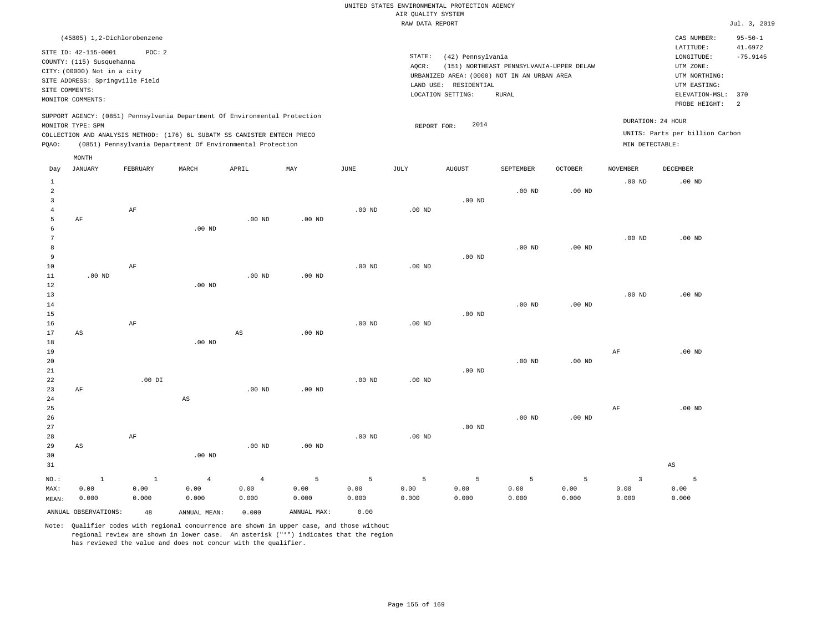| (45805) 1,2-Dichlorobenzene                                                                                                                                                                                                                        |                                                                                                                                                                                        | CAS NUMBER:                                                                                                  | $95 - 50 - 1$         |
|----------------------------------------------------------------------------------------------------------------------------------------------------------------------------------------------------------------------------------------------------|----------------------------------------------------------------------------------------------------------------------------------------------------------------------------------------|--------------------------------------------------------------------------------------------------------------|-----------------------|
| SITE ID: 42-115-0001<br>POC:2<br>COUNTY: (115) Susquehanna<br>CITY: (00000) Not in a city<br>SITE ADDRESS: Springville Field<br>SITE COMMENTS:<br>MONITOR COMMENTS:                                                                                | STATE:<br>(42) Pennsylvania<br>(151) NORTHEAST PENNSYLVANIA-UPPER DELAW<br>AOCR:<br>URBANIZED AREA: (0000) NOT IN AN URBAN AREA<br>LAND USE: RESIDENTIAL<br>LOCATION SETTING:<br>RURAL | LATITUDE:<br>LONGITUDE:<br>UTM ZONE:<br>UTM NORTHING:<br>UTM EASTING:<br>ELEVATION-MSL: 370<br>PROBE HEIGHT: | 41.6972<br>$-75.9145$ |
| SUPPORT AGENCY: (0851) Pennsylvania Department Of Environmental Protection<br>MONITOR TYPE: SPM<br>COLLECTION AND ANALYSIS METHOD: (176) 6L SUBATM SS CANISTER ENTECH PRECO<br>(0851) Pennsylvania Department Of Environmental Protection<br>POAO: | DURATION: 24 HOUR<br>2014<br>REPORT FOR:<br>MIN DETECTABLE:                                                                                                                            | UNITS: Parts per billion Carbon                                                                              |                       |

|                               | MONTH                         |                         |                                 |                                 |                    |                    |                    |                    |                    |                                 |                                 |                        |
|-------------------------------|-------------------------------|-------------------------|---------------------------------|---------------------------------|--------------------|--------------------|--------------------|--------------------|--------------------|---------------------------------|---------------------------------|------------------------|
| Day                           | <b>JANUARY</b>                | FEBRUARY                | MARCH                           | APRIL                           | MAY                | JUNE               | JULY               | <b>AUGUST</b>      | SEPTEMBER          | OCTOBER                         | <b>NOVEMBER</b>                 | DECEMBER               |
| 1<br>$\overline{a}$<br>3      |                               |                         |                                 |                                 |                    |                    |                    | $.00$ ND           | $.00$ ND           | $.00$ ND                        | $.00$ ND                        | $.00$ ND               |
| $\overline{4}$<br>5<br>6<br>7 | AF                            | $\rm AF$                | $.00$ ND                        | $.00$ ND                        | $.00$ ND           | $.00$ ND           | $.00$ ND           |                    |                    |                                 | $.00$ ND                        | $.00$ ND               |
| 8<br>9<br>10                  |                               | $\rm{AF}$               |                                 |                                 |                    | $.00$ ND           | $.00$ ND           | $.00$ ND           | $.00$ ND           | $.00$ ND                        |                                 |                        |
| 11<br>12<br>13<br>14          | $.00$ ND                      |                         | $.00$ ND                        | $.00$ ND                        | $.00$ ND           |                    |                    |                    | $.00$ ND           | $.00$ ND                        | $.00$ ND                        | $.00$ ND               |
| 15<br>16<br>17<br>18          | $\mathbb{A}\mathbb{S}$        | $\rm AF$                | $.00$ ND                        | $_{\rm AS}$                     | $.00$ ND           | $.00$ ND           | $.00$ ND           | $.00$ ND           |                    |                                 |                                 |                        |
| 19<br>20<br>21                |                               |                         |                                 |                                 |                    |                    |                    | $.00$ ND           | $.00$ ND           | $.00$ ND                        | $\rm{AF}$                       | $.00$ ND               |
| 22<br>23<br>$2\sqrt{4}$<br>25 | $\rm AF$                      | $.00$ DI                | $\mathbb{A}\mathbb{S}$          | $.00$ ND                        | $.00$ ND           | $.00$ ND           | $.00$ ND           |                    |                    |                                 | $\rm{AF}$                       | $.00$ ND               |
| 26<br>27<br>28                |                               | $\rm AF$                |                                 |                                 |                    | $.00$ ND           | $.00$ ND           | $.00$ ND           | $.00$ ND           | $.00$ ND                        |                                 |                        |
| 29<br>30<br>31                | $_{\rm AS}$                   |                         | $.00$ ND                        | $.00$ ND                        | $.00$ ND           |                    |                    |                    |                    |                                 |                                 | $\mathbb{A}\mathbb{S}$ |
| $NO.$ :<br>MAX:<br>MEAN:      | $\mathbf{1}$<br>0.00<br>0.000 | $\,$ 1<br>0.00<br>0.000 | $\overline{4}$<br>0.00<br>0.000 | $\overline{4}$<br>0.00<br>0.000 | 5<br>0.00<br>0.000 | 5<br>0.00<br>0.000 | 5<br>0.00<br>0.000 | 5<br>0.00<br>0.000 | 5<br>0.00<br>0.000 | $\overline{5}$<br>0.00<br>0.000 | $\overline{3}$<br>0.00<br>0.000 | 5<br>0.00<br>0.000     |
|                               | ANNUAL OBSERVATIONS:          | 48                      | ANNUAL MEAN:                    | 0.000                           | ANNUAL MAX:        | 0.00               |                    |                    |                    |                                 |                                 |                        |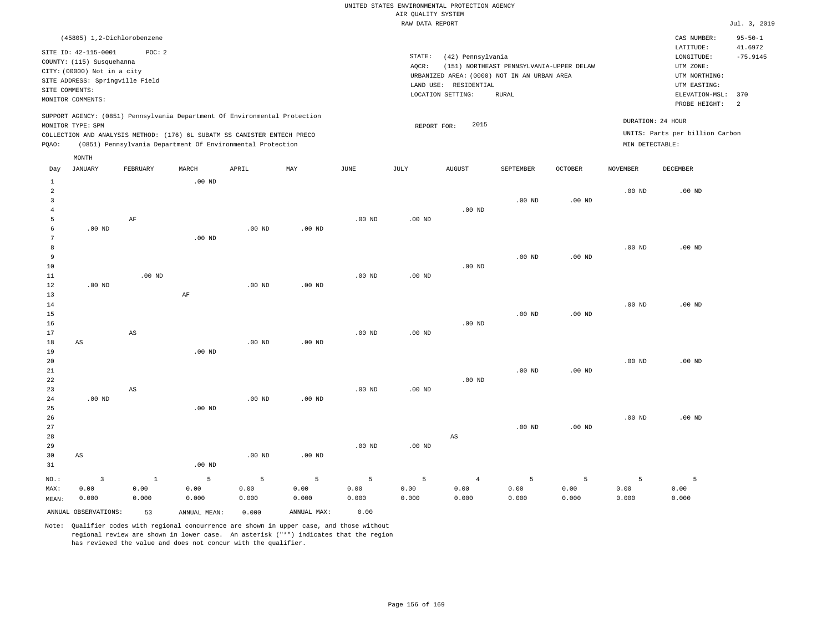| (45805) 1,2-Dichlorobenzene                                                                                                                                                                                                                                 |                                                                                                                                                                                        | CAS NUMBER:                                                                                                  | $95 - 50 - 1$               |
|-------------------------------------------------------------------------------------------------------------------------------------------------------------------------------------------------------------------------------------------------------------|----------------------------------------------------------------------------------------------------------------------------------------------------------------------------------------|--------------------------------------------------------------------------------------------------------------|-----------------------------|
| SITE ID: 42-115-0001<br>POC:2<br>COUNTY: (115) Susquehanna<br>CITY: (00000) Not in a city<br>SITE ADDRESS: Springville Field<br>SITE COMMENTS:<br>MONITOR COMMENTS:                                                                                         | STATE:<br>(42) Pennsylvania<br>(151) NORTHEAST PENNSYLVANIA-UPPER DELAW<br>AOCR:<br>URBANIZED AREA: (0000) NOT IN AN URBAN AREA<br>LAND USE: RESIDENTIAL<br>LOCATION SETTING:<br>RURAL | LATITUDE:<br>LONGITUDE:<br>UTM ZONE:<br>UTM NORTHING:<br>UTM EASTING:<br>ELEVATION-MSL: 370<br>PROBE HEIGHT: | 41.6972<br>$-75.9145$<br>-2 |
| SUPPORT AGENCY: (0851) Pennsylvania Department Of Environmental Protection<br>MONITOR TYPE: SPM<br>COLLECTION AND ANALYSIS METHOD: (176) 6L SUBATM SS CANISTER ENTECH PRECO<br>(0851) Pennsylvania Department Of Environmental Protection<br>POAO:<br>MONTH | 2015<br>REPORT FOR:                                                                                                                                                                    | DURATION: 24 HOUR<br>UNITS: Parts per billion Carbon<br>MIN DETECTABLE:                                      |                             |

| Day            | <b>JANUARY</b>          | ${\tt FEBRUARY}$       | $\tt MARCH$  | ${\tt APRIL}$ | $\ensuremath{\text{MAX}}$ | $_{\rm JUNE}$     | JULY     | ${\tt AUGUST}$         | SEPTEMBER         | OCTOBER           | NOVEMBER | DECEMBER |
|----------------|-------------------------|------------------------|--------------|---------------|---------------------------|-------------------|----------|------------------------|-------------------|-------------------|----------|----------|
| $\mathbf{1}$   |                         |                        | $.00$ ND     |               |                           |                   |          |                        |                   |                   |          |          |
| $\overline{a}$ |                         |                        |              |               |                           |                   |          |                        |                   |                   | $.00$ ND | $.00$ ND |
| 3              |                         |                        |              |               |                           |                   |          |                        | .00 <sub>ND</sub> | .00 <sub>ND</sub> |          |          |
| $\overline{4}$ |                         |                        |              |               |                           |                   |          | $.00$ ND               |                   |                   |          |          |
| 5              |                         | $\rm AF$               |              |               |                           | $.00$ ND          | $.00$ ND |                        |                   |                   |          |          |
| 6              | $.00$ ND                |                        |              | $.00$ ND      | .00 <sub>ND</sub>         |                   |          |                        |                   |                   |          |          |
| 7              |                         |                        | $.00$ ND     |               |                           |                   |          |                        |                   |                   |          |          |
| 8              |                         |                        |              |               |                           |                   |          |                        |                   |                   | $.00$ ND | $.00$ ND |
| 9              |                         |                        |              |               |                           |                   |          |                        | .00 <sub>ND</sub> | .00 <sub>ND</sub> |          |          |
| $10$           |                         |                        |              |               |                           |                   |          | $.00$ ND               |                   |                   |          |          |
| 11             |                         | $.00$ ND               |              |               |                           | $.00$ ND          | .00 $ND$ |                        |                   |                   |          |          |
| 12             | $.00$ ND                |                        |              | $.00$ ND      | .00 <sub>ND</sub>         |                   |          |                        |                   |                   |          |          |
| 13             |                         |                        | $\rm AF$     |               |                           |                   |          |                        |                   |                   |          |          |
| 14             |                         |                        |              |               |                           |                   |          |                        |                   |                   | $.00$ ND | $.00$ ND |
| 15             |                         |                        |              |               |                           |                   |          |                        | $.00$ ND          | .00 <sub>ND</sub> |          |          |
| 16             |                         |                        |              |               |                           |                   |          | $.00$ ND               |                   |                   |          |          |
| 17             |                         | $\mathbb{A}\mathbb{S}$ |              |               |                           | $.00$ ND          | .00 $ND$ |                        |                   |                   |          |          |
| 18             | $\mathbb{A}\mathbb{S}$  |                        |              | $.00$ ND      | .00 <sub>ND</sub>         |                   |          |                        |                   |                   |          |          |
| 19             |                         |                        | $.00$ ND     |               |                           |                   |          |                        |                   |                   |          |          |
| 20             |                         |                        |              |               |                           |                   |          |                        |                   |                   | $.00$ ND | $.00$ ND |
| 21             |                         |                        |              |               |                           |                   |          |                        | $.00$ ND          | .00 $ND$          |          |          |
| 22             |                         |                        |              |               |                           |                   |          | $.00$ ND               |                   |                   |          |          |
| 23<br>24       | .00 <sub>ND</sub>       | AS                     |              | $.00$ ND      | .00 <sub>ND</sub>         | .00 <sub>ND</sub> | $.00$ ND |                        |                   |                   |          |          |
| 25             |                         |                        | $.00$ ND     |               |                           |                   |          |                        |                   |                   |          |          |
| 26             |                         |                        |              |               |                           |                   |          |                        |                   |                   | $.00$ ND | $.00$ ND |
| 27             |                         |                        |              |               |                           |                   |          |                        | .00 <sub>ND</sub> | .00 <sub>ND</sub> |          |          |
| 28             |                         |                        |              |               |                           |                   |          | $\mathbb{A}\mathbb{S}$ |                   |                   |          |          |
| 29             |                         |                        |              |               |                           | $.00$ ND          | .00 $ND$ |                        |                   |                   |          |          |
| 30             | $\mathbb{A}\mathbb{S}$  |                        |              | $.00$ ND      | .00 <sub>ND</sub>         |                   |          |                        |                   |                   |          |          |
| 31             |                         |                        | $.00$ ND     |               |                           |                   |          |                        |                   |                   |          |          |
|                |                         |                        |              |               |                           |                   |          |                        |                   |                   |          |          |
| $_{\rm NO.}$ : | $\overline{\mathbf{3}}$ | $1\,$                  | 5            | 5             | 5                         | $\overline{5}$    | 5        | $\overline{4}$         | 5                 | 5                 | 5        | 5        |
| MAX:           | 0.00                    | 0.00                   | 0.00         | 0.00          | 0.00                      | 0.00              | 0.00     | 0.00                   | 0.00              | 0.00              | 0.00     | 0.00     |
| MEAN:          | 0.000                   | 0.000                  | 0.000        | 0.000         | 0.000                     | 0.000             | 0.000    | 0.000                  | 0.000             | 0.000             | 0.000    | 0.000    |
|                | ANNUAL OBSERVATIONS:    | 53                     | ANNUAL MEAN: | 0.000         | ANNUAL MAX:               | 0.00              |          |                        |                   |                   |          |          |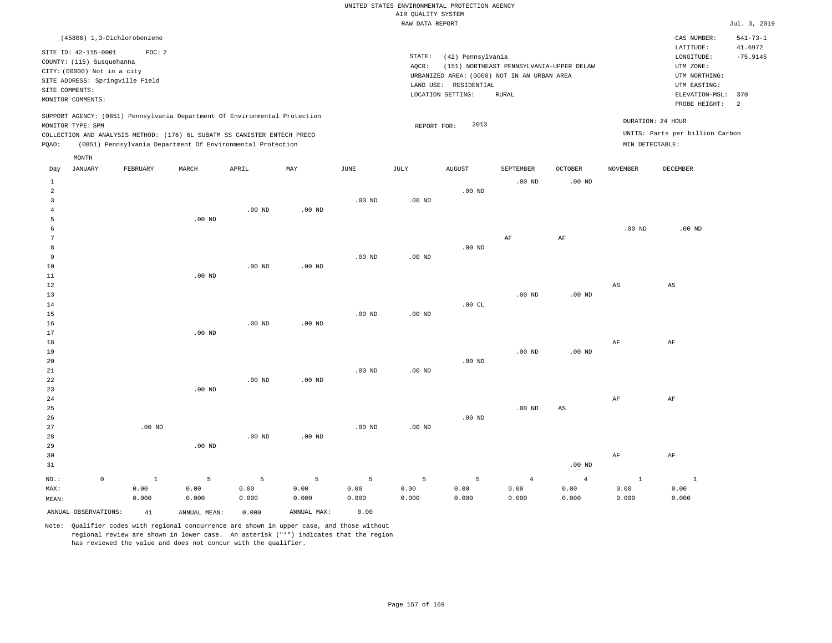# UNITED STATES ENVIRONMENTAL PROTECTION AGENCY AIR QUALITY SYSTEM

|         |                                                                    |                                                                                                                                                                                                                      |          |          |          |          | RAW DATA REPORT |                                                                                           |                                          |                |                                      |                                                                  | Jul. 3, 2019          |
|---------|--------------------------------------------------------------------|----------------------------------------------------------------------------------------------------------------------------------------------------------------------------------------------------------------------|----------|----------|----------|----------|-----------------|-------------------------------------------------------------------------------------------|------------------------------------------|----------------|--------------------------------------|------------------------------------------------------------------|-----------------------|
|         |                                                                    | (45806) 1,3-Dichlorobenzene                                                                                                                                                                                          |          |          |          |          |                 |                                                                                           |                                          |                |                                      | CAS NUMBER:                                                      | $541 - 73 - 1$        |
|         | SITE ID: 42-115-0001<br>COUNTY: (115) Susquehanna                  | POC: 2                                                                                                                                                                                                               |          |          |          |          | STATE:<br>AQCR: | (42) Pennsylvania                                                                         | (151) NORTHEAST PENNSYLVANIA-UPPER DELAW |                |                                      | LATITUDE:<br>LONGITUDE:<br>UTM ZONE:                             | 41.6972<br>$-75.9145$ |
|         | CITY: (00000) Not in a city<br>SITE COMMENTS:<br>MONITOR COMMENTS: | SITE ADDRESS: Springville Field                                                                                                                                                                                      |          |          |          |          |                 | URBANIZED AREA: (0000) NOT IN AN URBAN AREA<br>LAND USE: RESIDENTIAL<br>LOCATION SETTING: | RURAL                                    |                |                                      | UTM NORTHING:<br>UTM EASTING:<br>ELEVATION-MSL:<br>PROBE HEIGHT: | 370<br>-2             |
| PQAO:   | MONITOR TYPE: SPM                                                  | SUPPORT AGENCY: (0851) Pennsylvania Department Of Environmental Protection<br>COLLECTION AND ANALYSIS METHOD: (176) 6L SUBATM SS CANISTER ENTECH PRECO<br>(0851) Pennsylvania Department Of Environmental Protection |          |          |          |          | REPORT FOR:     | 2013                                                                                      |                                          |                | DURATION: 24 HOUR<br>MIN DETECTABLE: | UNITS: Parts per billion Carbon                                  |                       |
| Day     | MONTH<br><b>JANUARY</b>                                            | FEBRUARY                                                                                                                                                                                                             | MARCH    | APRIL    | MAY      | JUNE     | JULY            | AUGUST                                                                                    | SEPTEMBER                                | <b>OCTOBER</b> | <b>NOVEMBER</b>                      | DECEMBER                                                         |                       |
| 1<br>2  |                                                                    |                                                                                                                                                                                                                      |          | $.00$ ND | $.00$ ND | $.00$ ND | $.00$ ND        | $.00$ ND                                                                                  | $.00$ ND                                 | $.00$ ND       |                                      |                                                                  |                       |
|         |                                                                    |                                                                                                                                                                                                                      | $.00$ ND |          |          |          |                 |                                                                                           | AF                                       | AF             | $.00$ ND                             | $.00$ ND                                                         |                       |
| 9<br>10 |                                                                    |                                                                                                                                                                                                                      |          | 00 NTD   | nn m     | $.00$ ND | $.00$ ND        | $.00$ ND                                                                                  |                                          |                |                                      |                                                                  |                       |

| 10             |             |                |          | $.00$ ND | .00 <sub>ND</sub> |          |          |          |                |                |                        |              |
|----------------|-------------|----------------|----------|----------|-------------------|----------|----------|----------|----------------|----------------|------------------------|--------------|
| $11\,$         |             |                | $.00$ ND |          |                   |          |          |          |                |                |                        |              |
| 12             |             |                |          |          |                   |          |          |          |                |                | $\mathbb{A}\mathbb{S}$ | AS           |
| 13             |             |                |          |          |                   |          |          |          | $.00$ ND       | .00 $ND$       |                        |              |
| 14             |             |                |          |          |                   |          |          | .00CL    |                |                |                        |              |
| 15             |             |                |          |          |                   | .00 $ND$ | $.00$ ND |          |                |                |                        |              |
| 16             |             |                |          | $.00$ ND | $.00$ ND          |          |          |          |                |                |                        |              |
| 17             |             |                | $.00$ ND |          |                   |          |          |          |                |                |                        |              |
| 18             |             |                |          |          |                   |          |          |          |                |                | $\rm{AF}$              | $\rm AF$     |
| 19             |             |                |          |          |                   |          |          |          | .00 $ND$       | .00 $ND$       |                        |              |
| 20             |             |                |          |          |                   |          |          | $.00$ ND |                |                |                        |              |
| $2\sqrt{1}$    |             |                |          |          |                   | .00 $ND$ | $.00$ ND |          |                |                |                        |              |
| $^{\rm 22}$    |             |                |          | $.00$ ND | $.00$ ND          |          |          |          |                |                |                        |              |
| 23             |             |                | $.00$ ND |          |                   |          |          |          |                |                |                        |              |
| 24             |             |                |          |          |                   |          |          |          |                |                | $\rm{AF}$              | AF           |
| 25             |             |                |          |          |                   |          |          |          | $.00$ ND       | AS             |                        |              |
| 26             |             |                |          |          |                   |          |          | $.00$ ND |                |                |                        |              |
| 27             |             | .00 $ND$       |          |          |                   | .00 $ND$ | $.00$ ND |          |                |                |                        |              |
| 28             |             |                |          | $.00$ ND | $.00$ ND          |          |          |          |                |                |                        |              |
| 29             |             |                | $.00$ ND |          |                   |          |          |          |                |                |                        |              |
| 30             |             |                |          |          |                   |          |          |          |                |                | $\rm{AF}$              | AF           |
| 31             |             |                |          |          |                   |          |          |          |                | .00 $ND$       |                        |              |
| $_{\rm NO.}$ : | $\mathbb O$ | $\overline{1}$ | 5        | 5        | 5                 | 5        | 5        | 5        | $\overline{4}$ | $\overline{4}$ | $\mathbf{1}$           | $\mathbf{1}$ |
| MAX:           |             | 0.00           | 0.00     | 0.00     | 0.00              | 0.00     | 0.00     | 0.00     | 0.00           | 0.00           | 0.00                   | 0.00         |
| MEAN:          |             | 0.000          | 0.000    | 0.000    | 0.000             | 0.000    | 0.000    | 0.000    | 0.000          | 0.000          | 0.000                  | 0.000        |

Note: Qualifier codes with regional concurrence are shown in upper case, and those without regional review are shown in lower case. An asterisk ("\*") indicates that the region has reviewed the value and does not concur with the qualifier.

ANNUAL OBSERVATIONS: 41 ANNUAL MEAN: 0.000 ANNUAL MAX: 0.00

0.000

MEAN:

0.000 0.000 0.000 0.000 0.000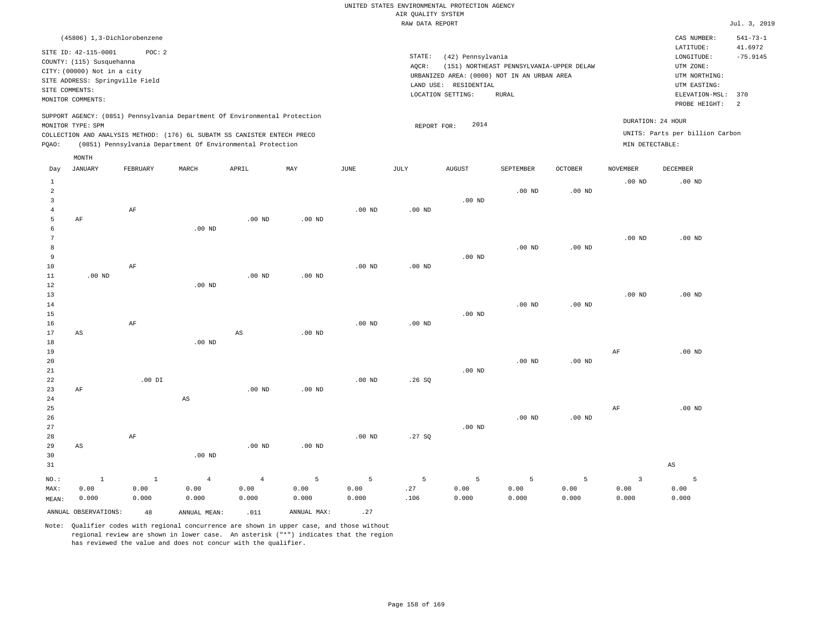| (45806) 1,3-Dichlorobenzene                                                                                                                                                                                                                        |                                                                                                                                                                                           | CAS NUMBER:                                                                                                  | $541 - 73 - 1$        |
|----------------------------------------------------------------------------------------------------------------------------------------------------------------------------------------------------------------------------------------------------|-------------------------------------------------------------------------------------------------------------------------------------------------------------------------------------------|--------------------------------------------------------------------------------------------------------------|-----------------------|
| SITE ID: 42-115-0001<br>POC:2<br>COUNTY: (115) Susquehanna<br>CITY: (00000) Not in a city<br>SITE ADDRESS: Springville Field<br>SITE COMMENTS:<br>MONITOR COMMENTS:                                                                                | STATE:<br>(42) Pennsylvania<br>(151) NORTHEAST PENNSYLVANIA-UPPER DELAW<br>AOCR:<br>URBANIZED AREA: (0000) NOT IN AN URBAN AREA<br>RESIDENTIAL<br>LAND USE:<br>LOCATION SETTING:<br>RURAL | LATITUDE:<br>LONGITUDE:<br>UTM ZONE:<br>UTM NORTHING:<br>UTM EASTING:<br>ELEVATION-MSL: 370<br>PROBE HEIGHT: | 41.6972<br>$-75.9145$ |
| SUPPORT AGENCY: (0851) Pennsylvania Department Of Environmental Protection<br>MONITOR TYPE: SPM<br>COLLECTION AND ANALYSIS METHOD: (176) 6L SUBATM SS CANISTER ENTECH PRECO<br>(0851) Pennsylvania Department Of Environmental Protection<br>POAO: | DURATION: 24 HOUR<br>2014<br>REPORT FOR:<br>MIN DETECTABLE:                                                                                                                               | UNITS: Parts per billion Carbon                                                                              |                       |

| Day                                                             | JANUARY                      | FEBRUARY                      | MARCH                           | APRIL                           | MAY                | JUNE               | JULY             | AUGUST             | SEPTEMBER                    | <b>OCTOBER</b>     | NOVEMBER                        | DECEMBER               |
|-----------------------------------------------------------------|------------------------------|-------------------------------|---------------------------------|---------------------------------|--------------------|--------------------|------------------|--------------------|------------------------------|--------------------|---------------------------------|------------------------|
| $\mathbf{1}$<br>$\overline{a}$<br>3<br>$\overline{4}$<br>5<br>6 | $\rm AF$                     | $\rm AF$                      | $.00$ ND                        | $.00$ ND                        | $.00$ ND           | $.00$ ND           | $.00$ ND         | $.00$ ND           | $.00$ ND                     | $.00$ ND           | .00 <sub>ND</sub>               | $.00$ ND               |
| $7\phantom{.0}$<br>8<br>9<br>10<br>$11\,$                       | $.00$ ND                     | $\rm{AF}$                     |                                 | $.00$ ND                        | $.00$ ND           | $.00$ ND           | $.00$ ND         | $.00$ ND           | $.00$ ND                     | $.00$ ND           | $.00$ ND                        | $.00$ ND               |
| 12<br>$13$<br>$14\,$<br>15<br>16                                |                              | $\rm AF$                      | $.00$ ND                        |                                 |                    | $.00$ ND           | $.00$ ND         | $.00$ ND           | $.00$ ND                     | $.00$ ND           | $.00$ ND                        | $.00$ ND               |
| 17<br>18<br>19<br>20<br>21                                      | $\mathbb{A}\mathbb{S}$       |                               | $.00$ ND                        | $\mathbb{A}\mathbb{S}$          | $.00$ ND           |                    |                  | $.00$ ND           | $.00$ ND                     | $.00$ ND           | $\rm{AF}$                       | $.00$ ND               |
| 22<br>23<br>24<br>25<br>26                                      | AF                           | $.00$ DI                      | $_{\rm AS}$                     | $.00$ ND                        | $.00$ ND           | $.00$ ND           | .26SQ            |                    | $.00$ ND                     | $.00$ ND           | AF                              | $.00$ ND               |
| 27<br>28<br>29<br>30<br>31                                      | $_{\rm AS}$                  | $\rm AF$                      | $.00$ ND                        | $.00$ ND                        | $.00$ ND           | $.00$ ND           | .27SQ            | $.00$ ND           |                              |                    |                                 | $\mathbb{A}\mathbb{S}$ |
| $NO.$ :<br>MAX:<br>MEAN:                                        | $\mathbf 1$<br>0.00<br>0.000 | $\mathbf{1}$<br>0.00<br>0.000 | $\overline{4}$<br>0.00<br>0.000 | $\overline{4}$<br>0.00<br>0.000 | 5<br>0.00<br>0.000 | 5<br>0.00<br>0.000 | 5<br>.27<br>.106 | 5<br>0.00<br>0.000 | $\mathsf S$<br>0.00<br>0.000 | 5<br>0.00<br>0.000 | $\overline{3}$<br>0.00<br>0.000 | 5<br>0.00<br>0.000     |
|                                                                 | ANNUAL OBSERVATIONS:         | 48                            | ANNUAL MEAN:                    | .011                            | ANNUAL MAX:        | .27                |                  |                    |                              |                    |                                 |                        |

Note: Qualifier codes with regional concurrence are shown in upper case, and those without regional review are shown in lower case. An asterisk ("\*") indicates that the region has reviewed the value and does not concur with the qualifier.

MONTH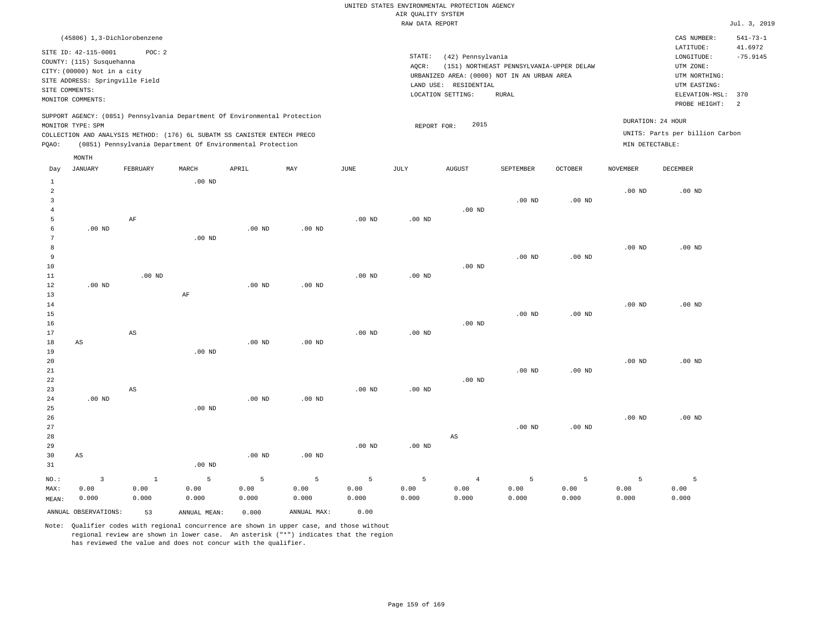| (45806) 1,3-Dichlorobenzene                                                                                                                                                                                                                                 |                                                                                                                                                                                        | CAS NUMBER:                                                                                                  | $541 - 73 - 1$              |
|-------------------------------------------------------------------------------------------------------------------------------------------------------------------------------------------------------------------------------------------------------------|----------------------------------------------------------------------------------------------------------------------------------------------------------------------------------------|--------------------------------------------------------------------------------------------------------------|-----------------------------|
| SITE ID: 42-115-0001<br>POC:2<br>COUNTY: (115) Susquehanna<br>CITY: (00000) Not in a city<br>SITE ADDRESS: Springville Field<br>SITE COMMENTS:<br>MONITOR COMMENTS:                                                                                         | STATE:<br>(42) Pennsylvania<br>AOCR:<br>(151) NORTHEAST PENNSYLVANIA-UPPER DELAW<br>URBANIZED AREA: (0000) NOT IN AN URBAN AREA<br>LAND USE: RESIDENTIAL<br>LOCATION SETTING:<br>RURAL | LATITUDE:<br>LONGITUDE:<br>UTM ZONE:<br>UTM NORTHING:<br>UTM EASTING:<br>ELEVATION-MSL: 370<br>PROBE HEIGHT: | 41.6972<br>$-75.9145$<br>-2 |
| SUPPORT AGENCY: (0851) Pennsylvania Department Of Environmental Protection<br>MONITOR TYPE: SPM<br>COLLECTION AND ANALYSIS METHOD: (176) 6L SUBATM SS CANISTER ENTECH PRECO<br>(0851) Pennsylvania Department Of Environmental Protection<br>POAO:<br>MONTH | 2015<br>REPORT FOR:                                                                                                                                                                    | DURATION: 24 HOUR<br>UNITS: Parts per billion Carbon<br>MIN DETECTABLE:                                      |                             |

| Day            | JANUARY                | FEBRUARY               | MARCH        | APRIL             | MAY               | $_{\rm JUNE}$     | JULY              | AUGUST                 | SEPTEMBER         | OCTOBER           | NOVEMBER | DECEMBER |
|----------------|------------------------|------------------------|--------------|-------------------|-------------------|-------------------|-------------------|------------------------|-------------------|-------------------|----------|----------|
| $\mathbf{1}$   |                        |                        | $.00$ ND     |                   |                   |                   |                   |                        |                   |                   |          |          |
| $\overline{a}$ |                        |                        |              |                   |                   |                   |                   |                        |                   |                   | $.00$ ND | $.00$ ND |
| 3              |                        |                        |              |                   |                   |                   |                   |                        | $.00$ ND          | .00 <sub>ND</sub> |          |          |
| $\overline{4}$ |                        |                        |              |                   |                   |                   |                   | $.00$ ND               |                   |                   |          |          |
| 5              |                        | $\rm AF$               |              |                   |                   | $.00$ ND          | $.00$ ND          |                        |                   |                   |          |          |
| 6              | $.00$ ND               |                        |              | $.00$ ND          | .00 <sub>ND</sub> |                   |                   |                        |                   |                   |          |          |
| 7              |                        |                        | $.00$ ND     |                   |                   |                   |                   |                        |                   |                   |          |          |
| 8              |                        |                        |              |                   |                   |                   |                   |                        |                   |                   | $.00$ ND | $.00$ ND |
| 9              |                        |                        |              |                   |                   |                   |                   |                        | $.00$ ND          | .00 <sub>ND</sub> |          |          |
| 10             |                        |                        |              |                   |                   |                   |                   | $.00$ ND               |                   |                   |          |          |
| 11             |                        | $.00$ ND               |              |                   |                   | $.00$ ND          | .00 <sub>ND</sub> |                        |                   |                   |          |          |
| 12             | $.00$ ND               |                        |              | $.00$ ND          | .00 <sub>ND</sub> |                   |                   |                        |                   |                   |          |          |
| 13             |                        |                        | $\rm AF$     |                   |                   |                   |                   |                        |                   |                   |          |          |
| 14             |                        |                        |              |                   |                   |                   |                   |                        |                   |                   | $.00$ ND | $.00$ ND |
| 15             |                        |                        |              |                   |                   |                   |                   |                        | $.00$ ND          | .00 <sub>ND</sub> |          |          |
| 16             |                        |                        |              |                   |                   |                   |                   | $.00$ ND               |                   |                   |          |          |
| 17             |                        | $\mathbb{A}\mathbb{S}$ |              |                   |                   | $.00$ ND          | $.00$ ND          |                        |                   |                   |          |          |
| 18             | $\mathbb{A}\mathbb{S}$ |                        |              | $.00$ ND          | .00 <sub>ND</sub> |                   |                   |                        |                   |                   |          |          |
| 19             |                        |                        | $.00$ ND     |                   |                   |                   |                   |                        |                   |                   |          |          |
| 20             |                        |                        |              |                   |                   |                   |                   |                        |                   |                   | $.00$ ND | $.00$ ND |
| 21             |                        |                        |              |                   |                   |                   |                   |                        | $.00$ ND          | .00 <sub>ND</sub> |          |          |
| 22             |                        |                        |              |                   |                   |                   |                   | $.00$ ND               |                   |                   |          |          |
| 23             |                        | AS                     |              |                   |                   | .00 <sub>ND</sub> | $.00$ ND          |                        |                   |                   |          |          |
| 24             | $.00~\mathrm{ND}$      |                        |              | $.00$ ND          | .00 <sub>ND</sub> |                   |                   |                        |                   |                   |          |          |
| 25             |                        |                        | $.00$ ND     |                   |                   |                   |                   |                        |                   |                   |          |          |
| 26             |                        |                        |              |                   |                   |                   |                   |                        |                   |                   | $.00$ ND | $.00$ ND |
| 27             |                        |                        |              |                   |                   |                   |                   |                        | .00 <sub>ND</sub> | .00 <sub>ND</sub> |          |          |
| 28             |                        |                        |              |                   |                   |                   |                   | $\mathbb{A}\mathbb{S}$ |                   |                   |          |          |
| $29$           |                        |                        |              |                   |                   | $.00$ ND          | .00 $ND$          |                        |                   |                   |          |          |
| 30             | $\mathbb{A}\mathbb{S}$ |                        |              | .00 <sub>ND</sub> | .00 <sub>ND</sub> |                   |                   |                        |                   |                   |          |          |
| 31             |                        |                        | $.00$ ND     |                   |                   |                   |                   |                        |                   |                   |          |          |
| $_{\rm NO.}$ : | $\mathsf 3$            | $1\,$                  | $\mathsf S$  | 5                 | 5                 | 5                 | $\overline{5}$    | $\overline{4}$         | $\overline{5}$    | 5                 | 5        | 5        |
| MAX:           | 0.00                   | 0.00                   | 0.00         | 0.00              | 0.00              | 0.00              | 0.00              | 0.00                   | 0.00              | 0.00              | 0.00     | 0.00     |
| MEAN:          | 0.000                  | 0.000                  | 0.000        | 0.000             | 0.000             | 0.000             | 0.000             | 0.000                  | 0.000             | 0.000             | 0.000    | 0.000    |
|                | ANNUAL OBSERVATIONS:   | 53                     | ANNUAL MEAN: | 0.000             | ANNUAL MAX:       | 0.00              |                   |                        |                   |                   |          |          |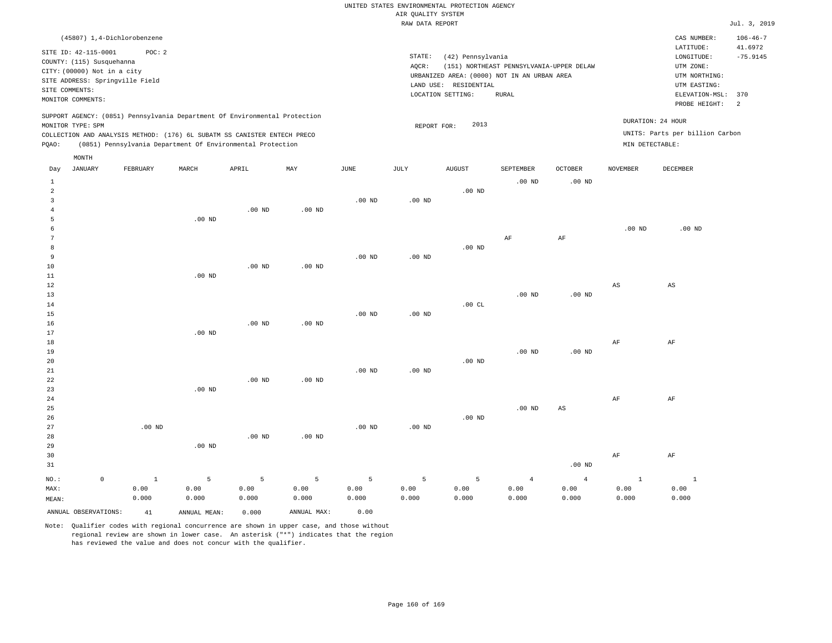## UNITED STATES ENVIRONMENTAL PROTECTION AGENCY AIR QUALITY SYSTEM

|                                                                                                    |                                                                                                                                                                                                                      |          |                   |          |                   | RAW DATA REPORT              |                                                                                                      |                                                   |                |                   |                                                                            | Jul. 3, 2019              |
|----------------------------------------------------------------------------------------------------|----------------------------------------------------------------------------------------------------------------------------------------------------------------------------------------------------------------------|----------|-------------------|----------|-------------------|------------------------------|------------------------------------------------------------------------------------------------------|---------------------------------------------------|----------------|-------------------|----------------------------------------------------------------------------|---------------------------|
|                                                                                                    | (45807) 1,4-Dichlorobenzene                                                                                                                                                                                          |          |                   |          |                   |                              |                                                                                                      |                                                   |                |                   | CAS NUMBER:<br>LATITUDE:                                                   | $106 - 46 - 7$<br>41.6972 |
| SITE ID: 42-115-0001<br>COUNTY: (115) Susquehanna<br>CITY: (00000) Not in a city<br>SITE COMMENTS: | POC: 2<br>SITE ADDRESS: Springville Field                                                                                                                                                                            |          |                   |          |                   | STATE:<br>AOCR:<br>LAND USE: | (42) Pennsylvania<br>URBANIZED AREA: (0000) NOT IN AN URBAN AREA<br>RESIDENTIAL<br>LOCATION SETTING: | (151) NORTHEAST PENNSYLVANIA-UPPER DELAW<br>RURAL |                |                   | LONGITUDE:<br>UTM ZONE:<br>UTM NORTHING:<br>UTM EASTING:<br>ELEVATION-MSL: | $-75.9145$<br>370         |
| MONITOR COMMENTS:                                                                                  |                                                                                                                                                                                                                      |          |                   |          |                   |                              |                                                                                                      |                                                   |                |                   | PROBE HEIGHT:                                                              | $\overline{2}$            |
| MONITOR TYPE: SPM<br>POAO:<br>MONTH                                                                | SUPPORT AGENCY: (0851) Pennsylvania Department Of Environmental Protection<br>COLLECTION AND ANALYSIS METHOD: (176) 6L SUBATM SS CANISTER ENTECH PRECO<br>(0851) Pennsylvania Department Of Environmental Protection |          |                   |          |                   |                              | 2013<br>REPORT FOR:                                                                                  |                                                   |                | MIN DETECTABLE:   | DURATION: 24 HOUR<br>UNITS: Parts per billion Carbon                       |                           |
| JANUARY<br>Day                                                                                     | FEBRUARY                                                                                                                                                                                                             | MARCH    | APRIL             | MAY      | JUNE              | JULY                         | <b>AUGUST</b>                                                                                        | SEPTEMBER                                         | <b>OCTOBER</b> | NOVEMBER          | DECEMBER                                                                   |                           |
|                                                                                                    |                                                                                                                                                                                                                      |          |                   |          |                   |                              | $.00$ ND                                                                                             | $.00$ ND                                          | $.00$ ND       |                   |                                                                            |                           |
|                                                                                                    |                                                                                                                                                                                                                      |          |                   |          | .00 <sub>ND</sub> | $.00$ ND                     |                                                                                                      |                                                   |                |                   |                                                                            |                           |
|                                                                                                    |                                                                                                                                                                                                                      |          | .00 <sub>ND</sub> | $.00$ ND |                   |                              |                                                                                                      |                                                   |                |                   |                                                                            |                           |
|                                                                                                    |                                                                                                                                                                                                                      | $.00$ ND |                   |          |                   |                              |                                                                                                      |                                                   |                |                   |                                                                            |                           |
|                                                                                                    |                                                                                                                                                                                                                      |          |                   |          |                   |                              |                                                                                                      | AF                                                | AF             | .00 <sub>ND</sub> | $.00$ ND                                                                   |                           |
|                                                                                                    |                                                                                                                                                                                                                      |          |                   |          |                   |                              | $.00$ ND                                                                                             |                                                   |                |                   |                                                                            |                           |

| MEAN:          |                     | 0.000        | 0.000    | 0.000    | 0.000    | 0.000             | 0.000    | 0.000    | 0.000          | 0.000          | 0.000        | 0.000          |
|----------------|---------------------|--------------|----------|----------|----------|-------------------|----------|----------|----------------|----------------|--------------|----------------|
| MAX:           |                     | 0.00         | 0.00     | 0.00     | 0.00     | 0.00              | 0.00     | 0.00     | 0.00           | 0.00           | 0.00         | 0.00           |
| $_{\rm NO.}$ : | $\mathsf{O}\xspace$ | $\mathbf{1}$ | 5        | 5        | 5        | 5                 | 5        | 5        | $\overline{4}$ | $\overline{4}$ | $\mathbf{1}$ | $\overline{1}$ |
| 31             |                     |              |          |          |          |                   |          |          |                | $.00$ ND       |              |                |
| 30             |                     |              |          |          |          |                   |          |          |                |                | $\rm AF$     | $\rm{AF}$      |
| 29             |                     |              | $.00$ ND |          |          |                   |          |          |                |                |              |                |
| 28             |                     |              |          | $.00$ ND | $.00$ ND |                   |          |          |                |                |              |                |
| 27             |                     | .00 $ND$     |          |          |          | $.00$ ND          | $.00$ ND |          |                |                |              |                |
| 26             |                     |              |          |          |          |                   |          | $.00$ ND |                |                |              |                |
| 25             |                     |              |          |          |          |                   |          |          | $.00$ ND       | $_{\rm AS}$    |              |                |
| $2\,4$         |                     |              |          |          |          |                   |          |          |                |                | AF           | AF             |
| 23             |                     |              | $.00$ ND |          |          |                   |          |          |                |                |              |                |
| $^{\rm 22}$    |                     |              |          | $.00$ ND | $.00$ ND |                   |          |          |                |                |              |                |
| $2\sqrt{1}$    |                     |              |          |          |          | .00 <sub>ND</sub> | .00 $ND$ |          |                |                |              |                |
| 20             |                     |              |          |          |          |                   |          | $.00$ ND |                |                |              |                |
| 19             |                     |              |          |          |          |                   |          |          | $.00$ ND       | $.00$ ND       |              |                |
| $1\,8$         |                     |              |          |          |          |                   |          |          |                |                | $\rm{AF}$    | $\rm{AF}$      |
| $17\,$         |                     |              | $.00$ ND |          |          |                   |          |          |                |                |              |                |
| 16             |                     |              |          | $.00$ ND | $.00$ ND |                   |          |          |                |                |              |                |
| 15             |                     |              |          |          |          | $.00$ ND          | $.00$ ND |          |                |                |              |                |
| 14             |                     |              |          |          |          |                   |          | .00 $CL$ |                |                |              |                |
| 13             |                     |              |          |          |          |                   |          |          | $.00$ ND       | $.00$ ND       |              |                |
| 12             |                     |              |          |          |          |                   |          |          |                |                | AS           | AS             |
| $11\,$         |                     |              | $.00$ ND |          |          |                   |          |          |                |                |              |                |
| 10             |                     |              |          | $.00$ ND | $.00$ ND |                   |          |          |                |                |              |                |
| 9              |                     |              |          |          |          | .00 <sub>ND</sub> | .00 $ND$ |          |                |                |              |                |

Note: Qualifier codes with regional concurrence are shown in upper case, and those without regional review are shown in lower case. An asterisk ("\*") indicates that the region has reviewed the value and does not concur with the qualifier.

ANNUAL OBSERVATIONS: 41 ANNUAL MEAN: 0.000 ANNUAL MAX: 0.00

0.000

MEAN:

0.000 0.000 0.000 0.000 0.000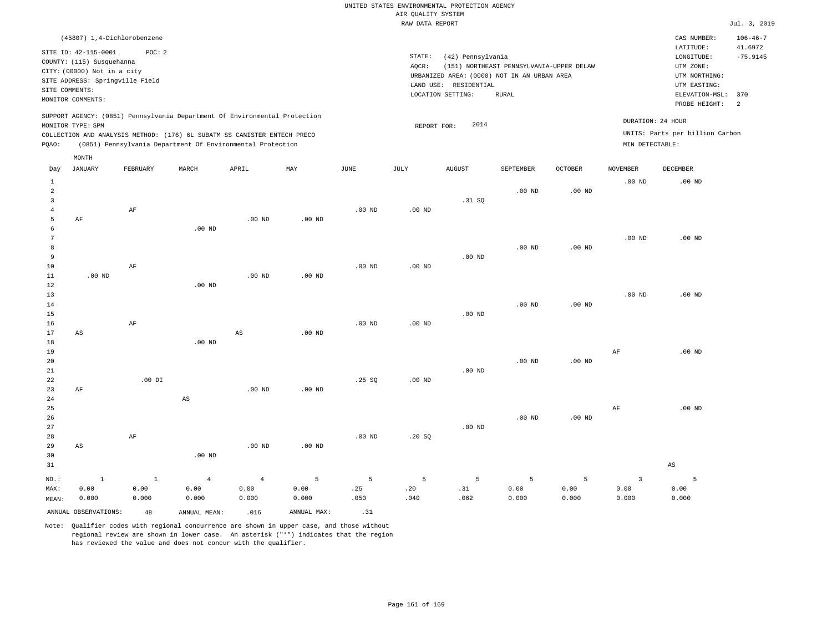| (45807) 1,4-Dichlorobenzene                                                                                                                                                                                                                        |                                                                                                                                                                                        | $106 - 46 - 7$<br>CAS NUMBER:                                                                                                         |
|----------------------------------------------------------------------------------------------------------------------------------------------------------------------------------------------------------------------------------------------------|----------------------------------------------------------------------------------------------------------------------------------------------------------------------------------------|---------------------------------------------------------------------------------------------------------------------------------------|
| SITE ID: 42-115-0001<br>POC:2<br>COUNTY: (115) Susquehanna<br>CITY: (00000) Not in a city<br>SITE ADDRESS: Springville Field<br>SITE COMMENTS:<br>MONITOR COMMENTS:                                                                                | STATE:<br>(42) Pennsylvania<br>(151) NORTHEAST PENNSYLVANIA-UPPER DELAW<br>AOCR:<br>URBANIZED AREA: (0000) NOT IN AN URBAN AREA<br>LAND USE: RESIDENTIAL<br>LOCATION SETTING:<br>RURAL | 41.6972<br>LATITUDE:<br>$-75.9145$<br>LONGITUDE:<br>UTM ZONE:<br>UTM NORTHING:<br>UTM EASTING:<br>ELEVATION-MSL: 370<br>PROBE HEIGHT: |
| SUPPORT AGENCY: (0851) Pennsylvania Department Of Environmental Protection<br>MONITOR TYPE: SPM<br>COLLECTION AND ANALYSIS METHOD: (176) 6L SUBATM SS CANISTER ENTECH PRECO<br>(0851) Pennsylvania Department Of Environmental Protection<br>POAO: | 2014<br>REPORT FOR:                                                                                                                                                                    | DURATION: 24 HOUR<br>UNITS: Parts per billion Carbon<br>MIN DETECTABLE:                                                               |

|                | $\texttt{MONTH}$     |          |                        |                |             |          |          |          |                |          |                   |                        |
|----------------|----------------------|----------|------------------------|----------------|-------------|----------|----------|----------|----------------|----------|-------------------|------------------------|
| Day            | JANUARY              | FEBRUARY | $\tt MARCH$            | APRIL          | MAY         | JUNE     | JULY     | AUGUST   | SEPTEMBER      | OCTOBER  | NOVEMBER          | DECEMBER               |
| $\mathbf{1}$   |                      |          |                        |                |             |          |          |          |                |          | .00 <sub>ND</sub> | $.00$ ND               |
| $\overline{a}$ |                      |          |                        |                |             |          |          |          | $.00$ ND       | $.00$ ND |                   |                        |
| 3              |                      |          |                        |                |             |          |          | .31 SQ   |                |          |                   |                        |
| $\overline{4}$ |                      | $\rm AF$ |                        |                |             | $.00$ ND | $.00$ ND |          |                |          |                   |                        |
| 5              | $\rm AF$             |          |                        | $.00$ ND       | $.00$ ND    |          |          |          |                |          |                   |                        |
| 6              |                      |          | .00 $ND$               |                |             |          |          |          |                |          |                   |                        |
| 7              |                      |          |                        |                |             |          |          |          |                |          | .00 <sub>ND</sub> | $.00$ ND               |
| 8              |                      |          |                        |                |             |          |          |          | $.00$ ND       | $.00$ ND |                   |                        |
| 9              |                      |          |                        |                |             |          |          | $.00$ ND |                |          |                   |                        |
| 10             |                      | $\rm AF$ |                        |                |             | $.00$ ND | $.00$ ND |          |                |          |                   |                        |
| 11             | $.00$ ND             |          |                        | $.00$ ND       | $.00$ ND    |          |          |          |                |          |                   |                        |
| 12             |                      |          | $.00$ ND               |                |             |          |          |          |                |          |                   |                        |
| 13             |                      |          |                        |                |             |          |          |          |                |          | $.00$ ND          | $.00$ ND               |
| 14             |                      |          |                        |                |             |          |          |          | $.00$ ND       | .00 $ND$ |                   |                        |
| 15             |                      |          |                        |                |             |          |          | $.00$ ND |                |          |                   |                        |
| 16<br>17       | AS                   | $\rm AF$ |                        | $_{\rm AS}$    | $.00$ ND    | $.00$ ND | $.00$ ND |          |                |          |                   |                        |
| 18             |                      |          | $.00$ ND               |                |             |          |          |          |                |          |                   |                        |
| 19             |                      |          |                        |                |             |          |          |          |                |          | $\rm{AF}$         | .00 $ND$               |
| 20             |                      |          |                        |                |             |          |          |          | $.00$ ND       | $.00$ ND |                   |                        |
| 21             |                      |          |                        |                |             |          |          | $.00$ ND |                |          |                   |                        |
| 22             |                      | $.00$ DI |                        |                |             | .25 SQ   | $.00$ ND |          |                |          |                   |                        |
| 23             | $\rm AF$             |          |                        | $.00$ ND       | $.00$ ND    |          |          |          |                |          |                   |                        |
| 24             |                      |          | $\mathbb{A}\mathbb{S}$ |                |             |          |          |          |                |          |                   |                        |
| 25             |                      |          |                        |                |             |          |          |          |                |          | AF                | $.00$ ND               |
| 26             |                      |          |                        |                |             |          |          |          | $.00$ ND       | $.00$ ND |                   |                        |
| 27             |                      |          |                        |                |             |          |          | $.00$ ND |                |          |                   |                        |
| 28             |                      | $\rm AF$ |                        |                |             | $.00$ ND | .20S     |          |                |          |                   |                        |
| 29             | AS                   |          |                        | $.00$ ND       | $.00$ ND    |          |          |          |                |          |                   |                        |
| 30             |                      |          | $.00$ ND               |                |             |          |          |          |                |          |                   |                        |
| 31             |                      |          |                        |                |             |          |          |          |                |          |                   | $\mathbb{A}\mathbb{S}$ |
| NO.:           | $\mathbf 1$          | $\,$ 1   | $\bf{4}$               | $\overline{4}$ | 5           | 5        | 5        | 5        | $\overline{5}$ | 5        | $\overline{3}$    | 5                      |
| MAX:           | 0.00                 | 0.00     | 0.00                   | 0.00           | 0.00        | .25      | .20      | .31      | 0.00           | 0.00     | 0.00              | 0.00                   |
| MEAN:          | 0.000                | 0.000    | 0.000                  | 0.000          | 0.000       | .050     | .040     | .062     | 0.000          | 0.000    | 0.000             | 0.000                  |
|                | ANNUAL OBSERVATIONS: | 48       | ANNUAL MEAN:           | .016           | ANNUAL MAX: | .31      |          |          |                |          |                   |                        |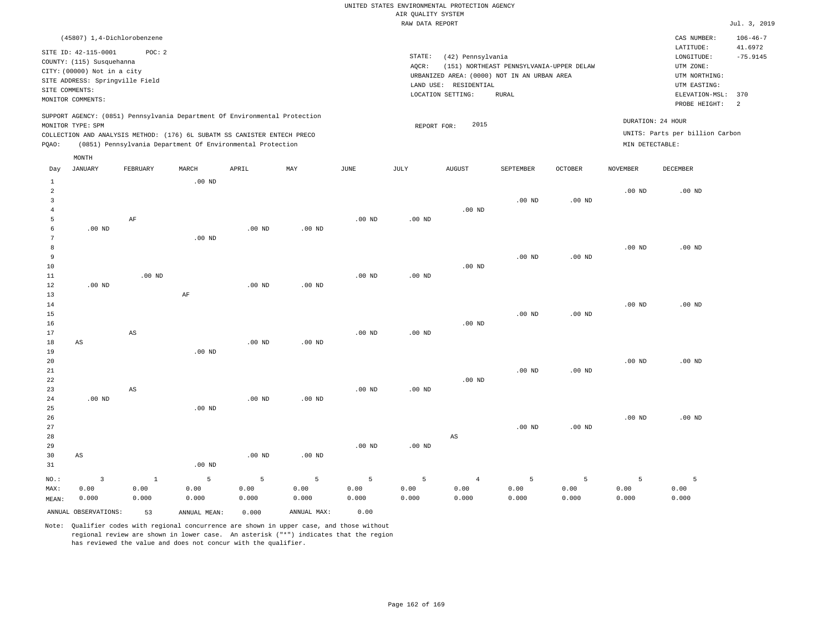| (45807) 1,4-Dichlorobenzene                                                                                                                                                                                                                                 |                                                                                                                                                                                        | CAS NUMBER:                                                                                                          | $106 - 46 - 7$        |
|-------------------------------------------------------------------------------------------------------------------------------------------------------------------------------------------------------------------------------------------------------------|----------------------------------------------------------------------------------------------------------------------------------------------------------------------------------------|----------------------------------------------------------------------------------------------------------------------|-----------------------|
| SITE ID: 42-115-0001<br>POC:2<br>COUNTY: (115) Susquehanna<br>CITY: (00000) Not in a city<br>SITE ADDRESS: Springville Field<br>SITE COMMENTS:<br>MONITOR COMMENTS:                                                                                         | STATE:<br>(42) Pennsylvania<br>AOCR:<br>(151) NORTHEAST PENNSYLVANIA-UPPER DELAW<br>URBANIZED AREA: (0000) NOT IN AN URBAN AREA<br>LAND USE: RESIDENTIAL<br>LOCATION SETTING:<br>RURAL | LATITUDE:<br>LONGITUDE:<br>UTM ZONE:<br>UTM NORTHING:<br>UTM EASTING:<br>ELEVATION-MSL: 370<br>PROBE HEIGHT:<br>- 2. | 41.6972<br>$-75.9145$ |
| SUPPORT AGENCY: (0851) Pennsylvania Department Of Environmental Protection<br>MONITOR TYPE: SPM<br>COLLECTION AND ANALYSIS METHOD: (176) 6L SUBATM SS CANISTER ENTECH PRECO<br>(0851) Pennsylvania Department Of Environmental Protection<br>POAO:<br>MONTH | 2015<br>REPORT FOR:                                                                                                                                                                    | DURATION: 24 HOUR<br>UNITS: Parts per billion Carbon<br>MIN DETECTABLE:                                              |                       |

| Day            | JANUARY                 | FEBRUARY               | MARCH             | APRIL       | MAY         | JUNE              | JULY              | AUGUST                 | SEPTEMBER         | OCTOBER           | NOVEMBER          | DECEMBER |
|----------------|-------------------------|------------------------|-------------------|-------------|-------------|-------------------|-------------------|------------------------|-------------------|-------------------|-------------------|----------|
| $\mathbf{1}$   |                         |                        | $.00$ ND          |             |             |                   |                   |                        |                   |                   |                   |          |
| $\overline{a}$ |                         |                        |                   |             |             |                   |                   |                        |                   |                   | $.00$ ND          | $.00$ ND |
| 3              |                         |                        |                   |             |             |                   |                   |                        | .00 <sub>ND</sub> | $.00$ ND          |                   |          |
| $\overline{4}$ |                         |                        |                   |             |             |                   |                   | .00 <sub>ND</sub>      |                   |                   |                   |          |
| 5              |                         | $\rm AF$               |                   |             |             | $.00$ ND          | .00 <sub>ND</sub> |                        |                   |                   |                   |          |
| 6              | $.00$ ND                |                        |                   | $.00$ ND    | $.00$ ND    |                   |                   |                        |                   |                   |                   |          |
| 7              |                         |                        | .00 <sub>ND</sub> |             |             |                   |                   |                        |                   |                   |                   |          |
| 8              |                         |                        |                   |             |             |                   |                   |                        |                   |                   | .00 <sub>ND</sub> | $.00$ ND |
| 9              |                         |                        |                   |             |             |                   |                   |                        | .00 <sub>ND</sub> | .00 <sub>ND</sub> |                   |          |
| 10             |                         |                        |                   |             |             |                   |                   | $.00$ ND               |                   |                   |                   |          |
| 11             |                         | $.00$ ND               |                   |             |             | $.00$ ND          | $.00$ ND          |                        |                   |                   |                   |          |
| 12             | $.00$ ND                |                        |                   | $.00$ ND    | $.00$ ND    |                   |                   |                        |                   |                   |                   |          |
| 13             |                         |                        | $\rm AF$          |             |             |                   |                   |                        |                   |                   |                   |          |
| 14             |                         |                        |                   |             |             |                   |                   |                        |                   |                   | $.00$ ND          | $.00$ ND |
| 15             |                         |                        |                   |             |             |                   |                   |                        | .00 <sub>ND</sub> | $.00$ ND          |                   |          |
| 16             |                         |                        |                   |             |             |                   |                   | $.00$ ND               |                   |                   |                   |          |
| 17             |                         | $\mathbb{A}\mathbb{S}$ |                   |             |             | $.00$ ND          | $.00$ ND          |                        |                   |                   |                   |          |
| 18             | $\mathbb{A}\mathbb{S}$  |                        |                   | $.00$ ND    | $.00$ ND    |                   |                   |                        |                   |                   |                   |          |
| 19             |                         |                        | .00 <sub>ND</sub> |             |             |                   |                   |                        |                   |                   |                   |          |
| 20             |                         |                        |                   |             |             |                   |                   |                        |                   |                   | .00 <sub>ND</sub> | $.00$ ND |
| $2\sqrt{1}$    |                         |                        |                   |             |             |                   |                   |                        | .00 <sub>ND</sub> | $.00$ ND          |                   |          |
| 22             |                         |                        |                   |             |             |                   |                   | $.00$ ND               |                   |                   |                   |          |
| 23             |                         | AS                     |                   |             |             | .00 <sub>ND</sub> | $.00$ ND          |                        |                   |                   |                   |          |
| 24             | $.00$ ND                |                        |                   | $.00$ ND    | $.00$ ND    |                   |                   |                        |                   |                   |                   |          |
| 25             |                         |                        | .00 <sub>ND</sub> |             |             |                   |                   |                        |                   |                   |                   |          |
| 26             |                         |                        |                   |             |             |                   |                   |                        |                   |                   | .00 <sub>ND</sub> | $.00$ ND |
| 27             |                         |                        |                   |             |             |                   |                   |                        | .00 <sub>ND</sub> | $.00$ ND          |                   |          |
| 28             |                         |                        |                   |             |             |                   |                   | $\mathbb{A}\mathbb{S}$ |                   |                   |                   |          |
| 29             |                         |                        |                   |             |             | $.00$ ND          | $.00$ ND          |                        |                   |                   |                   |          |
| 30             | $\mathbb{A}\mathbb{S}$  |                        |                   | $.00$ ND    | $.00$ ND    |                   |                   |                        |                   |                   |                   |          |
| 31             |                         |                        | $.00$ ND          |             |             |                   |                   |                        |                   |                   |                   |          |
| $_{\rm NO.}$ : | $\overline{\mathbf{3}}$ | $\,$ 1                 | 5                 | $\mathsf S$ | 5           | 5                 | 5                 | $\overline{4}$         | 5                 | 5                 | 5                 | 5        |
| MAX:           | 0.00                    | 0.00                   | 0.00              | 0.00        | 0.00        | 0.00              | 0.00              | 0.00                   | 0.00              | 0.00              | 0.00              | 0.00     |
| MEAN:          | 0.000                   | 0.000                  | 0.000             | 0.000       | 0.000       | 0.000             | 0.000             | 0.000                  | 0.000             | 0.000             | 0.000             | 0.000    |
|                | ANNUAL OBSERVATIONS:    | 53                     | ANNUAL MEAN:      | 0.000       | ANNUAL MAX: | 0.00              |                   |                        |                   |                   |                   |          |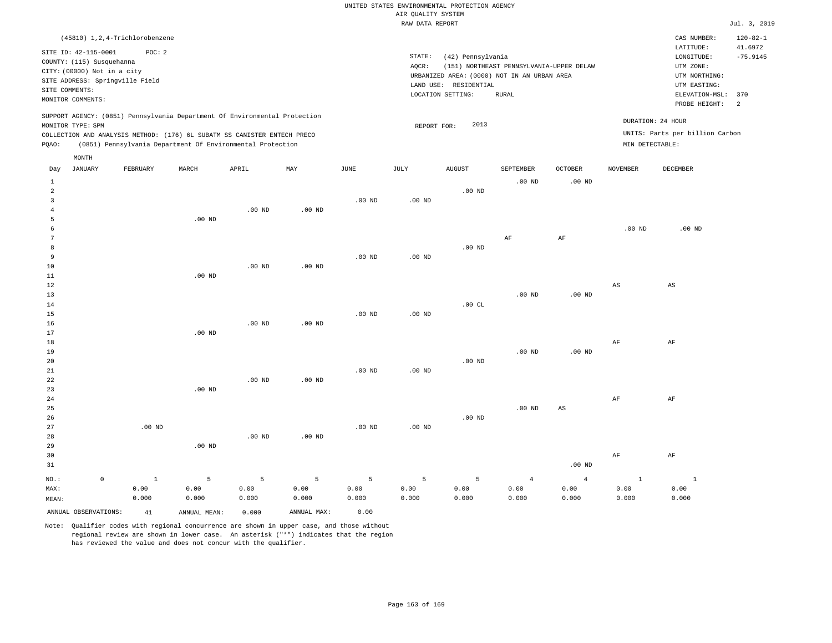|       |                                 | (45810) 1,2,4-Trichlorobenzene |          |                                                                                                                                        |          |          |             |                       |                                                                                         |                   |                   | CAS NUMBER:                     | $120 - 82 - 1$ |
|-------|---------------------------------|--------------------------------|----------|----------------------------------------------------------------------------------------------------------------------------------------|----------|----------|-------------|-----------------------|-----------------------------------------------------------------------------------------|-------------------|-------------------|---------------------------------|----------------|
|       | SITE ID: 42-115-0001            | POC: 2                         |          |                                                                                                                                        |          |          | STATE:      |                       |                                                                                         |                   |                   | LATITUDE:                       | 41.6972        |
|       | COUNTY: (115) Susquehanna       |                                |          |                                                                                                                                        |          |          |             | (42) Pennsylvania     |                                                                                         |                   |                   | LONGITUDE:                      | $-75.9145$     |
|       | CITY: (00000) Not in a city     |                                |          |                                                                                                                                        |          |          | AQCR:       |                       | (151) NORTHEAST PENNSYLVANIA-UPPER DELAW<br>URBANIZED AREA: (0000) NOT IN AN URBAN AREA |                   |                   | UTM ZONE:<br>UTM NORTHING:      |                |
|       | SITE ADDRESS: Springville Field |                                |          |                                                                                                                                        |          |          |             | LAND USE: RESIDENTIAL |                                                                                         |                   |                   | UTM EASTING:                    |                |
|       | SITE COMMENTS:                  |                                |          |                                                                                                                                        |          |          |             | LOCATION SETTING:     | RURAL                                                                                   |                   |                   | ELEVATION-MSL:                  | 370            |
|       | MONITOR COMMENTS:               |                                |          |                                                                                                                                        |          |          |             |                       |                                                                                         |                   |                   | PROBE HEIGHT:                   | 2              |
|       |                                 |                                |          |                                                                                                                                        |          |          |             |                       |                                                                                         |                   |                   |                                 |                |
|       |                                 |                                |          | SUPPORT AGENCY: (0851) Pennsylvania Department Of Environmental Protection                                                             |          |          |             | 2013                  |                                                                                         |                   | DURATION: 24 HOUR |                                 |                |
|       | MONITOR TYPE: SPM               |                                |          |                                                                                                                                        |          |          | REPORT FOR: |                       |                                                                                         |                   |                   | UNITS: Parts per billion Carbon |                |
|       |                                 |                                |          | COLLECTION AND ANALYSIS METHOD: (176) 6L SUBATM SS CANISTER ENTECH PRECO<br>(0851) Pennsylvania Department Of Environmental Protection |          |          |             |                       |                                                                                         |                   | MIN DETECTABLE:   |                                 |                |
| PQAO: |                                 |                                |          |                                                                                                                                        |          |          |             |                       |                                                                                         |                   |                   |                                 |                |
|       | MONTH                           |                                |          |                                                                                                                                        |          |          |             |                       |                                                                                         |                   |                   |                                 |                |
| Day   | <b>JANUARY</b>                  | FEBRUARY                       | MARCH    | APRIL                                                                                                                                  | MAY      | JUNE     | JULY        | <b>AUGUST</b>         | SEPTEMBER                                                                               | <b>OCTOBER</b>    | <b>NOVEMBER</b>   | DECEMBER                        |                |
| 1     |                                 |                                |          |                                                                                                                                        |          |          |             |                       | $.00$ ND                                                                                | .00 <sub>ND</sub> |                   |                                 |                |
| 2     |                                 |                                |          |                                                                                                                                        |          |          |             | $.00$ ND              |                                                                                         |                   |                   |                                 |                |
|       |                                 |                                |          |                                                                                                                                        |          | $.00$ ND | $.00$ ND    |                       |                                                                                         |                   |                   |                                 |                |
|       |                                 |                                |          | .00 <sub>ND</sub>                                                                                                                      | $.00$ ND |          |             |                       |                                                                                         |                   |                   |                                 |                |
|       |                                 |                                | $.00$ ND |                                                                                                                                        |          |          |             |                       |                                                                                         |                   |                   |                                 |                |
|       |                                 |                                |          |                                                                                                                                        |          |          |             |                       |                                                                                         |                   | $.00$ ND          | $.00$ ND                        |                |
|       |                                 |                                |          |                                                                                                                                        |          |          |             |                       | AF                                                                                      | AF                |                   |                                 |                |
|       |                                 |                                |          |                                                                                                                                        |          |          |             | $.00$ ND              |                                                                                         |                   |                   |                                 |                |
| 9     |                                 |                                |          |                                                                                                                                        |          | $.00$ ND | $.00$ ND    |                       |                                                                                         |                   |                   |                                 |                |
| 10    |                                 |                                |          | .00 <sub>ND</sub>                                                                                                                      | $.00$ ND |          |             |                       |                                                                                         |                   |                   |                                 |                |
| 11    |                                 |                                | $.00$ ND |                                                                                                                                        |          |          |             |                       |                                                                                         |                   |                   |                                 |                |

| 12 |          |          |          |          |          |          |          |          |             | AS        | AS        |
|----|----------|----------|----------|----------|----------|----------|----------|----------|-------------|-----------|-----------|
| 13 |          |          |          |          |          |          |          | $.00$ ND | $.00$ ND    |           |           |
| 14 |          |          |          |          |          |          | .00 $CL$ |          |             |           |           |
| 15 |          |          |          |          | .00 $ND$ | $.00$ ND |          |          |             |           |           |
| 16 |          |          | $.00$ ND | $.00$ ND |          |          |          |          |             |           |           |
| 17 |          | $.00$ ND |          |          |          |          |          |          |             |           |           |
| 18 |          |          |          |          |          |          |          |          |             | AF        | AF        |
| 19 |          |          |          |          |          |          |          | $.00$ ND | $.00$ ND    |           |           |
| 20 |          |          |          |          |          |          | $.00$ ND |          |             |           |           |
| 21 |          |          |          |          | $.00$ ND | $.00$ ND |          |          |             |           |           |
| 22 |          |          | $.00$ ND | $.00$ ND |          |          |          |          |             |           |           |
| 23 |          | $.00$ ND |          |          |          |          |          |          |             |           |           |
| 24 |          |          |          |          |          |          |          |          |             | $\rm{AF}$ | $\rm{AF}$ |
| 25 |          |          |          |          |          |          |          | $.00$ ND | $_{\rm AS}$ |           |           |
| 26 |          |          |          |          |          |          | $.00$ ND |          |             |           |           |
| 27 | $.00$ ND |          |          |          | $.00$ ND | $.00$ ND |          |          |             |           |           |
| 28 |          |          | $.00$ ND | $.00$ ND |          |          |          |          |             |           |           |
| 29 |          | $.00$ ND |          |          |          |          |          |          |             |           |           |
| 30 |          |          |          |          |          |          |          |          |             | $\rm{AF}$ | $\rm{AF}$ |
| 31 |          |          |          |          |          |          |          |          | $.00$ ND    |           |           |
|    |          |          |          |          |          |          |          |          |             |           |           |

| NO.:<br>$\Omega$     |            | $1$ 5 5 5 5 5 5 5 4 |       |             |       |       |       |       | $\sim$ 4 |       |       |
|----------------------|------------|---------------------|-------|-------------|-------|-------|-------|-------|----------|-------|-------|
| MAX:                 | 0.00       | 0.00                | 0.00  | 0.00        | 0.00  | 0.00  | 0.00  | 0.00  | 0.00     | 0.00  | 0.00  |
| MEAN:                | 0.000      | 0.000               | 0.000 | 0.000       | 0.000 | 0.000 | 0.000 | 0.000 | 0.000    | 0.000 | 0.000 |
| ANNUAL OBSERVATIONS: | $-41$ $+1$ | ANNUAL MEAN:        | 0.000 | ANNUAL MAX: | 0.00  |       |       |       |          |       |       |

Note: Qualifier codes with regional concurrence are shown in upper case, and those without regional review are shown in lower case. An asterisk ("\*") indicates that the region has reviewed the value and does not concur with the qualifier.

1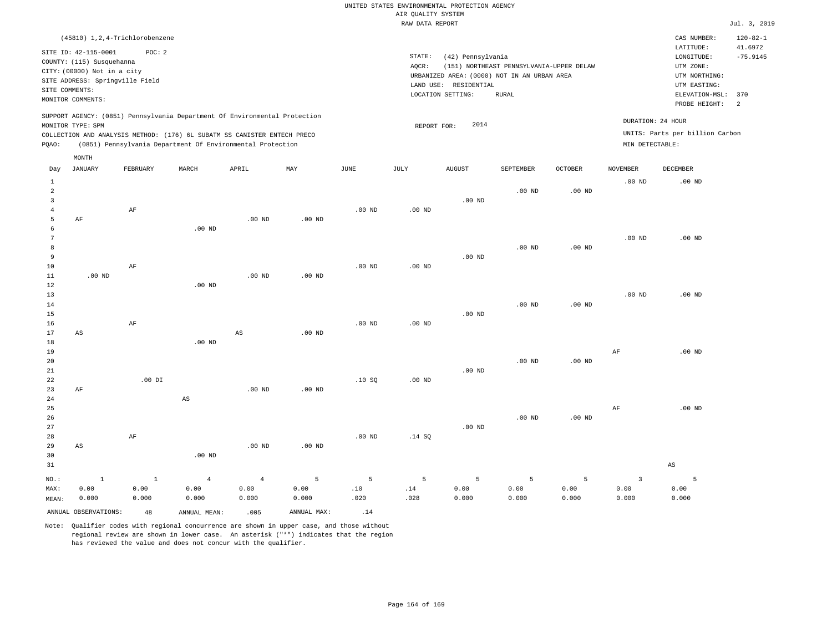| (45810) 1,2,4-Trichlorobenzene                                                                                                                                                                                                                              |                                                                                                                                                                                        | CAS NUMBER:                                                                                                  | $120 - 82 - 1$        |
|-------------------------------------------------------------------------------------------------------------------------------------------------------------------------------------------------------------------------------------------------------------|----------------------------------------------------------------------------------------------------------------------------------------------------------------------------------------|--------------------------------------------------------------------------------------------------------------|-----------------------|
| SITE ID: 42-115-0001<br>POC: 2<br>COUNTY: (115) Susquehanna<br>CITY: (00000) Not in a city<br>SITE ADDRESS: Springville Field<br>SITE COMMENTS:<br>MONITOR COMMENTS:                                                                                        | STATE:<br>(42) Pennsylvania<br>(151) NORTHEAST PENNSYLVANIA-UPPER DELAW<br>AOCR:<br>URBANIZED AREA: (0000) NOT IN AN URBAN AREA<br>LAND USE: RESIDENTIAL<br>LOCATION SETTING:<br>RURAL | LATITUDE:<br>LONGITUDE:<br>UTM ZONE:<br>UTM NORTHING:<br>UTM EASTING:<br>ELEVATION-MSL: 370<br>PROBE HEIGHT: | 41.6972<br>$-75.9145$ |
| SUPPORT AGENCY: (0851) Pennsylvania Department Of Environmental Protection<br>MONITOR TYPE: SPM<br>COLLECTION AND ANALYSIS METHOD: (176) 6L SUBATM SS CANISTER ENTECH PRECO<br>(0851) Pennsylvania Department Of Environmental Protection<br>POAO:<br>MONTH | 2014<br>REPORT FOR:                                                                                                                                                                    | DURATION: 24 HOUR<br>UNITS: Parts per billion Carbon<br>MIN DETECTABLE:                                      |                       |
| _______<br>______<br>-------<br>_____________________                                                                                                                                                                                                       | -----------                                                                                                                                                                            | -----------<br>_________                                                                                     |                       |

| Day          | JANUARY                | FEBRUARY  | MARCH          | APRIL                  | MAY            | JUNE           | JULY            | AUGUST      | SEPTEMBER | OCTOBER  | NOVEMBER                | DECEMBER               |
|--------------|------------------------|-----------|----------------|------------------------|----------------|----------------|-----------------|-------------|-----------|----------|-------------------------|------------------------|
| $\mathbf{1}$ |                        |           |                |                        |                |                |                 |             |           |          | $.00$ ND                | $.00$ ND               |
| $\sqrt{2}$   |                        |           |                |                        |                |                |                 |             | $.00$ ND  | $.00$ ND |                         |                        |
| 3            |                        |           |                |                        |                |                |                 | $.00$ ND    |           |          |                         |                        |
| 4            |                        | $\rm{AF}$ |                |                        |                | $.00$ ND       | .00 $ND$        |             |           |          |                         |                        |
| 5            | $\rm AF$               |           |                | $.00$ ND               | $.00$ ND       |                |                 |             |           |          |                         |                        |
| 6            |                        |           | $.00$ ND       |                        |                |                |                 |             |           |          |                         |                        |
| 7            |                        |           |                |                        |                |                |                 |             |           |          | $.00$ ND                | $.00$ ND               |
| 8            |                        |           |                |                        |                |                |                 |             | $.00$ ND  | $.00$ ND |                         |                        |
| 9            |                        |           |                |                        |                |                |                 | $.00$ ND    |           |          |                         |                        |
| $10$         |                        | $\rm AF$  |                |                        |                | $.00$ ND       | .00 $ND$        |             |           |          |                         |                        |
| $11\,$       | $.00$ ND               |           |                | $.00$ ND               | $.00$ ND       |                |                 |             |           |          |                         |                        |
| $1\,2$       |                        |           | $.00$ ND       |                        |                |                |                 |             |           |          |                         |                        |
| 13           |                        |           |                |                        |                |                |                 |             |           |          | $.00$ ND                | $.00$ ND               |
| 14           |                        |           |                |                        |                |                |                 |             | $.00$ ND  | $.00$ ND |                         |                        |
| 15           |                        |           |                |                        |                |                |                 | .00 $ND$    |           |          |                         |                        |
| 16           |                        | $\rm{AF}$ |                |                        |                | $.00$ ND       | .00 $ND$        |             |           |          |                         |                        |
| 17           | $\mathbb{A}\mathbb{S}$ |           |                | $\mathbb{A}\mathbb{S}$ | $.00$ ND       |                |                 |             |           |          |                         |                        |
| $18\,$       |                        |           | $.00$ ND       |                        |                |                |                 |             |           |          |                         |                        |
| 19           |                        |           |                |                        |                |                |                 |             |           |          | $\rm AF$                | $.00$ ND               |
| 20           |                        |           |                |                        |                |                |                 |             | $.00$ ND  | .00 $ND$ |                         |                        |
| 21           |                        |           |                |                        |                |                |                 | $.00$ ND    |           |          |                         |                        |
| 22           |                        | $.00$ DI  |                |                        |                | .10S           | $.00$ ND        |             |           |          |                         |                        |
| 23           | $\rm AF$               |           |                | .00 <sub>ND</sub>      | $.00$ ND       |                |                 |             |           |          |                         |                        |
| 24           |                        |           | AS             |                        |                |                |                 |             |           |          |                         |                        |
| 25           |                        |           |                |                        |                |                |                 |             |           |          | $\rm AF$                | $.00$ ND               |
| 26           |                        |           |                |                        |                |                |                 |             | $.00$ ND  | .00 $ND$ |                         |                        |
| 27           |                        |           |                |                        |                |                |                 | .00 $ND$    |           |          |                         |                        |
| 28           |                        | $\rm{AF}$ |                |                        |                | .00 $ND$       | .14 SQ          |             |           |          |                         |                        |
| 29           | $_{\rm AS}$            |           |                | $.00$ ND               | $.00$ ND       |                |                 |             |           |          |                         |                        |
| 30           |                        |           | $.00$ ND       |                        |                |                |                 |             |           |          |                         |                        |
| 31           |                        |           |                |                        |                |                |                 |             |           |          |                         | $\mathbb{A}\mathbb{S}$ |
| $NO.$ :      | $\,$ 1                 | $\,$ 1    | $\overline{4}$ | $\overline{4}$         | $\overline{5}$ | $\overline{5}$ | $5\phantom{.0}$ | $\mathsf S$ | 5         | 5        | $\overline{\mathbf{3}}$ | $\overline{5}$         |
| MAX:         | 0.00                   | 0.00      | 0.00           | 0.00                   | 0.00           | .10            | $.14\,$         | 0.00        | 0.00      | 0.00     | 0.00                    | 0.00                   |
| MEAN:        | 0.000                  | 0.000     | 0.000          | 0.000                  | 0.000          | .020           | .028            | 0.000       | 0.000     | 0.000    | 0.000                   | 0.000                  |
|              | ANNUAL OBSERVATIONS:   | 48        | ANNUAL MEAN:   | .005                   | ANNUAL MAX:    | .14            |                 |             |           |          |                         |                        |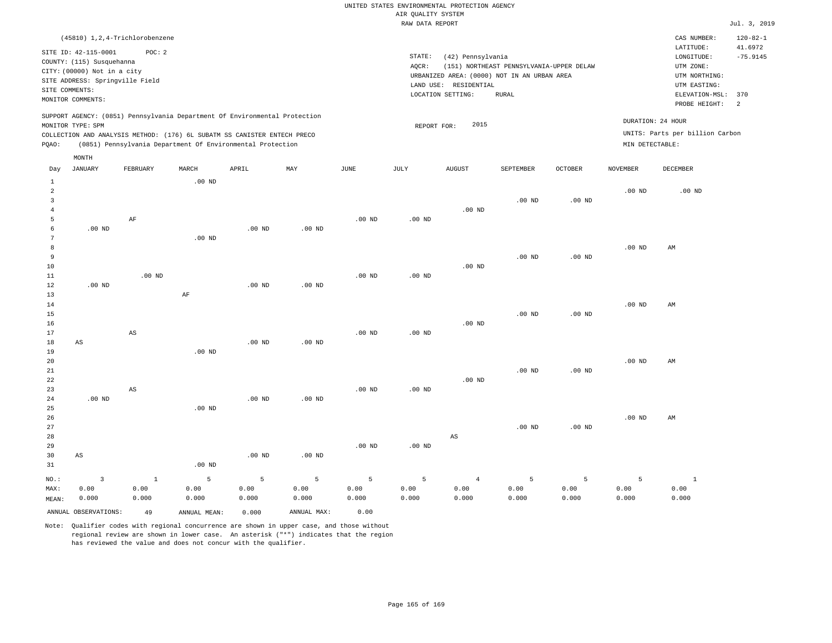| (45810) 1,2,4-Trichlorobenzene                                                                                                                                                                                                                              |                                                                                                                                                                                        | $120 - 82 - 1$<br>CAS NUMBER:                                                                                                                |
|-------------------------------------------------------------------------------------------------------------------------------------------------------------------------------------------------------------------------------------------------------------|----------------------------------------------------------------------------------------------------------------------------------------------------------------------------------------|----------------------------------------------------------------------------------------------------------------------------------------------|
| SITE ID: 42-115-0001<br>POC:2<br>COUNTY: (115) Susquehanna<br>CITY: (00000) Not in a city<br>SITE ADDRESS: Springville Field<br>SITE COMMENTS:<br>MONITOR COMMENTS:                                                                                         | STATE:<br>(42) Pennsylvania<br>AOCR:<br>(151) NORTHEAST PENNSYLVANIA-UPPER DELAW<br>URBANIZED AREA: (0000) NOT IN AN URBAN AREA<br>LAND USE: RESIDENTIAL<br>LOCATION SETTING:<br>RURAL | LATITUDE:<br>41.6972<br>$-75.9145$<br>LONGITUDE:<br>UTM ZONE:<br>UTM NORTHING:<br>UTM EASTING:<br>ELEVATION-MSL: 370<br>PROBE HEIGHT:<br>- 2 |
| SUPPORT AGENCY: (0851) Pennsylvania Department Of Environmental Protection<br>MONITOR TYPE: SPM<br>COLLECTION AND ANALYSIS METHOD: (176) 6L SUBATM SS CANISTER ENTECH PRECO<br>(0851) Pennsylvania Department Of Environmental Protection<br>POAO:<br>MONTH | 2015<br>REPORT FOR:                                                                                                                                                                    | DURATION: 24 HOUR<br>UNITS: Parts per billion Carbon<br>MIN DETECTABLE:                                                                      |

| Day            | JANUARY                 | FEBRUARY               | MARCH        | APRIL    | MAY               | JUNE     | JULY     | AUGUST         | SEPTEMBER      | OCTOBER           | NOVEMBER       | DECEMBER     |
|----------------|-------------------------|------------------------|--------------|----------|-------------------|----------|----------|----------------|----------------|-------------------|----------------|--------------|
| $\mathbf{1}$   |                         |                        | $.00$ ND     |          |                   |          |          |                |                |                   |                |              |
| $\overline{c}$ |                         |                        |              |          |                   |          |          |                |                |                   | $.00$ ND       | $.00$ ND     |
| 3              |                         |                        |              |          |                   |          |          |                | $.00$ ND       | $.00$ ND          |                |              |
| $\overline{4}$ |                         |                        |              |          |                   |          |          | $.00$ ND       |                |                   |                |              |
| 5              |                         | $\rm{AF}$              |              |          |                   | $.00$ ND | $.00$ ND |                |                |                   |                |              |
| 6              | $.00$ ND                |                        |              | $.00$ ND | .00 <sub>ND</sub> |          |          |                |                |                   |                |              |
| 7              |                         |                        | $.00$ ND     |          |                   |          |          |                |                |                   |                |              |
| 8              |                         |                        |              |          |                   |          |          |                |                |                   | $.00$ ND       | AM           |
| 9              |                         |                        |              |          |                   |          |          |                | $.00$ ND       | .00 <sub>ND</sub> |                |              |
| 10             |                         |                        |              |          |                   |          |          | $.00$ ND       |                |                   |                |              |
| 11             |                         | $.00$ ND               |              |          |                   | $.00$ ND | $.00$ ND |                |                |                   |                |              |
| 12             | $.00$ ND                |                        |              | $.00$ ND | $.00$ ND          |          |          |                |                |                   |                |              |
| 13             |                         |                        | $\rm{AF}$    |          |                   |          |          |                |                |                   |                |              |
| 14             |                         |                        |              |          |                   |          |          |                |                |                   | $.00$ ND       | AM           |
| 15             |                         |                        |              |          |                   |          |          |                | $.00$ ND       | $.00$ ND          |                |              |
| 16             |                         |                        |              |          |                   |          |          | $.00$ ND       |                |                   |                |              |
| 17             |                         | $\mathbb{A}\mathbb{S}$ |              |          |                   | $.00$ ND | $.00$ ND |                |                |                   |                |              |
| 18             | AS                      |                        |              | $.00$ ND | .00 <sub>ND</sub> |          |          |                |                |                   |                |              |
| 19             |                         |                        | $.00$ ND     |          |                   |          |          |                |                |                   |                |              |
| $20\,$         |                         |                        |              |          |                   |          |          |                |                |                   | .00 $ND$       | AM           |
| 21             |                         |                        |              |          |                   |          |          |                | $.00$ ND       | $.00$ ND          |                |              |
| $2\sqrt{2}$    |                         |                        |              |          |                   |          |          | $.00$ ND       |                |                   |                |              |
| 23             |                         | AS                     |              |          |                   | $.00$ ND | $.00$ ND |                |                |                   |                |              |
| 24             | $.00$ ND                |                        |              | $.00$ ND | .00 <sub>ND</sub> |          |          |                |                |                   |                |              |
| 25             |                         |                        | $.00$ ND     |          |                   |          |          |                |                |                   |                |              |
| 26             |                         |                        |              |          |                   |          |          |                |                |                   | $.00$ ND       | AM           |
| 27             |                         |                        |              |          |                   |          |          |                | $.00$ ND       | $.00$ ND          |                |              |
| 28             |                         |                        |              |          |                   |          |          | AS             |                |                   |                |              |
| 29             |                         |                        |              |          |                   | $.00$ ND | $.00$ ND |                |                |                   |                |              |
| 30             | AS                      |                        |              | $.00$ ND | .00 <sub>ND</sub> |          |          |                |                |                   |                |              |
| 31             |                         |                        | $.00$ ND     |          |                   |          |          |                |                |                   |                |              |
| $_{\rm NO.}$ : | $\overline{\mathbf{3}}$ | $\,$ 1                 | 5            | 5        | $\mathsf S$       | 5        | 5        | $\overline{4}$ | $\overline{5}$ | 5                 | $\overline{5}$ | $\mathbf{1}$ |
| MAX:           | 0.00                    | 0.00                   | 0.00         | 0.00     | 0.00              | 0.00     | 0.00     | 0.00           | 0.00           | 0.00              | 0.00           | 0.00         |
| MEAN:          | 0.000                   | 0.000                  | 0.000        | 0.000    | 0.000             | 0.000    | 0.000    | 0.000          | 0.000          | 0.000             | 0.000          | 0.000        |
|                | ANNUAL OBSERVATIONS:    | 49                     | ANNUAL MEAN: | 0.000    | ANNUAL MAX:       | 0.00     |          |                |                |                   |                |              |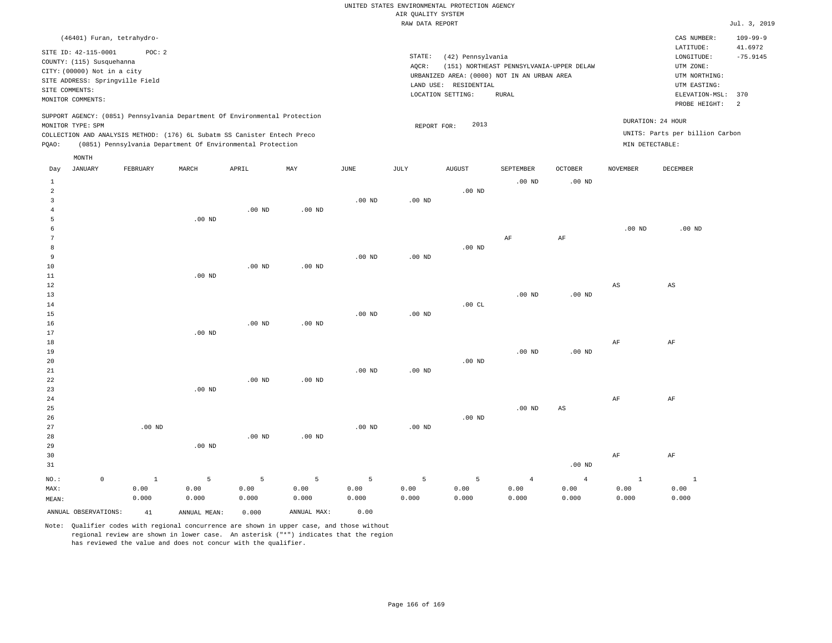|                                                                                                                                                                                        | CAS NUMBER:                                                                                                  | $109 - 99 - 9$                          |
|----------------------------------------------------------------------------------------------------------------------------------------------------------------------------------------|--------------------------------------------------------------------------------------------------------------|-----------------------------------------|
| STATE:<br>(42) Pennsylvania<br>(151) NORTHEAST PENNSYLVANIA-UPPER DELAW<br>AOCR:<br>URBANIZED AREA: (0000) NOT IN AN URBAN AREA<br>LAND USE: RESIDENTIAL<br>LOCATION SETTING:<br>RURAL | LATITUDE:<br>LONGITUDE:<br>UTM ZONE:<br>UTM NORTHING:<br>UTM EASTING:<br>ELEVATION-MSL: 370<br>PROBE HEIGHT: | 41.6972<br>$-75.9145$<br>$\overline{2}$ |
| 2013<br>REPORT FOR:                                                                                                                                                                    | DURATION: 24 HOUR<br>UNITS: Parts per billion Carbon<br>MIN DETECTABLE:                                      |                                         |
|                                                                                                                                                                                        |                                                                                                              |                                         |

| Day            | JANUARY              | FEBRUARY     | MARCH        | APRIL          | MAY               | $_{\rm JUNE}$ | JULY           | <b>AUGUST</b> | SEPTEMBER         | $\mathtt{OCTOBER}$     | <b>NOVEMBER</b>        | DECEMBER               |
|----------------|----------------------|--------------|--------------|----------------|-------------------|---------------|----------------|---------------|-------------------|------------------------|------------------------|------------------------|
| $\mathbf{1}$   |                      |              |              |                |                   |               |                |               | .00 <sub>ND</sub> | $.00$ ND               |                        |                        |
| $\overline{a}$ |                      |              |              |                |                   |               |                | $.00$ ND      |                   |                        |                        |                        |
| 3              |                      |              |              |                |                   | $.00$ ND      | .00 $ND$       |               |                   |                        |                        |                        |
| $\overline{4}$ |                      |              |              | $.00$ ND       | $.00$ ND          |               |                |               |                   |                        |                        |                        |
| 5              |                      |              | $.00$ ND     |                |                   |               |                |               |                   |                        |                        |                        |
| 6              |                      |              |              |                |                   |               |                |               |                   |                        | $.00$ ND               | .00 $ND$               |
| 7              |                      |              |              |                |                   |               |                |               | $\rm{AF}$         | AF                     |                        |                        |
| 8              |                      |              |              |                |                   |               |                | .00 $ND$      |                   |                        |                        |                        |
| 9              |                      |              |              |                |                   | $.00$ ND      | $.00{\rm ~ND}$ |               |                   |                        |                        |                        |
| 10             |                      |              |              | $.00$ ND       | $.00{\rm ~ND}$    |               |                |               |                   |                        |                        |                        |
| $11\,$         |                      |              | $.00$ ND     |                |                   |               |                |               |                   |                        |                        |                        |
| 12             |                      |              |              |                |                   |               |                |               |                   |                        | $\mathbb{A}\mathbb{S}$ | $\mathbb{A}\mathbb{S}$ |
| 13             |                      |              |              |                |                   |               |                |               | $.00$ ND          | $.00$ ND               |                        |                        |
| 14             |                      |              |              |                |                   |               |                | .00 $CL$      |                   |                        |                        |                        |
| 15             |                      |              |              |                |                   | $.00$ ND      | $.00$ ND       |               |                   |                        |                        |                        |
| 16             |                      |              |              | $.00$ ND       | $.00$ ND          |               |                |               |                   |                        |                        |                        |
| 17             |                      |              | $.00$ ND     |                |                   |               |                |               |                   |                        |                        |                        |
| 18             |                      |              |              |                |                   |               |                |               |                   |                        | $\rm{AF}$              | $\rm{AF}$              |
| 19             |                      |              |              |                |                   |               |                |               | $.00$ ND          | .00 <sub>ND</sub>      |                        |                        |
| 20             |                      |              |              |                |                   |               |                | $.00$ ND      |                   |                        |                        |                        |
| 21             |                      |              |              |                |                   | $.00$ ND      | .00 $ND$       |               |                   |                        |                        |                        |
| 22<br>23       |                      |              | $.00$ ND     | $.00$ ND       | .00 <sub>ND</sub> |               |                |               |                   |                        |                        |                        |
| 24             |                      |              |              |                |                   |               |                |               |                   |                        | $\rm{AF}$              | $\rm{AF}$              |
| 25             |                      |              |              |                |                   |               |                |               | $.00$ ND          | $\mathbb{A}\mathbb{S}$ |                        |                        |
| 26             |                      |              |              |                |                   |               |                | $.00$ ND      |                   |                        |                        |                        |
| 27             |                      | $.00$ ND     |              |                |                   | $.00$ ND      | .00 $ND$       |               |                   |                        |                        |                        |
| 28             |                      |              |              | $.00$ ND       | $.00$ ND          |               |                |               |                   |                        |                        |                        |
| 29             |                      |              | $.00$ ND     |                |                   |               |                |               |                   |                        |                        |                        |
| 30             |                      |              |              |                |                   |               |                |               |                   |                        | $\rm{AF}$              | $\rm{AF}$              |
| 31             |                      |              |              |                |                   |               |                |               |                   | $.00$ ND               |                        |                        |
|                |                      |              |              |                |                   |               |                |               |                   |                        |                        |                        |
| $NO.$ :        | $\mathbb O$          | $\mathbf{1}$ | $\mathsf S$  | $\overline{5}$ | $\sqrt{5}$        | 5             | 5              | 5             | $\overline{4}$    | $\overline{4}$         | $\mathbf{1}$           | $\mathbf{1}$           |
| MAX:           |                      | 0.00         | 0.00         | 0.00           | 0.00              | 0.00          | 0.00           | 0.00          | 0.00              | 0.00                   | 0.00                   | 0.00                   |
| MEAN:          |                      | 0.000        | 0.000        | 0.000          | 0.000             | 0.000         | 0.000          | 0.000         | 0.000             | 0.000                  | 0.000                  | 0.000                  |
|                | ANNUAL OBSERVATIONS: | 41           | ANNUAL MEAN: | 0.000          | ANNUAL MAX:       | 0.00          |                |               |                   |                        |                        |                        |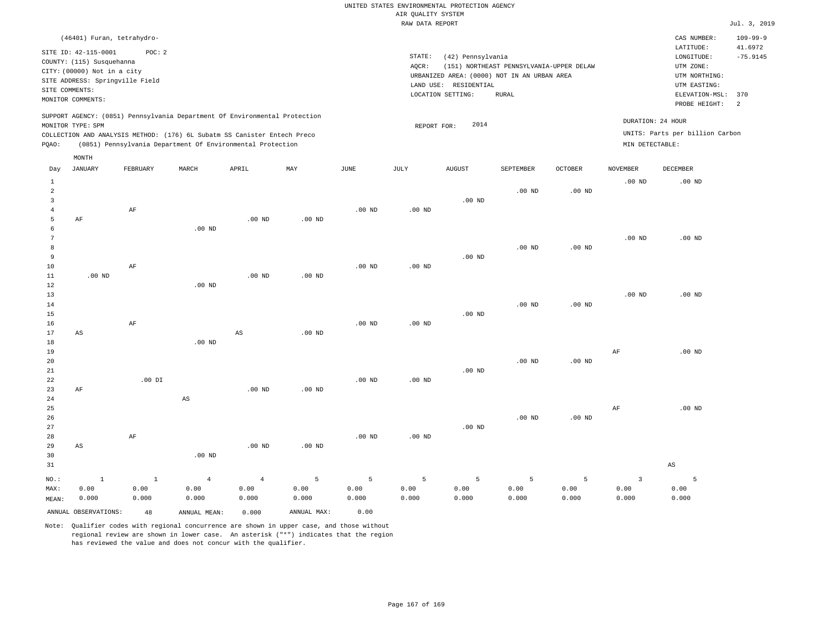| (46401) Furan, tetrahydro-                                                                                                                                                                                                                         |                                                                                                                                                                                           | $109 - 99 - 9$<br>CAS NUMBER:                                                                                                            |
|----------------------------------------------------------------------------------------------------------------------------------------------------------------------------------------------------------------------------------------------------|-------------------------------------------------------------------------------------------------------------------------------------------------------------------------------------------|------------------------------------------------------------------------------------------------------------------------------------------|
| SITE ID: 42-115-0001<br>POC: 2<br>COUNTY: (115) Susquehanna<br>CITY: (00000) Not in a city<br>SITE ADDRESS: Springville Field<br>SITE COMMENTS:<br>MONITOR COMMENTS:                                                                               | STATE:<br>(42) Pennsylvania<br>(151) NORTHEAST PENNSYLVANIA-UPPER DELAW<br>AOCR:<br>URBANIZED AREA: (0000) NOT IN AN URBAN AREA<br>RESIDENTIAL<br>LAND USE:<br>LOCATION SETTING:<br>RURAL | LATITUDE:<br>41.6972<br>$-75.9145$<br>LONGITUDE:<br>UTM ZONE:<br>UTM NORTHING:<br>UTM EASTING:<br>ELEVATION-MSL:<br>370<br>PROBE HEIGHT: |
| SUPPORT AGENCY: (0851) Pennsylvania Department Of Environmental Protection<br>MONITOR TYPE: SPM<br>COLLECTION AND ANALYSIS METHOD: (176) 6L Subatm SS Canister Entech Preco<br>(0851) Pennsylvania Department Of Environmental Protection<br>POAO: | 2014<br>REPORT FOR:                                                                                                                                                                       | DURATION: 24 HOUR<br>UNITS: Parts per billion Carbon<br>MIN DETECTABLE:                                                                  |

|                                 | MONTH                  |               |                        |                        |               |               |               |                   |               |               |                         |                        |
|---------------------------------|------------------------|---------------|------------------------|------------------------|---------------|---------------|---------------|-------------------|---------------|---------------|-------------------------|------------------------|
| Day                             | JANUARY                | FEBRUARY      | $\tt MARCH$            | APRIL                  | MAY           | JUNE          | JULY          | AUGUST            | SEPTEMBER     | OCTOBER       | NOVEMBER                | DECEMBER               |
| $\mathbf{1}$<br>$\sqrt{2}$<br>3 |                        |               |                        |                        |               |               |               | .00 <sub>ND</sub> | $.00$ ND      | $.00$ ND      | $.00$ ND                | $.00$ ND               |
| $\overline{4}$<br>5<br>6        | AF                     | AF            | .00 $ND$               | $.00$ ND               | $.00$ ND      | $.00$ ND      | $.00$ ND      |                   |               |               |                         |                        |
| 7<br>8                          |                        |               |                        |                        |               |               |               |                   | $.00$ ND      | $.00$ ND      | $.00$ ND                | .00 <sub>ND</sub>      |
| 9<br>10<br>11                   | $.00$ ND               | $\rm AF$      |                        | $.00$ ND               | $.00$ ND      | $.00$ ND      | $.00$ ND      | $.00$ ND          |               |               |                         |                        |
| 12<br>13<br>14                  |                        |               | $.00$ ND               |                        |               |               |               |                   | $.00$ ND      | $.00$ ND      | $.00$ ND                | .00 <sub>ND</sub>      |
| 15<br>16<br>17                  | $\mathbb{A}\mathbb{S}$ | $\rm AF$      |                        | $\mathbb{A}\mathbb{S}$ | $.00$ ND      | $.00$ ND      | $.00$ ND      | $.00$ ND          |               |               |                         |                        |
| 18<br>19<br>20                  |                        |               | $.00$ ND               |                        |               |               |               |                   | $.00$ ND      | $.00$ ND      | $\rm{AF}$               | $.00$ ND               |
| 21<br>22                        |                        | $.00$ DI      |                        |                        |               | $.00$ ND      | $.00$ ND      | .00 <sub>ND</sub> |               |               |                         |                        |
| 23<br>24<br>25                  | $\rm AF$               |               | $\mathbb{A}\mathbb{S}$ | $.00$ ND               | $.00$ ND      |               |               |                   |               |               | AF                      | $.00$ ND               |
| 26<br>27<br>28                  |                        | $\rm AF$      |                        |                        |               | $.00$ ND      | $.00$ ND      | $.00$ ND          | $.00$ ND      | $.00$ ND      |                         |                        |
| 29<br>30<br>31                  | AS                     |               | $.00$ ND               | $.00$ ND               | $.00$ ND      |               |               |                   |               |               |                         | $\mathbb{A}\mathbb{S}$ |
| $NO.$ :                         | $1\,$                  | $\,$ 1        | $\bf{4}$               | $\overline{4}$         | 5             | 5             | 5             | 5                 | 5             | 5             | $\overline{\mathbf{3}}$ | 5                      |
| MAX:<br>MEAN:                   | 0.00<br>0.000          | 0.00<br>0.000 | 0.00<br>0.000          | 0.00<br>0.000          | 0.00<br>0.000 | 0.00<br>0.000 | 0.00<br>0.000 | 0.00<br>0.000     | 0.00<br>0.000 | 0.00<br>0.000 | 0.00<br>0.000           | 0.00<br>0.000          |
|                                 | ANNUAL OBSERVATIONS:   | 48            | ANNUAL MEAN:           | 0.000                  | ANNUAL MAX:   | 0.00          |               |                   |               |               |                         |                        |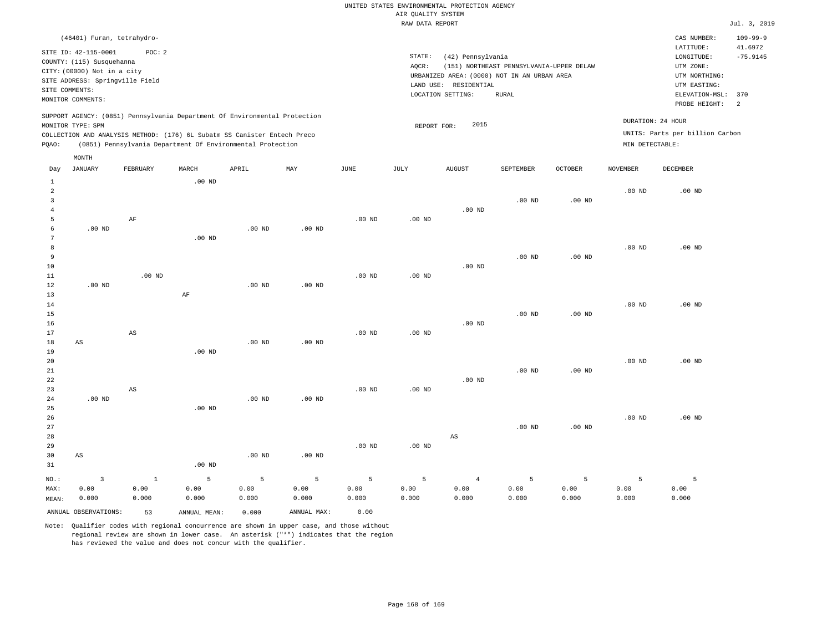| (46401) Furan, tetrahydro-                                                                                                                                          |                                                                                                                                                                                        | CAS NUMBER:                                                                                 | $109 - 99 - 9$ |  |
|---------------------------------------------------------------------------------------------------------------------------------------------------------------------|----------------------------------------------------------------------------------------------------------------------------------------------------------------------------------------|---------------------------------------------------------------------------------------------|----------------|--|
| SITE ID: 42-115-0001<br>POC:2<br>COUNTY: (115) Susquehanna<br>CITY: (00000) Not in a city<br>SITE ADDRESS: Springville Field<br>SITE COMMENTS:<br>MONITOR COMMENTS: | STATE:<br>(42) Pennsylvania<br>(151) NORTHEAST PENNSYLVANIA-UPPER DELAW<br>AOCR:<br>URBANIZED AREA: (0000) NOT IN AN URBAN AREA<br>LAND USE: RESIDENTIAL<br>LOCATION SETTING:<br>RURAL | LATITUDE:<br>LONGITUDE:<br>UTM ZONE:<br>UTM NORTHING:<br>UTM EASTING:<br>ELEVATION-MSL: 370 |                |  |
|                                                                                                                                                                     |                                                                                                                                                                                        | PROBE HEIGHT:                                                                               |                |  |
| SUPPORT AGENCY: (0851) Pennsylvania Department Of Environmental Protection                                                                                          |                                                                                                                                                                                        | DURATION: 24 HOUR                                                                           |                |  |
| MONITOR TYPE: SPM                                                                                                                                                   | 2015<br>REPORT FOR:                                                                                                                                                                    |                                                                                             |                |  |
| COLLECTION AND ANALYSIS METHOD: (176) 6L Subatm SS Canister Entech Preco                                                                                            |                                                                                                                                                                                        | UNITS: Parts per billion Carbon                                                             |                |  |
| (0851) Pennsylvania Department Of Environmental Protection<br>POAO:                                                                                                 |                                                                                                                                                                                        | MIN DETECTABLE:                                                                             |                |  |

|                | MONTH                  |                        |                |                   |                   |                   |          |                        |                   |                   |                 |          |
|----------------|------------------------|------------------------|----------------|-------------------|-------------------|-------------------|----------|------------------------|-------------------|-------------------|-----------------|----------|
| Day            | <b>JANUARY</b>         | FEBRUARY               | MARCH          | APRIL             | MAY               | $_{\rm JUNE}$     | JULY     | <b>AUGUST</b>          | SEPTEMBER         | OCTOBER           | <b>NOVEMBER</b> | DECEMBER |
| $\mathbf{1}$   |                        |                        | $.00$ ND       |                   |                   |                   |          |                        |                   |                   |                 |          |
| $\overline{c}$ |                        |                        |                |                   |                   |                   |          |                        |                   |                   | $.00$ ND        | $.00$ ND |
| 3              |                        |                        |                |                   |                   |                   |          |                        | $.00$ ND          | $.00$ ND          |                 |          |
| $\overline{4}$ |                        |                        |                |                   |                   |                   |          | $.00$ ND               |                   |                   |                 |          |
| 5              |                        | AF                     |                |                   |                   | .00 <sub>ND</sub> | .00 $ND$ |                        |                   |                   |                 |          |
| 6              | .00 $ND$               |                        |                | $.00$ ND          | $.00$ ND          |                   |          |                        |                   |                   |                 |          |
| 7              |                        |                        | $.00$ ND       |                   |                   |                   |          |                        |                   |                   |                 |          |
| 8              |                        |                        |                |                   |                   |                   |          |                        |                   |                   | $.00$ ND        | $.00$ ND |
| 9              |                        |                        |                |                   |                   |                   |          |                        | $.00$ ND          | $.00$ ND          |                 |          |
| 10             |                        |                        |                |                   |                   |                   |          | $.00$ ND               |                   |                   |                 |          |
| 11             |                        | $.00$ ND               |                |                   |                   | .00 <sub>ND</sub> | $.00$ ND |                        |                   |                   |                 |          |
| 12             | $.00$ ND               |                        |                | $.00$ ND          | $.00$ ND          |                   |          |                        |                   |                   |                 |          |
| 13             |                        |                        | $\rm AF$       |                   |                   |                   |          |                        |                   |                   |                 |          |
| 14             |                        |                        |                |                   |                   |                   |          |                        |                   |                   | $.00$ ND        | $.00$ ND |
| 15             |                        |                        |                |                   |                   |                   |          |                        | $.00$ ND          | .00 <sub>ND</sub> |                 |          |
| 16             |                        |                        |                |                   |                   |                   |          | $.00$ ND               |                   |                   |                 |          |
| 17             |                        | $\mathbb{A}\mathbb{S}$ |                |                   |                   | $.00$ ND          | .00 $ND$ |                        |                   |                   |                 |          |
| 18             | AS                     |                        |                | .00 $ND$          | $.00$ ND          |                   |          |                        |                   |                   |                 |          |
| 19             |                        |                        | $.00$ ND       |                   |                   |                   |          |                        |                   |                   |                 |          |
| 20             |                        |                        |                |                   |                   |                   |          |                        |                   |                   | $.00$ ND        | $.00$ ND |
| 21             |                        |                        |                |                   |                   |                   |          |                        | $.00$ ND          | $.00$ ND          |                 |          |
| 22             |                        |                        |                |                   |                   |                   |          | $.00$ ND               |                   |                   |                 |          |
| 23             |                        | $\mathbb{A}\mathbb{S}$ |                |                   |                   | $.00$ ND          | $.00$ ND |                        |                   |                   |                 |          |
| 24             | $.00$ ND               |                        |                | .00 <sub>ND</sub> | .00 <sub>ND</sub> |                   |          |                        |                   |                   |                 |          |
| 25             |                        |                        | $.00$ ND       |                   |                   |                   |          |                        |                   |                   |                 |          |
| 26             |                        |                        |                |                   |                   |                   |          |                        |                   |                   | $.00$ ND        | $.00$ ND |
| 27<br>28       |                        |                        |                |                   |                   |                   |          | $\mathbb{A}\mathbb{S}$ | .00 <sub>ND</sub> | $.00$ ND          |                 |          |
| 29             |                        |                        |                |                   |                   | $.00$ ND          | .00 $ND$ |                        |                   |                   |                 |          |
| 30             | $\mathbb{A}\mathbb{S}$ |                        |                | .00 <sub>ND</sub> | .00 <sub>ND</sub> |                   |          |                        |                   |                   |                 |          |
| 31             |                        |                        | $.00$ ND       |                   |                   |                   |          |                        |                   |                   |                 |          |
|                |                        |                        |                |                   |                   |                   |          |                        |                   |                   |                 |          |
| NO.:           | $\mathsf 3$            | $\,$ 1                 | $\overline{5}$ | $\overline{5}$    | 5                 | 5                 | 5        | $\overline{4}$         | $\overline{5}$    | 5                 | 5               | 5        |
| MAX:           | 0.00                   | 0.00                   | 0.00           | 0.00              | 0.00              | 0.00              | 0.00     | 0.00                   | 0.00              | 0.00              | 0.00            | 0.00     |
| MEAN:          | 0.000                  | 0.000                  | 0.000          | 0.000             | 0.000             | 0.000             | 0.000    | 0.000                  | 0.000             | 0.000             | 0.000           | 0.000    |
|                | ANNUAL OBSERVATIONS:   | 53                     | ANNUAL MEAN:   | 0.000             | ANNUAL MAX:       | 0.00              |          |                        |                   |                   |                 |          |